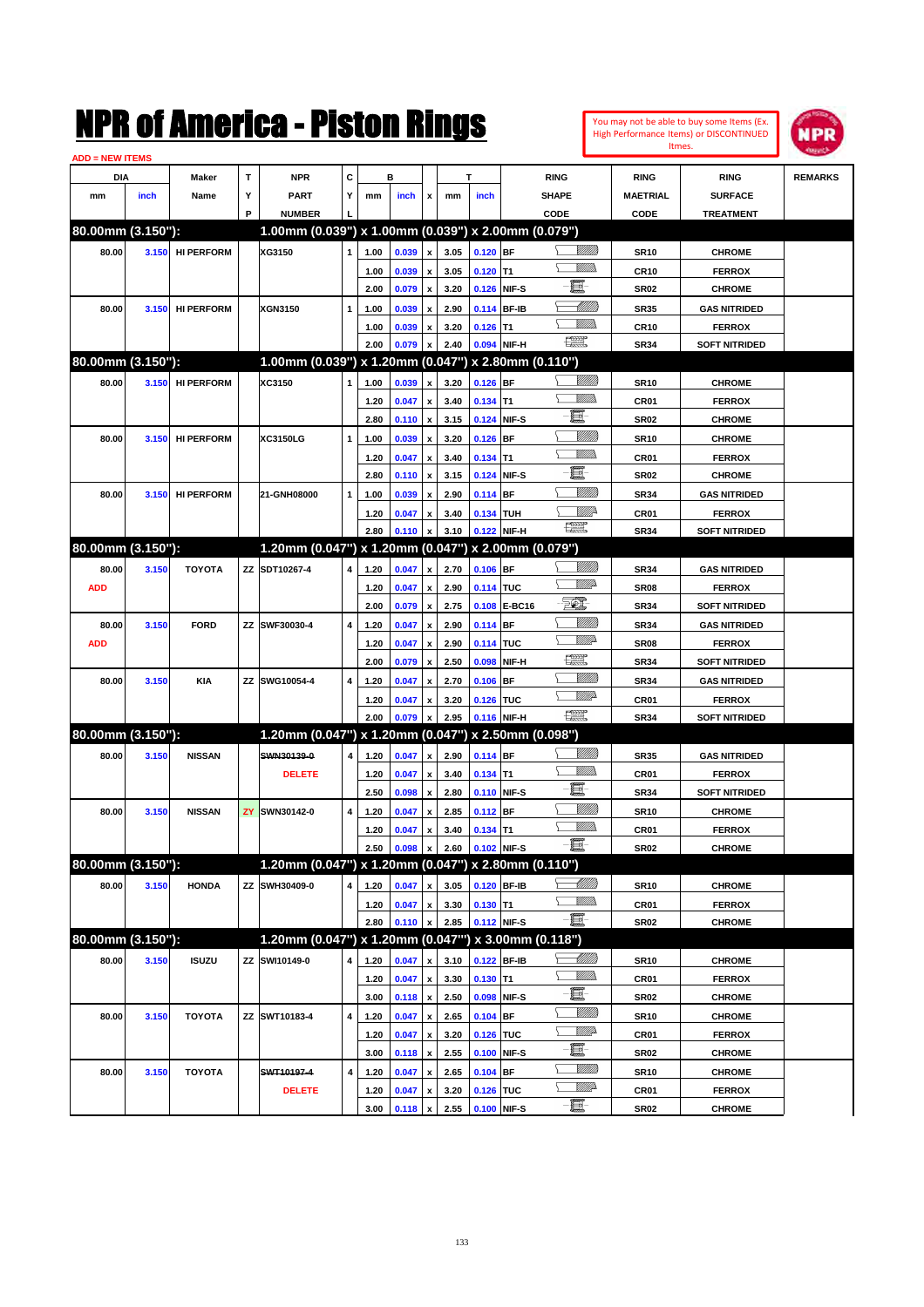| You may not be able to buy some Items (Ex. |
|--------------------------------------------|
| High Performance Items) or DISCONTINUED    |
| Itmes.                                     |



| <b>ADD = NEW ITEMS</b> |       |                   |   |                                                        |                         |      |       |                           |      |             |              |                               |                  |                      |                |
|------------------------|-------|-------------------|---|--------------------------------------------------------|-------------------------|------|-------|---------------------------|------|-------------|--------------|-------------------------------|------------------|----------------------|----------------|
| DIA                    |       | Maker             | T | <b>NPR</b>                                             | C                       |      | в     |                           |      | т           |              | <b>RING</b>                   | <b>RING</b>      | <b>RING</b>          | <b>REMARKS</b> |
| mm                     | inch  | Name              | Υ | <b>PART</b>                                            | Υ                       | mm   | inch  | x                         | mm   | inch        |              | <b>SHAPE</b>                  | <b>MAETRIAL</b>  | <b>SURFACE</b>       |                |
|                        |       |                   | P | <b>NUMBER</b>                                          |                         |      |       |                           |      |             |              | CODE                          | <b>CODE</b>      | <b>TREATMENT</b>     |                |
| 80.00mm (3.150"):      |       |                   |   | $1.00$ mm (0.039") x 1.00mm (0.039") x 2.00mm (0.079") |                         |      |       |                           |      |             |              |                               |                  |                      |                |
| 80.00                  | 3.150 | <b>HI PERFORM</b> |   | XG3150                                                 | $\mathbf{1}$            | 1.00 | 0.039 | $\boldsymbol{\mathsf{x}}$ | 3.05 | $0.120$ BF  |              | VIII T                        | <b>SR10</b>      | <b>CHROME</b>        |                |
|                        |       |                   |   |                                                        |                         | 1.00 | 0.039 | x                         | 3.05 | $0.120$ T1  |              | <u>MMs</u>                    | <b>CR10</b>      | <b>FERROX</b>        |                |
|                        |       |                   |   |                                                        |                         | 2.00 | 0.079 | $\pmb{\mathsf{x}}$        | 3.20 |             | 0.126 NIF-S  | e.                            | <b>SR02</b>      | <b>CHROME</b>        |                |
| 80.00                  | 3.150 | <b>HI PERFORM</b> |   | <b>XGN3150</b>                                         | $\mathbf{1}$            | 1.00 | 0.039 | x                         | 2.90 |             | 0.114 BF-IB  | <u> Millitt</u>               | <b>SR35</b>      | <b>GAS NITRIDED</b>  |                |
|                        |       |                   |   |                                                        |                         | 1.00 | 0.039 | x                         | 3.20 | $0.126$ T1  |              | .<br>VMD                      | <b>CR10</b>      | <b>FERROX</b>        |                |
|                        |       |                   |   |                                                        |                         | 2.00 | 0.079 | X                         | 2.40 |             | 0.094 NIF-H  | <b>The Second</b>             | <b>SR34</b>      | <b>SOFT NITRIDED</b> |                |
| 80.00mm (3.150"):      |       |                   |   | $1.00$ mm (0.039") x 1.20mm (0.047") x 2.80mm (0.110") |                         |      |       |                           |      |             |              |                               |                  |                      |                |
| 80.00                  | 3.150 | <b>HI PERFORM</b> |   | XC3150                                                 | 1                       | 1.00 | 0.039 | X                         | 3.20 | $0.126$ BF  |              | <br>Viited                    | <b>SR10</b>      | <b>CHROME</b>        |                |
|                        |       |                   |   |                                                        |                         | 1.20 | 0.047 | x                         | 3.40 | $0.134$ T1  |              | <u>MMS</u>                    | CR <sub>01</sub> | <b>FERROX</b>        |                |
|                        |       |                   |   |                                                        |                         | 2.80 | 0.110 | $\pmb{\mathsf{x}}$        | 3.15 |             | 0.124 NIF-S  | e.                            | <b>SR02</b>      | <b>CHROME</b>        |                |
| 80.00                  | 3.150 | <b>HI PERFORM</b> |   | XC3150LG                                               | $\mathbf{1}$            | 1.00 | 0.039 | x                         | 3.20 | $0.126$ BF  |              |                               | <b>SR10</b>      | <b>CHROME</b>        |                |
|                        |       |                   |   |                                                        |                         | 1.20 | 0.047 | x                         | 3.40 | $0.134$ T1  |              | <u>MM</u>                     | CR <sub>01</sub> | <b>FERROX</b>        |                |
|                        |       |                   |   |                                                        |                         | 2.80 | 0.110 | $\pmb{\mathsf{x}}$        | 3.15 |             | 0.124 NIF-S  | e.                            | <b>SR02</b>      | <b>CHROME</b>        |                |
| 80.00                  | 3.150 | <b>HI PERFORM</b> |   | 21-GNH08000                                            | $\mathbf{1}$            | 1.00 | 0.039 | x                         | 2.90 | $0.114$ BF  |              | VMM)                          | <b>SR34</b>      | <b>GAS NITRIDED</b>  |                |
|                        |       |                   |   |                                                        |                         | 1.20 | 0.047 | x                         | 3.40 | 0.134 TUH   |              | WMP-                          | CR <sub>01</sub> | <b>FERROX</b>        |                |
|                        |       |                   |   |                                                        |                         | 2.80 | 0.110 | X                         | 3.10 |             | 0.122 NIF-H  | $f_{\text{max}}^{\text{max}}$ | <b>SR34</b>      | <b>SOFT NITRIDED</b> |                |
| 80.00mm (3.150"):      |       |                   |   | 1.20mm (0.047") x 1.20mm (0.047") x 2.00mm (0.079")    |                         |      |       |                           |      |             |              |                               |                  |                      |                |
| 80.00                  | 3.150 | <b>TOYOTA</b>     |   | ZZ SDT10267-4                                          | 4                       | 1.20 | 0.047 | $\pmb{\mathsf{x}}$        | 2.70 | $0.106$ BF  |              | <br>Viited                    | <b>SR34</b>      | <b>GAS NITRIDED</b>  |                |
| <b>ADD</b>             |       |                   |   |                                                        |                         | 1.20 | 0.047 | x                         | 2.90 | 0.114 TUC   |              | <u>VIII))</u>                 | <b>SR08</b>      | <b>FERROX</b>        |                |
|                        |       |                   |   |                                                        |                         | 2.00 | 0.079 | $\pmb{\mathsf{x}}$        | 2.75 |             | 0.108 E-BC16 | $\mathcal{F}$                 | <b>SR34</b>      | <b>SOFT NITRIDED</b> |                |
| 80.00                  | 3.150 | <b>FORD</b>       |   | ZZ SWF30030-4                                          | $\overline{4}$          | 1.20 | 0.047 | X                         | 2.90 | $0.114$ BF  |              |                               | <b>SR34</b>      | <b>GAS NITRIDED</b>  |                |
| <b>ADD</b>             |       |                   |   |                                                        |                         | 1.20 | 0.047 | x                         | 2.90 | 0.114 TUC   |              | <u>VIII))</u>                 | <b>SR08</b>      | <b>FERROX</b>        |                |
|                        |       |                   |   |                                                        |                         | 2.00 | 0.079 | x                         | 2.50 | 0.098       | NIF-H        | $\frac{1}{2}$                 | <b>SR34</b>      | <b>SOFT NITRIDED</b> |                |
| 80.00                  | 3.150 | KIA               |   | ZZ SWG10054-4                                          | $\overline{4}$          | 1.20 | 0.047 | x                         | 2.70 | 0.106       | <b>BF</b>    | WM)                           | <b>SR34</b>      | <b>GAS NITRIDED</b>  |                |
|                        |       |                   |   |                                                        |                         | 1.20 | 0.047 | x                         | 3.20 | 0.126 TUC   |              | <u>MMD</u>                    | CR <sub>01</sub> | <b>FERROX</b>        |                |
|                        |       |                   |   |                                                        |                         | 2.00 | 0.079 |                           | 2.95 |             | 0.116 NIF-H  | $\frac{1}{2}$                 | <b>SR34</b>      | <b>SOFT NITRIDED</b> |                |
| 80.00mm (3.150"):      |       |                   |   | 1.20mm (0.047") x 1.20mm (0.047") x 2.50mm (0.098")    |                         |      |       |                           |      |             |              |                               |                  |                      |                |
| 80.00                  | 3.150 | <b>NISSAN</b>     |   | SWN30139-0                                             | 4                       | 1.20 | 0.047 | $\pmb{\mathsf{x}}$        | 2.90 | $0.114$ BF  |              |                               | <b>SR35</b>      | <b>GAS NITRIDED</b>  |                |
|                        |       |                   |   | <b>DELETE</b>                                          |                         | 1.20 | 0.047 | x                         | 3.40 | $0.134$ T1  |              | <u>MMs</u>                    | CR <sub>01</sub> | <b>FERROX</b>        |                |
|                        |       |                   |   |                                                        |                         | 2.50 | 0.098 | $\pmb{\mathsf{x}}$        | 2.80 |             | 0.110 NIF-S  | e.                            | <b>SR34</b>      | <b>SOFT NITRIDED</b> |                |
| 80.00                  | 3.150 | <b>NISSAN</b>     |   | <b>ZY SWN30142-0</b>                                   | $\overline{4}$          | 1.20 | 0.047 | x                         | 2.85 | 0.112 BF    |              | <u>VIIII)</u>                 | <b>SR10</b>      | <b>CHROME</b>        |                |
|                        |       |                   |   |                                                        |                         | 1.20 | 0.047 | x                         | 3.40 | $0.134$ T1  |              | <u>MMas</u>                   | CR <sub>01</sub> | <b>FERROX</b>        |                |
|                        |       |                   |   |                                                        |                         | 2.50 | 0.098 | $\pmb{\mathsf{x}}$        | 2.60 | 0.102 NIF-S |              | EF-                           | <b>SR02</b>      | <b>CHROME</b>        |                |
| 80.00mm (3.150"):      |       |                   |   | 1.20mm (0.047") x 1.20mm (0.047") x 2.80mm (0.110")    |                         |      |       |                           |      |             |              |                               |                  |                      |                |
| 80.00                  | 3.150 | <b>HONDA</b>      |   | ZZ SWH30409-0                                          | $\overline{\mathbf{4}}$ | 1.20 | 0.047 | $\pmb{\mathsf{x}}$        | 3.05 |             | 0.120 BF-IB  | <u> UMB</u>                   | <b>SR10</b>      | <b>CHROME</b>        |                |
|                        |       |                   |   |                                                        |                         | 1.20 | 0.047 | $\pmb{\mathsf{x}}$        | 3.30 | $0.130$ T1  |              | <u>Willib</u><br>e            | CR01             | <b>FERROX</b>        |                |
|                        |       |                   |   |                                                        |                         | 2.80 | 0.110 | X                         | 2.85 |             | 0.112 NIF-S  |                               | <b>SR02</b>      | <b>CHROME</b>        |                |
| 80.00mm (3.150"):      |       |                   |   | 1.20mm (0.047") x 1.20mm (0.047"") x 3.00mm (0.118")   |                         |      |       |                           |      |             |              |                               |                  |                      |                |
| 80.00                  | 3.150 | <b>ISUZU</b>      |   | ZZ SWI10149-0                                          | 4                       | 1.20 | 0.047 | $\pmb{\mathsf{x}}$        | 3.10 |             | 0.122 BF-IB  | <u>UMB</u>                    | SR10             | <b>CHROME</b>        |                |
|                        |       |                   |   |                                                        |                         | 1.20 | 0.047 | $\pmb{\mathsf{x}}$        | 3.30 | $0.130$ T1  |              | <u>WMW</u>                    | CR01             | <b>FERROX</b>        |                |
|                        |       |                   |   |                                                        |                         | 3.00 | 0.118 | $\pmb{\mathsf{x}}$        | 2.50 |             | 0.098 NIF-S  | e                             | <b>SR02</b>      | <b>CHROME</b>        |                |
| 80.00                  | 3.150 | <b>TOYOTA</b>     |   | ZZ SWT10183-4                                          | 4                       | 1.20 | 0.047 | $\pmb{\mathsf{x}}$        | 2.65 | $0.104$ BF  |              | <u>VIIII</u> )                | SR10             | <b>CHROME</b>        |                |
|                        |       |                   |   |                                                        |                         | 1.20 | 0.047 | x                         | 3.20 | 0.126 TUC   |              | ₩₩                            | CR01             | <b>FERROX</b>        |                |
|                        |       |                   |   |                                                        |                         | 3.00 | 0.118 | $\pmb{\mathsf{x}}$        | 2.55 |             | 0.100 NIF-S  | L<br><u>MM</u>                | <b>SR02</b>      | <b>CHROME</b>        |                |
| 80.00                  | 3.150 | <b>TOYOTA</b>     |   | SWT10197-4                                             | 4                       | 1.20 | 0.047 | x                         | 2.65 | $0.104$ BF  |              | <u>VM</u> D-                  | SR10             | <b>CHROME</b>        |                |
|                        |       |                   |   | <b>DELETE</b>                                          |                         | 1.20 | 0.047 | x                         | 3.20 | 0.126 TUC   |              |                               | CR01             | <b>FERROX</b>        |                |
|                        |       |                   |   |                                                        |                         | 3.00 | 0.118 | $\pmb{\mathsf{x}}$        | 2.55 | 0.100 NIF-S |              | -E-                           | <b>SR02</b>      | <b>CHROME</b>        |                |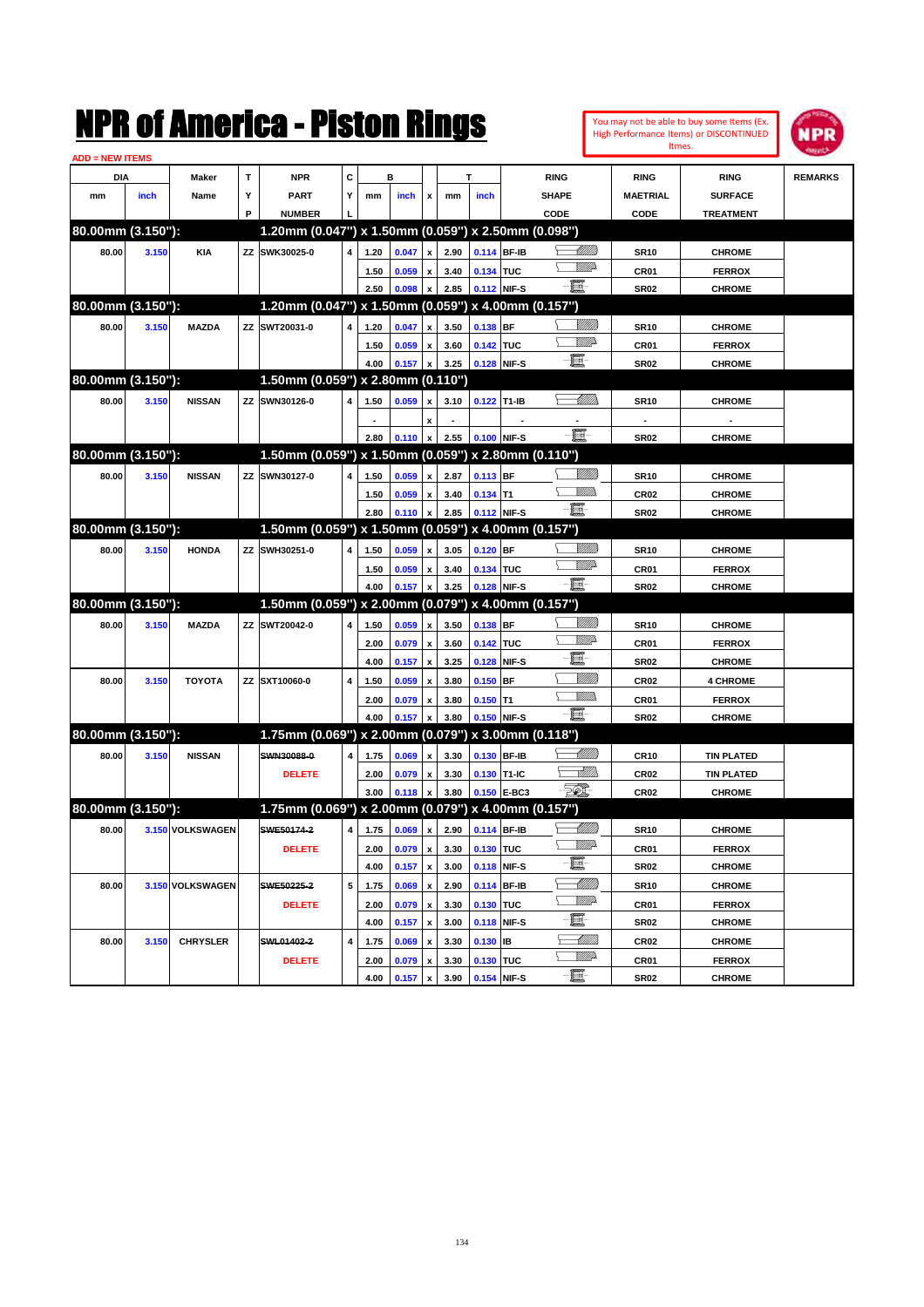|                        |       |                  |    | NMK OI AMCMICA - MISTON KINGS                       |   |      |       |                           |      |             |             |              |                             |                          | You may not be able to buy some Items (Ex.<br>High Performance Items) or DISCONTINUED<br>Itmes. | IPR            |
|------------------------|-------|------------------|----|-----------------------------------------------------|---|------|-------|---------------------------|------|-------------|-------------|--------------|-----------------------------|--------------------------|-------------------------------------------------------------------------------------------------|----------------|
| <b>ADD = NEW ITEMS</b> |       |                  |    |                                                     |   |      |       |                           |      |             |             |              |                             |                          |                                                                                                 |                |
| DIA                    |       | Maker            | T  | <b>NPR</b>                                          | C |      | в     |                           |      | т           |             | <b>RING</b>  |                             | <b>RING</b>              | <b>RING</b>                                                                                     | <b>REMARKS</b> |
| mm                     | inch  | Name             | Υ  | PART                                                | Y | mm   | inch  | x                         | mm   | inch        |             | <b>SHAPE</b> |                             | <b>MAETRIAL</b>          | <b>SURFACE</b>                                                                                  |                |
|                        |       |                  | P  | <b>NUMBER</b>                                       |   |      |       |                           |      |             |             | CODE         |                             | CODE                     | <b>TREATMENT</b>                                                                                |                |
| 80.00mm (3.150"):      |       |                  |    | 1.20mm (0.047") x 1.50mm (0.059") x 2.50mm (0.098") |   |      |       |                           |      |             |             |              |                             |                          |                                                                                                 |                |
| 80.00                  | 3.150 | <b>KIA</b>       | ZZ | SWK30025-0                                          | 4 | 1.20 | 0.047 | $\mathbf{x}$              | 2.90 |             | 0.114 BF-IB |              | <u> UMM</u>                 | <b>SR10</b>              | <b>CHROME</b>                                                                                   |                |
|                        |       |                  |    |                                                     |   | 1.50 | 0.059 | X                         | 3.40 | 0.134 TUC   |             |              | <u>VMD</u>                  | CR01                     | <b>FERROX</b>                                                                                   |                |
|                        |       |                  |    |                                                     |   | 2.50 | 0.098 | X                         | 2.85 |             | 0.112 NIF-S | - 1          |                             | <b>SR02</b>              | <b>CHROME</b>                                                                                   |                |
| 80.00mm (3.150"):      |       |                  |    | 1.20mm (0.047") x 1.50mm (0.059") x 4.00mm (0.157") |   |      |       |                           |      |             |             |              |                             |                          |                                                                                                 |                |
| 80.00                  | 3.150 | <b>MAZDA</b>     | ZZ | SWT20031-0                                          | 4 | 1.20 | 0.047 | X                         | 3.50 | 0.138 BF    |             |              | <u>Millill</u>              | <b>SR10</b>              | <b>CHROME</b>                                                                                   |                |
|                        |       |                  |    |                                                     |   | 1.50 | 0.059 | x                         | 3.60 | 0.142 TUC   |             |              | <u>VMD</u>                  | CR01                     | <b>FERROX</b>                                                                                   |                |
|                        |       |                  |    |                                                     |   | 4.00 | 0.157 | x                         | 3.25 |             | 0.128 NIF-S | e.           |                             | <b>SR02</b>              | <b>CHROME</b>                                                                                   |                |
| 80.00mm (3.150"):      |       |                  |    | 1.50mm (0.059") x 2.80mm (0.110")                   |   |      |       |                           |      |             |             |              |                             |                          |                                                                                                 |                |
| 80.00                  | 3.150 | <b>NISSAN</b>    | ZZ | SWN30126-0                                          | 4 | 1.50 | 0.059 | x                         | 3.10 | 0.122 T1-IB |             |              | MMM                         | <b>SR10</b>              | <b>CHROME</b>                                                                                   |                |
|                        |       |                  |    |                                                     |   |      |       | X                         |      |             |             |              |                             | $\overline{\phantom{a}}$ |                                                                                                 |                |
|                        |       |                  |    |                                                     |   | 2.80 | 0.110 | X                         | 2.55 |             | 0.100 NIF-S | e.           |                             | <b>SR02</b>              | <b>CHROME</b>                                                                                   |                |
| 80.00mm (3.150"):      |       |                  |    | 1.50mm (0.059") x 1.50mm (0.059") x 2.80mm (0.110") |   |      |       |                           |      |             |             |              |                             |                          |                                                                                                 |                |
| 80.00                  | 3.150 | <b>NISSAN</b>    | ZZ | SWN30127-0                                          | 4 | 1.50 | 0.059 | $\mathbf{x}$              | 2.87 | $0.113$ BF  |             |              | <u>Milli</u>                | <b>SR10</b>              | <b>CHROME</b>                                                                                   |                |
|                        |       |                  |    |                                                     |   | 1.50 | 0.059 | x                         | 3.40 | $0.134$ T1  |             |              | <br>Villida                 | CR <sub>02</sub>         | <b>CHROME</b>                                                                                   |                |
|                        |       |                  |    |                                                     |   | 2.80 | 0.110 | X                         | 2.85 |             | 0.112 NIF-S | $-\Xi$ -     |                             | <b>SR02</b>              | <b>CHROME</b>                                                                                   |                |
| 80.00mm (3.150"):      |       |                  |    | 1.50mm (0.059") x 1.50mm (0.059") x 4.00mm (0.157") |   |      |       |                           |      |             |             |              |                             |                          |                                                                                                 |                |
| 80.00                  | 3.150 | <b>HONDA</b>     | ZZ | SWH30251-0                                          | 4 | 1.50 | 0.059 | x                         | 3.05 | $0.120$ BF  |             |              | <u>Millill</u>              | <b>SR10</b>              | <b>CHROME</b>                                                                                   |                |
|                        |       |                  |    |                                                     |   | 1.50 | 0.059 | x                         | 3.40 | 0.134 TUC   |             |              | <u>VMD</u>                  | CR01                     | <b>FERROX</b>                                                                                   |                |
|                        |       |                  |    |                                                     |   | 4.00 | 0.157 | X                         | 3.25 |             | 0.128 NIF-S | - 1          |                             | <b>SR02</b>              | <b>CHROME</b>                                                                                   |                |
| 80.00mm (3.150"):      |       |                  |    | 1.50mm (0.059") x 2.00mm (0.079") x 4.00mm (0.157") |   |      |       |                           |      |             |             |              |                             |                          |                                                                                                 |                |
| 80.00                  | 3.150 | <b>MAZDA</b>     | ZZ | SWT20042-0                                          | 4 | 1.50 | 0.059 | x                         | 3.50 | 0.138 BF    |             |              | <u>Sillilli</u>             | <b>SR10</b>              | <b>CHROME</b>                                                                                   |                |
|                        |       |                  |    |                                                     |   | 2.00 | 0.079 | $\boldsymbol{\mathsf{x}}$ | 3.60 | 0.142 TUC   |             |              | <u>VMD</u>                  | CR01                     | <b>FERROX</b>                                                                                   |                |
|                        |       |                  |    |                                                     |   | 4.00 | 0.157 | $\boldsymbol{\mathsf{x}}$ | 3.25 |             | 0.128 NIF-S | E.           |                             | <b>SR02</b>              | <b>CHROME</b>                                                                                   |                |
| 80.00                  | 3.150 | <b>TOYOTA</b>    | ΖZ | SXT10060-0                                          | 4 | 1.50 | 0.059 | x                         | 3.80 | $0.150$ BF  |             |              | <u>Milli</u>                | CR <sub>02</sub>         | <b>4 CHROME</b>                                                                                 |                |
|                        |       |                  |    |                                                     |   | 2.00 | 0.079 | x                         | 3.80 | $0.150$ T1  |             |              | <u>Millib</u>               | CR01                     | <b>FERROX</b>                                                                                   |                |
|                        |       |                  |    |                                                     |   | 4.00 | 0.157 | X                         | 3.80 |             | 0.150 NIF-S | - 1          |                             | <b>SR02</b>              | <b>CHROME</b>                                                                                   |                |
| 80.00mm (3.150"):      |       |                  |    | 1.75mm (0.069") x 2.00mm (0.079") x 3.00mm (0.118") |   |      |       |                           |      |             |             |              |                             |                          |                                                                                                 |                |
| 80.00                  | 3.150 | <b>NISSAN</b>    |    | SWN30088-0                                          | 4 | 1.75 | 0.069 | x                         | 3.30 |             | 0.130 BF-IB |              | <u> MMM</u>                 | <b>CR10</b>              | <b>TIN PLATED</b>                                                                               |                |
|                        |       |                  |    | <b>DELETE</b>                                       |   | 2.00 |       |                           | 3.30 |             | 0.130 T1-IC |              | <u>MM</u>                   | CR02                     |                                                                                                 |                |
|                        |       |                  |    |                                                     |   | 3.00 | 0.079 | x                         | 3.80 |             | 0.150 E-BC3 | FØ.          |                             | <b>CR02</b>              | <b>TIN PLATED</b>                                                                               |                |
| 80.00mm (3.150"):      |       |                  |    | 1.75mm (0.069") x 2.00mm (0.079") x 4.00mm (0.157") |   |      | 0.118 | x                         |      |             |             |              |                             |                          | <b>CHROME</b>                                                                                   |                |
|                        |       |                  |    |                                                     |   |      |       |                           |      |             |             |              |                             |                          |                                                                                                 |                |
| 80.00                  |       | 3.150 VOLKSWAGEN |    | SWE50174-2                                          | 4 | 1.75 | 0.069 | $\pmb{\mathsf{x}}$        | 2.90 |             | 0.114 BF-IB |              | <u> UMB</u><br><u>WW</u> A  | <b>SR10</b>              | <b>CHROME</b>                                                                                   |                |
|                        |       |                  |    | <b>DELETE</b>                                       |   | 2.00 | 0.079 | $\pmb{\mathsf{x}}$        | 3.30 | 0.130 TUC   |             | e.           |                             | CR01                     | <b>FERROX</b>                                                                                   |                |
|                        |       |                  |    |                                                     |   | 4.00 | 0.157 | $\boldsymbol{\mathsf{x}}$ | 3.00 |             | 0.118 NIF-S |              |                             | SR02                     | <b>CHROME</b>                                                                                   |                |
| 80.00                  |       | 3.150 VOLKSWAGEN |    | SWE50225-2                                          | 5 | 1.75 | 0.069 | $\pmb{\mathsf{x}}$        | 2.90 |             | 0.114 BF-IB |              | <u>-MMM)</u><br><u>WW</u> A | <b>SR10</b>              | <b>CHROME</b>                                                                                   |                |
|                        |       |                  |    | <b>DELETE</b>                                       |   | 2.00 | 0.079 | $\pmb{\mathsf{x}}$        | 3.30 | 0.130 TUC   |             |              |                             | CR01                     | <b>FERROX</b>                                                                                   |                |
|                        |       |                  |    |                                                     |   | 4.00 | 0.157 | $\pmb{\mathsf{x}}$        | 3.00 |             | 0.118 NIF-S | e.           |                             | <b>SR02</b>              | <b>CHROME</b>                                                                                   |                |
| 80.00                  | 3.150 | <b>CHRYSLER</b>  |    | SWL01402-2                                          | 4 | 1.75 | 0.069 | $\pmb{\mathsf{x}}$        | 3.30 | $0.130$ IB  |             |              | <u> Millill</u>             | CR02                     | <b>CHROME</b>                                                                                   |                |
|                        |       |                  |    | <b>DELETE</b>                                       |   | 2.00 | 0.079 | $\pmb{\mathsf{x}}$        | 3.30 | 0.130 TUC   |             |              | <u>WW</u> A                 | CR01                     | <b>FERROX</b>                                                                                   |                |
|                        |       |                  |    |                                                     |   | 4.00 | 0.157 | $\pmb{\mathsf{x}}$        | 3.90 |             | 0.154 NIF-S | $-\Xi$       |                             | <b>SR02</b>              | <b>CHROME</b>                                                                                   |                |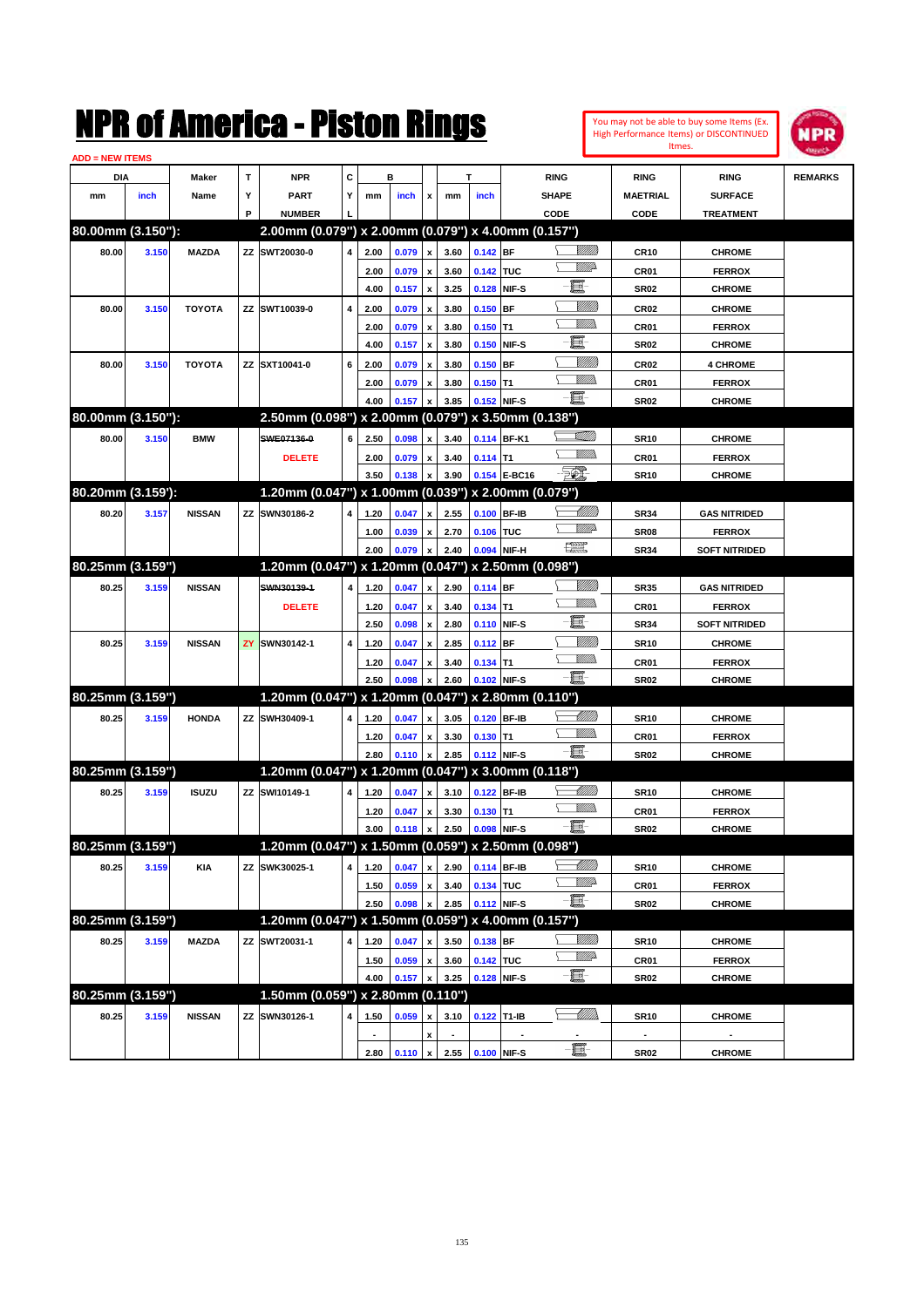| <b>ADD = NEW ITEMS</b> |       |               |    | NMK OI AINCrica - Miston Kings                      |                |                          |       |                                          |              |             |                   |                                                                                                                                                                                                                                                                                                                                                                                                                          |                 |                  | You may not be able to buy some Items (Ex.<br>High Performance Items) or DISCONTINUED<br>Itmes. | IPR            |
|------------------------|-------|---------------|----|-----------------------------------------------------|----------------|--------------------------|-------|------------------------------------------|--------------|-------------|-------------------|--------------------------------------------------------------------------------------------------------------------------------------------------------------------------------------------------------------------------------------------------------------------------------------------------------------------------------------------------------------------------------------------------------------------------|-----------------|------------------|-------------------------------------------------------------------------------------------------|----------------|
| DIA                    |       | Maker         | T  | <b>NPR</b>                                          | C              |                          | в     |                                          |              | т           |                   | <b>RING</b>                                                                                                                                                                                                                                                                                                                                                                                                              |                 | <b>RING</b>      | <b>RING</b>                                                                                     | <b>REMARKS</b> |
| mm                     | inch  | Name          | Υ  | <b>PART</b>                                         | Y              | mm                       | inch  | x                                        | mm           | inch        |                   | <b>SHAPE</b>                                                                                                                                                                                                                                                                                                                                                                                                             |                 | <b>MAETRIAL</b>  | <b>SURFACE</b>                                                                                  |                |
|                        |       |               | P  | <b>NUMBER</b>                                       |                |                          |       |                                          |              |             |                   | CODE                                                                                                                                                                                                                                                                                                                                                                                                                     |                 | CODE             | <b>TREATMENT</b>                                                                                |                |
| 80.00mm (3.150"):      |       |               |    | 2.00mm (0.079") x 2.00mm (0.079") x 4.00mm (0.157") |                |                          |       |                                          |              |             |                   |                                                                                                                                                                                                                                                                                                                                                                                                                          |                 |                  |                                                                                                 |                |
| 80.00                  | 3.150 | <b>MAZDA</b>  | ZZ | SWT20030-0                                          | 4              | 2.00                     | 0.079 | x                                        | 3.60         | $0.142$ BF  |                   |                                                                                                                                                                                                                                                                                                                                                                                                                          |                 | <b>CR10</b>      | <b>CHROME</b>                                                                                   |                |
|                        |       |               |    |                                                     |                | 2.00                     | 0.079 | $\boldsymbol{x}$                         | 3.60         | 0.142       | <b>TUC</b>        |                                                                                                                                                                                                                                                                                                                                                                                                                          | <b>VIII</b> D   | CR01             | <b>FERROX</b>                                                                                   |                |
|                        |       |               |    |                                                     |                | 4.00                     | 0.157 | $\boldsymbol{\mathsf{x}}$                | 3.25         | 0.128       | NIF-S             | E                                                                                                                                                                                                                                                                                                                                                                                                                        |                 | <b>SR02</b>      | <b>CHROME</b>                                                                                   |                |
| 80.00                  | 3.150 | <b>TOYOTA</b> | ΖZ | SWT10039-0                                          | 4              | 2.00                     | 0.079 | x                                        | 3.80         | 0.150       | BF                |                                                                                                                                                                                                                                                                                                                                                                                                                          | <u>VIIII</u> I  | <b>CR02</b>      | <b>CHROME</b>                                                                                   |                |
|                        |       |               |    |                                                     |                | 2.00                     | 0.079 | $\boldsymbol{x}$                         | 3.80         | 0.150       | lT1               | VM)                                                                                                                                                                                                                                                                                                                                                                                                                      |                 | CR01             | <b>FERROX</b>                                                                                   |                |
|                        |       |               |    |                                                     |                | 4.00                     | 0.157 | x                                        | 3.80         | 0.150       | NIF-S             | E                                                                                                                                                                                                                                                                                                                                                                                                                        |                 | <b>SR02</b>      | <b>CHROME</b>                                                                                   |                |
| 80.00                  | 3.150 | <b>TOYOTA</b> |    | ZZ SXT10041-0                                       | 6              | 2.00                     | 0.079 | $\boldsymbol{x}$                         | 3.80         | 0.150       | <b>BF</b>         |                                                                                                                                                                                                                                                                                                                                                                                                                          | .<br>Villin     | <b>CR02</b>      | <b>4 CHROME</b>                                                                                 |                |
|                        |       |               |    |                                                     |                | 2.00                     | 0.079 | x                                        | 3.80         | 0.150       | lT1               | .<br>Villid                                                                                                                                                                                                                                                                                                                                                                                                              |                 | CR01             | <b>FERROX</b>                                                                                   |                |
|                        |       |               |    |                                                     |                | 4.00                     | 0.157 | $\mathbf{x}$                             | 3.85         | 0.152       | NIF-S             | e.                                                                                                                                                                                                                                                                                                                                                                                                                       |                 | <b>SR02</b>      | <b>CHROME</b>                                                                                   |                |
| 80.00mm (3.150"):      |       |               |    | 2.50mm (0.098") x 2.00mm (0.079")                   |                |                          |       |                                          |              |             | x 3.50mm (0.138") |                                                                                                                                                                                                                                                                                                                                                                                                                          |                 |                  |                                                                                                 |                |
| 80.00                  | 3.150 | <b>BMW</b>    |    | SWE07136-0                                          | 6              | 2.50                     | 0.098 | x                                        | 3.40         |             | 0.114 BF-K1       | <u>Tillilli</u>                                                                                                                                                                                                                                                                                                                                                                                                          |                 | <b>SR10</b>      | <b>CHROME</b>                                                                                   |                |
|                        |       |               |    | <b>DELETE</b>                                       |                | 2.00                     | 0.079 | $\mathbf{x}$                             | 3.40         | $0.114$ T1  |                   | .<br>Villid                                                                                                                                                                                                                                                                                                                                                                                                              |                 | CR01             | <b>FERROX</b>                                                                                   |                |
|                        |       |               |    |                                                     |                | 3.50                     | 0.138 | x                                        | 3.90         | 0.154       | E-BC16            | FO)                                                                                                                                                                                                                                                                                                                                                                                                                      |                 | <b>SR10</b>      | <b>CHROME</b>                                                                                   |                |
| 80.20mm (3.159'):      |       |               |    | 1.20mm (0.047") x 1.00mm (0.039")                   |                |                          |       |                                          |              |             | x 2.00mm (0.079") |                                                                                                                                                                                                                                                                                                                                                                                                                          |                 |                  |                                                                                                 |                |
| 80.20                  | 3.157 | <b>NISSAN</b> | ZZ | SWN30186-2                                          | 4              | 1.20                     | 0.047 | x                                        | 2.55         | 0.100       | <b>BF-IB</b>      |                                                                                                                                                                                                                                                                                                                                                                                                                          | <u>UMB</u>      | <b>SR34</b>      | <b>GAS NITRIDED</b>                                                                             |                |
|                        |       |               |    |                                                     |                | 1.00                     | 0.039 | x                                        | 2.70         | 0.106       | <b>TUC</b>        | <u>VM</u> D                                                                                                                                                                                                                                                                                                                                                                                                              |                 | SR <sub>08</sub> | <b>FERROX</b>                                                                                   |                |
|                        |       |               |    |                                                     |                | 2.00                     | 0.079 | x                                        | 2.40         | 0.094       | NIF-H             | $\begin{picture}(20,20) \put(0,0){\dashbox{0.5}(20,0){ }} \thicklines \put(0,0){\dashbox{0.5}(20,0){ }} \thicklines \put(0,0){\dashbox{0.5}(20,0){ }} \thicklines \put(0,0){\dashbox{0.5}(20,0){ }} \thicklines \put(0,0){\dashbox{0.5}(20,0){ }} \thicklines \put(0,0){\dashbox{0.5}(20,0){ }} \thicklines \put(0,0){\dashbox{0.5}(20,0){ }} \thicklines \put(0,0){\dashbox{0.5}(20,0){ }} \thicklines \put(0,0){\dash$ |                 | <b>SR34</b>      | <b>SOFT NITRIDED</b>                                                                            |                |
| 80.25mm (3.159")       |       |               |    | 1.20mm (0.047") x 1.20mm (0.047")                   |                |                          |       |                                          |              |             | x 2.50mm (0.098") |                                                                                                                                                                                                                                                                                                                                                                                                                          |                 |                  |                                                                                                 |                |
| 80.25                  | 3.159 | <b>NISSAN</b> |    | SWN30139-1                                          | 4              | 1.20                     | 0.047 | x                                        | 2.90         | $0.114$ BF  |                   |                                                                                                                                                                                                                                                                                                                                                                                                                          | VIIII)          | <b>SR35</b>      | <b>GAS NITRIDED</b>                                                                             |                |
|                        |       |               |    | <b>DELETE</b>                                       |                | 1.20                     | 0.047 | $\mathbf{x}$                             | 3.40         | 0.134       | lT1               | .<br>Villid                                                                                                                                                                                                                                                                                                                                                                                                              |                 | CR01             | <b>FERROX</b>                                                                                   |                |
|                        |       |               |    |                                                     |                | 2.50                     | 0.098 | x                                        | 2.80         | 0.110       | NIF-S             | E                                                                                                                                                                                                                                                                                                                                                                                                                        |                 | <b>SR34</b>      | <b>SOFT NITRIDED</b>                                                                            |                |
| 80.25                  | 3.159 | <b>NISSAN</b> | ZY | SWN30142-1                                          | $\overline{4}$ | 1.20                     | 0.047 | $\boldsymbol{x}$                         | 2.85         | 0.112       | <b>BF</b>         |                                                                                                                                                                                                                                                                                                                                                                                                                          | VIIII)          | <b>SR10</b>      | <b>CHROME</b>                                                                                   |                |
|                        |       |               |    |                                                     |                | 1.20                     | 0.047 | x                                        | 3.40         | $0.134$ T1  |                   | VM)                                                                                                                                                                                                                                                                                                                                                                                                                      |                 | CR01             | <b>FERROX</b>                                                                                   |                |
|                        |       |               |    |                                                     |                | 2.50                     | 0.098 | $\mathbf{x}$                             | 2.60         |             | 0.102 NIF-S       | E.                                                                                                                                                                                                                                                                                                                                                                                                                       |                 | <b>SR02</b>      | <b>CHROME</b>                                                                                   |                |
| 80.25mm (3.159")       |       |               |    | 1.20mm (0.047") x 1.20mm (0.047")                   |                |                          |       |                                          |              |             | x 2.80mm (0.110") |                                                                                                                                                                                                                                                                                                                                                                                                                          |                 |                  |                                                                                                 |                |
| 80.25                  | 3.159 | <b>HONDA</b>  | ΖZ | SWH30409-1                                          | 4              | 1.20                     | 0.047 | x                                        | 3.05         | 0.120       | <b>BF-IB</b>      |                                                                                                                                                                                                                                                                                                                                                                                                                          | <u>UMB</u>      | <b>SR10</b>      | <b>CHROME</b>                                                                                   |                |
|                        |       |               |    |                                                     |                | 1.20                     | 0.047 | $\mathbf{x}$                             | 3.30         | 0.130       | IT1               | VM)                                                                                                                                                                                                                                                                                                                                                                                                                      |                 | CR01             | <b>FERROX</b>                                                                                   |                |
|                        |       |               |    |                                                     |                | 2.80                     | 0.110 | $\pmb{\mathsf{x}}$                       | 2.85         |             | 0.112 NIF-S       | e.                                                                                                                                                                                                                                                                                                                                                                                                                       |                 | <b>SR02</b>      | <b>CHROME</b>                                                                                   |                |
| 80.25mm (3.159")       |       |               |    | 1.20mm (0.047") x 1.20mm (0.047")                   |                |                          |       |                                          |              |             | x 3.00mm (0.118") |                                                                                                                                                                                                                                                                                                                                                                                                                          |                 |                  |                                                                                                 |                |
| 80.25                  | 3.159 | <b>ISUZU</b>  | ZZ | SWI10149-1                                          | 4              | 1.20                     | 0.047 | x                                        | 3.10         | 0.122 BF-IB |                   |                                                                                                                                                                                                                                                                                                                                                                                                                          | <u>UMB</u>      | <b>SR10</b>      | <b>CHROME</b>                                                                                   |                |
|                        |       |               |    |                                                     |                | 1.20                     | 0.047 | $\mathbf x$                              | 3.30         | $0.130$ T1  |                   | .<br>VMD                                                                                                                                                                                                                                                                                                                                                                                                                 |                 | CR01             | <b>FERROX</b>                                                                                   |                |
|                        |       |               |    |                                                     |                | 3.00                     | 0.118 | $\mathbf{x}$                             | 2.50         |             | 0.098 NIF-S       | $-\Xi$ -                                                                                                                                                                                                                                                                                                                                                                                                                 |                 | <b>SR02</b>      | <b>CHROME</b>                                                                                   |                |
| 80.25mm (3.159")       |       |               |    | 1.20mm (0.047") x 1.50mm (0.059") x 2.50mm (0.098") |                |                          |       |                                          |              |             |                   |                                                                                                                                                                                                                                                                                                                                                                                                                          |                 |                  |                                                                                                 |                |
| 80.25                  | 3.159 | <b>KIA</b>    | ΖZ | SWK30025-1                                          | 4              | 1.20                     | 0.047 | $\pmb{\mathsf{x}}$                       | 2.90         |             | 0.114 BF-IB       |                                                                                                                                                                                                                                                                                                                                                                                                                          | <u> MMM</u>     | <b>SR10</b>      | <b>CHROME</b>                                                                                   |                |
|                        |       |               |    |                                                     |                | 1.50                     | 0.059 | $\pmb{\mathsf{x}}$                       | 3.40         | 0.134 TUC   |                   | <u>VM</u> D                                                                                                                                                                                                                                                                                                                                                                                                              |                 | CR01             | <b>FERROX</b>                                                                                   |                |
|                        |       |               |    |                                                     |                | 2.50                     | 0.098 | $\pmb{\mathsf{x}}$                       | 2.85         |             | 0.112 NIF-S       | E                                                                                                                                                                                                                                                                                                                                                                                                                        |                 | <b>SR02</b>      | <b>CHROME</b>                                                                                   |                |
| 80.25mm (3.159")       |       |               |    | 1.20mm (0.047") x 1.50mm (0.059") x 4.00mm (0.157") |                |                          |       |                                          |              |             |                   |                                                                                                                                                                                                                                                                                                                                                                                                                          |                 |                  |                                                                                                 |                |
|                        |       |               |    |                                                     | 4              |                          |       |                                          |              | 0.138 BF    |                   |                                                                                                                                                                                                                                                                                                                                                                                                                          | <u>Sillilli</u> |                  |                                                                                                 |                |
| 80.25                  | 3.159 | <b>MAZDA</b>  |    | ZZ SWT20031-1                                       |                | 1.20                     | 0.047 | x                                        | 3.50         | 0.142 TUC   |                   |                                                                                                                                                                                                                                                                                                                                                                                                                          | <u>VM</u> D-    | <b>SR10</b>      | <b>CHROME</b>                                                                                   |                |
|                        |       |               |    |                                                     |                | 1.50                     | 0.059 | $\pmb{\mathsf{x}}$<br>$\pmb{\mathsf{x}}$ | 3.60<br>3.25 |             |                   | E                                                                                                                                                                                                                                                                                                                                                                                                                        |                 | CR01             | <b>FERROX</b>                                                                                   |                |
| 80.25mm (3.159")       |       |               |    | 1.50mm (0.059") x 2.80mm (0.110")                   |                | 4.00                     | 0.157 |                                          |              | 0.128 NIF-S |                   |                                                                                                                                                                                                                                                                                                                                                                                                                          |                 | <b>SR02</b>      | <b>CHROME</b>                                                                                   |                |
|                        |       |               |    |                                                     |                |                          |       |                                          |              |             |                   |                                                                                                                                                                                                                                                                                                                                                                                                                          | <u>UMM</u>      |                  |                                                                                                 |                |
| 80.25                  | 3.159 | <b>NISSAN</b> |    | ZZ SWN30126-1                                       | 4              | 1.50                     | 0.059 | x                                        | 3.10         | 0.122 T1-IB |                   |                                                                                                                                                                                                                                                                                                                                                                                                                          |                 | <b>SR10</b>      | <b>CHROME</b>                                                                                   |                |
|                        |       |               |    |                                                     |                | $\overline{\phantom{a}}$ |       | $\pmb{\mathsf{x}}$                       |              |             |                   | e.                                                                                                                                                                                                                                                                                                                                                                                                                       |                 | $\blacksquare$   | $\overline{\phantom{a}}$                                                                        |                |
|                        |       |               |    |                                                     |                | 2.80                     | 0.110 | $\boldsymbol{\mathsf{x}}$                | 2.55         |             | 0.100 NIF-S       |                                                                                                                                                                                                                                                                                                                                                                                                                          |                 | <b>SR02</b>      | <b>CHROME</b>                                                                                   |                |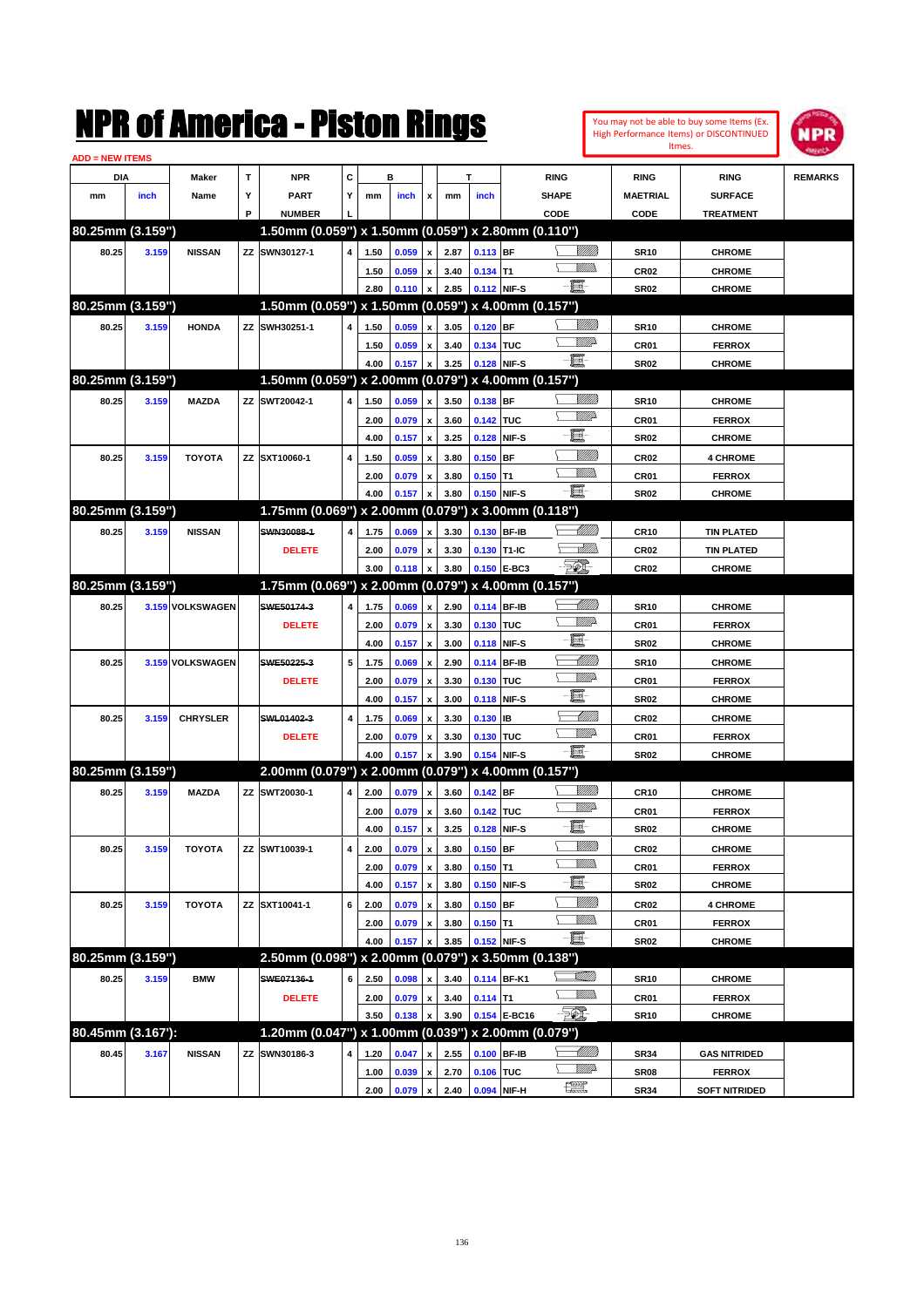|                        |       |                  |   | NMK OI AINCrica - Miston Kings                      |   |      |       |                    |                     |            |              |                                |                 |                  | You may not be able to buy some Items (Ex.<br><b>High Performance Items) or DISCONTINUED</b><br>Itmes. | NPR            |
|------------------------|-------|------------------|---|-----------------------------------------------------|---|------|-------|--------------------|---------------------|------------|--------------|--------------------------------|-----------------|------------------|--------------------------------------------------------------------------------------------------------|----------------|
| <b>ADD = NEW ITEMS</b> |       |                  |   |                                                     |   |      |       |                    |                     |            |              |                                |                 |                  |                                                                                                        |                |
| DIA                    |       | Maker            | T | <b>NPR</b>                                          | c |      | в     |                    |                     | T          |              | <b>RING</b>                    |                 | <b>RING</b>      | <b>RING</b>                                                                                            | <b>REMARKS</b> |
| mm                     | inch  | Name             | Υ | <b>PART</b>                                         | Y | mm   | inch  | x                  | mm                  | inch       |              | SHAPE                          |                 | <b>MAETRIAL</b>  | <b>SURFACE</b>                                                                                         |                |
|                        |       |                  | P | <b>NUMBER</b>                                       |   |      |       |                    |                     |            |              | CODE                           |                 | <b>CODE</b>      | <b>TREATMENT</b>                                                                                       |                |
| 80.25mm (3.159")       |       |                  |   | 1.50mm (0.059") x 1.50mm (0.059") x 2.80mm (0.110") |   |      |       |                    |                     |            |              |                                |                 |                  |                                                                                                        |                |
| 80.25                  | 3.159 | <b>NISSAN</b>    |   | ZZ SWN30127-1                                       | 4 | 1.50 | 0.059 | $\pmb{\mathsf{x}}$ | 2.87                | 0.113 BF   |              |                                | <u>Sillilli</u> | <b>SR10</b>      | <b>CHROME</b>                                                                                          |                |
|                        |       |                  |   |                                                     |   | 1.50 | 0.059 | $\pmb{\mathsf{x}}$ | 3.40                | $0.134$ T1 |              |                                | 7777).          | CR <sub>02</sub> | <b>CHROME</b>                                                                                          |                |
|                        |       |                  |   |                                                     |   | 2.80 | 0.110 | $\pmb{\mathsf{x}}$ | 2.85                |            | 0.112 NIF-S  | e.                             |                 | <b>SR02</b>      | <b>CHROME</b>                                                                                          |                |
| 80.25mm (3.159")       |       |                  |   | 1.50mm (0.059") x 1.50mm (0.059") x 4.00mm (0.157") |   |      |       |                    |                     |            |              |                                |                 |                  |                                                                                                        |                |
| 80.25                  | 3.159 | <b>HONDA</b>     |   | ZZ SWH30251-1                                       | 4 | 1.50 | 0.059 | $\mathbf{x}$       | 3.05                | $0.120$ BF |              |                                | <u>VIIII)</u>   | <b>SR10</b>      | <b>CHROME</b>                                                                                          |                |
|                        |       |                  |   |                                                     |   | 1.50 | 0.059 | $\pmb{\mathsf{x}}$ | 3.40                | 0.134 TUC  |              |                                | <u>MM</u> D     | CR01             | <b>FERROX</b>                                                                                          |                |
|                        |       |                  |   |                                                     |   | 4.00 | 0.157 | X                  | 3.25                |            | 0.128 NIF-S  | e.                             |                 | <b>SR02</b>      | <b>CHROME</b>                                                                                          |                |
| 80.25mm (3.159")       |       |                  |   | 1.50mm (0.059") x 2.00mm (0.079") x 4.00mm (0.157") |   |      |       |                    |                     |            |              |                                |                 |                  |                                                                                                        |                |
| 80.25                  | 3.159 | <b>MAZDA</b>     |   | ZZ SWT20042-1                                       | 4 | 1.50 | 0.059 | X                  | 3.50                | 0.138 BF   |              |                                | <u>VIIII)</u>   | <b>SR10</b>      | <b>CHROME</b>                                                                                          |                |
|                        |       |                  |   |                                                     |   | 2.00 | 0.079 | $\pmb{\mathsf{x}}$ | 3.60                | 0.142 TUC  |              |                                | <u>MM</u> D     | CR01             | <b>FERROX</b>                                                                                          |                |
|                        |       |                  |   |                                                     |   | 4.00 | 0.157 | $\mathbf{x}$       | 3.25                |            | 0.128 NIF-S  | E                              |                 | <b>SR02</b>      | <b>CHROME</b>                                                                                          |                |
| 80.25                  | 3.159 | <b>TOYOTA</b>    |   | ZZ SXT10060-1                                       | 4 | 1.50 | 0.059 | x                  | 3.80                | $0.150$ BF |              |                                | <u>Sillilli</u> | CR <sub>02</sub> | <b>4 CHROME</b>                                                                                        |                |
|                        |       |                  |   |                                                     |   | 2.00 | 0.079 | $\pmb{\mathsf{x}}$ | 3.80                | $0.150$ T1 |              |                                | .<br>VMD        | CR01             | <b>FERROX</b>                                                                                          |                |
|                        |       |                  |   |                                                     |   | 4.00 | 0.157 | X                  | 3.80                |            | 0.150 NIF-S  | e.                             |                 | <b>SR02</b>      | <b>CHROME</b>                                                                                          |                |
| 80.25mm (3.159")       |       |                  |   | 1.75mm (0.069") x 2.00mm (0.079") x 3.00mm (0.118") |   |      |       |                    |                     |            |              |                                |                 |                  |                                                                                                        |                |
| 80.25                  | 3.159 | <b>NISSAN</b>    |   | SWN30088-1                                          | 4 | 1.75 | 0.069 | $\mathbf{x}$       | 3.30                |            | 0.130 BF-IB  |                                | <u> Millitt</u> | <b>CR10</b>      | <b>TIN PLATED</b>                                                                                      |                |
|                        |       |                  |   | <b>DELETE</b>                                       |   | 2.00 | 0.079 | $\pmb{\mathsf{x}}$ | 3.30                |            | 0.130 T1-IC  |                                | <u>MM</u>       | CR <sub>02</sub> | <b>TIN PLATED</b>                                                                                      |                |
|                        |       |                  |   |                                                     |   | 3.00 | 0.118 | X                  | 3.80                |            | 0.150 E-BC3  | <b>Feb.</b>                    |                 | <b>CR02</b>      | <b>CHROME</b>                                                                                          |                |
| 80.25mm (3.159")       |       |                  |   | 1.75mm (0.069") x 2.00mm (0.079") x 4.00mm (0.157") |   |      |       |                    |                     |            |              |                                |                 |                  |                                                                                                        |                |
| 80.25                  |       | 3.159 VOLKSWAGEN |   | SWE50174-3                                          | 4 | 1.75 | 0.069 | $\mathbf{x}$       | 2.90                |            | 0.114 BF-IB  |                                | <u> UMB</u>     | <b>SR10</b>      | <b>CHROME</b>                                                                                          |                |
|                        |       |                  |   | <b>DELETE</b>                                       |   | 2.00 | 0.079 | $\pmb{\mathsf{x}}$ | 3.30                | 0.130 TUC  |              |                                | <u>VMD</u>      | CR01             | <b>FERROX</b>                                                                                          |                |
|                        |       |                  |   |                                                     |   | 4.00 | 0.157 | $\mathbf{x}$       | 3.00                |            | 0.118 NIF-S  | E                              |                 | <b>SR02</b>      | <b>CHROME</b>                                                                                          |                |
| 80.25                  |       | 3.159 VOLKSWAGEN |   | SWE50225-3                                          | 5 | 1.75 | 0.069 | X                  | 2.90                |            | 0.114 BF-IB  |                                | <u> UMM</u>     | <b>SR10</b>      | <b>CHROME</b>                                                                                          |                |
|                        |       |                  |   | <b>DELETE</b>                                       |   | 2.00 | 0.079 | X                  | 3.30                | 0.130      | TUC          |                                | <u>VIII</u> D   | CR01             | <b>FERROX</b>                                                                                          |                |
|                        |       |                  |   |                                                     |   | 4.00 | 0.157 | x                  | 3.00                |            | 0.118 NIF-S  | E                              |                 | <b>SR02</b>      | <b>CHROME</b>                                                                                          |                |
| 80.25                  | 3.159 | <b>CHRYSLER</b>  |   | SWL01402-3                                          | 4 | 1.75 | 0.069 | x                  | 3.30                | $0.130$ IB |              |                                | <u>UMM</u>      | CR <sub>02</sub> | <b>CHROME</b>                                                                                          |                |
|                        |       |                  |   | <b>DELETE</b>                                       |   | 2.00 | 0.079 | $\pmb{\mathsf{x}}$ | 3.30                | 0.130 TUC  |              |                                | <u>Willia</u>   | CR01             | <b>FERROX</b>                                                                                          |                |
|                        |       |                  |   |                                                     |   | 4.00 | 0.157 | x                  | 3.90                |            | 0.154 NIF-S  | $-\mathbf{H}$ -                |                 | <b>SR02</b>      | <b>CHROME</b>                                                                                          |                |
| 80.25mm (3.159")       |       |                  |   | 2.00mm (0.079") x 2.00mm (0.079") x 4.00mm (0.157") |   |      |       |                    |                     |            |              |                                |                 |                  |                                                                                                        |                |
| 80.25                  | 3.159 | <b>MAZDA</b>     |   | ZZ SWT20030-1                                       | 4 | 2.00 | 0.079 | $\pmb{\mathsf{x}}$ | 3.60                | $0.142$ BF |              |                                | <u>Sillilli</u> | <b>CR10</b>      | <b>CHROME</b>                                                                                          |                |
|                        |       |                  |   |                                                     |   | 2.00 | 0.079 | $\pmb{\mathsf{x}}$ | 3.60                | 0.142 TUC  |              |                                | <u>MMA</u>      | CR01             | <b>FERROX</b>                                                                                          |                |
|                        |       |                  |   |                                                     |   | 4.00 | 0.157 | $\pmb{\mathsf{x}}$ | 3.25                |            | 0.128 NIF-S  | E.                             |                 | SR02             | <b>CHROME</b>                                                                                          |                |
| 80.25                  | 3.159 | <b>TOYOTA</b>    |   | ZZ SWT10039-1                                       | 4 | 2.00 | 0.079 | $\pmb{\mathsf{x}}$ | 3.80                | $0.150$ BF |              |                                | <u>VIIII)</u>   | CR02             | <b>CHROME</b>                                                                                          |                |
|                        |       |                  |   |                                                     |   | 2.00 | 0.079 | $\pmb{\mathsf{x}}$ | 3.80                | $0.150$ T1 |              |                                | <u>Villida</u>  | CR01             | <b>FERROX</b>                                                                                          |                |
|                        |       |                  |   |                                                     |   | 4.00 | 0.157 | $\pmb{\mathsf{x}}$ | 3.80                |            | 0.150 NIF-S  | E                              |                 | SR02             | <b>CHROME</b>                                                                                          |                |
| 80.25                  | 3.159 | <b>TOYOTA</b>    |   | ZZ SXT10041-1                                       | 6 | 2.00 | 0.079 | $\pmb{\mathsf{x}}$ | 3.80                | $0.150$ BF |              |                                | <u>VIIII)</u>   | CR02             | <b>4 CHROME</b>                                                                                        |                |
|                        |       |                  |   |                                                     |   | 2.00 | 0.079 | $\pmb{\mathsf{x}}$ | 3.80                | $0.150$ T1 |              |                                | <u>Willib</u>   | CR01             | <b>FERROX</b>                                                                                          |                |
|                        |       |                  |   |                                                     |   | 4.00 | 0.157 | X                  | 3.85                |            | 0.152 NIF-S  | e.                             |                 | SR02             | <b>CHROME</b>                                                                                          |                |
| 80.25mm (3.159")       |       |                  |   | 2.50mm (0.098") x 2.00mm (0.079") x 3.50mm (0.138") |   |      |       |                    |                     |            |              |                                |                 |                  |                                                                                                        |                |
| 80.25                  | 3.159 | <b>BMW</b>       |   | SWE07136-1                                          | 6 | 2.50 | 0.098 | X                  | 3.40                |            | 0.114 BF-K1  | <u>VIII (I)</u>                |                 | <b>SR10</b>      | <b>CHROME</b>                                                                                          |                |
|                        |       |                  |   | <b>DELETE</b>                                       |   | 2.00 | 0.079 | $\pmb{\mathsf{x}}$ | 3.40                | $0.114$ T1 |              |                                | <u>Willib</u>   | CR01             | <b>FERROX</b>                                                                                          |                |
|                        |       |                  |   |                                                     |   | 3.50 | 0.138 | x                  | 3.90                |            | 0.154 E-BC16 | $-50$                          |                 | SR10             | <b>CHROME</b>                                                                                          |                |
| 80.45mm (3.167'):      |       |                  |   | 1.20mm (0.047") x 1.00mm (0.039") x 2.00mm (0.079") |   |      |       |                    |                     |            |              |                                |                 |                  |                                                                                                        |                |
| 80.45                  | 3.167 | <b>NISSAN</b>    |   | ZZ SWN30186-3                                       | 4 | 1.20 | 0.047 | X                  | 2.55                |            | 0.100 BF-IB  |                                | <u> Millito</u> | <b>SR34</b>      | <b>GAS NITRIDED</b>                                                                                    |                |
|                        |       |                  |   |                                                     |   | 1.00 | 0.039 | $\pmb{\mathsf{x}}$ | 2.70                | 0.106 TUC  |              |                                | <u>VM</u> A     | SR08             | <b>FERROX</b>                                                                                          |                |
|                        |       |                  |   |                                                     |   | 2.00 |       |                    | $0.079 \times 2.40$ |            | 0.094 NIF-H  | $f_{\text{max}}^{\text{comp}}$ |                 | <b>SR34</b>      | <b>SOFT NITRIDED</b>                                                                                   |                |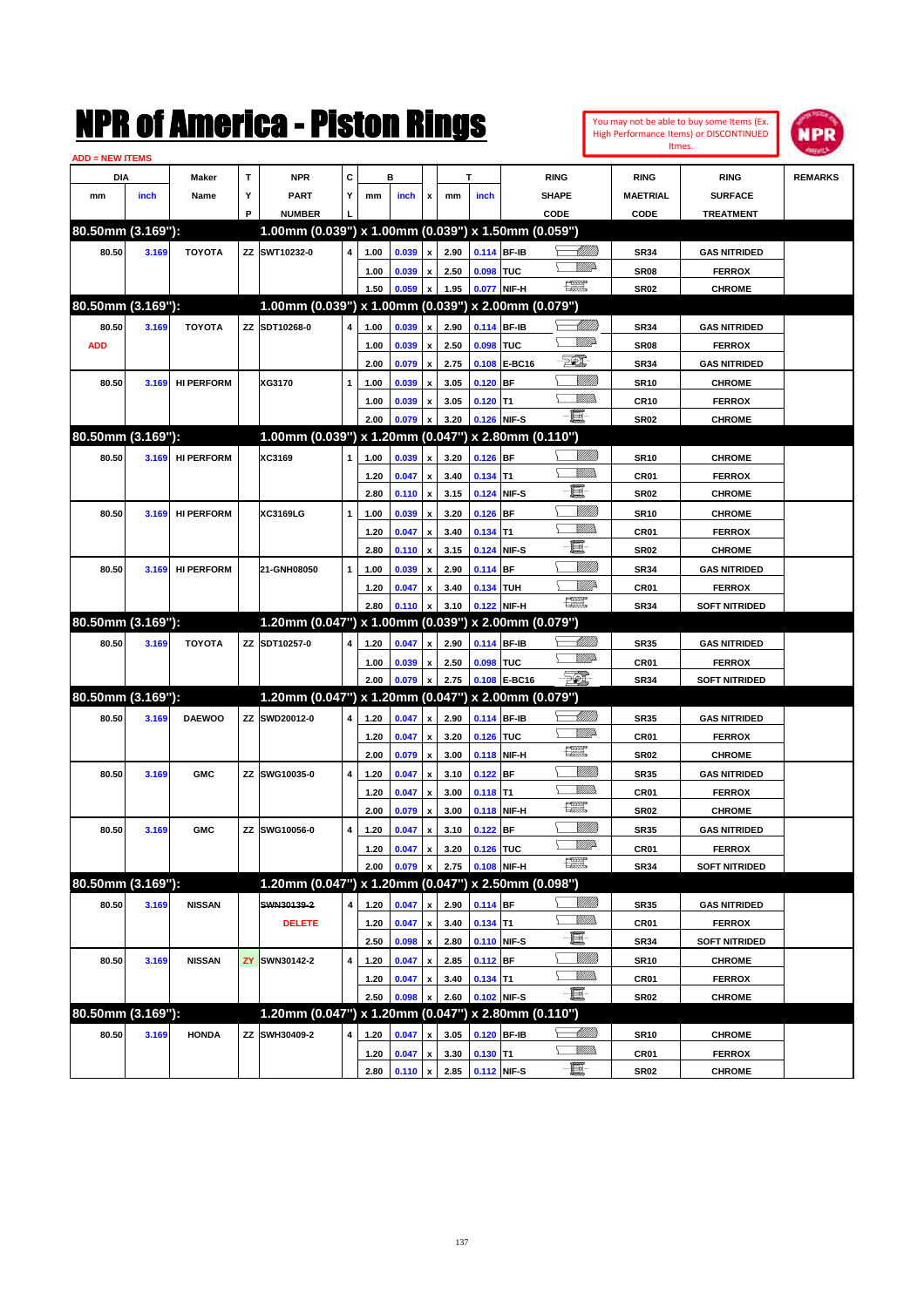|                        |       |                   |     | NMK OI AINCrica - Mislon Kings                      |   |      |                |                           |      |             |              |                               |                                  |                  | You may not be able to buy some Items (Ex.<br>High Performance Items) or DISCONTINUED<br>Itmes. | IPR            |
|------------------------|-------|-------------------|-----|-----------------------------------------------------|---|------|----------------|---------------------------|------|-------------|--------------|-------------------------------|----------------------------------|------------------|-------------------------------------------------------------------------------------------------|----------------|
| <b>ADD = NEW ITEMS</b> |       |                   |     |                                                     |   |      |                |                           |      |             |              |                               |                                  |                  |                                                                                                 |                |
| DIA                    |       | Maker             | T   | <b>NPR</b>                                          | C |      | в              |                           |      | T           |              | <b>RING</b>                   |                                  | <b>RING</b>      | <b>RING</b>                                                                                     | <b>REMARKS</b> |
| mm                     | inch  | Name              | Υ   | PART                                                | Y | mm   | inch           | x                         | mm   | inch        |              | <b>SHAPE</b>                  |                                  | <b>MAETRIAL</b>  | <b>SURFACE</b>                                                                                  |                |
|                        |       |                   | P   | <b>NUMBER</b>                                       |   |      |                |                           |      |             |              | CODE                          |                                  | <b>CODE</b>      | <b>TREATMENT</b>                                                                                |                |
| 80.50mm (3.169"):      |       |                   |     | 1.00mm (0.039") x 1.00mm (0.039") x 1.50mm (0.059") |   |      |                |                           |      |             |              |                               |                                  |                  |                                                                                                 |                |
| 80.50                  | 3.169 | <b>TOYOTA</b>     | ZZ  | SWT10232-0                                          | 4 | 1.00 | 0.039          | x                         | 2.90 |             | 0.114 BF-IB  |                               | <u>UM///</u>                     | <b>SR34</b>      | <b>GAS NITRIDED</b>                                                                             |                |
|                        |       |                   |     |                                                     |   | 1.00 | 0.039          | x                         | 2.50 | 0.098 TUC   |              |                               | <u>VMD</u>                       | SR <sub>08</sub> | <b>FERROX</b>                                                                                   |                |
|                        |       |                   |     |                                                     |   | 1.50 | 0.059          | x                         | 1.95 |             | 0.077 NIF-H  | $f_{\text{max}}^{\text{exp}}$ |                                  | <b>SR02</b>      | <b>CHROME</b>                                                                                   |                |
| 80.50mm (3.169"):      |       |                   |     | 1.00mm (0.039") x 1.00mm (0.039") x 2.00mm (0.079") |   |      |                |                           |      |             |              |                               |                                  |                  |                                                                                                 |                |
| 80.50                  | 3.169 | <b>TOYOTA</b>     |     | ZZ SDT10268-0                                       | 4 | 1.00 | 0.039          | x                         | 2.90 |             | 0.114 BF-IB  |                               | <u> MMW</u>                      | <b>SR34</b>      | <b>GAS NITRIDED</b>                                                                             |                |
| <b>ADD</b>             |       |                   |     |                                                     |   | 1.00 | 0.039          | x                         | 2.50 | 0.098       | <b>TUC</b>   |                               | <u>VMD</u>                       | <b>SR08</b>      | <b>FERROX</b>                                                                                   |                |
|                        |       |                   |     |                                                     |   | 2.00 | 0.079          | $\boldsymbol{\mathsf{x}}$ | 2.75 |             | 0.108 E-BC16 | E                             |                                  | <b>SR34</b>      | <b>GAS NITRIDED</b>                                                                             |                |
| 80.50                  | 3.169 | <b>HI PERFORM</b> |     | XG3170                                              | 1 | 1.00 | 0.039          | x                         | 3.05 | $0.120$ BF  |              |                               | <u>Milli</u>                     | <b>SR10</b>      | <b>CHROME</b>                                                                                   |                |
|                        |       |                   |     |                                                     |   | 1.00 | 0.039          | x                         | 3.05 | $0.120$ T1  |              |                               | .<br>VMD                         | <b>CR10</b>      | <b>FERROX</b>                                                                                   |                |
|                        |       |                   |     |                                                     |   | 2.00 | 0.079          | X                         | 3.20 | 0.126 NIF-S |              | -8                            |                                  | <b>SR02</b>      | <b>CHROME</b>                                                                                   |                |
| 80.50mm (3.169"):      |       |                   |     | 1.00mm (0.039") x 1.20mm (0.047") x 2.80mm (0.110") |   |      |                |                           |      |             |              |                               |                                  |                  |                                                                                                 |                |
| 80.50                  | 3.169 | <b>HI PERFORM</b> |     | XC3169                                              | 1 | 1.00 | 0.039          | $\boldsymbol{x}$          | 3.20 | $0.126$ BF  |              |                               | <u>Sillilli</u>                  | <b>SR10</b>      | <b>CHROME</b>                                                                                   |                |
|                        |       |                   |     |                                                     |   | 1.20 | 0.047          | x                         | 3.40 | $0.134$ T1  |              |                               | .<br>MM                          | CR <sub>01</sub> | <b>FERROX</b>                                                                                   |                |
|                        |       |                   |     |                                                     |   | 2.80 | 0.110          | $\boldsymbol{\mathsf{x}}$ | 3.15 |             | 0.124 NIF-S  | E                             |                                  | <b>SR02</b>      | <b>CHROME</b>                                                                                   |                |
| 80.50                  | 3.169 | <b>HI PERFORM</b> |     | XC3169LG                                            | 1 | 1.00 | 0.039          | x                         | 3.20 | $0.126$ BF  |              |                               | <u>Millil</u>                    | <b>SR10</b>      | <b>CHROME</b>                                                                                   |                |
|                        |       |                   |     |                                                     |   | 1.20 | 0.047          | x                         | 3.40 | $0.134$ T1  |              |                               | VMM)                             | CR <sub>01</sub> | <b>FERROX</b>                                                                                   |                |
|                        |       |                   |     |                                                     |   | 2.80 | 0.110          | $\boldsymbol{\mathsf{x}}$ | 3.15 |             | 0.124 NIF-S  | E                             |                                  | <b>SR02</b>      | <b>CHROME</b>                                                                                   |                |
| 80.50                  | 3.169 | <b>HI PERFORM</b> |     | 21-GNH08050                                         | 1 | 1.00 | 0.039          | x                         | 2.90 | 0.114 BF    |              |                               | <u>VMM</u>                       | <b>SR34</b>      | <b>GAS NITRIDED</b>                                                                             |                |
|                        |       |                   |     |                                                     |   | 1.20 | 0.047          | x                         | 3.40 | 0.134 TUH   |              |                               | ₩₩                               | CR <sub>01</sub> | <b>FERROX</b>                                                                                   |                |
|                        |       |                   |     |                                                     |   | 2.80 | 0.110          | x                         | 3.10 |             | 0.122 NIF-H  | 漂                             |                                  | <b>SR34</b>      | <b>SOFT NITRIDED</b>                                                                            |                |
| 80.50mm (3.169"):      |       |                   |     | 1.20mm (0.047") x 1.00mm (0.039") x 2.00mm (0.079") |   |      |                |                           |      |             |              |                               |                                  |                  |                                                                                                 |                |
| 80.50                  | 3.169 | <b>TOYOTA</b>     | ZZ  | SDT10257-0                                          | 4 | 1.20 | 0.047          | x                         | 2.90 |             | 0.114 BF-IB  |                               | <u> UMM</u>                      | <b>SR35</b>      | <b>GAS NITRIDED</b>                                                                             |                |
|                        |       |                   |     |                                                     |   | 1.00 | 0.039          | x                         | 2.50 | 0.098 TUC   |              |                               | <u>MM</u> D                      | CR <sub>01</sub> | <b>FERROX</b>                                                                                   |                |
|                        |       |                   |     |                                                     |   | 2.00 | 0.079          | x                         | 2.75 |             | 0.108 E-BC16 | FOI.                          |                                  | <b>SR34</b>      | <b>SOFT NITRIDED</b>                                                                            |                |
| 80.50mm (3.169"):      |       |                   |     | 1.20mm (0.047") x 1.20mm (0.047") x 2.00mm (0.079") |   |      |                |                           |      |             |              |                               |                                  |                  |                                                                                                 |                |
|                        |       |                   | ZZ  | SWD20012-0                                          | 4 |      |                |                           |      |             | 0.114 BF-IB  |                               | <u> UMM</u>                      |                  |                                                                                                 |                |
| 80.50                  | 3.169 | <b>DAEWOO</b>     |     |                                                     |   | 1.20 | 0.047          | $\mathbf{x}$              | 2.90 |             |              |                               | <u>MMD</u>                       | <b>SR35</b>      | <b>GAS NITRIDED</b>                                                                             |                |
|                        |       |                   |     |                                                     |   | 1.20 | 0.047          | x                         | 3.20 | 0.126 TUC   |              | 鱱                             |                                  | CR <sub>01</sub> | <b>FERROX</b>                                                                                   |                |
|                        |       |                   |     |                                                     |   | 2.00 | 0.079          | $\boldsymbol{\mathsf{x}}$ | 3.00 |             | 0.118 NIF-H  |                               | <u>Villilli</u>                  | <b>SR02</b>      | <b>CHROME</b>                                                                                   |                |
| 80.50                  | 3.169 | <b>GMC</b>        | ZZ  | SWG10035-0                                          | 4 | 1.20 | 0.047          | x                         | 3.10 | $0.122$ BF  |              |                               | <br>Militar                      | <b>SR35</b>      | <b>GAS NITRIDED</b>                                                                             |                |
|                        |       |                   |     |                                                     |   | 1.20 | 0.047          | x                         | 3.00 | $0.118$ T1  |              | œ                             |                                  | CR <sub>01</sub> | <b>FERROX</b>                                                                                   |                |
|                        |       |                   |     |                                                     |   | 2.00 | 0.079          | $\boldsymbol{\mathsf{x}}$ | 3.00 | 0.118 NIF-H |              |                               |                                  | <b>SR02</b>      | <b>CHROME</b>                                                                                   |                |
| 80.50                  | 3.169 | <b>GMC</b>        | ΖZ  | SWG10056-0                                          | 4 | 1.20 | 0.047          | $\pmb{\mathsf{x}}$        | 3.10 | $0.122$ BF  |              |                               | <u>Sillilli</u><br><u>Willia</u> | <b>SR35</b>      | <b>GAS NITRIDED</b>                                                                             |                |
|                        |       |                   |     |                                                     |   | 1.20 | 0.047          | $\pmb{\mathsf{x}}$        | 3.20 | 0.126 TUC   |              | $\frac{1}{2}$                 |                                  | CR01             | <b>FERROX</b>                                                                                   |                |
|                        |       |                   |     |                                                     |   | 2.00 | 0.079          | $\boldsymbol{\mathsf{x}}$ | 2.75 |             | 0.108 NIF-H  |                               |                                  | <b>SR34</b>      | <b>SOFT NITRIDED</b>                                                                            |                |
| 80.50mm (3.169"):      |       |                   |     | 1.20mm (0.047") x 1.20mm (0.047") x 2.50mm (0.098") |   |      |                |                           |      |             |              |                               |                                  |                  |                                                                                                 |                |
| 80.50                  | 3.169 | <b>NISSAN</b>     |     | SWN30139-2                                          | 4 | 1.20 | 0.047          | X                         | 2.90 | $0.114$ BF  |              |                               | <u>VIII)</u>                     | <b>SR35</b>      | <b>GAS NITRIDED</b>                                                                             |                |
|                        |       |                   |     | <b>DELETE</b>                                       |   | 1.20 | 0.047          | $\pmb{\mathsf{x}}$        | 3.40 | $0.134$ T1  |              |                               | <u>Willi</u> b                   | CR01             | <b>FERROX</b>                                                                                   |                |
|                        |       |                   |     |                                                     |   | 2.50 | 0.098          | $\pmb{\mathsf{x}}$        | 2.80 |             | 0.110 NIF-S  | e.                            |                                  | <b>SR34</b>      | <b>SOFT NITRIDED</b>                                                                            |                |
| 80.50                  | 3.169 | <b>NISSAN</b>     | ZY. | SWN30142-2                                          | 4 | 1.20 | 0.047          | $\pmb{\mathsf{x}}$        | 2.85 | $0.112$ BF  |              |                               | <u>VMM</u>                       | <b>SR10</b>      | <b>CHROME</b>                                                                                   |                |
|                        |       |                   |     |                                                     |   | 1.20 | 0.047          | $\pmb{\mathsf{x}}$        | 3.40 | $0.134$ T1  |              |                               | <u>Willib</u>                    | CR01             | <b>FERROX</b>                                                                                   |                |
|                        |       |                   |     |                                                     |   | 2.50 | 0.098          | X                         | 2.60 |             | 0.102 NIF-S  | $-\Xi$                        |                                  | <b>SR02</b>      | <b>CHROME</b>                                                                                   |                |
| 80.50mm (3.169"):      |       |                   |     | 1.20mm (0.047") x 1.20mm (0.047") x 2.80mm (0.110") |   |      |                |                           |      |             |              |                               |                                  |                  |                                                                                                 |                |
| 80.50                  | 3.169 | <b>HONDA</b>      | ZZ  | SWH30409-2                                          | 4 | 1.20 | 0.047          | X                         | 3.05 |             | 0.120 BF-IB  |                               | <u>-Millito</u>                  | <b>SR10</b>      | <b>CHROME</b>                                                                                   |                |
|                        |       |                   |     |                                                     |   | 1.20 | 0.047          | x                         | 3.30 | $0.130$ T1  |              |                               | <u>Willib</u>                    | CR01             | <b>FERROX</b>                                                                                   |                |
|                        |       |                   |     |                                                     |   | 2.80 | $0.110 \times$ |                           | 2.85 | 0.112 NIF-S |              | $-\Xi$                        |                                  | <b>SR02</b>      | <b>CHROME</b>                                                                                   |                |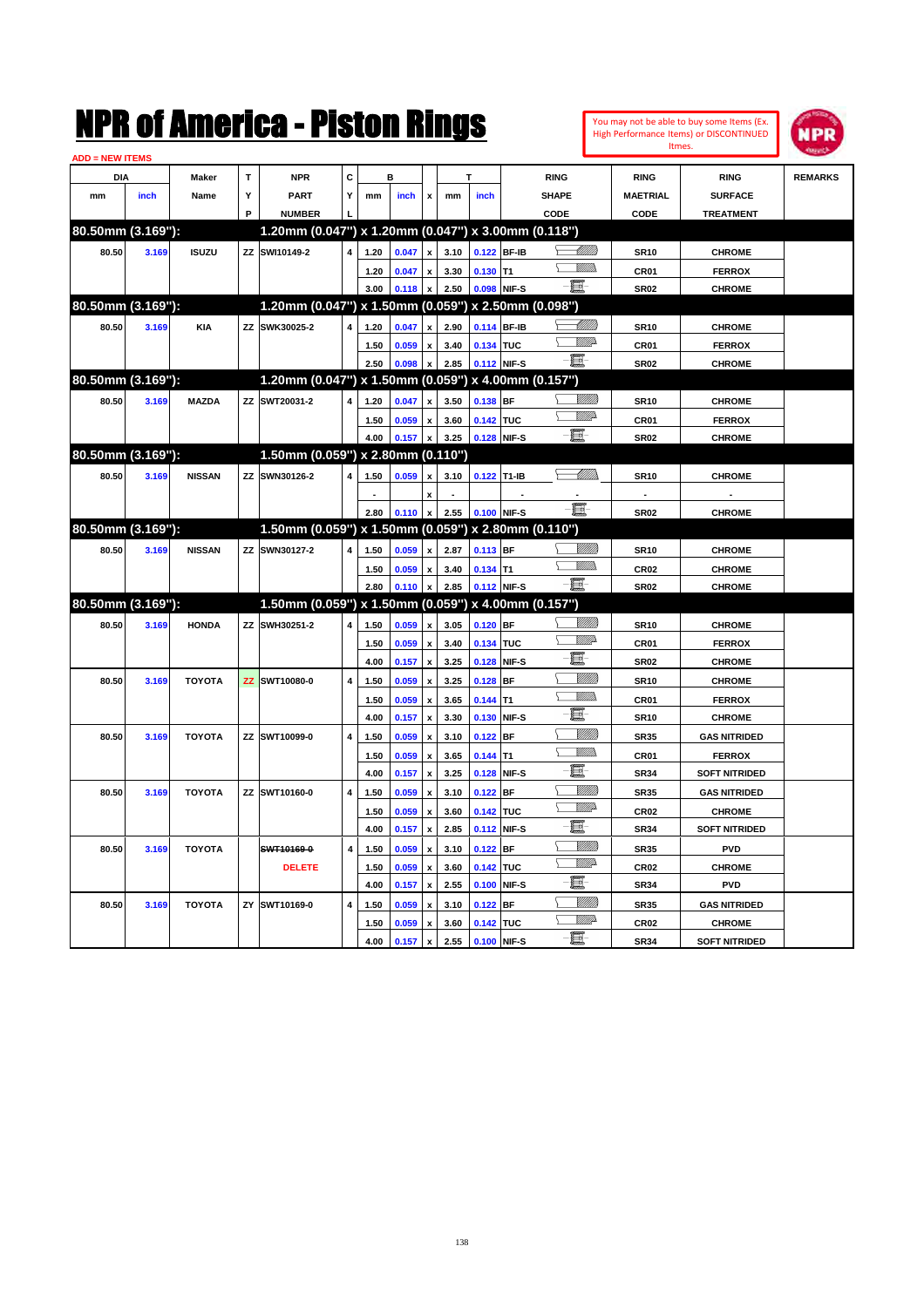|                        |       |               |             | NMK OI AMCMICA - MISTON KINGS                       |   |      |         |                           |      |             |             |                 | Itmes.                   | You may not be able to buy some Items (Ex.<br>High Performance Items) or DISCONTINUED | NPR            |
|------------------------|-------|---------------|-------------|-----------------------------------------------------|---|------|---------|---------------------------|------|-------------|-------------|-----------------|--------------------------|---------------------------------------------------------------------------------------|----------------|
| <b>ADD = NEW ITEMS</b> |       |               |             |                                                     |   |      |         |                           |      |             |             |                 |                          |                                                                                       |                |
| DIA                    |       | Maker         | $\mathbf T$ | <b>NPR</b>                                          | C |      | в       |                           |      | т           | <b>RING</b> |                 | <b>RING</b>              | <b>RING</b>                                                                           | <b>REMARKS</b> |
| mm                     | inch  | Name          | Υ           | <b>PART</b>                                         | Y | mm   | inch    | x                         | mm   | inch        | SHAPE       |                 | <b>MAETRIAL</b>          | <b>SURFACE</b>                                                                        |                |
|                        |       |               | P           | <b>NUMBER</b>                                       |   |      |         |                           |      |             | CODE        |                 | CODE                     | <b>TREATMENT</b>                                                                      |                |
| 80.50mm (3.169"):      |       |               |             | 1.20mm (0.047") x 1.20mm (0.047") x 3.00mm (0.118") |   |      |         |                           |      |             |             |                 |                          |                                                                                       |                |
| 80.50                  | 3.169 | <b>ISUZU</b>  |             | ZZ SWI10149-2                                       | 4 | 1.20 | 0.047   | $\pmb{\mathsf{x}}$        | 3.10 | 0.122 BF-IB |             | <u> UMM</u>     | <b>SR10</b>              | <b>CHROME</b>                                                                         |                |
|                        |       |               |             |                                                     |   | 1.20 | 0.047   | $\pmb{\mathsf{x}}$        | 3.30 | $0.130$ T1  |             | .<br>VMD        | CR01                     | <b>FERROX</b>                                                                         |                |
|                        |       |               |             |                                                     |   | 3.00 | 0.118   | $\pmb{\mathsf{x}}$        | 2.50 | 0.098 NIF-S | E.          |                 | <b>SR02</b>              | <b>CHROME</b>                                                                         |                |
| 80.50mm (3.169"):      |       |               |             | 1.20mm (0.047") x 1.50mm (0.059") x 2.50mm (0.098") |   |      |         |                           |      |             |             |                 |                          |                                                                                       |                |
| 80.50                  | 3.169 | <b>KIA</b>    |             | ZZ SWK30025-2                                       | 4 | 1.20 | 0.047   | $\pmb{\mathsf{x}}$        | 2.90 | 0.114 BF-IB |             | <u> UMU</u>     | <b>SR10</b>              | <b>CHROME</b>                                                                         |                |
|                        |       |               |             |                                                     |   | 1.50 | 0.059   | $\pmb{\mathsf{x}}$        | 3.40 | 0.134 TUC   |             | <u>MM</u> D     | CR01                     | <b>FERROX</b>                                                                         |                |
|                        |       |               |             |                                                     |   | 2.50 | 0.098   | $\boldsymbol{\mathsf{x}}$ | 2.85 | 0.112 NIF-S | E.          |                 | <b>SR02</b>              | <b>CHROME</b>                                                                         |                |
| 80.50mm (3.169"):      |       |               |             | 1.20mm (0.047") x 1.50mm (0.059") x 4.00mm (0.157") |   |      |         |                           |      |             |             |                 |                          |                                                                                       |                |
| 80.50                  | 3.169 | <b>MAZDA</b>  |             | ZZ SWT20031-2                                       | 4 | 1.20 | 0.047   | $\pmb{\mathsf{x}}$        | 3.50 | $0.138$ BF  |             | <u>Millitt</u>  | <b>SR10</b>              | <b>CHROME</b>                                                                         |                |
|                        |       |               |             |                                                     |   | 1.50 | 0.059   | $\pmb{\mathsf{x}}$        | 3.60 | 0.142 TUC   |             | <u>UMB</u>      | CR01                     | <b>FERROX</b>                                                                         |                |
|                        |       |               |             |                                                     |   | 4.00 | 0.157   | $\pmb{\mathsf{x}}$        | 3.25 | 0.128 NIF-S | E.          |                 | <b>SR02</b>              | <b>CHROME</b>                                                                         |                |
| 80.50mm (3.169"):      |       |               |             | 1.50mm (0.059") x 2.80mm (0.110")                   |   |      |         |                           |      |             |             |                 |                          |                                                                                       |                |
| 80.50                  | 3.169 | <b>NISSAN</b> |             | ZZ SWN30126-2                                       | 4 | 1.50 | 0.059   | $\pmb{\mathsf{x}}$        | 3.10 | 0.122 T1-IB |             | <u> MM/h</u>    | <b>SR10</b>              | <b>CHROME</b>                                                                         |                |
|                        |       |               |             |                                                     |   |      |         | $\pmb{\mathsf{x}}$        |      |             |             |                 | $\overline{\phantom{a}}$ |                                                                                       |                |
|                        |       |               |             |                                                     |   | 2.80 | 0.110   | $\pmb{\mathsf{x}}$        | 2.55 | 0.100 NIF-S | E-          |                 | <b>SR02</b>              | <b>CHROME</b>                                                                         |                |
| 80.50mm (3.169"):      |       |               |             | 1.50mm (0.059") x 1.50mm (0.059") x 2.80mm (0.110") |   |      |         |                           |      |             |             |                 |                          |                                                                                       |                |
| 80.50                  | 3.169 | <b>NISSAN</b> |             | ZZ SWN30127-2                                       | 4 | 1.50 | 0.059   | $\pmb{\mathsf{x}}$        | 2.87 | 0.113 BF    |             | <u>VIIII</u> )  | <b>SR10</b>              | <b>CHROME</b>                                                                         |                |
|                        |       |               |             |                                                     |   | 1.50 | 0.059   | $\pmb{\mathsf{x}}$        | 3.40 | $0.134$ T1  |             | .<br>VMD        | CR <sub>02</sub>         | <b>CHROME</b>                                                                         |                |
|                        |       |               |             |                                                     |   | 2.80 | 0.110   | $\pmb{\mathsf{x}}$        | 2.85 | 0.112 NIF-S | e e         |                 | <b>SR02</b>              | <b>CHROME</b>                                                                         |                |
| 80.50mm (3.169"):      |       |               |             | 1.50mm (0.059") x 1.50mm (0.059") x 4.00mm (0.157") |   |      |         |                           |      |             |             |                 |                          |                                                                                       |                |
| 80.50                  | 3.169 | <b>HONDA</b>  |             | ZZ SWH30251-2                                       | 4 | 1.50 | 0.059   | $\pmb{\mathsf{x}}$        | 3.05 | $0.120$ BF  |             | <u>Millitti</u> | <b>SR10</b>              | <b>CHROME</b>                                                                         |                |
|                        |       |               |             |                                                     |   | 1.50 | 0.059   | $\pmb{\mathsf{x}}$        | 3.40 | 0.134 TUC   |             | <u>MM</u> D     | CR01                     | <b>FERROX</b>                                                                         |                |
|                        |       |               |             |                                                     |   | 4.00 | 0.157   | $\boldsymbol{\mathsf{x}}$ | 3.25 | 0.128 NIF-S | E           |                 | <b>SR02</b>              | <b>CHROME</b>                                                                         |                |
| 80.50                  | 3.169 | <b>TOYOTA</b> |             | ZZ SWT10080-0                                       | 4 | 1.50 | 0.059   | $\pmb{\mathsf{x}}$        | 3.25 | $0.128$ BF  |             | <u>Millil</u>   | <b>SR10</b>              | <b>CHROME</b>                                                                         |                |
|                        |       |               |             |                                                     |   | 1.50 | 0.059   | $\pmb{\mathsf{x}}$        | 3.65 | $0.144$ T1  |             | .<br>VMD        | CR01                     | <b>FERROX</b>                                                                         |                |
|                        |       |               |             |                                                     |   | 4.00 | 0.157   | $\pmb{\mathsf{x}}$        | 3.30 | 0.130 NIF-S | E.          |                 | <b>SR10</b>              | <b>CHROME</b>                                                                         |                |
| 80.50                  | 3.169 | <b>TOYOTA</b> |             | ZZ SWT10099-0                                       | 4 | 1.50 | 0.059   | $\pmb{\mathsf{x}}$        | 3.10 | $0.122$ BF  |             | <u>MMM</u>      | <b>SR35</b>              | <b>GAS NITRIDED</b>                                                                   |                |
|                        |       |               |             |                                                     |   | 1.50 | 0.059   | $\pmb{\mathsf{x}}$        | 3.65 | $0.144$ T1  |             | MM)             | CR01                     | <b>FERROX</b>                                                                         |                |
|                        |       |               |             |                                                     |   | 4.00 | 0.157   | $\pmb{\mathsf{x}}$        | 3.25 | 0.128 NIF-S | E.          |                 | <b>SR34</b>              | <b>SOFT NITRIDED</b>                                                                  |                |
| 80.50                  | 3.169 | <b>TOYOTA</b> |             | ZZ SWT10160-0                                       | 4 | 1.50 | 0.059   | $\pmb{\mathsf{x}}$        | 3.10 | 0.122 BF    |             | <u>MMM</u>      | <b>SR35</b>              | <b>GAS NITRIDED</b>                                                                   |                |
|                        |       |               |             |                                                     |   | 1.50 | 0.059   | $\pmb{\mathsf{x}}$        | 3.60 | 0.142 TUC   |             | <u>UMB</u>      | <b>CR02</b>              | <b>CHROME</b>                                                                         |                |
|                        |       |               |             |                                                     |   | 4.00 | 0.157 x |                           | 2.85 | 0.112 NIF-S | e.          |                 | <b>SR34</b>              | <b>SOFT NITRIDED</b>                                                                  |                |
| 80.50                  | 3.169 | <b>TOYOTA</b> |             | SWT10169-0                                          | 4 | 1.50 | 0.059   | $\pmb{\mathsf{x}}$        | 3.10 | $0.122$ BF  |             | <u>VIIII</u> )  | SR35                     | PVD                                                                                   |                |
|                        |       |               |             | <b>DELETE</b>                                       |   | 1.50 | 0.059   | $\pmb{\mathsf{x}}$        | 3.60 | 0.142 TUC   |             | <u>VMP</u>      | CR02                     | <b>CHROME</b>                                                                         |                |
|                        |       |               |             |                                                     |   | 4.00 | 0.157   | $\pmb{\mathsf{x}}$        | 2.55 | 0.100 NIF-S | e-          |                 | <b>SR34</b>              | <b>PVD</b>                                                                            |                |
| 80.50                  | 3.169 | <b>TOYOTA</b> |             | ZY SWT10169-0                                       | 4 | 1.50 | 0.059   | $\pmb{\mathsf{x}}$        | 3.10 | $0.122$ BF  |             | <u>UMB</u>      | SR35                     | <b>GAS NITRIDED</b>                                                                   |                |
|                        |       |               |             |                                                     |   | 1.50 | 0.059   | $\pmb{\mathsf{x}}$        | 3.60 | 0.142 TUC   |             | <u>VMP</u>      | CR02                     | <b>CHROME</b>                                                                         |                |
|                        |       |               |             |                                                     |   | 4.00 | 0.157   | $\mathbf{x}$              | 2.55 | 0.100 NIF-S | e.          |                 | <b>SR34</b>              | <b>SOFT NITRIDED</b>                                                                  |                |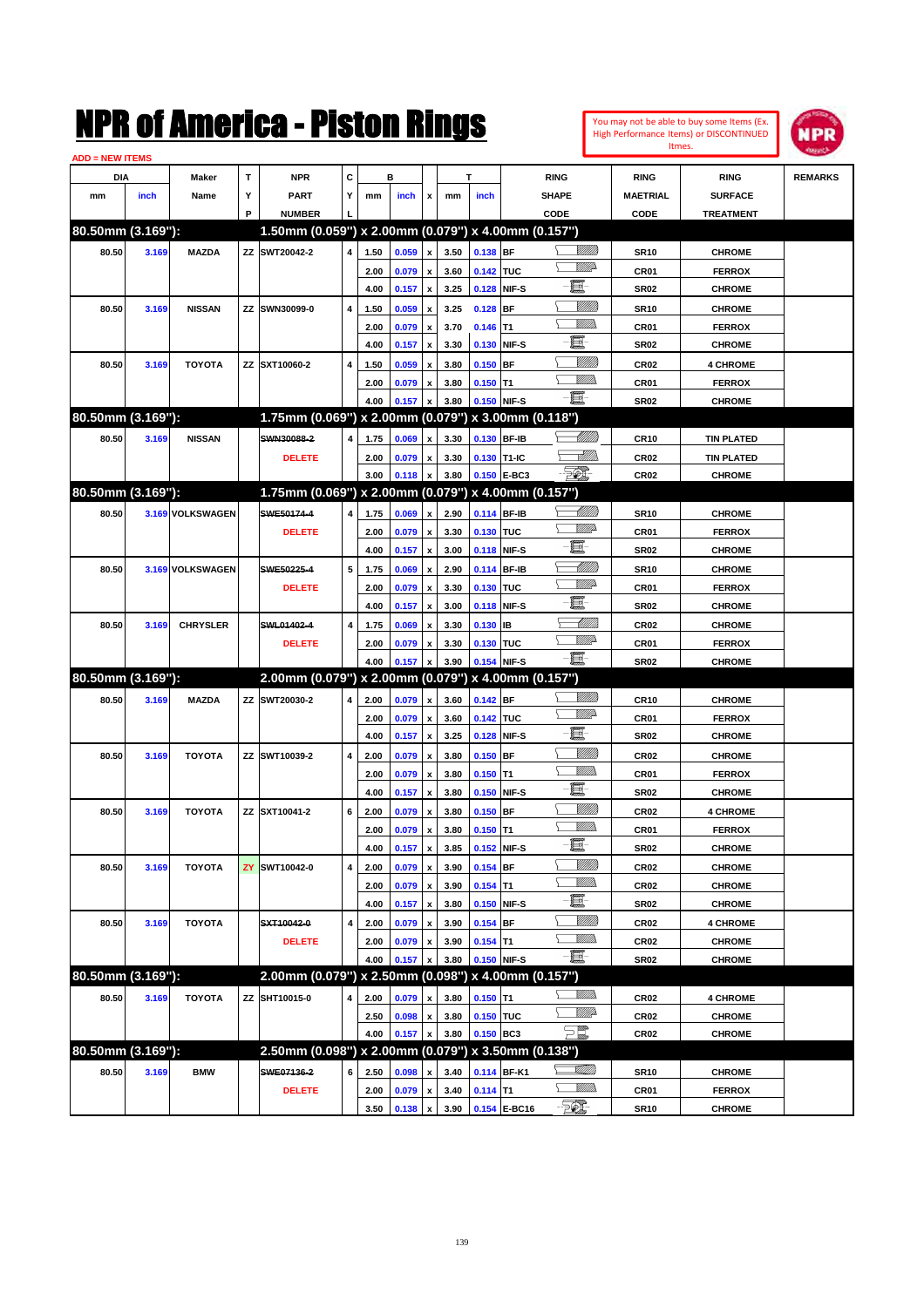| You may not be able to buy some Items (Ex. |
|--------------------------------------------|
| High Performance Items) or DISCONTINUED    |
| Itmes.                                     |



| <b>ADD = NEW ITEMS</b> |       |                  |    |                                                     |   |      |       |                           |      |             |              |                       |                  |                   |                |
|------------------------|-------|------------------|----|-----------------------------------------------------|---|------|-------|---------------------------|------|-------------|--------------|-----------------------|------------------|-------------------|----------------|
| <b>DIA</b>             |       | Maker            | T  | <b>NPR</b>                                          | С |      | в     |                           |      | T           |              | <b>RING</b>           | <b>RING</b>      | <b>RING</b>       | <b>REMARKS</b> |
| mm                     | inch  | Name             | Υ  | <b>PART</b>                                         | Y | mm   | inch  | x                         | mm   | inch        |              | <b>SHAPE</b>          | <b>MAETRIAL</b>  | <b>SURFACE</b>    |                |
|                        |       |                  | P  | <b>NUMBER</b>                                       |   |      |       |                           |      |             |              | CODE                  | CODE             | <b>TREATMENT</b>  |                |
| 80.50mm (3.169"):      |       |                  |    | 1.50mm (0.059") x 2.00mm (0.079") x 4.00mm (0.157") |   |      |       |                           |      |             |              |                       |                  |                   |                |
| 80.50                  | 3.169 | <b>MAZDA</b>     |    | ZZ SWT20042-2                                       | 4 | 1.50 | 0.059 | $\pmb{\mathsf{x}}$        | 3.50 | 0.138 BF    |              |                       | <b>SR10</b>      | <b>CHROME</b>     |                |
|                        |       |                  |    |                                                     |   | 2.00 | 0.079 | $\pmb{\mathsf{x}}$        | 3.60 | 0.142 TUC   |              | <u>WW</u> A           | CR01             | <b>FERROX</b>     |                |
|                        |       |                  |    |                                                     |   | 4.00 | 0.157 | $\pmb{\mathsf{x}}$        | 3.25 | 0.128       | NIF-S        | e                     | <b>SR02</b>      | <b>CHROME</b>     |                |
| 80.50                  | 3.169 | <b>NISSAN</b>    | ZZ | SWN30099-0                                          | 4 | 1.50 | 0.059 | $\boldsymbol{\mathsf{x}}$ | 3.25 | 0.128       | <b>BF</b>    |                       | <b>SR10</b>      | <b>CHROME</b>     |                |
|                        |       |                  |    |                                                     |   | 2.00 | 0.079 | $\boldsymbol{\mathsf{x}}$ | 3.70 | 0.146       | T1           |                       | CR01             | <b>FERROX</b>     |                |
|                        |       |                  |    |                                                     |   | 4.00 | 0.157 | $\pmb{\mathsf{x}}$        | 3.30 | 0.130       | NIF-S        | E                     | <b>SR02</b>      | <b>CHROME</b>     |                |
| 80.50                  | 3.169 | <b>TOYOTA</b>    |    | ZZ SXT10060-2                                       | 4 | 1.50 | 0.059 | $\boldsymbol{\mathsf{x}}$ | 3.80 | 0.150 BF    |              |                       | <b>CR02</b>      | <b>4 CHROME</b>   |                |
|                        |       |                  |    |                                                     |   | 2.00 | 0.079 | x                         | 3.80 | $0.150$ T1  |              |                       | CR01             | <b>FERROX</b>     |                |
|                        |       |                  |    |                                                     |   | 4.00 | 0.157 | $\pmb{\mathsf{x}}$        | 3.80 | 0.150 NIF-S |              | -日                    | <b>SR02</b>      | <b>CHROME</b>     |                |
| 80.50mm (3.169"):      |       |                  |    | 1.75mm (0.069") x 2.00mm (0.079") x 3.00mm (0.118") |   |      |       |                           |      |             |              |                       |                  |                   |                |
| 80.50                  | 3.169 | <b>NISSAN</b>    |    | SWN30088-2                                          | 4 | 1.75 | 0.069 | $\pmb{\mathsf{x}}$        | 3.30 | 0.130 BF-IB |              | <u>UMB</u>            | <b>CR10</b>      | <b>TIN PLATED</b> |                |
|                        |       |                  |    | <b>DELETE</b>                                       |   | 2.00 | 0.079 | x                         | 3.30 | 0.130 T1-IC |              | <u>Alliti</u>         | <b>CR02</b>      | <b>TIN PLATED</b> |                |
|                        |       |                  |    |                                                     |   | 3.00 | 0.118 | $\pmb{\mathsf{x}}$        | 3.80 |             | 0.150 E-BC3  | - TQ.                 | CR <sub>02</sub> | <b>CHROME</b>     |                |
| 80.50mm (3.169"):      |       |                  |    | 1.75mm (0.069") x 2.00mm (0.079") x 4.00mm (0.157") |   |      |       |                           |      |             |              |                       |                  |                   |                |
| 80.50                  |       | 3.169 VOLKSWAGEN |    | SWE50174-4                                          | 4 | 1.75 | 0.069 | $\pmb{\mathsf{x}}$        | 2.90 | 0.114 BF-IB |              | <u> IMM</u> )         | <b>SR10</b>      | <b>CHROME</b>     |                |
|                        |       |                  |    | <b>DELETE</b>                                       |   | 2.00 | 0.079 | $\pmb{\mathsf{x}}$        | 3.30 | 0.130 TUC   |              | <u>WW</u> A           | CR01             | <b>FERROX</b>     |                |
|                        |       |                  |    |                                                     |   | 4.00 | 0.157 | $\pmb{\mathsf{x}}$        | 3.00 | 0.118       | NIF-S        | E                     | <b>SR02</b>      | <b>CHROME</b>     |                |
| 80.50                  |       | 3.169 VOLKSWAGEN |    | SWE50225-4                                          | 5 | 1.75 | 0.069 | x                         | 2.90 | 0.114       | <b>BF-IB</b> | <u>UMB</u>            | <b>SR10</b>      | <b>CHROME</b>     |                |
|                        |       |                  |    | <b>DELETE</b>                                       |   | 2.00 | 0.079 | x                         | 3.30 | 0.130 TUC   |              | <u>WW</u> A           | CR01             | <b>FERROX</b>     |                |
|                        |       |                  |    |                                                     |   | 4.00 | 0.157 | $\pmb{\mathsf{x}}$        | 3.00 | 0.118       | NIF-S        | E                     | <b>SR02</b>      | <b>CHROME</b>     |                |
| 80.50                  | 3.169 | <b>CHRYSLER</b>  |    | SWL01402-4                                          | 4 | 1.75 | 0.069 | $\boldsymbol{\mathsf{x}}$ | 3.30 | 0.130       | IВ           | :Willi                | <b>CR02</b>      | <b>CHROME</b>     |                |
|                        |       |                  |    | <b>DELETE</b>                                       |   | 2.00 | 0.079 | x                         | 3.30 | 0.130 TUC   |              | <u>WW</u> A           | CR01             | <b>FERROX</b>     |                |
|                        |       |                  |    |                                                     |   | 4.00 | 0.157 | $\mathbf{x}$              | 3.90 | 0.154       | NIF-S        | -8                    | <b>SR02</b>      | <b>CHROME</b>     |                |
| 80.50mm (3.169"):      |       |                  |    | 2.00mm (0.079") x 2.00mm (0.079") x 4.00mm (0.157") |   |      |       |                           |      |             |              |                       |                  |                   |                |
| 80.50                  | 3.169 | <b>MAZDA</b>     |    | ZZ SWT20030-2                                       | 4 | 2.00 | 0.079 | $\pmb{\mathsf{x}}$        | 3.60 | $0.142$ BF  |              | <u>Sillilli</u>       | <b>CR10</b>      | <b>CHROME</b>     |                |
|                        |       |                  |    |                                                     |   | 2.00 | 0.079 | x                         | 3.60 | 0.142 TUC   |              | <u>WW</u> A           | CR01             | <b>FERROX</b>     |                |
|                        |       |                  |    |                                                     |   | 4.00 | 0.157 | $\pmb{\mathsf{x}}$        | 3.25 | 0.128       | NIF-S        | e                     | <b>SR02</b>      | <b>CHROME</b>     |                |
| 80.50                  | 3.169 | <b>TOYOTA</b>    |    | ZZ SWT10039-2                                       | 4 | 2.00 | 0.079 | x                         | 3.80 | 0.150       | <b>BF</b>    | <u>VIIII)</u>         | <b>CR02</b>      | <b>CHROME</b>     |                |
|                        |       |                  |    |                                                     |   | 2.00 | 0.079 | x                         | 3.80 | $0.150$ T1  |              | VM))                  | CR01             | <b>FERROX</b>     |                |
|                        |       |                  |    |                                                     |   | 4.00 | 0.157 | $\pmb{\mathsf{x}}$        | 3.80 | 0.150       | NIF-S        | e                     | <b>SR02</b>      | <b>CHROME</b>     |                |
| 80.50                  | 3.169 | <b>TOYOTA</b>    |    | ZZ SXT10041-2                                       | 6 | 2.00 | 0.079 | x                         | 3.80 | 0.150 BF    |              | <u>VIIII)</u>         | <b>CR02</b>      | <b>4 CHROME</b>   |                |
|                        |       |                  |    |                                                     |   | 2.00 | 0.079 | х                         | 3.80 | $0.150$ T1  |              |                       | CR01             | <b>FERROX</b>     |                |
|                        |       |                  |    |                                                     |   | 4.00 | 0.157 | $\pmb{\mathsf{x}}$        | 3.85 | 0.152 NIF-S |              | - 8                   | <b>SR02</b>      | <b>CHROME</b>     |                |
| 80.50                  | 3.169 | <b>TOYOTA</b>    | ZY | SWT10042-0                                          | 4 | 2.00 | 0.079 | $\pmb{\mathsf{x}}$        | 3.90 | $0.154$ BF  |              | <u>Millitt</u>        | <b>CR02</b>      | <b>CHROME</b>     |                |
|                        |       |                  |    |                                                     |   | 2.00 | 0.079 | $\pmb{\mathsf{x}}$        | 3.90 | $0.154$ T1  |              | .<br>VMD              | <b>CR02</b>      | <b>CHROME</b>     |                |
|                        |       |                  |    |                                                     |   | 4.00 | 0.157 | $\pmb{\mathsf{x}}$        | 3.80 | 0.150 NIF-S |              | E                     | <b>SR02</b>      | <b>CHROME</b>     |                |
| 80.50                  | 3.169 | <b>TOYOTA</b>    |    | SXT10042-0                                          | 4 | 2.00 | 0.079 | $\pmb{\mathsf{x}}$        | 3.90 | $0.154$ BF  |              | <u>VIIII)</u>         | CR <sub>02</sub> | <b>4 CHROME</b>   |                |
|                        |       |                  |    | <b>DELETE</b>                                       |   | 2.00 | 0.079 | x                         | 3.90 | $0.154$ T1  |              | <u>Willib</u>         | <b>CR02</b>      | <b>CHROME</b>     |                |
|                        |       |                  |    |                                                     |   | 4.00 | 0.157 | $\pmb{\mathsf{x}}$        | 3.80 |             | 0.150 NIF-S  | -8                    | <b>SR02</b>      | <b>CHROME</b>     |                |
| 80.50mm (3.169"):      |       |                  |    | 2.00mm (0.079") x 2.50mm (0.098") x 4.00mm (0.157") |   |      |       |                           |      |             |              |                       |                  |                   |                |
| 80.50                  | 3.169 | <b>TOYOTA</b>    |    | ZZ SHT10015-0                                       | 4 | 2.00 | 0.079 | x                         | 3.80 | $0.150$ T1  |              | <u>Willib</u>         | <b>CR02</b>      | <b>4 CHROME</b>   |                |
|                        |       |                  |    |                                                     |   | 2.50 | 0.098 | $\pmb{\mathsf{x}}$        | 3.80 | 0.150 TUC   |              | WW                    | <b>CR02</b>      | <b>CHROME</b>     |                |
|                        |       |                  |    |                                                     |   | 4.00 | 0.157 | $\pmb{\mathsf{x}}$        | 3.80 | 0.150 BC3   |              | $\sum_{\ell\!\ell}$   | CR <sub>02</sub> | <b>CHROME</b>     |                |
| 80.50mm (3.169"):      |       |                  |    | 2.50mm (0.098") x 2.00mm (0.079") x 3.50mm (0.138") |   |      |       |                           |      |             |              |                       |                  |                   |                |
| 80.50                  | 3.169 | <b>BMW</b>       |    | SWE07136-2                                          | 6 | 2.50 | 0.098 | $\pmb{\mathsf{x}}$        | 3.40 |             | 0.114 BF-K1  | <u>Villin</u>         | <b>SR10</b>      | <b>CHROME</b>     |                |
|                        |       |                  |    | <b>DELETE</b>                                       |   | 2.00 | 0.079 | x                         | 3.40 | $0.114$ T1  |              | <u>Willib</u>         | CR01             | <b>FERROX</b>     |                |
|                        |       |                  |    |                                                     |   | 3.50 | 0.138 | $\pmb{\mathsf{x}}$        | 3.90 |             | 0.154 E-BC16 | $-\sqrt{\frac{2}{2}}$ | <b>SR10</b>      | <b>CHROME</b>     |                |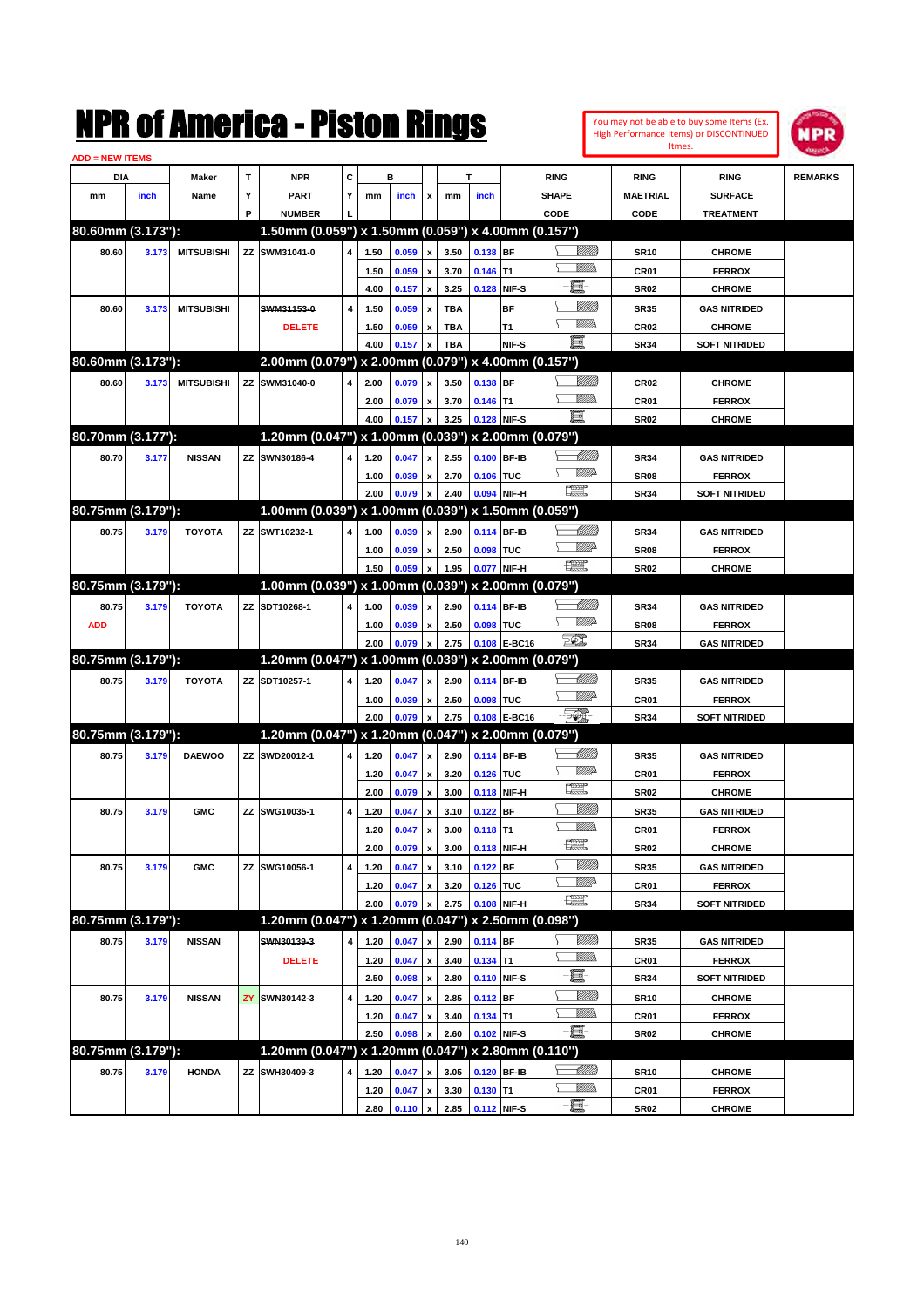| You may not be able to buy some items (Ex.     |  |
|------------------------------------------------|--|
| <b>High Performance Items) or DISCONTINUED</b> |  |
| Itmes.                                         |  |



| <b>ADD = NEW ITEMS</b> |       |                   |   |                                                     |                         |              |                |                           |              |                           |              |                               |                     |                                |                |
|------------------------|-------|-------------------|---|-----------------------------------------------------|-------------------------|--------------|----------------|---------------------------|--------------|---------------------------|--------------|-------------------------------|---------------------|--------------------------------|----------------|
| DIA                    |       | <b>Maker</b>      | T | <b>NPR</b>                                          | C                       |              | в              |                           |              | T                         |              | <b>RING</b>                   | <b>RING</b>         | <b>RING</b>                    | <b>REMARKS</b> |
| mm                     | inch  | Name              | Υ | <b>PART</b>                                         | Y                       | mm           | inch           | x                         | mm           | inch                      |              | <b>SHAPE</b>                  | <b>MAETRIAL</b>     | <b>SURFACE</b>                 |                |
|                        |       |                   | P | <b>NUMBER</b>                                       |                         |              |                |                           |              |                           |              | CODE                          | CODE                | <b>TREATMENT</b>               |                |
| 80.60mm (3.173"):      |       |                   |   | 1.50mm (0.059") x 1.50mm (0.059") x 4.00mm (0.157") |                         |              |                |                           |              |                           |              |                               |                     |                                |                |
| 80.60                  | 3.173 | <b>MITSUBISHI</b> |   | ZZ SWM31041-0                                       | $\overline{4}$          | 1.50         | 0.059          | x                         | 3.50         | 0.138 BF                  |              | <u>Sillilli</u>               | <b>SR10</b>         | <b>CHROME</b>                  |                |
|                        |       |                   |   |                                                     |                         | 1.50         | 0.059          | $\boldsymbol{\mathsf{x}}$ | 3.70         | $0.146$ T1                |              | VM))                          | CR01                | <b>FERROX</b>                  |                |
|                        |       |                   |   |                                                     |                         | 4.00         | 0.157          | $\pmb{\mathsf{x}}$        | 3.25         | 0.128 NIF-S               |              | E                             | <b>SR02</b>         | <b>CHROME</b>                  |                |
| 80.60                  | 3.173 | <b>MITSUBISHI</b> |   | SWM31153-0                                          | $\overline{\mathbf{4}}$ | 1.50         | 0.059          | x                         | <b>TBA</b>   |                           | <b>BF</b>    | <u>Milli</u> k                | <b>SR35</b>         | <b>GAS NITRIDED</b>            |                |
|                        |       |                   |   | <b>DELETE</b>                                       |                         | 1.50         | 0.059          | x                         | <b>TBA</b>   |                           | Т1           | VM))                          | <b>CR02</b>         | <b>CHROME</b>                  |                |
|                        |       |                   |   |                                                     |                         | 4.00         | 0.157          | x                         | <b>TBA</b>   |                           | NIF-S        | $-\Xi$ -                      | <b>SR34</b>         | <b>SOFT NITRIDED</b>           |                |
| 80.60mm (3.173"):      |       |                   |   | 2.00mm (0.079") x 2.00mm (0.079") x 4.00mm (0.157") |                         |              |                |                           |              |                           |              |                               |                     |                                |                |
| 80.60                  | 3.173 | <b>MITSUBISHI</b> |   | ZZ SWM31040-0                                       | 4                       | 2.00         | 0.079          | x                         | 3.50         | 0.138 BF                  |              | <u>MMW</u>                    | <b>CR02</b>         | <b>CHROME</b>                  |                |
|                        |       |                   |   |                                                     |                         | 2.00         | 0.079          | x                         | 3.70         | $0.146$ T1                |              | VM))                          | CR01                | <b>FERROX</b>                  |                |
|                        |       |                   |   |                                                     |                         | 4.00         | 0.157          | x                         | 3.25         | 0.128 NIF-S               |              | - 1                           | <b>SR02</b>         | <b>CHROME</b>                  |                |
| 80.70mm (3.177'):      |       |                   |   | 1.20mm (0.047") x 1.00mm (0.039") x 2.00mm (0.079") |                         |              |                |                           |              |                           |              |                               |                     |                                |                |
| 80.70                  | 3.177 | <b>NISSAN</b>     |   | ZZ SWN30186-4                                       | 4                       | 1.20         | 0.047          | x                         | 2.55         | 0.100 BF-IB               |              | <u>UMB</u>                    | <b>SR34</b>         | <b>GAS NITRIDED</b>            |                |
|                        |       |                   |   |                                                     |                         | 1.00         | 0.039          | x                         | 2.70         | 0.106 TUC                 |              | <u>MMs</u>                    | SR <sub>08</sub>    | <b>FERROX</b>                  |                |
|                        |       |                   |   |                                                     |                         | 2.00         | 0.079          | x                         | 2.40         | 0.094 NIF-H               |              | 環                             | <b>SR34</b>         | <b>SOFT NITRIDED</b>           |                |
| 80.75mm (3.179"):      |       |                   |   | 1.00mm (0.039") x 1.00mm (0.039") x 1.50mm (0.059") |                         |              |                |                           |              |                           |              |                               |                     |                                |                |
| 80.75                  | 3.179 | <b>TOYOTA</b>     |   | ZZ SWT10232-1                                       | 4                       | 1.00         | 0.039          | x                         | 2.90         | 0.114 BF-IB               |              | <u>UMB</u>                    | <b>SR34</b>         | <b>GAS NITRIDED</b>            |                |
|                        |       |                   |   |                                                     |                         | 1.00         | 0.039          | x                         | 2.50         | 0.098 TUC                 |              | VMD-                          | SR <sub>08</sub>    | <b>FERROX</b>                  |                |
|                        |       |                   |   |                                                     |                         | 1.50         | 0.059          | x                         | 1.95         | 0.077 NIF-H               |              | 環                             | <b>SR02</b>         | <b>CHROME</b>                  |                |
| 80.75mm (3.179"):      |       |                   |   | 1.00mm (0.039") x 1.00mm (0.039")                   |                         |              |                |                           |              |                           |              | x 2.00mm (0.079")             |                     |                                |                |
| 80.75                  | 3.179 | <b>TOYOTA</b>     |   | ZZ SDT10268-1                                       | 4                       | 1.00         | 0.039          | x                         | 2.90         | 0.114 BF-IB               |              | <u>UMB</u>                    | <b>SR34</b>         | <b>GAS NITRIDED</b>            |                |
| <b>ADD</b>             |       |                   |   |                                                     |                         | 1.00         | 0.039          | x                         | 2.50         | 0.098 TUC                 |              | <u>WW</u> A                   | SR <sub>08</sub>    | <b>FERROX</b>                  |                |
|                        |       |                   |   |                                                     |                         | 2.00         | 0.079          | x                         | 2.75         |                           | 0.108 E-BC16 | $-50$                         | <b>SR34</b>         | <b>GAS NITRIDED</b>            |                |
| 80.75mm (3.179"):      |       |                   |   | 1.20mm (0.047") x 1.00mm (0.039") x 2.00mm (0.079") |                         |              |                |                           |              |                           |              |                               |                     |                                |                |
| 80.75                  | 3.179 | <b>TOYOTA</b>     |   | ZZ SDT10257-1                                       | 4                       | 1.20         | 0.047          | x                         | 2.90         | 0.114 BF-IB               |              | <u> UMB</u>                   | <b>SR35</b>         | <b>GAS NITRIDED</b>            |                |
|                        |       |                   |   |                                                     |                         | 1.00         | 0.039          | x                         | 2.50         | 0.098 TUC                 |              | <u>WW</u> A                   | CR01                | <b>FERROX</b>                  |                |
|                        |       |                   |   |                                                     |                         | 2.00         | 0.079          | x                         | 2.75         |                           | 0.108 E-BC16 | EQ)                           | <b>SR34</b>         | <b>SOFT NITRIDED</b>           |                |
| 80.75mm (3.179"):      |       |                   |   | 1.20mm (0.047") x 1.20mm (0.047") x 2.00mm (0.079") |                         |              |                |                           |              |                           |              |                               |                     |                                |                |
| 80.75                  | 3.179 | <b>DAEWOO</b>     |   | ZZ SWD20012-1                                       | 4                       | 1.20         | 0.047          | x                         | 2.90         | 0.114 BF-IB               |              | <u> UMB</u>                   | <b>SR35</b>         | <b>GAS NITRIDED</b>            |                |
|                        |       |                   |   |                                                     |                         | 1.20         | 0.047          | x                         | 3.20         | 0.126 TUC                 |              | <u>WW</u> A                   | <b>CR01</b>         | <b>FERROX</b>                  |                |
|                        |       |                   |   |                                                     |                         | 2.00         | 0.079          | $\pmb{\mathsf{x}}$        | 3.00         | 0.118 NIF-H               |              | <b>The Second Second</b>      | <b>SR02</b>         | <b>CHROME</b>                  |                |
| 80.75                  | 3.179 | <b>GMC</b>        |   | ZZ SWG10035-1                                       | 4                       | 1.20         | 0.047          | x                         | 3.10         | 0.122 BF                  |              |                               | <b>SR35</b>         | <b>GAS NITRIDED</b>            |                |
|                        |       |                   |   |                                                     |                         | 1.20         | 0.047          | x                         | 3.00         | $0.118$ T1                |              |                               | CR01                | <b>FERROX</b>                  |                |
|                        |       |                   |   |                                                     |                         | 2.00         | 0.079          | $\pmb{\mathsf{x}}$        | 3.00         | 0.118 NIF-H               |              | $f_{\text{max}}^{\text{max}}$ | SR <sub>02</sub>    | <b>CHROME</b>                  |                |
| 80.75                  | 3.179 | <b>GMC</b>        |   | ZZ SWG10056-1                                       | 4                       | 1.20         | 0.047          | $\pmb{\mathsf{x}}$        | 3.10         | $0.122$ BF                |              | <u>MMM</u>                    | <b>SR35</b>         | <b>GAS NITRIDED</b>            |                |
|                        |       |                   |   |                                                     |                         | 1.20         | 0.047          | x                         | 3.20         | 0.126 TUC                 |              | <u>VMD</u>                    | CR01                | <b>FERROX</b>                  |                |
|                        |       |                   |   |                                                     |                         | 2.00         | 0.079          | x                         | 2.75         | 0.108 NIF-H               |              | H                             | <b>SR34</b>         | <b>SOFT NITRIDED</b>           |                |
| 80.75mm (3.179"):      |       |                   |   | 1.20mm (0.047") x 1.20mm (0.047") x 2.50mm (0.098") |                         |              |                |                           |              |                           |              |                               |                     |                                |                |
| 80.75                  | 3.179 | <b>NISSAN</b>     |   | SWN30139-3                                          | 4                       | 1.20         | 0.047          | x                         | 2.90         | 0.114 BF                  |              | <u>VIII in</u>                | <b>SR35</b>         | <b>GAS NITRIDED</b>            |                |
|                        |       |                   |   | <b>DELETE</b>                                       |                         | 1.20         | 0.047          | x                         | 3.40         | $0.134$ T1                |              | <u>Villida</u>                | CR01                | <b>FERROX</b>                  |                |
|                        |       |                   |   |                                                     |                         | 2.50         | 0.098          | $\pmb{\mathsf{x}}$        | 2.80         | 0.110 NIF-S               |              | e.                            | <b>SR34</b>         | <b>SOFT NITRIDED</b>           |                |
| 80.75                  | 3.179 | <b>NISSAN</b>     |   | ZY SWN30142-3                                       | $\overline{\mathbf{4}}$ | 1.20         | 0.047          | x                         | 2.85         | $0.112$ BF                |              | <u>Milli</u> h                | <b>SR10</b>         | <b>CHROME</b>                  |                |
|                        |       |                   |   |                                                     |                         | 1.20         | 0.047          | x                         | 3.40         | $0.134$ T1                |              | <u>Willib</u>                 | CR01                | <b>FERROX</b>                  |                |
|                        |       |                   |   |                                                     |                         | 2.50         | 0.098          | x                         | 2.60         | 0.102 NIF-S               |              | -8                            | SR <sub>02</sub>    | <b>CHROME</b>                  |                |
|                        |       |                   |   |                                                     |                         |              |                |                           |              |                           |              |                               |                     |                                |                |
|                        |       |                   |   | 1.20mm (0.047") x 1.20mm (0.047") x 2.80mm (0.110") |                         |              |                |                           |              |                           |              |                               |                     |                                |                |
| 80.75mm (3.179"):      |       |                   |   |                                                     |                         |              |                |                           |              |                           |              | <u>- MMB</u>                  |                     |                                |                |
| 80.75                  | 3.179 | <b>HONDA</b>      |   | ZZ SWH30409-3                                       | 4                       | 1.20<br>1.20 | 0.047<br>0.047 | x<br>x                    | 3.05<br>3.30 | 0.120 BF-IB<br>$0.130$ T1 |              | <u>Willis</u>                 | <b>SR10</b><br>CR01 | <b>CHROME</b><br><b>FERROX</b> |                |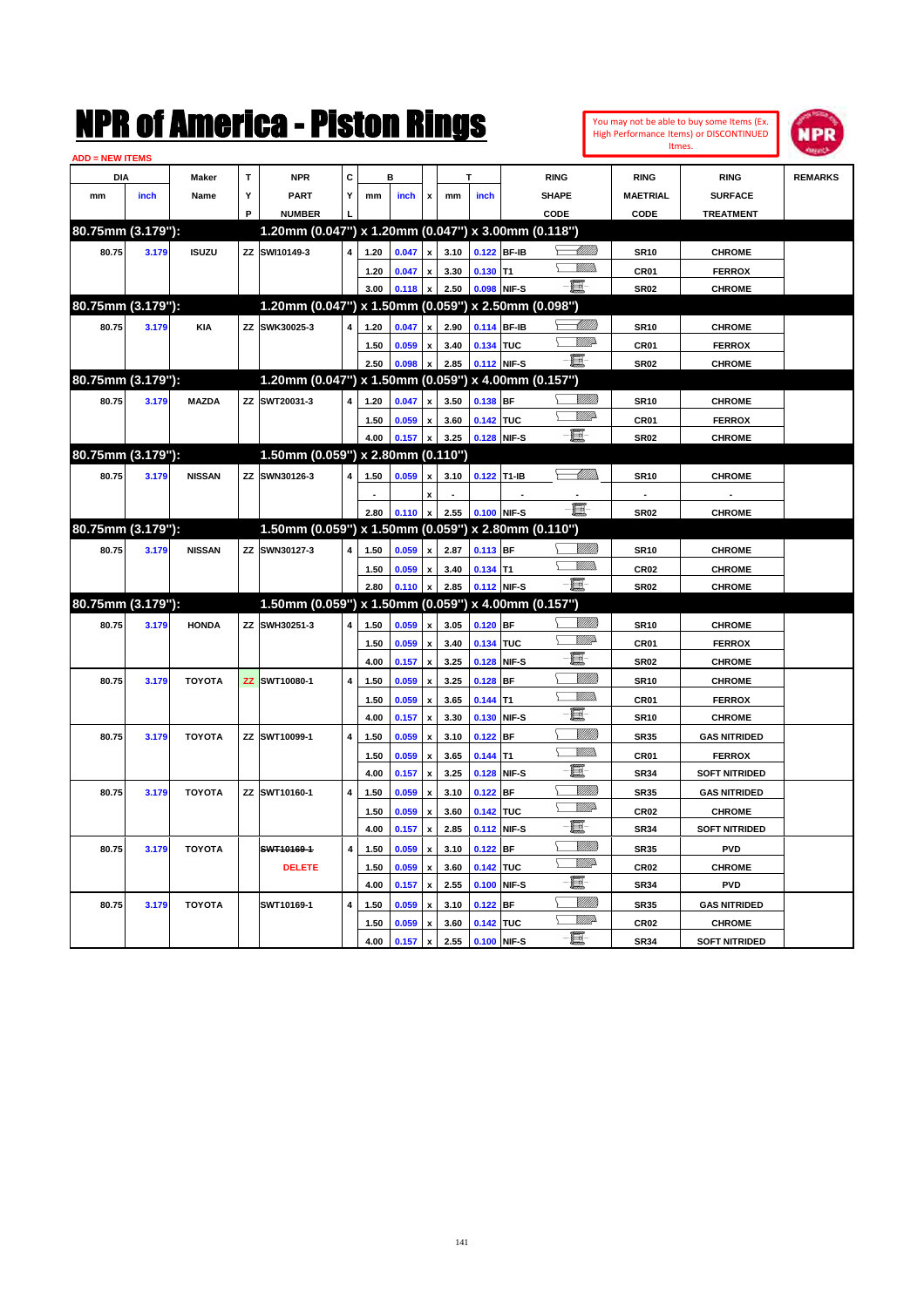| <b>ADD = NEW ITEMS</b> |       |               |   |                                                     |                         |              |                |                                          |              |                           |             |                                                              |                     |                      |                |
|------------------------|-------|---------------|---|-----------------------------------------------------|-------------------------|--------------|----------------|------------------------------------------|--------------|---------------------------|-------------|--------------------------------------------------------------|---------------------|----------------------|----------------|
| <b>DIA</b>             |       | Maker         | т | <b>NPR</b>                                          | С                       |              | в              |                                          |              |                           |             | <b>RING</b>                                                  | <b>RING</b>         | <b>RING</b>          | <b>REMARKS</b> |
| mm                     | inch  | Name          | Y | <b>PART</b>                                         | Y                       | mm           | inch           | x                                        | mm           | inch                      |             | <b>SHAPE</b>                                                 | <b>MAETRIAL</b>     | <b>SURFACE</b>       |                |
|                        |       |               | P | <b>NUMBER</b>                                       |                         |              |                |                                          |              |                           |             | CODE                                                         | CODE                | <b>TREATMENT</b>     |                |
| 80.75mm (3.179"):      |       |               |   | 1.20mm (0.047") x 1.20mm (0.047") x 3.00mm (0.118") |                         |              |                |                                          |              |                           |             |                                                              |                     |                      |                |
| 80.75                  | 3.179 | <b>ISUZU</b>  |   | ZZ SWI10149-3                                       | $\overline{4}$          | 1.20         | 0.047          |                                          | 3.10         | 0.122 BF-IB               |             | <u>UMM)</u>                                                  | <b>SR10</b>         | <b>CHROME</b>        |                |
|                        |       |               |   |                                                     |                         | 1.20         | 0.047          | $\pmb{\mathsf{x}}$                       | 3.30         | $0.130$ T1                |             | <u>MMs</u>                                                   | CR01                | <b>FERROX</b>        |                |
|                        |       |               |   |                                                     |                         | 3.00         | 0.118          | $\mathbf{x}$                             | 2.50         | 0.098 NIF-S               |             | -8                                                           | <b>SR02</b>         | <b>CHROME</b>        |                |
| 80.75mm (3.179"):      |       |               |   | 1.20mm (0.047") x 1.50mm (0.059") x 2.50mm (0.098") |                         |              |                |                                          |              |                           |             |                                                              |                     |                      |                |
| 80.75                  | 3.179 | <b>KIA</b>    |   | ZZ SWK30025-3                                       | 4                       | 1.20         | 0.047          | $\pmb{\mathsf{x}}$                       | 2.90         | 0.114 BF-IB               |             | WMM                                                          | <b>SR10</b>         | <b>CHROME</b>        |                |
|                        |       |               |   |                                                     |                         | 1.50         | 0.059          | $\pmb{\mathsf{x}}$                       | 3.40         | 0.134 TUC                 |             | <b>Willia</b>                                                | CR01                | <b>FERROX</b>        |                |
|                        |       |               |   |                                                     |                         | 2.50         | 0.098          |                                          | 2.85         | 0.112 NIF-S               |             | -8                                                           | <b>SR02</b>         | <b>CHROME</b>        |                |
| 80.75mm (3.179"):      |       |               |   | 1.20mm (0.047") x 1.50mm (0.059") x 4.00mm (0.157") |                         |              |                |                                          |              |                           |             |                                                              |                     |                      |                |
| 80.75                  | 3.179 | <b>MAZDA</b>  |   | ZZ SWT20031-3                                       | $\overline{\mathbf{4}}$ | 1.20         | 0.047          | x                                        | 3.50         | 0.138 BF                  |             | <u>Willib</u>                                                | <b>SR10</b>         | <b>CHROME</b>        |                |
|                        |       |               |   |                                                     |                         | 1.50         | 0.059          | $\pmb{\mathsf{x}}$                       | 3.60         | 0.142 TUC                 |             | <b>W</b>                                                     | CR01                | <b>FERROX</b>        |                |
|                        |       |               |   |                                                     |                         | 4.00         | 0.157          | $\boldsymbol{\mathsf{x}}$                | 3.25         | 0.128 NIF-S               |             | -80                                                          | <b>SR02</b>         | <b>CHROME</b>        |                |
| 80.75mm (3.179"):      |       |               |   | 1.50mm (0.059") x 2.80mm (0.110")                   |                         |              |                |                                          |              |                           |             |                                                              |                     |                      |                |
| 80.75                  | 3.179 | <b>NISSAN</b> |   | ZZ SWN30126-3                                       | $\overline{\mathbf{4}}$ | 1.50         | 0.059          | $\pmb{\mathsf{x}}$                       | 3.10         | 0.122 T1-IB               |             | $\begin{matrix} \begin{matrix} \end{matrix} \\ \end{matrix}$ | <b>SR10</b>         | <b>CHROME</b>        |                |
|                        |       |               |   |                                                     |                         |              |                | $\mathbf{x}$                             |              |                           |             |                                                              |                     |                      |                |
|                        |       |               |   |                                                     |                         | 2.80         | 0.110          | x                                        | 2.55         |                           | 0.100 NIF-S | -6                                                           | <b>SR02</b>         | <b>CHROME</b>        |                |
| 80.75mm (3.179"):      |       |               |   | 1.50mm (0.059") x 1.50mm (0.059") x 2.80mm (0.110") |                         |              |                |                                          |              |                           |             |                                                              |                     |                      |                |
| 80.75                  | 3.179 | <b>NISSAN</b> |   | ZZ SWN30127-3                                       | $\overline{\mathbf{4}}$ | 1.50         | 0.059          | $\pmb{\mathsf{x}}$                       | 2.87         | 0.113 BF                  |             | <u>VMM)</u>                                                  | <b>SR10</b>         | <b>CHROME</b>        |                |
|                        |       |               |   |                                                     |                         | 1.50         | 0.059          | $\pmb{\mathsf{x}}$                       | 3.40         | $0.134$ T1                |             | .<br>VMD<br>Y.                                               | <b>CR02</b>         | <b>CHROME</b>        |                |
|                        |       |               |   |                                                     |                         | 2.80         | 0.110          | x                                        | 2.85         | 0.112 NIF-S               |             | -80                                                          | <b>SR02</b>         | <b>CHROME</b>        |                |
| 80.75mm (3.179"):      |       |               |   | 1.50mm (0.059") x 1.50mm (0.059") x 4.00mm (0.157") |                         |              |                |                                          |              |                           |             |                                                              |                     |                      |                |
| 80.75                  | 3.179 | <b>HONDA</b>  |   | ZZ SWH30251-3                                       | $\overline{\mathbf{4}}$ | 1.50         | 0.059          | x                                        | 3.05         | $0.120$ BF                |             | .<br>Villida                                                 | <b>SR10</b>         | <b>CHROME</b>        |                |
|                        |       |               |   |                                                     |                         | 1.50         | 0.059          | x                                        | 3.40         | 0.134 TUC                 |             | VIIIA                                                        | CR01                | <b>FERROX</b>        |                |
|                        |       |               |   |                                                     |                         | 4.00         | 0.157          | $\pmb{\mathsf{x}}$                       | 3.25         | 0.128 NIF-S               |             | E                                                            | <b>SR02</b>         | <b>CHROME</b>        |                |
| 80.75                  | 3.179 | <b>TOYOTA</b> |   | ZZ SWT10080-1                                       | $\overline{\mathbf{4}}$ | 1.50         | 0.059          |                                          | 3.25         | $0.128$ BF                |             | .<br>Villida                                                 | <b>SR10</b>         | <b>CHROME</b>        |                |
|                        |       |               |   |                                                     |                         |              |                | x                                        |              |                           |             | <u>Willib</u><br>$\sum$                                      |                     |                      |                |
|                        |       |               |   |                                                     |                         | 1.50<br>4.00 | 0.059<br>0.157 | $\pmb{\mathsf{x}}$<br>$\pmb{\mathsf{x}}$ | 3.65<br>3.30 | $0.144$ T1<br>0.130 NIF-S |             | E                                                            | CR01<br><b>SR10</b> | <b>FERROX</b>        |                |
|                        |       |               |   |                                                     |                         |              |                |                                          |              |                           |             | VMM)                                                         |                     | <b>CHROME</b>        |                |
| 80.75                  | 3.179 | <b>TOYOTA</b> |   | ZZ SWT10099-1                                       | 4                       | 1.50         | 0.059          | $\pmb{\mathsf{x}}$                       | 3.10         | $0.122$ BF                |             | <u>MM)</u><br>⊊                                              | <b>SR35</b>         | <b>GAS NITRIDED</b>  |                |
|                        |       |               |   |                                                     |                         | 1.50         | 0.059          | x                                        | 3.65         | $0.144$ T1                |             | e.                                                           | <b>CR01</b>         | <b>FERROX</b>        |                |
|                        |       |               |   |                                                     |                         | 4.00         | 0.157          | $\pmb{\mathsf{x}}$                       | 3.25         |                           | 0.128 NIF-S | <u>VIIII)</u>                                                | <b>SR34</b>         | <b>SOFT NITRIDED</b> |                |
| 80.75                  | 3.179 | <b>TOYOTA</b> |   | ZZ SWT10160-1                                       | 4                       | 1.50         | 0.059          | x                                        | 3.10         | $0.122$ BF                |             | VMD-                                                         | <b>SR35</b>         | <b>GAS NITRIDED</b>  |                |
|                        |       |               |   |                                                     |                         | 1.50         | 0.059          | $\pmb{\mathsf{x}}$                       | 3.60         | 0.142 TUC                 |             | E                                                            | CR <sub>02</sub>    | <b>CHROME</b>        |                |
|                        |       |               |   |                                                     |                         | 4.00         | 0.157          | X                                        | 2.85         | 0.112 NIF-S               |             |                                                              | <b>SR34</b>         | <b>SOFT NITRIDED</b> |                |
| 80.75                  | 3.179 | <b>TOYOTA</b> |   | SWT10169-1                                          | $\overline{4}$          | 1.50         | 0.059          | $\pmb{\mathsf{x}}$                       | 3.10         | $0.122$ BF                |             | <u>Sillita</u><br>VIIIA                                      | <b>SR35</b>         | <b>PVD</b>           |                |
|                        |       |               |   | <b>DELETE</b>                                       |                         | 1.50         | 0.059          | $\pmb{\mathsf{x}}$                       | 3.60         | 0.142 TUC                 |             | E                                                            | <b>CR02</b>         | <b>CHROME</b>        |                |
|                        |       |               |   |                                                     |                         | 4.00         | 0.157          | X                                        | 2.55         |                           | 0.100 NIF-S |                                                              | <b>SR34</b>         | <b>PVD</b>           |                |
| 80.75                  | 3.179 | <b>TOYOTA</b> |   | SWT10169-1                                          | 4                       | 1.50         | 0.059          | x                                        | 3.10         | $0.122$ BF                |             | <u>VIIII)</u><br><u>VM</u> D                                 | <b>SR35</b>         | <b>GAS NITRIDED</b>  |                |
|                        |       |               |   |                                                     |                         | 1.50         | 0.059          | $\pmb{\mathsf{x}}$                       | 3.60         | 0.142 TUC                 |             | e.                                                           | <b>CR02</b>         | <b>CHROME</b>        |                |
|                        |       |               |   |                                                     |                         | 4.00         | 0.157          | $\boldsymbol{\mathsf{x}}$                | 2.55         | 0.100 NIF-S               |             |                                                              | <b>SR34</b>         | <b>SOFT NITRIDED</b> |                |

You may not be able to buy some Items (Ex. High Performance Items) or DISCONTINUED Itmes.

**NPR**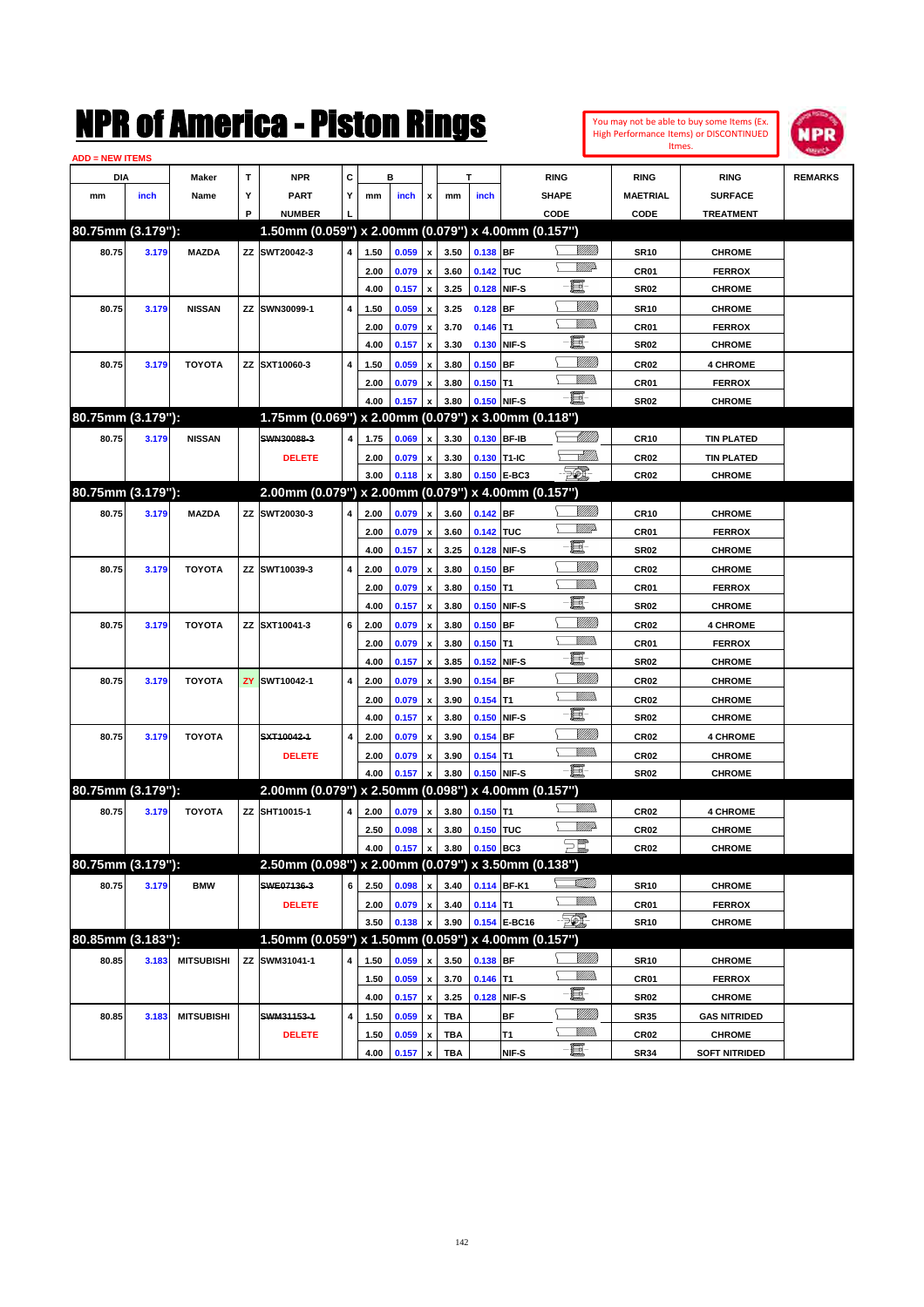| You may not be able to buy some Items (Ex. |
|--------------------------------------------|
| High Performance Items) or DISCONTINUED    |
| Itmes.                                     |



| <b>ADD = NEW ITEMS</b> |       |                   |   |                                                           |   |      |       |                           |            |             |              |                 |                  |                      |                |
|------------------------|-------|-------------------|---|-----------------------------------------------------------|---|------|-------|---------------------------|------------|-------------|--------------|-----------------|------------------|----------------------|----------------|
| DIA                    |       | <b>Maker</b>      | T | NPR                                                       | С |      | в     |                           |            | т           |              | <b>RING</b>     | <b>RING</b>      | <b>RING</b>          | <b>REMARKS</b> |
| mm                     | inch  | Name              | Υ | <b>PART</b>                                               | Y | mm   | inch  | x                         | mm         | inch        |              | <b>SHAPE</b>    | <b>MAETRIAL</b>  | <b>SURFACE</b>       |                |
|                        |       |                   | P | <b>NUMBER</b>                                             |   |      |       |                           |            |             |              | CODE            | CODE             | <b>TREATMENT</b>     |                |
| 80.75mm (3.179"):      |       |                   |   | 1.50mm (0.059") x 2.00mm (0.079") x 4.00mm (0.157")       |   |      |       |                           |            |             |              |                 |                  |                      |                |
| 80.75                  | 3.179 | <b>MAZDA</b>      |   | ZZ SWT20042-3                                             | 4 | 1.50 | 0.059 | x                         | 3.50       | 0.138 BF    |              | <u> UMB</u>     | <b>SR10</b>      | <b>CHROME</b>        |                |
|                        |       |                   |   |                                                           |   | 2.00 | 0.079 | $\boldsymbol{\mathsf{x}}$ | 3.60       | 0.142 TUC   |              | <u>VMD</u>      | CR <sub>01</sub> | <b>FERROX</b>        |                |
|                        |       |                   |   |                                                           |   | 4.00 | 0.157 | x                         | 3.25       | 0.128 NIF-S |              | e               | <b>SR02</b>      | <b>CHROME</b>        |                |
| 80.75                  | 3.179 | <b>NISSAN</b>     |   | ZZ SWN30099-1                                             | 4 | 1.50 | 0.059 | x                         | 3.25       | 0.128 BF    |              | <u>VIIII)</u>   | <b>SR10</b>      | <b>CHROME</b>        |                |
|                        |       |                   |   |                                                           |   | 2.00 | 0.079 | $\boldsymbol{\mathsf{x}}$ | 3.70       | $0.146$ T1  |              | .<br>VMD        | CR <sub>01</sub> | <b>FERROX</b>        |                |
|                        |       |                   |   |                                                           |   | 4.00 | 0.157 | x                         | 3.30       |             | 0.130 NIF-S  | 圓               | <b>SR02</b>      | <b>CHROME</b>        |                |
| 80.75                  | 3.179 | <b>TOYOTA</b>     |   | ZZ SXT10060-3                                             | 4 | 1.50 | 0.059 |                           | 3.80       | $0.150$ BF  |              | <u>VIIII)</u>   | CR <sub>02</sub> | <b>4 CHROME</b>      |                |
|                        |       |                   |   |                                                           |   | 2.00 | 0.079 | x                         | 3.80       | $0.150$ T1  |              | <br>Militar     | CR <sub>01</sub> | <b>FERROX</b>        |                |
|                        |       |                   |   |                                                           |   | 4.00 | 0.157 | x                         | 3.80       |             | 0.150 NIF-S  | -日              | <b>SR02</b>      | <b>CHROME</b>        |                |
| 80.75mm (3.179"):      |       |                   |   | 1.75mm (0.069") x 2.00mm (0.079") x 3.00mm (0.118")       |   |      |       |                           |            |             |              |                 |                  |                      |                |
| 80.75                  | 3.179 | <b>NISSAN</b>     |   | SWN30088-3                                                | 4 | 1.75 | 0.069 | x                         | 3.30       | 0.130 BF-IB |              | <u>UMB</u>      | <b>CR10</b>      | <b>TIN PLATED</b>    |                |
|                        |       |                   |   | <b>DELETE</b>                                             |   | 2.00 | 0.079 | x                         | 3.30       | 0.130 T1-IC |              | <u>Allin</u>    | <b>CR02</b>      | <b>TIN PLATED</b>    |                |
|                        |       |                   |   |                                                           |   | 3.00 | 0.118 | x                         | 3.80       |             | 0.150 E-BC3  | <u> 50)</u>     | CR <sub>02</sub> | <b>CHROME</b>        |                |
| 80.75mm (3.179"):      |       |                   |   | 2.00mm (0.079") x 2.00mm (0.079") x 4.00mm (0.157")       |   |      |       |                           |            |             |              |                 |                  |                      |                |
| 80.75                  | 3.179 | <b>MAZDA</b>      |   | ZZ SWT20030-3                                             | 4 | 2.00 | 0.079 | x                         | 3.60       | 0.142 BF    |              | <u> UMB</u>     | <b>CR10</b>      | <b>CHROME</b>        |                |
|                        |       |                   |   |                                                           |   | 2.00 | 0.079 | x                         | 3.60       | 0.142 TUC   |              | <u>VMD</u>      | CR <sub>01</sub> | <b>FERROX</b>        |                |
|                        |       |                   |   |                                                           |   | 4.00 | 0.157 | $\boldsymbol{\mathsf{x}}$ | 3.25       |             | 0.128 NIF-S  | 圓               | <b>SR02</b>      | <b>CHROME</b>        |                |
| 80.75                  | 3.179 | <b>TOYOTA</b>     |   | ZZ SWT10039-3                                             | 4 | 2.00 | 0.079 | x                         | 3.80       | $0.150$ BF  |              | <u>VIIII)</u>   | CR <sub>02</sub> | <b>CHROME</b>        |                |
|                        |       |                   |   |                                                           |   | 2.00 | 0.079 | x                         | 3.80       | $0.150$ T1  |              | .<br>VMD        | CR <sub>01</sub> | <b>FERROX</b>        |                |
|                        |       |                   |   |                                                           |   | 4.00 | 0.157 | x                         | 3.80       |             | 0.150 NIF-S  | 圓               | <b>SR02</b>      | <b>CHROME</b>        |                |
| 80.75                  | 3.179 | <b>TOYOTA</b>     |   | ZZ SXT10041-3                                             | 6 | 2.00 | 0.079 | x                         | 3.80       | $0.150$ BF  |              | <u>Sillilli</u> | CR <sub>02</sub> | <b>4 CHROME</b>      |                |
|                        |       |                   |   |                                                           |   | 2.00 | 0.079 | x                         | 3.80       | $0.150$ T1  |              | <br>Militar     | CR <sub>01</sub> | <b>FERROX</b>        |                |
|                        |       |                   |   |                                                           |   | 4.00 | 0.157 | x                         | 3.85       |             | 0.152 NIF-S  | 圓               | <b>SR02</b>      | <b>CHROME</b>        |                |
| 80.75                  | 3.179 | <b>TOYOTA</b>     |   | ZY SWT10042-1                                             | 4 | 2.00 | 0.079 | x                         | 3.90       | $0.154$ BF  |              | <u>Sillilli</u> | <b>CR02</b>      | <b>CHROME</b>        |                |
|                        |       |                   |   |                                                           |   | 2.00 | 0.079 | x                         | 3.90       | $0.154$ T1  |              | <br>Militar     | <b>CR02</b>      | <b>CHROME</b>        |                |
|                        |       |                   |   |                                                           |   | 4.00 | 0.157 | x                         | 3.80       |             | 0.150 NIF-S  | E               | <b>SR02</b>      | <b>CHROME</b>        |                |
| 80.75                  | 3.179 | <b>TOYOTA</b>     |   | SXT10042-1                                                | 4 | 2.00 | 0.079 |                           | 3.90       | $0.154$ BF  |              | <u>VIIII)</u>   | <b>CR02</b>      | <b>4 CHROME</b>      |                |
|                        |       |                   |   | <b>DELETE</b>                                             |   | 2.00 | 0.079 | x                         | 3.90       | $0.154$ T1  |              | <br>Militar     | <b>CR02</b>      | <b>CHROME</b>        |                |
|                        |       |                   |   |                                                           |   | 4.00 | 0.157 |                           | 3.80       |             | 0.150 NIF-S  | -日              | SR02             | <b>CHROME</b>        |                |
| 80.75mm (3.179"):      |       |                   |   | 2.00mm (0.079") x 2.50mm (0.098") x 4.00mm (0.157")       |   |      |       |                           |            |             |              |                 |                  |                      |                |
| 80.75                  | 3.179 | <b>TOYOTA</b>     |   | ZZ SHT10015-1                                             | 4 | 2.00 | 0.079 | x                         | 3.80       | $0.150$ T1  |              | UM)             | <b>CR02</b>      | <b>4 CHROME</b>      |                |
|                        |       |                   |   |                                                           |   | 2.50 | 0.098 | x                         | 3.80       | 0.150 TUC   |              | <u>MMP</u>      | CR <sub>02</sub> | <b>CHROME</b>        |                |
|                        |       |                   |   |                                                           |   | 4.00 | 0.157 | $\pmb{\mathsf{x}}$        | 3.80       | 0.150 BC3   |              | )<br>Pilip      | CR02             | <b>CHROME</b>        |                |
| 80.75mm (3.179"):      |       |                   |   | 2.50mm (0.098") x 2.00mm (0.079") x 3.50mm (0.138")       |   |      |       |                           |            |             |              |                 |                  |                      |                |
| 80.75                  | 3.179 | <b>BMW</b>        |   | SWE07136-3                                                | 6 | 2.50 | 0.098 | x                         | 3.40       |             | 0.114 BF-K1  | <u>VMM)</u>     | <b>SR10</b>      | <b>CHROME</b>        |                |
|                        |       |                   |   | <b>DELETE</b>                                             |   | 2.00 | 0.079 | $\pmb{\mathsf{x}}$        | 3.40       | $0.114$ T1  |              | <u>WMWs</u>     | CR01             | <b>FERROX</b>        |                |
|                        |       |                   |   |                                                           |   | 3.50 | 0.138 |                           | 3.90       |             | 0.154 E-BC16 | $\mathbb{Z}$    | <b>SR10</b>      | <b>CHROME</b>        |                |
| 80.85mm (3.183"):      |       |                   |   | 1.50mm $(0.059")$ x 1.50mm $(0.059")$ x 4.00mm $(0.157")$ |   |      |       |                           |            |             |              |                 |                  |                      |                |
| 80.85                  | 3.183 | <b>MITSUBISHI</b> |   | ZZ SWM31041-1                                             | 4 | 1.50 | 0.059 | x                         | 3.50       | 0.138 BF    |              | <u>VIIII</u> )  | <b>SR10</b>      | <b>CHROME</b>        |                |
|                        |       |                   |   |                                                           |   | 1.50 | 0.059 | x                         | 3.70       | $0.146$ T1  |              | <u>MM)</u>      | CR01             | <b>FERROX</b>        |                |
|                        |       |                   |   |                                                           |   | 4.00 | 0.157 | $\pmb{\mathsf{x}}$        | 3.25       |             | 0.128 NIF-S  | E-              | SR02             | <b>CHROME</b>        |                |
| 80.85                  | 3.183 | <b>MITSUBISHI</b> |   | SWM31153-1                                                | 4 | 1.50 | 0.059 | x                         | TBA        |             | <b>BF</b>    | <u>VIII)</u>    | <b>SR35</b>      | <b>GAS NITRIDED</b>  |                |
|                        |       |                   |   | <b>DELETE</b>                                             |   | 1.50 | 0.059 | x                         | TBA        |             | T1           | <u>MM)</u>      | CR <sub>02</sub> | <b>CHROME</b>        |                |
|                        |       |                   |   |                                                           |   | 4.00 | 0.157 | $\pmb{\mathsf{x}}$        | <b>TBA</b> |             | NIF-S        | $-\Xi$ -        | <b>SR34</b>      | <b>SOFT NITRIDED</b> |                |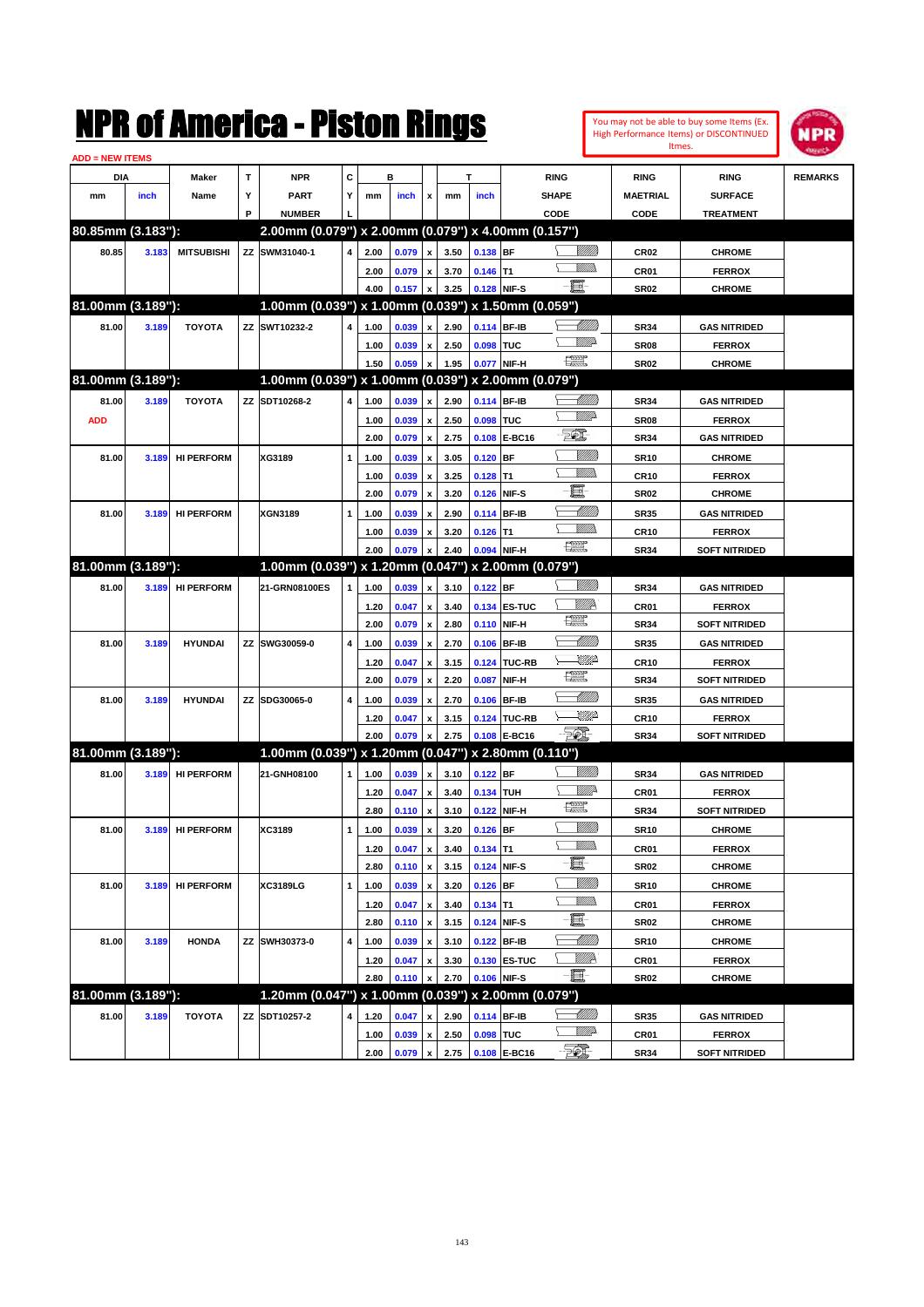|                        |       |                   |   | NMK OI AMCMICA - MISTON KINGS                       |   |      |                |                           |      |             |                             |                                                                                                                                                                                                                                                                                                                                                                                             |                           |                  | You may not be able to buy some Items (Ex.<br>High Performance Items) or DISCONTINUED<br>Itmes. | IPR            |
|------------------------|-------|-------------------|---|-----------------------------------------------------|---|------|----------------|---------------------------|------|-------------|-----------------------------|---------------------------------------------------------------------------------------------------------------------------------------------------------------------------------------------------------------------------------------------------------------------------------------------------------------------------------------------------------------------------------------------|---------------------------|------------------|-------------------------------------------------------------------------------------------------|----------------|
| <b>ADD = NEW ITEMS</b> |       |                   |   |                                                     |   |      |                |                           |      |             |                             |                                                                                                                                                                                                                                                                                                                                                                                             |                           |                  |                                                                                                 |                |
| DIA                    |       | Maker             | T | <b>NPR</b>                                          | C |      | в              |                           |      | т           |                             | <b>RING</b>                                                                                                                                                                                                                                                                                                                                                                                 |                           | <b>RING</b>      | <b>RING</b>                                                                                     | <b>REMARKS</b> |
| mm                     | inch  | Name              | Υ | <b>PART</b>                                         | Υ | mm   | inch           | x                         | mm   | inch        |                             | <b>SHAPE</b>                                                                                                                                                                                                                                                                                                                                                                                |                           | <b>MAETRIAL</b>  | <b>SURFACE</b>                                                                                  |                |
|                        |       |                   | P | <b>NUMBER</b>                                       |   |      |                |                           |      |             |                             | CODE                                                                                                                                                                                                                                                                                                                                                                                        |                           | CODE             | <b>TREATMENT</b>                                                                                |                |
| 80.85mm (3.183"):      |       |                   |   | 2.00mm (0.079") x 2.00mm (0.079") x 4.00mm (0.157") |   |      |                |                           |      |             |                             |                                                                                                                                                                                                                                                                                                                                                                                             |                           |                  |                                                                                                 |                |
| 80.85                  | 3.183 | <b>MITSUBISHI</b> |   | ZZ SWM31040-1                                       | 4 | 2.00 | 0.079          | $\pmb{\mathsf{x}}$        | 3.50 | 0.138 BF    |                             | VMM)                                                                                                                                                                                                                                                                                                                                                                                        | <u>Millitt</u>            | CR <sub>02</sub> | <b>CHROME</b>                                                                                   |                |
|                        |       |                   |   |                                                     |   | 2.00 | 0.079          | $\pmb{\mathsf{x}}$        | 3.70 | $0.146$ T1  |                             | E.                                                                                                                                                                                                                                                                                                                                                                                          |                           | CR <sub>01</sub> | <b>FERROX</b>                                                                                   |                |
|                        |       |                   |   |                                                     |   | 4.00 | 0.157          | $\pmb{\mathsf{x}}$        | 3.25 | 0.128 NIF-S |                             |                                                                                                                                                                                                                                                                                                                                                                                             |                           | <b>SR02</b>      | <b>CHROME</b>                                                                                   |                |
| 81.00mm (3.189"):      |       |                   |   | 1.00mm (0.039") x 1.00mm (0.039") x 1.50mm (0.059") |   |      |                |                           |      |             |                             |                                                                                                                                                                                                                                                                                                                                                                                             |                           |                  |                                                                                                 |                |
| 81.00                  | 3.189 | <b>TOYOTA</b>     |   | ZZ SWT10232-2                                       | 4 | 1.00 | 0.039          | $\pmb{\mathsf{x}}$        | 2.90 | 0.114 BF-IB |                             |                                                                                                                                                                                                                                                                                                                                                                                             | <u> MMM</u><br><u>VMD</u> | <b>SR34</b>      | <b>GAS NITRIDED</b>                                                                             |                |
|                        |       |                   |   |                                                     |   | 1.00 | 0.039          | x                         | 2.50 | 0.098 TUC   |                             | $\begin{picture}(20,20) \put(0,0){\dashbox{0.5}(20,0){ }} \put(15,0){\circle{10}} \put(25,0){\circle{10}} \put(25,0){\circle{10}} \put(25,0){\circle{10}} \put(25,0){\circle{10}} \put(25,0){\circle{10}} \put(25,0){\circle{10}} \put(25,0){\circle{10}} \put(25,0){\circle{10}} \put(25,0){\circle{10}} \put(25,0){\circle{10}} \put(25,0){\circle{10}} \put(25,0){\circle{10}} \put(25,$ |                           | SR <sub>08</sub> | <b>FERROX</b>                                                                                   |                |
|                        |       |                   |   |                                                     |   | 1.50 | 0.059          | $\pmb{\mathsf{x}}$        | 1.95 |             | 0.077 NIF-H                 |                                                                                                                                                                                                                                                                                                                                                                                             |                           | <b>SR02</b>      | <b>CHROME</b>                                                                                   |                |
| 81.00mm (3.189"):      |       |                   |   | 1.00mm (0.039") x 1.00mm (0.039") x 2.00mm (0.079") |   |      |                |                           |      |             |                             |                                                                                                                                                                                                                                                                                                                                                                                             |                           |                  |                                                                                                 |                |
| 81.00                  | 3.189 | <b>TOYOTA</b>     |   | ZZ SDT10268-2                                       | 4 | 1.00 | 0.039          | $\pmb{\mathsf{x}}$        | 2.90 | 0.114 BF-IB |                             |                                                                                                                                                                                                                                                                                                                                                                                             |                           | <b>SR34</b>      | <b>GAS NITRIDED</b>                                                                             |                |
| <b>ADD</b>             |       |                   |   |                                                     |   | 1.00 | 0.039          | $\pmb{\mathsf{x}}$        | 2.50 | 0.098 TUC   |                             |                                                                                                                                                                                                                                                                                                                                                                                             | <u>VMD</u>                | SR <sub>08</sub> | <b>FERROX</b>                                                                                   |                |
|                        |       |                   |   |                                                     |   | 2.00 | 0.079          | $\boldsymbol{\mathsf{x}}$ | 2.75 |             | 0.108 E-BC16                | 201                                                                                                                                                                                                                                                                                                                                                                                         |                           | <b>SR34</b>      | <b>GAS NITRIDED</b>                                                                             |                |
| 81.00                  | 3.189 | <b>HI PERFORM</b> |   | XG3189                                              | 1 | 1.00 | 0.039          | $\pmb{\mathsf{x}}$        | 3.05 | $0.120$ BF  |                             |                                                                                                                                                                                                                                                                                                                                                                                             | <u>MMM</u>                | <b>SR10</b>      | <b>CHROME</b>                                                                                   |                |
|                        |       |                   |   |                                                     |   | 1.00 | 0.039          | $\pmb{\mathsf{x}}$        | 3.25 | $0.128$ T1  |                             |                                                                                                                                                                                                                                                                                                                                                                                             | 9777)                     | <b>CR10</b>      | <b>FERROX</b>                                                                                   |                |
|                        |       |                   |   |                                                     |   | 2.00 | 0.079          | $\boldsymbol{\mathsf{x}}$ | 3.20 | 0.126 NIF-S |                             | E                                                                                                                                                                                                                                                                                                                                                                                           |                           | <b>SR02</b>      | <b>CHROME</b>                                                                                   |                |
| 81.00                  | 3.189 | <b>HI PERFORM</b> |   | <b>XGN3189</b>                                      | 1 | 1.00 | 0.039          | $\pmb{\mathsf{x}}$        | 2.90 |             | 0.114 BF-IB                 |                                                                                                                                                                                                                                                                                                                                                                                             | <u> UMM</u>               | <b>SR35</b>      | <b>GAS NITRIDED</b>                                                                             |                |
|                        |       |                   |   |                                                     |   | 1.00 | 0.039          | $\pmb{\mathsf{x}}$        | 3.20 | $0.126$ T1  |                             | VMM)                                                                                                                                                                                                                                                                                                                                                                                        |                           | <b>CR10</b>      | <b>FERROX</b>                                                                                   |                |
|                        |       |                   |   |                                                     |   | 2.00 | 0.079          | $\boldsymbol{\mathsf{x}}$ | 2.40 |             | 0.094 NIF-H                 | N                                                                                                                                                                                                                                                                                                                                                                                           |                           | <b>SR34</b>      | <b>SOFT NITRIDED</b>                                                                            |                |
| 81.00mm (3.189"):      |       |                   |   | 1.00mm (0.039") x 1.20mm (0.047") x 2.00mm (0.079") |   |      |                |                           |      |             |                             |                                                                                                                                                                                                                                                                                                                                                                                             |                           |                  |                                                                                                 |                |
| 81.00                  | 3.189 | <b>HI PERFORM</b> |   | 21-GRN08100ES                                       |   | 1.00 | 0.039          | $\pmb{\mathsf{x}}$        | 3.10 | $0.122$ BF  |                             |                                                                                                                                                                                                                                                                                                                                                                                             | <u>Millitti</u>           | <b>SR34</b>      | <b>GAS NITRIDED</b>                                                                             |                |
|                        |       |                   |   |                                                     |   | 1.20 | 0.047          | $\pmb{\mathsf{x}}$        | 3.40 |             | 0.134 ES-TUC                | <u>MMR</u>                                                                                                                                                                                                                                                                                                                                                                                  |                           | CR <sub>01</sub> | <b>FERROX</b>                                                                                   |                |
|                        |       |                   |   |                                                     |   | 2.00 | 0.079          | $\boldsymbol{\mathsf{x}}$ | 2.80 |             | 0.110 NIF-H                 | $\begin{picture}(20,20) \put(0,0){\dashbox{0.5}(20,0){ }} \put(15,0){\circle{10}} \put(25,0){\circle{10}} \put(25,0){\circle{10}} \put(25,0){\circle{10}} \put(25,0){\circle{10}} \put(25,0){\circle{10}} \put(25,0){\circle{10}} \put(25,0){\circle{10}} \put(25,0){\circle{10}} \put(25,0){\circle{10}} \put(25,0){\circle{10}} \put(25,0){\circle{10}} \put(25,0){\circle{10}} \put(25,$ |                           | <b>SR34</b>      | <b>SOFT NITRIDED</b>                                                                            |                |
| 81.00                  | 3.189 | <b>HYUNDAI</b>    |   | ZZ SWG30059-0                                       | 4 | 1.00 | 0.039          | $\pmb{\mathsf{x}}$        | 2.70 | 0.106 BF-IB |                             |                                                                                                                                                                                                                                                                                                                                                                                             | <u>UMM</u>                | <b>SR35</b>      | <b>GAS NITRIDED</b>                                                                             |                |
|                        |       |                   |   |                                                     |   | 1.20 | 0.047          | $\pmb{\mathsf{x}}$        | 3.15 |             | 0.124 TUC-RB                |                                                                                                                                                                                                                                                                                                                                                                                             | <u>UMP</u>                | <b>CR10</b>      | <b>FERROX</b>                                                                                   |                |
|                        |       |                   |   |                                                     |   | 2.00 | 0.079          | $\boldsymbol{\mathsf{x}}$ | 2.20 |             | 0.087 NIF-H                 | <b>The Second Second</b>                                                                                                                                                                                                                                                                                                                                                                    |                           | <b>SR34</b>      | <b>SOFT NITRIDED</b>                                                                            |                |
| 81.00                  | 3.189 | <b>HYUNDAI</b>    |   | ZZ SDG30065-0                                       | 4 | 1.00 | 0.039          | $\pmb{\mathsf{x}}$        | 2.70 | 0.106 BF-IB |                             |                                                                                                                                                                                                                                                                                                                                                                                             | <u> UMM)</u>              | <b>SR35</b>      | <b>GAS NITRIDED</b>                                                                             |                |
|                        |       |                   |   |                                                     |   | 1.20 | 0.047          | $\pmb{\mathsf{x}}$        | 3.15 |             | 0.124 TUC-RB                |                                                                                                                                                                                                                                                                                                                                                                                             | <u>UMP</u>                | <b>CR10</b>      | <b>FERROX</b>                                                                                   |                |
|                        |       |                   |   |                                                     |   | 2.00 | 0.079          | x                         | 2.75 |             | 0.108 E-BC16                | <b>FOX</b>                                                                                                                                                                                                                                                                                                                                                                                  |                           | <b>SR34</b>      | <b>SOFT NITRIDED</b>                                                                            |                |
| 81.00mm (3.189"):      |       |                   |   | 1.00mm (0.039") x 1.20mm (0.047") x 2.80mm (0.110") |   |      |                |                           |      |             |                             |                                                                                                                                                                                                                                                                                                                                                                                             |                           |                  |                                                                                                 |                |
| 81.00                  | 3.189 | <b>HI PERFORM</b> |   | 21-GNH08100                                         | 1 | 1.00 | 0.039          | $\pmb{\mathsf{x}}$        | 3.10 | $0.122$ BF  |                             |                                                                                                                                                                                                                                                                                                                                                                                             | <u>MMM</u>                | <b>SR34</b>      | <b>GAS NITRIDED</b>                                                                             |                |
|                        |       |                   |   |                                                     |   |      |                |                           |      |             |                             |                                                                                                                                                                                                                                                                                                                                                                                             | <u>Mille</u>              |                  |                                                                                                 |                |
|                        |       |                   |   |                                                     |   | 1.20 | 0.047          | $\pmb{\mathsf{x}}$        | 3.40 | 0.134 TUH   |                             | <b>The Second Second</b>                                                                                                                                                                                                                                                                                                                                                                    |                           | CR01             | <b>FERROX</b>                                                                                   |                |
|                        |       |                   |   |                                                     |   | 2.80 | $0.110 \times$ |                           | 3.10 | 0.122 NIF-H |                             |                                                                                                                                                                                                                                                                                                                                                                                             |                           | <b>SR34</b>      | <b>SOFT NITRIDED</b>                                                                            |                |
| 81.00                  | 3.189 | <b>HI PERFORM</b> |   | XC3189                                              | 1 | 1.00 | 0.039          | $\pmb{\mathsf{x}}$        | 3.20 | $0.126$ BF  |                             |                                                                                                                                                                                                                                                                                                                                                                                             | <u>MMM</u><br><u>VMM)</u> | <b>SR10</b>      | <b>CHROME</b>                                                                                   |                |
|                        |       |                   |   |                                                     |   | 1.20 | 0.047          | $\pmb{\mathsf{x}}$        | 3.40 | $0.134$ T1  |                             |                                                                                                                                                                                                                                                                                                                                                                                             |                           | CR01             | <b>FERROX</b>                                                                                   |                |
|                        |       |                   |   |                                                     |   | 2.80 | 0.110 x        |                           | 3.15 |             | 0.124 NIF-S                 | e-                                                                                                                                                                                                                                                                                                                                                                                          |                           | SR02             | <b>CHROME</b>                                                                                   |                |
| 81.00                  | 3.189 | <b>HI PERFORM</b> |   | <b>XC3189LG</b>                                     | 1 | 1.00 | 0.039          | $\pmb{\mathsf{x}}$        | 3.20 | $0.126$ BF  |                             |                                                                                                                                                                                                                                                                                                                                                                                             | <u>VIIII)</u>             | <b>SR10</b>      | <b>CHROME</b>                                                                                   |                |
|                        |       |                   |   |                                                     |   | 1.20 | 0.047          | $\pmb{\mathsf{x}}$        | 3.40 | $0.134$ T1  |                             |                                                                                                                                                                                                                                                                                                                                                                                             | <u>Willib</u>             | CR01             | <b>FERROX</b>                                                                                   |                |
|                        |       |                   |   |                                                     |   | 2.80 | 0.110          | $\boldsymbol{\mathsf{x}}$ | 3.15 | 0.124 NIF-S |                             | E                                                                                                                                                                                                                                                                                                                                                                                           |                           | <b>SR02</b>      | <b>CHROME</b>                                                                                   |                |
| 81.00                  | 3.189 | <b>HONDA</b>      |   | ZZ SWH30373-0                                       | 4 | 1.00 | 0.039          | $\pmb{\mathsf{x}}$        | 3.10 |             | 0.122 BF-IB                 |                                                                                                                                                                                                                                                                                                                                                                                             | <u> MMM</u>               | <b>SR10</b>      | <b>CHROME</b>                                                                                   |                |
|                        |       |                   |   |                                                     |   | 1.20 | 0.047          | $\pmb{\mathsf{x}}$        | 3.30 |             | 0.130 ES-TUC                | <u>W//R</u>                                                                                                                                                                                                                                                                                                                                                                                 |                           | CR01             | <b>FERROX</b>                                                                                   |                |
|                        |       |                   |   |                                                     |   | 2.80 | 0.110          | $\boldsymbol{\mathsf{x}}$ | 2.70 |             | 0.106 NIF-S                 | $-\blacksquare$                                                                                                                                                                                                                                                                                                                                                                             |                           | <b>SR02</b>      | <b>CHROME</b>                                                                                   |                |
| 81.00mm (3.189"):      |       |                   |   | 1.20mm (0.047") x 1.00mm (0.039") x 2.00mm (0.079") |   |      |                |                           |      |             |                             |                                                                                                                                                                                                                                                                                                                                                                                             |                           |                  |                                                                                                 |                |
| 81.00                  | 3.189 | <b>TOYOTA</b>     |   | ZZ SDT10257-2                                       | 4 | 1.20 | 0.047          | $\pmb{\mathsf{x}}$        | 2.90 | 0.114 BF-IB |                             |                                                                                                                                                                                                                                                                                                                                                                                             |                           | <b>SR35</b>      | <b>GAS NITRIDED</b>                                                                             |                |
|                        |       |                   |   |                                                     |   | 1.00 | 0.039          | $\pmb{\mathsf{x}}$        | 2.50 | 0.098 TUC   |                             |                                                                                                                                                                                                                                                                                                                                                                                             | <u>VMP</u>                | CR01             | <b>FERROX</b>                                                                                   |                |
|                        |       |                   |   |                                                     |   | 2.00 |                |                           |      |             | $0.079$ x 2.75 0.108 E-BC16 | EO)                                                                                                                                                                                                                                                                                                                                                                                         |                           | <b>SR34</b>      | <b>SOFT NITRIDED</b>                                                                            |                |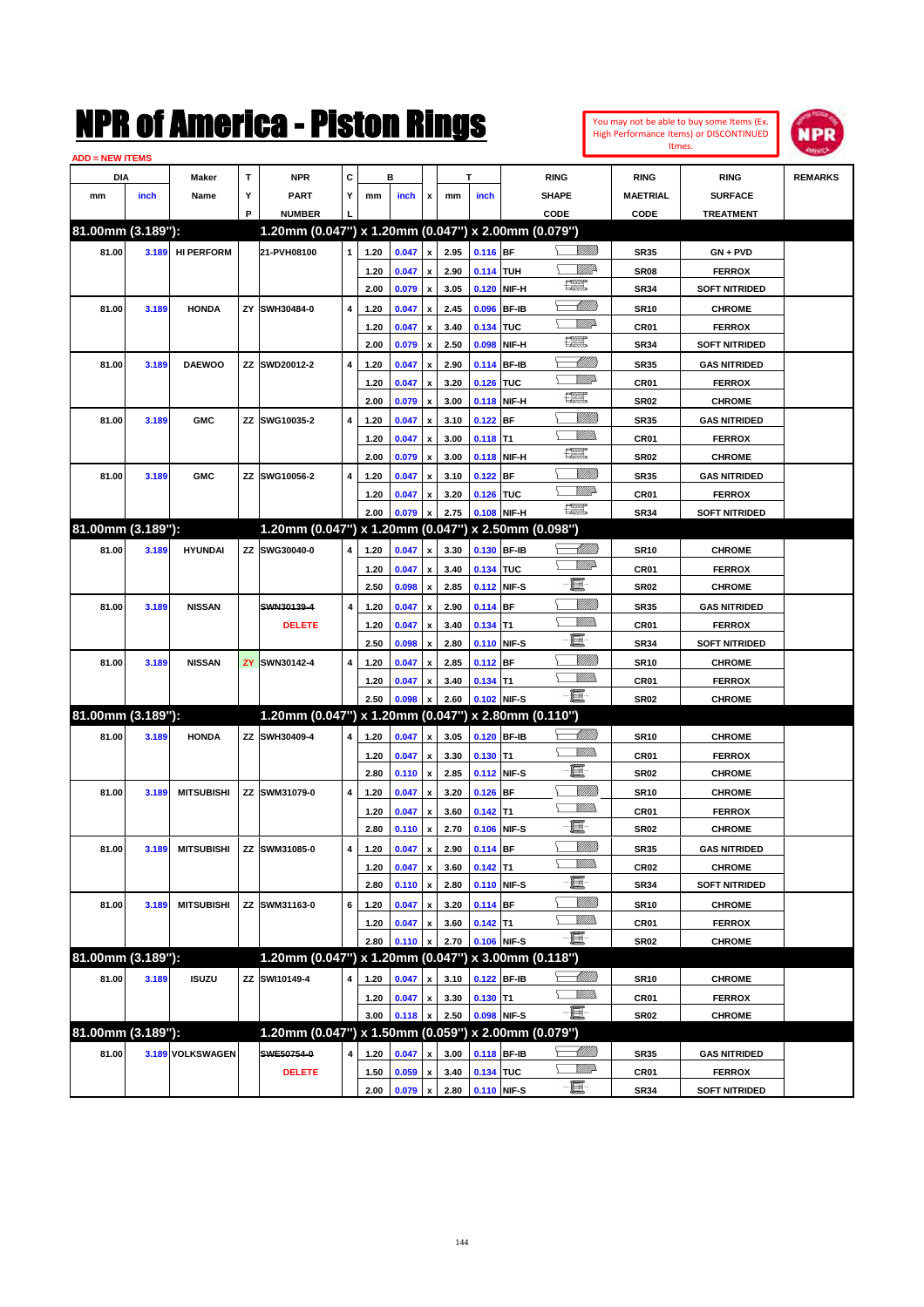#### You may not be able to buy some Items (Ex. High Performance Items) or DISCONTINUED Itmes.



| <b>ADD = NEW ITEMS</b> |       |                   |   |                                                     |              |      |       |                         |      |                  |             |                           |                  |                      |                |
|------------------------|-------|-------------------|---|-----------------------------------------------------|--------------|------|-------|-------------------------|------|------------------|-------------|---------------------------|------------------|----------------------|----------------|
| DIA                    |       | Maker             | т | <b>NPR</b>                                          | C            |      | в     |                         |      | T                |             | <b>RING</b>               | <b>RING</b>      | <b>RING</b>          | <b>REMARKS</b> |
| mm                     | inch  | Name              | Υ | <b>PART</b>                                         | Y            | mm   | inch  | x                       | mm   | inch             |             | <b>SHAPE</b>              | <b>MAETRIAL</b>  | <b>SURFACE</b>       |                |
|                        |       |                   | P | <b>NUMBER</b>                                       |              |      |       |                         |      |                  |             | CODE                      | CODE             | <b>TREATMENT</b>     |                |
| 81.00mm (3.189"):      |       |                   |   | 1.20mm (0.047") x 1.20mm (0.047") x 2.00mm (0.079") |              |      |       |                         |      |                  |             |                           |                  |                      |                |
| 81.00                  | 3.189 | <b>HI PERFORM</b> |   | 21-PVH08100                                         | $\mathbf{1}$ | 1.20 | 0.047 | $\pmb{\mathsf{x}}$      | 2.95 | $0.116$ BF       |             | <u>Sillilli</u>           | <b>SR35</b>      | $GN + PVD$           |                |
|                        |       |                   |   |                                                     |              | 1.20 | 0.047 | x                       | 2.90 | <b>0.114 TUH</b> |             | ₩₩                        | <b>SR08</b>      | <b>FERROX</b>        |                |
|                        |       |                   |   |                                                     |              | 2.00 | 0.079 | $\pmb{\mathsf{x}}$      | 3.05 |                  | 0.120 NIF-H | 瞟                         | <b>SR34</b>      | <b>SOFT NITRIDED</b> |                |
| 81.00                  | 3.189 | <b>HONDA</b>      |   | ZY SWH30484-0                                       | 4            | 1.20 | 0.047 | x                       | 2.45 |                  | 0.096 BF-IB | <u> UMM)</u>              | <b>SR10</b>      | <b>CHROME</b>        |                |
|                        |       |                   |   |                                                     |              | 1.20 | 0.047 | x                       | 3.40 | 0.134 TUC        |             | <u>VMD</u>                | CR01             | <b>FERROX</b>        |                |
|                        |       |                   |   |                                                     |              | 2.00 | 0.079 | $\pmb{\mathsf{x}}$      | 2.50 |                  | 0.098 NIF-H | H                         | <b>SR34</b>      | <b>SOFT NITRIDED</b> |                |
| 81.00                  | 3.189 | <b>DAEWOO</b>     |   | ZZ SWD20012-2                                       | 4            | 1.20 | 0.047 | x                       | 2.90 |                  | 0.114 BF-IB | <u> Millito</u>           | <b>SR35</b>      | <b>GAS NITRIDED</b>  |                |
|                        |       |                   |   |                                                     |              | 1.20 | 0.047 | x                       | 3.20 | 0.126 TUC        |             | <u>VMD</u>                | CR01             | <b>FERROX</b>        |                |
|                        |       |                   |   |                                                     |              | 2.00 | 0.079 | $\pmb{\mathsf{x}}$      | 3.00 |                  | 0.118 NIF-H | H                         | <b>SR02</b>      | <b>CHROME</b>        |                |
| 81.00                  | 3.189 | <b>GMC</b>        |   | ZZ SWG10035-2                                       | 4            | 1.20 | 0.047 | x                       | 3.10 | $0.122$ BF       |             | <u>Sillilli</u>           | <b>SR35</b>      | <b>GAS NITRIDED</b>  |                |
|                        |       |                   |   |                                                     |              | 1.20 | 0.047 | x                       | 3.00 | $0.118$ T1       |             | GMM)                      | CR01             | <b>FERROX</b>        |                |
|                        |       |                   |   |                                                     |              | 2.00 | 0.079 | x                       | 3.00 |                  | 0.118 NIF-H | H                         | <b>SR02</b>      | <b>CHROME</b>        |                |
| 81.00                  | 3.189 | <b>GMC</b>        |   | ZZ SWG10056-2                                       | 4            | 1.20 | 0.047 | x                       | 3.10 | $0.122$ BF       |             | <u>Sillilli</u>           | <b>SR35</b>      | <b>GAS NITRIDED</b>  |                |
|                        |       |                   |   |                                                     |              | 1.20 | 0.047 | x                       | 3.20 | 0.126 TUC        |             | <u>VMD</u>                | CR01             | <b>FERROX</b>        |                |
|                        |       |                   |   |                                                     |              | 2.00 | 0.079 | x                       | 2.75 |                  | 0.108 NIF-H | <b>The Control</b>        | <b>SR34</b>      | <b>SOFT NITRIDED</b> |                |
| 81.00mm (3.189"):      |       |                   |   | 1.20mm (0.047") x 1.20mm (0.047") x 2.50mm (0.098") |              |      |       |                         |      |                  |             |                           |                  |                      |                |
| 81.00                  | 3.189 | <b>HYUNDAI</b>    |   | ZZ SWG30040-0                                       | 4            | 1.20 | 0.047 | $\pmb{\mathsf{x}}$      | 3.30 |                  | 0.130 BF-IB | <u> Millitt</u>           | <b>SR10</b>      | <b>CHROME</b>        |                |
|                        |       |                   |   |                                                     |              | 1.20 | 0.047 |                         | 3.40 | 0.134 TUC        |             | <u>WW</u> A               | CR01             | <b>FERROX</b>        |                |
|                        |       |                   |   |                                                     |              | 2.50 | 0.098 | x<br>$\pmb{\mathsf{x}}$ | 2.85 |                  | 0.112 NIF-S | E                         | <b>SR02</b>      | <b>CHROME</b>        |                |
| 81.00                  | 3.189 | <b>NISSAN</b>     |   | SWN30139-4                                          | 4            | 1.20 | 0.047 |                         | 2.90 | 0.114 BF         |             | <u>Milli</u> k            | <b>SR35</b>      | <b>GAS NITRIDED</b>  |                |
|                        |       |                   |   | <b>DELETE</b>                                       |              | 1.20 | 0.047 | x                       | 3.40 | $0.134$ T1       |             | <br>Mar                   | CR01             | <b>FERROX</b>        |                |
|                        |       |                   |   |                                                     |              | 2.50 | 0.098 | x<br>x                  | 2.80 |                  | 0.110 NIF-S | e                         | <b>SR34</b>      | <b>SOFT NITRIDED</b> |                |
| 81.00                  | 3.189 | <b>NISSAN</b>     |   | <b>ZY SWN30142-4</b>                                | 4            | 1.20 | 0.047 |                         | 2.85 | 0.112 BF         |             | <u>Milli</u> k            | <b>SR10</b>      | <b>CHROME</b>        |                |
|                        |       |                   |   |                                                     |              | 1.20 | 0.047 | x                       | 3.40 | $0.134$ T1       |             | .<br>VMD                  | CR01             | <b>FERROX</b>        |                |
|                        |       |                   |   |                                                     |              | 2.50 | 0.098 | x<br>x                  | 2.60 |                  | 0.102 NIF-S | -8                        | <b>SR02</b>      | <b>CHROME</b>        |                |
| 81.00mm (3.189"):      |       |                   |   | 1.20mm (0.047") x 1.20mm (0.047") x 2.80mm (0.110") |              |      |       |                         |      |                  |             |                           |                  |                      |                |
|                        |       |                   |   |                                                     |              |      |       |                         |      |                  |             | <u> Millitto</u>          |                  |                      |                |
| 81.00                  | 3.189 | <b>HONDA</b>      |   | ZZ SWH30409-4                                       | 4            | 1.20 | 0.047 | $\pmb{\mathsf{x}}$      | 3.05 |                  | 0.120 BF-IB | <br>Mar                   | <b>SR10</b>      | <b>CHROME</b>        |                |
|                        |       |                   |   |                                                     |              | 1.20 | 0.047 | $\pmb{\mathsf{x}}$      | 3.30 | $0.130$ T1       |             | E                         | CR01             | <b>FERROX</b>        |                |
|                        |       |                   |   |                                                     |              | 2.80 | 0.110 | $\pmb{\mathsf{x}}$      | 2.85 |                  | 0.112 NIF-S | <u>Milli</u> k            | <b>SR02</b>      | <b>CHROME</b>        |                |
| 81.00                  | 3.189 | <b>MITSUBISHI</b> |   | ZZ SWM31079-0                                       | 4            | 1.20 | 0.047 | x                       | 3.20 | $0.126$ BF       |             | <br>Mar                   | <b>SR10</b>      | <b>CHROME</b>        |                |
|                        |       |                   |   |                                                     |              | 1.20 | 0.047 | x                       | 3.60 | $0.142$ T1       |             | e                         | CR01             | <b>FERROX</b>        |                |
|                        |       |                   |   |                                                     |              | 2.80 | 0.110 | $\pmb{\mathsf{x}}$      | 2.70 |                  | 0.106 NIF-S | <u>VMM</u>                | <b>SR02</b>      | <b>CHROME</b>        |                |
| 81.00                  | 3.189 | <b>MITSUBISHI</b> |   | ZZ SWM31085-0                                       | 4            | 1.20 | 0.047 | $\pmb{\mathsf{x}}$      | 2.90 | 0.114 BF         |             | <u>Willib</u>             | <b>SR35</b>      | <b>GAS NITRIDED</b>  |                |
|                        |       |                   |   |                                                     |              | 1.20 | 0.047 | $\pmb{\mathsf{x}}$      | 3.60 | $0.142$ T1       |             | E                         | CR <sub>02</sub> | <b>CHROME</b>        |                |
|                        |       |                   |   |                                                     |              | 2.80 | 0.110 | $\pmb{\mathsf{x}}$      | 2.80 |                  | 0.110 NIF-S |                           | <b>SR34</b>      | <b>SOFT NITRIDED</b> |                |
| 81.00                  | 3.189 | <b>MITSUBISHI</b> |   | ZZ SWM31163-0                                       | 6            | 1.20 | 0.047 | $\pmb{\mathsf{x}}$      | 3.20 | 0.114 BF         |             | <u>VMM</u><br><u>VMM)</u> | <b>SR10</b>      | <b>CHROME</b>        |                |
|                        |       |                   |   |                                                     |              | 1.20 | 0.047 | x                       | 3.60 | $0.142$ T1       |             | -E-                       | CR01             | <b>FERROX</b>        |                |
|                        |       |                   |   |                                                     |              | 2.80 | 0.110 | $\pmb{\mathsf{x}}$      | 2.70 |                  | 0.106 NIF-S |                           | SR02             | <b>CHROME</b>        |                |
| 81.00mm (3.189"):      |       |                   |   | 1.20mm (0.047") x 1.20mm (0.047") x 3.00mm (0.118") |              |      |       |                         |      |                  |             |                           |                  |                      |                |
| 81.00                  | 3.189 | <b>ISUZU</b>      |   | ZZ SWI10149-4                                       | 4            | 1.20 | 0.047 |                         | 3.10 |                  | 0.122 BF-IB |                           | <b>SR10</b>      | <b>CHROME</b>        |                |
|                        |       |                   |   |                                                     |              | 1.20 | 0.047 | $\pmb{\mathsf{x}}$      | 3.30 | $0.130$ T1       |             | <u>VMM)</u>               | CR01             | <b>FERROX</b>        |                |
|                        |       |                   |   |                                                     |              | 3.00 | 0.118 | x                       | 2.50 |                  | 0.098 NIF-S | -8                        | SR02             | <b>CHROME</b>        |                |
| 81.00mm (3.189"):      |       |                   |   | 1.20mm (0.047") x 1.50mm (0.059") x 2.00mm (0.079") |              |      |       |                         |      |                  |             |                           |                  |                      |                |
| 81.00                  |       | 3.189 VOLKSWAGEN  |   | SWE50754-0                                          | 4            | 1.20 | 0.047 | x                       | 3.00 |                  | 0.118 BF-IB | <u>- MMB</u>              | SR35             | <b>GAS NITRIDED</b>  |                |
|                        |       |                   |   | <b>DELETE</b>                                       |              | 1.50 | 0.059 | x                       | 3.40 | 0.134 TUC        |             | <u>Willia</u>             | CR01             | <b>FERROX</b>        |                |
|                        |       |                   |   |                                                     |              | 2.00 | 0.079 | $\pmb{\mathsf{x}}$      | 2.80 |                  | 0.110 NIF-S | -8                        | <b>SR34</b>      | <b>SOFT NITRIDED</b> |                |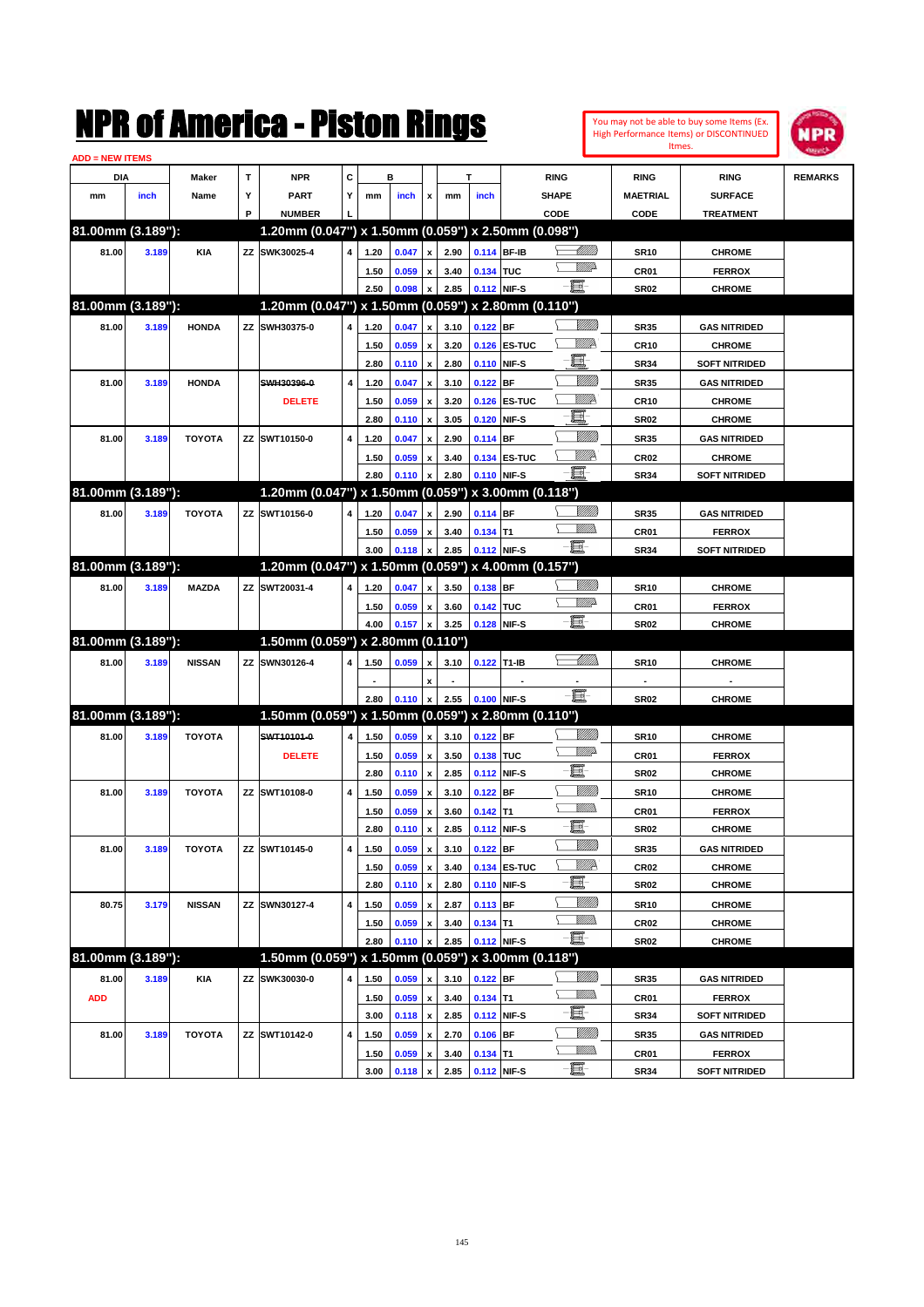| <b>ADD = NEW ITEMS</b> |       |               |    | NMK OI AINCrica - Miston Kings    |   |      |         |                           |              |             |                                                     |                       |                          | You may not be able to buy some Items (Ex.<br>High Performance Items) or DISCONTINUED<br>Itmes. | IPR            |
|------------------------|-------|---------------|----|-----------------------------------|---|------|---------|---------------------------|--------------|-------------|-----------------------------------------------------|-----------------------|--------------------------|-------------------------------------------------------------------------------------------------|----------------|
| DIA                    |       | Maker         | T  | <b>NPR</b>                        | C |      | в       |                           |              | T           | <b>RING</b>                                         |                       | <b>RING</b>              | <b>RING</b>                                                                                     | <b>REMARKS</b> |
| mm                     | inch  | Name          | Υ  | <b>PART</b>                       | Y | mm   | inch    | x                         | mm           | inch        | <b>SHAPE</b>                                        |                       | <b>MAETRIAL</b>          | <b>SURFACE</b>                                                                                  |                |
|                        |       |               | P  | <b>NUMBER</b>                     |   |      |         |                           |              |             | CODE                                                |                       | CODE                     | <b>TREATMENT</b>                                                                                |                |
| 81.00mm (3.189"):      |       |               |    |                                   |   |      |         |                           |              |             | 1.20mm (0.047") x 1.50mm (0.059") x 2.50mm (0.098") |                       |                          |                                                                                                 |                |
| 81.00                  | 3.189 | <b>KIA</b>    | ΖZ | SWK30025-4                        | 4 | 1.20 | 0.047   | $\pmb{\mathsf{x}}$        | 2.90         | 0.114 BF-IB |                                                     | 411111.               | <b>SR10</b>              | <b>CHROME</b>                                                                                   |                |
|                        |       |               |    |                                   |   | 1.50 | 0.059   | $\pmb{\mathsf{x}}$        | 3.40         | 0.134 TUC   |                                                     | <u>MMP</u>            | CR01                     | <b>FERROX</b>                                                                                   |                |
|                        |       |               |    |                                   |   | 2.50 | 0.098   | $\pmb{\mathsf{x}}$        | 2.85         | 0.112 NIF-S | EF-                                                 |                       | <b>SR02</b>              | <b>CHROME</b>                                                                                   |                |
| 81.00mm (3.189"):      |       |               |    |                                   |   |      |         |                           |              |             | 1.20mm (0.047") x 1.50mm (0.059") x 2.80mm (0.110") |                       |                          |                                                                                                 |                |
| 81.00                  | 3.189 | <b>HONDA</b>  | ΖZ | SWH30375-0                        | 4 | 1.20 | 0.047   | $\pmb{\mathsf{x}}$        | 3.10         | 0.122 BF    |                                                     | <u>VIII M</u>         | <b>SR35</b>              | <b>GAS NITRIDED</b>                                                                             |                |
|                        |       |               |    |                                   |   | 1.50 | 0.059   | $\pmb{\mathsf{x}}$        | 3.20         |             | 0.126 ES-TUC                                        | <u>Willik</u>         | <b>CR10</b>              | <b>CHROME</b>                                                                                   |                |
|                        |       |               |    |                                   |   | 2.80 | 0.110   | $\pmb{\mathsf{x}}$        | 2.80         |             | 0.110 NIF-S                                         | E                     | <b>SR34</b>              | <b>SOFT NITRIDED</b>                                                                            |                |
| 81.00                  | 3.189 | <b>HONDA</b>  |    | SWH30396-0                        | 4 | 1.20 | 0.047   | $\pmb{\mathsf{x}}$        | 3.10         | 0.122       | <b>BF</b>                                           | <u>VIIII</u>          | <b>SR35</b>              | <b>GAS NITRIDED</b>                                                                             |                |
|                        |       |               |    | <b>DELETE</b>                     |   | 1.50 | 0.059   | $\pmb{\mathsf{x}}$        | 3.20         | 0.126       | <b>ES-TUC</b>                                       | <u>Willik</u>         | <b>CR10</b>              | <b>CHROME</b>                                                                                   |                |
|                        |       |               |    |                                   |   | 2.80 | 0.110   | $\boldsymbol{\mathsf{x}}$ | 3.05         | 0.120       | NIF-S                                               | E                     | <b>SR02</b>              | <b>CHROME</b>                                                                                   |                |
| 81.00                  | 3.189 | <b>TOYOTA</b> |    | ZZ SWT10150-0                     | 4 | 1.20 | 0.047   | $\pmb{\mathsf{x}}$        | 2.90         | 0.114 BF    |                                                     | <u>VIIII</u>          | <b>SR35</b>              | <b>GAS NITRIDED</b>                                                                             |                |
|                        |       |               |    |                                   |   | 1.50 | 0.059   | $\pmb{\mathsf{x}}$        | 3.40         |             | 0.134 ES-TUC                                        | Willik                | CR <sub>02</sub>         | <b>CHROME</b>                                                                                   |                |
|                        |       |               |    |                                   |   | 2.80 | 0.110   | X                         | 2.80         |             | 0.110 NIF-S                                         | E.                    | <b>SR34</b>              | <b>SOFT NITRIDED</b>                                                                            |                |
| 81.00mm (3.189"):      |       |               |    |                                   |   |      |         |                           |              |             | 1.20mm (0.047") x 1.50mm (0.059") x 3.00mm (0.118") |                       |                          |                                                                                                 |                |
| 81.00                  | 3.189 | <b>TOYOTA</b> |    | ZZ SWT10156-0                     | 4 | 1.20 | 0.047   | $\pmb{\mathsf{x}}$        | 2.90         | 0.114 BF    |                                                     | <u>VIII M</u>         | <b>SR35</b>              | <b>GAS NITRIDED</b>                                                                             |                |
|                        |       |               |    |                                   |   | 1.50 | 0.059   | $\pmb{\mathsf{x}}$        | 3.40         | $0.134$ T1  |                                                     | .<br>VMD              | CR01                     | <b>FERROX</b>                                                                                   |                |
|                        |       |               |    |                                   |   | 3.00 | 0.118   | X                         | 2.85         | 0.112 NIF-S | E.                                                  |                       | <b>SR34</b>              | <b>SOFT NITRIDED</b>                                                                            |                |
| 81.00mm (3.189"):      |       |               |    |                                   |   |      |         |                           |              |             | 1.20mm (0.047") x 1.50mm (0.059") x 4.00mm (0.157") |                       |                          |                                                                                                 |                |
|                        | 3.189 | <b>MAZDA</b>  |    | ZZ SWT20031-4                     | 4 |      | 0.047   |                           | 3.50         | 0.138 BF    |                                                     | <u>VIIIIn</u>         |                          | <b>CHROME</b>                                                                                   |                |
| 81.00                  |       |               |    |                                   |   | 1.20 |         | $\pmb{\mathsf{x}}$        |              |             |                                                     | <u>MMP</u>            | <b>SR10</b>              |                                                                                                 |                |
|                        |       |               |    |                                   |   | 1.50 | 0.059   | $\pmb{\mathsf{x}}$        | 3.60<br>3.25 | 0.142 TUC   | EI-<br>0.128 NIF-S                                  |                       | CR01<br><b>SR02</b>      | <b>FERROX</b>                                                                                   |                |
| 81.00mm (3.189"):      |       |               |    | 1.50mm (0.059") x 2.80mm (0.110") |   | 4.00 | 0.157   | $\pmb{\mathsf{x}}$        |              |             |                                                     |                       |                          | <b>CHROME</b>                                                                                   |                |
|                        |       |               |    |                                   |   |      |         |                           |              |             |                                                     | <u>UMB</u>            |                          |                                                                                                 |                |
| 81.00                  | 3.189 | <b>NISSAN</b> | ΖZ | SWN30126-4                        | 4 | 1.50 | 0.059   | $\pmb{\mathsf{x}}$        | 3.10         | 0.122       | T <sub>1-IB</sub>                                   |                       | <b>SR10</b>              | <b>CHROME</b>                                                                                   |                |
|                        |       |               |    |                                   |   |      |         | $\pmb{\mathsf{x}}$        |              |             |                                                     | E                     | $\overline{\phantom{a}}$ |                                                                                                 |                |
| 81.00mm (3.189"):      |       |               |    |                                   |   | 2.80 | 0.110   | $\pmb{\mathsf{x}}$        | 2.55         | 0.100 NIF-S | 1.50mm (0.059") x 1.50mm (0.059") x 2.80mm (0.110") |                       | <b>SR02</b>              | <b>CHROME</b>                                                                                   |                |
|                        |       |               |    |                                   |   |      |         |                           |              |             |                                                     | <u>VIII M</u>         |                          |                                                                                                 |                |
| 81.00                  | 3.189 | <b>TOYOTA</b> |    | SWT10101-0                        | 4 | 1.50 | 0.059   | $\pmb{\mathsf{x}}$        | 3.10         | 0.122 BF    |                                                     | <u>MMP</u>            | <b>SR10</b>              | <b>CHROME</b>                                                                                   |                |
|                        |       |               |    | <b>DELETE</b>                     |   | 1.50 | 0.059   | $\pmb{\mathsf{x}}$        | 3.50         | 0.138 TUC   | E                                                   |                       | CR01                     | <b>FERROX</b>                                                                                   |                |
|                        |       |               |    |                                   |   | 2.80 | 0.110   | $\pmb{\mathsf{x}}$        | 2.85         | 0.112       | NIF-S                                               |                       | <b>SR02</b>              | <b>CHROME</b>                                                                                   |                |
| 81.00                  | 3.189 | <b>TOYOTA</b> | ΖZ | SWT10108-0                        | 4 | 1.50 | 0.059   | $\pmb{\mathsf{x}}$        | 3.10         | 0.122 BF    |                                                     | <u>MMM</u><br><br>Mar | <b>SR10</b>              | <b>CHROME</b>                                                                                   |                |
|                        |       |               |    |                                   |   | 1.50 | 0.059   | $\pmb{\mathsf{x}}$        | 3.60         | $0.142$ T1  | e.                                                  |                       | CR01                     | <b>FERROX</b>                                                                                   |                |
|                        |       |               |    |                                   |   | 2.80 | 0.110 x |                           | 2.85         |             | 0.112 NIF-S                                         |                       | SR02                     | <b>CHROME</b>                                                                                   |                |
| 81.00                  | 3.189 | <b>TOYOTA</b> |    | ZZ SWT10145-0                     | 4 | 1.50 | 0.059   | $\pmb{\mathsf{x}}$        | 3.10         | $0.122$ BF  |                                                     | Milli                 | <b>SR35</b>              | <b>GAS NITRIDED</b>                                                                             |                |
|                        |       |               |    |                                   |   | 1.50 | 0.059   | $\pmb{\mathsf{x}}$        | 3.40         |             | 0.134 ES-TUC                                        | <u>VIIIA</u><br>E-    | CR <sub>02</sub>         | <b>CHROME</b>                                                                                   |                |
|                        |       |               |    |                                   |   | 2.80 | 0.110   | $\pmb{\mathsf{x}}$        | 2.80         |             | 0.110 NIF-S                                         |                       | <b>SR02</b>              | <b>CHROME</b>                                                                                   |                |
| 80.75                  | 3.179 | <b>NISSAN</b> |    | ZZ SWN30127-4                     | 4 | 1.50 | 0.059   | $\pmb{\mathsf{x}}$        | 2.87         | $0.113$ BF  |                                                     | <u>VIIII</u> )        | SR10                     | <b>CHROME</b>                                                                                   |                |
|                        |       |               |    |                                   |   | 1.50 | 0.059   | $\pmb{\mathsf{x}}$        | 3.40         | $0.134$ T1  |                                                     | <u>Willib</u>         | CR <sub>02</sub>         | <b>CHROME</b>                                                                                   |                |
|                        |       |               |    |                                   |   | 2.80 | 0.110   | $\pmb{\mathsf{x}}$        | 2.85         |             | E<br>0.112 NIF-S                                    |                       | SR02                     | <b>CHROME</b>                                                                                   |                |
| 81.00mm (3.189"):      |       |               |    |                                   |   |      |         |                           |              |             | 1.50mm (0.059") x 1.50mm (0.059") x 3.00mm (0.118") |                       |                          |                                                                                                 |                |
| 81.00                  | 3.189 | <b>KIA</b>    |    | ZZ SWK30030-0                     | 4 | 1.50 | 0.059   | $\pmb{\mathsf{x}}$        | 3.10         | 0.122 BF    |                                                     | <u>VMM</u>            | SR35                     | <b>GAS NITRIDED</b>                                                                             |                |
| <b>ADD</b>             |       |               |    |                                   |   | 1.50 | 0.059   | $\pmb{\mathsf{x}}$        | 3.40         | $0.134$ T1  |                                                     | <u>MM)</u>            | CR01                     | <b>FERROX</b>                                                                                   |                |
|                        |       |               |    |                                   |   | 3.00 | 0.118   | $\pmb{\mathsf{x}}$        | 2.85         |             | E<br>0.112 NIF-S                                    |                       | SR34                     | SOFT NITRIDED                                                                                   |                |
| 81.00                  | 3.189 | <b>TOYOTA</b> |    | ZZ SWT10142-0                     | 4 | 1.50 | 0.059   | $\pmb{\mathsf{x}}$        | 2.70         | 0.106 BF    |                                                     | <u>VMM</u>            | <b>SR35</b>              | <b>GAS NITRIDED</b>                                                                             |                |
|                        |       |               |    |                                   |   | 1.50 | 0.059   | $\pmb{\mathsf{x}}$        | 3.40         | $0.134$ T1  |                                                     | <u>Willib</u>         | CR01                     | <b>FERROX</b>                                                                                   |                |
|                        |       |               |    |                                   |   | 3.00 | 0.118   | $\pmb{\mathsf{x}}$        | 2.85         |             | e.<br>0.112 NIF-S                                   |                       | <b>SR34</b>              | <b>SOFT NITRIDED</b>                                                                            |                |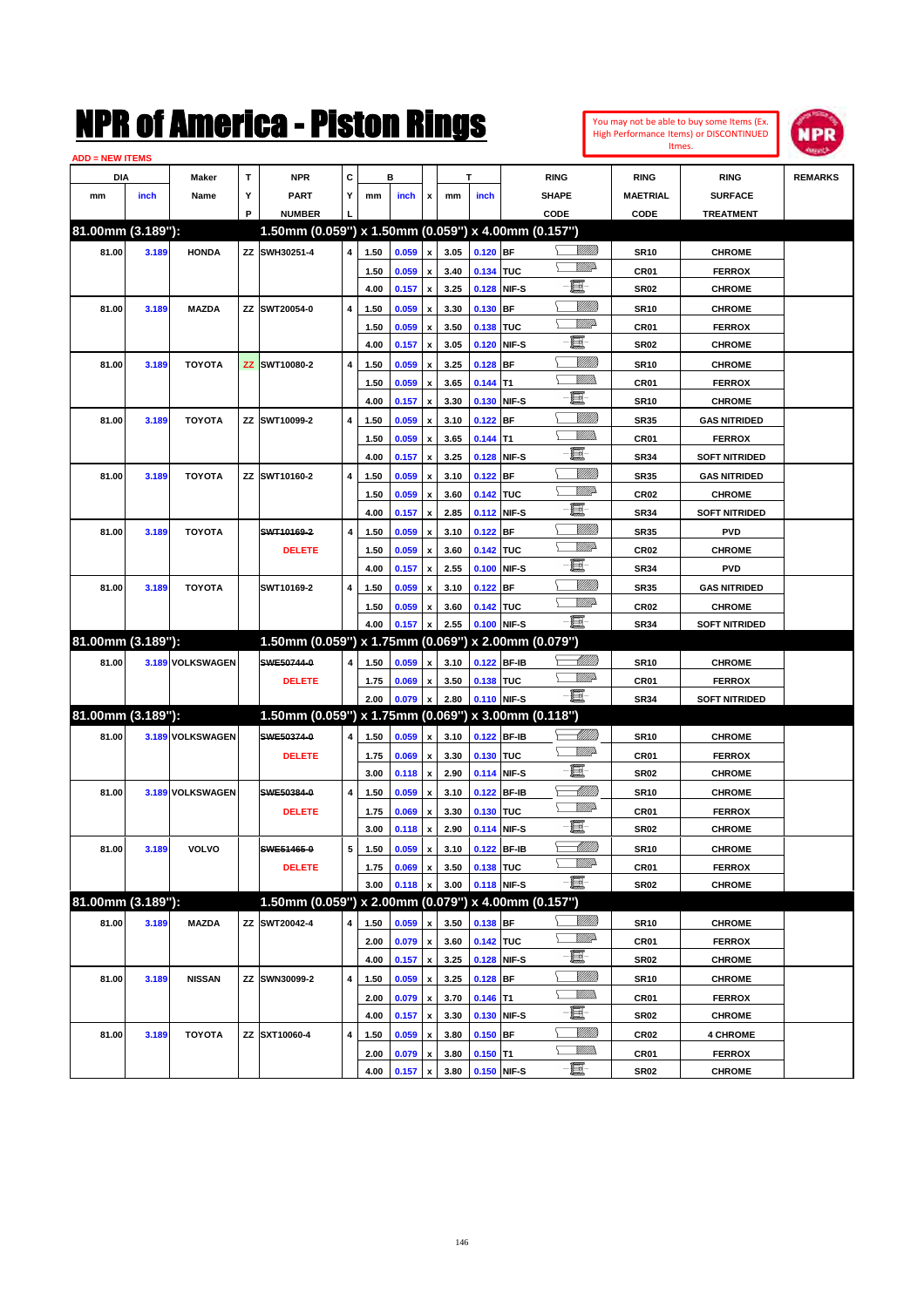| You may not be able to buy some Items (Ex. |
|--------------------------------------------|
| High Performance Items) or DISCONTINUED    |
| Itmes.                                     |



| <b>ADD = NEW ITEMS</b> |       |                  |   |                                                     |   |      |       |                         |      |             |             |                             |                  |                      |                |
|------------------------|-------|------------------|---|-----------------------------------------------------|---|------|-------|-------------------------|------|-------------|-------------|-----------------------------|------------------|----------------------|----------------|
| DIA                    |       | Maker            | T | <b>NPR</b>                                          | C |      | в     |                         |      | T           |             | <b>RING</b>                 | <b>RING</b>      | <b>RING</b>          | <b>REMARKS</b> |
| mm                     | inch  | Name             | Υ | <b>PART</b>                                         | Y | mm   | inch  | x                       | mm   | inch        |             | <b>SHAPE</b>                | <b>MAETRIAL</b>  | <b>SURFACE</b>       |                |
|                        |       |                  | P | <b>NUMBER</b>                                       |   |      |       |                         |      |             |             | CODE                        | CODE             | <b>TREATMENT</b>     |                |
| 81.00mm (3.189"):      |       |                  |   | 1.50mm (0.059") x 1.50mm (0.059") x 4.00mm (0.157") |   |      |       |                         |      |             |             |                             |                  |                      |                |
| 81.00                  | 3.189 | <b>HONDA</b>     |   | ZZ SWH30251-4                                       | 4 | 1.50 | 0.059 | $\pmb{\mathsf{x}}$      | 3.05 | $0.120$ BF  |             | <u>Villida</u>              | <b>SR10</b>      | <b>CHROME</b>        |                |
|                        |       |                  |   |                                                     |   | 1.50 | 0.059 | $\pmb{\mathsf{x}}$      | 3.40 | 0.134 TUC   |             | <u>VMD</u>                  | CR01             | <b>FERROX</b>        |                |
|                        |       |                  |   |                                                     |   | 4.00 | 0.157 | $\pmb{\mathsf{x}}$      | 3.25 |             | 0.128 NIF-S | e                           | <b>SR02</b>      | <b>CHROME</b>        |                |
| 81.00                  | 3.189 | <b>MAZDA</b>     |   | ZZ SWT20054-0                                       | 4 | 1.50 | 0.059 | x                       | 3.30 | 0.130 BF    |             | <u>Sillilli</u>             | <b>SR10</b>      | <b>CHROME</b>        |                |
|                        |       |                  |   |                                                     |   | 1.50 | 0.059 | x                       | 3.50 | 0.138 TUC   |             | <u>VMD</u>                  | CR01             | <b>FERROX</b>        |                |
|                        |       |                  |   |                                                     |   | 4.00 | 0.157 | $\pmb{\mathsf{x}}$      | 3.05 |             | 0.120 NIF-S | e                           | <b>SR02</b>      | <b>CHROME</b>        |                |
| 81.00                  | 3.189 | <b>TOYOTA</b>    |   | ZZ SWT10080-2                                       | 4 | 1.50 | 0.059 | x                       | 3.25 | $0.128$ BF  |             | <u>Sillilli</u>             | <b>SR10</b>      | <b>CHROME</b>        |                |
|                        |       |                  |   |                                                     |   | 1.50 | 0.059 | x                       | 3.65 | $0.144$ T1  |             |                             | CR01             | <b>FERROX</b>        |                |
|                        |       |                  |   |                                                     |   | 4.00 | 0.157 | $\pmb{\mathsf{x}}$      | 3.30 |             | 0.130 NIF-S | e                           | <b>SR10</b>      | <b>CHROME</b>        |                |
| 81.00                  | 3.189 | <b>TOYOTA</b>    |   | ZZ SWT10099-2                                       | 4 | 1.50 | 0.059 | x                       | 3.10 | $0.122$ BF  |             | <u>Sillilli</u>             | <b>SR35</b>      | <b>GAS NITRIDED</b>  |                |
|                        |       |                  |   |                                                     |   | 1.50 | 0.059 | x                       | 3.65 | $0.144$ T1  |             | <br>Mad                     | CR01             | <b>FERROX</b>        |                |
|                        |       |                  |   |                                                     |   | 4.00 | 0.157 | $\pmb{\mathsf{x}}$      | 3.25 |             | 0.128 NIF-S | E                           | <b>SR34</b>      | <b>SOFT NITRIDED</b> |                |
| 81.00                  | 3.189 | <b>TOYOTA</b>    |   | ZZ SWT10160-2                                       | 4 | 1.50 | 0.059 | x                       | 3.10 | $0.122$ BF  |             | <u>Sillilli</u>             | <b>SR35</b>      | <b>GAS NITRIDED</b>  |                |
|                        |       |                  |   |                                                     |   | 1.50 | 0.059 | x                       | 3.60 | 0.142 TUC   |             | <u>VMD</u>                  | CR <sub>02</sub> | <b>CHROME</b>        |                |
|                        |       |                  |   |                                                     |   | 4.00 | 0.157 | $\pmb{\mathsf{x}}$      | 2.85 |             | 0.112 NIF-S | e                           | <b>SR34</b>      | <b>SOFT NITRIDED</b> |                |
| 81.00                  | 3.189 | <b>TOYOTA</b>    |   | SWT10169-2                                          | 4 | 1.50 | 0.059 | x                       | 3.10 | $0.122$ BF  |             | <u>Sillilli</u>             | <b>SR35</b>      | <b>PVD</b>           |                |
|                        |       |                  |   | <b>DELETE</b>                                       |   | 1.50 | 0.059 | x                       | 3.60 | 0.142 TUC   |             | <u>VMD</u>                  | CR <sub>02</sub> | <b>CHROME</b>        |                |
|                        |       |                  |   |                                                     |   | 4.00 | 0.157 | x                       | 2.55 |             | 0.100 NIF-S | e                           | <b>SR34</b>      | PVD                  |                |
| 81.00                  | 3.189 | <b>TOYOTA</b>    |   | SWT10169-2                                          | 4 | 1.50 | 0.059 | x                       | 3.10 | $0.122$ BF  |             | <u>Sillilli</u>             | <b>SR35</b>      | <b>GAS NITRIDED</b>  |                |
|                        |       |                  |   |                                                     |   | 1.50 | 0.059 |                         | 3.60 | 0.142 TUC   |             | <u>VMD</u>                  | CR <sub>02</sub> | <b>CHROME</b>        |                |
|                        |       |                  |   |                                                     |   | 4.00 | 0.157 | x<br>$\pmb{\mathsf{x}}$ | 2.55 |             | 0.100 NIF-S | -8                          | <b>SR34</b>      | <b>SOFT NITRIDED</b> |                |
| 81.00mm (3.189"):      |       |                  |   | 1.50mm (0.059") x 1.75mm (0.069") x 2.00mm (0.079") |   |      |       |                         |      |             |             |                             |                  |                      |                |
|                        |       |                  |   | SWE50744-0                                          |   |      |       |                         |      |             |             | <u> UMB</u>                 |                  |                      |                |
| 81.00                  |       | 3.189 VOLKSWAGEN |   |                                                     | 4 | 1.50 | 0.059 | x                       | 3.10 |             | 0.122 BF-IB | <u>WW</u> A                 | <b>SR10</b>      | <b>CHROME</b>        |                |
|                        |       |                  |   | <b>DELETE</b>                                       |   | 1.75 | 0.069 | x                       | 3.50 | 0.138 TUC   | 0.110 NIF-S | -8                          | CR01             | <b>FERROX</b>        |                |
| 81.00mm (3.189"):      |       |                  |   | 1.50mm (0.059") x 1.75mm (0.069") x 3.00mm (0.118") |   | 2.00 | 0.079 | $\pmb{\mathsf{x}}$      | 2.80 |             |             |                             | <b>SR34</b>      | <b>SOFT NITRIDED</b> |                |
|                        |       |                  |   |                                                     |   |      |       |                         |      |             |             | <u> UMB</u>                 |                  |                      |                |
| 81.00                  |       | 3.189 VOLKSWAGEN |   | SWE50374-0                                          | 4 | 1.50 | 0.059 | $\pmb{\mathsf{x}}$      | 3.10 |             | 0.122 BF-IB | <u>WW</u> A                 | <b>SR10</b>      | <b>CHROME</b>        |                |
|                        |       |                  |   | <b>DELETE</b>                                       |   | 1.75 | 0.069 | $\pmb{\mathsf{x}}$      | 3.30 | 0.130 TUC   |             | e                           | CR01             | <b>FERROX</b>        |                |
|                        |       |                  |   |                                                     |   | 3.00 | 0.118 | $\pmb{\mathsf{x}}$      | 2.90 |             | 0.114 NIF-S |                             | <b>SR02</b>      | <b>CHROME</b>        |                |
| 81.00                  |       | 3.189 VOLKSWAGEN |   | SWE50384-0                                          | 4 | 1.50 | 0.059 | x                       | 3.10 |             | 0.122 BF-IB | MMB<br><u>WW</u> A          | <b>SR10</b>      | <b>CHROME</b>        |                |
|                        |       |                  |   | <b>DELETE</b>                                       |   | 1.75 | 0.069 | x                       | 3.30 | 0.130 TUC   |             | e                           | CR01             | <b>FERROX</b>        |                |
|                        |       |                  |   |                                                     |   | 3.00 | 0.118 | $\pmb{\mathsf{x}}$      | 2.90 |             | 0.114 NIF-S |                             | <b>SR02</b>      | <b>CHROME</b>        |                |
| 81.00                  | 3.189 | VOLVO            |   | SWE51465-0                                          | 5 | 1.50 | 0.059 | $\pmb{\mathsf{x}}$      | 3.10 | 0.122 BF-IB |             | <u> MM))</u><br><u>WW</u> A | <b>SR10</b>      | <b>CHROME</b>        |                |
|                        |       |                  |   | <b>DELETE</b>                                       |   | 1.75 | 0.069 | x                       | 3.50 | 0.138 TUC   |             |                             | CR01             | <b>FERROX</b>        |                |
|                        |       |                  |   |                                                     |   | 3.00 | 0.118 | $\pmb{\mathsf{x}}$      | 3.00 |             | 0.118 NIF-S | -8                          | SR02             | <b>CHROME</b>        |                |
| 81.00mm (3.189"):      |       |                  |   | 1.50mm (0.059") x 2.00mm (0.079") x 4.00mm (0.157") |   |      |       |                         |      |             |             |                             |                  |                      |                |
| 81.00                  | 3.189 | <b>MAZDA</b>     |   | ZZ SWT20042-4                                       | 4 | 1.50 | 0.059 | x                       | 3.50 | $0.138$ BF  |             | <u>VIIII)</u>               | <b>SR10</b>      | <b>CHROME</b>        |                |
|                        |       |                  |   |                                                     |   | 2.00 | 0.079 | $\pmb{\mathsf{x}}$      | 3.60 | 0.142 TUC   |             | <u>VM</u> A                 | CR01             | <b>FERROX</b>        |                |
|                        |       |                  |   |                                                     |   | 4.00 | 0.157 | $\pmb{\mathsf{x}}$      | 3.25 |             | 0.128 NIF-S | e.                          | <b>SR02</b>      | <b>CHROME</b>        |                |
| 81.00                  | 3.189 | <b>NISSAN</b>    |   | ZZ SWN30099-2                                       | 4 | 1.50 | 0.059 | x                       | 3.25 | $0.128$ BF  |             | <u>VIIII</u> )              | <b>SR10</b>      | <b>CHROME</b>        |                |
|                        |       |                  |   |                                                     |   | 2.00 | 0.079 | x                       | 3.70 | $0.146$ T1  |             | <u>Willib</u>               | CR01             | <b>FERROX</b>        |                |
|                        |       |                  |   |                                                     |   | 4.00 | 0.157 | $\pmb{\mathsf{x}}$      | 3.30 |             | 0.130 NIF-S | E-                          | <b>SR02</b>      | <b>CHROME</b>        |                |
| 81.00                  | 3.189 | <b>TOYOTA</b>    |   | ZZ SXT10060-4                                       | 4 | 1.50 | 0.059 | x                       | 3.80 | $0.150$ BF  |             | <u>VIIII)</u>               | CR <sub>02</sub> | <b>4 CHROME</b>      |                |
|                        |       |                  |   |                                                     |   | 2.00 | 0.079 | x                       | 3.80 | $0.150$ T1  |             | <u>VMMs</u>                 | CR01             | <b>FERROX</b>        |                |
|                        |       |                  |   |                                                     |   | 4.00 | 0.157 | $\pmb{\mathsf{x}}$      | 3.80 | 0.150 NIF-S |             | $-\Xi$                      | <b>SR02</b>      | <b>CHROME</b>        |                |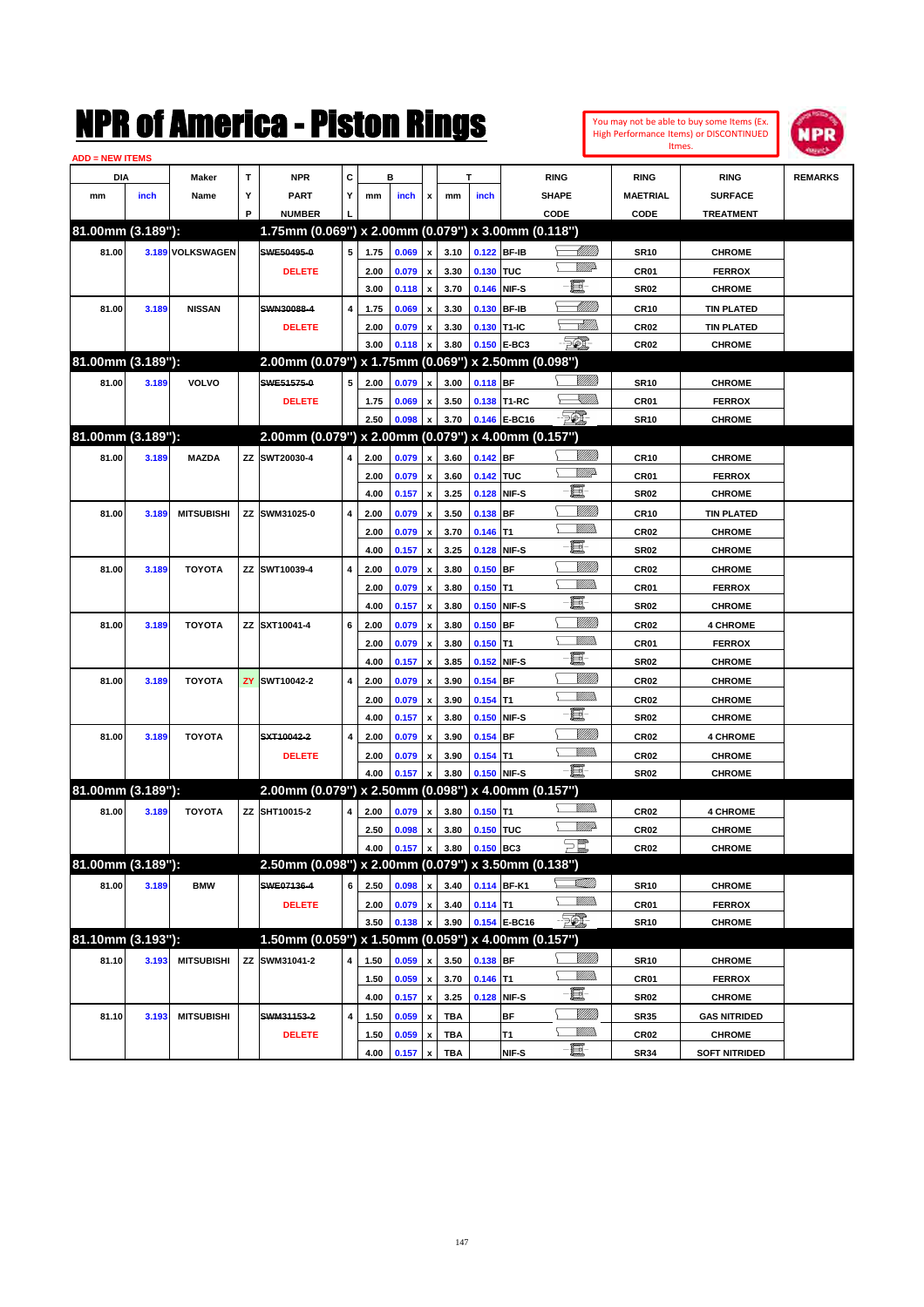| You may not be able to buy some Items (Ex. |
|--------------------------------------------|
| High Performance Items) or DISCONTINUED    |
| Itmes.                                     |



| <b>ADD = NEW ITEMS</b> |       |                   |   |                                                     |   |      |       |                           |      |             |              |                  |                  |                      |                |
|------------------------|-------|-------------------|---|-----------------------------------------------------|---|------|-------|---------------------------|------|-------------|--------------|------------------|------------------|----------------------|----------------|
| DIA                    |       | Maker             | T | <b>NPR</b>                                          | C |      | в     |                           |      | T           |              | <b>RING</b>      | <b>RING</b>      | <b>RING</b>          | <b>REMARKS</b> |
| mm                     | inch  | Name              | Υ | <b>PART</b>                                         | Y | mm   | inch  | x                         | mm   | inch        |              | <b>SHAPE</b>     | <b>MAETRIAL</b>  | <b>SURFACE</b>       |                |
|                        |       |                   | P | <b>NUMBER</b>                                       |   |      |       |                           |      |             |              | CODE             | CODE             | <b>TREATMENT</b>     |                |
| 81.00mm (3.189"):      |       |                   |   | 1.75mm (0.069") x 2.00mm (0.079") x 3.00mm (0.118") |   |      |       |                           |      |             |              |                  |                  |                      |                |
| 81.00                  |       | 3.189 VOLKSWAGEN  |   | SWE50495-0                                          | 5 | 1.75 | 0.069 | x                         | 3.10 | 0.122 BF-IB |              | <u> UMB</u>      | <b>SR10</b>      | <b>CHROME</b>        |                |
|                        |       |                   |   | <b>DELETE</b>                                       |   | 2.00 | 0.079 | x                         | 3.30 | 0.130 TUC   |              | <u>WW</u> A      | CR01             | <b>FERROX</b>        |                |
|                        |       |                   |   |                                                     |   | 3.00 | 0.118 | $\pmb{\mathsf{x}}$        | 3.70 | 0.146 NIF-S |              | e                | <b>SR02</b>      | <b>CHROME</b>        |                |
| 81.00                  | 3.189 | <b>NISSAN</b>     |   | SWN30088-4                                          | 4 | 1.75 | 0.069 | x                         | 3.30 | 0.130 BF-IB |              | <u>UMB</u>       | <b>CR10</b>      | <b>TIN PLATED</b>    |                |
|                        |       |                   |   | <b>DELETE</b>                                       |   | 2.00 | 0.079 | x                         | 3.30 | 0.130 T1-IC |              | <u>Allittiin</u> | CR <sub>02</sub> | <b>TIN PLATED</b>    |                |
|                        |       |                   |   |                                                     |   | 3.00 | 0.118 | x                         | 3.80 |             | 0.150 E-BC3  | EO)              | CR <sub>02</sub> | <b>CHROME</b>        |                |
| 81.00mm (3.189"):      |       |                   |   | 2.00mm (0.079") x 1.75mm (0.069") x 2.50mm (0.098") |   |      |       |                           |      |             |              |                  |                  |                      |                |
| 81.00                  | 3.189 | VOLVO             |   | SWE51575-0                                          | 5 | 2.00 | 0.079 | x                         | 3.00 | 0.118 BF    |              | <u>VIIII)</u>    | <b>SR10</b>      | <b>CHROME</b>        |                |
|                        |       |                   |   | <b>DELETE</b>                                       |   | 1.75 | 0.069 | x                         | 3.50 |             | 0.138 T1-RC  | <u>UMB</u>       | CR01             | <b>FERROX</b>        |                |
|                        |       |                   |   |                                                     |   | 2.50 | 0.098 | x                         | 3.70 |             | 0.146 E-BC16 | - 50)            | <b>SR10</b>      | <b>CHROME</b>        |                |
| 81.00mm (3.189"):      |       |                   |   | 2.00mm (0.079") x 2.00mm (0.079") x 4.00mm (0.157") |   |      |       |                           |      |             |              |                  |                  |                      |                |
| 81.00                  | 3.189 | <b>MAZDA</b>      |   | ZZ SWT20030-4                                       | 4 | 2.00 | 0.079 | x                         | 3.60 | $0.142$ BF  |              | <u>Sillilli</u>  | <b>CR10</b>      | <b>CHROME</b>        |                |
|                        |       |                   |   |                                                     |   | 2.00 | 0.079 | x                         | 3.60 | 0.142 TUC   |              | <u>WW</u> A      | CR01             | <b>FERROX</b>        |                |
|                        |       |                   |   |                                                     |   | 4.00 | 0.157 | $\pmb{\mathsf{x}}$        | 3.25 | 0.128 NIF-S |              | e                | <b>SR02</b>      | <b>CHROME</b>        |                |
| 81.00                  | 3.189 | <b>MITSUBISHI</b> |   | ZZ SWM31025-0                                       | 4 | 2.00 | 0.079 | x                         | 3.50 | $0.138$ BF  |              | <u>Milli</u> k   | <b>CR10</b>      | <b>TIN PLATED</b>    |                |
|                        |       |                   |   |                                                     |   | 2.00 | 0.079 | x                         | 3.70 | $0.146$ T1  |              | VM))             | <b>CR02</b>      | <b>CHROME</b>        |                |
|                        |       |                   |   |                                                     |   | 4.00 | 0.157 | x                         | 3.25 | 0.128 NIF-S |              | e                | <b>SR02</b>      | <b>CHROME</b>        |                |
| 81.00                  | 3.189 | <b>TOYOTA</b>     |   | ZZ SWT10039-4                                       | 4 | 2.00 | 0.079 | x                         | 3.80 | $0.150$ BF  |              | <u>Milli</u>     | <b>CR02</b>      | <b>CHROME</b>        |                |
|                        |       |                   |   |                                                     |   | 2.00 | 0.079 | x                         | 3.80 | $0.150$ T1  |              | VM))             | CR01             | <b>FERROX</b>        |                |
|                        |       |                   |   |                                                     |   | 4.00 | 0.157 | x                         | 3.80 | 0.150 NIF-S |              | E                | <b>SR02</b>      | <b>CHROME</b>        |                |
| 81.00                  | 3.189 | <b>TOYOTA</b>     |   | ZZ SXT10041-4                                       | 6 | 2.00 | 0.079 | x                         | 3.80 | $0.150$ BF  |              |                  | <b>CR02</b>      | <b>4 CHROME</b>      |                |
|                        |       |                   |   |                                                     |   | 2.00 | 0.079 | $\boldsymbol{\mathsf{x}}$ | 3.80 | $0.150$ T1  |              |                  | CR01             | <b>FERROX</b>        |                |
|                        |       |                   |   |                                                     |   | 4.00 | 0.157 | x                         | 3.85 | 0.152 NIF-S |              | e                | <b>SR02</b>      | <b>CHROME</b>        |                |
| 81.00                  | 3.189 | <b>TOYOTA</b>     |   | <b>ZY SWT10042-2</b>                                | 4 | 2.00 | 0.079 | x                         | 3.90 | $0.154$ BF  |              | <u>Sillilli</u>  | <b>CR02</b>      | <b>CHROME</b>        |                |
|                        |       |                   |   |                                                     |   | 2.00 | 0.079 | $\boldsymbol{\mathsf{x}}$ | 3.90 | $0.154$ T1  |              |                  | <b>CR02</b>      | <b>CHROME</b>        |                |
|                        |       |                   |   |                                                     |   | 4.00 | 0.157 | x                         | 3.80 | 0.150 NIF-S |              | e                | <b>SR02</b>      | <b>CHROME</b>        |                |
| 81.00                  | 3.189 | <b>TOYOTA</b>     |   | SXT10042-2                                          | 4 | 2.00 | 0.079 | x                         | 3.90 | $0.154$ BF  |              | <u>Sillilli</u>  | <b>CR02</b>      | <b>4 CHROME</b>      |                |
|                        |       |                   |   | <b>DELETE</b>                                       |   | 2.00 | 0.079 | x                         | 3.90 | $0.154$ T1  |              | <br>Militar      | <b>CR02</b>      | <b>CHROME</b>        |                |
|                        |       |                   |   |                                                     |   | 4.00 | 0.157 | x                         | 3.80 | 0.150 NIF-S |              | -8               | SR <sub>02</sub> | <b>CHROME</b>        |                |
| 81.00mm (3.189"):      |       |                   |   | 2.00mm (0.079") x 2.50mm (0.098") x 4.00mm (0.157") |   |      |       |                           |      |             |              |                  |                  |                      |                |
| 81.00                  | 3.189 | <b>TOYOTA</b>     |   | ZZ SHT10015-2                                       | 4 | 2.00 | 0.079 | x                         | 3.80 | $0.150$ T1  |              |                  | <b>CR02</b>      | <b>4 CHROME</b>      |                |
|                        |       |                   |   |                                                     |   | 2.50 | 0.098 | х                         | 3.80 | 0.150 TUC   |              | <u>VMD</u>       | <b>CR02</b>      | <b>CHROME</b>        |                |
|                        |       |                   |   |                                                     |   | 4.00 | 0.157 | $\pmb{\mathsf{x}}$        | 3.80 | 0.150 BC3   |              | $\supseteq$      | CR <sub>02</sub> | CHROME               |                |
| 81.00mm (3.189"):      |       |                   |   | 2.50mm (0.098") x 2.00mm (0.079") x 3.50mm (0.138") |   |      |       |                           |      |             |              |                  |                  |                      |                |
| 81.00                  | 3.189 | <b>BMW</b>        |   | SWE07136-4                                          | 6 | 2.50 | 0.098 | x                         | 3.40 |             | 0.114 BF-K1  | <u>Villin</u>    | <b>SR10</b>      | <b>CHROME</b>        |                |
|                        |       |                   |   | <b>DELETE</b>                                       |   | 2.00 | 0.079 | $\pmb{\mathsf{x}}$        | 3.40 | $0.114$ T1  |              | <u>Willib</u>    | CR01             | <b>FERROX</b>        |                |
|                        |       |                   |   |                                                     |   | 3.50 | 0.138 | x                         | 3.90 |             | 0.154 E-BC16 | $\mathcal{F}$    | <b>SR10</b>      | <b>CHROME</b>        |                |
| 81.10mm (3.193"):      |       |                   |   | 1.50mm (0.059") x 1.50mm (0.059") x 4.00mm (0.157") |   |      |       |                           |      |             |              |                  |                  |                      |                |
| 81.10                  | 3.193 | <b>MITSUBISHI</b> |   | ZZ SWM31041-2                                       | 4 | 1.50 | 0.059 | x                         | 3.50 | $0.138$ BF  |              | 8/1/11)          | <b>SR10</b>      | <b>CHROME</b>        |                |
|                        |       |                   |   |                                                     |   | 1.50 | 0.059 | $\pmb{\mathsf{x}}$        | 3.70 | $0.146$ T1  |              | <u>Willib</u>    | CR01             | <b>FERROX</b>        |                |
|                        |       |                   |   |                                                     |   | 4.00 | 0.157 | $\pmb{\mathsf{x}}$        | 3.25 |             | 0.128 NIF-S  | e.               | SR <sub>02</sub> | <b>CHROME</b>        |                |
| 81.10                  | 3.193 | <b>MITSUBISHI</b> |   | SWM31153-2                                          | 4 | 1.50 | 0.059 | x                         | TBA  |             | <b>BF</b>    | 8/1/11)          | <b>SR35</b>      | <b>GAS NITRIDED</b>  |                |
|                        |       |                   |   | <b>DELETE</b>                                       |   | 1.50 | 0.059 | x                         | TBA  |             | T1           | <u>Willib</u>    | CR <sub>02</sub> | <b>CHROME</b>        |                |
|                        |       |                   |   |                                                     |   | 4.00 | 0.157 | $\pmb{\mathsf{x}}$        | TBA  |             | NIF-S        | $-\Xi$ -         | <b>SR34</b>      | <b>SOFT NITRIDED</b> |                |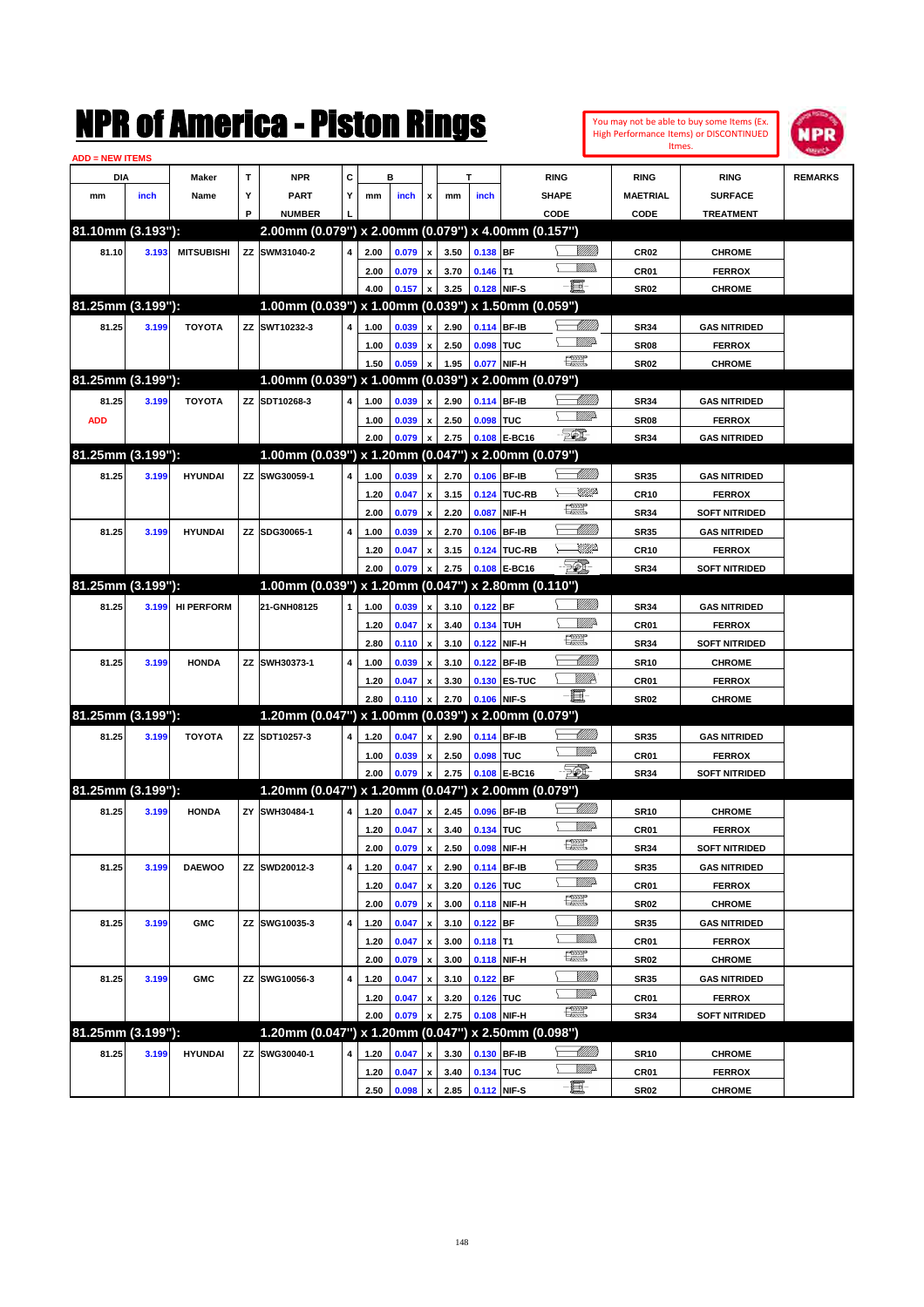|                        |       |                   |   | NMK OI AMCMICA - MISTON KINGS                       |                         |      |       |                           |      |             |                     |                                                                                                                                                                                                                                                                                                                                                                                             |                 |                  | You may not be able to buy some Items (Ex.<br>High Performance Items) or DISCONTINUED<br>Itmes. | NPR            |
|------------------------|-------|-------------------|---|-----------------------------------------------------|-------------------------|------|-------|---------------------------|------|-------------|---------------------|---------------------------------------------------------------------------------------------------------------------------------------------------------------------------------------------------------------------------------------------------------------------------------------------------------------------------------------------------------------------------------------------|-----------------|------------------|-------------------------------------------------------------------------------------------------|----------------|
| <b>ADD = NEW ITEMS</b> |       |                   |   |                                                     |                         |      |       |                           |      |             |                     |                                                                                                                                                                                                                                                                                                                                                                                             |                 |                  |                                                                                                 |                |
| DIA                    |       | Maker             | T | <b>NPR</b>                                          | $\mathbf c$             |      | в     |                           |      | т           |                     | <b>RING</b>                                                                                                                                                                                                                                                                                                                                                                                 |                 | <b>RING</b>      | <b>RING</b>                                                                                     | <b>REMARKS</b> |
| mm                     | inch  | Name              | Υ | <b>PART</b>                                         | Υ                       | mm   | inch  | x                         | mm   | inch        |                     | <b>SHAPE</b>                                                                                                                                                                                                                                                                                                                                                                                |                 | <b>MAETRIAL</b>  | <b>SURFACE</b>                                                                                  |                |
|                        |       |                   | P | <b>NUMBER</b>                                       |                         |      |       |                           |      |             |                     | CODE                                                                                                                                                                                                                                                                                                                                                                                        |                 | CODE             | <b>TREATMENT</b>                                                                                |                |
| 81.10mm (3.193"):      |       |                   |   | 2.00mm (0.079") x 2.00mm (0.079") x 4.00mm (0.157") |                         |      |       |                           |      |             |                     |                                                                                                                                                                                                                                                                                                                                                                                             |                 |                  |                                                                                                 |                |
| 81.10                  | 3.193 | <b>MITSUBISHI</b> |   | ZZ SWM31040-2                                       | 4                       | 2.00 | 0.079 | $\pmb{\mathsf{x}}$        | 3.50 | 0.138 BF    |                     |                                                                                                                                                                                                                                                                                                                                                                                             | <u>Millitt</u>  | CR <sub>02</sub> | <b>CHROME</b>                                                                                   |                |
|                        |       |                   |   |                                                     |                         | 2.00 | 0.079 | $\pmb{\mathsf{x}}$        | 3.70 | $0.146$ T1  |                     | 977777.                                                                                                                                                                                                                                                                                                                                                                                     |                 | CR <sub>01</sub> | <b>FERROX</b>                                                                                   |                |
|                        |       |                   |   |                                                     |                         | 4.00 | 0.157 | $\pmb{\mathsf{x}}$        | 3.25 | 0.128 NIF-S |                     | E.                                                                                                                                                                                                                                                                                                                                                                                          |                 | SR <sub>02</sub> | <b>CHROME</b>                                                                                   |                |
| 81.25mm (3.199"):      |       |                   |   | 1.00mm (0.039") x 1.00mm (0.039") x 1.50mm (0.059") |                         |      |       |                           |      |             |                     |                                                                                                                                                                                                                                                                                                                                                                                             |                 |                  |                                                                                                 |                |
| 81.25                  | 3.199 | <b>TOYOTA</b>     |   | ZZ SWT10232-3                                       | 4                       | 1.00 | 0.039 | $\pmb{\mathsf{x}}$        | 2.90 |             | 0.114 BF-IB         |                                                                                                                                                                                                                                                                                                                                                                                             | <u> UMM</u>     | <b>SR34</b>      | <b>GAS NITRIDED</b>                                                                             |                |
|                        |       |                   |   |                                                     |                         | 1.00 | 0.039 | x                         | 2.50 | 0.098 TUC   |                     | <u>VMD</u>                                                                                                                                                                                                                                                                                                                                                                                  |                 | SR <sub>08</sub> | <b>FERROX</b>                                                                                   |                |
|                        |       |                   |   |                                                     |                         | 1.50 | 0.059 | $\pmb{\mathsf{x}}$        | 1.95 |             | 0.077 NIF-H         | $\begin{picture}(20,20) \put(0,0){\dashbox{0.5}(20,0){ }} \put(15,0){\circle{10}} \put(25,0){\circle{10}} \put(25,0){\circle{10}} \put(25,0){\circle{10}} \put(25,0){\circle{10}} \put(25,0){\circle{10}} \put(25,0){\circle{10}} \put(25,0){\circle{10}} \put(25,0){\circle{10}} \put(25,0){\circle{10}} \put(25,0){\circle{10}} \put(25,0){\circle{10}} \put(25,0){\circle{10}} \put(25,$ |                 | SR <sub>02</sub> | <b>CHROME</b>                                                                                   |                |
| 81.25mm (3.199"):      |       |                   |   | 1.00mm (0.039") x 1.00mm (0.039") x 2.00mm (0.079") |                         |      |       |                           |      |             |                     |                                                                                                                                                                                                                                                                                                                                                                                             |                 |                  |                                                                                                 |                |
| 81.25                  | 3.199 | <b>TOYOTA</b>     |   | ZZ SDT10268-3                                       | 4                       | 1.00 | 0.039 | $\pmb{\mathsf{x}}$        | 2.90 |             | 0.114 BF-IB         |                                                                                                                                                                                                                                                                                                                                                                                             | <u> Millitt</u> | <b>SR34</b>      | <b>GAS NITRIDED</b>                                                                             |                |
| <b>ADD</b>             |       |                   |   |                                                     |                         | 1.00 | 0.039 | $\pmb{\mathsf{x}}$        | 2.50 | 0.098 TUC   |                     | <u>VMD</u>                                                                                                                                                                                                                                                                                                                                                                                  |                 | SR <sub>08</sub> | <b>FERROX</b>                                                                                   |                |
|                        |       |                   |   |                                                     |                         | 2.00 | 0.079 | $\boldsymbol{\mathsf{x}}$ | 2.75 |             | 0.108 E-BC16        | -501                                                                                                                                                                                                                                                                                                                                                                                        |                 | <b>SR34</b>      | <b>GAS NITRIDED</b>                                                                             |                |
| 81.25mm (3.199"):      |       |                   |   | 1.00mm (0.039") x 1.20mm (0.047") x 2.00mm (0.079") |                         |      |       |                           |      |             |                     |                                                                                                                                                                                                                                                                                                                                                                                             |                 |                  |                                                                                                 |                |
| 81.25                  | 3.199 | <b>HYUNDAI</b>    |   | ZZ SWG30059-1                                       | 4                       | 1.00 | 0.039 | $\pmb{\mathsf{x}}$        | 2.70 |             | 0.106 BF-IB         |                                                                                                                                                                                                                                                                                                                                                                                             | <u> MMM</u>     | <b>SR35</b>      | <b>GAS NITRIDED</b>                                                                             |                |
|                        |       |                   |   |                                                     |                         | 1.20 | 0.047 | $\pmb{\mathsf{x}}$        | 3.15 |             | 0.124 TUC-RB        |                                                                                                                                                                                                                                                                                                                                                                                             | <u>UMP</u>      | <b>CR10</b>      | <b>FERROX</b>                                                                                   |                |
|                        |       |                   |   |                                                     |                         | 2.00 | 0.079 | $\boldsymbol{\mathsf{x}}$ | 2.20 | 0.087       | NIF-H               | <b>The Control</b>                                                                                                                                                                                                                                                                                                                                                                          |                 | <b>SR34</b>      | <b>SOFT NITRIDED</b>                                                                            |                |
| 81.25                  | 3.199 | <b>HYUNDAI</b>    |   | ZZ SDG30065-1                                       | 4                       | 1.00 | 0.039 | $\pmb{\mathsf{x}}$        | 2.70 |             | 0.106 BF-IB         |                                                                                                                                                                                                                                                                                                                                                                                             | <u>UMM</u>      | <b>SR35</b>      | <b>GAS NITRIDED</b>                                                                             |                |
|                        |       |                   |   |                                                     |                         | 1.20 | 0.047 | $\pmb{\mathsf{x}}$        | 3.15 |             | 0.124 TUC-RB        |                                                                                                                                                                                                                                                                                                                                                                                             | <u>UMP</u>      | <b>CR10</b>      | <b>FERROX</b>                                                                                   |                |
|                        |       |                   |   |                                                     |                         | 2.00 | 0.079 | $\mathbf{x}$              | 2.75 |             | 0.108 E-BC16        | FØ.                                                                                                                                                                                                                                                                                                                                                                                         |                 | <b>SR34</b>      | <b>SOFT NITRIDED</b>                                                                            |                |
| 81.25mm (3.199"):      |       |                   |   | 1.00mm (0.039") x 1.20mm (0.047") x 2.80mm (0.110") |                         |      |       |                           |      |             |                     |                                                                                                                                                                                                                                                                                                                                                                                             |                 |                  |                                                                                                 |                |
| 81.25                  | 3.199 | <b>HI PERFORM</b> |   | 21-GNH08125                                         | 1                       | 1.00 | 0.039 | $\pmb{\mathsf{x}}$        | 3.10 | $0.122$ BF  |                     |                                                                                                                                                                                                                                                                                                                                                                                             | <u>Millitti</u> | <b>SR34</b>      | <b>GAS NITRIDED</b>                                                                             |                |
|                        |       |                   |   |                                                     |                         | 1.20 | 0.047 | $\pmb{\mathsf{x}}$        | 3.40 | 0.134 TUH   |                     |                                                                                                                                                                                                                                                                                                                                                                                             | <u>Mille</u>    | CR <sub>01</sub> | <b>FERROX</b>                                                                                   |                |
|                        |       |                   |   |                                                     |                         | 2.80 | 0.110 | $\boldsymbol{\mathsf{x}}$ | 3.10 |             | 0.122 NIF-H         | $\begin{picture}(20,20) \put(0,0){\dashbox{0.5}(20,0){ }} \put(15,0){\circle{10}} \put(25,0){\circle{10}} \put(25,0){\circle{10}} \put(25,0){\circle{10}} \put(25,0){\circle{10}} \put(25,0){\circle{10}} \put(25,0){\circle{10}} \put(25,0){\circle{10}} \put(25,0){\circle{10}} \put(25,0){\circle{10}} \put(25,0){\circle{10}} \put(25,0){\circle{10}} \put(25,0){\circle{10}} \put(25,$ |                 | <b>SR34</b>      | <b>SOFT NITRIDED</b>                                                                            |                |
| 81.25                  | 3.199 | <b>HONDA</b>      |   | ZZ SWH30373-1                                       | 4                       | 1.00 | 0.039 | $\pmb{\mathsf{x}}$        | 3.10 |             | 0.122 BF-IB         |                                                                                                                                                                                                                                                                                                                                                                                             | <u> UMM</u>     | <b>SR10</b>      | <b>CHROME</b>                                                                                   |                |
|                        |       |                   |   |                                                     |                         | 1.20 | 0.047 | $\pmb{\mathsf{x}}$        | 3.30 |             | <b>0.130 ES-TUC</b> | <u>VMP</u>                                                                                                                                                                                                                                                                                                                                                                                  |                 | CR <sub>01</sub> | <b>FERROX</b>                                                                                   |                |
|                        |       |                   |   |                                                     |                         | 2.80 | 0.110 | x                         | 2.70 |             | 0.106 NIF-S         | -6                                                                                                                                                                                                                                                                                                                                                                                          |                 | <b>SR02</b>      | <b>CHROME</b>                                                                                   |                |
| 81.25mm (3.199"):      |       |                   |   | 1.20mm (0.047") x 1.00mm (0.039") x 2.00mm (0.079") |                         |      |       |                           |      |             |                     |                                                                                                                                                                                                                                                                                                                                                                                             |                 |                  |                                                                                                 |                |
| 81.25                  | 3.199 | <b>TOYOTA</b>     |   | ZZ SDT10257-3                                       | 4                       | 1.20 | 0.047 | $\pmb{\mathsf{x}}$        | 2.90 |             | 0.114 BF-IB         | <u> UMM</u>                                                                                                                                                                                                                                                                                                                                                                                 |                 | <b>SR35</b>      | <b>GAS NITRIDED</b>                                                                             |                |
|                        |       |                   |   |                                                     |                         | 1.00 | 0.039 | $\pmb{\mathsf{x}}$        | 2.50 | 0.098 TUC   |                     | <u>MM</u>                                                                                                                                                                                                                                                                                                                                                                                   |                 | CR01             | <b>FERROX</b>                                                                                   |                |
|                        |       |                   |   |                                                     |                         | 2.00 | 0.079 | x                         | 2.75 |             | 0.108 E-BC16        | <b>FOX</b>                                                                                                                                                                                                                                                                                                                                                                                  |                 | <b>SR34</b>      | <b>SOFT NITRIDED</b>                                                                            |                |
| 81.25mm (3.199"):      |       |                   |   | 1.20mm (0.047") x 1.20mm (0.047") x 2.00mm (0.079") |                         |      |       |                           |      |             |                     |                                                                                                                                                                                                                                                                                                                                                                                             |                 |                  |                                                                                                 |                |
| 81.25                  | 3.199 | <b>HONDA</b>      |   | ZY SWH30484-1                                       | $\overline{\mathbf{4}}$ | 1.20 | 0.047 | $\mathbf{x}$              | 2.45 | 0.096 BF-IB |                     | <u> UMM</u>                                                                                                                                                                                                                                                                                                                                                                                 |                 | <b>SR10</b>      | <b>CHROME</b>                                                                                   |                |
|                        |       |                   |   |                                                     |                         | 1.20 | 0.047 | $\pmb{\mathsf{x}}$        | 3.40 | 0.134 TUC   |                     | <u>WW</u> A                                                                                                                                                                                                                                                                                                                                                                                 |                 | CR01             | <b>FERROX</b>                                                                                   |                |
|                        |       |                   |   |                                                     |                         | 2.00 | 0.079 | $\pmb{\mathsf{x}}$        | 2.50 |             | 0.098 NIF-H         | æ                                                                                                                                                                                                                                                                                                                                                                                           |                 | SR34             | <b>SOFT NITRIDED</b>                                                                            |                |
| 81.25                  | 3.199 | <b>DAEWOO</b>     |   | ZZ SWD20012-3                                       | 4                       | 1.20 | 0.047 | $\pmb{\mathsf{x}}$        | 2.90 |             | 0.114 BF-IB         | <u> Millitt</u>                                                                                                                                                                                                                                                                                                                                                                             |                 | <b>SR35</b>      | <b>GAS NITRIDED</b>                                                                             |                |
|                        |       |                   |   |                                                     |                         | 1.20 | 0.047 | $\pmb{\mathsf{x}}$        | 3.20 | 0.126 TUC   |                     | <u>Willia</u>                                                                                                                                                                                                                                                                                                                                                                               |                 | CR01             | <b>FERROX</b>                                                                                   |                |
|                        |       |                   |   |                                                     |                         | 2.00 | 0.079 | $\pmb{\mathsf{x}}$        | 3.00 |             | 0.118 NIF-H         | $\frac{1}{2}$                                                                                                                                                                                                                                                                                                                                                                               |                 | SR02             | <b>CHROME</b>                                                                                   |                |
| 81.25                  | 3.199 | <b>GMC</b>        |   | ZZ SWG10035-3                                       | 4                       | 1.20 | 0.047 | $\pmb{\mathsf{x}}$        | 3.10 | $0.122$ BF  |                     |                                                                                                                                                                                                                                                                                                                                                                                             | <u>VIIII)</u>   | <b>SR35</b>      | <b>GAS NITRIDED</b>                                                                             |                |
|                        |       |                   |   |                                                     |                         | 1.20 | 0.047 | $\pmb{\mathsf{x}}$        | 3.00 | $0.118$ T1  |                     | <u>MM)</u>                                                                                                                                                                                                                                                                                                                                                                                  |                 | CR01             | <b>FERROX</b>                                                                                   |                |
|                        |       |                   |   |                                                     |                         | 2.00 | 0.079 | $\pmb{\mathsf{x}}$        | 3.00 |             | 0.118 NIF-H         | $\frac{1}{2}$                                                                                                                                                                                                                                                                                                                                                                               |                 | <b>SR02</b>      | <b>CHROME</b>                                                                                   |                |
| 81.25                  | 3.199 | <b>GMC</b>        |   | ZZ SWG10056-3                                       | 4                       | 1.20 | 0.047 | $\pmb{\mathsf{x}}$        | 3.10 | $0.122$ BF  |                     |                                                                                                                                                                                                                                                                                                                                                                                             | <u>VIIII)</u>   | <b>SR35</b>      | <b>GAS NITRIDED</b>                                                                             |                |
|                        |       |                   |   |                                                     |                         | 1.20 | 0.047 | $\pmb{\mathsf{x}}$        | 3.20 | 0.126 TUC   |                     | <u>Willia</u>                                                                                                                                                                                                                                                                                                                                                                               |                 | CR01             | <b>FERROX</b>                                                                                   |                |
|                        |       |                   |   |                                                     |                         | 2.00 | 0.079 | x                         | 2.75 |             | 0.108 NIF-H         | $\begin{picture}(20,20) \put(0,0){\dashbox{0.5}(20,0){ }} \put(15,0){\circle{10}} \put(25,0){\circle{10}} \put(25,0){\circle{10}} \put(25,0){\circle{10}} \put(25,0){\circle{10}} \put(25,0){\circle{10}} \put(25,0){\circle{10}} \put(25,0){\circle{10}} \put(25,0){\circle{10}} \put(25,0){\circle{10}} \put(25,0){\circle{10}} \put(25,0){\circle{10}} \put(25,0){\circle{10}} \put(25,$ |                 | SR34             | <b>SOFT NITRIDED</b>                                                                            |                |
| 81.25mm (3.199"):      |       |                   |   | 1.20mm (0.047") x 1.20mm (0.047") x 2.50mm (0.098") |                         |      |       |                           |      |             |                     |                                                                                                                                                                                                                                                                                                                                                                                             |                 |                  |                                                                                                 |                |
| 81.25                  | 3.199 | <b>HYUNDAI</b>    |   | ZZ SWG30040-1                                       | 4                       | 1.20 | 0.047 | x                         | 3.30 | 0.130 BF-IB |                     |                                                                                                                                                                                                                                                                                                                                                                                             |                 | <b>SR10</b>      | <b>CHROME</b>                                                                                   |                |
|                        |       |                   |   |                                                     |                         | 1.20 | 0.047 | $\pmb{\mathsf{x}}$        | 3.40 | 0.134 TUC   |                     | <u>WW</u> A                                                                                                                                                                                                                                                                                                                                                                                 |                 | CR01             | <b>FERROX</b>                                                                                   |                |
|                        |       |                   |   |                                                     |                         | 2.50 | 0.098 | $\mathbf{x}$              | 2.85 | 0.112 NIF-S |                     | $-\blacksquare$                                                                                                                                                                                                                                                                                                                                                                             |                 | <b>SR02</b>      | <b>CHROME</b>                                                                                   |                |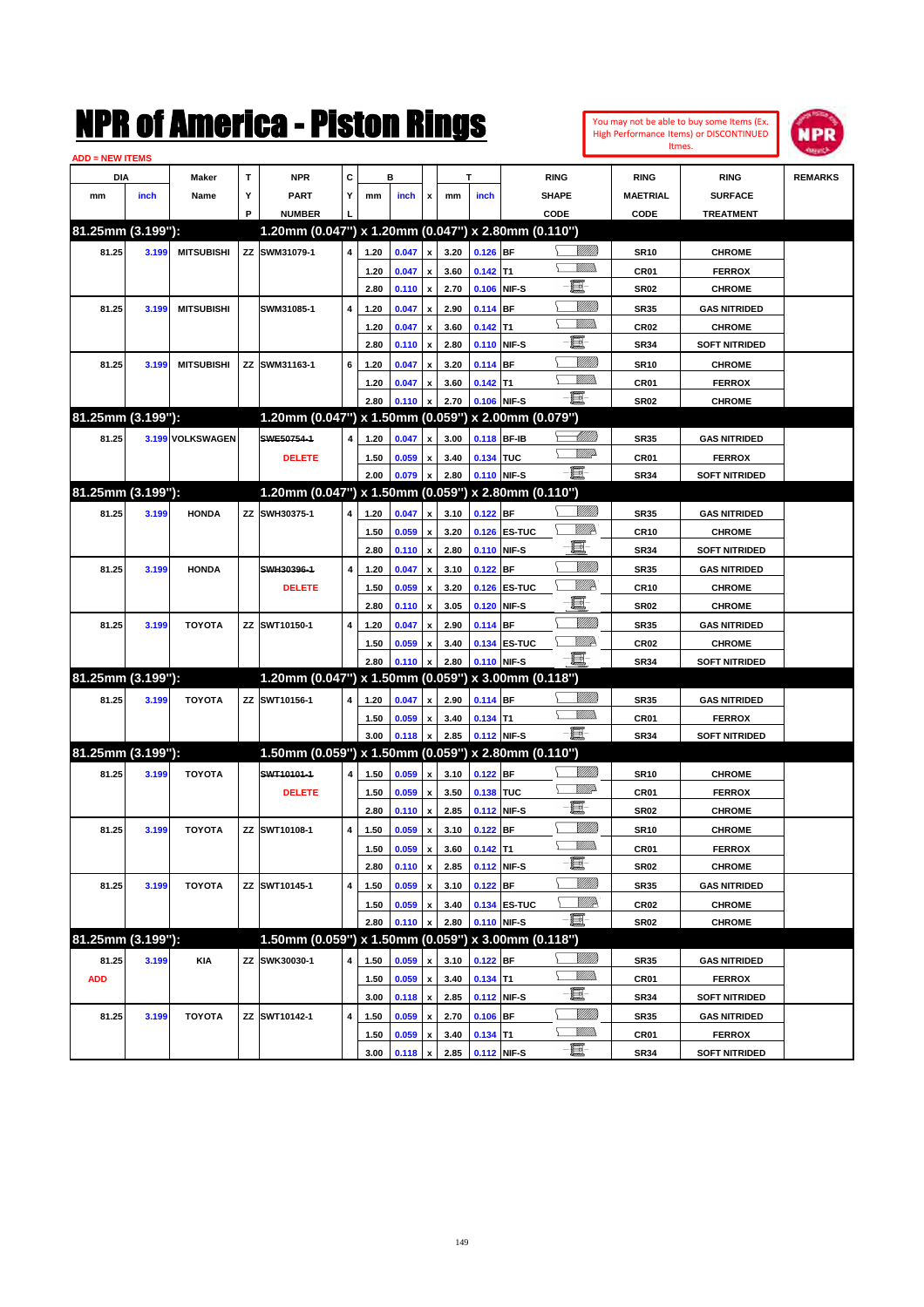| You may not be able to buy some Items (Ex. |
|--------------------------------------------|
| High Performance Items) or DISCONTINUED    |
| Itmes.                                     |



| <b>ADD = NEW ITEMS</b> |       |                   |   |                                                     |                         |      |       |                           |      |             |              |                 |                 |                      |                |
|------------------------|-------|-------------------|---|-----------------------------------------------------|-------------------------|------|-------|---------------------------|------|-------------|--------------|-----------------|-----------------|----------------------|----------------|
| DIA                    |       | <b>Maker</b>      | T | <b>NPR</b>                                          | C                       |      | в     |                           |      | T           |              | <b>RING</b>     | <b>RING</b>     | <b>RING</b>          | <b>REMARKS</b> |
| mm                     | inch  | Name              | Υ | <b>PART</b>                                         | Y                       | mm   | inch  | x                         | mm   | inch        |              | <b>SHAPE</b>    | <b>MAETRIAL</b> | <b>SURFACE</b>       |                |
|                        |       |                   | P | <b>NUMBER</b>                                       |                         |      |       |                           |      |             |              | CODE            | CODE            | <b>TREATMENT</b>     |                |
| 81.25mm (3.199"):      |       |                   |   | 1.20mm (0.047") x 1.20mm (0.047") x 2.80mm (0.110") |                         |      |       |                           |      |             |              |                 |                 |                      |                |
| 81.25                  | 3.199 | <b>MITSUBISHI</b> |   | ZZ SWM31079-1                                       | $\overline{\mathbf{4}}$ | 1.20 | 0.047 | $\pmb{\mathsf{x}}$        | 3.20 | $0.126$ BF  |              | <u>VIIII)</u>   | <b>SR10</b>     | <b>CHROME</b>        |                |
|                        |       |                   |   |                                                     |                         | 1.20 | 0.047 | $\pmb{\mathsf{x}}$        | 3.60 | $0.142$ T1  |              |                 | CR01            | <b>FERROX</b>        |                |
|                        |       |                   |   |                                                     |                         | 2.80 | 0.110 | $\pmb{\mathsf{x}}$        | 2.70 |             | 0.106 NIF-S  | e               | <b>SR02</b>     | <b>CHROME</b>        |                |
| 81.25                  | 3.199 | <b>MITSUBISHI</b> |   | SWM31085-1                                          | $\overline{\mathbf{4}}$ | 1.20 | 0.047 | x                         | 2.90 | 0.114 BF    |              | <u>MMM</u>      | <b>SR35</b>     | <b>GAS NITRIDED</b>  |                |
|                        |       |                   |   |                                                     |                         | 1.20 | 0.047 | x                         | 3.60 | $0.142$ T1  |              | VMM)            | <b>CR02</b>     | <b>CHROME</b>        |                |
|                        |       |                   |   |                                                     |                         | 2.80 | 0.110 | $\pmb{\mathsf{x}}$        | 2.80 | 0.110 NIF-S |              | e               | <b>SR34</b>     | <b>SOFT NITRIDED</b> |                |
| 81.25                  | 3.199 | <b>MITSUBISHI</b> |   | ZZ SWM31163-1                                       | 6                       | 1.20 | 0.047 | x                         | 3.20 | 0.114 BF    |              | <u>MMM</u>      | <b>SR10</b>     | <b>CHROME</b>        |                |
|                        |       |                   |   |                                                     |                         | 1.20 | 0.047 | x                         | 3.60 | $0.142$ T1  |              | .<br>VMD        | CR01            | <b>FERROX</b>        |                |
|                        |       |                   |   |                                                     |                         | 2.80 | 0.110 | x                         | 2.70 | 0.106 NIF-S |              | -E.             | <b>SR02</b>     | <b>CHROME</b>        |                |
| 81.25mm (3.199"):      |       |                   |   | 1.20mm (0.047") x 1.50mm (0.059") x 2.00mm (0.079") |                         |      |       |                           |      |             |              |                 |                 |                      |                |
| 81.25                  |       | 3.199 VOLKSWAGEN  |   | SWE50754-1                                          | $\overline{\mathbf{4}}$ | 1.20 | 0.047 | x                         | 3.00 | 0.118 BF-IB |              | <u> Millito</u> | <b>SR35</b>     | <b>GAS NITRIDED</b>  |                |
|                        |       |                   |   | <b>DELETE</b>                                       |                         | 1.50 | 0.059 | $\pmb{\mathsf{x}}$        | 3.40 | 0.134 TUC   |              | <u>WW</u>       | CR01            | <b>FERROX</b>        |                |
|                        |       |                   |   |                                                     |                         | 2.00 | 0.079 | $\pmb{\mathsf{x}}$        | 2.80 |             | 0.110 NIF-S  | -E.             | <b>SR34</b>     | <b>SOFT NITRIDED</b> |                |
| 81.25mm (3.199"):      |       |                   |   | 1.20mm (0.047") x 1.50mm (0.059") x 2.80mm (0.110") |                         |      |       |                           |      |             |              |                 |                 |                      |                |
| 81.25                  | 3.199 | <b>HONDA</b>      |   | ZZ SWH30375-1                                       | 4                       | 1.20 | 0.047 | $\pmb{\mathsf{x}}$        | 3.10 | $0.122$ BF  |              | <u>Milli</u> k  | <b>SR35</b>     | <b>GAS NITRIDED</b>  |                |
|                        |       |                   |   |                                                     |                         | 1.50 | 0.059 | x                         | 3.20 |             | 0.126 ES-TUC | ₩₩              | <b>CR10</b>     | <b>CHROME</b>        |                |
|                        |       |                   |   |                                                     |                         | 2.80 | 0.110 | $\pmb{\mathsf{x}}$        | 2.80 |             | 0.110 NIF-S  | ·ii             | <b>SR34</b>     | <b>SOFT NITRIDED</b> |                |
| 81.25                  | 3.199 | <b>HONDA</b>      |   | SWH30396-1                                          | 4                       | 1.20 | 0.047 | x                         | 3.10 | $0.122$ BF  |              | <u>MMM</u>      | <b>SR35</b>     | <b>GAS NITRIDED</b>  |                |
|                        |       |                   |   | <b>DELETE</b>                                       |                         | 1.50 | 0.059 | x                         | 3.20 |             | 0.126 ES-TUC | ₩₩              | <b>CR10</b>     | <b>CHROME</b>        |                |
|                        |       |                   |   |                                                     |                         | 2.80 | 0.110 | $\boldsymbol{\mathsf{x}}$ | 3.05 |             | 0.120 NIF-S  | e.              | <b>SR02</b>     | <b>CHROME</b>        |                |
| 81.25                  | 3.199 | <b>TOYOTA</b>     |   | ZZ SWT10150-1                                       | 4                       | 1.20 | 0.047 | x                         | 2.90 | 0.114 BF    |              | <u>MMM</u>      | <b>SR35</b>     | <b>GAS NITRIDED</b>  |                |
|                        |       |                   |   |                                                     |                         | 1.50 | 0.059 | x                         | 3.40 |             | 0.134 ES-TUC | ₩₩              | <b>CR02</b>     | <b>CHROME</b>        |                |
|                        |       |                   |   |                                                     |                         | 2.80 | 0.110 | x                         | 2.80 | 0.110 NIF-S |              | -8              | <b>SR34</b>     | <b>SOFT NITRIDED</b> |                |
| 81.25mm (3.199"):      |       |                   |   | 1.20mm (0.047") x 1.50mm (0.059") x 3.00mm (0.118") |                         |      |       |                           |      |             |              |                 |                 |                      |                |
| 81.25                  | 3.199 | <b>TOYOTA</b>     |   | ZZ SWT10156-1                                       | 4                       | 1.20 | 0.047 | x                         | 2.90 | $0.114$ BF  |              | <u>Milli</u> k  | <b>SR35</b>     | <b>GAS NITRIDED</b>  |                |
|                        |       |                   |   |                                                     |                         | 1.50 | 0.059 | x                         | 3.40 | $0.134$ T1  |              | .<br>VMD        | CR01            | <b>FERROX</b>        |                |
|                        |       |                   |   |                                                     |                         | 3.00 | 0.118 | $\pmb{\mathsf{x}}$        | 2.85 | 0.112 NIF-S |              | -8              | <b>SR34</b>     | <b>SOFT NITRIDED</b> |                |
| 81.25mm (3.199"):      |       |                   |   | 1.50mm (0.059") x 1.50mm (0.059") x 2.80mm (0.110") |                         |      |       |                           |      |             |              |                 |                 |                      |                |
| 81.25                  | 3.199 | <b>TOYOTA</b>     |   | SWT10101-1                                          | 4                       | 1.50 | 0.059 | $\boldsymbol{\mathsf{x}}$ | 3.10 | $0.122$ BF  |              | <u>Milli</u>    | <b>SR10</b>     | <b>CHROME</b>        |                |
|                        |       |                   |   | <b>DELETE</b>                                       |                         | 1.50 | 0.059 | $\pmb{\mathsf{x}}$        | 3.50 | 0.138 TUC   |              | <u>Willia</u>   | CR01            | <b>FERROX</b>        |                |
|                        |       |                   |   |                                                     |                         | 2.80 | 0.110 | $\pmb{\mathsf{x}}$        | 2.85 | 0.112 NIF-S |              | e.              | <b>SR02</b>     | <b>CHROME</b>        |                |
| 81.25                  | 3.199 | <b>TOYOTA</b>     |   | ZZ SWT10108-1                                       | 4                       | 1.50 | 0.059 | $\pmb{\mathsf{x}}$        | 3.10 | $0.122$ BF  |              | V <i>MM</i> )   | <b>SR10</b>     | <b>CHROME</b>        |                |
|                        |       |                   |   |                                                     |                         | 1.50 | 0.059 | $\boldsymbol{\mathsf{x}}$ | 3.60 | $0.142$ T1  |              | UM)             | CR01            | <b>FERROX</b>        |                |
|                        |       |                   |   |                                                     |                         | 2.80 | 0.110 | $\pmb{\mathsf{x}}$        | 2.85 | 0.112 NIF-S |              | E               | <b>SR02</b>     | <b>CHROME</b>        |                |
| 81.25                  | 3.199 | <b>TOYOTA</b>     |   | ZZ SWT10145-1                                       | 4                       | 1.50 | 0.059 | x                         | 3.10 | $0.122$ BF  |              | <u>VIIII)</u>   | <b>SR35</b>     | <b>GAS NITRIDED</b>  |                |
|                        |       |                   |   |                                                     |                         | 1.50 | 0.059 | $\pmb{\mathsf{x}}$        | 3.40 |             | 0.134 ES-TUC | <u>VIIIA</u>    | CR02            | <b>CHROME</b>        |                |
|                        |       |                   |   |                                                     |                         | 2.80 | 0.110 | $\pmb{\mathsf{x}}$        | 2.80 |             | 0.110 NIF-S  | E               | SR02            | <b>CHROME</b>        |                |
| 81.25mm (3.199"):      |       |                   |   | 1.50mm (0.059") x 1.50mm (0.059") x 3.00mm (0.118") |                         |      |       |                           |      |             |              |                 |                 |                      |                |
| 81.25                  | 3.199 | <b>KIA</b>        |   | ZZ SWK30030-1                                       | 4                       | 1.50 | 0.059 | x                         | 3.10 | $0.122$ BF  |              | <u>VMM</u>      | SR35            | <b>GAS NITRIDED</b>  |                |
| <b>ADD</b>             |       |                   |   |                                                     |                         | 1.50 | 0.059 | x                         | 3.40 | $0.134$ T1  |              | <u> VMM)</u>    | CR01            | <b>FERROX</b>        |                |
|                        |       |                   |   |                                                     |                         | 3.00 | 0.118 | $\pmb{\mathsf{x}}$        | 2.85 | 0.112 NIF-S |              | e.              | <b>SR34</b>     | <b>SOFT NITRIDED</b> |                |
| 81.25                  | 3.199 | <b>TOYOTA</b>     |   | ZZ SWT10142-1                                       | 4                       | 1.50 | 0.059 | x                         | 2.70 | $0.106$ BF  |              | <u>Milli</u> h  | SR35            | <b>GAS NITRIDED</b>  |                |
|                        |       |                   |   |                                                     |                         | 1.50 | 0.059 | x                         | 3.40 | $0.134$ T1  |              | <u>VMM)</u>     | CR01            | <b>FERROX</b>        |                |
|                        |       |                   |   |                                                     |                         | 3.00 | 0.118 | $\pmb{\mathsf{x}}$        | 2.85 | 0.112 NIF-S |              | -8              | <b>SR34</b>     | <b>SOFT NITRIDED</b> |                |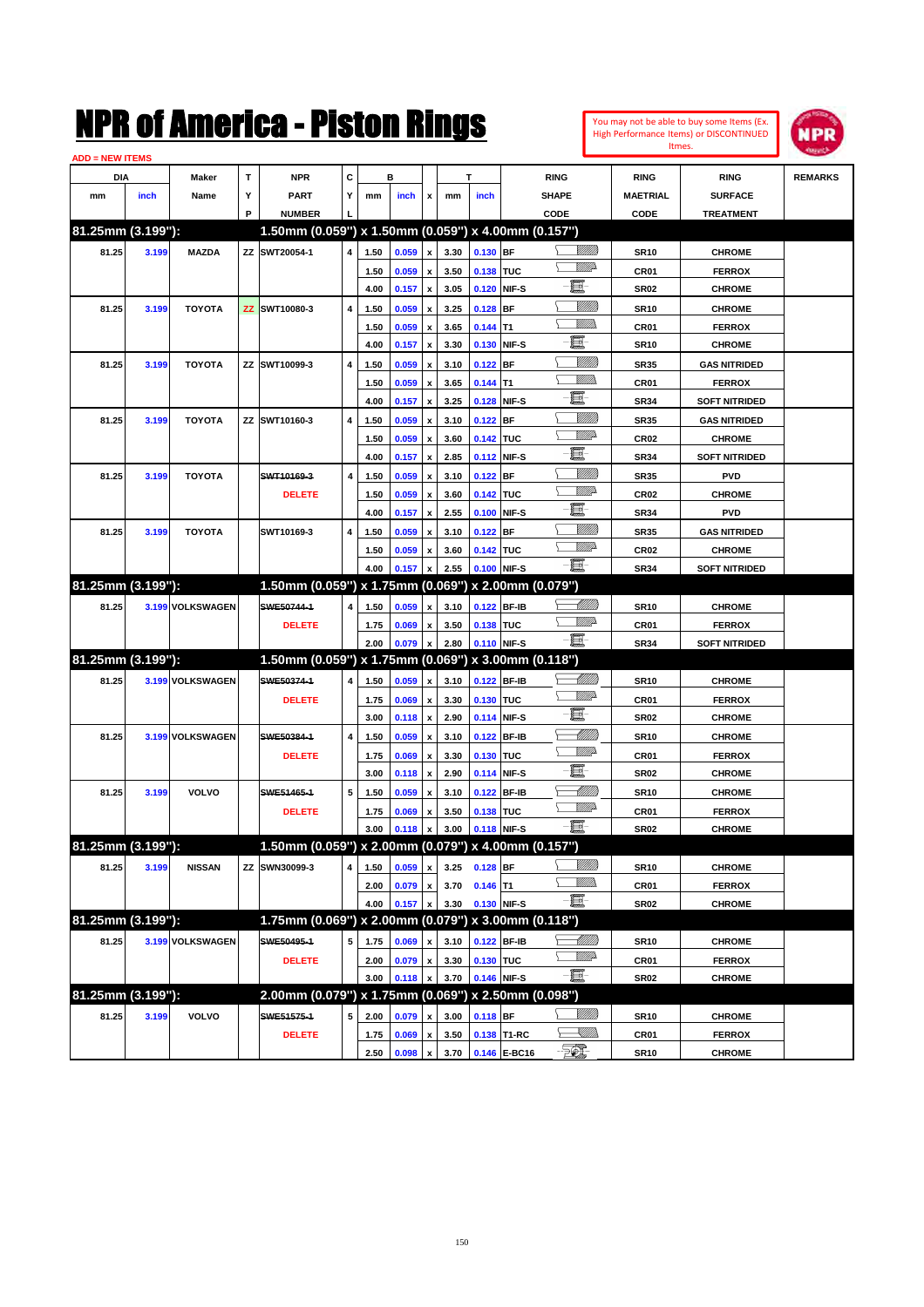| You may not be able to buy some Items (Ex. |
|--------------------------------------------|
| High Performance Items) or DISCONTINUED    |
| Itmes.                                     |



| <b>ADD = NEW ITEMS</b> |       |                  |   |                                                     |   |              |                |                           |              |             |              |                 |                          |                                |                |
|------------------------|-------|------------------|---|-----------------------------------------------------|---|--------------|----------------|---------------------------|--------------|-------------|--------------|-----------------|--------------------------|--------------------------------|----------------|
| DIA                    |       | Maker            | т | <b>NPR</b>                                          | С |              | в              |                           |              | T           |              | <b>RING</b>     | <b>RING</b>              | <b>RING</b>                    | <b>REMARKS</b> |
| mm                     | inch  | Name             | Υ | <b>PART</b>                                         | Y | mm           | inch           | x                         | mm           | inch        |              | <b>SHAPE</b>    | <b>MAETRIAL</b>          | <b>SURFACE</b>                 |                |
|                        |       |                  | P | <b>NUMBER</b>                                       |   |              |                |                           |              |             |              | CODE            | CODE                     | <b>TREATMENT</b>               |                |
| 81.25mm (3.199"):      |       |                  |   | 1.50mm (0.059") x 1.50mm (0.059") x 4.00mm (0.157") |   |              |                |                           |              |             |              |                 |                          |                                |                |
| 81.25                  | 3.199 | <b>MAZDA</b>     |   | ZZ SWT20054-1                                       | 4 | 1.50         | 0.059          | $\pmb{\mathsf{x}}$        | 3.30         | 0.130 BF    |              | <u>Villida</u>  | <b>SR10</b>              | <b>CHROME</b>                  |                |
|                        |       |                  |   |                                                     |   | 1.50         | 0.059          | x                         | 3.50         | 0.138 TUC   |              | <u>VMD</u>      | CR <sub>01</sub>         | <b>FERROX</b>                  |                |
|                        |       |                  |   |                                                     |   | 4.00         | 0.157          | $\pmb{\mathsf{x}}$        | 3.05         | 0.120       | NIF-S        | ·b              | <b>SR02</b>              | <b>CHROME</b>                  |                |
| 81.25                  | 3.199 | <b>TOYOTA</b>    |   | ZZ SWT10080-3                                       | 4 | 1.50         | 0.059          |                           | 3.25         | 0.128       | BF           | <u>Sillilli</u> | <b>SR10</b>              | <b>CHROME</b>                  |                |
|                        |       |                  |   |                                                     |   | 1.50         | 0.059          | $\boldsymbol{\mathsf{x}}$ | 3.65         | 0.144       | T1           |                 | CR <sub>01</sub>         | <b>FERROX</b>                  |                |
|                        |       |                  |   |                                                     |   | 4.00         | 0.157          | x                         | 3.30         | 0.130       | NIF-S        | e.              | <b>SR10</b>              | <b>CHROME</b>                  |                |
| 81.25                  | 3.199 | <b>TOYOTA</b>    |   | ZZ SWT10099-3                                       | 4 | 1.50         | 0.059          | x                         | 3.10         | 0.122       | <b>BF</b>    | <u>Sillilli</u> | <b>SR35</b>              | <b>GAS NITRIDED</b>            |                |
|                        |       |                  |   |                                                     |   | 1.50         | 0.059          | $\boldsymbol{\mathsf{x}}$ | 3.65         | $0.144$ T1  |              |                 | CR <sub>01</sub>         | <b>FERROX</b>                  |                |
|                        |       |                  |   |                                                     |   | 4.00         | 0.157          | x                         | 3.25         | 0.128       | NIF-S        | e.              | <b>SR34</b>              | <b>SOFT NITRIDED</b>           |                |
| 81.25                  | 3.199 | <b>TOYOTA</b>    |   | ZZ SWT10160-3                                       | 4 | 1.50         | 0.059          | x                         | 3.10         | 0.122       | BF           | <u>VIIII)</u>   | <b>SR35</b>              | <b>GAS NITRIDED</b>            |                |
|                        |       |                  |   |                                                     |   | 1.50         | 0.059          | $\boldsymbol{\mathsf{x}}$ | 3.60         | 0.142 TUC   |              | <u>VMD</u>      | CR <sub>02</sub>         | <b>CHROME</b>                  |                |
|                        |       |                  |   |                                                     |   | 4.00         | 0.157          | x                         | 2.85         | 0.112       | NIF-S        | e.              | <b>SR34</b>              | <b>SOFT NITRIDED</b>           |                |
| 81.25                  | 3.199 | <b>TOYOTA</b>    |   | SWT10169-3                                          | 4 | 1.50         | 0.059          | $\boldsymbol{\mathsf{x}}$ | 3.10         | 0.122       | BF           | <u>VIIII)</u>   | <b>SR35</b>              | <b>PVD</b>                     |                |
|                        |       |                  |   | <b>DELETE</b>                                       |   | 1.50         | 0.059          | $\boldsymbol{\mathsf{x}}$ | 3.60         | 0.142 TUC   |              | <u>VMD</u>      | CR <sub>02</sub>         | <b>CHROME</b>                  |                |
|                        |       |                  |   |                                                     |   | 4.00         | 0.157          | $\pmb{\mathsf{x}}$        | 2.55         | 0.100       | NIF-S        | e.              | <b>SR34</b>              | <b>PVD</b>                     |                |
| 81.25                  | 3.199 | <b>TOYOTA</b>    |   | SWT10169-3                                          | 4 | 1.50         | 0.059          | $\boldsymbol{\mathsf{x}}$ | 3.10         | 0.122       | <b>BF</b>    | <u>Villitti</u> | <b>SR35</b>              | <b>GAS NITRIDED</b>            |                |
|                        |       |                  |   |                                                     |   | 1.50         | 0.059          | $\boldsymbol{\mathsf{x}}$ | 3.60         | 0.142 TUC   |              | <u>WW</u> A     | CR <sub>02</sub>         | <b>CHROME</b>                  |                |
|                        |       |                  |   |                                                     |   | 4.00         | 0.157          | $\pmb{\mathsf{x}}$        | 2.55         | 0.100       | NIF-S        | -8              | <b>SR34</b>              | <b>SOFT NITRIDED</b>           |                |
| 81.25mm (3.199"):      |       |                  |   | 1.50mm (0.059") x 1.75mm (0.069") x 2.00mm (0.079") |   |              |                |                           |              |             |              |                 |                          |                                |                |
| 81.25                  |       | 3.199 VOLKSWAGEN |   | SWE50744-1                                          | 4 | 1.50         | 0.059          | x                         | 3.10         | 0.122 BF-IB |              | <u> MM)</u>     | <b>SR10</b>              | <b>CHROME</b>                  |                |
|                        |       |                  |   | <b>DELETE</b>                                       |   | 1.75         | 0.069          | x                         | 3.50         | 0.138 TUC   |              | <u>WW</u> A     | CR <sub>01</sub>         | <b>FERROX</b>                  |                |
|                        |       |                  |   |                                                     |   | 2.00         | 0.079          | $\pmb{\mathsf{x}}$        | 2.80         | 0.110 NIF-S |              | -日              | <b>SR34</b>              | <b>SOFT NITRIDED</b>           |                |
| 81.25mm (3.199"):      |       |                  |   | 1.50mm (0.059") x 1.75mm (0.069") x 3.00mm (0.118") |   |              |                |                           |              |             |              |                 |                          |                                |                |
| 81.25                  |       | 3.199 VOLKSWAGEN |   | SWE50374-1                                          | 4 | 1.50         | 0.059          | $\pmb{\mathsf{x}}$        | 3.10         | 0.122       | <b>BF-IB</b> | <u> MM)</u>     | <b>SR10</b>              | <b>CHROME</b>                  |                |
|                        |       |                  |   | <b>DELETE</b>                                       |   | 1.75         | 0.069          | х                         | 3.30         | 0.130 TUC   |              | <u>WW</u> A     | CR01                     | <b>FERROX</b>                  |                |
|                        |       |                  |   |                                                     |   | 3.00         | 0.118          | $\pmb{\mathsf{x}}$        | 2.90         | 0.114       | NIF-S        | e.              | <b>SR02</b>              | <b>CHROME</b>                  |                |
| 81.25                  |       | 3.199 VOLKSWAGEN |   | SWE50384-1                                          | 4 | 1.50         | 0.059          | $\boldsymbol{\mathsf{x}}$ | 3.10         | 0.122       | <b>BF-IB</b> | <u> UMB</u>     | <b>SR10</b>              | <b>CHROME</b>                  |                |
|                        |       |                  |   | <b>DELETE</b>                                       |   | 1.75         | 0.069          | $\boldsymbol{\mathsf{x}}$ | 3.30         | 0.130       | <b>TUC</b>   | <u>WW</u> A     | CR <sub>01</sub>         | <b>FERROX</b>                  |                |
|                        |       |                  |   |                                                     |   | 3.00         | 0.118          | $\pmb{\mathsf{x}}$        | 2.90         | 0.114       | NIF-S        | e.              | <b>SR02</b>              | <b>CHROME</b>                  |                |
| 81.25                  | 3.199 | VOLVO            |   | SWE51465-1                                          | 5 | 1.50         | 0.059          | $\boldsymbol{\mathsf{x}}$ | 3.10         | 0.122       | <b>BF-IB</b> | <u> UMB</u>     | <b>SR10</b>              | <b>CHROME</b>                  |                |
|                        |       |                  |   | <b>DELETE</b>                                       |   | 1.75         | 0.069          | x                         | 3.50         | 0.138       | <b>TUC</b>   | <u>WW</u> A     | CR <sub>01</sub>         | <b>FERROX</b>                  |                |
|                        |       |                  |   |                                                     |   | 3.00         | 0.118          | $\pmb{\mathsf{x}}$        | 3.00         | 0.118 NIF-S |              | $-\Xi$ -        | SR <sub>02</sub>         | <b>CHROME</b>                  |                |
| 81.25mm (3.199"):      |       |                  |   | 1.50mm (0.059") x 2.00mm (0.079") x 4.00mm (0.157") |   |              |                |                           |              |             |              |                 |                          |                                |                |
| 81.25                  | 3.199 | <b>NISSAN</b>    |   | ZZ SWN30099-3                                       | 4 | 1.50         | 0.059          | x                         | 3.25         | $0.128$ BF  |              | <u>VIIIIn</u>   | <b>SR10</b>              | <b>CHROME</b>                  |                |
|                        |       |                  |   |                                                     |   | 2.00         | 0.079          | x                         | 3.70         | $0.146$ T1  |              | <u>Willida</u>  | CR01                     | <b>FERROX</b>                  |                |
|                        |       |                  |   |                                                     |   | 4.00         | 0.157          | $\pmb{\mathsf{x}}$        | 3.30         | 0.130 NIF-S |              | $-\Xi$          | SR <sub>02</sub>         | <b>CHROME</b>                  |                |
| 81.25mm (3.199"):      |       |                  |   | 1.75mm (0.069") x 2.00mm (0.079") x 3.00mm (0.118") |   |              |                |                           |              |             |              |                 |                          |                                |                |
| 81.25                  |       | 3.199 VOLKSWAGEN |   | SWE50495-1                                          |   | 1.75         |                |                           | 3.10         |             | 0.122 BF-IB  | <u>-MM)</u>     | <b>SR10</b>              |                                |                |
|                        |       |                  |   |                                                     | 5 |              | 0.069          | x                         |              |             |              |                 |                          | <b>CHROME</b>                  |                |
|                        |       |                  |   |                                                     |   | 2.00         |                | $\pmb{\mathsf{x}}$        | 3.30         | 0.130 TUC   |              | <u>WW</u> A     |                          | <b>FERROX</b>                  |                |
|                        |       |                  |   | <b>DELETE</b>                                       |   | 3.00         | 0.079<br>0.118 | x                         | 3.70         | 0.146 NIF-S |              | $-\Xi$          | CR01<br>SR <sub>02</sub> | <b>CHROME</b>                  |                |
| 81.25mm (3.199"):      |       |                  |   | 2.00mm (0.079") x 1.75mm (0.069") x 2.50mm (0.098") |   |              |                |                           |              |             |              |                 |                          |                                |                |
|                        |       | <b>VOLVO</b>     |   | SWE51575-1                                          |   |              |                | x                         |              |             |              | <u>VIIII)</u>   |                          |                                |                |
| 81.25                  | 3.199 |                  |   | <b>DELETE</b>                                       | 5 | 2.00<br>1.75 | 0.079<br>0.069 | $\pmb{\mathsf{x}}$        | 3.00<br>3.50 | $0.118$ BF  | 0.138 T1-RC  | <u>IMM</u>      | <b>SR10</b><br>CR01      | <b>CHROME</b><br><b>FERROX</b> |                |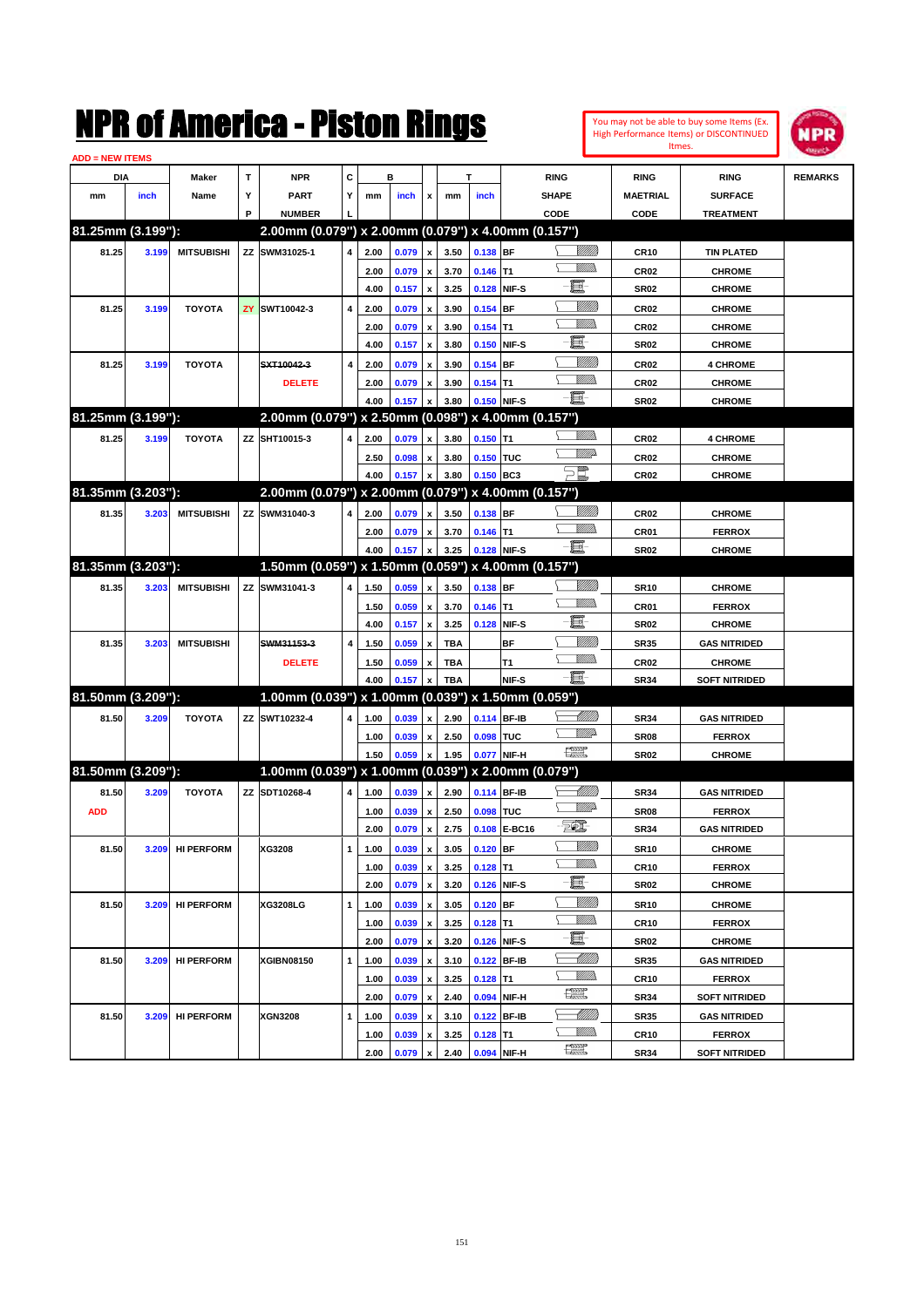|                        |       |                   |           | NMK OI AINCrica - Miston Kings                      |   |      |       |                           |            |             |              |                               |                 |                  | You may not be able to buy some Items (Ex.<br>High Performance Items) or DISCONTINUED | <b>NPR</b>     |
|------------------------|-------|-------------------|-----------|-----------------------------------------------------|---|------|-------|---------------------------|------------|-------------|--------------|-------------------------------|-----------------|------------------|---------------------------------------------------------------------------------------|----------------|
| <b>ADD = NEW ITEMS</b> |       |                   |           |                                                     |   |      |       |                           |            |             |              |                               |                 |                  | Itmes.                                                                                |                |
| DIA                    |       | Maker             | T         | <b>NPR</b>                                          | c |      | в     |                           |            | т           |              | <b>RING</b>                   |                 | <b>RING</b>      | <b>RING</b>                                                                           | <b>REMARKS</b> |
| mm                     | inch  | Name              | Υ         | PART                                                | Y | mm   | inch  | x                         | mm         | inch        |              | <b>SHAPE</b>                  |                 | <b>MAETRIAL</b>  | <b>SURFACE</b>                                                                        |                |
|                        |       |                   | P         | <b>NUMBER</b>                                       |   |      |       |                           |            |             |              | CODE                          |                 | CODE             | <b>TREATMENT</b>                                                                      |                |
| 81.25mm (3.199"):      |       |                   |           | 2.00mm (0.079") x 2.00mm (0.079") x 4.00mm (0.157") |   |      |       |                           |            |             |              |                               |                 |                  |                                                                                       |                |
| 81.25                  | 3.199 | <b>MITSUBISHI</b> |           | ZZ SWM31025-1                                       | 4 | 2.00 | 0.079 | $\mathbf{x}$              | 3.50       | 0.138 BF    |              |                               | <u>Sillilli</u> | <b>CR10</b>      | <b>TIN PLATED</b>                                                                     |                |
|                        |       |                   |           |                                                     |   | 2.00 | 0.079 | $\mathbf{x}$              | 3.70       | $0.146$ T1  |              |                               | <br>Mar         | CR <sub>02</sub> | <b>CHROME</b>                                                                         |                |
|                        |       |                   |           |                                                     |   | 4.00 | 0.157 | x                         | 3.25       | 0.128 NIF-S |              | E                             |                 | <b>SR02</b>      | <b>CHROME</b>                                                                         |                |
| 81.25                  | 3.199 | <b>TOYOTA</b>     | <b>ZY</b> | SWT10042-3                                          | 4 | 2.00 | 0.079 | x                         | 3.90       | $0.154$ BF  |              |                               | <u>Milli</u>    | CR <sub>02</sub> | <b>CHROME</b>                                                                         |                |
|                        |       |                   |           |                                                     |   | 2.00 | 0.079 | x                         | 3.90       | $0.154$ T1  |              |                               | .<br>VMD        | CR <sub>02</sub> | <b>CHROME</b>                                                                         |                |
|                        |       |                   |           |                                                     |   | 4.00 | 0.157 | x                         | 3.80       | 0.150 NIF-S |              | E                             |                 | <b>SR02</b>      | <b>CHROME</b>                                                                         |                |
| 81.25                  | 3.199 | <b>TOYOTA</b>     |           | SXT10042-3                                          | 4 | 2.00 | 0.079 | x                         | 3.90       | $0.154$ BF  |              |                               | <u>Villilli</u> | CR <sub>02</sub> | <b>4 CHROME</b>                                                                       |                |
|                        |       |                   |           | <b>DELETE</b>                                       |   | 2.00 | 0.079 | x                         | 3.90       | $0.154$ T1  |              |                               | <br>Mar         | CR <sub>02</sub> | <b>CHROME</b>                                                                         |                |
|                        |       |                   |           |                                                     |   | 4.00 | 0.157 | x                         | 3.80       | 0.150 NIF-S |              | -8                            |                 | <b>SR02</b>      | <b>CHROME</b>                                                                         |                |
| 81.25mm (3.199"):      |       |                   |           | 2.00mm (0.079") x 2.50mm (0.098") x 4.00mm (0.157") |   |      |       |                           |            |             |              |                               |                 |                  |                                                                                       |                |
| 81.25                  | 3.199 | <b>TOYOTA</b>     |           | ZZ SHT10015-3                                       | 4 | 2.00 | 0.079 | x                         | 3.80       | $0.150$ T1  |              |                               | <br>Villida     | CR <sub>02</sub> | <b>4 CHROME</b>                                                                       |                |
|                        |       |                   |           |                                                     |   | 2.50 | 0.098 | x                         | 3.80       | 0.150 TUC   |              |                               | <u>MM</u> D     | CR <sub>02</sub> | <b>CHROME</b>                                                                         |                |
|                        |       |                   |           |                                                     |   | 4.00 | 0.157 | $\pmb{\mathsf{x}}$        | 3.80       | 0.150 BC3   |              | $\sum_{\ell\ell}$             |                 | <b>CR02</b>      | <b>CHROME</b>                                                                         |                |
| 81.35mm (3.203"):      |       |                   |           | 2.00mm (0.079") x 2.00mm (0.079") x 4.00mm (0.157") |   |      |       |                           |            |             |              |                               |                 |                  |                                                                                       |                |
| 81.35                  | 3.203 | <b>MITSUBISHI</b> |           | ZZ SWM31040-3                                       | 4 | 2.00 | 0.079 | $\mathbf{x}$              | 3.50       | 0.138 BF    |              |                               | <u>MMM</u>      | CR <sub>02</sub> | <b>CHROME</b>                                                                         |                |
|                        |       |                   |           |                                                     |   | 2.00 | 0.079 | $\mathbf{x}$              | 3.70       | $0.146$ T1  |              |                               | <u>MM)</u>      | CR01             | <b>FERROX</b>                                                                         |                |
|                        |       |                   |           |                                                     |   | 4.00 | 0.157 | x                         | 3.25       | 0.128 NIF-S |              | -8                            |                 | <b>SR02</b>      | <b>CHROME</b>                                                                         |                |
| 81.35mm (3.203"):      |       |                   |           | 1.50mm (0.059") x 1.50mm (0.059") x 4.00mm (0.157") |   |      |       |                           |            |             |              |                               |                 |                  |                                                                                       |                |
| 81.35                  | 3.203 | <b>MITSUBISHI</b> | ΖZ        | SWM31041-3                                          | 4 | 1.50 | 0.059 | x                         | 3.50       | $0.138$ BF  |              |                               | <u>Milli</u> k  | <b>SR10</b>      | <b>CHROME</b>                                                                         |                |
|                        |       |                   |           |                                                     |   | 1.50 | 0.059 | x                         | 3.70       | $0.146$ T1  |              |                               | <br>Mar         | CR01             | <b>FERROX</b>                                                                         |                |
|                        |       |                   |           |                                                     |   | 4.00 | 0.157 | $\boldsymbol{\mathsf{x}}$ | 3.25       | 0.128 NIF-S |              | E                             |                 | <b>SR02</b>      | <b>CHROME</b>                                                                         |                |
| 81.35                  | 3.203 | <b>MITSUBISHI</b> |           | SWM31153-3                                          | 4 | 1.50 | 0.059 | x                         | <b>TBA</b> |             | ВF           |                               | <u>VIIII</u>    | <b>SR35</b>      | <b>GAS NITRIDED</b>                                                                   |                |
|                        |       |                   |           | <b>DELETE</b>                                       |   | 1.50 | 0.059 | x                         | <b>TBA</b> |             | Т1           |                               | .<br>VMD        | CR <sub>02</sub> | <b>CHROME</b>                                                                         |                |
|                        |       |                   |           |                                                     |   | 4.00 | 0.157 | X                         | <b>TBA</b> |             | NIF-S        | -8                            |                 | <b>SR34</b>      | <b>SOFT NITRIDED</b>                                                                  |                |
| 81.50mm (3.209"):      |       |                   |           | 1.00mm (0.039") x 1.00mm (0.039") x 1.50mm (0.059") |   |      |       |                           |            |             |              |                               |                 |                  |                                                                                       |                |
| 81.50                  | 3.209 | <b>TOYOTA</b>     | ZZ        | SWT10232-4                                          | 4 | 1.00 | 0.039 | x                         | 2.90       | 0.114 BF-IB |              |                               | <u> UMM</u>     | <b>SR34</b>      | <b>GAS NITRIDED</b>                                                                   |                |
|                        |       |                   |           |                                                     |   | 1.00 | 0.039 | x                         | 2.50       | 0.098 TUC   |              |                               | <u>MMD</u>      | SR <sub>08</sub> | <b>FERROX</b>                                                                         |                |
|                        |       |                   |           |                                                     |   | 1.50 | 0.059 | x                         | 1.95       | 0.077 NIF-H |              | $\frac{1}{2}$                 |                 | <b>SR02</b>      | <b>CHROME</b>                                                                         |                |
| 81.50mm (3.209"):      |       |                   |           | 1.00mm (0.039") x 1.00mm (0.039") x 2.00mm (0.079") |   |      |       |                           |            |             |              |                               |                 |                  |                                                                                       |                |
| 81.50                  | 3.209 | <b>TOYOTA</b>     |           | ZZ SDT10268-4                                       | 4 | 1.00 | 0.039 | x                         | 2.90       | 0.114 BF-IB |              |                               | <u> Milli</u>   | <b>SR34</b>      | <b>GAS NITRIDED</b>                                                                   |                |
| <b>ADD</b>             |       |                   |           |                                                     |   | 1.00 | 0.039 | $\pmb{\mathsf{x}}$        | 2.50       | 0.098 TUC   |              |                               | <u>MM</u>       | <b>SR08</b>      | <b>FERROX</b>                                                                         |                |
|                        |       |                   |           |                                                     |   | 2.00 | 0.079 | x                         | 2.75       |             | 0.108 E-BC16 | -201                          |                 | SR34             | <b>GAS NITRIDED</b>                                                                   |                |
| 81.50                  | 3.209 | <b>HI PERFORM</b> |           | XG3208                                              | 1 | 1.00 | 0.039 | $\pmb{\mathsf{x}}$        | 3.05       | $0.120$ BF  |              |                               | <u>Sillilli</u> | <b>SR10</b>      | <b>CHROME</b>                                                                         |                |
|                        |       |                   |           |                                                     |   | 1.00 | 0.039 | $\pmb{\mathsf{x}}$        | 3.25       | $0.128$ T1  |              | ١                             | <u>Willib</u>   | CR10             | <b>FERROX</b>                                                                         |                |
|                        |       |                   |           |                                                     |   | 2.00 | 0.079 | x                         | 3.20       | 0.126 NIF-S |              | e.                            |                 | <b>SR02</b>      | <b>CHROME</b>                                                                         |                |
| 81.50                  | 3.209 | <b>HI PERFORM</b> |           | <b>XG3208LG</b>                                     | 1 | 1.00 | 0.039 | x                         | 3.05       | $0.120$ BF  |              |                               | <u>Villilli</u> | <b>SR10</b>      | <b>CHROME</b>                                                                         |                |
|                        |       |                   |           |                                                     |   | 1.00 | 0.039 | $\pmb{\mathsf{x}}$        | 3.25       | $0.128$ T1  |              |                               | <u>Willib</u>   | CR10             | <b>FERROX</b>                                                                         |                |
|                        |       |                   |           |                                                     |   | 2.00 | 0.079 | x                         | 3.20       | 0.126 NIF-S |              | e.                            |                 | <b>SR02</b>      | <b>CHROME</b>                                                                         |                |
| 81.50                  | 3.209 | <b>HI PERFORM</b> |           | <b>XGIBN08150</b>                                   | 1 | 1.00 | 0.039 | $\pmb{\mathsf{x}}$        | 3.10       | 0.122 BF-IB |              |                               | <u> Milli</u>   | <b>SR35</b>      | <b>GAS NITRIDED</b>                                                                   |                |
|                        |       |                   |           |                                                     |   | 1.00 | 0.039 | x                         | 3.25       | $0.128$ T1  |              |                               | <u>Willib</u>   | <b>CR10</b>      | <b>FERROX</b>                                                                         |                |
|                        |       |                   |           |                                                     |   | 2.00 | 0.079 | x                         | 2.40       | 0.094 NIF-H |              | $f_{\text{max}}^{\text{max}}$ |                 | SR34             | <b>SOFT NITRIDED</b>                                                                  |                |
| 81.50                  | 3.209 | <b>HI PERFORM</b> |           | <b>XGN3208</b>                                      | 1 | 1.00 | 0.039 | x                         | 3.10       | 0.122 BF-IB |              |                               | <u> Milli</u>   | <b>SR35</b>      | <b>GAS NITRIDED</b>                                                                   |                |
|                        |       |                   |           |                                                     |   | 1.00 | 0.039 | x                         | 3.25       | $0.128$ T1  |              |                               | <u>MMS</u>      | CR10             | <b>FERROX</b>                                                                         |                |
|                        |       |                   |           |                                                     |   | 2.00 | 0.079 | x                         | 2.40       | 0.094 NIF-H |              | æ                             |                 | SR34             | <b>SOFT NITRIDED</b>                                                                  |                |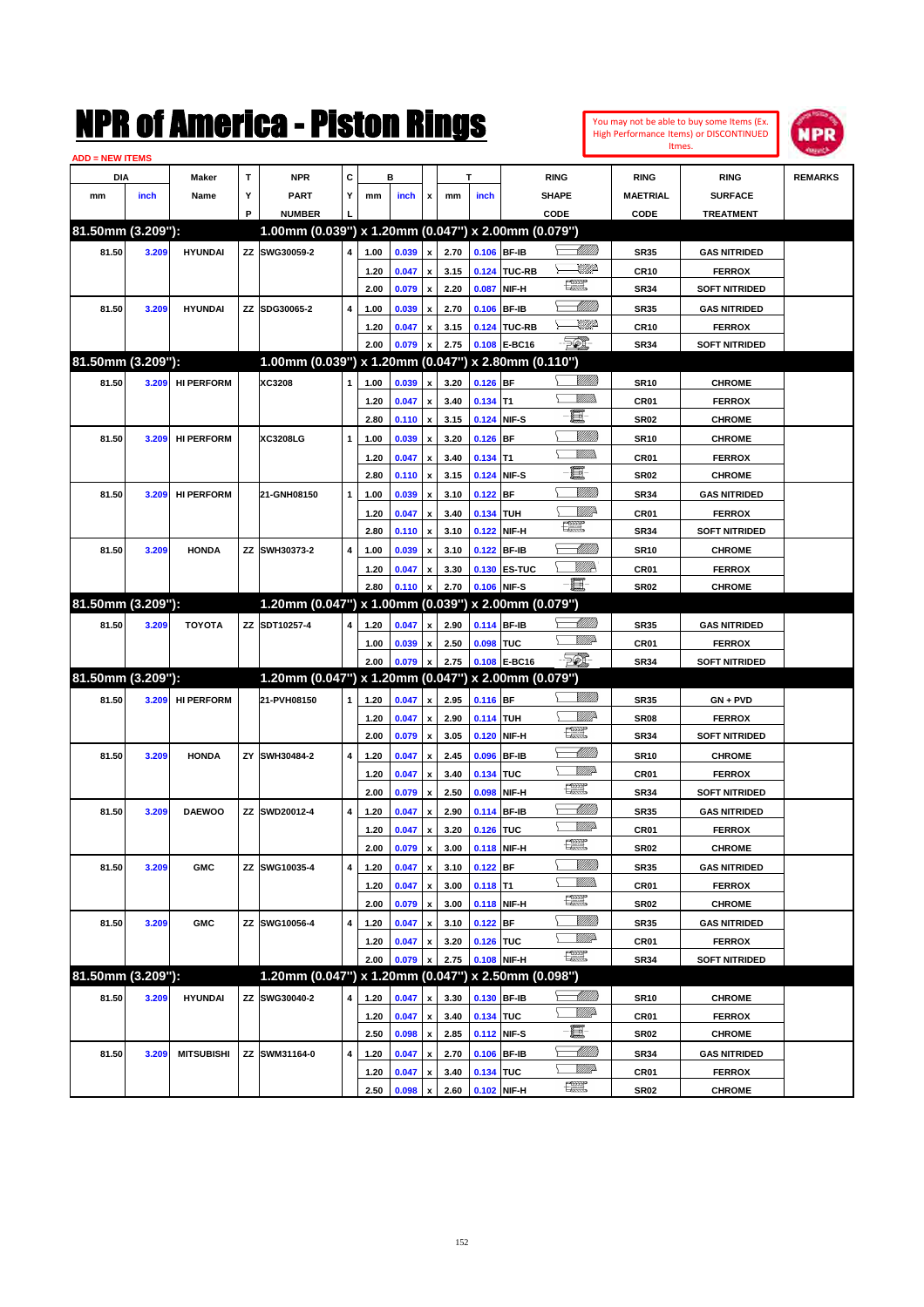| <b>ADD = NEW ITEMS</b> |       |                   |   |                                                     |   |      |                |                    |      |             |                |                   |                  |                      |                |
|------------------------|-------|-------------------|---|-----------------------------------------------------|---|------|----------------|--------------------|------|-------------|----------------|-------------------|------------------|----------------------|----------------|
| DIA                    |       | Maker             | Τ | <b>NPR</b>                                          | С |      | в              |                    | т    |             |                | <b>RING</b>       | <b>RING</b>      | <b>RING</b>          | <b>REMARKS</b> |
| mm                     | inch  | Name              | Υ | <b>PART</b>                                         | Y | mm   | inch           | x                  | mm   | inch        |                | <b>SHAPE</b>      | <b>MAETRIAL</b>  | <b>SURFACE</b>       |                |
|                        |       |                   | P | <b>NUMBER</b>                                       |   |      |                |                    |      |             |                | CODE              | CODE             | <b>TREATMENT</b>     |                |
| 81.50mm (3.209"):      |       |                   |   | 1.00mm (0.039") x 1.20mm (0.047") x 2.00mm (0.079") |   |      |                |                    |      |             |                |                   |                  |                      |                |
| 81.50                  | 3.209 | <b>HYUNDAI</b>    |   | ZZ SWG30059-2                                       |   | 1.00 | 0.039          | $\pmb{\mathsf{x}}$ | 2.70 | 0.106 BF-IB |                | <u>UMB</u>        | <b>SR35</b>      | <b>GAS NITRIDED</b>  |                |
|                        |       |                   |   |                                                     |   | 1.20 | 0.047          |                    | 3.15 | 0.124       | <b>TUC-RB</b>  | <u>UMP</u>        | <b>CR10</b>      | <b>FERROX</b>        |                |
|                        |       |                   |   |                                                     |   | 2.00 | 0.079          | $\boldsymbol{x}$   | 2.20 | 0.087       | NIF-H          | <b>The Second</b> | <b>SR34</b>      | <b>SOFT NITRIDED</b> |                |
| 81.50                  | 3.209 | <b>HYUNDAI</b>    |   | ZZ SDG30065-2                                       | 4 | 1.00 | 0.039          |                    | 2.70 | 0.106       | <b>BF-IB</b>   | <u> Millitt</u>   | <b>SR35</b>      | <b>GAS NITRIDED</b>  |                |
|                        |       |                   |   |                                                     |   |      |                |                    |      |             | 0.124 TUC-RB   | <u>UMP</u>        |                  |                      |                |
|                        |       |                   |   |                                                     |   | 1.20 | 0.047          |                    | 3.15 |             | E-BC16         | $\mathbb{Z}$      | <b>CR10</b>      | <b>FERROX</b>        |                |
| 81.50mm (3.209"):      |       |                   |   | 1.00mm (0.039") x 1.20mm (0.047") x 2.80mm (0.110") |   | 2.00 | 0.079          | x                  | 2.75 | 0.108       |                |                   | <b>SR34</b>      | <b>SOFT NITRIDED</b> |                |
|                        |       |                   |   |                                                     |   |      |                |                    |      |             |                | VIIII)            |                  |                      |                |
| 81.50                  |       | 3.209 HI PERFORM  |   | XC3208                                              |   | 1.00 | 0.039          |                    | 3.20 | $0.126$ BF  |                | <u>Millis</u>     | <b>SR10</b>      | <b>CHROME</b>        |                |
|                        |       |                   |   |                                                     |   | 1.20 | 0.047          |                    | 3.40 | 0.134       | T <sub>1</sub> | e.                | CR <sub>01</sub> | <b>FERROX</b>        |                |
|                        |       |                   |   |                                                     |   | 2.80 | 0.110          | x                  | 3.15 | 0.124       | NIF-S          |                   | <b>SR02</b>      | <b>CHROME</b>        |                |
| 81.50                  |       | 3.209 HI PERFORM  |   | <b>XC3208LG</b>                                     | 1 | 1.00 | 0.039          |                    | 3.20 | $0.126$ BF  |                | VIIII)            | <b>SR10</b>      | <b>CHROME</b>        |                |
|                        |       |                   |   |                                                     |   | 1.20 | 0.047          |                    | 3.40 | $0.134$ T1  |                | <u>Millis</u>     | CR <sub>01</sub> | <b>FERROX</b>        |                |
|                        |       |                   |   |                                                     |   | 2.80 | 0.110          | x                  | 3.15 | 0.124       | NIF-S          | e.                | <b>SR02</b>      | <b>CHROME</b>        |                |
| 81.50                  | 3.209 | <b>HI PERFORM</b> |   | 21-GNH08150                                         | 1 | 1.00 | 0.039          |                    | 3.10 | $0.122$ BF  |                | VIIII)            | <b>SR34</b>      | <b>GAS NITRIDED</b>  |                |
|                        |       |                   |   |                                                     |   | 1.20 | 0.047          |                    | 3.40 | 0.134       | <b>TUH</b>     |                   | CR <sub>01</sub> | <b>FERROX</b>        |                |
|                        |       |                   |   |                                                     |   | 2.80 | 0.110          | x                  | 3.10 | 0.122       | NIF-H          | H                 | <b>SR34</b>      | <b>SOFT NITRIDED</b> |                |
| 81.50                  | 3.209 | <b>HONDA</b>      |   | ZZ SWH30373-2                                       | 4 | 1.00 | 0.039          |                    | 3.10 | 0.122 BF-IB |                | <u>UMB</u>        | <b>SR10</b>      | <b>CHROME</b>        |                |
|                        |       |                   |   |                                                     |   | 1.20 | 0.047          |                    | 3.30 |             | 0.130 ES-TUC   | ₩₩                | CR <sub>01</sub> | <b>FERROX</b>        |                |
|                        |       |                   |   |                                                     |   | 2.80 | 0.110          |                    | 2.70 | 0.106       | NIF-S          | $-\Xi$            | <b>SR02</b>      | <b>CHROME</b>        |                |
| 81.50mm (3.209"):      |       |                   |   | 1.20mm (0.047") x 1.00mm (0.039") x 2.00mm (0.079") |   |      |                |                    |      |             |                |                   |                  |                      |                |
| 81.50                  | 3.209 | <b>TOYOTA</b>     |   | ZZ SDT10257-4                                       |   | 1.20 | 0.047          |                    | 2.90 | 0.114 BF-IB |                | <u> UMM)</u>      | <b>SR35</b>      | <b>GAS NITRIDED</b>  |                |
|                        |       |                   |   |                                                     |   | 1.00 | 0.039          |                    | 2.50 | 0.098       | <b>TUC</b>     | <u>VMD</u>        | CR <sub>01</sub> | <b>FERROX</b>        |                |
|                        |       |                   |   |                                                     |   | 2.00 | 0.079          | $\mathbf{x}$       | 2.75 |             | 0.108 E-BC16   | - 501             | <b>SR34</b>      | <b>SOFT NITRIDED</b> |                |
| 81.50mm (3.209"):      |       |                   |   | 1.20mm (0.047") x 1.20mm (0.047") x 2.00mm (0.079") |   |      |                |                    |      |             |                |                   |                  |                      |                |
| 81.50                  |       | 3.209 HI PERFORM  |   | 21-PVH08150                                         |   | 1.20 | 0.047          | x                  | 2.95 | $0.116$ BF  |                | VIIII)            | <b>SR35</b>      | $GN + PVD$           |                |
|                        |       |                   |   |                                                     |   | 1.20 | 0.047          |                    | 2.90 | 0.114       | <b>TUH</b>     |                   | SR <sub>08</sub> | <b>FERROX</b>        |                |
|                        |       |                   |   |                                                     |   | 2.00 | 0.079          | x                  | 3.05 | 0.120       | NIF-H          | <b>The Second</b> | <b>SR34</b>      | <b>SOFT NITRIDED</b> |                |
| 81.50                  | 3.209 | <b>HONDA</b>      |   | ZY SWH30484-2                                       | 4 | 1.20 | 0.047          |                    | 2.45 | 0.096       | <b>BF-IB</b>   | <u> UMM</u>       | <b>SR10</b>      | <b>CHROME</b>        |                |
|                        |       |                   |   |                                                     |   | 1.20 | 0.047          |                    | 3.40 | 0.134       | <b>TUC</b>     | <u>VMD</u>        | CR <sub>01</sub> | <b>FERROX</b>        |                |
|                        |       |                   |   |                                                     |   | 2.00 | 0.079          | x                  | 2.50 | 0.098       | NIF-H          | <b>The Second</b> | <b>SR34</b>      | <b>SOFT NITRIDED</b> |                |
| 81.50                  | 3.209 | <b>DAEWOO</b>     |   | ZZ SWD20012-4                                       | 4 | 1.20 | 0.047          |                    | 2.90 | 0.114       | <b>BF-IB</b>   | <u>UMM</u>        | <b>SR35</b>      | <b>GAS NITRIDED</b>  |                |
|                        |       |                   |   |                                                     |   | 1.20 | 0.047          | $\pmb{\mathsf{x}}$ | 3.20 | 0.126 TUC   |                | <u>VMD</u>        | CR <sub>01</sub> | <b>FERROX</b>        |                |
|                        |       |                   |   |                                                     |   | 2.00 | 0.079          | $\pmb{\mathsf{x}}$ | 3.00 | 0.118 NIF-H |                | R                 | SR <sub>02</sub> | <b>CHROME</b>        |                |
| 81.50                  | 3.209 | <b>GMC</b>        |   | ZZ SWG10035-4                                       | 4 | 1.20 | 0.047          | $\pmb{\mathsf{x}}$ | 3.10 | $0.122$ BF  |                | <u>UMB</u>        | <b>SR35</b>      | <b>GAS NITRIDED</b>  |                |
|                        |       |                   |   |                                                     |   | 1.20 | 0.047          |                    | 3.00 | $0.118$ T1  |                | <u>MMs</u>        | CR01             | <b>FERROX</b>        |                |
|                        |       |                   |   |                                                     |   | 2.00 | 0.079          | $\pmb{\mathsf{x}}$ | 3.00 | 0.118 NIF-H |                | <b>The Second</b> | <b>SR02</b>      | <b>CHROME</b>        |                |
| 81.50                  | 3.209 | <b>GMC</b>        |   | ZZ SWG10056-4                                       | 4 | 1.20 | 0.047          |                    | 3.10 | $0.122$ BF  |                | <u>Sillilli</u>   | <b>SR35</b>      | <b>GAS NITRIDED</b>  |                |
|                        |       |                   |   |                                                     |   | 1.20 | 0.047          |                    | 3.20 | 0.126 TUC   |                | <u>Willia</u>     | CR01             | <b>FERROX</b>        |                |
|                        |       |                   |   |                                                     |   | 2.00 | 0.079          | x                  | 2.75 | 0.108 NIF-H |                | <b>The Second</b> | <b>SR34</b>      | <b>SOFT NITRIDED</b> |                |
| 81.50mm (3.209"):      |       |                   |   | 1.20mm (0.047") x 1.20mm (0.047") x 2.50mm (0.098") |   |      |                |                    |      |             |                |                   |                  |                      |                |
|                        |       |                   |   |                                                     |   |      |                |                    |      |             |                |                   |                  |                      |                |
| 81.50                  | 3.209 | <b>HYUNDAI</b>    |   | ZZ SWG30040-2                                       | 4 | 1.20 | 0.047          | x                  | 3.30 | 0.130 BF-IB |                | <u>Willi</u> da   | <b>SR10</b>      | <b>CHROME</b>        |                |
|                        |       |                   |   |                                                     |   | 1.20 | 0.047          | $\mathbf x$        | 3.40 | 0.134 TUC   |                | $-\Xi$ -          | CR01             | <b>FERROX</b>        |                |
|                        |       |                   |   |                                                     |   |      | $2.50$ 0.098 x |                    | 2.85 | 0.112 NIF-S |                |                   | <b>SR02</b>      | <b>CHROME</b>        |                |

You may not be able to buy some Items (Ex. High Performance Items) or DISCONTINUED Itmes.

**NPR** 

**1.20 0.047 x 3.40 0.134 TUC CR01 CR01 FERROX**<br>**2.50 0.098 x 2.60 0.102 NIF-H CRU CRO2 CHROME 2.50 0.098 x 2.60 0.102 NIF-H SR02 CHROME**

**81.50 3.209 MITSUBISHI ZZ SWM31164-0 4 1.20 0.047 x 2.70 0.106 BF-IB SR34 GAS NITRIDED**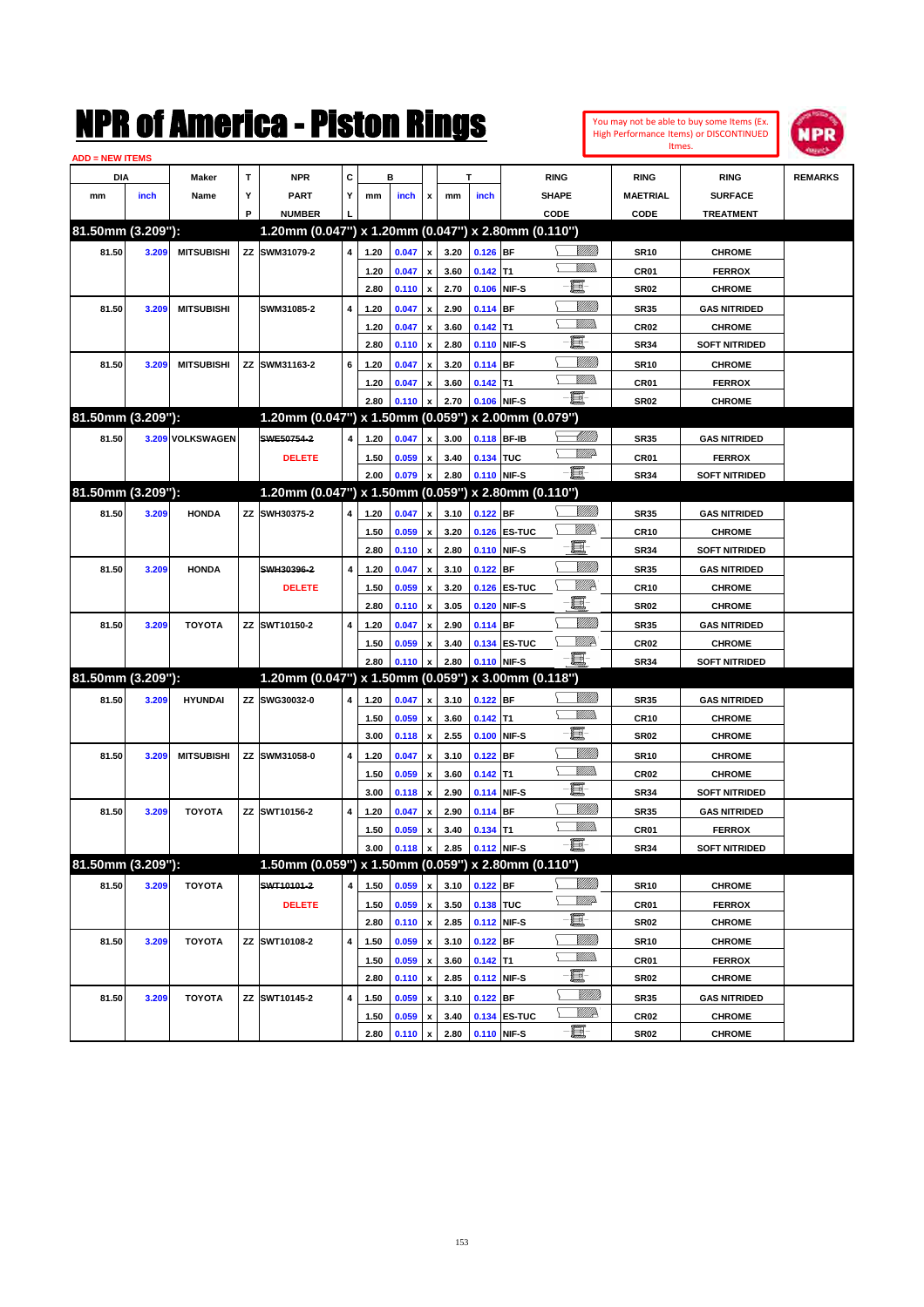| You may not be able to buy some Items (Ex. |
|--------------------------------------------|
| High Performance Items) or DISCONTINUED    |
| Itmes.                                     |



| <b>ADD = NEW ITEMS</b> |       |                   |   |                                                     |   |      |       |                           |      |             |              |                              |                  |                                |                |
|------------------------|-------|-------------------|---|-----------------------------------------------------|---|------|-------|---------------------------|------|-------------|--------------|------------------------------|------------------|--------------------------------|----------------|
| <b>DIA</b>             |       | <b>Maker</b>      | T | <b>NPR</b>                                          | С |      | в     |                           |      | т           |              | <b>RING</b>                  | <b>RING</b>      | <b>RING</b>                    | <b>REMARKS</b> |
| mm                     | inch  | Name              | Υ | <b>PART</b>                                         | Y | mm   | inch  | x                         | mm   | inch        |              | <b>SHAPE</b>                 | <b>MAETRIAL</b>  | <b>SURFACE</b>                 |                |
|                        |       |                   | P | <b>NUMBER</b>                                       |   |      |       |                           |      |             |              | CODE                         | <b>CODE</b>      | <b>TREATMENT</b>               |                |
| 81.50mm (3.209"):      |       |                   |   | 1.20mm (0.047") x 1.20mm (0.047") x 2.80mm (0.110") |   |      |       |                           |      |             |              |                              |                  |                                |                |
| 81.50                  | 3.209 | <b>MITSUBISHI</b> |   | ZZ SWM31079-2                                       | 4 | 1.20 | 0.047 | $\pmb{\mathsf{x}}$        | 3.20 | $0.126$ BF  |              | <u>Villida</u>               | <b>SR10</b>      | <b>CHROME</b>                  |                |
|                        |       |                   |   |                                                     |   | 1.20 | 0.047 | x                         | 3.60 | $0.142$ T1  |              | <br>Mad                      | CR <sub>01</sub> | <b>FERROX</b>                  |                |
|                        |       |                   |   |                                                     |   | 2.80 | 0.110 | $\pmb{\mathsf{x}}$        | 2.70 |             | 0.106 NIF-S  | e                            | <b>SR02</b>      | <b>CHROME</b>                  |                |
| 81.50                  | 3.209 | <b>MITSUBISHI</b> |   | SWM31085-2                                          | 4 | 1.20 | 0.047 | x                         | 2.90 | $0.114$ BF  |              | <u>Milli</u> k               | <b>SR35</b>      | <b>GAS NITRIDED</b>            |                |
|                        |       |                   |   |                                                     |   | 1.20 | 0.047 | x                         | 3.60 | $0.142$ T1  |              | .<br>VMD                     | <b>CR02</b>      | <b>CHROME</b>                  |                |
|                        |       |                   |   |                                                     |   | 2.80 | 0.110 | x                         | 2.80 | 0.110 NIF-S |              | e.                           | <b>SR34</b>      | <b>SOFT NITRIDED</b>           |                |
|                        |       |                   |   |                                                     |   |      |       |                           |      |             |              | VIII))                       |                  | <b>CHROME</b>                  |                |
| 81.50                  | 3.209 | <b>MITSUBISHI</b> |   | ZZ SWM31163-2                                       | 6 | 1.20 | 0.047 |                           | 3.20 | $0.114$ BF  |              | .<br>VMD                     | <b>SR10</b>      |                                |                |
|                        |       |                   |   |                                                     |   | 1.20 | 0.047 |                           | 3.60 | $0.142$ T1  |              | -8                           | CR <sub>01</sub> | <b>FERROX</b>                  |                |
| 81.50mm (3.209"):      |       |                   |   |                                                     |   | 2.80 | 0.110 | x                         | 2.70 | 0.106 NIF-S |              |                              | <b>SR02</b>      | <b>CHROME</b>                  |                |
|                        |       |                   |   | 1.20mm (0.047") x 1.50mm (0.059") x 2.00mm (0.079") |   |      |       |                           |      |             |              |                              |                  |                                |                |
| 81.50                  |       | 3.209 VOLKSWAGEN  |   | SWE50754-2                                          | 4 | 1.20 | 0.047 | x                         | 3.00 | 0.118 BF-IB |              | <u> Millil</u><br><u>VMD</u> | <b>SR35</b>      | <b>GAS NITRIDED</b>            |                |
|                        |       |                   |   | <b>DELETE</b>                                       |   | 1.50 | 0.059 | x                         | 3.40 | 0.134 TUC   |              |                              | <b>CR01</b>      | <b>FERROX</b>                  |                |
|                        |       |                   |   |                                                     |   | 2.00 | 0.079 | x                         | 2.80 | 0.110 NIF-S |              | -8                           | <b>SR34</b>      | <b>SOFT NITRIDED</b>           |                |
| 81.50mm (3.209"):      |       |                   |   | 1.20mm (0.047") x 1.50mm (0.059") x 2.80mm (0.110") |   |      |       |                           |      |             |              |                              |                  |                                |                |
| 81.50                  | 3.209 | <b>HONDA</b>      |   | ZZ SWH30375-2                                       | 4 | 1.20 | 0.047 | x                         | 3.10 | $0.122$ BF  |              | VIII))                       | <b>SR35</b>      | <b>GAS NITRIDED</b>            |                |
|                        |       |                   |   |                                                     |   | 1.50 | 0.059 | x                         | 3.20 |             | 0.126 ES-TUC | <u>VIIID</u>                 | <b>CR10</b>      | <b>CHROME</b>                  |                |
|                        |       |                   |   |                                                     |   | 2.80 | 0.110 | $\boldsymbol{\mathsf{x}}$ | 2.80 |             | 0.110 NIF-S  | e.                           | <b>SR34</b>      | <b>SOFT NITRIDED</b>           |                |
| 81.50                  | 3.209 | <b>HONDA</b>      |   | SWH30396-2                                          | 4 | 1.20 | 0.047 | x                         | 3.10 | $0.122$ BF  |              | <u>Milli</u> k               | <b>SR35</b>      | <b>GAS NITRIDED</b>            |                |
|                        |       |                   |   | <b>DELETE</b>                                       |   | 1.50 | 0.059 | x                         | 3.20 |             | 0.126 ES-TUC | <u>VIIID</u>                 | <b>CR10</b>      | <b>CHROME</b>                  |                |
|                        |       |                   |   |                                                     |   | 2.80 | 0.110 | x                         | 3.05 | 0.120 NIF-S |              | e.                           | <b>SR02</b>      | <b>CHROME</b>                  |                |
| 81.50                  | 3.209 | <b>TOYOTA</b>     |   | ZZ SWT10150-2                                       | 4 | 1.20 | 0.047 |                           | 2.90 | $0.114$ BF  |              | <u>Milli</u> k               | <b>SR35</b>      | <b>GAS NITRIDED</b>            |                |
|                        |       |                   |   |                                                     |   | 1.50 | 0.059 | x                         | 3.40 |             | 0.134 ES-TUC | <u>VIIID</u>                 | <b>CR02</b>      | <b>CHROME</b>                  |                |
|                        |       |                   |   |                                                     |   | 2.80 | 0.110 |                           | 2.80 | 0.110 NIF-S |              | e.                           | <b>SR34</b>      | <b>SOFT NITRIDED</b>           |                |
| 81.50mm (3.209"):      |       |                   |   | 1.20mm (0.047") x 1.50mm (0.059") x 3.00mm (0.118") |   |      |       |                           |      |             |              |                              |                  |                                |                |
| 81.50                  | 3.209 | <b>HYUNDAI</b>    |   | ZZ SWG30032-0                                       | 4 | 1.20 | 0.047 | x                         | 3.10 | $0.122$ BF  |              |                              | <b>SR35</b>      | <b>GAS NITRIDED</b>            |                |
|                        |       |                   |   |                                                     |   | 1.50 | 0.059 | x                         | 3.60 | $0.142$ T1  |              | .<br>VMD                     | <b>CR10</b>      | <b>CHROME</b>                  |                |
|                        |       |                   |   |                                                     |   | 3.00 | 0.118 | $\boldsymbol{\mathsf{x}}$ | 2.55 | 0.100 NIF-S |              | e.                           | <b>SR02</b>      | <b>CHROME</b>                  |                |
| 81.50                  | 3.209 | <b>MITSUBISHI</b> |   | ZZ SWM31058-0                                       | 4 | 1.20 | 0.047 | x                         | 3.10 | $0.122$ BF  |              | VIII))                       | <b>SR10</b>      | <b>CHROME</b>                  |                |
|                        |       |                   |   |                                                     |   | 1.50 | 0.059 | x                         | 3.60 | $0.142$ T1  |              | .<br>VMD                     | <b>CR02</b>      | <b>CHROME</b>                  |                |
|                        |       |                   |   |                                                     |   | 3.00 | 0.118 | x                         | 2.90 | 0.114 NIF-S |              | ti.                          | <b>SR34</b>      | <b>SOFT NITRIDED</b>           |                |
| 81.50                  | 3.209 | <b>TOYOTA</b>     |   | ZZ SWT10156-2                                       | 4 | 1.20 | 0.047 |                           | 2.90 | $0.114$ BF  |              | VIII))                       | <b>SR35</b>      | <b>GAS NITRIDED</b>            |                |
|                        |       |                   |   |                                                     |   | 1.50 | 0.059 | x                         | 3.40 | $0.134$ T1  |              | <br>Mar                      | CR01             | <b>FERROX</b>                  |                |
|                        |       |                   |   |                                                     |   | 3.00 | 0.118 | $\pmb{\mathsf{x}}$        | 2.85 | 0.112 NIF-S |              | -8                           | SR34             | <b>SOFT NITRIDED</b>           |                |
| 81.50mm (3.209"):      |       |                   |   | 1.50mm (0.059") x 1.50mm (0.059") x 2.80mm (0.110") |   |      |       |                           |      |             |              |                              |                  |                                |                |
| 81.50                  | 3.209 | TOYOTA            |   | SWT10101-2                                          | 4 | 1.50 | 0.059 | x                         | 3.10 | $0.122$ BF  |              | <u>MMM</u>                   | <b>SR10</b>      | <b>CHROME</b>                  |                |
|                        |       |                   |   | <b>DELETE</b>                                       |   | 1.50 | 0.059 | $\pmb{\mathsf{x}}$        | 3.50 | 0.138 TUC   |              | <u>WW</u> A                  | CR01             | <b>FERROX</b>                  |                |
|                        |       |                   |   |                                                     |   | 2.80 | 0.110 | $\pmb{\mathsf{x}}$        | 2.85 |             | 0.112 NIF-S  | E                            | SR02             | <b>CHROME</b>                  |                |
| 81.50                  | 3.209 | TOYOTA            |   | ZZ SWT10108-2                                       | 4 |      | 0.059 |                           | 3.10 | $0.122$ BF  |              | VIII))                       | <b>SR10</b>      | <b>CHROME</b>                  |                |
|                        |       |                   |   |                                                     |   | 1.50 |       | x                         |      |             |              | <u>WMW</u>                   |                  |                                |                |
|                        |       |                   |   |                                                     |   | 1.50 | 0.059 | x                         | 3.60 | $0.142$ T1  | 0.112 NIF-S  | e                            | CR01             | <b>FERROX</b><br><b>CHROME</b> |                |
|                        |       |                   |   |                                                     |   | 2.80 | 0.110 | x                         | 2.85 |             |              | <u>MMW</u>                   | SR02             |                                |                |
| 81.50                  | 3.209 | <b>TOYOTA</b>     |   | ZZ SWT10145-2                                       | 4 | 1.50 | 0.059 | x                         | 3.10 | $0.122$ BF  |              | <u>W//P</u>                  | SR35             | <b>GAS NITRIDED</b>            |                |
|                        |       |                   |   |                                                     |   | 1.50 | 0.059 | x                         | 3.40 |             | 0.134 ES-TUC | -E-                          | CR02             | <b>CHROME</b>                  |                |
|                        |       |                   |   |                                                     |   | 2.80 | 0.110 | $\pmb{\mathsf{x}}$        | 2.80 | 0.110 NIF-S |              |                              | <b>SR02</b>      | <b>CHROME</b>                  |                |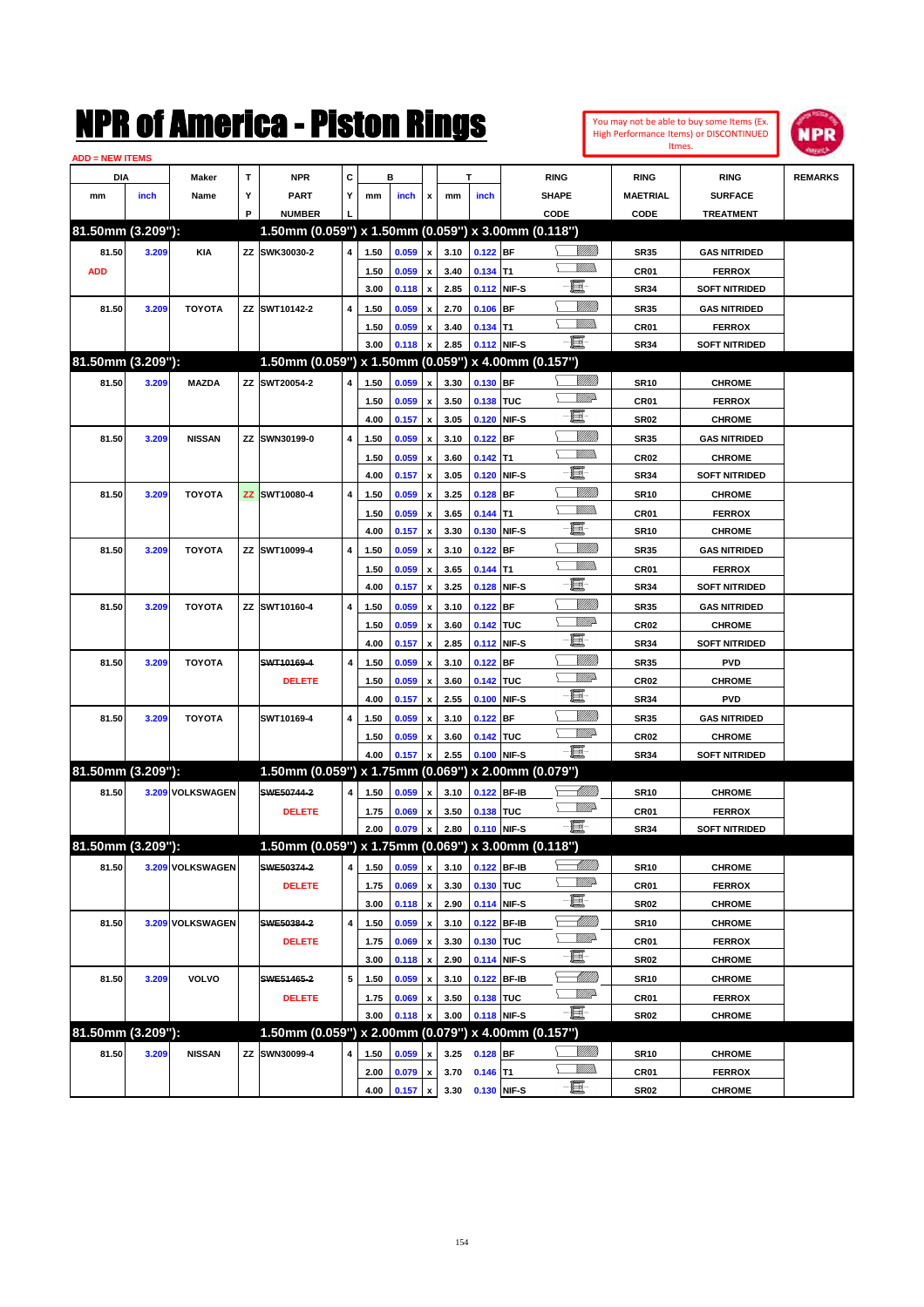| You may not be able to buy some Items (Ex. |
|--------------------------------------------|
| High Performance Items) or DISCONTINUED    |
| Itmes.                                     |



| <b>ADD = NEW ITEMS</b> |       |                   |   |                                                     |   |      |       |                           |      |             |             |                            |                 |                      |                |
|------------------------|-------|-------------------|---|-----------------------------------------------------|---|------|-------|---------------------------|------|-------------|-------------|----------------------------|-----------------|----------------------|----------------|
| DIA                    |       | <b>Maker</b>      | т | <b>NPR</b>                                          | C |      | в     |                           |      | т           |             | <b>RING</b>                | <b>RING</b>     | <b>RING</b>          | <b>REMARKS</b> |
| mm                     | inch  | Name              | Υ | <b>PART</b>                                         | Y | mm   | inch  | x                         | mm   | inch        |             | <b>SHAPE</b>               | <b>MAETRIAL</b> | <b>SURFACE</b>       |                |
|                        |       |                   | P | <b>NUMBER</b>                                       |   |      |       |                           |      |             |             | CODE                       | CODE            | <b>TREATMENT</b>     |                |
| 81.50mm (3.209"):      |       |                   |   | 1.50mm (0.059") x 1.50mm (0.059") x 3.00mm (0.118") |   |      |       |                           |      |             |             |                            |                 |                      |                |
| 81.50                  | 3.209 | <b>KIA</b>        |   | ZZ SWK30030-2                                       | 4 | 1.50 | 0.059 | $\pmb{\mathsf{x}}$        | 3.10 | $0.122$ BF  |             | <u>UMB</u>                 | <b>SR35</b>     | <b>GAS NITRIDED</b>  |                |
| <b>ADD</b>             |       |                   |   |                                                     |   | 1.50 | 0.059 | $\pmb{\mathsf{x}}$        | 3.40 | $0.134$ T1  |             | <br>Mad                    | <b>CR01</b>     | <b>FERROX</b>        |                |
|                        |       |                   |   |                                                     |   | 3.00 | 0.118 | $\boldsymbol{\mathsf{x}}$ | 2.85 |             | 0.112 NIF-S | e                          | <b>SR34</b>     | <b>SOFT NITRIDED</b> |                |
| 81.50                  | 3.209 | <b>TOYOTA</b>     |   | ZZ SWT10142-2                                       | 4 | 1.50 | 0.059 | x                         | 2.70 | $0.106$ BF  |             | VIII))                     | <b>SR35</b>     | <b>GAS NITRIDED</b>  |                |
|                        |       |                   |   |                                                     |   | 1.50 | 0.059 | x                         | 3.40 | $0.134$ T1  |             | .<br>VMD                   | <b>CR01</b>     | <b>FERROX</b>        |                |
|                        |       |                   |   |                                                     |   | 3.00 | 0.118 | $\boldsymbol{\mathsf{x}}$ | 2.85 | 0.112 NIF-S |             | -8                         | <b>SR34</b>     | <b>SOFT NITRIDED</b> |                |
| 81.50mm (3.209"):      |       |                   |   | 1.50mm (0.059") x 1.50mm (0.059") x 4.00mm (0.157") |   |      |       |                           |      |             |             |                            |                 |                      |                |
|                        |       |                   |   |                                                     |   |      |       |                           |      |             |             | <u>Villida</u>             |                 |                      |                |
| 81.50                  | 3.209 | <b>MAZDA</b>      |   | ZZ SWT20054-2                                       | 4 | 1.50 | 0.059 | $\boldsymbol{\mathsf{x}}$ | 3.30 | $0.130$ BF  |             | <u>VMD</u>                 | <b>SR10</b>     | <b>CHROME</b>        |                |
|                        |       |                   |   |                                                     |   | 1.50 | 0.059 | x                         | 3.50 | 0.138 TUC   |             | e                          | CR01            | <b>FERROX</b>        |                |
|                        |       |                   |   |                                                     |   | 4.00 | 0.157 | $\boldsymbol{\mathsf{x}}$ | 3.05 |             | 0.120 NIF-S |                            | <b>SR02</b>     | <b>CHROME</b>        |                |
| 81.50                  | 3.209 | <b>NISSAN</b>     |   | ZZ SWN30199-0                                       | 4 | 1.50 | 0.059 | x                         | 3.10 | $0.122$ BF  |             | <u>Sillilli</u><br><br>Mad | <b>SR35</b>     | <b>GAS NITRIDED</b>  |                |
|                        |       |                   |   |                                                     |   | 1.50 | 0.059 | x                         | 3.60 | $0.142$ T1  |             |                            | <b>CR02</b>     | <b>CHROME</b>        |                |
|                        |       |                   |   |                                                     |   | 4.00 | 0.157 | $\boldsymbol{\mathsf{x}}$ | 3.05 |             | 0.120 NIF-S | e                          | <b>SR34</b>     | <b>SOFT NITRIDED</b> |                |
| 81.50                  | 3.209 | <b>TOYOTA</b>     |   | ZZ SWT10080-4                                       | 4 | 1.50 | 0.059 | x                         | 3.25 | $0.128$ BF  |             | <u>Sillilli</u>            | <b>SR10</b>     | <b>CHROME</b>        |                |
|                        |       |                   |   |                                                     |   | 1.50 | 0.059 | x                         | 3.65 | $0.144$ T1  |             | <br>Mad                    | CR01            | <b>FERROX</b>        |                |
|                        |       |                   |   |                                                     |   | 4.00 | 0.157 | x                         | 3.30 |             | 0.130 NIF-S | e                          | <b>SR10</b>     | <b>CHROME</b>        |                |
| 81.50                  | 3.209 | <b>TOYOTA</b>     |   | ZZ SWT10099-4                                       | 4 | 1.50 | 0.059 | x                         | 3.10 | $0.122$ BF  |             | <u>VIIIIn</u>              | <b>SR35</b>     | <b>GAS NITRIDED</b>  |                |
|                        |       |                   |   |                                                     |   | 1.50 | 0.059 | x                         | 3.65 | $0.144$ T1  |             | UM)                        | <b>CR01</b>     | <b>FERROX</b>        |                |
|                        |       |                   |   |                                                     |   | 4.00 | 0.157 | x                         | 3.25 |             | 0.128 NIF-S | e                          | <b>SR34</b>     | <b>SOFT NITRIDED</b> |                |
| 81.50                  | 3.209 | <b>TOYOTA</b>     |   | ZZ SWT10160-4                                       | 4 | 1.50 | 0.059 | x                         | 3.10 | $0.122$ BF  |             | <u>VIIIIn</u>              | <b>SR35</b>     | <b>GAS NITRIDED</b>  |                |
|                        |       |                   |   |                                                     |   | 1.50 | 0.059 | x                         | 3.60 | 0.142 TUC   |             | <u>VMD</u>                 | <b>CR02</b>     | <b>CHROME</b>        |                |
|                        |       |                   |   |                                                     |   | 4.00 | 0.157 | $\boldsymbol{\mathsf{x}}$ | 2.85 |             | 0.112 NIF-S | e                          | <b>SR34</b>     | <b>SOFT NITRIDED</b> |                |
| 81.50                  | 3.209 | <b>TOYOTA</b>     |   | SWT10169-4                                          | 4 | 1.50 | 0.059 | x                         | 3.10 | $0.122$ BF  |             | <u>Sillilli</u>            | <b>SR35</b>     | <b>PVD</b>           |                |
|                        |       |                   |   | <b>DELETE</b>                                       |   | 1.50 | 0.059 | x                         | 3.60 | 0.142 TUC   |             | <u>VMD</u>                 | <b>CR02</b>     | <b>CHROME</b>        |                |
|                        |       |                   |   |                                                     |   | 4.00 | 0.157 | $\boldsymbol{\mathsf{x}}$ | 2.55 |             | 0.100 NIF-S | e                          | <b>SR34</b>     | <b>PVD</b>           |                |
| 81.50                  | 3.209 | <b>TOYOTA</b>     |   | SWT10169-4                                          | 4 | 1.50 | 0.059 | x                         | 3.10 | $0.122$ BF  |             | <u>Sillilli</u>            | <b>SR35</b>     | <b>GAS NITRIDED</b>  |                |
|                        |       |                   |   |                                                     |   | 1.50 | 0.059 | x                         | 3.60 | 0.142 TUC   |             | <u>VMD</u>                 | <b>CR02</b>     | <b>CHROME</b>        |                |
|                        |       |                   |   |                                                     |   | 4.00 | 0.157 | $\boldsymbol{\mathsf{x}}$ | 2.55 | 0.100 NIF-S |             | -8                         | <b>SR34</b>     | <b>SOFT NITRIDED</b> |                |
| 81.50mm (3.209"):      |       |                   |   | 1.50mm (0.059") x 1.75mm (0.069") x 2.00mm (0.079") |   |      |       |                           |      |             |             |                            |                 |                      |                |
| 81.50                  |       | 3.209 VOLKSWAGEN  |   | SWE50744-2                                          | 4 | 1.50 | 0.059 | $\boldsymbol{\mathsf{x}}$ | 3.10 |             | 0.122 BF-IB | <u> UMB</u>                | <b>SR10</b>     | <b>CHROME</b>        |                |
|                        |       |                   |   | <b>DELETE</b>                                       |   | 1.75 | 0.069 | x                         | 3.50 | 0.138 TUC   |             | <u>WW</u> A                | CR01            | <b>FERROX</b>        |                |
|                        |       |                   |   |                                                     |   | 2.00 | 0.079 | $\pmb{\mathsf{x}}$        | 2.80 |             | 0.110 NIF-S | -日                         | <b>SR34</b>     | <b>SOFT NITRIDED</b> |                |
| 81.50mm (3.209"):      |       |                   |   | 1.50mm (0.059") x 1.75mm (0.069") x 3.00mm (0.118") |   |      |       |                           |      |             |             |                            |                 |                      |                |
|                        |       |                   |   |                                                     |   |      |       |                           |      |             |             |                            |                 |                      |                |
| 81.50                  |       | 3.209 VOLKSWAGEN  |   | SWE50374-2                                          | 4 | 1.50 | 0.059 | $\pmb{\mathsf{x}}$        | 3.10 |             | 0.122 BF-IB | <u> Milli</u> lli<br>₩₩    | <b>SR10</b>     | <b>CHROME</b>        |                |
|                        |       |                   |   | <b>DELETE</b>                                       |   | 1.75 | 0.069 | $\pmb{\mathsf{x}}$        | 3.30 | 0.130 TUC   |             |                            | CR01            | <b>FERROX</b>        |                |
|                        |       |                   |   |                                                     |   | 3.00 | 0.118 | $\pmb{\mathsf{x}}$        | 2.90 |             | 0.114 NIF-S | e.                         | SR02            | <b>CHROME</b>        |                |
| 81.50                  | 3.209 | <b>VOLKSWAGEN</b> |   | SWE50384-2                                          | 4 | 1.50 | 0.059 | x                         | 3.10 |             | 0.122 BF-IB | <u> MMN</u>                | SR10            | <b>CHROME</b>        |                |
|                        |       |                   |   | <b>DELETE</b>                                       |   | 1.75 | 0.069 | x                         | 3.30 | 0.130 TUC   |             | <u>WW</u> A                | CR01            | <b>FERROX</b>        |                |
|                        |       |                   |   |                                                     |   | 3.00 | 0.118 | x                         | 2.90 |             | 0.114 NIF-S | e.                         | SR02            | <b>CHROME</b>        |                |
| 81.50                  | 3.209 | <b>VOLVO</b>      |   | SWE51465-2                                          | 5 | 1.50 | 0.059 | X                         | 3.10 |             | 0.122 BF-IB | <u> MMN</u>                | SR10            | <b>CHROME</b>        |                |
|                        |       |                   |   | <b>DELETE</b>                                       |   | 1.75 | 0.069 | x                         | 3.50 | 0.138 TUC   |             | <u>VM</u> A                | CR01            | <b>FERROX</b>        |                |
|                        |       |                   |   |                                                     |   | 3.00 | 0.118 | x                         | 3.00 | 0.118 NIF-S |             | -夏-                        | SR02            | <b>CHROME</b>        |                |
| 81.50mm (3.209"):      |       |                   |   | 1.50mm (0.059") x 2.00mm (0.079") x 4.00mm (0.157") |   |      |       |                           |      |             |             |                            |                 |                      |                |
| 81.50                  | 3.209 | <b>NISSAN</b>     |   | ZZ SWN30099-4                                       | 4 | 1.50 | 0.059 | x                         | 3.25 | $0.128$ BF  |             | <u>VIIII)</u>              | SR10            | <b>CHROME</b>        |                |
|                        |       |                   |   |                                                     |   | 2.00 | 0.079 | x                         | 3.70 | $0.146$ T1  |             | <u>WMW</u>                 | CR01            | <b>FERROX</b>        |                |
|                        |       |                   |   |                                                     |   | 4.00 | 0.157 | X                         | 3.30 |             | 0.130 NIF-S |                            | SR02            | <b>CHROME</b>        |                |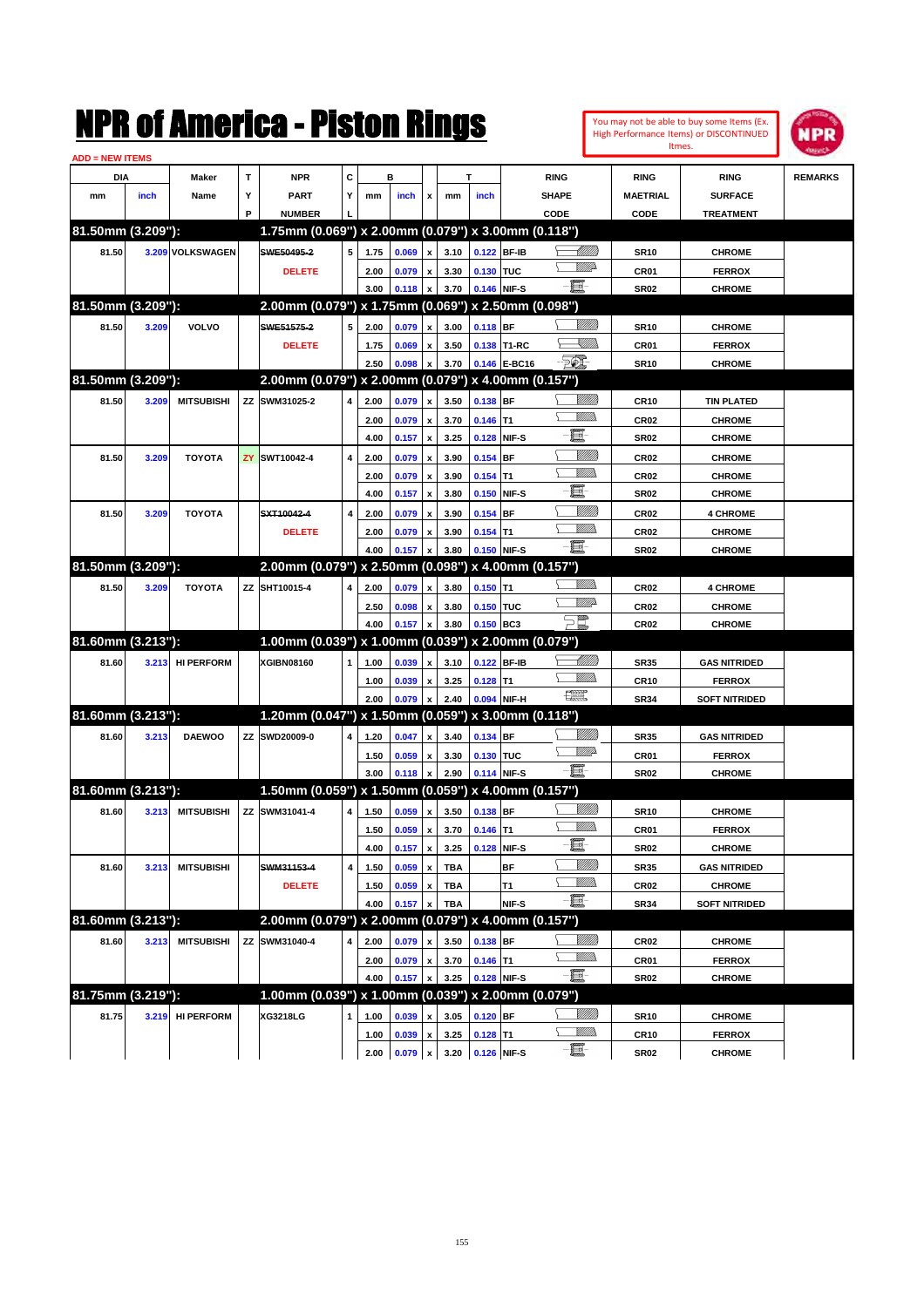| $\mathbf{T}$<br>С<br><b>NPR</b><br>в<br>DIA<br>Maker<br>т<br><b>RING</b><br><b>RING</b><br><b>REMARKS</b><br><b>RING</b><br>Υ<br>Y<br><b>PART</b><br><b>SHAPE</b><br><b>MAETRIAL</b><br><b>SURFACE</b><br>mm<br>inch<br>Name<br>mm<br>inch<br>x<br>mm<br>inch<br>P<br><b>NUMBER</b><br>CODE<br>CODE<br><b>TREATMENT</b><br>81.50mm (3.209"):<br>1.75mm (0.069") x 2.00mm (0.079") x 3.00mm (0.118")<br><u>UMB</u><br>5<br>0.122 BF-IB<br>81.50<br>3.209 VOLKSWAGEN<br>SWE50495-2<br>3.10<br><b>CHROME</b><br>1.75<br>0.069<br><b>SR10</b><br>x<br><u>MM</u> D<br>3.30<br>0.130 TUC<br>CR01<br><b>FERROX</b><br><b>DELETE</b><br>2.00<br>0.079<br>$\mathbf{x}$<br>e.<br>0.146 NIF-S<br>3.70<br><b>SR02</b><br>3.00<br>0.118<br><b>CHROME</b><br>x<br>81.50mm (3.209"):<br>2.00mm (0.079") x 1.75mm (0.069") x 2.50mm (0.098")<br><u>Villida</u><br>5<br>$0.118$ BF<br>81.50<br>3.209<br>VOLVO<br>SWE51575-2<br><b>CHROME</b><br>2.00<br>0.079<br>3.00<br><b>SR10</b><br>$\boldsymbol{\mathsf{x}}$<br><u>s Millip</u><br>3.50<br>0.138 T1-RC<br>CR01<br><b>FERROX</b><br><b>DELETE</b><br>1.75<br>0.069<br>x<br>$\mathbb{Z}$<br>2.50<br>3.70<br>0.146 E-BC16<br><b>SR10</b><br>0.098<br><b>CHROME</b><br>81.50mm (3.209"):<br>2.00mm (0.079") x 2.00mm (0.079") x 4.00mm (0.157")<br>0.138 BF<br>81.50<br>3.209<br><b>MITSUBISHI</b><br><b>ZZ</b><br>SWM31025-2<br>4<br>3.50<br>2.00<br>0.079<br><b>CR10</b><br><b>TIN PLATED</b><br>$\boldsymbol{\mathsf{x}}$<br><br>Mar<br>3.70<br>$0.146$ T1<br>CR <sub>02</sub><br><b>CHROME</b><br>2.00<br>0.079<br>$\mathbf{x}$<br>E-<br>3.25<br>0.128 NIF-S<br><b>SR02</b><br>4.00<br>0.157<br><b>CHROME</b><br>x<br><u>VIIII)</u><br><b>TOYOTA</b><br>ZY<br>SWT10042-4<br>$\overline{4}$<br>0.154 BF<br>CR <sub>02</sub><br><b>CHROME</b><br>81.50<br>3.209<br>2.00<br>0.079<br>3.90<br>x<br><br>Milita<br>0.154<br>lT1<br>CR <sub>02</sub><br><b>CHROME</b><br>2.00<br>0.079<br>3.90<br>$\boldsymbol{\mathsf{x}}$<br>E-<br>3.80<br>0.150 NIF-S<br><b>SR02</b><br>4.00<br>0.157<br><b>CHROME</b><br>x<br><u>Villida</u><br><b>TOYOTA</b><br>SXT10042-4<br>$\overline{4}$<br>0.154<br><b>BF</b><br>CR <sub>02</sub><br><b>4 CHROME</b><br>81.50<br>3.209<br>2.00<br>0.079<br>3.90<br>x<br><br>Milita<br>3.90<br>$0.154$ T1<br>CR <sub>02</sub><br><b>CHROME</b><br><b>DELETE</b><br>2.00<br>0.079<br>x<br>E.<br>0.150 NIF-S<br>3.80<br><b>SR02</b><br><b>CHROME</b><br>4.00<br>0.157<br>$\boldsymbol{\mathsf{x}}$<br>81.50mm (3.209"):<br>2.00mm (0.079") x 2.50mm (0.098") x 4.00mm (0.157")<br><br>Mar<br>$0.150$ T1<br><b>TOYOTA</b><br>SHT10015-4<br>81.50<br>3.209<br>ZZ<br>4<br>2.00<br>0.079<br>$\boldsymbol{x}$<br>3.80<br>CR <sub>02</sub><br><b>4 CHROME</b><br><u>MM</u><br>3.80<br>0.150 TUC<br>CR <sub>02</sub><br><b>CHROME</b><br>2.50<br>0.098<br>x<br>$\sum_{\ell}^{\ell}$<br>3.80<br>0.150 BC3<br><b>CR02</b><br>4.00<br>0.157<br><b>CHROME</b><br>81.60mm (3.213"):<br>1.00mm (0.039") x 1.00mm (0.039") x 2.00mm (0.079")<br><u> UMB</u><br>0.122 BF-IB<br><b>HI PERFORM</b><br>XGIBN08160<br><b>GAS NITRIDED</b><br>81.60<br>3.213<br>1<br>1.00<br>0.039<br>3.10<br><b>SR35</b><br>x<br>.<br>VMD<br>3.25<br>$0.128$ T1<br><b>CR10</b><br>1.00<br>0.039<br><b>FERROX</b><br>x<br>$\begin{picture}(20,20) \put(0,0){\dashbox{0.5}(20,0){ }} \put(15,0){\circle{10}} \put(25,0){\circle{10}} \put(25,0){\circle{10}} \put(25,0){\circle{10}} \put(25,0){\circle{10}} \put(25,0){\circle{10}} \put(25,0){\circle{10}} \put(25,0){\circle{10}} \put(25,0){\circle{10}} \put(25,0){\circle{10}} \put(25,0){\circle{10}} \put(25,0){\circle{10}} \put(25,0){\circle{10}} \put(25,$<br>0.094 NIF-H<br>0.079<br>2.40<br><b>SR34</b><br><b>SOFT NITRIDED</b><br>2.00<br>$\boldsymbol{\mathsf{x}}$<br>81.60mm (3.213"):<br>1.20mm (0.047") x 1.50mm (0.059") x 3.00mm (0.118")<br><u>VIII M</u><br>0.134 BF<br><b>DAEWOO</b><br><b>ZZ</b><br>SWD20009-0<br>0.047<br>3.40<br><b>GAS NITRIDED</b><br>81.60<br>3.213<br>4<br>1.20<br><b>SR35</b><br>$\boldsymbol{\mathsf{x}}$<br><u>MM</u> D<br>3.30<br>0.130 TUC<br>CR01<br><b>FERROX</b><br>1.50<br>0.059<br>x<br>E.<br>0.114 NIF-S<br>2.90<br><b>SR02</b><br>3.00<br>0.118<br><b>CHROME</b><br>81.60mm (3.213"):<br>1.50mm (0.059") x 1.50mm (0.059") x 4.00mm (0.157")<br>VIII))<br>MITSUBISHI ZZ SWM31041-4<br>$\boldsymbol{\mathsf{x}}$<br>$1.50 \t 0.059$<br>4 <sup>1</sup><br>3.50 0.138 BF<br>81.60<br>3.213<br><b>SR10</b><br><b>CHROME</b><br><u>Willib</u><br>$0.146$ T1<br><b>FERROX</b><br>1.50<br>0.059<br>3.70<br>CR01<br>$\pmb{\mathsf{x}}$<br>E<br>0.157<br>3.25<br>0.128 NIF-S<br><b>SR02</b><br><b>CHROME</b><br>4.00<br>$\pmb{\mathsf{x}}$<br><u>VIIII</u> )<br><b>BF</b><br>81.60<br><b>MITSUBISHI</b><br>SWM31153-4<br>4<br>0.059<br><b>TBA</b><br><b>SR35</b><br><b>GAS NITRIDED</b><br>3.213<br>1.50<br>$\pmb{\mathsf{x}}$<br><u>Willib</u><br>0.059<br>T1<br>CR <sub>02</sub><br><b>CHROME</b><br><b>DELETE</b><br>1.50<br>$\pmb{\mathsf{x}}$<br><b>TBA</b><br>e.<br>NIF-S<br><b>TBA</b><br><b>SR34</b><br><b>SOFT NITRIDED</b><br>4.00<br>0.157<br>81.60mm (3.213"):<br>2.00mm (0.079") x 2.00mm (0.079") x 4.00mm (0.157")<br><u>VIIII</u> )<br><b>MITSUBISHI</b><br>0.138 BF<br>81.60<br>3.213<br>SWM31040-4<br>4<br>0.079<br>3.50<br><b>CHROME</b><br>ΖZ<br>2.00<br>CR02<br>x<br><u>Willib</u><br>$0.146$ T1<br>0.079<br>3.70<br>CR01<br><b>FERROX</b><br>2.00<br>$\pmb{\mathsf{x}}$<br>E<br>0.128 NIF-S<br>0.157<br>3.25<br><b>SR02</b><br><b>CHROME</b><br>4.00<br>$\boldsymbol{\mathsf{x}}$<br>81.75mm (3.219"):<br>1.00mm (0.039") x 1.00mm (0.039") x 2.00mm (0.079")<br><u>VIIII)</u><br><b>HI PERFORM</b><br>$0.120$ BF<br>81.75<br>3.219<br>XG3218LG<br>$\mathbf{1}$<br>0.039<br>3.05<br><b>SR10</b><br><b>CHROME</b><br>1.00<br>x<br><u>MM)</u><br>$0.128$ T1<br>0.039<br>3.25<br><b>CR10</b><br><b>FERROX</b><br>1.00<br>$\pmb{\mathsf{x}}$<br>e.<br>$2.00 \quad 0.079$<br>3.20 0.126 NIF-S<br>$\boldsymbol{\mathsf{x}}$<br><b>SR02</b><br><b>CHROME</b> | <b>ADD = NEW ITEMS</b> |  | NMK OT AINCFICA - MISTON KINGS |  |  |  |  |  | You may not be able to buy some Items (Ex.<br>High Performance Items) or DISCONTINUED<br>Itmes. | <b>NPR</b> |
|----------------------------------------------------------------------------------------------------------------------------------------------------------------------------------------------------------------------------------------------------------------------------------------------------------------------------------------------------------------------------------------------------------------------------------------------------------------------------------------------------------------------------------------------------------------------------------------------------------------------------------------------------------------------------------------------------------------------------------------------------------------------------------------------------------------------------------------------------------------------------------------------------------------------------------------------------------------------------------------------------------------------------------------------------------------------------------------------------------------------------------------------------------------------------------------------------------------------------------------------------------------------------------------------------------------------------------------------------------------------------------------------------------------------------------------------------------------------------------------------------------------------------------------------------------------------------------------------------------------------------------------------------------------------------------------------------------------------------------------------------------------------------------------------------------------------------------------------------------------------------------------------------------------------------------------------------------------------------------------------------------------------------------------------------------------------------------------------------------------------------------------------------------------------------------------------------------------------------------------------------------------------------------------------------------------------------------------------------------------------------------------------------------------------------------------------------------------------------------------------------------------------------------------------------------------------------------------------------------------------------------------------------------------------------------------------------------------------------------------------------------------------------------------------------------------------------------------------------------------------------------------------------------------------------------------------------------------------------------------------------------------------------------------------------------------------------------------------------------------------------------------------------------------------------------------------------------------------------------------------------------------------------------------------------------------------------------------------------------------------------------------------------------------------------------------------------------------------------------------------------------------------------------------------------------------------------------------------------------------------------------------------------------------------------------------------------------------------------------------------------------------------------------------------------------------------------------------------------------------------------------------------------------------------------------------------------------------------------------------------------------------------------------------------------------------------------------------------------------------------------------------------------------------------------------------------------------------------------------------------------------------------------------------------------------------------------------------------------------------------------------------------------------------------------------------------------------------------------------------------------------------------------------------------------------------------------------------------------------------------------------------------------------------------------------------------------------------------------------------------------------------------------------------------------------------------------------------------------------------------------------------------------------------------------------------------------------------------------------------------------------------------------------------------------------------------------------------------------------------------------------------------------------------------------------------------------------------------------------------------------------------------------------------------------------------------------------------------------------------------------------------------------------------------------------------------------------------------------------------------------------------------------------------------------------------------------------------------------------------------------------------------------------------------------------------------------------------------------------------------------------------------------------------------------------------------------------------------------------------------------------------------------------------------------------------------------------------------------------------------|------------------------|--|--------------------------------|--|--|--|--|--|-------------------------------------------------------------------------------------------------|------------|
|                                                                                                                                                                                                                                                                                                                                                                                                                                                                                                                                                                                                                                                                                                                                                                                                                                                                                                                                                                                                                                                                                                                                                                                                                                                                                                                                                                                                                                                                                                                                                                                                                                                                                                                                                                                                                                                                                                                                                                                                                                                                                                                                                                                                                                                                                                                                                                                                                                                                                                                                                                                                                                                                                                                                                                                                                                                                                                                                                                                                                                                                                                                                                                                                                                                                                                                                                                                                                                                                                                                                                                                                                                                                                                                                                                                                                                                                                                                                                                                                                                                                                                                                                                                                                                                                                                                                                                                                                                                                                                                                                                                                                                                                                                                                                                                                                                                                                                                                                                                                                                                                                                                                                                                                                                                                                                                                                                                                                                                                                                                                                                                                                                                                                                                                                                                                                                                                                                                                                                                              |                        |  |                                |  |  |  |  |  |                                                                                                 |            |
|                                                                                                                                                                                                                                                                                                                                                                                                                                                                                                                                                                                                                                                                                                                                                                                                                                                                                                                                                                                                                                                                                                                                                                                                                                                                                                                                                                                                                                                                                                                                                                                                                                                                                                                                                                                                                                                                                                                                                                                                                                                                                                                                                                                                                                                                                                                                                                                                                                                                                                                                                                                                                                                                                                                                                                                                                                                                                                                                                                                                                                                                                                                                                                                                                                                                                                                                                                                                                                                                                                                                                                                                                                                                                                                                                                                                                                                                                                                                                                                                                                                                                                                                                                                                                                                                                                                                                                                                                                                                                                                                                                                                                                                                                                                                                                                                                                                                                                                                                                                                                                                                                                                                                                                                                                                                                                                                                                                                                                                                                                                                                                                                                                                                                                                                                                                                                                                                                                                                                                                              |                        |  |                                |  |  |  |  |  |                                                                                                 |            |
|                                                                                                                                                                                                                                                                                                                                                                                                                                                                                                                                                                                                                                                                                                                                                                                                                                                                                                                                                                                                                                                                                                                                                                                                                                                                                                                                                                                                                                                                                                                                                                                                                                                                                                                                                                                                                                                                                                                                                                                                                                                                                                                                                                                                                                                                                                                                                                                                                                                                                                                                                                                                                                                                                                                                                                                                                                                                                                                                                                                                                                                                                                                                                                                                                                                                                                                                                                                                                                                                                                                                                                                                                                                                                                                                                                                                                                                                                                                                                                                                                                                                                                                                                                                                                                                                                                                                                                                                                                                                                                                                                                                                                                                                                                                                                                                                                                                                                                                                                                                                                                                                                                                                                                                                                                                                                                                                                                                                                                                                                                                                                                                                                                                                                                                                                                                                                                                                                                                                                                                              |                        |  |                                |  |  |  |  |  |                                                                                                 |            |
|                                                                                                                                                                                                                                                                                                                                                                                                                                                                                                                                                                                                                                                                                                                                                                                                                                                                                                                                                                                                                                                                                                                                                                                                                                                                                                                                                                                                                                                                                                                                                                                                                                                                                                                                                                                                                                                                                                                                                                                                                                                                                                                                                                                                                                                                                                                                                                                                                                                                                                                                                                                                                                                                                                                                                                                                                                                                                                                                                                                                                                                                                                                                                                                                                                                                                                                                                                                                                                                                                                                                                                                                                                                                                                                                                                                                                                                                                                                                                                                                                                                                                                                                                                                                                                                                                                                                                                                                                                                                                                                                                                                                                                                                                                                                                                                                                                                                                                                                                                                                                                                                                                                                                                                                                                                                                                                                                                                                                                                                                                                                                                                                                                                                                                                                                                                                                                                                                                                                                                                              |                        |  |                                |  |  |  |  |  |                                                                                                 |            |
|                                                                                                                                                                                                                                                                                                                                                                                                                                                                                                                                                                                                                                                                                                                                                                                                                                                                                                                                                                                                                                                                                                                                                                                                                                                                                                                                                                                                                                                                                                                                                                                                                                                                                                                                                                                                                                                                                                                                                                                                                                                                                                                                                                                                                                                                                                                                                                                                                                                                                                                                                                                                                                                                                                                                                                                                                                                                                                                                                                                                                                                                                                                                                                                                                                                                                                                                                                                                                                                                                                                                                                                                                                                                                                                                                                                                                                                                                                                                                                                                                                                                                                                                                                                                                                                                                                                                                                                                                                                                                                                                                                                                                                                                                                                                                                                                                                                                                                                                                                                                                                                                                                                                                                                                                                                                                                                                                                                                                                                                                                                                                                                                                                                                                                                                                                                                                                                                                                                                                                                              |                        |  |                                |  |  |  |  |  |                                                                                                 |            |
|                                                                                                                                                                                                                                                                                                                                                                                                                                                                                                                                                                                                                                                                                                                                                                                                                                                                                                                                                                                                                                                                                                                                                                                                                                                                                                                                                                                                                                                                                                                                                                                                                                                                                                                                                                                                                                                                                                                                                                                                                                                                                                                                                                                                                                                                                                                                                                                                                                                                                                                                                                                                                                                                                                                                                                                                                                                                                                                                                                                                                                                                                                                                                                                                                                                                                                                                                                                                                                                                                                                                                                                                                                                                                                                                                                                                                                                                                                                                                                                                                                                                                                                                                                                                                                                                                                                                                                                                                                                                                                                                                                                                                                                                                                                                                                                                                                                                                                                                                                                                                                                                                                                                                                                                                                                                                                                                                                                                                                                                                                                                                                                                                                                                                                                                                                                                                                                                                                                                                                                              |                        |  |                                |  |  |  |  |  |                                                                                                 |            |
|                                                                                                                                                                                                                                                                                                                                                                                                                                                                                                                                                                                                                                                                                                                                                                                                                                                                                                                                                                                                                                                                                                                                                                                                                                                                                                                                                                                                                                                                                                                                                                                                                                                                                                                                                                                                                                                                                                                                                                                                                                                                                                                                                                                                                                                                                                                                                                                                                                                                                                                                                                                                                                                                                                                                                                                                                                                                                                                                                                                                                                                                                                                                                                                                                                                                                                                                                                                                                                                                                                                                                                                                                                                                                                                                                                                                                                                                                                                                                                                                                                                                                                                                                                                                                                                                                                                                                                                                                                                                                                                                                                                                                                                                                                                                                                                                                                                                                                                                                                                                                                                                                                                                                                                                                                                                                                                                                                                                                                                                                                                                                                                                                                                                                                                                                                                                                                                                                                                                                                                              |                        |  |                                |  |  |  |  |  |                                                                                                 |            |
|                                                                                                                                                                                                                                                                                                                                                                                                                                                                                                                                                                                                                                                                                                                                                                                                                                                                                                                                                                                                                                                                                                                                                                                                                                                                                                                                                                                                                                                                                                                                                                                                                                                                                                                                                                                                                                                                                                                                                                                                                                                                                                                                                                                                                                                                                                                                                                                                                                                                                                                                                                                                                                                                                                                                                                                                                                                                                                                                                                                                                                                                                                                                                                                                                                                                                                                                                                                                                                                                                                                                                                                                                                                                                                                                                                                                                                                                                                                                                                                                                                                                                                                                                                                                                                                                                                                                                                                                                                                                                                                                                                                                                                                                                                                                                                                                                                                                                                                                                                                                                                                                                                                                                                                                                                                                                                                                                                                                                                                                                                                                                                                                                                                                                                                                                                                                                                                                                                                                                                                              |                        |  |                                |  |  |  |  |  |                                                                                                 |            |
|                                                                                                                                                                                                                                                                                                                                                                                                                                                                                                                                                                                                                                                                                                                                                                                                                                                                                                                                                                                                                                                                                                                                                                                                                                                                                                                                                                                                                                                                                                                                                                                                                                                                                                                                                                                                                                                                                                                                                                                                                                                                                                                                                                                                                                                                                                                                                                                                                                                                                                                                                                                                                                                                                                                                                                                                                                                                                                                                                                                                                                                                                                                                                                                                                                                                                                                                                                                                                                                                                                                                                                                                                                                                                                                                                                                                                                                                                                                                                                                                                                                                                                                                                                                                                                                                                                                                                                                                                                                                                                                                                                                                                                                                                                                                                                                                                                                                                                                                                                                                                                                                                                                                                                                                                                                                                                                                                                                                                                                                                                                                                                                                                                                                                                                                                                                                                                                                                                                                                                                              |                        |  |                                |  |  |  |  |  |                                                                                                 |            |
|                                                                                                                                                                                                                                                                                                                                                                                                                                                                                                                                                                                                                                                                                                                                                                                                                                                                                                                                                                                                                                                                                                                                                                                                                                                                                                                                                                                                                                                                                                                                                                                                                                                                                                                                                                                                                                                                                                                                                                                                                                                                                                                                                                                                                                                                                                                                                                                                                                                                                                                                                                                                                                                                                                                                                                                                                                                                                                                                                                                                                                                                                                                                                                                                                                                                                                                                                                                                                                                                                                                                                                                                                                                                                                                                                                                                                                                                                                                                                                                                                                                                                                                                                                                                                                                                                                                                                                                                                                                                                                                                                                                                                                                                                                                                                                                                                                                                                                                                                                                                                                                                                                                                                                                                                                                                                                                                                                                                                                                                                                                                                                                                                                                                                                                                                                                                                                                                                                                                                                                              |                        |  |                                |  |  |  |  |  |                                                                                                 |            |
|                                                                                                                                                                                                                                                                                                                                                                                                                                                                                                                                                                                                                                                                                                                                                                                                                                                                                                                                                                                                                                                                                                                                                                                                                                                                                                                                                                                                                                                                                                                                                                                                                                                                                                                                                                                                                                                                                                                                                                                                                                                                                                                                                                                                                                                                                                                                                                                                                                                                                                                                                                                                                                                                                                                                                                                                                                                                                                                                                                                                                                                                                                                                                                                                                                                                                                                                                                                                                                                                                                                                                                                                                                                                                                                                                                                                                                                                                                                                                                                                                                                                                                                                                                                                                                                                                                                                                                                                                                                                                                                                                                                                                                                                                                                                                                                                                                                                                                                                                                                                                                                                                                                                                                                                                                                                                                                                                                                                                                                                                                                                                                                                                                                                                                                                                                                                                                                                                                                                                                                              |                        |  |                                |  |  |  |  |  |                                                                                                 |            |
|                                                                                                                                                                                                                                                                                                                                                                                                                                                                                                                                                                                                                                                                                                                                                                                                                                                                                                                                                                                                                                                                                                                                                                                                                                                                                                                                                                                                                                                                                                                                                                                                                                                                                                                                                                                                                                                                                                                                                                                                                                                                                                                                                                                                                                                                                                                                                                                                                                                                                                                                                                                                                                                                                                                                                                                                                                                                                                                                                                                                                                                                                                                                                                                                                                                                                                                                                                                                                                                                                                                                                                                                                                                                                                                                                                                                                                                                                                                                                                                                                                                                                                                                                                                                                                                                                                                                                                                                                                                                                                                                                                                                                                                                                                                                                                                                                                                                                                                                                                                                                                                                                                                                                                                                                                                                                                                                                                                                                                                                                                                                                                                                                                                                                                                                                                                                                                                                                                                                                                                              |                        |  |                                |  |  |  |  |  |                                                                                                 |            |
|                                                                                                                                                                                                                                                                                                                                                                                                                                                                                                                                                                                                                                                                                                                                                                                                                                                                                                                                                                                                                                                                                                                                                                                                                                                                                                                                                                                                                                                                                                                                                                                                                                                                                                                                                                                                                                                                                                                                                                                                                                                                                                                                                                                                                                                                                                                                                                                                                                                                                                                                                                                                                                                                                                                                                                                                                                                                                                                                                                                                                                                                                                                                                                                                                                                                                                                                                                                                                                                                                                                                                                                                                                                                                                                                                                                                                                                                                                                                                                                                                                                                                                                                                                                                                                                                                                                                                                                                                                                                                                                                                                                                                                                                                                                                                                                                                                                                                                                                                                                                                                                                                                                                                                                                                                                                                                                                                                                                                                                                                                                                                                                                                                                                                                                                                                                                                                                                                                                                                                                              |                        |  |                                |  |  |  |  |  |                                                                                                 |            |
|                                                                                                                                                                                                                                                                                                                                                                                                                                                                                                                                                                                                                                                                                                                                                                                                                                                                                                                                                                                                                                                                                                                                                                                                                                                                                                                                                                                                                                                                                                                                                                                                                                                                                                                                                                                                                                                                                                                                                                                                                                                                                                                                                                                                                                                                                                                                                                                                                                                                                                                                                                                                                                                                                                                                                                                                                                                                                                                                                                                                                                                                                                                                                                                                                                                                                                                                                                                                                                                                                                                                                                                                                                                                                                                                                                                                                                                                                                                                                                                                                                                                                                                                                                                                                                                                                                                                                                                                                                                                                                                                                                                                                                                                                                                                                                                                                                                                                                                                                                                                                                                                                                                                                                                                                                                                                                                                                                                                                                                                                                                                                                                                                                                                                                                                                                                                                                                                                                                                                                                              |                        |  |                                |  |  |  |  |  |                                                                                                 |            |
|                                                                                                                                                                                                                                                                                                                                                                                                                                                                                                                                                                                                                                                                                                                                                                                                                                                                                                                                                                                                                                                                                                                                                                                                                                                                                                                                                                                                                                                                                                                                                                                                                                                                                                                                                                                                                                                                                                                                                                                                                                                                                                                                                                                                                                                                                                                                                                                                                                                                                                                                                                                                                                                                                                                                                                                                                                                                                                                                                                                                                                                                                                                                                                                                                                                                                                                                                                                                                                                                                                                                                                                                                                                                                                                                                                                                                                                                                                                                                                                                                                                                                                                                                                                                                                                                                                                                                                                                                                                                                                                                                                                                                                                                                                                                                                                                                                                                                                                                                                                                                                                                                                                                                                                                                                                                                                                                                                                                                                                                                                                                                                                                                                                                                                                                                                                                                                                                                                                                                                                              |                        |  |                                |  |  |  |  |  |                                                                                                 |            |
|                                                                                                                                                                                                                                                                                                                                                                                                                                                                                                                                                                                                                                                                                                                                                                                                                                                                                                                                                                                                                                                                                                                                                                                                                                                                                                                                                                                                                                                                                                                                                                                                                                                                                                                                                                                                                                                                                                                                                                                                                                                                                                                                                                                                                                                                                                                                                                                                                                                                                                                                                                                                                                                                                                                                                                                                                                                                                                                                                                                                                                                                                                                                                                                                                                                                                                                                                                                                                                                                                                                                                                                                                                                                                                                                                                                                                                                                                                                                                                                                                                                                                                                                                                                                                                                                                                                                                                                                                                                                                                                                                                                                                                                                                                                                                                                                                                                                                                                                                                                                                                                                                                                                                                                                                                                                                                                                                                                                                                                                                                                                                                                                                                                                                                                                                                                                                                                                                                                                                                                              |                        |  |                                |  |  |  |  |  |                                                                                                 |            |
|                                                                                                                                                                                                                                                                                                                                                                                                                                                                                                                                                                                                                                                                                                                                                                                                                                                                                                                                                                                                                                                                                                                                                                                                                                                                                                                                                                                                                                                                                                                                                                                                                                                                                                                                                                                                                                                                                                                                                                                                                                                                                                                                                                                                                                                                                                                                                                                                                                                                                                                                                                                                                                                                                                                                                                                                                                                                                                                                                                                                                                                                                                                                                                                                                                                                                                                                                                                                                                                                                                                                                                                                                                                                                                                                                                                                                                                                                                                                                                                                                                                                                                                                                                                                                                                                                                                                                                                                                                                                                                                                                                                                                                                                                                                                                                                                                                                                                                                                                                                                                                                                                                                                                                                                                                                                                                                                                                                                                                                                                                                                                                                                                                                                                                                                                                                                                                                                                                                                                                                              |                        |  |                                |  |  |  |  |  |                                                                                                 |            |
|                                                                                                                                                                                                                                                                                                                                                                                                                                                                                                                                                                                                                                                                                                                                                                                                                                                                                                                                                                                                                                                                                                                                                                                                                                                                                                                                                                                                                                                                                                                                                                                                                                                                                                                                                                                                                                                                                                                                                                                                                                                                                                                                                                                                                                                                                                                                                                                                                                                                                                                                                                                                                                                                                                                                                                                                                                                                                                                                                                                                                                                                                                                                                                                                                                                                                                                                                                                                                                                                                                                                                                                                                                                                                                                                                                                                                                                                                                                                                                                                                                                                                                                                                                                                                                                                                                                                                                                                                                                                                                                                                                                                                                                                                                                                                                                                                                                                                                                                                                                                                                                                                                                                                                                                                                                                                                                                                                                                                                                                                                                                                                                                                                                                                                                                                                                                                                                                                                                                                                                              |                        |  |                                |  |  |  |  |  |                                                                                                 |            |
|                                                                                                                                                                                                                                                                                                                                                                                                                                                                                                                                                                                                                                                                                                                                                                                                                                                                                                                                                                                                                                                                                                                                                                                                                                                                                                                                                                                                                                                                                                                                                                                                                                                                                                                                                                                                                                                                                                                                                                                                                                                                                                                                                                                                                                                                                                                                                                                                                                                                                                                                                                                                                                                                                                                                                                                                                                                                                                                                                                                                                                                                                                                                                                                                                                                                                                                                                                                                                                                                                                                                                                                                                                                                                                                                                                                                                                                                                                                                                                                                                                                                                                                                                                                                                                                                                                                                                                                                                                                                                                                                                                                                                                                                                                                                                                                                                                                                                                                                                                                                                                                                                                                                                                                                                                                                                                                                                                                                                                                                                                                                                                                                                                                                                                                                                                                                                                                                                                                                                                                              |                        |  |                                |  |  |  |  |  |                                                                                                 |            |
|                                                                                                                                                                                                                                                                                                                                                                                                                                                                                                                                                                                                                                                                                                                                                                                                                                                                                                                                                                                                                                                                                                                                                                                                                                                                                                                                                                                                                                                                                                                                                                                                                                                                                                                                                                                                                                                                                                                                                                                                                                                                                                                                                                                                                                                                                                                                                                                                                                                                                                                                                                                                                                                                                                                                                                                                                                                                                                                                                                                                                                                                                                                                                                                                                                                                                                                                                                                                                                                                                                                                                                                                                                                                                                                                                                                                                                                                                                                                                                                                                                                                                                                                                                                                                                                                                                                                                                                                                                                                                                                                                                                                                                                                                                                                                                                                                                                                                                                                                                                                                                                                                                                                                                                                                                                                                                                                                                                                                                                                                                                                                                                                                                                                                                                                                                                                                                                                                                                                                                                              |                        |  |                                |  |  |  |  |  |                                                                                                 |            |
|                                                                                                                                                                                                                                                                                                                                                                                                                                                                                                                                                                                                                                                                                                                                                                                                                                                                                                                                                                                                                                                                                                                                                                                                                                                                                                                                                                                                                                                                                                                                                                                                                                                                                                                                                                                                                                                                                                                                                                                                                                                                                                                                                                                                                                                                                                                                                                                                                                                                                                                                                                                                                                                                                                                                                                                                                                                                                                                                                                                                                                                                                                                                                                                                                                                                                                                                                                                                                                                                                                                                                                                                                                                                                                                                                                                                                                                                                                                                                                                                                                                                                                                                                                                                                                                                                                                                                                                                                                                                                                                                                                                                                                                                                                                                                                                                                                                                                                                                                                                                                                                                                                                                                                                                                                                                                                                                                                                                                                                                                                                                                                                                                                                                                                                                                                                                                                                                                                                                                                                              |                        |  |                                |  |  |  |  |  |                                                                                                 |            |
|                                                                                                                                                                                                                                                                                                                                                                                                                                                                                                                                                                                                                                                                                                                                                                                                                                                                                                                                                                                                                                                                                                                                                                                                                                                                                                                                                                                                                                                                                                                                                                                                                                                                                                                                                                                                                                                                                                                                                                                                                                                                                                                                                                                                                                                                                                                                                                                                                                                                                                                                                                                                                                                                                                                                                                                                                                                                                                                                                                                                                                                                                                                                                                                                                                                                                                                                                                                                                                                                                                                                                                                                                                                                                                                                                                                                                                                                                                                                                                                                                                                                                                                                                                                                                                                                                                                                                                                                                                                                                                                                                                                                                                                                                                                                                                                                                                                                                                                                                                                                                                                                                                                                                                                                                                                                                                                                                                                                                                                                                                                                                                                                                                                                                                                                                                                                                                                                                                                                                                                              |                        |  |                                |  |  |  |  |  |                                                                                                 |            |
|                                                                                                                                                                                                                                                                                                                                                                                                                                                                                                                                                                                                                                                                                                                                                                                                                                                                                                                                                                                                                                                                                                                                                                                                                                                                                                                                                                                                                                                                                                                                                                                                                                                                                                                                                                                                                                                                                                                                                                                                                                                                                                                                                                                                                                                                                                                                                                                                                                                                                                                                                                                                                                                                                                                                                                                                                                                                                                                                                                                                                                                                                                                                                                                                                                                                                                                                                                                                                                                                                                                                                                                                                                                                                                                                                                                                                                                                                                                                                                                                                                                                                                                                                                                                                                                                                                                                                                                                                                                                                                                                                                                                                                                                                                                                                                                                                                                                                                                                                                                                                                                                                                                                                                                                                                                                                                                                                                                                                                                                                                                                                                                                                                                                                                                                                                                                                                                                                                                                                                                              |                        |  |                                |  |  |  |  |  |                                                                                                 |            |
|                                                                                                                                                                                                                                                                                                                                                                                                                                                                                                                                                                                                                                                                                                                                                                                                                                                                                                                                                                                                                                                                                                                                                                                                                                                                                                                                                                                                                                                                                                                                                                                                                                                                                                                                                                                                                                                                                                                                                                                                                                                                                                                                                                                                                                                                                                                                                                                                                                                                                                                                                                                                                                                                                                                                                                                                                                                                                                                                                                                                                                                                                                                                                                                                                                                                                                                                                                                                                                                                                                                                                                                                                                                                                                                                                                                                                                                                                                                                                                                                                                                                                                                                                                                                                                                                                                                                                                                                                                                                                                                                                                                                                                                                                                                                                                                                                                                                                                                                                                                                                                                                                                                                                                                                                                                                                                                                                                                                                                                                                                                                                                                                                                                                                                                                                                                                                                                                                                                                                                                              |                        |  |                                |  |  |  |  |  |                                                                                                 |            |
|                                                                                                                                                                                                                                                                                                                                                                                                                                                                                                                                                                                                                                                                                                                                                                                                                                                                                                                                                                                                                                                                                                                                                                                                                                                                                                                                                                                                                                                                                                                                                                                                                                                                                                                                                                                                                                                                                                                                                                                                                                                                                                                                                                                                                                                                                                                                                                                                                                                                                                                                                                                                                                                                                                                                                                                                                                                                                                                                                                                                                                                                                                                                                                                                                                                                                                                                                                                                                                                                                                                                                                                                                                                                                                                                                                                                                                                                                                                                                                                                                                                                                                                                                                                                                                                                                                                                                                                                                                                                                                                                                                                                                                                                                                                                                                                                                                                                                                                                                                                                                                                                                                                                                                                                                                                                                                                                                                                                                                                                                                                                                                                                                                                                                                                                                                                                                                                                                                                                                                                              |                        |  |                                |  |  |  |  |  |                                                                                                 |            |
|                                                                                                                                                                                                                                                                                                                                                                                                                                                                                                                                                                                                                                                                                                                                                                                                                                                                                                                                                                                                                                                                                                                                                                                                                                                                                                                                                                                                                                                                                                                                                                                                                                                                                                                                                                                                                                                                                                                                                                                                                                                                                                                                                                                                                                                                                                                                                                                                                                                                                                                                                                                                                                                                                                                                                                                                                                                                                                                                                                                                                                                                                                                                                                                                                                                                                                                                                                                                                                                                                                                                                                                                                                                                                                                                                                                                                                                                                                                                                                                                                                                                                                                                                                                                                                                                                                                                                                                                                                                                                                                                                                                                                                                                                                                                                                                                                                                                                                                                                                                                                                                                                                                                                                                                                                                                                                                                                                                                                                                                                                                                                                                                                                                                                                                                                                                                                                                                                                                                                                                              |                        |  |                                |  |  |  |  |  |                                                                                                 |            |
|                                                                                                                                                                                                                                                                                                                                                                                                                                                                                                                                                                                                                                                                                                                                                                                                                                                                                                                                                                                                                                                                                                                                                                                                                                                                                                                                                                                                                                                                                                                                                                                                                                                                                                                                                                                                                                                                                                                                                                                                                                                                                                                                                                                                                                                                                                                                                                                                                                                                                                                                                                                                                                                                                                                                                                                                                                                                                                                                                                                                                                                                                                                                                                                                                                                                                                                                                                                                                                                                                                                                                                                                                                                                                                                                                                                                                                                                                                                                                                                                                                                                                                                                                                                                                                                                                                                                                                                                                                                                                                                                                                                                                                                                                                                                                                                                                                                                                                                                                                                                                                                                                                                                                                                                                                                                                                                                                                                                                                                                                                                                                                                                                                                                                                                                                                                                                                                                                                                                                                                              |                        |  |                                |  |  |  |  |  |                                                                                                 |            |
|                                                                                                                                                                                                                                                                                                                                                                                                                                                                                                                                                                                                                                                                                                                                                                                                                                                                                                                                                                                                                                                                                                                                                                                                                                                                                                                                                                                                                                                                                                                                                                                                                                                                                                                                                                                                                                                                                                                                                                                                                                                                                                                                                                                                                                                                                                                                                                                                                                                                                                                                                                                                                                                                                                                                                                                                                                                                                                                                                                                                                                                                                                                                                                                                                                                                                                                                                                                                                                                                                                                                                                                                                                                                                                                                                                                                                                                                                                                                                                                                                                                                                                                                                                                                                                                                                                                                                                                                                                                                                                                                                                                                                                                                                                                                                                                                                                                                                                                                                                                                                                                                                                                                                                                                                                                                                                                                                                                                                                                                                                                                                                                                                                                                                                                                                                                                                                                                                                                                                                                              |                        |  |                                |  |  |  |  |  |                                                                                                 |            |
|                                                                                                                                                                                                                                                                                                                                                                                                                                                                                                                                                                                                                                                                                                                                                                                                                                                                                                                                                                                                                                                                                                                                                                                                                                                                                                                                                                                                                                                                                                                                                                                                                                                                                                                                                                                                                                                                                                                                                                                                                                                                                                                                                                                                                                                                                                                                                                                                                                                                                                                                                                                                                                                                                                                                                                                                                                                                                                                                                                                                                                                                                                                                                                                                                                                                                                                                                                                                                                                                                                                                                                                                                                                                                                                                                                                                                                                                                                                                                                                                                                                                                                                                                                                                                                                                                                                                                                                                                                                                                                                                                                                                                                                                                                                                                                                                                                                                                                                                                                                                                                                                                                                                                                                                                                                                                                                                                                                                                                                                                                                                                                                                                                                                                                                                                                                                                                                                                                                                                                                              |                        |  |                                |  |  |  |  |  |                                                                                                 |            |
|                                                                                                                                                                                                                                                                                                                                                                                                                                                                                                                                                                                                                                                                                                                                                                                                                                                                                                                                                                                                                                                                                                                                                                                                                                                                                                                                                                                                                                                                                                                                                                                                                                                                                                                                                                                                                                                                                                                                                                                                                                                                                                                                                                                                                                                                                                                                                                                                                                                                                                                                                                                                                                                                                                                                                                                                                                                                                                                                                                                                                                                                                                                                                                                                                                                                                                                                                                                                                                                                                                                                                                                                                                                                                                                                                                                                                                                                                                                                                                                                                                                                                                                                                                                                                                                                                                                                                                                                                                                                                                                                                                                                                                                                                                                                                                                                                                                                                                                                                                                                                                                                                                                                                                                                                                                                                                                                                                                                                                                                                                                                                                                                                                                                                                                                                                                                                                                                                                                                                                                              |                        |  |                                |  |  |  |  |  |                                                                                                 |            |
|                                                                                                                                                                                                                                                                                                                                                                                                                                                                                                                                                                                                                                                                                                                                                                                                                                                                                                                                                                                                                                                                                                                                                                                                                                                                                                                                                                                                                                                                                                                                                                                                                                                                                                                                                                                                                                                                                                                                                                                                                                                                                                                                                                                                                                                                                                                                                                                                                                                                                                                                                                                                                                                                                                                                                                                                                                                                                                                                                                                                                                                                                                                                                                                                                                                                                                                                                                                                                                                                                                                                                                                                                                                                                                                                                                                                                                                                                                                                                                                                                                                                                                                                                                                                                                                                                                                                                                                                                                                                                                                                                                                                                                                                                                                                                                                                                                                                                                                                                                                                                                                                                                                                                                                                                                                                                                                                                                                                                                                                                                                                                                                                                                                                                                                                                                                                                                                                                                                                                                                              |                        |  |                                |  |  |  |  |  |                                                                                                 |            |
|                                                                                                                                                                                                                                                                                                                                                                                                                                                                                                                                                                                                                                                                                                                                                                                                                                                                                                                                                                                                                                                                                                                                                                                                                                                                                                                                                                                                                                                                                                                                                                                                                                                                                                                                                                                                                                                                                                                                                                                                                                                                                                                                                                                                                                                                                                                                                                                                                                                                                                                                                                                                                                                                                                                                                                                                                                                                                                                                                                                                                                                                                                                                                                                                                                                                                                                                                                                                                                                                                                                                                                                                                                                                                                                                                                                                                                                                                                                                                                                                                                                                                                                                                                                                                                                                                                                                                                                                                                                                                                                                                                                                                                                                                                                                                                                                                                                                                                                                                                                                                                                                                                                                                                                                                                                                                                                                                                                                                                                                                                                                                                                                                                                                                                                                                                                                                                                                                                                                                                                              |                        |  |                                |  |  |  |  |  |                                                                                                 |            |
|                                                                                                                                                                                                                                                                                                                                                                                                                                                                                                                                                                                                                                                                                                                                                                                                                                                                                                                                                                                                                                                                                                                                                                                                                                                                                                                                                                                                                                                                                                                                                                                                                                                                                                                                                                                                                                                                                                                                                                                                                                                                                                                                                                                                                                                                                                                                                                                                                                                                                                                                                                                                                                                                                                                                                                                                                                                                                                                                                                                                                                                                                                                                                                                                                                                                                                                                                                                                                                                                                                                                                                                                                                                                                                                                                                                                                                                                                                                                                                                                                                                                                                                                                                                                                                                                                                                                                                                                                                                                                                                                                                                                                                                                                                                                                                                                                                                                                                                                                                                                                                                                                                                                                                                                                                                                                                                                                                                                                                                                                                                                                                                                                                                                                                                                                                                                                                                                                                                                                                                              |                        |  |                                |  |  |  |  |  |                                                                                                 |            |
|                                                                                                                                                                                                                                                                                                                                                                                                                                                                                                                                                                                                                                                                                                                                                                                                                                                                                                                                                                                                                                                                                                                                                                                                                                                                                                                                                                                                                                                                                                                                                                                                                                                                                                                                                                                                                                                                                                                                                                                                                                                                                                                                                                                                                                                                                                                                                                                                                                                                                                                                                                                                                                                                                                                                                                                                                                                                                                                                                                                                                                                                                                                                                                                                                                                                                                                                                                                                                                                                                                                                                                                                                                                                                                                                                                                                                                                                                                                                                                                                                                                                                                                                                                                                                                                                                                                                                                                                                                                                                                                                                                                                                                                                                                                                                                                                                                                                                                                                                                                                                                                                                                                                                                                                                                                                                                                                                                                                                                                                                                                                                                                                                                                                                                                                                                                                                                                                                                                                                                                              |                        |  |                                |  |  |  |  |  |                                                                                                 |            |
|                                                                                                                                                                                                                                                                                                                                                                                                                                                                                                                                                                                                                                                                                                                                                                                                                                                                                                                                                                                                                                                                                                                                                                                                                                                                                                                                                                                                                                                                                                                                                                                                                                                                                                                                                                                                                                                                                                                                                                                                                                                                                                                                                                                                                                                                                                                                                                                                                                                                                                                                                                                                                                                                                                                                                                                                                                                                                                                                                                                                                                                                                                                                                                                                                                                                                                                                                                                                                                                                                                                                                                                                                                                                                                                                                                                                                                                                                                                                                                                                                                                                                                                                                                                                                                                                                                                                                                                                                                                                                                                                                                                                                                                                                                                                                                                                                                                                                                                                                                                                                                                                                                                                                                                                                                                                                                                                                                                                                                                                                                                                                                                                                                                                                                                                                                                                                                                                                                                                                                                              |                        |  |                                |  |  |  |  |  |                                                                                                 |            |
|                                                                                                                                                                                                                                                                                                                                                                                                                                                                                                                                                                                                                                                                                                                                                                                                                                                                                                                                                                                                                                                                                                                                                                                                                                                                                                                                                                                                                                                                                                                                                                                                                                                                                                                                                                                                                                                                                                                                                                                                                                                                                                                                                                                                                                                                                                                                                                                                                                                                                                                                                                                                                                                                                                                                                                                                                                                                                                                                                                                                                                                                                                                                                                                                                                                                                                                                                                                                                                                                                                                                                                                                                                                                                                                                                                                                                                                                                                                                                                                                                                                                                                                                                                                                                                                                                                                                                                                                                                                                                                                                                                                                                                                                                                                                                                                                                                                                                                                                                                                                                                                                                                                                                                                                                                                                                                                                                                                                                                                                                                                                                                                                                                                                                                                                                                                                                                                                                                                                                                                              |                        |  |                                |  |  |  |  |  |                                                                                                 |            |
|                                                                                                                                                                                                                                                                                                                                                                                                                                                                                                                                                                                                                                                                                                                                                                                                                                                                                                                                                                                                                                                                                                                                                                                                                                                                                                                                                                                                                                                                                                                                                                                                                                                                                                                                                                                                                                                                                                                                                                                                                                                                                                                                                                                                                                                                                                                                                                                                                                                                                                                                                                                                                                                                                                                                                                                                                                                                                                                                                                                                                                                                                                                                                                                                                                                                                                                                                                                                                                                                                                                                                                                                                                                                                                                                                                                                                                                                                                                                                                                                                                                                                                                                                                                                                                                                                                                                                                                                                                                                                                                                                                                                                                                                                                                                                                                                                                                                                                                                                                                                                                                                                                                                                                                                                                                                                                                                                                                                                                                                                                                                                                                                                                                                                                                                                                                                                                                                                                                                                                                              |                        |  |                                |  |  |  |  |  |                                                                                                 |            |
|                                                                                                                                                                                                                                                                                                                                                                                                                                                                                                                                                                                                                                                                                                                                                                                                                                                                                                                                                                                                                                                                                                                                                                                                                                                                                                                                                                                                                                                                                                                                                                                                                                                                                                                                                                                                                                                                                                                                                                                                                                                                                                                                                                                                                                                                                                                                                                                                                                                                                                                                                                                                                                                                                                                                                                                                                                                                                                                                                                                                                                                                                                                                                                                                                                                                                                                                                                                                                                                                                                                                                                                                                                                                                                                                                                                                                                                                                                                                                                                                                                                                                                                                                                                                                                                                                                                                                                                                                                                                                                                                                                                                                                                                                                                                                                                                                                                                                                                                                                                                                                                                                                                                                                                                                                                                                                                                                                                                                                                                                                                                                                                                                                                                                                                                                                                                                                                                                                                                                                                              |                        |  |                                |  |  |  |  |  |                                                                                                 |            |
|                                                                                                                                                                                                                                                                                                                                                                                                                                                                                                                                                                                                                                                                                                                                                                                                                                                                                                                                                                                                                                                                                                                                                                                                                                                                                                                                                                                                                                                                                                                                                                                                                                                                                                                                                                                                                                                                                                                                                                                                                                                                                                                                                                                                                                                                                                                                                                                                                                                                                                                                                                                                                                                                                                                                                                                                                                                                                                                                                                                                                                                                                                                                                                                                                                                                                                                                                                                                                                                                                                                                                                                                                                                                                                                                                                                                                                                                                                                                                                                                                                                                                                                                                                                                                                                                                                                                                                                                                                                                                                                                                                                                                                                                                                                                                                                                                                                                                                                                                                                                                                                                                                                                                                                                                                                                                                                                                                                                                                                                                                                                                                                                                                                                                                                                                                                                                                                                                                                                                                                              |                        |  |                                |  |  |  |  |  |                                                                                                 |            |
|                                                                                                                                                                                                                                                                                                                                                                                                                                                                                                                                                                                                                                                                                                                                                                                                                                                                                                                                                                                                                                                                                                                                                                                                                                                                                                                                                                                                                                                                                                                                                                                                                                                                                                                                                                                                                                                                                                                                                                                                                                                                                                                                                                                                                                                                                                                                                                                                                                                                                                                                                                                                                                                                                                                                                                                                                                                                                                                                                                                                                                                                                                                                                                                                                                                                                                                                                                                                                                                                                                                                                                                                                                                                                                                                                                                                                                                                                                                                                                                                                                                                                                                                                                                                                                                                                                                                                                                                                                                                                                                                                                                                                                                                                                                                                                                                                                                                                                                                                                                                                                                                                                                                                                                                                                                                                                                                                                                                                                                                                                                                                                                                                                                                                                                                                                                                                                                                                                                                                                                              |                        |  |                                |  |  |  |  |  |                                                                                                 |            |
|                                                                                                                                                                                                                                                                                                                                                                                                                                                                                                                                                                                                                                                                                                                                                                                                                                                                                                                                                                                                                                                                                                                                                                                                                                                                                                                                                                                                                                                                                                                                                                                                                                                                                                                                                                                                                                                                                                                                                                                                                                                                                                                                                                                                                                                                                                                                                                                                                                                                                                                                                                                                                                                                                                                                                                                                                                                                                                                                                                                                                                                                                                                                                                                                                                                                                                                                                                                                                                                                                                                                                                                                                                                                                                                                                                                                                                                                                                                                                                                                                                                                                                                                                                                                                                                                                                                                                                                                                                                                                                                                                                                                                                                                                                                                                                                                                                                                                                                                                                                                                                                                                                                                                                                                                                                                                                                                                                                                                                                                                                                                                                                                                                                                                                                                                                                                                                                                                                                                                                                              |                        |  |                                |  |  |  |  |  |                                                                                                 |            |
|                                                                                                                                                                                                                                                                                                                                                                                                                                                                                                                                                                                                                                                                                                                                                                                                                                                                                                                                                                                                                                                                                                                                                                                                                                                                                                                                                                                                                                                                                                                                                                                                                                                                                                                                                                                                                                                                                                                                                                                                                                                                                                                                                                                                                                                                                                                                                                                                                                                                                                                                                                                                                                                                                                                                                                                                                                                                                                                                                                                                                                                                                                                                                                                                                                                                                                                                                                                                                                                                                                                                                                                                                                                                                                                                                                                                                                                                                                                                                                                                                                                                                                                                                                                                                                                                                                                                                                                                                                                                                                                                                                                                                                                                                                                                                                                                                                                                                                                                                                                                                                                                                                                                                                                                                                                                                                                                                                                                                                                                                                                                                                                                                                                                                                                                                                                                                                                                                                                                                                                              |                        |  |                                |  |  |  |  |  |                                                                                                 |            |
|                                                                                                                                                                                                                                                                                                                                                                                                                                                                                                                                                                                                                                                                                                                                                                                                                                                                                                                                                                                                                                                                                                                                                                                                                                                                                                                                                                                                                                                                                                                                                                                                                                                                                                                                                                                                                                                                                                                                                                                                                                                                                                                                                                                                                                                                                                                                                                                                                                                                                                                                                                                                                                                                                                                                                                                                                                                                                                                                                                                                                                                                                                                                                                                                                                                                                                                                                                                                                                                                                                                                                                                                                                                                                                                                                                                                                                                                                                                                                                                                                                                                                                                                                                                                                                                                                                                                                                                                                                                                                                                                                                                                                                                                                                                                                                                                                                                                                                                                                                                                                                                                                                                                                                                                                                                                                                                                                                                                                                                                                                                                                                                                                                                                                                                                                                                                                                                                                                                                                                                              |                        |  |                                |  |  |  |  |  |                                                                                                 |            |
|                                                                                                                                                                                                                                                                                                                                                                                                                                                                                                                                                                                                                                                                                                                                                                                                                                                                                                                                                                                                                                                                                                                                                                                                                                                                                                                                                                                                                                                                                                                                                                                                                                                                                                                                                                                                                                                                                                                                                                                                                                                                                                                                                                                                                                                                                                                                                                                                                                                                                                                                                                                                                                                                                                                                                                                                                                                                                                                                                                                                                                                                                                                                                                                                                                                                                                                                                                                                                                                                                                                                                                                                                                                                                                                                                                                                                                                                                                                                                                                                                                                                                                                                                                                                                                                                                                                                                                                                                                                                                                                                                                                                                                                                                                                                                                                                                                                                                                                                                                                                                                                                                                                                                                                                                                                                                                                                                                                                                                                                                                                                                                                                                                                                                                                                                                                                                                                                                                                                                                                              |                        |  |                                |  |  |  |  |  |                                                                                                 |            |
|                                                                                                                                                                                                                                                                                                                                                                                                                                                                                                                                                                                                                                                                                                                                                                                                                                                                                                                                                                                                                                                                                                                                                                                                                                                                                                                                                                                                                                                                                                                                                                                                                                                                                                                                                                                                                                                                                                                                                                                                                                                                                                                                                                                                                                                                                                                                                                                                                                                                                                                                                                                                                                                                                                                                                                                                                                                                                                                                                                                                                                                                                                                                                                                                                                                                                                                                                                                                                                                                                                                                                                                                                                                                                                                                                                                                                                                                                                                                                                                                                                                                                                                                                                                                                                                                                                                                                                                                                                                                                                                                                                                                                                                                                                                                                                                                                                                                                                                                                                                                                                                                                                                                                                                                                                                                                                                                                                                                                                                                                                                                                                                                                                                                                                                                                                                                                                                                                                                                                                                              |                        |  |                                |  |  |  |  |  |                                                                                                 |            |
|                                                                                                                                                                                                                                                                                                                                                                                                                                                                                                                                                                                                                                                                                                                                                                                                                                                                                                                                                                                                                                                                                                                                                                                                                                                                                                                                                                                                                                                                                                                                                                                                                                                                                                                                                                                                                                                                                                                                                                                                                                                                                                                                                                                                                                                                                                                                                                                                                                                                                                                                                                                                                                                                                                                                                                                                                                                                                                                                                                                                                                                                                                                                                                                                                                                                                                                                                                                                                                                                                                                                                                                                                                                                                                                                                                                                                                                                                                                                                                                                                                                                                                                                                                                                                                                                                                                                                                                                                                                                                                                                                                                                                                                                                                                                                                                                                                                                                                                                                                                                                                                                                                                                                                                                                                                                                                                                                                                                                                                                                                                                                                                                                                                                                                                                                                                                                                                                                                                                                                                              |                        |  |                                |  |  |  |  |  |                                                                                                 |            |
|                                                                                                                                                                                                                                                                                                                                                                                                                                                                                                                                                                                                                                                                                                                                                                                                                                                                                                                                                                                                                                                                                                                                                                                                                                                                                                                                                                                                                                                                                                                                                                                                                                                                                                                                                                                                                                                                                                                                                                                                                                                                                                                                                                                                                                                                                                                                                                                                                                                                                                                                                                                                                                                                                                                                                                                                                                                                                                                                                                                                                                                                                                                                                                                                                                                                                                                                                                                                                                                                                                                                                                                                                                                                                                                                                                                                                                                                                                                                                                                                                                                                                                                                                                                                                                                                                                                                                                                                                                                                                                                                                                                                                                                                                                                                                                                                                                                                                                                                                                                                                                                                                                                                                                                                                                                                                                                                                                                                                                                                                                                                                                                                                                                                                                                                                                                                                                                                                                                                                                                              |                        |  |                                |  |  |  |  |  |                                                                                                 |            |
|                                                                                                                                                                                                                                                                                                                                                                                                                                                                                                                                                                                                                                                                                                                                                                                                                                                                                                                                                                                                                                                                                                                                                                                                                                                                                                                                                                                                                                                                                                                                                                                                                                                                                                                                                                                                                                                                                                                                                                                                                                                                                                                                                                                                                                                                                                                                                                                                                                                                                                                                                                                                                                                                                                                                                                                                                                                                                                                                                                                                                                                                                                                                                                                                                                                                                                                                                                                                                                                                                                                                                                                                                                                                                                                                                                                                                                                                                                                                                                                                                                                                                                                                                                                                                                                                                                                                                                                                                                                                                                                                                                                                                                                                                                                                                                                                                                                                                                                                                                                                                                                                                                                                                                                                                                                                                                                                                                                                                                                                                                                                                                                                                                                                                                                                                                                                                                                                                                                                                                                              |                        |  |                                |  |  |  |  |  |                                                                                                 |            |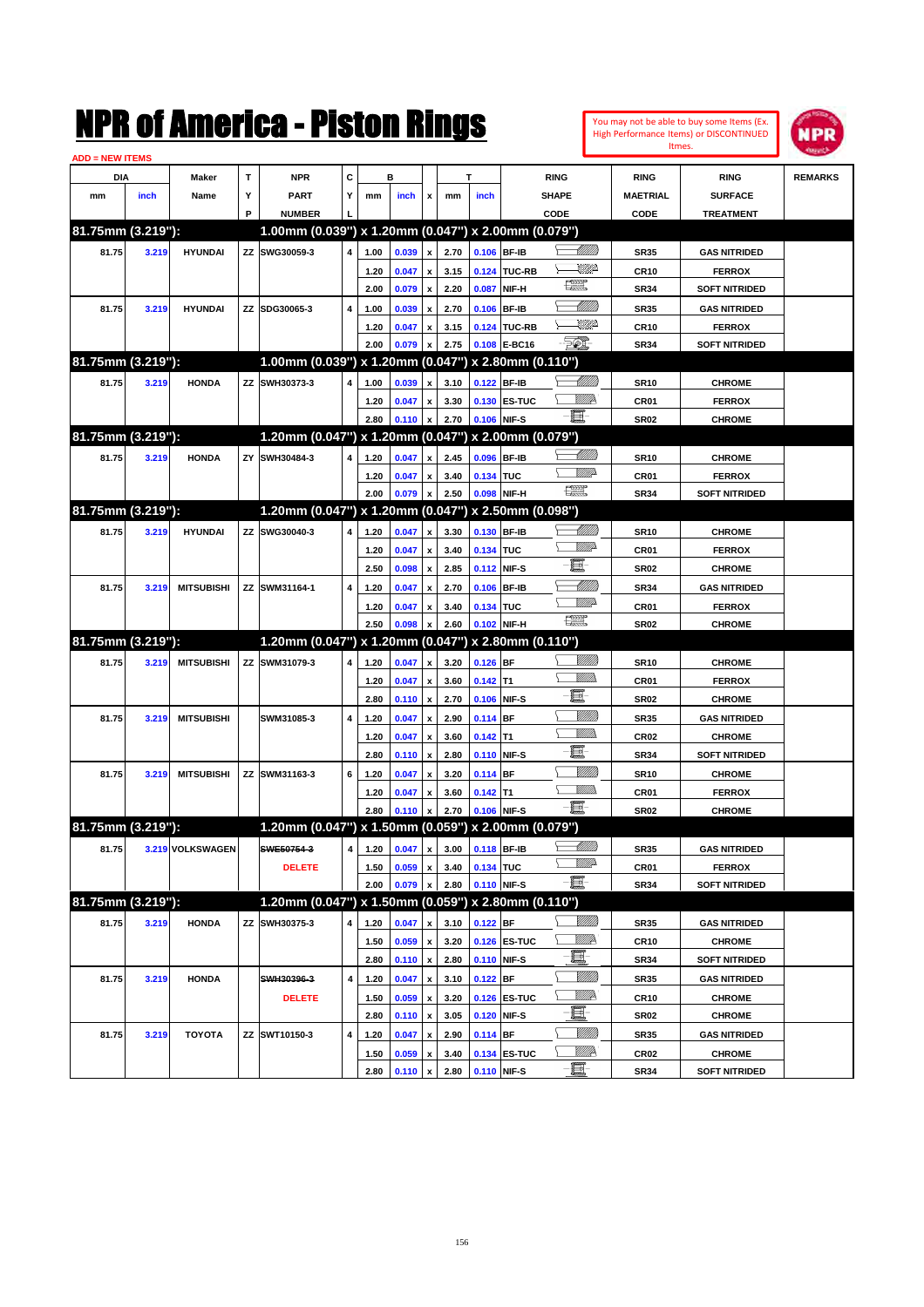| You may not be able to buy some Items (Ex. |
|--------------------------------------------|
| High Performance Items) or DISCONTINUED    |
| Itmes.                                     |



| <b>ADD = NEW ITEMS</b> |       |                   |   |                                                     |                         |                                 |       |                    |      |             |              |                    |                  |                      |                |
|------------------------|-------|-------------------|---|-----------------------------------------------------|-------------------------|---------------------------------|-------|--------------------|------|-------------|--------------|--------------------|------------------|----------------------|----------------|
| DIA                    |       | Maker             | Т | <b>NPR</b>                                          | С                       |                                 | в     |                    |      | T           |              | <b>RING</b>        | <b>RING</b>      | <b>RING</b>          | <b>REMARKS</b> |
| mm                     | inch  | Name              | Υ | <b>PART</b>                                         | Y                       | mm                              | inch  | x                  | mm   | inch        |              | <b>SHAPE</b>       | <b>MAETRIAL</b>  | <b>SURFACE</b>       |                |
|                        |       |                   | P | <b>NUMBER</b>                                       |                         |                                 |       |                    |      |             |              | CODE               | CODE             | <b>TREATMENT</b>     |                |
| 81.75mm (3.219"):      |       |                   |   | 1.00mm (0.039") x 1.20mm (0.047") x 2.00mm (0.079") |                         |                                 |       |                    |      |             |              |                    |                  |                      |                |
| 81.75                  | 3.219 | <b>HYUNDAI</b>    |   | ZZ SWG30059-3                                       | 4                       | 1.00                            | 0.039 | x                  | 2.70 | 0.106 BF-IB |              | <u> Millitt</u>    | <b>SR35</b>      | <b>GAS NITRIDED</b>  |                |
|                        |       |                   |   |                                                     |                         | 1.20                            | 0.047 | x                  | 3.15 |             | 0.124 TUC-RB | <u>UMP</u>         | <b>CR10</b>      | <b>FERROX</b>        |                |
|                        |       |                   |   |                                                     |                         | 2.00                            | 0.079 | x                  | 2.20 | 0.087       | NIF-H        | H                  | <b>SR34</b>      | <b>SOFT NITRIDED</b> |                |
| 81.75                  | 3.219 | <b>HYUNDAI</b>    |   | ZZ SDG30065-3                                       | 4                       | 1.00                            | 0.039 | x                  | 2.70 | 0.106       | <b>BF-IB</b> | <u> Millitt</u>    | <b>SR35</b>      | <b>GAS NITRIDED</b>  |                |
|                        |       |                   |   |                                                     |                         | 1.20                            | 0.047 | x                  | 3.15 |             | 0.124 TUC-RB | <u>UMP</u>         | <b>CR10</b>      | <b>FERROX</b>        |                |
|                        |       |                   |   |                                                     |                         | 2.00                            | 0.079 | x                  | 2.75 |             | 0.108 E-BC16 | EO)                | <b>SR34</b>      | <b>SOFT NITRIDED</b> |                |
| 81.75mm (3.219"):      |       |                   |   | 1.00mm (0.039") x 1.20mm (0.047") x 2.80mm (0.110") |                         |                                 |       |                    |      |             |              |                    |                  |                      |                |
| 81.75                  | 3.219 | <b>HONDA</b>      |   | ZZ SWH30373-3                                       | 4                       | 1.00                            | 0.039 | x                  | 3.10 | 0.122 BF-IB |              | <u>UMB</u>         | <b>SR10</b>      | <b>CHROME</b>        |                |
|                        |       |                   |   |                                                     |                         | 1.20                            | 0.047 |                    | 3.30 |             | 0.130 ES-TUC | <u>Willik</u>      | CR01             | <b>FERROX</b>        |                |
|                        |       |                   |   |                                                     |                         | 2.80                            | 0.110 | x                  | 2.70 |             | 0.106 NIF-S  | -8                 | <b>SR02</b>      | <b>CHROME</b>        |                |
| 81.75mm (3.219"):      |       |                   |   | 1.20mm (0.047") x 1.20mm (0.047") x 2.00mm (0.079") |                         |                                 |       |                    |      |             |              |                    |                  |                      |                |
| 81.75                  | 3.219 | <b>HONDA</b>      |   | ZY SWH30484-3                                       | 4                       | 1.20                            | 0.047 | x                  | 2.45 | 0.096 BF-IB |              | <u> Milli</u> lli  | <b>SR10</b>      | <b>CHROME</b>        |                |
|                        |       |                   |   |                                                     |                         | 1.20                            | 0.047 | x                  | 3.40 | 0.134 TUC   |              | <u>WW</u> A        | CR01             | <b>FERROX</b>        |                |
|                        |       |                   |   |                                                     |                         | 2.00                            | 0.079 | x                  | 2.50 |             | 0.098 NIF-H  | <b>The Control</b> | <b>SR34</b>      | <b>SOFT NITRIDED</b> |                |
| 81.75mm (3.219"):      |       |                   |   | 1.20mm (0.047") x 1.20mm (0.047") x 2.50mm (0.098") |                         |                                 |       |                    |      |             |              |                    |                  |                      |                |
| 81.75                  | 3.219 | <b>HYUNDAI</b>    |   | ZZ SWG30040-3                                       | 4                       | 1.20                            | 0.047 | x                  | 3.30 |             | 0.130 BF-IB  |                    | <b>SR10</b>      | <b>CHROME</b>        |                |
|                        |       |                   |   |                                                     |                         | 1.20                            | 0.047 | x                  | 3.40 | 0.134 TUC   |              | <u>WW</u> A        | CR01             | <b>FERROX</b>        |                |
|                        |       |                   |   |                                                     |                         | 2.50                            | 0.098 | x                  | 2.85 |             | 0.112 NIF-S  | e                  | <b>SR02</b>      | <b>CHROME</b>        |                |
| 81.75                  | 3.219 | <b>MITSUBISHI</b> |   | ZZ SWM31164-1                                       | 4                       | 1.20                            | 0.047 | x                  | 2.70 |             | 0.106 BF-IB  | <u>UMB</u>         | <b>SR34</b>      | <b>GAS NITRIDED</b>  |                |
|                        |       |                   |   |                                                     |                         | 1.20                            | 0.047 | x                  | 3.40 | 0.134 TUC   |              | <u>Willia</u>      | CR01             | <b>FERROX</b>        |                |
|                        |       |                   |   |                                                     |                         | 2.50                            | 0.098 |                    | 2.60 |             | 0.102 NIF-H  | <b>The Control</b> | <b>SR02</b>      | <b>CHROME</b>        |                |
| 81.75mm (3.219"):      |       |                   |   | 1.20mm (0.047") x 1.20mm (0.047") x 2.80mm (0.110") |                         |                                 |       |                    |      |             |              |                    |                  |                      |                |
| 81.75                  | 3.219 | <b>MITSUBISHI</b> |   | ZZ SWM31079-3                                       | 4                       | 1.20                            | 0.047 | x                  | 3.20 | $0.126$ BF  |              | <u>MMM</u>         | <b>SR10</b>      | <b>CHROME</b>        |                |
|                        |       |                   |   |                                                     |                         | 1.20                            | 0.047 | x                  | 3.60 | $0.142$ T1  |              | <br>Militar        | CR01             | <b>FERROX</b>        |                |
|                        |       |                   |   |                                                     |                         | 2.80                            | 0.110 | $\pmb{\mathsf{x}}$ | 2.70 |             | 0.106 NIF-S  | E                  | <b>SR02</b>      | <b>CHROME</b>        |                |
| 81.75                  | 3.219 | <b>MITSUBISHI</b> |   | SWM31085-3                                          | 4                       | 1.20                            | 0.047 | x                  | 2.90 | $0.114$ BF  |              | <u>Milli</u> k     | <b>SR35</b>      | <b>GAS NITRIDED</b>  |                |
|                        |       |                   |   |                                                     |                         | 1.20                            | 0.047 | x                  | 3.60 | $0.142$ T1  |              |                    | CR <sub>02</sub> | <b>CHROME</b>        |                |
|                        |       |                   |   |                                                     |                         | 2.80                            | 0.110 | x                  | 2.80 |             | 0.110 NIF-S  | e                  | <b>SR34</b>      | <b>SOFT NITRIDED</b> |                |
| 81.75                  | 3.219 | <b>MITSUBISHI</b> |   | ZZ SWM31163-3                                       | 6                       | 1.20                            | 0.047 | x                  | 3.20 | 0.114 BF    |              | <u>Milli</u> k     | <b>SR10</b>      | <b>CHROME</b>        |                |
|                        |       |                   |   |                                                     |                         | 1.20                            | 0.047 | x                  | 3.60 | $0.142$ T1  |              | VM).               | CR01             | <b>FERROX</b>        |                |
|                        |       |                   |   |                                                     |                         | 2.80                            | 0.110 | x                  | 2.70 |             | 0.106 NIF-S  | -8                 | <b>SR02</b>      | <b>CHROME</b>        |                |
| 81.75mm (3.219"):      |       |                   |   | 1.20mm (0.047") x 1.50mm (0.059") x 2.00mm (0.079") |                         |                                 |       |                    |      |             |              |                    |                  |                      |                |
| 81.75                  |       | 3.219 VOLKSWAGEN  |   | SWE50754-3                                          |                         | 4 1.20 0.047 x 3.00 0.118 BF-IB |       |                    |      |             |              | <u> Millito</u>    | <b>SR35</b>      | <b>GAS NITRIDED</b>  |                |
|                        |       |                   |   | <b>DELETE</b>                                       |                         | 1.50                            | 0.059 | x                  | 3.40 | 0.134 TUC   |              | <u>WW</u> A        | CR01             | <b>FERROX</b>        |                |
|                        |       |                   |   |                                                     |                         | 2.00                            | 0.079 | x                  | 2.80 |             | 0.110 NIF-S  | -8                 | <b>SR34</b>      | <b>SOFT NITRIDED</b> |                |
| 81.75mm (3.219"):      |       |                   |   | 1.20mm (0.047") x 1.50mm (0.059") x 2.80mm (0.110") |                         |                                 |       |                    |      |             |              |                    |                  |                      |                |
| 81.75                  | 3.219 | <b>HONDA</b>      |   | ZZ SWH30375-3                                       | 4                       | 1.20                            | 0.047 | x                  | 3.10 | $0.122$ BF  |              | <u>VIII in</u>     | <b>SR35</b>      | <b>GAS NITRIDED</b>  |                |
|                        |       |                   |   |                                                     |                         | 1.50                            | 0.059 | x                  | 3.20 |             | 0.126 ES-TUC | <u>W//A</u>        | <b>CR10</b>      | <b>CHROME</b>        |                |
|                        |       |                   |   |                                                     |                         | 2.80                            | 0.110 | $\pmb{\mathsf{x}}$ | 2.80 |             | 0.110 NIF-S  | e                  | <b>SR34</b>      | <b>SOFT NITRIDED</b> |                |
| 81.75                  | 3.219 | <b>HONDA</b>      |   | SWH30396-3                                          | $\overline{\mathbf{4}}$ | 1.20                            | 0.047 | x                  | 3.10 | $0.122$ BF  |              | <u>Milli</u> h     | <b>SR35</b>      | <b>GAS NITRIDED</b>  |                |
|                        |       |                   |   | <b>DELETE</b>                                       |                         | 1.50                            | 0.059 | x                  | 3.20 |             | 0.126 ES-TUC | <u>W//A</u>        | <b>CR10</b>      | <b>CHROME</b>        |                |
|                        |       |                   |   |                                                     |                         | 2.80                            | 0.110 | $\pmb{\mathsf{x}}$ | 3.05 |             | 0.120 NIF-S  | e                  | <b>SR02</b>      | <b>CHROME</b>        |                |
| 81.75                  | 3.219 | <b>TOYOTA</b>     |   | ZZ SWT10150-3                                       | 4                       | 1.20                            | 0.047 | x                  | 2.90 | $0.114$ BF  |              | <u>MMM</u>         | <b>SR35</b>      | <b>GAS NITRIDED</b>  |                |
|                        |       |                   |   |                                                     |                         | 1.50                            | 0.059 | x                  | 3.40 |             | 0.134 ES-TUC | <u>Willia</u>      | CR <sub>02</sub> | <b>CHROME</b>        |                |
|                        |       |                   |   |                                                     |                         | 2.80                            | 0.110 | $\pmb{\mathsf{x}}$ | 2.80 |             | 0.110 NIF-S  | <u>-et</u>         | <b>SR34</b>      | <b>SOFT NITRIDED</b> |                |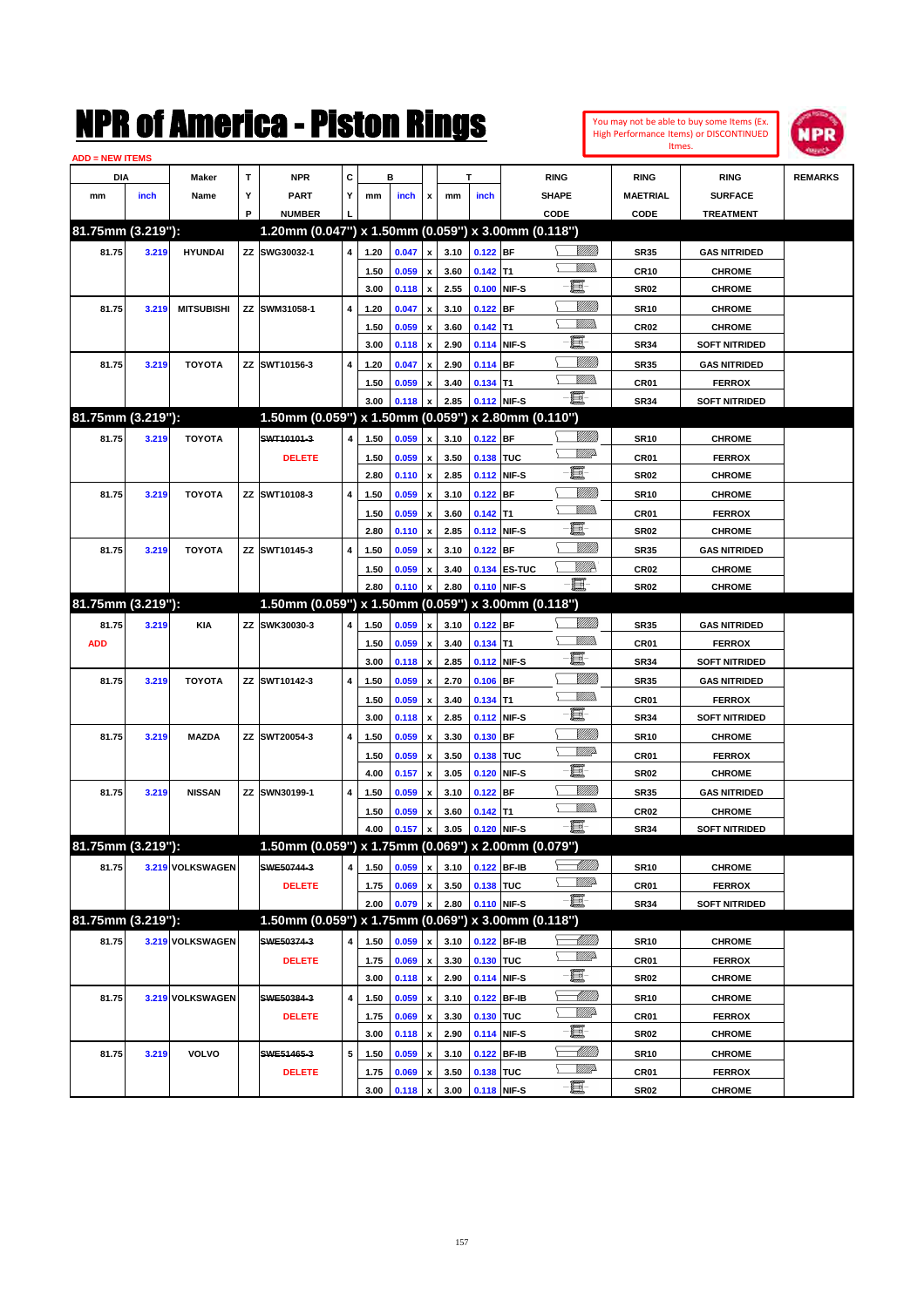| You may not be able to buy some Items (Ex. |
|--------------------------------------------|
| High Performance Items) or DISCONTINUED    |
| Itmes.                                     |



| <b>ADD = NEW ITEMS</b> |       |                   |   |                                                     |                         |              |                |                         |              |             |              |                 |                  |                                |                |
|------------------------|-------|-------------------|---|-----------------------------------------------------|-------------------------|--------------|----------------|-------------------------|--------------|-------------|--------------|-----------------|------------------|--------------------------------|----------------|
| DIA                    |       | Maker             | т | <b>NPR</b>                                          | С                       |              | в              |                         |              | T           |              | <b>RING</b>     | <b>RING</b>      | <b>RING</b>                    | <b>REMARKS</b> |
| mm                     | inch  | Name              | Υ | <b>PART</b>                                         | Y                       | mm           | inch           | x                       | mm           | inch        |              | <b>SHAPE</b>    | <b>MAETRIAL</b>  | <b>SURFACE</b>                 |                |
|                        |       |                   | P | <b>NUMBER</b>                                       |                         |              |                |                         |              |             |              | CODE            | CODE             | <b>TREATMENT</b>               |                |
| 81.75mm (3.219"):      |       |                   |   | 1.20mm (0.047") x 1.50mm (0.059") x 3.00mm (0.118") |                         |              |                |                         |              |             |              |                 |                  |                                |                |
| 81.75                  | 3.219 | <b>HYUNDAI</b>    |   | ZZ SWG30032-1                                       | 4                       | 1.20         | 0.047          | $\pmb{\mathsf{x}}$      | 3.10         | $0.122$ BF  |              | <u>Sillilli</u> | <b>SR35</b>      | <b>GAS NITRIDED</b>            |                |
|                        |       |                   |   |                                                     |                         | 1.50         | 0.059          | $\pmb{\mathsf{x}}$      | 3.60         | $0.142$ T1  |              |                 | CR10             | <b>CHROME</b>                  |                |
|                        |       |                   |   |                                                     |                         | 3.00         | 0.118          | $\pmb{\mathsf{x}}$      | 2.55         |             | 0.100 NIF-S  | E               | <b>SR02</b>      | <b>CHROME</b>                  |                |
| 81.75                  | 3.219 | <b>MITSUBISHI</b> |   | ZZ SWM31058-1                                       | 4                       | 1.20         | 0.047          | $\pmb{\mathsf{x}}$      | 3.10         | $0.122$ BF  |              | <u>MMM</u>      | <b>SR10</b>      | <b>CHROME</b>                  |                |
|                        |       |                   |   |                                                     |                         | 1.50         | 0.059          | x                       | 3.60         | $0.142$ T1  |              | <br>Mar         | CR <sub>02</sub> | <b>CHROME</b>                  |                |
|                        |       |                   |   |                                                     |                         | 3.00         | 0.118          | $\pmb{\mathsf{x}}$      | 2.90         |             | 0.114 NIF-S  | e               | <b>SR34</b>      | <b>SOFT NITRIDED</b>           |                |
| 81.75                  | 3.219 | <b>TOYOTA</b>     |   | ZZ SWT10156-3                                       | 4                       | 1.20         | 0.047          | x                       | 2.90         | 0.114 BF    |              | <u>Milli</u> k  | <b>SR35</b>      | <b>GAS NITRIDED</b>            |                |
|                        |       |                   |   |                                                     |                         | 1.50         | 0.059          | x                       | 3.40         | $0.134$ T1  |              | .<br>VMD        | CR01             | <b>FERROX</b>                  |                |
|                        |       |                   |   |                                                     |                         | 3.00         | 0.118          | $\pmb{\mathsf{x}}$      | 2.85         | 0.112 NIF-S |              | -E.             | <b>SR34</b>      | <b>SOFT NITRIDED</b>           |                |
| 81.75mm (3.219"):      |       |                   |   | 1.50mm (0.059") x 1.50mm (0.059") x 2.80mm (0.110") |                         |              |                |                         |              |             |              |                 |                  |                                |                |
| 81.75                  | 3.219 | <b>TOYOTA</b>     |   | SWT10101-3                                          | 4                       | 1.50         | 0.059          | $\pmb{\mathsf{x}}$      | 3.10         | $0.122$ BF  |              | <u>Milli</u> h  | <b>SR10</b>      | <b>CHROME</b>                  |                |
|                        |       |                   |   | <b>DELETE</b>                                       |                         | 1.50         | 0.059          | $\pmb{\mathsf{x}}$      | 3.50         | 0.138 TUC   |              | <u>WW</u> A     | CR01             | <b>FERROX</b>                  |                |
|                        |       |                   |   |                                                     |                         | 2.80         | 0.110          | $\pmb{\mathsf{x}}$      | 2.85         |             | 0.112 NIF-S  | E               | <b>SR02</b>      | <b>CHROME</b>                  |                |
| 81.75                  | 3.219 | <b>TOYOTA</b>     |   | ZZ SWT10108-3                                       | 4                       | 1.50         | 0.059          | x                       | 3.10         | $0.122$ BF  |              | <u>MMM</u>      | <b>SR10</b>      | <b>CHROME</b>                  |                |
|                        |       |                   |   |                                                     |                         | 1.50         | 0.059          | x                       | 3.60         | $0.142$ T1  |              | <br>Mar         | CR01             | <b>FERROX</b>                  |                |
|                        |       |                   |   |                                                     |                         | 2.80         | 0.110          | $\pmb{\mathsf{x}}$      | 2.85         |             | 0.112 NIF-S  | e               | <b>SR02</b>      | <b>CHROME</b>                  |                |
| 81.75                  | 3.219 | <b>TOYOTA</b>     |   | ZZ SWT10145-3                                       | 4                       | 1.50         | 0.059          | x                       | 3.10         | $0.122$ BF  |              | <u>Milli</u>    | <b>SR35</b>      | <b>GAS NITRIDED</b>            |                |
|                        |       |                   |   |                                                     |                         | 1.50         | 0.059          | x                       | 3.40         |             | 0.134 ES-TUC | <u>WW</u> A     | CR <sub>02</sub> | <b>CHROME</b>                  |                |
|                        |       |                   |   |                                                     |                         | 2.80         | 0.110          | $\pmb{\mathsf{x}}$      | 2.80         |             | 0.110 NIF-S  | - EF            | <b>SR02</b>      | <b>CHROME</b>                  |                |
| 81.75mm (3.219"):      |       |                   |   | 1.50mm (0.059") x 1.50mm (0.059") x 3.00mm (0.118") |                         |              |                |                         |              |             |              |                 |                  |                                |                |
| 81.75                  | 3.219 | <b>KIA</b>        |   | ZZ SWK30030-3                                       | 4                       | 1.50         | 0.059          | $\pmb{\mathsf{x}}$      | 3.10         | $0.122$ BF  |              | <u>Milli</u> h  | <b>SR35</b>      | <b>GAS NITRIDED</b>            |                |
| <b>ADD</b>             |       |                   |   |                                                     |                         | 1.50         | 0.059          | $\pmb{\mathsf{x}}$      | 3.40         | $0.134$ T1  |              | <br>Mar         | CR01             | <b>FERROX</b>                  |                |
|                        |       |                   |   |                                                     |                         | 3.00         | 0.118          | $\pmb{\mathsf{x}}$      | 2.85         |             | 0.112 NIF-S  | E               | <b>SR34</b>      | <b>SOFT NITRIDED</b>           |                |
| 81.75                  | 3.219 | <b>TOYOTA</b>     |   | ZZ SWT10142-3                                       | 4                       | 1.50         | 0.059          | x                       | 2.70         | $0.106$ BF  |              | <u>Milli</u> k  | <b>SR35</b>      | <b>GAS NITRIDED</b>            |                |
|                        |       |                   |   |                                                     |                         | 1.50         | 0.059          | x                       | 3.40         | $0.134$ T1  |              | <br>Mar         | CR01             | <b>FERROX</b>                  |                |
|                        |       |                   |   |                                                     |                         | 3.00         | 0.118          | $\pmb{\mathsf{x}}$      | 2.85         |             | 0.112 NIF-S  | E               | <b>SR34</b>      | <b>SOFT NITRIDED</b>           |                |
| 81.75                  | 3.219 | <b>MAZDA</b>      |   | ZZ SWT20054-3                                       | 4                       | 1.50         | 0.059          | x                       | 3.30         | 0.130 BF    |              | <u>VIIII)</u>   | <b>SR10</b>      | <b>CHROME</b>                  |                |
|                        |       |                   |   |                                                     |                         | 1.50         | 0.059          | x                       | 3.50         | 0.138 TUC   |              | <u>VMD</u>      | CR01             | <b>FERROX</b>                  |                |
|                        |       |                   |   |                                                     |                         | 4.00         | 0.157          | x                       | 3.05         |             | 0.120 NIF-S  | E               | <b>SR02</b>      | <b>CHROME</b>                  |                |
| 81.75                  | 3.219 | <b>NISSAN</b>     |   | ZZ SWN30199-1                                       | 4                       | 1.50         | 0.059          | x                       | 3.10         | $0.122$ BF  |              | <u>VIIII)</u>   | <b>SR35</b>      | <b>GAS NITRIDED</b>            |                |
|                        |       |                   |   |                                                     |                         | 1.50         | 0.059          | x                       | 3.60         | $0.142$ T1  |              |                 | CR <sub>02</sub> | <b>CHROME</b>                  |                |
|                        |       |                   |   |                                                     |                         | 4.00         | 0.157          | $\pmb{\mathsf{x}}$      | 3.05         |             | 0.120 NIF-S  | - 8             | <b>SR34</b>      | <b>SOFT NITRIDED</b>           |                |
| 81.75mm (3.219"):      |       |                   |   | 1.50mm (0.059") x 1.75mm (0.069") x 2.00mm (0.079") |                         |              |                |                         |              |             |              |                 |                  |                                |                |
| 81.75                  |       | 3.219 VOLKSWAGEN  |   | SWE50744-3                                          | 4                       | 1.50         | 0.059          | $\pmb{\mathsf{x}}$      | 3.10         |             | 0.122 BF-IB  | <u> MMM</u>     | <b>SR10</b>      | <b>CHROME</b>                  |                |
|                        |       |                   |   | <b>DELETE</b>                                       |                         | 1.75         | 0.069          | x                       | 3.50         | 0.138 TUC   |              | ₩₩              | CR01             | <b>FERROX</b>                  |                |
|                        |       |                   |   |                                                     |                         | 2.00         | 0.079          | x                       | 2.80         |             | 0.110 NIF-S  | -8              | SR34             | <b>SOFT NITRIDED</b>           |                |
| 81.75mm (3.219"):      |       |                   |   | 1.50mm (0.059") x 1.75mm (0.069") x 3.00mm (0.118") |                         |              |                |                         |              |             |              |                 |                  |                                |                |
| 81.75                  |       | 3.219 VOLKSWAGEN  |   | SWE50374-3                                          | 4                       | 1.50         | 0.059          | x                       | 3.10         |             | 0.122 BF-IB  |                 | <b>SR10</b>      | <b>CHROME</b>                  |                |
|                        |       |                   |   | <b>DELETE</b>                                       |                         | 1.75         | 0.069          | $\pmb{\mathsf{x}}$      | 3.30         | 0.130 TUC   |              | <u>WW</u> A     | CR01             | <b>FERROX</b>                  |                |
|                        |       |                   |   |                                                     |                         | 3.00         | 0.118          | $\pmb{\mathsf{x}}$      | 2.90         |             | 0.114 NIF-S  | E.              | SR02             | <b>CHROME</b>                  |                |
| 81.75                  |       | 3.219 VOLKSWAGEN  |   | SWE50384-3                                          | $\overline{\mathbf{4}}$ | 1.50         | 0.059          | x                       | 3.10         |             | 0.122 BF-IB  | <u> MMM</u>     | SR10             | <b>CHROME</b>                  |                |
|                        |       |                   |   | <b>DELETE</b>                                       |                         | 1.75         | 0.069          |                         | 3.30         | 0.130 TUC   |              | <u>WW</u> A     | CR01             | <b>FERROX</b>                  |                |
|                        |       |                   |   |                                                     |                         | 3.00         | 0.118          | x<br>$\pmb{\mathsf{x}}$ | 2.90         |             | 0.114 NIF-S  | E-              | SR02             | <b>CHROME</b>                  |                |
| 81.75                  | 3.219 | <b>VOLVO</b>      |   | SWE51465-3                                          | 5                       | 1.50         | 0.059          |                         |              |             | 0.122 BF-IB  |                 |                  | <b>CHROME</b>                  |                |
|                        |       |                   |   |                                                     |                         |              |                | x                       | 3.10<br>3.50 | 0.138 TUC   |              | <u>WW</u> A     | SR10             |                                |                |
|                        |       |                   |   | <b>DELETE</b>                                       |                         | 1.75<br>3.00 | 0.069<br>0.118 |                         | 3.00         | 0.118 NIF-S |              | -0              | CR01<br>SR02     | <b>FERROX</b><br><b>CHROME</b> |                |
|                        |       |                   |   |                                                     |                         |              |                | $\pmb{\mathsf{x}}$      |              |             |              |                 |                  |                                |                |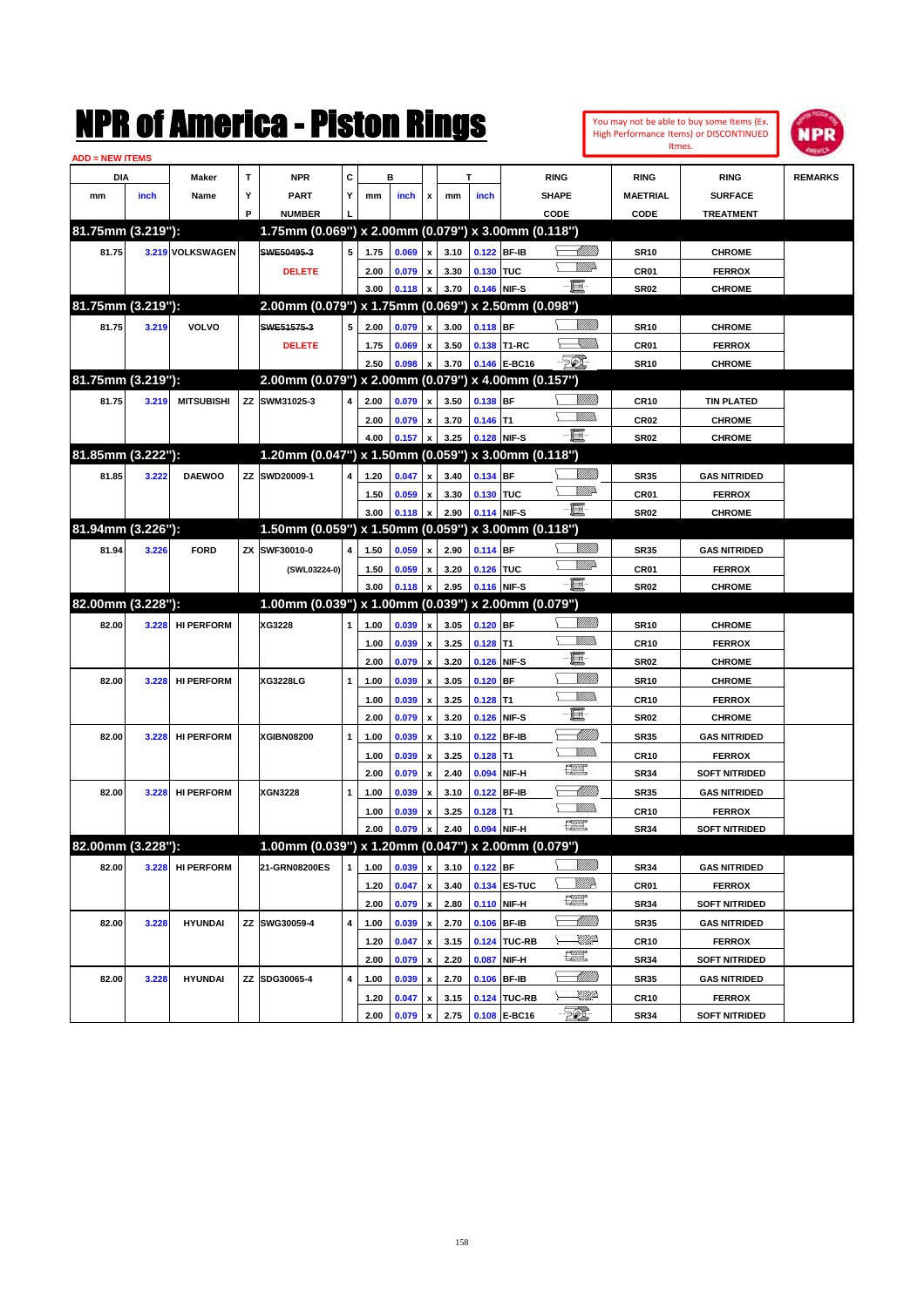You may not be able to buy some Items (Ex. High Performance Items) or DISCONTINUED Itmes.



| <b>ADD = NEW ITEMS</b> |       |                   |   |                                                           |              |              |                |                         |              |            |                              |                   |                          |                                       |                |
|------------------------|-------|-------------------|---|-----------------------------------------------------------|--------------|--------------|----------------|-------------------------|--------------|------------|------------------------------|-------------------|--------------------------|---------------------------------------|----------------|
| DIA                    |       | Maker             | T | <b>NPR</b>                                                | c            |              | в              |                         |              | т          |                              | <b>RING</b>       | <b>RING</b>              | <b>RING</b>                           | <b>REMARKS</b> |
| mm                     | inch  | Name              | Υ | <b>PART</b>                                               | Y            | mm           | inch           | x                       | mm           | inch       |                              | <b>SHAPE</b>      | <b>MAETRIAL</b>          | <b>SURFACE</b>                        |                |
|                        |       |                   | P | <b>NUMBER</b>                                             |              |              |                |                         |              |            |                              | CODE              | CODE                     | <b>TREATMENT</b>                      |                |
| 81.75mm (3.219"):      |       |                   |   | 1.75mm (0.069") x 2.00mm (0.079") x 3.00mm (0.118")       |              |              |                |                         |              |            |                              |                   |                          |                                       |                |
| 81.75                  |       | 3.219 VOLKSWAGEN  |   | SWE50495-3                                                | 5            | 1.75         | 0.069          | $\pmb{\mathsf{x}}$      | 3.10         |            | 0.122 BF-IB                  | <u> UMB</u>       | <b>SR10</b>              | <b>CHROME</b>                         |                |
|                        |       |                   |   | <b>DELETE</b>                                             |              | 2.00         | 0.079          | x                       | 3.30         | 0.130 TUC  |                              | <u>VMD</u>        | CR01                     | <b>FERROX</b>                         |                |
|                        |       |                   |   |                                                           |              | 3.00         | 0.118          | $\pmb{\mathsf{x}}$      | 3.70         |            | 0.146 NIF-S                  | -8                | <b>SR02</b>              | <b>CHROME</b>                         |                |
| 81.75mm (3.219"):      |       |                   |   | 2.00mm (0.079") x 1.75mm (0.069") x 2.50mm (0.098")       |              |              |                |                         |              |            |                              |                   |                          |                                       |                |
| 81.75                  | 3.219 | VOLVO             |   | SWE51575-3                                                | 5            | 2.00         | 0.079          | x                       | 3.00         | $0.118$ BF |                              | <u>VIIIIn</u>     | <b>SR10</b>              | <b>CHROME</b>                         |                |
|                        |       |                   |   | <b>DELETE</b>                                             |              | 1.75         | 0.069          | x                       | 3.50         |            | 0.138 T1-RC                  | <u>Sillin</u>     | CR01                     | <b>FERROX</b>                         |                |
|                        |       |                   |   |                                                           |              | 2.50         | 0.098          | $\pmb{\mathsf{x}}$      | 3.70         |            | 0.146 E-BC16                 | - 501             | <b>SR10</b>              | <b>CHROME</b>                         |                |
| 81.75mm (3.219"):      |       |                   |   | 2.00mm (0.079") x 2.00mm (0.079") x 4.00mm (0.157")       |              |              |                |                         |              |            |                              |                   |                          |                                       |                |
| 81.75                  | 3.219 | <b>MITSUBISHI</b> |   | ZZ SWM31025-3                                             | 4            | 2.00         | 0.079          |                         | 3.50         | 0.138 BF   |                              |                   |                          |                                       |                |
|                        |       |                   |   |                                                           |              |              |                | x                       |              |            |                              | UM)               | <b>CR10</b>              | <b>TIN PLATED</b>                     |                |
|                        |       |                   |   |                                                           |              | 2.00<br>4.00 | 0.079          | x                       | 3.70<br>3.25 | $0.146$ T1 | 0.128 NIF-S                  | -8                | <b>CR02</b>              | <b>CHROME</b>                         |                |
| 81.85mm (3.222"):      |       |                   |   | 1.20mm (0.047") x 1.50mm (0.059") x 3.00mm (0.118")       |              |              | 0.157          | x                       |              |            |                              |                   | <b>SR02</b>              | <b>CHROME</b>                         |                |
|                        |       |                   |   |                                                           |              |              |                |                         |              |            |                              |                   |                          |                                       |                |
| 81.85                  | 3.222 | <b>DAEWOO</b>     |   | ZZ SWD20009-1                                             | 4            | 1.20         | 0.047          | x                       | 3.40         | 0.134 BF   |                              | <u>WW</u> A       | <b>SR35</b>              | <b>GAS NITRIDED</b>                   |                |
|                        |       |                   |   |                                                           |              | 1.50         | 0.059          | x                       | 3.30         | 0.130 TUC  |                              | -日                | CR01                     | <b>FERROX</b>                         |                |
|                        |       |                   |   |                                                           |              | 3.00         | 0.118          | $\pmb{\mathsf{x}}$      | 2.90         |            | 0.114 NIF-S                  |                   | <b>SR02</b>              | <b>CHROME</b>                         |                |
| 81.94mm (3.226"):      |       |                   |   | 1.50mm (0.059") x 1.50mm (0.059") x 3.00mm (0.118")       |              |              |                |                         |              |            |                              |                   |                          |                                       |                |
| 81.94                  | 3.226 | <b>FORD</b>       |   | ZX SWF30010-0                                             | 4            | 1.50         | 0.059          | x                       | 2.90         | 0.114 BF   |                              | <u>UMB</u>        | <b>SR35</b>              | <b>GAS NITRIDED</b>                   |                |
|                        |       |                   |   | (SWL03224-0)                                              |              | 1.50         | 0.059          | x                       | 3.20         | 0.126 TUC  |                              | <u>VMD</u>        | CR01                     | <b>FERROX</b>                         |                |
|                        |       |                   |   |                                                           |              | 3.00         | 0.118          | x                       | 2.95         |            | 0.116 NIF-S                  | -8                | <b>SR02</b>              | <b>CHROME</b>                         |                |
| 82.00mm (3.228"):      |       |                   |   | 1.00mm (0.039") x 1.00mm (0.039") x 2.00mm (0.079")       |              |              |                |                         |              |            |                              |                   |                          |                                       |                |
| 82.00                  | 3.228 | <b>HI PERFORM</b> |   | XG3228                                                    | 1            | 1.00         | 0.039          | x                       | 3.05         | $0.120$ BF |                              | <u>UMB</u>        | <b>SR10</b>              | <b>CHROME</b>                         |                |
|                        |       |                   |   |                                                           |              | 1.00         | 0.039          | $\pmb{\mathsf{x}}$      | 3.25         | $0.128$ T1 |                              |                   | <b>CR10</b>              | <b>FERROX</b>                         |                |
|                        |       |                   |   |                                                           |              | 2.00         | 0.079          | x                       | 3.20         |            | 0.126 NIF-S                  | E                 | <b>SR02</b>              | <b>CHROME</b>                         |                |
| 82.00                  | 3.228 | <b>HI PERFORM</b> |   | <b>XG3228LG</b>                                           | 1            | 1.00         | 0.039          | x                       | 3.05         | $0.120$ BF |                              | <u>Sillilli</u>   | <b>SR10</b>              | <b>CHROME</b>                         |                |
|                        |       |                   |   |                                                           |              | 1.00         | 0.039          | x                       | 3.25         | $0.128$ T1 |                              | <br>VM)           | <b>CR10</b>              | <b>FERROX</b>                         |                |
|                        |       |                   |   |                                                           |              | 2.00         | 0.079          | x                       | 3.20         |            | 0.126 NIF-S                  | E                 | <b>SR02</b>              | <b>CHROME</b>                         |                |
| 82.00                  | 3.228 | <b>HI PERFORM</b> |   | <b>XGIBN08200</b>                                         | 1            | 1.00         | 0.039          | x                       | 3.10         |            | 0.122 BF-IB                  | <u>UMM</u>        | <b>SR35</b>              | <b>GAS NITRIDED</b>                   |                |
|                        |       |                   |   |                                                           |              | 1.00         | 0.039          | x                       | 3.25         | $0.128$ T1 |                              | <br>Mad           | <b>CR10</b>              | <b>FERROX</b>                         |                |
|                        |       |                   |   |                                                           |              | 2.00         | 0.079          | x                       | 2.40         |            | 0.094 NIF-H                  | 鱱                 | <b>SR34</b>              | <b>SOFT NITRIDED</b>                  |                |
| 82.00                  | 3.228 | <b>HI PERFORM</b> |   | <b>XGN3228</b>                                            | 1            | 1.00         | 0.039          | x                       | 3.10         |            | 0.122 BF-IB                  | MMB               | <b>SR35</b>              | <b>GAS NITRIDED</b>                   |                |
|                        |       |                   |   |                                                           |              | 1.00         | 0.039          | x                       | 3.25         | $0.128$ T1 |                              | <br>Mad           | <b>CR10</b>              | <b>FERROX</b>                         |                |
|                        |       |                   |   |                                                           |              | 2.00         | 0.079          | x                       | 2.40         |            | 0.094 NIF-H                  | $\frac{1}{2}$     | <b>SR34</b>              | <b>SOFT NITRIDED</b>                  |                |
| 82.00mm (3.228"):      |       |                   |   | 1.00mm $(0.039")$ x 1.20mm $(0.047")$ x 2.00mm $(0.079")$ |              |              |                |                         |              |            |                              |                   |                          |                                       |                |
| 82.00                  |       |                   |   |                                                           |              |              |                |                         |              |            |                              |                   |                          |                                       |                |
|                        |       |                   |   |                                                           |              |              |                |                         |              |            |                              | <u>UMB</u>        |                          |                                       |                |
|                        | 3.228 | <b>HI PERFORM</b> |   | 21-GRN08200ES                                             | $\mathbf{1}$ | 1.00         | 0.039          | $\pmb{\mathsf{x}}$      | 3.10         | $0.122$ BF |                              | ₩₩                | <b>SR34</b>              | <b>GAS NITRIDED</b>                   |                |
|                        |       |                   |   |                                                           |              | 1.20         | 0.047          | $\pmb{\mathsf{x}}$      | 3.40         |            | 0.134 ES-TUC                 | <b>The Second</b> | CR01                     | <b>FERROX</b>                         |                |
|                        |       |                   |   |                                                           |              | 2.00         | 0.079          | $\pmb{\mathsf{x}}$      | 2.80         |            | 0.110 NIF-H                  |                   | SR34                     | <b>SOFT NITRIDED</b>                  |                |
| 82.00                  | 3.228 | <b>HYUNDAI</b>    |   | ZZ SWG30059-4                                             | 4            | 1.00         | 0.039          | x                       | 2.70         |            | 0.106 BF-IB                  | <u> MMM)</u>      | <b>SR35</b>              | <b>GAS NITRIDED</b>                   |                |
|                        |       |                   |   |                                                           |              | 1.20         | 0.047          | x                       | 3.15         |            | 0.124 TUC-RB                 | <u>UMP</u>        | <b>CR10</b>              | <b>FERROX</b>                         |                |
|                        |       |                   |   |                                                           |              | 2.00         | 0.079          | $\pmb{\mathsf{x}}$      | 2.20         |            | 0.087 NIF-H                  | R                 | SR34                     | <b>SOFT NITRIDED</b>                  |                |
| 82.00                  | 3.228 | <b>HYUNDAI</b>    |   | ZZ SDG30065-4                                             | 4            | 1.00         | 0.039          | x                       | 2.70         |            | 0.106 BF-IB                  | <u> MMM)</u>      | SR35                     | <b>GAS NITRIDED</b>                   |                |
|                        |       |                   |   |                                                           |              | 1.20<br>2.00 | 0.047<br>0.079 | x<br>$\pmb{\mathsf{x}}$ | 3.15<br>2.75 |            | 0.124 TUC-RB<br>0.108 E-BC16 | <u>UMP</u><br>EQ, | CR <sub>10</sub><br>SR34 | <b>FERROX</b><br><b>SOFT NITRIDED</b> |                |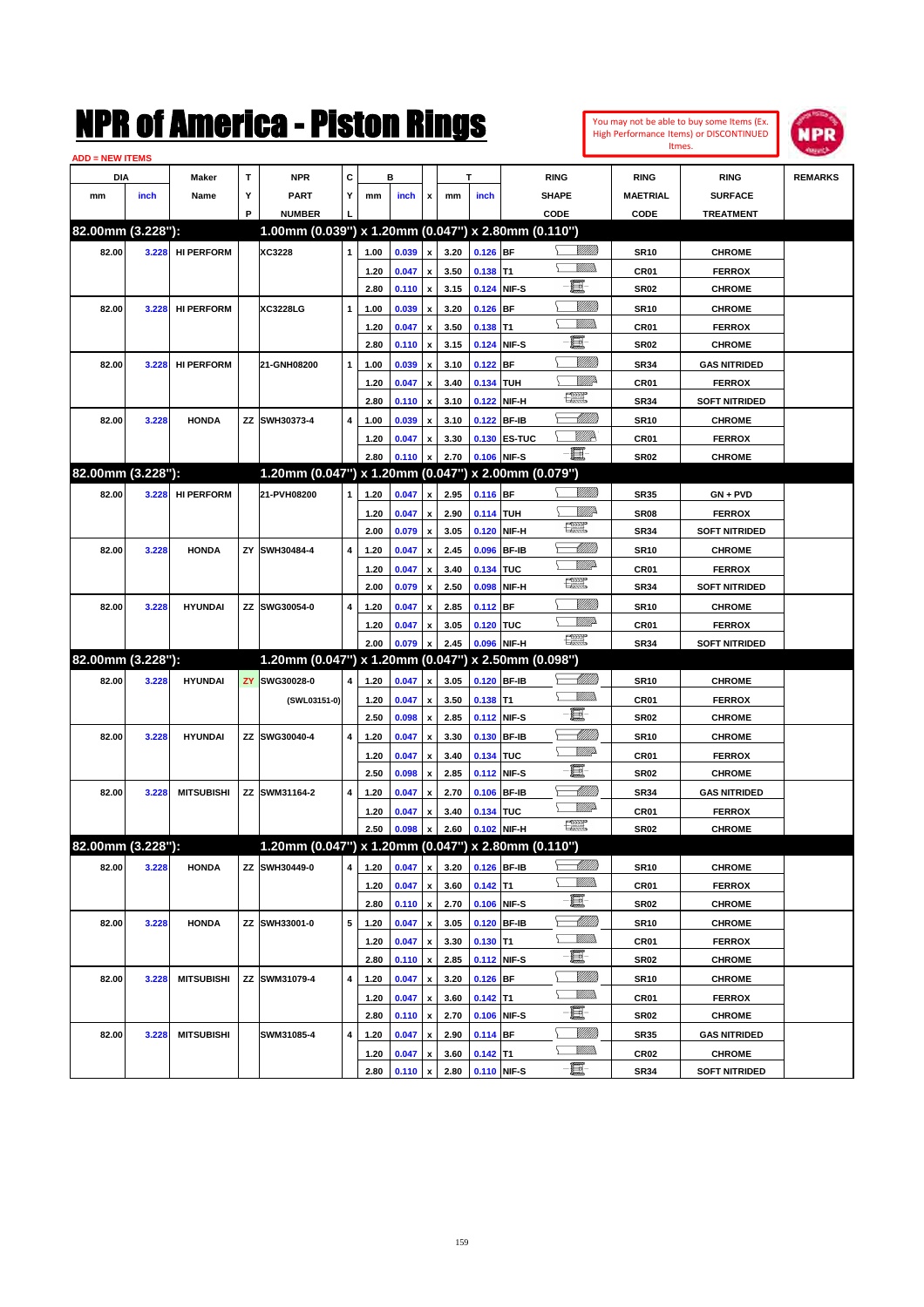#### You may not be able to buy some Items (Ex. High Performance Items) or DISCONTINUED Itmes.



| <b>ADD = NEW ITEMS</b> |       |                   |    |                                                     |   |      |       |                    |      |                  |              |                         |                  |                      |                |
|------------------------|-------|-------------------|----|-----------------------------------------------------|---|------|-------|--------------------|------|------------------|--------------|-------------------------|------------------|----------------------|----------------|
| DIA                    |       | Maker             | т  | NPR                                                 | С |      | в     |                    |      | т                |              | <b>RING</b>             | <b>RING</b>      | <b>RING</b>          | <b>REMARKS</b> |
| mm                     | inch  | Name              | Υ  | <b>PART</b>                                         | Y | mm   | inch  | x                  | mm   | inch             |              | <b>SHAPE</b>            | <b>MAETRIAL</b>  | <b>SURFACE</b>       |                |
|                        |       |                   | P  | <b>NUMBER</b>                                       |   |      |       |                    |      |                  |              | CODE                    | CODE             | <b>TREATMENT</b>     |                |
| 82.00mm (3.228"):      |       |                   |    | 1.00mm (0.039") x 1.20mm (0.047") x 2.80mm (0.110") |   |      |       |                    |      |                  |              |                         |                  |                      |                |
| 82.00                  | 3.228 | <b>HI PERFORM</b> |    | XC3228                                              | 1 | 1.00 | 0.039 | $\pmb{\mathsf{x}}$ | 3.20 | $0.126$ BF       |              | <u>Villida</u>          | <b>SR10</b>      | <b>CHROME</b>        |                |
|                        |       |                   |    |                                                     |   | 1.20 | 0.047 | x                  | 3.50 | $0.138$ T1       |              | <br>Mad                 | CR01             | <b>FERROX</b>        |                |
|                        |       |                   |    |                                                     |   | 2.80 | 0.110 | $\pmb{\mathsf{x}}$ | 3.15 |                  | 0.124 NIF-S  | e                       | <b>SR02</b>      | <b>CHROME</b>        |                |
| 82.00                  | 3.228 | <b>HI PERFORM</b> |    | <b>XC3228LG</b>                                     | 1 | 1.00 | 0.039 | x                  | 3.20 | $0.126$ BF       |              | <u>VIIII)</u>           | <b>SR10</b>      | <b>CHROME</b>        |                |
|                        |       |                   |    |                                                     |   | 1.20 | 0.047 | x                  | 3.50 | $0.138$ T1       |              | <br>Mar                 | CR01             | <b>FERROX</b>        |                |
|                        |       |                   |    |                                                     |   | 2.80 | 0.110 | x                  | 3.15 |                  | 0.124 NIF-S  | e                       | <b>SR02</b>      | <b>CHROME</b>        |                |
| 82.00                  | 3.228 | <b>HI PERFORM</b> |    | 21-GNH08200                                         | 1 | 1.00 | 0.039 | x                  | 3.10 | $0.122$ BF       |              | <u>VIIII)</u>           | <b>SR34</b>      | <b>GAS NITRIDED</b>  |                |
|                        |       |                   |    |                                                     |   | 1.20 | 0.047 | x                  | 3.40 | 0.134 TUH        |              | ₩₩                      | CR01             | <b>FERROX</b>        |                |
|                        |       |                   |    |                                                     |   | 2.80 | 0.110 | x                  | 3.10 |                  | 0.122 NIF-H  | R                       | <b>SR34</b>      | <b>SOFT NITRIDED</b> |                |
| 82.00                  | 3.228 | <b>HONDA</b>      |    | ZZ SWH30373-4                                       | 4 | 1.00 | 0.039 |                    | 3.10 |                  | 0.122 BF-IB  | MMB                     | <b>SR10</b>      | <b>CHROME</b>        |                |
|                        |       |                   |    |                                                     |   | 1.20 | 0.047 | x                  | 3.30 |                  | 0.130 ES-TUC | <u>VIIID</u>            | CR01             | <b>FERROX</b>        |                |
|                        |       |                   |    |                                                     |   | 2.80 | 0.110 |                    | 2.70 |                  | 0.106 NIF-S  | E                       | SR02             | <b>CHROME</b>        |                |
| 82.00mm (3.228"):      |       |                   |    | 1.20mm (0.047") x 1.20mm (0.047") x 2.00mm (0.079") |   |      |       |                    |      |                  |              |                         |                  |                      |                |
| 82.00                  | 3.228 | <b>HI PERFORM</b> |    | 21-PVH08200                                         | 1 | 1.20 | 0.047 | x                  | 2.95 | 0.116 BF         |              | <u>Villida</u>          | <b>SR35</b>      | $GN + PVD$           |                |
|                        |       |                   |    |                                                     |   | 1.20 | 0.047 | x                  | 2.90 | <b>0.114 TUH</b> |              | <u>Mille</u>            | <b>SR08</b>      | <b>FERROX</b>        |                |
|                        |       |                   |    |                                                     |   | 2.00 | 0.079 | x                  | 3.05 |                  | 0.120 NIF-H  | 鱱                       | <b>SR34</b>      | <b>SOFT NITRIDED</b> |                |
| 82.00                  | 3.228 | <b>HONDA</b>      | ZY | SWH30484-4                                          | 4 | 1.20 | 0.047 | x                  | 2.45 |                  | 0.096 BF-IB  | <u> UMM</u>             | <b>SR10</b>      | <b>CHROME</b>        |                |
|                        |       |                   |    |                                                     |   | 1.20 | 0.047 | x                  | 3.40 | 0.134 TUC        |              | <u>VMD</u>              | CR01             | <b>FERROX</b>        |                |
|                        |       |                   |    |                                                     |   | 2.00 | 0.079 | x                  | 2.50 | 0.098            | NIF-H        | 鱱                       | <b>SR34</b>      | <b>SOFT NITRIDED</b> |                |
| 82.00                  | 3.228 | <b>HYUNDAI</b>    |    | ZZ SWG30054-0                                       | 4 | 1.20 | 0.047 | x                  | 2.85 | $0.112$ BF       |              | <u>Villitti</u>         | <b>SR10</b>      | <b>CHROME</b>        |                |
|                        |       |                   |    |                                                     |   | 1.20 | 0.047 |                    | 3.05 | 0.120 TUC        |              | <u>VMD</u>              | CR <sub>01</sub> | <b>FERROX</b>        |                |
|                        |       |                   |    |                                                     |   | 2.00 | 0.079 |                    | 2.45 |                  | 0.096 NIF-H  | 鱱                       | <b>SR34</b>      | <b>SOFT NITRIDED</b> |                |
| 82.00mm (3.228"):      |       |                   |    | 1.20mm (0.047") x 1.20mm (0.047") x 2.50mm (0.098") |   |      |       |                    |      |                  |              |                         |                  |                      |                |
| 82.00                  | 3.228 | <b>HYUNDAI</b>    | ZY | SWG30028-0                                          | 4 | 1.20 | 0.047 | x                  | 3.05 |                  | 0.120 BF-IB  | <u> UMB</u>             | <b>SR10</b>      | <b>CHROME</b>        |                |
|                        |       |                   |    | (SWL03151-0)                                        |   | 1.20 | 0.047 | x                  | 3.50 | $0.138$ T1       |              | <br>Militar             | CR01             | <b>FERROX</b>        |                |
|                        |       |                   |    |                                                     |   | 2.50 | 0.098 | x                  | 2.85 |                  | 0.112 NIF-S  | e                       | <b>SR02</b>      | <b>CHROME</b>        |                |
| 82.00                  | 3.228 | <b>HYUNDAI</b>    |    | ZZ SWG30040-4                                       | 4 | 1.20 | 0.047 | x                  | 3.30 |                  | 0.130 BF-IB  | MMB                     | <b>SR10</b>      | <b>CHROME</b>        |                |
|                        |       |                   |    |                                                     |   | 1.20 | 0.047 | x                  | 3.40 | 0.134 TUC        |              | <u>VMD</u>              | CR01             | <b>FERROX</b>        |                |
|                        |       |                   |    |                                                     |   | 2.50 | 0.098 | x                  | 2.85 |                  | 0.112 NIF-S  | e.                      | <b>SR02</b>      | <b>CHROME</b>        |                |
| 82.00                  | 3.228 | <b>MITSUBISHI</b> |    | ZZ SWM31164-2                                       | 4 | 1.20 | 0.047 |                    | 2.70 |                  | 0.106 BF-IB  | MMB                     | <b>SR34</b>      | <b>GAS NITRIDED</b>  |                |
|                        |       |                   |    |                                                     |   | 1.20 | 0.047 | x                  | 3.40 | 0.134 TUC        |              | <u>VMD</u>              | CR01             | <b>FERROX</b>        |                |
|                        |       |                   |    |                                                     |   | 2.50 | 0.098 | x                  | 2.60 |                  | 0.102 NIF-H  | $f_{\rm max}^{\rm exp}$ | <b>SR02</b>      | <b>CHROME</b>        |                |
| 82.00mm (3.228"):      |       |                   |    | 1.20mm (0.047") x 1.20mm (0.047") x 2.80mm (0.110") |   |      |       |                    |      |                  |              |                         |                  |                      |                |
| 82.00                  | 3.228 | <b>HONDA</b>      |    | ZZ SWH30449-0                                       | 4 | 1.20 | 0.047 | $\pmb{\mathsf{x}}$ | 3.20 |                  | 0.126 BF-IB  | <u> MMM</u>             | <b>SR10</b>      | <b>CHROME</b>        |                |
|                        |       |                   |    |                                                     |   | 1.20 | 0.047 | x                  | 3.60 | $0.142$ T1       |              | <u>Millib</u>           | CR01             | <b>FERROX</b>        |                |
|                        |       |                   |    |                                                     |   | 2.80 | 0.110 | $\pmb{\mathsf{x}}$ | 2.70 |                  | 0.106 NIF-S  | E                       | SR02             | <b>CHROME</b>        |                |
| 82.00                  | 3.228 | <b>HONDA</b>      |    | ZZ SWH33001-0                                       | 5 | 1.20 | 0.047 | x                  | 3.05 |                  | 0.120 BF-IB  | <u> MMM)</u>            | <b>SR10</b>      | <b>CHROME</b>        |                |
|                        |       |                   |    |                                                     |   | 1.20 | 0.047 | x                  | 3.30 | $0.130$ T1       |              | <u>WMW</u>              | CR01             | <b>FERROX</b>        |                |
|                        |       |                   |    |                                                     |   | 2.80 | 0.110 | $\pmb{\mathsf{x}}$ | 2.85 |                  | 0.112 NIF-S  | e.                      | SR02             | <b>CHROME</b>        |                |
| 82.00                  | 3.228 | <b>MITSUBISHI</b> |    | ZZ SWM31079-4                                       | 4 | 1.20 | 0.047 | x                  | 3.20 | $0.126$ BF       |              | <u>MMM</u>              | <b>SR10</b>      | <b>CHROME</b>        |                |
|                        |       |                   |    |                                                     |   | 1.20 | 0.047 | x                  | 3.60 | $0.142$ T1       |              | <u>WMW</u>              | CR01             | <b>FERROX</b>        |                |
|                        |       |                   |    |                                                     |   | 2.80 | 0.110 | x                  | 2.70 |                  | 0.106 NIF-S  | e.                      | SR02             | <b>CHROME</b>        |                |
| 82.00                  | 3.228 | <b>MITSUBISHI</b> |    | SWM31085-4                                          | 4 | 1.20 | 0.047 | x                  | 2.90 | $0.114$ BF       |              | <u>MMM</u>              | SR35             | <b>GAS NITRIDED</b>  |                |
|                        |       |                   |    |                                                     |   | 1.20 | 0.047 | x                  | 3.60 | $0.142$ T1       |              | <u>WMWs</u>             | CR <sub>02</sub> | <b>CHROME</b>        |                |
|                        |       |                   |    |                                                     |   | 2.80 | 0.110 | $\pmb{\mathsf{x}}$ | 2.80 | 0.110 NIF-S      |              | e                       | <b>SR34</b>      | <b>SOFT NITRIDED</b> |                |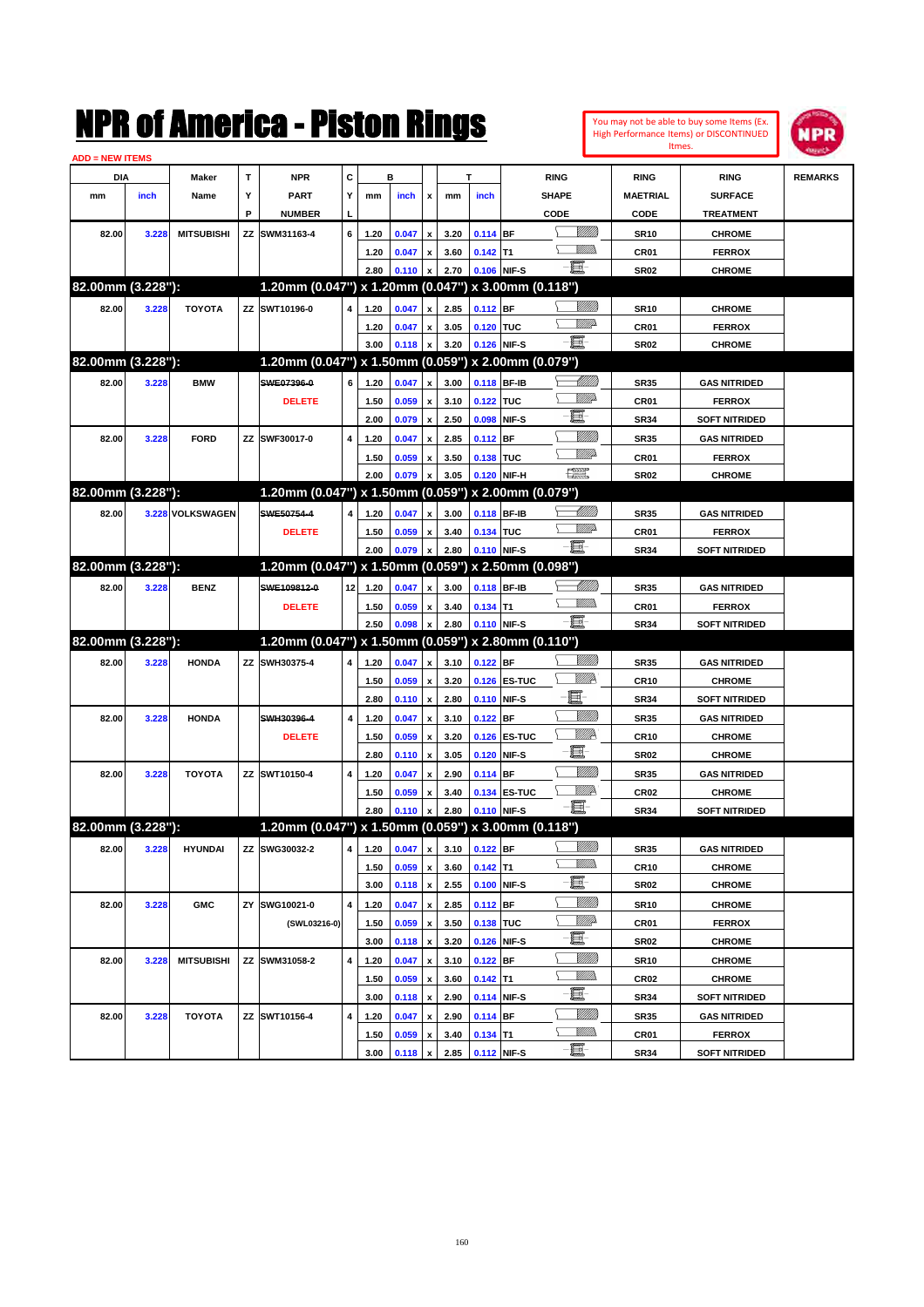|                        |       |                   |    | NMK OI AMCMICA - MISTON KINGS                       |    |      |                |                           |      |             |                        |                 |                  | You may not be able to buy some Items (Ex.<br>High Performance Items) or DISCONTINUED | IPR            |
|------------------------|-------|-------------------|----|-----------------------------------------------------|----|------|----------------|---------------------------|------|-------------|------------------------|-----------------|------------------|---------------------------------------------------------------------------------------|----------------|
| <b>ADD = NEW ITEMS</b> |       |                   |    |                                                     |    |      |                |                           |      |             |                        |                 |                  | Itmes.                                                                                |                |
| <b>DIA</b>             |       | Maker             | T  | <b>NPR</b>                                          | C  |      | в              |                           |      | T           | <b>RING</b>            |                 | <b>RING</b>      | <b>RING</b>                                                                           | <b>REMARKS</b> |
| mm                     | inch  | Name              | Υ  | <b>PART</b>                                         | Y  | mm   | inch           | x                         | mm   | inch        | <b>SHAPE</b>           |                 | <b>MAETRIAL</b>  | <b>SURFACE</b>                                                                        |                |
|                        |       |                   | P  | <b>NUMBER</b>                                       |    |      |                |                           |      |             | CODE                   |                 | CODE             | <b>TREATMENT</b>                                                                      |                |
| 82.00                  | 3.228 | <b>MITSUBISHI</b> | ΖZ | SWM31163-4                                          | 6  | 1.20 | 0.047          | $\pmb{\mathsf{x}}$        | 3.20 | $0.114$ BF  |                        | <u>Villilli</u> | <b>SR10</b>      | <b>CHROME</b>                                                                         |                |
|                        |       |                   |    |                                                     |    | 1.20 | 0.047          | $\pmb{\mathsf{x}}$        | 3.60 | $0.142$ T1  |                        | <br>Villida     | CR01             | <b>FERROX</b>                                                                         |                |
|                        |       |                   |    |                                                     |    | 2.80 | 0.110          | $\pmb{\mathsf{x}}$        | 2.70 | 0.106 NIF-S | e.                     |                 | <b>SR02</b>      | <b>CHROME</b>                                                                         |                |
| 82.00mm (3.228"):      |       |                   |    | 1.20mm (0.047") x 1.20mm (0.047") x 3.00mm (0.118") |    |      |                |                           |      |             |                        |                 |                  |                                                                                       |                |
| 82.00                  | 3.228 | <b>TOYOTA</b>     |    | ZZ SWT10196-0                                       | 4  | 1.20 | 0.047          | $\boldsymbol{x}$          | 2.85 | 0.112 BF    |                        | <u>VIII M</u>   | <b>SR10</b>      | <b>CHROME</b>                                                                         |                |
|                        |       |                   |    |                                                     |    | 1.20 | 0.047          | $\pmb{\mathsf{x}}$        | 3.05 | 0.120 TUC   |                        | <u>VMD</u>      | CR01             | <b>FERROX</b>                                                                         |                |
|                        |       |                   |    |                                                     |    | 3.00 | 0.118          | $\pmb{\mathsf{x}}$        | 3.20 | 0.126 NIF-S | E                      |                 | <b>SR02</b>      | <b>CHROME</b>                                                                         |                |
| 82.00mm (3.228"):      |       |                   |    | 1.20mm (0.047") x 1.50mm (0.059") x 2.00mm (0.079") |    |      |                |                           |      |             |                        |                 |                  |                                                                                       |                |
| 82.00                  | 3.228 | <b>BMW</b>        |    | SWE07396-0                                          | 6  | 1.20 | 0.047          | $\pmb{\mathsf{x}}$        | 3.00 | 0.118 BF-IB |                        | <u> IMM)</u>    | <b>SR35</b>      | <b>GAS NITRIDED</b>                                                                   |                |
|                        |       |                   |    | <b>DELETE</b>                                       |    | 1.50 | 0.059          | $\pmb{\mathsf{x}}$        | 3.10 | 0.122       | <b>TUC</b>             | <u>MMP</u>      | CR01             | <b>FERROX</b>                                                                         |                |
|                        |       |                   |    |                                                     |    | 2.00 | 0.079          | $\pmb{\mathsf{x}}$        | 2.50 | 0.098       | E<br>NIF-S             |                 | <b>SR34</b>      | <b>SOFT NITRIDED</b>                                                                  |                |
| 82.00                  | 3.228 | <b>FORD</b>       | ZZ | SWF30017-0                                          | 4  | 1.20 | 0.047          | $\pmb{\mathsf{x}}$        | 2.85 | 0.112       | <b>BF</b>              | <u>VIII M</u>   | <b>SR35</b>      | <b>GAS NITRIDED</b>                                                                   |                |
|                        |       |                   |    |                                                     |    | 1.50 | 0.059          | $\pmb{\mathsf{x}}$        | 3.50 | 0.138       | <b>TUC</b>             | <u>MMP</u>      | CR01             | <b>FERROX</b>                                                                         |                |
|                        |       |                   |    |                                                     |    | 2.00 | 0.079          | X                         | 3.05 | 0.120       | $\frac{1}{2}$<br>NIF-H |                 | <b>SR02</b>      | <b>CHROME</b>                                                                         |                |
| 82.00mm (3.228"):      |       |                   |    | 1.20mm (0.047") x 1.50mm (0.059") x 2.00mm (0.079") |    |      |                |                           |      |             |                        |                 |                  |                                                                                       |                |
| 82.00                  |       | 3.228 VOLKSWAGEN  |    | SWE50754-4                                          | 4  | 1.20 | 0.047          | $\pmb{\mathsf{x}}$        | 3.00 | 0.118 BF-IB |                        | <u> UMM</u>     | <b>SR35</b>      | <b>GAS NITRIDED</b>                                                                   |                |
|                        |       |                   |    | <b>DELETE</b>                                       |    | 1.50 | 0.059          | $\pmb{\mathsf{x}}$        | 3.40 | 0.134 TUC   |                        | <u>MM</u> D     | CR01             | <b>FERROX</b>                                                                         |                |
|                        |       |                   |    |                                                     |    | 2.00 | 0.079          | X                         | 2.80 | 0.110 NIF-S | e.                     |                 | <b>SR34</b>      | <b>SOFT NITRIDED</b>                                                                  |                |
| 82.00mm (3.228"):      |       |                   |    | 1.20mm (0.047") x 1.50mm (0.059") x 2.50mm (0.098") |    |      |                |                           |      |             |                        |                 |                  |                                                                                       |                |
| 82.00                  | 3.228 | <b>BENZ</b>       |    | SWE109812-0                                         | 12 | 1.20 | 0.047          | $\pmb{\mathsf{x}}$        | 3.00 | 0.118 BF-IB |                        | <u>UMB</u>      | <b>SR35</b>      | <b>GAS NITRIDED</b>                                                                   |                |
|                        |       |                   |    | <b>DELETE</b>                                       |    | 1.50 | 0.059          | $\pmb{\mathsf{x}}$        | 3.40 | $0.134$ T1  |                        | .<br>VMD        | CR01             | <b>FERROX</b>                                                                         |                |
|                        |       |                   |    |                                                     |    | 2.50 | 0.098          | $\boldsymbol{x}$          | 2.80 | 0.110 NIF-S | E                      |                 | <b>SR34</b>      | <b>SOFT NITRIDED</b>                                                                  |                |
| 82.00mm (3.228"):      |       |                   |    | 1.20mm (0.047") x 1.50mm (0.059") x 2.80mm (0.110") |    |      |                |                           |      |             |                        |                 |                  |                                                                                       |                |
| 82.00                  | 3.228 | <b>HONDA</b>      | ZZ | SWH30375-4                                          | 4  | 1.20 | 0.047          | $\pmb{\mathsf{x}}$        | 3.10 | $0.122$ BF  |                        | <u>VIII M</u>   | <b>SR35</b>      | <b>GAS NITRIDED</b>                                                                   |                |
|                        |       |                   |    |                                                     |    | 1.50 | 0.059          | $\pmb{\mathsf{x}}$        | 3.20 |             | 0.126 ES-TUC           | Willik          | <b>CR10</b>      | <b>CHROME</b>                                                                         |                |
|                        |       |                   |    |                                                     |    | 2.80 | 0.110          | $\pmb{\mathsf{x}}$        | 2.80 | 0.110 NIF-S | E.                     |                 | <b>SR34</b>      | <b>SOFT NITRIDED</b>                                                                  |                |
| 82.00                  | 3.228 | <b>HONDA</b>      |    | SWH30396-4                                          | 4  | 1.20 | 0.047          | $\pmb{\mathsf{x}}$        | 3.10 | $0.122$ BF  |                        | <u>VIIII</u>    | <b>SR35</b>      | <b>GAS NITRIDED</b>                                                                   |                |
|                        |       |                   |    | <b>DELETE</b>                                       |    | 1.50 | 0.059          | $\pmb{\mathsf{x}}$        | 3.20 | 0.126       | <b>ES-TUC</b>          | Willik          | <b>CR10</b>      | <b>CHROME</b>                                                                         |                |
|                        |       |                   |    |                                                     |    | 2.80 | 0.110          | $\boldsymbol{\mathsf{x}}$ | 3.05 | 0.120       | E.<br>NIF-S            |                 | <b>SR02</b>      | <b>CHROME</b>                                                                         |                |
| 82.00                  | 3.228 | <b>TOYOTA</b>     |    | ZZ SWT10150-4                                       | 4  | 1.20 | 0.047          | $\pmb{\mathsf{x}}$        | 2.90 | 0.114 BF    |                        | VIII))          | <b>SR35</b>      | <b>GAS NITRIDED</b>                                                                   |                |
|                        |       |                   |    |                                                     |    | 1.50 | 0.059          | $\pmb{\mathsf{x}}$        | 3.40 |             | 0.134 ES-TUC           | <u>VMP</u>      | CR <sub>02</sub> | <b>CHROME</b>                                                                         |                |
|                        |       |                   |    |                                                     |    | 2.80 | $0.110 \times$ |                           | 2.80 | 0.110 NIF-S | e.                     |                 | <b>SR34</b>      | <b>SOFT NITRIDED</b>                                                                  |                |
| 82.00mm (3.228"):      |       |                   |    | 1.20mm (0.047") x 1.50mm (0.059") x 3.00mm (0.118") |    |      |                |                           |      |             |                        |                 |                  |                                                                                       |                |
| 82.00                  | 3.228 | <b>HYUNDAI</b>    |    | ZZ SWG30032-2                                       | 4  | 1.20 | 0.047          | $\pmb{\mathsf{x}}$        | 3.10 | $0.122$ BF  |                        | <u>VIIII</u> )  | <b>SR35</b>      | <b>GAS NITRIDED</b>                                                                   |                |
|                        |       |                   |    |                                                     |    | 1.50 | 0.059          | $\pmb{\mathsf{x}}$        | 3.60 | $0.142$ T1  | ↘                      | <u>MM)</u>      | CR10             | <b>CHROME</b>                                                                         |                |
|                        |       |                   |    |                                                     |    | 3.00 | 0.118          | $\pmb{\mathsf{x}}$        | 2.55 |             | e e<br>0.100 NIF-S     |                 | <b>SR02</b>      | <b>CHROME</b>                                                                         |                |
| 82.00                  | 3.228 | <b>GMC</b>        |    | ZY SWG10021-0                                       | 4  | 1.20 | 0.047          | $\pmb{\mathsf{x}}$        | 2.85 | $0.112$ BF  |                        | <u>Milli</u> n  | SR10             | <b>CHROME</b>                                                                         |                |
|                        |       |                   |    | (SWL03216-0)                                        |    | 1.50 | 0.059          | $\pmb{\mathsf{x}}$        | 3.50 | 0.138 TUC   |                        | <u>Willi</u> b  | CR01             | <b>FERROX</b>                                                                         |                |
|                        |       |                   |    |                                                     |    | 3.00 | 0.118          | $\pmb{\mathsf{x}}$        | 3.20 |             | e.<br>0.126 NIF-S      |                 | <b>SR02</b>      | <b>CHROME</b>                                                                         |                |
| 82.00                  | 3.228 | <b>MITSUBISHI</b> |    | ZZ SWM31058-2                                       | 4  | 1.20 | 0.047          | $\pmb{\mathsf{x}}$        | 3.10 | $0.122$ BF  |                        | <u>VIIII</u> )  | <b>SR10</b>      | <b>CHROME</b>                                                                         |                |
|                        |       |                   |    |                                                     |    | 1.50 | 0.059          | $\pmb{\mathsf{x}}$        | 3.60 | $0.142$ T1  |                        | <u>MM)</u>      | CR02             | CHROME                                                                                |                |
|                        |       |                   |    |                                                     |    | 3.00 | 0.118          | X                         | 2.90 |             | e.<br>0.114 NIF-S      |                 | <b>SR34</b>      | SOFT NITRIDED                                                                         |                |
| 82.00                  | 3.228 | TOYOTA            |    | ZZ SWT10156-4                                       | 4  | 1.20 | 0.047          | $\pmb{\mathsf{x}}$        | 2.90 | $0.114$ BF  |                        | <u>VIII)</u>    | SR35             | <b>GAS NITRIDED</b>                                                                   |                |
|                        |       |                   |    |                                                     |    | 1.50 | 0.059          | $\pmb{\mathsf{x}}$        | 3.40 | $0.134$ T1  |                        | <u>Willib</u>   | CR01             | <b>FERROX</b>                                                                         |                |
|                        |       |                   |    |                                                     |    | 3.00 | 0.118          | $\pmb{\mathsf{x}}$        | 2.85 | 0.112 NIF-S | e.                     |                 | SR34             | <b>SOFT NITRIDED</b>                                                                  |                |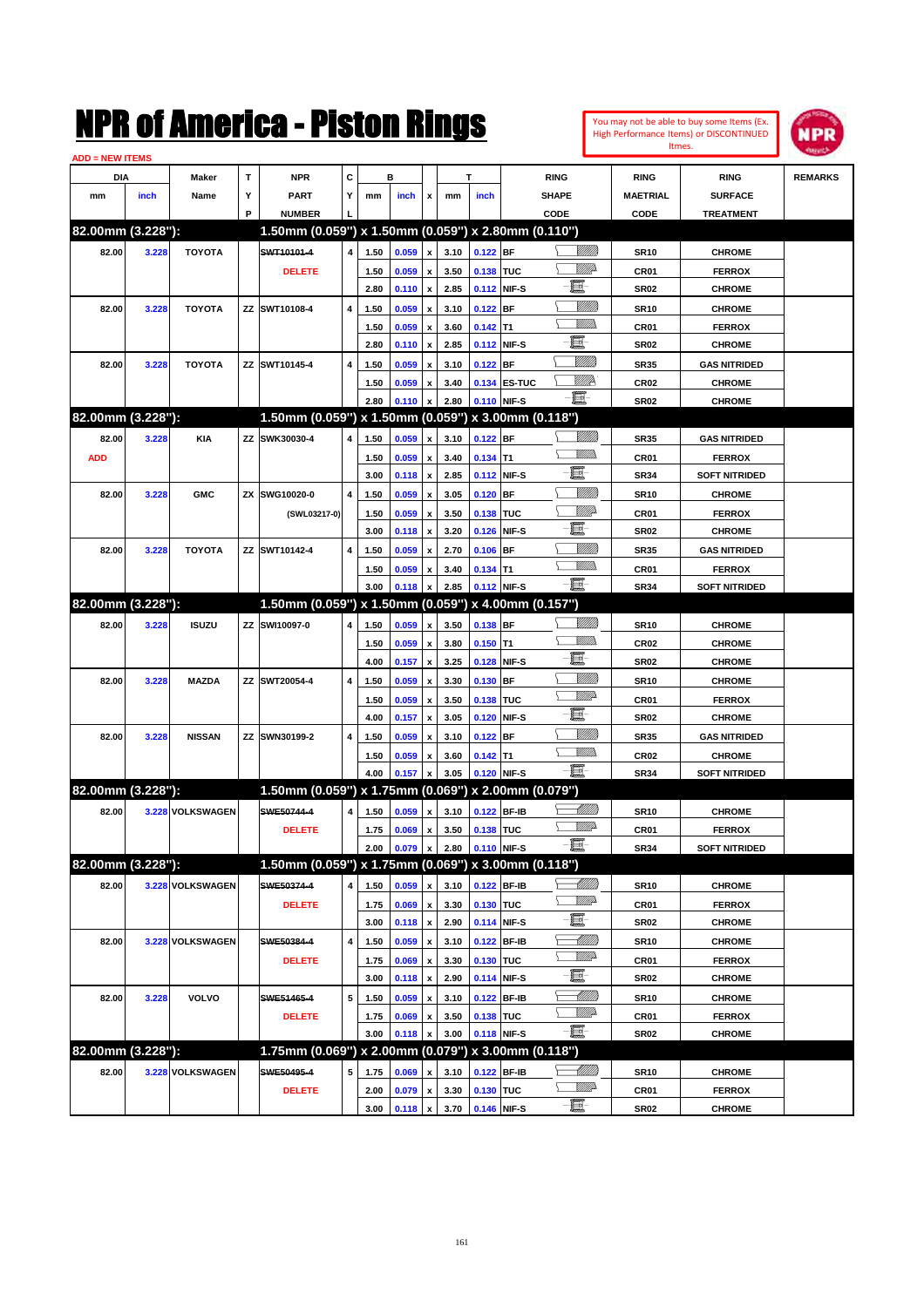| You may not be able to buy some Items (Ex. |
|--------------------------------------------|
| High Performance Items) or DISCONTINUED    |
| Itmes.                                     |



| <b>ADD = NEW ITEMS</b> |       |                  |   |                                                     |   |      |       |                    |      |             |              |                 |                 |                      |                |
|------------------------|-------|------------------|---|-----------------------------------------------------|---|------|-------|--------------------|------|-------------|--------------|-----------------|-----------------|----------------------|----------------|
| DIA                    |       | <b>Maker</b>     | T | <b>NPR</b>                                          | c |      | в     |                    |      | T           |              | <b>RING</b>     | <b>RING</b>     | <b>RING</b>          | <b>REMARKS</b> |
| mm                     | inch  | Name             | Υ | <b>PART</b>                                         | Y | mm   | inch  | x                  | mm   | inch        |              | <b>SHAPE</b>    | <b>MAETRIAL</b> | <b>SURFACE</b>       |                |
|                        |       |                  | P | <b>NUMBER</b>                                       |   |      |       |                    |      |             |              | CODE            | CODE            | <b>TREATMENT</b>     |                |
| 82.00mm (3.228"):      |       |                  |   | 1.50mm (0.059") x 1.50mm (0.059") x 2.80mm (0.110") |   |      |       |                    |      |             |              |                 |                 |                      |                |
| 82.00                  | 3.228 | <b>TOYOTA</b>    |   | SWT10101-4                                          | 4 | 1.50 | 0.059 | $\pmb{\mathsf{x}}$ | 3.10 | $0.122$ BF  |              | <u>UMB</u>      | <b>SR10</b>     | <b>CHROME</b>        |                |
|                        |       |                  |   | <b>DELETE</b>                                       |   | 1.50 | 0.059 | $\pmb{\mathsf{x}}$ | 3.50 | 0.138 TUC   |              | <u>MMP</u>      | CR01            | <b>FERROX</b>        |                |
|                        |       |                  |   |                                                     |   | 2.80 | 0.110 | $\pmb{\mathsf{x}}$ | 2.85 |             | 0.112 NIF-S  | E               | <b>SR02</b>     | <b>CHROME</b>        |                |
| 82.00                  | 3.228 | <b>TOYOTA</b>    |   | ZZ SWT10108-4                                       | 4 | 1.50 | 0.059 | $\pmb{\mathsf{x}}$ | 3.10 | $0.122$ BF  |              | <u>Milli</u>    | <b>SR10</b>     | <b>CHROME</b>        |                |
|                        |       |                  |   |                                                     |   | 1.50 | 0.059 | x                  | 3.60 | $0.142$ T1  |              | <br>Mar         | CR01            | <b>FERROX</b>        |                |
|                        |       |                  |   |                                                     |   | 2.80 | 0.110 | $\pmb{\mathsf{x}}$ | 2.85 |             | 0.112 NIF-S  | E               | <b>SR02</b>     | <b>CHROME</b>        |                |
| 82.00                  | 3.228 | <b>TOYOTA</b>    |   | ZZ SWT10145-4                                       | 4 | 1.50 | 0.059 | x                  | 3.10 | $0.122$ BF  |              | <u>Milli</u> k  | <b>SR35</b>     | <b>GAS NITRIDED</b>  |                |
|                        |       |                  |   |                                                     |   | 1.50 | 0.059 | x                  | 3.40 |             | 0.134 ES-TUC | ₩₩              | <b>CR02</b>     | <b>CHROME</b>        |                |
|                        |       |                  |   |                                                     |   | 2.80 | 0.110 | $\pmb{\mathsf{x}}$ | 2.80 |             | 0.110 NIF-S  | - E             | <b>SR02</b>     | <b>CHROME</b>        |                |
| 82.00mm (3.228"):      |       |                  |   | 1.50mm (0.059") x 1.50mm (0.059") x 3.00mm (0.118") |   |      |       |                    |      |             |              |                 |                 |                      |                |
| 82.00                  | 3.228 | <b>KIA</b>       |   | ZZ SWK30030-4                                       | 4 | 1.50 | 0.059 | x                  | 3.10 | $0.122$ BF  |              |                 | <b>SR35</b>     | <b>GAS NITRIDED</b>  |                |
| <b>ADD</b>             |       |                  |   |                                                     |   | 1.50 | 0.059 | $\pmb{\mathsf{x}}$ | 3.40 | $0.134$ T1  |              | <br>Mar         | CR01            | <b>FERROX</b>        |                |
|                        |       |                  |   |                                                     |   | 3.00 | 0.118 | $\pmb{\mathsf{x}}$ | 2.85 |             | 0.112 NIF-S  | e               | <b>SR34</b>     | <b>SOFT NITRIDED</b> |                |
| 82.00                  | 3.228 | <b>GMC</b>       |   | ZX SWG10020-0                                       | 4 | 1.50 | 0.059 | x                  | 3.05 | $0.120$ BF  |              | VIIII)          | <b>SR10</b>     | <b>CHROME</b>        |                |
|                        |       |                  |   | (SWL03217-0)                                        |   | 1.50 | 0.059 | x                  | 3.50 | 0.138 TUC   |              | MMD             | CR01            | <b>FERROX</b>        |                |
|                        |       |                  |   |                                                     |   | 3.00 | 0.118 | $\pmb{\mathsf{x}}$ | 3.20 |             | 0.126 NIF-S  | e               | <b>SR02</b>     | <b>CHROME</b>        |                |
| 82.00                  | 3.228 | <b>TOYOTA</b>    |   | ZZ SWT10142-4                                       | 4 | 1.50 | 0.059 | x                  | 2.70 | $0.106$ BF  |              | VIII))          | <b>SR35</b>     | <b>GAS NITRIDED</b>  |                |
|                        |       |                  |   |                                                     |   | 1.50 | 0.059 | x                  | 3.40 | $0.134$ T1  |              | .<br>VMD        | CR01            | <b>FERROX</b>        |                |
|                        |       |                  |   |                                                     |   | 3.00 | 0.118 | x                  | 2.85 |             | 0.112 NIF-S  | -8              | <b>SR34</b>     | <b>SOFT NITRIDED</b> |                |
| 82.00mm (3.228"):      |       |                  |   | 1.50mm (0.059") x 1.50mm (0.059") x 4.00mm (0.157") |   |      |       |                    |      |             |              |                 |                 |                      |                |
| 82.00                  | 3.228 | <b>ISUZU</b>     |   | ZZ SWI10097-0                                       | 4 | 1.50 | 0.059 | $\pmb{\mathsf{x}}$ | 3.50 | 0.138 BF    |              |                 | <b>SR10</b>     | <b>CHROME</b>        |                |
|                        |       |                  |   |                                                     |   | 1.50 | 0.059 | $\pmb{\mathsf{x}}$ | 3.80 | $0.150$ T1  |              | .<br>VMD        | <b>CR02</b>     | <b>CHROME</b>        |                |
|                        |       |                  |   |                                                     |   | 4.00 | 0.157 | $\pmb{\mathsf{x}}$ | 3.25 |             | 0.128 NIF-S  | E               | <b>SR02</b>     | <b>CHROME</b>        |                |
| 82.00                  | 3.228 | <b>MAZDA</b>     |   | ZZ SWT20054-4                                       | 4 | 1.50 | 0.059 | x                  | 3.30 | 0.130 BF    |              | <u>Sillilli</u> | <b>SR10</b>     | <b>CHROME</b>        |                |
|                        |       |                  |   |                                                     |   | 1.50 | 0.059 | x                  | 3.50 | 0.138 TUC   |              | <u>VMD</u>      | CR01            | <b>FERROX</b>        |                |
|                        |       |                  |   |                                                     |   | 4.00 | 0.157 | $\pmb{\mathsf{x}}$ | 3.05 |             | 0.120 NIF-S  | e               | <b>SR02</b>     | <b>CHROME</b>        |                |
| 82.00                  | 3.228 | <b>NISSAN</b>    |   | ZZ SWN30199-2                                       | 4 | 1.50 | 0.059 | x                  | 3.10 | $0.122$ BF  |              | <u>Sillilli</u> | <b>SR35</b>     | <b>GAS NITRIDED</b>  |                |
|                        |       |                  |   |                                                     |   | 1.50 | 0.059 | x                  | 3.60 | $0.142$ T1  |              | <br>Militar     | <b>CR02</b>     | <b>CHROME</b>        |                |
|                        |       |                  |   |                                                     |   | 4.00 | 0.157 | x                  | 3.05 |             | 0.120 NIF-S  | -8              | <b>SR34</b>     | <b>SOFT NITRIDED</b> |                |
| 82.00mm (3.228"):      |       |                  |   | 1.50mm (0.059") x 1.75mm (0.069") x 2.00mm (0.079") |   |      |       |                    |      |             |              |                 |                 |                      |                |
| 82.00                  |       | 3.228 VOLKSWAGEN |   | SWE50744-4                                          | 4 | 1.50 | 0.059 | x                  | 3.10 |             | 0.122 BF-IB  | MMB             | <b>SR10</b>     | <b>CHROME</b>        |                |
|                        |       |                  |   | <b>DELETE</b>                                       |   | 1.75 | 0.069 | x                  | 3.50 | 0.138 TUC   |              | <u>MMP</u>      | CR01            | <b>FERROX</b>        |                |
|                        |       |                  |   |                                                     |   | 2.00 | 0.079 | $\pmb{\mathsf{x}}$ | 2.80 | 0.110 NIF-S |              | - 8             | <b>SR34</b>     | SOFT NITRIDED        |                |
| 82.00mm (3.228"):      |       |                  |   | 1.50mm (0.059") x 1.75mm (0.069") x 3.00mm (0.118") |   |      |       |                    |      |             |              |                 |                 |                      |                |
| 82.00                  |       | 3.228 VOLKSWAGEN |   | SWE50374-4                                          | 4 | 1.50 | 0.059 | $\pmb{\mathsf{x}}$ | 3.10 |             | 0.122 BF-IB  | <u> UMB</u>     | <b>SR10</b>     | <b>CHROME</b>        |                |
|                        |       |                  |   | <b>DELETE</b>                                       |   | 1.75 | 0.069 | $\pmb{\mathsf{x}}$ | 3.30 | 0.130 TUC   |              | <u>Villid</u> a | CR01            | <b>FERROX</b>        |                |
|                        |       |                  |   |                                                     |   | 3.00 | 0.118 | $\pmb{\mathsf{x}}$ | 2.90 |             | 0.114 NIF-S  | e.              | SR02            | <b>CHROME</b>        |                |
| 82.00                  |       | 3.228 VOLKSWAGEN |   | SWE50384-4                                          | 4 | 1.50 | 0.059 | x                  | 3.10 |             | 0.122 BF-IB  | <u> MMM)</u>    | <b>SR10</b>     | <b>CHROME</b>        |                |
|                        |       |                  |   | <b>DELETE</b>                                       |   | 1.75 | 0.069 | x                  | 3.30 | 0.130 TUC   |              | <u>WW</u> A     | CR01            | <b>FERROX</b>        |                |
|                        |       |                  |   |                                                     |   | 3.00 | 0.118 | $\pmb{\mathsf{x}}$ | 2.90 |             | 0.114 NIF-S  | e               | SR02            | <b>CHROME</b>        |                |
| 82.00                  | 3.228 | <b>VOLVO</b>     |   | SWE51465-4                                          | 5 | 1.50 | 0.059 | x                  | 3.10 |             | 0.122 BF-IB  | <u> MMM)</u>    | <b>SR10</b>     | <b>CHROME</b>        |                |
|                        |       |                  |   | <b>DELETE</b>                                       |   | 1.75 | 0.069 | x                  | 3.50 | 0.138 TUC   |              | <u>WW</u> A     | CR01            | <b>FERROX</b>        |                |
|                        |       |                  |   |                                                     |   | 3.00 | 0.118 | x                  | 3.00 |             | 0.118 NIF-S  | -8              | SR02            | <b>CHROME</b>        |                |
| 82.00mm (3.228"):      |       |                  |   | 1.75mm (0.069") x 2.00mm (0.079") x 3.00mm (0.118") |   |      |       |                    |      |             |              |                 |                 |                      |                |
| 82.00                  |       | 3.228 VOLKSWAGEN |   | SWE50495-4                                          | 5 | 1.75 | 0.069 | x                  | 3.10 |             | 0.122 BF-IB  |                 | SR10            | <b>CHROME</b>        |                |
|                        |       |                  |   | <b>DELETE</b>                                       |   | 2.00 | 0.079 | x                  | 3.30 | 0.130 TUC   |              | <u>Willia</u>   | CR01            | <b>FERROX</b>        |                |
|                        |       |                  |   |                                                     |   | 3.00 | 0.118 | $\pmb{\mathsf{x}}$ | 3.70 |             | 0.146 NIF-S  | -8              | <b>SR02</b>     | <b>CHROME</b>        |                |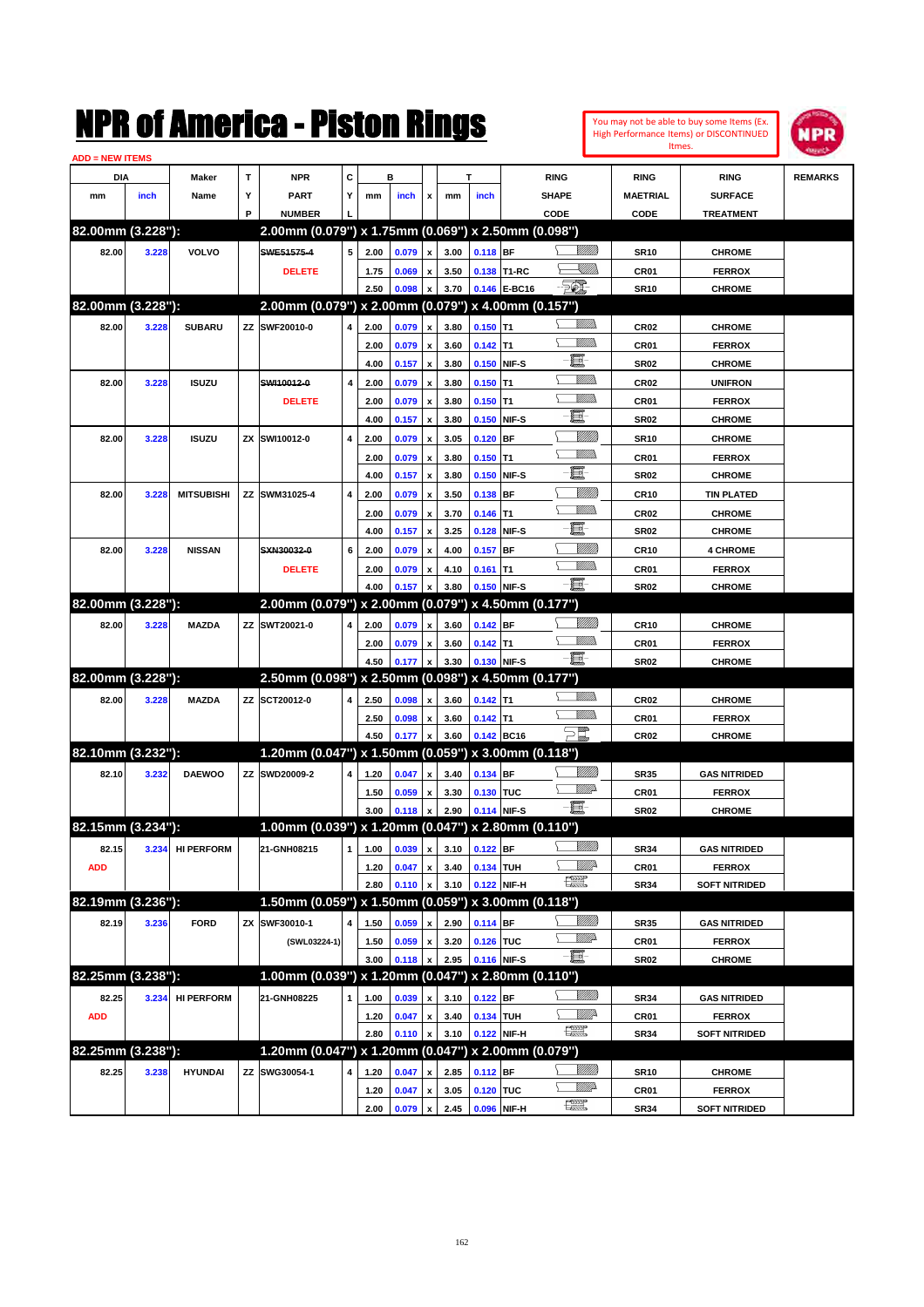You may not be able to buy some Items (Ex. High Performance Items) or DISCONTINUED Itmes.



| <b>ADD = NEW ITEMS</b> |       |                   |   |                                                     |   |      |       |                           |                                |            |              |                          |                  |                      |                |
|------------------------|-------|-------------------|---|-----------------------------------------------------|---|------|-------|---------------------------|--------------------------------|------------|--------------|--------------------------|------------------|----------------------|----------------|
| <b>DIA</b>             |       | Maker             | т | <b>NPR</b>                                          | С |      | в     |                           |                                | т          |              | <b>RING</b>              | <b>RING</b>      | <b>RING</b>          | <b>REMARKS</b> |
| mm                     | inch  | Name              | Υ | <b>PART</b>                                         | Y | mm   | inch  | x                         | mm                             | inch       |              | <b>SHAPE</b>             | <b>MAETRIAL</b>  | <b>SURFACE</b>       |                |
|                        |       |                   | P | <b>NUMBER</b>                                       |   |      |       |                           |                                |            |              | CODE                     | <b>CODE</b>      | <b>TREATMENT</b>     |                |
| 82.00mm (3.228"):      |       |                   |   | 2.00mm (0.079") x 1.75mm (0.069") x 2.50mm (0.098") |   |      |       |                           |                                |            |              |                          |                  |                      |                |
| 82.00                  | 3.228 | <b>VOLVO</b>      |   | SWE51575-4                                          | 5 | 2.00 | 0.079 | $\pmb{\mathsf{x}}$        | 3.00                           | $0.118$ BF |              | VIII D                   | <b>SR10</b>      | <b>CHROME</b>        |                |
|                        |       |                   |   | <b>DELETE</b>                                       |   | 1.75 | 0.069 | x                         | 3.50                           |            | 0.138 T1-RC  | <u>UMB</u>               | <b>CR01</b>      | <b>FERROX</b>        |                |
|                        |       |                   |   |                                                     |   | 2.50 | 0.098 |                           | 3.70                           |            | 0.146 E-BC16 | $-\frac{1}{2}$           | <b>SR10</b>      | <b>CHROME</b>        |                |
| 82.00mm (3.228"):      |       |                   |   | 2.00mm (0.079") x 2.00mm (0.079") x 4.00mm (0.157") |   |      |       |                           |                                |            |              |                          |                  |                      |                |
| 82.00                  | 3.228 | <b>SUBARU</b>     |   | ZZ SWF20010-0                                       | 4 | 2.00 | 0.079 | $\boldsymbol{\mathsf{x}}$ | 3.80                           | $0.150$ T1 |              | <u>MMS</u>               | <b>CR02</b>      | <b>CHROME</b>        |                |
|                        |       |                   |   |                                                     |   | 2.00 | 0.079 | x                         | 3.60                           | $0.142$ T1 |              | <u>MMs</u>               | CR01             | <b>FERROX</b>        |                |
|                        |       |                   |   |                                                     |   | 4.00 | 0.157 | x                         | 3.80                           |            | 0.150 NIF-S  | 量                        | <b>SR02</b>      | <b>CHROME</b>        |                |
| 82.00                  | 3.228 | <b>ISUZU</b>      |   | SWI10012-0                                          | 4 | 2.00 | 0.079 | x                         | 3.80                           | $0.150$ T1 |              | <u>MM)</u>               | <b>CR02</b>      | <b>UNIFRON</b>       |                |
|                        |       |                   |   | <b>DELETE</b>                                       |   | 2.00 | 0.079 | x                         | 3.80                           | $0.150$ T1 |              | <u>MMs</u>               | <b>CR01</b>      | <b>FERROX</b>        |                |
|                        |       |                   |   |                                                     |   | 4.00 | 0.157 | x                         | 3.80                           |            | 0.150 NIF-S  | 量                        | <b>SR02</b>      | <b>CHROME</b>        |                |
| 82.00                  | 3.228 | <b>ISUZU</b>      |   | ZX SWI10012-0                                       | 4 | 2.00 | 0.079 | x                         | 3.05                           | $0.120$ BF |              | <u>VIIII)</u>            | <b>SR10</b>      | <b>CHROME</b>        |                |
|                        |       |                   |   |                                                     |   | 2.00 | 0.079 | x                         | 3.80                           | $0.150$ T1 |              | <u>MMD</u>               | <b>CR01</b>      | <b>FERROX</b>        |                |
|                        |       |                   |   |                                                     |   | 4.00 | 0.157 | x                         | 3.80                           |            | 0.150 NIF-S  | ■                        | <b>SR02</b>      | <b>CHROME</b>        |                |
| 82.00                  | 3.228 | <b>MITSUBISHI</b> |   | ZZ SWM31025-4                                       | 4 | 2.00 | 0.079 | x                         | 3.50                           | $0.138$ BF |              |                          | <b>CR10</b>      | <b>TIN PLATED</b>    |                |
|                        |       |                   |   |                                                     |   | 2.00 | 0.079 |                           | 3.70                           | $0.146$ T1 |              | <u>MMD</u>               | <b>CR02</b>      | <b>CHROME</b>        |                |
|                        |       |                   |   |                                                     |   | 4.00 | 0.157 | x                         | 3.25                           |            | 0.128 NIF-S  | 圓−                       | <b>SR02</b>      | <b>CHROME</b>        |                |
|                        |       |                   |   |                                                     |   |      |       | x                         |                                |            |              | <u>VIII M</u>            |                  |                      |                |
| 82.00                  | 3.228 | <b>NISSAN</b>     |   | SXN30032-0                                          | 6 | 2.00 | 0.079 | x                         | 4.00                           | $0.157$ BF |              | <u>MMD</u>               | <b>CR10</b>      | <b>4 CHROME</b>      |                |
|                        |       |                   |   | <b>DELETE</b>                                       |   | 2.00 | 0.079 | x                         | 4.10                           | $0.161$ T1 |              | -日                       | <b>CR01</b>      | <b>FERROX</b>        |                |
| 82.00mm (3.228"):      |       |                   |   | 2.00mm (0.079") x 2.00mm (0.079") x 4.50mm (0.177") |   | 4.00 | 0.157 |                           | 3.80                           |            | 0.150 NIF-S  |                          | <b>SR02</b>      | <b>CHROME</b>        |                |
|                        |       |                   |   |                                                     |   |      |       |                           |                                |            |              |                          |                  |                      |                |
| 82.00                  | 3.228 | <b>MAZDA</b>      |   | ZZ SWT20021-0                                       | 4 | 2.00 | 0.079 | x                         | 3.60                           | $0.142$ BF |              | <u>MMS</u><br><u>MMD</u> | <b>CR10</b>      | <b>CHROME</b>        |                |
|                        |       |                   |   |                                                     |   | 2.00 | 0.079 | x                         | 3.60                           | $0.142$ T1 |              | -日                       | <b>CR01</b>      | <b>FERROX</b>        |                |
|                        |       |                   |   |                                                     |   | 4.50 | 0.177 |                           | 3.30                           |            | 0.130 NIF-S  |                          | <b>SR02</b>      | <b>CHROME</b>        |                |
| 82.00mm (3.228"):      |       |                   |   | 2.50mm (0.098") x 2.50mm (0.098") x 4.50mm (0.177") |   |      |       |                           |                                |            |              | <u>MMS</u>               |                  |                      |                |
| 82.00                  | 3.228 | <b>MAZDA</b>      |   | ZZ SCT20012-0                                       | 4 | 2.50 | 0.098 | x                         | 3.60                           | $0.142$ T1 |              | <u>MMs</u>               | <b>CR02</b>      | <b>CHROME</b>        |                |
|                        |       |                   |   |                                                     |   | 2.50 | 0.098 | x                         | 3.60                           | $0.142$ T1 |              |                          | <b>CR01</b>      | <b>FERROX</b>        |                |
|                        |       |                   |   |                                                     |   | 4.50 | 0.177 |                           | 3.60                           |            | 0.142 BC16   | $\Xi^{\!\!\#}$           | <b>CR02</b>      | <b>CHROME</b>        |                |
| 82.10mm (3.232"):      |       |                   |   | 1.20mm (0.047") x 1.50mm (0.059") x 3.00mm (0.118") |   |      |       |                           |                                |            |              |                          |                  |                      |                |
| 82.10                  | 3.232 | <b>DAEWOO</b>     |   | ZZ SWD20009-2                                       | 4 | 1.20 | 0.047 | x                         | 3.40                           | 0.134 BF   |              | <u>MMS</u>               | <b>SR35</b>      | <b>GAS NITRIDED</b>  |                |
|                        |       |                   |   |                                                     |   | 1.50 | 0.059 | x                         | 3.30                           | 0.130 TUC  |              | <u>VMD</u>               | <b>CR01</b>      | <b>FERROX</b>        |                |
|                        |       |                   |   |                                                     |   | 3.00 | 0.118 |                           | 2.90                           |            | 0.114 NIF-S  | -日                       | <b>SR02</b>      | <b>CHROME</b>        |                |
| 82.15mm (3.234"):      |       |                   |   | 1.00mm (0.039") x 1.20mm (0.047") x 2.80mm (0.110") |   |      |       |                           |                                |            |              |                          |                  |                      |                |
| 82.15                  |       | 3.234 HI PERFORM  |   | 21-GNH08215                                         |   |      |       |                           | $1$ 1.00 0.039 x 3.10 0.122 BF |            |              | <u>UMB</u>               | <b>SR34</b>      | <b>GAS NITRIDED</b>  |                |
| <b>ADD</b>             |       |                   |   |                                                     |   | 1.20 | 0.047 | x                         | 3.40                           | 0.134 TUH  |              | <u>Willi</u> r           | CR01             | <b>FERROX</b>        |                |
|                        |       |                   |   |                                                     |   | 2.80 | 0.110 |                           | 3.10                           |            | 0.122 NIF-H  | 環                        | <b>SR34</b>      | <b>SOFT NITRIDED</b> |                |
| 82.19mm (3.236"):      |       |                   |   | 1.50mm (0.059") x 1.50mm (0.059") x 3.00mm (0.118") |   |      |       |                           |                                |            |              |                          |                  |                      |                |
| 82.19                  | 3.236 | <b>FORD</b>       |   | ZX SWF30010-1                                       | 4 | 1.50 | 0.059 | x                         | 2.90                           | $0.114$ BF |              | <u>Villida</u>           | <b>SR35</b>      | <b>GAS NITRIDED</b>  |                |
|                        |       |                   |   | (SWL03224-1)                                        |   | 1.50 | 0.059 | x                         | 3.20                           | 0.126 TUC  |              | <u>VMP</u>               | <b>CR01</b>      | <b>FERROX</b>        |                |
|                        |       |                   |   |                                                     |   | 3.00 | 0.118 |                           | 2.95                           |            | 0.116 NIF-S  | -日                       | <b>SR02</b>      | <b>CHROME</b>        |                |
| 82.25mm (3.238"):      |       |                   |   | 1.00mm (0.039") x 1.20mm (0.047") x 2.80mm (0.110") |   |      |       |                           |                                |            |              |                          |                  |                      |                |
| 82.25                  | 3.234 | <b>HI PERFORM</b> |   | 21-GNH08225                                         | 1 | 1.00 | 0.039 | $\boldsymbol{\mathsf{x}}$ | 3.10                           | $0.122$ BF |              |                          | <b>SR34</b>      | <b>GAS NITRIDED</b>  |                |
| <b>ADD</b>             |       |                   |   |                                                     |   | 1.20 | 0.047 | $\pmb{\mathsf{x}}$        | 3.40                           | 0.134 TUH  |              | <u>WW</u> A              | CR01             | <b>FERROX</b>        |                |
|                        |       |                   |   |                                                     |   | 2.80 | 0.110 | x                         | 3.10                           |            | 0.122 NIF-H  | 讓                        | <b>SR34</b>      | <b>SOFT NITRIDED</b> |                |
| 82.25mm (3.238"):      |       |                   |   | 1.20mm (0.047") x 1.20mm (0.047") x 2.00mm (0.079") |   |      |       |                           |                                |            |              |                          |                  |                      |                |
| 82.25                  | 3.238 | <b>HYUNDAI</b>    |   | ZZ SWG30054-1                                       | 4 | 1.20 | 0.047 | x                         | 2.85                           | $0.112$ BF |              | <u>Villida</u>           | SR10             | <b>CHROME</b>        |                |
|                        |       |                   |   |                                                     |   | 1.20 | 0.047 | x                         | 3.05                           | 0.120 TUC  |              | <u>VMP</u>               | CR <sub>01</sub> | <b>FERROX</b>        |                |
|                        |       |                   |   |                                                     |   | 2.00 | 0.079 | $\pmb{\mathsf{x}}$        | 2.45                           |            | 0.096 NIF-H  | æ                        | <b>SR34</b>      | <b>SOFT NITRIDED</b> |                |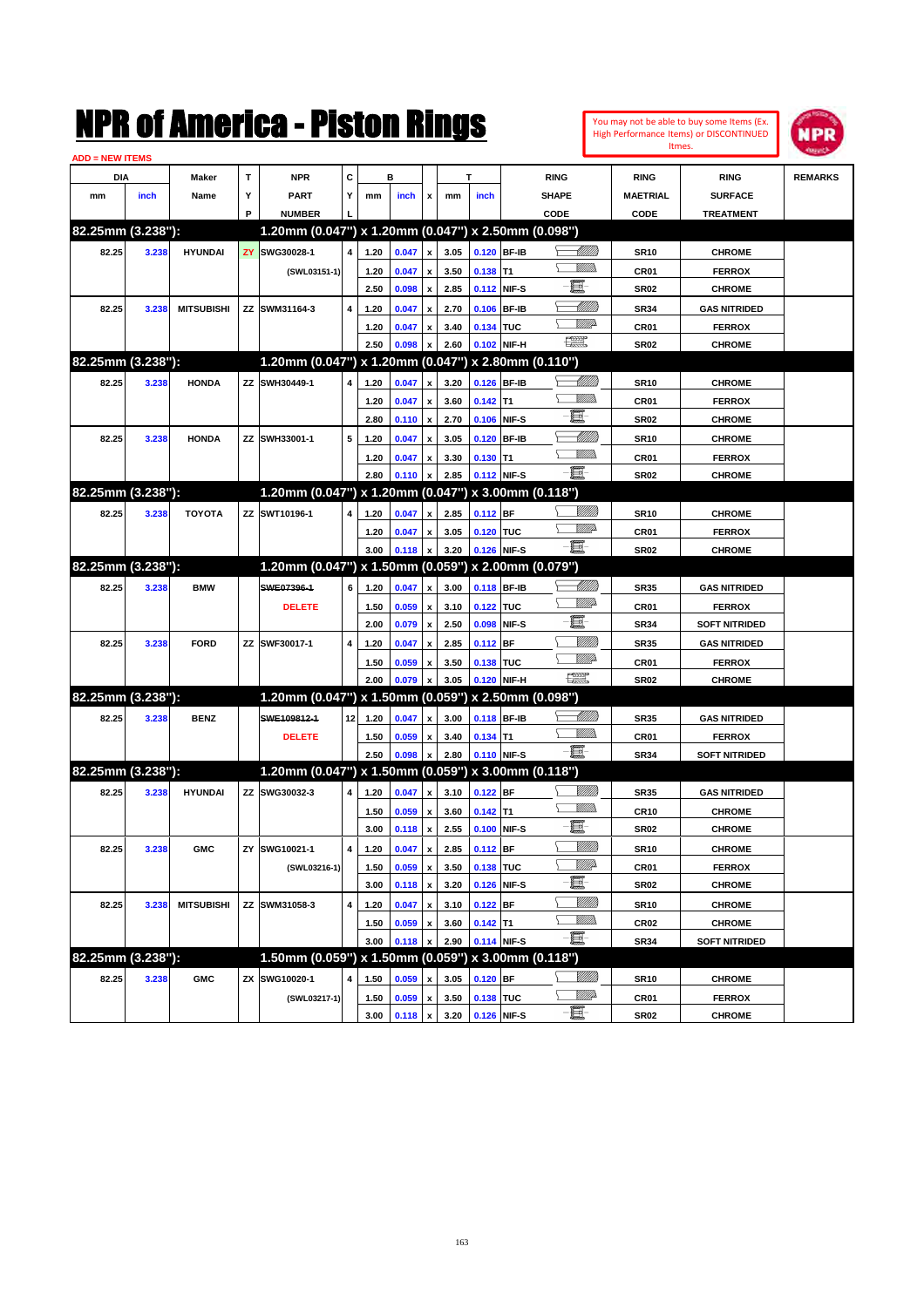| You may not be able to buy some Items (Ex. |
|--------------------------------------------|
| High Performance Items) or DISCONTINUED    |
| Itmes.                                     |



| <b>ADD = NEW ITEMS</b> |       |                   |     |                                                     |    |      |       |                    |      |             |                 |                                                                                                                                                                                                                                                                                                                                                     |                          |                      |                |
|------------------------|-------|-------------------|-----|-----------------------------------------------------|----|------|-------|--------------------|------|-------------|-----------------|-----------------------------------------------------------------------------------------------------------------------------------------------------------------------------------------------------------------------------------------------------------------------------------------------------------------------------------------------------|--------------------------|----------------------|----------------|
| DIA                    |       | Maker             | т   | <b>NPR</b>                                          | С  |      | в     |                    |      | т           |                 | <b>RING</b>                                                                                                                                                                                                                                                                                                                                         | <b>RING</b>              | <b>RING</b>          | <b>REMARKS</b> |
| mm                     | inch  | Name              | Υ   | <b>PART</b>                                         | Y  | mm   | inch  | x                  | mm   | inch        |                 | <b>SHAPE</b>                                                                                                                                                                                                                                                                                                                                        | <b>MAETRIAL</b>          | <b>SURFACE</b>       |                |
|                        |       |                   | P   | <b>NUMBER</b>                                       |    |      |       |                    |      |             |                 | CODE                                                                                                                                                                                                                                                                                                                                                | CODE                     | <b>TREATMENT</b>     |                |
| 82.25mm (3.238"):      |       |                   |     | 1.20mm (0.047") x 1.20mm (0.047") x 2.50mm (0.098") |    |      |       |                    |      |             |                 |                                                                                                                                                                                                                                                                                                                                                     |                          |                      |                |
| 82.25                  | 3.238 | <b>HYUNDAI</b>    | ZY. | SWG30028-1                                          | 4  | 1.20 | 0.047 | $\pmb{\mathsf{x}}$ | 3.05 | 0.120       | <b>BF-IB</b>    |                                                                                                                                                                                                                                                                                                                                                     | <b>SR10</b>              | <b>CHROME</b>        |                |
|                        |       |                   |     | (SWL03151-1)                                        |    | 1.20 | 0.047 | x                  | 3.50 | 0.138       | T <sub>1</sub>  | VMM)                                                                                                                                                                                                                                                                                                                                                | <b>CR01</b>              | <b>FERROX</b>        |                |
|                        |       |                   |     |                                                     |    | 2.50 | 0.098 | $\pmb{\mathsf{x}}$ | 2.85 | 0.112       | NIF-S           | e                                                                                                                                                                                                                                                                                                                                                   | <b>SR02</b>              | <b>CHROME</b>        |                |
| 82.25                  | 3.238 | <b>MITSUBISHI</b> |     | ZZ SWM31164-3                                       | 4  | 1.20 | 0.047 | x                  | 2.70 | 0.106       | <b>BF-IB</b>    | MMB                                                                                                                                                                                                                                                                                                                                                 | <b>SR34</b>              | <b>GAS NITRIDED</b>  |                |
|                        |       |                   |     |                                                     |    | 1.20 | 0.047 | x                  | 3.40 | 0.134 TUC   |                 | <u>VMD</u>                                                                                                                                                                                                                                                                                                                                          | CR <sub>01</sub>         | <b>FERROX</b>        |                |
|                        |       |                   |     |                                                     |    | 2.50 | 0.098 |                    | 2.60 | 0.102       | NIF-H           | 鱱                                                                                                                                                                                                                                                                                                                                                   | SR <sub>02</sub>         | <b>CHROME</b>        |                |
| 82.25mm (3.238"):      |       |                   |     | 1.20mm (0.047") x 1.20mm (0.047") x 2.80mm (0.110") |    |      |       |                    |      |             |                 |                                                                                                                                                                                                                                                                                                                                                     |                          |                      |                |
| 82.25                  | 3.238 | <b>HONDA</b>      |     | ZZ SWH30449-1                                       | 4  | 1.20 | 0.047 | x                  | 3.20 | 0.126       | <b>BF-IB</b>    | <u> IMM</u> )                                                                                                                                                                                                                                                                                                                                       | <b>SR10</b>              | <b>CHROME</b>        |                |
|                        |       |                   |     |                                                     |    | 1.20 | 0.047 | x                  | 3.60 | $0.142$ T1  |                 |                                                                                                                                                                                                                                                                                                                                                     | <b>CR01</b>              | <b>FERROX</b>        |                |
|                        |       |                   |     |                                                     |    | 2.80 | 0.110 | $\pmb{\mathsf{x}}$ | 2.70 | 0.106       | NIF-S           | e.                                                                                                                                                                                                                                                                                                                                                  | <b>SR02</b>              | <b>CHROME</b>        |                |
| 82.25                  | 3.238 | <b>HONDA</b>      |     | ZZ SWH33001-1                                       | 5  | 1.20 | 0.047 |                    | 3.05 | 0.120       | <b>BF-IB</b>    | MMB                                                                                                                                                                                                                                                                                                                                                 | <b>SR10</b>              | <b>CHROME</b>        |                |
|                        |       |                   |     |                                                     |    | 1.20 | 0.047 |                    | 3.30 | 0.130       | IT <sub>1</sub> |                                                                                                                                                                                                                                                                                                                                                     | <b>CR01</b>              | <b>FERROX</b>        |                |
|                        |       |                   |     |                                                     |    | 2.80 | 0.110 | x                  | 2.85 | 0.112       | NIF-S           | -8                                                                                                                                                                                                                                                                                                                                                  | SR <sub>02</sub>         | <b>CHROME</b>        |                |
| 82.25mm (3.238"):      |       |                   |     | 1.20mm (0.047") x 1.20mm (0.047") x 3.00mm (0.118") |    |      |       |                    |      |             |                 |                                                                                                                                                                                                                                                                                                                                                     |                          |                      |                |
|                        |       |                   |     |                                                     |    |      |       |                    |      |             |                 |                                                                                                                                                                                                                                                                                                                                                     |                          |                      |                |
| 82.25                  | 3.238 | <b>TOYOTA</b>     |     | ZZ SWT10196-1                                       | 4  | 1.20 | 0.047 | x                  | 2.85 | 0.112 BF    |                 | <u>WW</u> A                                                                                                                                                                                                                                                                                                                                         | <b>SR10</b>              | <b>CHROME</b>        |                |
|                        |       |                   |     |                                                     |    | 1.20 | 0.047 | x                  | 3.05 | 0.120 TUC   |                 | $-\blacksquare$                                                                                                                                                                                                                                                                                                                                     | <b>CR01</b>              | <b>FERROX</b>        |                |
| 82.25mm (3.238"):      |       |                   |     |                                                     |    | 3.00 | 0.118 |                    | 3.20 | 0.126       | NIF-S           |                                                                                                                                                                                                                                                                                                                                                     | SR <sub>02</sub>         | <b>CHROME</b>        |                |
|                        |       |                   |     | 1.20mm (0.047") x 1.50mm (0.059") x 2.00mm (0.079") |    |      |       |                    |      |             |                 |                                                                                                                                                                                                                                                                                                                                                     |                          |                      |                |
| 82.25                  | 3.238 | <b>BMW</b>        |     | SWE07396-1                                          | 6  | 1.20 | 0.047 | $\pmb{\mathsf{x}}$ | 3.00 | 0.118 BF-IB |                 |                                                                                                                                                                                                                                                                                                                                                     | <b>SR35</b>              | <b>GAS NITRIDED</b>  |                |
|                        |       |                   |     | <b>DELETE</b>                                       |    | 1.50 | 0.059 | x                  | 3.10 | 0.122       | <b>TUC</b>      | VMD                                                                                                                                                                                                                                                                                                                                                 | <b>CR01</b>              | <b>FERROX</b>        |                |
|                        |       |                   |     |                                                     |    | 2.00 | 0.079 | $\pmb{\mathsf{x}}$ | 2.50 | 0.098       | NIF-S           | E                                                                                                                                                                                                                                                                                                                                                   | <b>SR34</b>              | <b>SOFT NITRIDED</b> |                |
| 82.25                  | 3.238 | <b>FORD</b>       |     | ZZ SWF30017-1                                       | 4  | 1.20 | 0.047 | x                  | 2.85 | 0.112       | <b>BF</b>       | <u>Milli</u> k                                                                                                                                                                                                                                                                                                                                      | <b>SR35</b>              | <b>GAS NITRIDED</b>  |                |
|                        |       |                   |     |                                                     |    | 1.50 | 0.059 | x                  | 3.50 | 0.138       | <b>TUC</b>      | <u>VMP</u>                                                                                                                                                                                                                                                                                                                                          | <b>CR01</b>              | <b>FERROX</b>        |                |
|                        |       |                   |     |                                                     |    | 2.00 | 0.079 |                    | 3.05 | 0.120       | NIF-H           | $\begin{picture}(20,20) \put(0,0){\line(1,0){10}} \put(15,0){\line(1,0){10}} \put(15,0){\line(1,0){10}} \put(15,0){\line(1,0){10}} \put(15,0){\line(1,0){10}} \put(15,0){\line(1,0){10}} \put(15,0){\line(1,0){10}} \put(15,0){\line(1,0){10}} \put(15,0){\line(1,0){10}} \put(15,0){\line(1,0){10}} \put(15,0){\line(1,0){10}} \put(15,0){\line(1$ | SR <sub>02</sub>         | <b>CHROME</b>        |                |
| 82.25mm (3.238"):      |       |                   |     | 1.20mm (0.047") x 1.50mm (0.059") x 2.50mm (0.098") |    |      |       |                    |      |             |                 |                                                                                                                                                                                                                                                                                                                                                     |                          |                      |                |
| 82.25                  | 3.238 | <b>BENZ</b>       |     | SWE109812-1                                         | 12 | 1.20 | 0.047 | x                  | 3.00 | 0.118 BF-IB |                 | <u> MM)</u>                                                                                                                                                                                                                                                                                                                                         | <b>SR35</b>              | <b>GAS NITRIDED</b>  |                |
|                        |       |                   |     | <b>DELETE</b>                                       |    | 1.50 | 0.059 | x                  | 3.40 | 0.134       | T1              | <br>Milita                                                                                                                                                                                                                                                                                                                                          | <b>CR01</b>              | <b>FERROX</b>        |                |
|                        |       |                   |     |                                                     |    | 2.50 | 0.098 | $\boldsymbol{x}$   | 2.80 |             | 0.110 NIF-S     | -8                                                                                                                                                                                                                                                                                                                                                  | <b>SR34</b>              | <b>SOFT NITRIDED</b> |                |
| 82.25mm (3.238"):      |       |                   |     | 1.20mm (0.047") x 1.50mm (0.059") x 3.00mm (0.118") |    |      |       |                    |      |             |                 |                                                                                                                                                                                                                                                                                                                                                     |                          |                      |                |
| 82.25                  | 3.238 | <b>HYUNDAI</b>    |     | ZZ SWG30032-3                                       | 4  | 1.20 | 0.047 | $\pmb{\mathsf{x}}$ | 3.10 | $0.122$ BF  |                 |                                                                                                                                                                                                                                                                                                                                                     | <b>SR35</b>              | <b>GAS NITRIDED</b>  |                |
|                        |       |                   |     |                                                     |    | 1.50 | 0.059 | x                  | 3.60 | $0.142$ T1  |                 | VM))                                                                                                                                                                                                                                                                                                                                                | <b>CR10</b>              | <b>CHROME</b>        |                |
|                        |       |                   |     |                                                     |    | 3.00 | 0.118 | $\pmb{\mathsf{x}}$ | 2.55 | 0.100       | NIF-S           | e.                                                                                                                                                                                                                                                                                                                                                  | SR <sub>02</sub>         | <b>CHROME</b>        |                |
| 82.25                  | 3.238 | <b>GMC</b>        |     | ZY SWG10021-1                                       | 4  | 1.20 | 0.047 | $\pmb{\mathsf{x}}$ | 2.85 | $0.112$ BF  |                 | <u>Milli</u>                                                                                                                                                                                                                                                                                                                                        | <b>SR10</b>              | <b>CHROME</b>        |                |
|                        |       |                   |     | (SWL03216-1)                                        |    | 1.50 | 0.059 | $\pmb{\mathsf{x}}$ | 3.50 | 0.138 TUC   |                 | <u>Willi</u> b                                                                                                                                                                                                                                                                                                                                      | CR01                     | <b>FERROX</b>        |                |
|                        |       |                   |     |                                                     |    | 3.00 | 0.118 | $\pmb{\mathsf{x}}$ | 3.20 | 0.126       | NIF-S           | E                                                                                                                                                                                                                                                                                                                                                   | <b>SR02</b>              | <b>CHROME</b>        |                |
| 82.25                  | 3.238 | <b>MITSUBISHI</b> |     | ZZ SWM31058-3                                       | 4  | 1.20 | 0.047 | $\pmb{\mathsf{x}}$ | 3.10 | 0.122 BF    |                 | <u>MMM</u>                                                                                                                                                                                                                                                                                                                                          | <b>SR10</b>              | <b>CHROME</b>        |                |
|                        |       |                   |     |                                                     |    | 1.50 | 0.059 | x                  | 3.60 | $0.142$ T1  |                 | <u>Willib</u>                                                                                                                                                                                                                                                                                                                                       | CR02                     | <b>CHROME</b>        |                |
|                        |       |                   |     |                                                     |    | 3.00 | 0.118 | x                  | 2.90 | 0.114 NIF-S |                 | -8                                                                                                                                                                                                                                                                                                                                                  | <b>SR34</b>              | <b>SOFT NITRIDED</b> |                |
| 82.25mm (3.238"):      |       |                   |     | 1.50mm (0.059") x 1.50mm (0.059") x 3.00mm (0.118") |    |      |       |                    |      |             |                 |                                                                                                                                                                                                                                                                                                                                                     |                          |                      |                |
| 82.25                  | 3.238 | <b>GMC</b>        |     | ZX SWG10020-1                                       | 4  | 1.50 | 0.059 | $\pmb{\mathsf{x}}$ | 3.05 | $0.120$ BF  |                 | <u>MMM</u>                                                                                                                                                                                                                                                                                                                                          | <b>SR10</b>              | <b>CHROME</b>        |                |
|                        |       |                   |     | (SWL03217-1)                                        |    | 1.50 | 0.059 | $\pmb{\mathsf{x}}$ | 3.50 | 0.138 TUC   |                 | <u>WW</u>                                                                                                                                                                                                                                                                                                                                           |                          | <b>FERROX</b>        |                |
|                        |       |                   |     |                                                     |    | 3.00 | 0.118 | $\pmb{\mathsf{x}}$ | 3.20 | 0.126 NIF-S |                 | $-\Xi$ -                                                                                                                                                                                                                                                                                                                                            | CR01<br>SR <sub>02</sub> | <b>CHROME</b>        |                |
|                        |       |                   |     |                                                     |    |      |       |                    |      |             |                 |                                                                                                                                                                                                                                                                                                                                                     |                          |                      |                |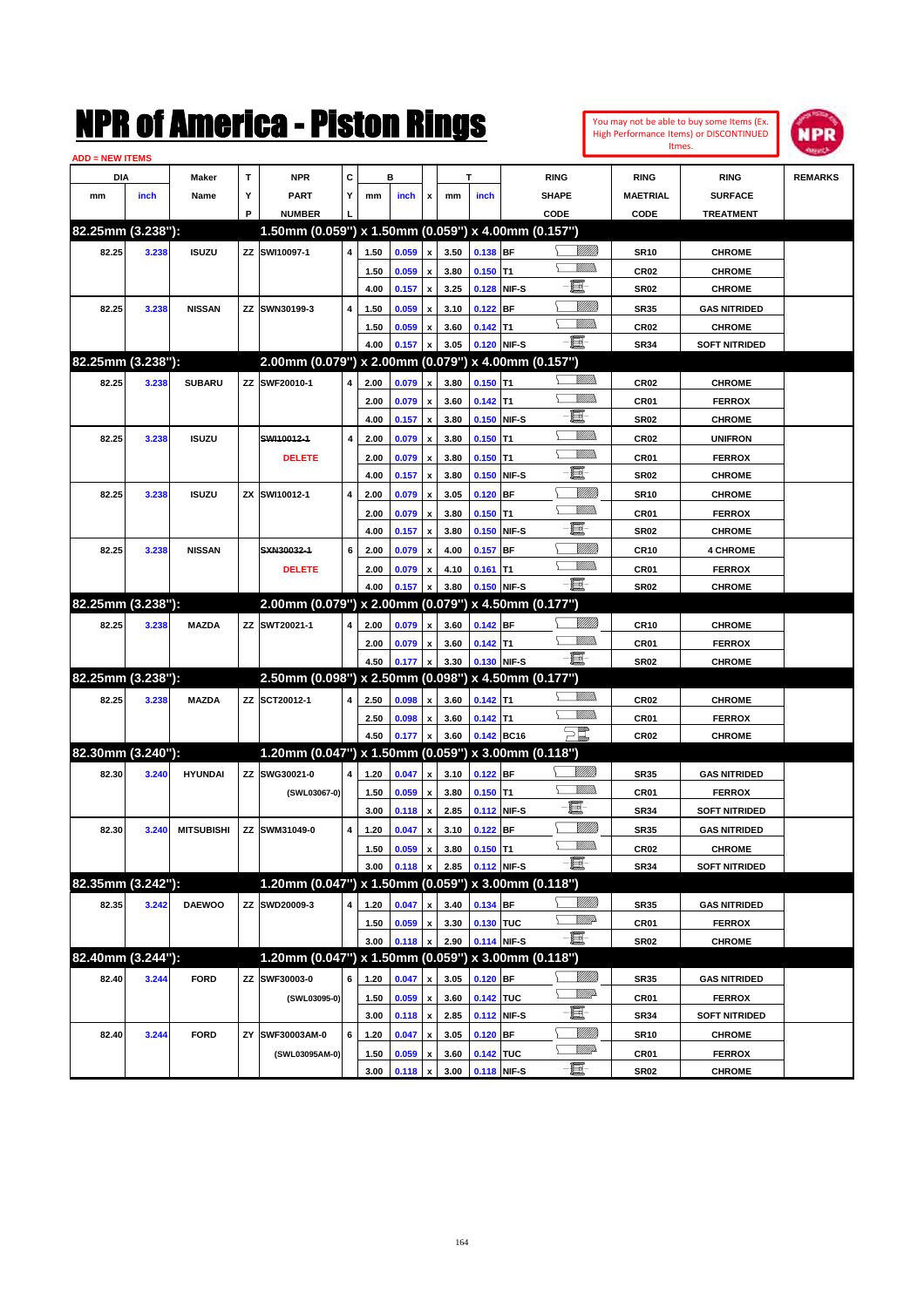| You may not be able to buy some Items (Ex. |
|--------------------------------------------|
| High Performance Items) or DISCONTINUED    |
| Itmes.                                     |



| <b>ADD = NEW ITEMS</b> |       |                   |    |                                                     |   |      |       |                    |      |             |             |                                         |                  |                      |                |
|------------------------|-------|-------------------|----|-----------------------------------------------------|---|------|-------|--------------------|------|-------------|-------------|-----------------------------------------|------------------|----------------------|----------------|
| DIA                    |       | Maker             | T  | <b>NPR</b>                                          | С |      | в     |                    |      | T           |             | <b>RING</b>                             | <b>RING</b>      | <b>RING</b>          | <b>REMARKS</b> |
| mm                     | inch  | Name              | Υ  | <b>PART</b>                                         | Y | mm   | inch  | x                  | mm   | inch        |             | <b>SHAPE</b>                            | <b>MAETRIAL</b>  | <b>SURFACE</b>       |                |
|                        |       |                   | P  | <b>NUMBER</b>                                       |   |      |       |                    |      |             |             | CODE                                    | CODE             | <b>TREATMENT</b>     |                |
| 82.25mm (3.238"):      |       |                   |    | 1.50mm (0.059") x 1.50mm (0.059") x 4.00mm (0.157") |   |      |       |                    |      |             |             |                                         |                  |                      |                |
| 82.25                  | 3.238 | <b>ISUZU</b>      |    | ZZ SWI10097-1                                       | 4 | 1.50 | 0.059 | $\pmb{\mathsf{x}}$ | 3.50 | 0.138 BF    |             | <u>Villida</u>                          | <b>SR10</b>      | <b>CHROME</b>        |                |
|                        |       |                   |    |                                                     |   | 1.50 | 0.059 | $\pmb{\mathsf{x}}$ | 3.80 | $0.150$ T1  |             |                                         | CR <sub>02</sub> | <b>CHROME</b>        |                |
|                        |       |                   |    |                                                     |   | 4.00 | 0.157 | $\pmb{\mathsf{x}}$ | 3.25 |             | 0.128 NIF-S | E                                       | <b>SR02</b>      | <b>CHROME</b>        |                |
| 82.25                  | 3.238 | <b>NISSAN</b>     |    | ZZ SWN30199-3                                       | 4 | 1.50 | 0.059 | x                  | 3.10 | $0.122$ BF  |             |                                         | <b>SR35</b>      | <b>GAS NITRIDED</b>  |                |
|                        |       |                   |    |                                                     |   | 1.50 | 0.059 | x                  | 3.60 | $0.142$ T1  |             | UM)                                     | <b>CR02</b>      | <b>CHROME</b>        |                |
|                        |       |                   |    |                                                     |   | 4.00 | 0.157 | x                  | 3.05 | 0.120 NIF-S |             | -8                                      | <b>SR34</b>      | <b>SOFT NITRIDED</b> |                |
| 82.25mm (3.238"):      |       |                   |    | 2.00mm (0.079") x 2.00mm (0.079") x 4.00mm (0.157") |   |      |       |                    |      |             |             |                                         |                  |                      |                |
| 82.25                  | 3.238 | <b>SUBARU</b>     |    | ZZ SWF20010-1                                       | 4 | 2.00 | 0.079 | x                  | 3.80 | $0.150$ T1  |             | <br>Villida                             | CR <sub>02</sub> | <b>CHROME</b>        |                |
|                        |       |                   |    |                                                     |   | 2.00 | 0.079 | $\pmb{\mathsf{x}}$ | 3.60 | $0.142$ T1  |             | UM)                                     | CR01             | <b>FERROX</b>        |                |
|                        |       |                   |    |                                                     |   | 4.00 | 0.157 | $\pmb{\mathsf{x}}$ | 3.80 |             | 0.150 NIF-S | 圓                                       | <b>SR02</b>      | <b>CHROME</b>        |                |
| 82.25                  | 3.238 | <b>ISUZU</b>      |    | SWI10012-1                                          | 4 | 2.00 | 0.079 | x                  | 3.80 | $0.150$ T1  |             | <br>Mad                                 | CR <sub>02</sub> | <b>UNIFRON</b>       |                |
|                        |       |                   |    | <b>DELETE</b>                                       |   | 2.00 | 0.079 | x                  | 3.80 | $0.150$ T1  |             | UM)                                     | CR01             | <b>FERROX</b>        |                |
|                        |       |                   |    |                                                     |   | 4.00 | 0.157 | $\pmb{\mathsf{x}}$ | 3.80 |             | 0.150 NIF-S | 僵                                       | <b>SR02</b>      | <b>CHROME</b>        |                |
| 82.25                  | 3.238 | <b>ISUZU</b>      |    | ZX SWI10012-1                                       | 4 | 2.00 | 0.079 | x                  | 3.05 | $0.120$ BF  |             | VIIII)                                  | <b>SR10</b>      | <b>CHROME</b>        |                |
|                        |       |                   |    |                                                     |   | 2.00 | 0.079 | x                  | 3.80 | $0.150$ T1  |             | <br>Mar                                 | CR01             | <b>FERROX</b>        |                |
|                        |       |                   |    |                                                     |   | 4.00 | 0.157 | x                  | 3.80 |             | 0.150 NIF-S | 圓                                       | <b>SR02</b>      | <b>CHROME</b>        |                |
| 82.25                  | 3.238 | <b>NISSAN</b>     |    | SXN30032-1                                          | 6 | 2.00 | 0.079 | x                  | 4.00 | $0.157$ BF  |             | VIII))                                  | <b>CR10</b>      | <b>4 CHROME</b>      |                |
|                        |       |                   |    | <b>DELETE</b>                                       |   | 2.00 | 0.079 | x                  | 4.10 | $0.161$ T1  |             | .<br>VMD                                | CR01             | <b>FERROX</b>        |                |
|                        |       |                   |    |                                                     |   | 4.00 | 0.157 | x                  | 3.80 | 0.150 NIF-S |             | -8                                      | <b>SR02</b>      | <b>CHROME</b>        |                |
| 82.25mm (3.238"):      |       |                   |    | 2.00mm (0.079") x 2.00mm (0.079") x 4.50mm (0.177") |   |      |       |                    |      |             |             |                                         |                  |                      |                |
|                        |       |                   |    |                                                     |   |      |       |                    |      |             |             |                                         |                  |                      |                |
| 82.25                  | 3.238 | <b>MAZDA</b>      |    | ZZ SWT20021-1                                       | 4 | 2.00 | 0.079 | x                  | 3.60 | $0.142$ BF  |             | UM)                                     | <b>CR10</b>      | <b>CHROME</b>        |                |
|                        |       |                   |    |                                                     |   | 2.00 | 0.079 | $\pmb{\mathsf{x}}$ | 3.60 | $0.142$ T1  |             | -8                                      | CR01             | <b>FERROX</b>        |                |
| 82.25mm (3.238"):      |       |                   |    |                                                     |   | 4.50 | 0.177 | $\pmb{\mathsf{x}}$ | 3.30 | 0.130 NIF-S |             |                                         | <b>SR02</b>      | <b>CHROME</b>        |                |
|                        |       |                   |    | 2.50mm (0.098") x 2.50mm (0.098") x 4.50mm (0.177") |   |      |       |                    |      |             |             |                                         |                  |                      |                |
| 82.25                  | 3.238 | <b>MAZDA</b>      |    | ZZ SCT20012-1                                       | 4 | 2.50 | 0.098 | x                  | 3.60 | $0.142$ T1  |             |                                         | <b>CR02</b>      | <b>CHROME</b>        |                |
|                        |       |                   |    |                                                     |   | 2.50 | 0.098 | x                  | 3.60 | $0.142$ T1  |             | UMB                                     | CR01             | <b>FERROX</b>        |                |
|                        |       |                   |    |                                                     |   | 4.50 | 0.177 | $\pmb{\mathsf{x}}$ | 3.60 | 0.142 BC16  |             | $\Xi^{\hspace{-0.4mm}[\hspace{0.3mm}]}$ | CR <sub>02</sub> | <b>CHROME</b>        |                |
| 82.30mm (3.240"):      |       |                   |    | 1.20mm (0.047") x 1.50mm (0.059") x 3.00mm (0.118") |   |      |       |                    |      |             |             |                                         |                  |                      |                |
| 82.30                  | 3.240 | <b>HYUNDAI</b>    |    | ZZ SWG30021-0                                       | 4 | 1.20 | 0.047 | x                  | 3.10 | $0.122$ BF  |             | <u>VIIII)</u>                           | <b>SR35</b>      | <b>GAS NITRIDED</b>  |                |
|                        |       |                   |    | (SWL03067-0)                                        |   | 1.50 | 0.059 | $\pmb{\mathsf{x}}$ | 3.80 | $0.150$ T1  |             | <br>Militar                             | CR01             | <b>FERROX</b>        |                |
|                        |       |                   |    |                                                     |   | 3.00 | 0.118 | $\pmb{\mathsf{x}}$ | 2.85 |             | 0.112 NIF-S | E                                       | <b>SR34</b>      | <b>SOFT NITRIDED</b> |                |
| 82.30                  | 3.240 | <b>MITSUBISHI</b> |    | ZZ SWM31049-0                                       | 4 | 1.20 | 0.047 | x                  | 3.10 | $0.122$ BF  |             |                                         | <b>SR35</b>      | <b>GAS NITRIDED</b>  |                |
|                        |       |                   |    |                                                     |   | 1.50 | 0.059 | $\pmb{\mathsf{x}}$ | 3.80 | $0.150$ T1  |             | <br>Mad                                 | CR <sub>02</sub> | <b>CHROME</b>        |                |
|                        |       |                   |    |                                                     |   | 3.00 | 0.118 | $\pmb{\mathsf{x}}$ | 2.85 | 0.112 NIF-S |             | -8                                      | <b>SR34</b>      | <b>SOFT NITRIDED</b> |                |
| 82.35mm (3.242"):      |       |                   |    | 1.20mm (0.047") x 1.50mm (0.059") x 3.00mm (0.118") |   |      |       |                    |      |             |             |                                         |                  |                      |                |
| 82.35                  | 3.242 | <b>DAEWOO</b>     |    | ZZ SWD20009-3                                       | 4 | 1.20 | 0.047 | $\pmb{\mathsf{x}}$ | 3.40 | 0.134 BF    |             | <u>Milli</u> n                          | <b>SR35</b>      | <b>GAS NITRIDED</b>  |                |
|                        |       |                   |    |                                                     |   | 1.50 | 0.059 | $\pmb{\mathsf{x}}$ | 3.30 | 0.130 TUC   |             | <u>VMP</u>                              | CR01             | <b>FERROX</b>        |                |
|                        |       |                   |    |                                                     |   | 3.00 | 0.118 | $\pmb{\mathsf{x}}$ | 2.90 |             | 0.114 NIF-S | -夏-                                     | SR <sub>02</sub> | <b>CHROME</b>        |                |
| 82.40mm (3.244"):      |       |                   |    | 1.20mm (0.047") x 1.50mm (0.059") x 3.00mm (0.118") |   |      |       |                    |      |             |             |                                         |                  |                      |                |
| 82.40                  | 3.244 | <b>FORD</b>       |    | ZZ SWF30003-0                                       | 6 | 1.20 | 0.047 | x                  | 3.05 | $0.120$ BF  |             | <u>MMM</u>                              | <b>SR35</b>      | <b>GAS NITRIDED</b>  |                |
|                        |       |                   |    | (SWL03095-0)                                        |   | 1.50 | 0.059 | $\pmb{\mathsf{x}}$ | 3.60 | 0.142 TUC   |             | <u>VM</u> A                             | CR01             | <b>FERROX</b>        |                |
|                        |       |                   |    |                                                     |   | 3.00 | 0.118 | $\pmb{\mathsf{x}}$ | 2.85 |             | 0.112 NIF-S | E-                                      | <b>SR34</b>      | <b>SOFT NITRIDED</b> |                |
| 82.40                  | 3.244 | <b>FORD</b>       | ΖY | SWF30003AM-0                                        | 6 | 1.20 | 0.047 | x                  | 3.05 | 0.120 BF    |             | <u>Milli</u>                            | <b>SR10</b>      | <b>CHROME</b>        |                |
|                        |       |                   |    | (SWL03095AM-0)                                      |   | 1.50 | 0.059 | x                  | 3.60 | 0.142 TUC   |             | <u>VM</u> A                             | CR01             | <b>FERROX</b>        |                |
|                        |       |                   |    |                                                     |   | 3.00 | 0.118 | $\pmb{\mathsf{x}}$ | 3.00 |             | 0.118 NIF-S | $-\Xi$                                  | <b>SR02</b>      | <b>CHROME</b>        |                |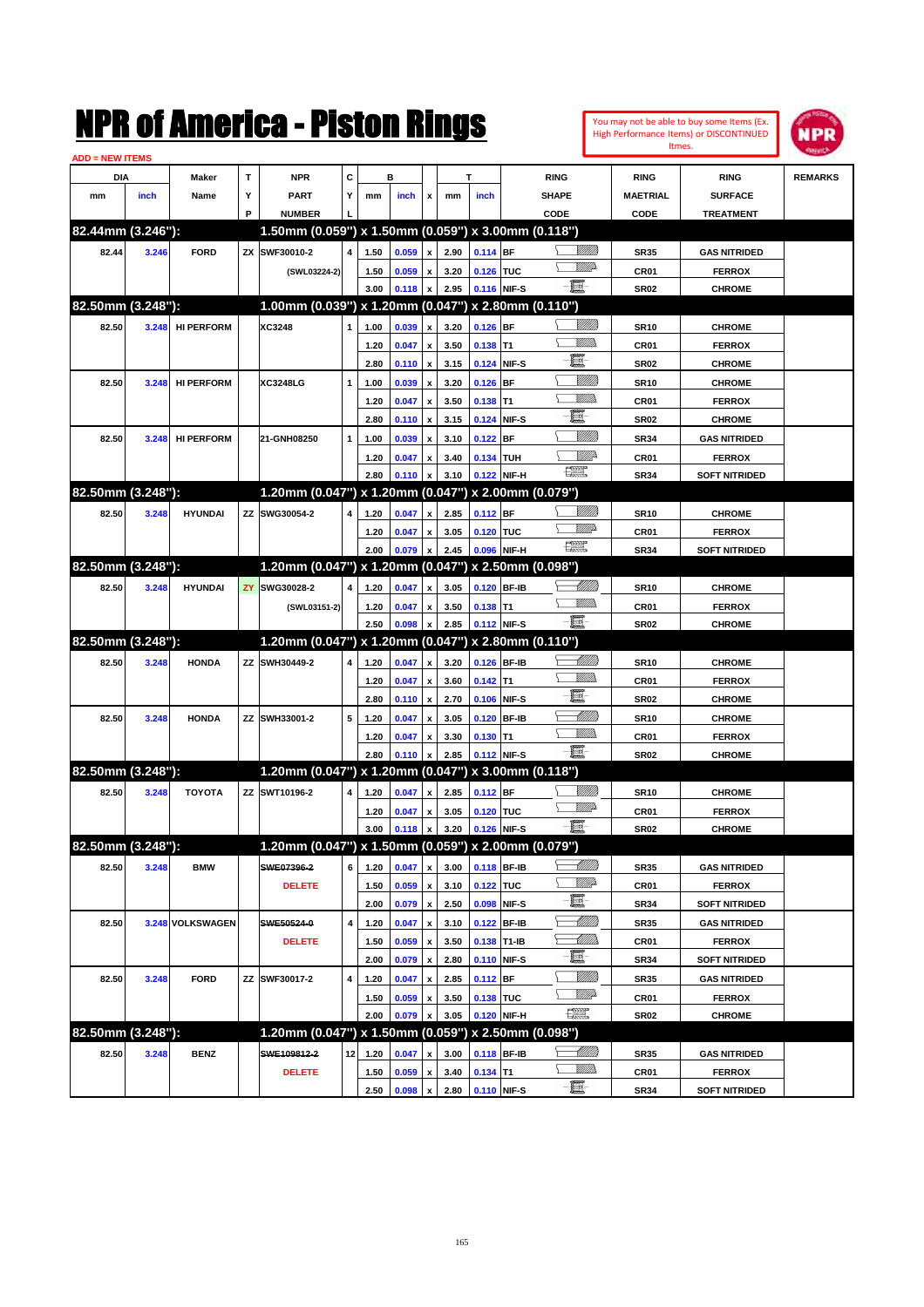|                         |       |                   |   | NMK OI AMCMICA - MISTON KINGS                       |                 |              |                |                           |              |             |             |                                |                               |                                | You may not be able to buy some Items (Ex.<br><b>High Performance Items) or DISCONTINUED</b><br>Itmes. | MPR            |
|-------------------------|-------|-------------------|---|-----------------------------------------------------|-----------------|--------------|----------------|---------------------------|--------------|-------------|-------------|--------------------------------|-------------------------------|--------------------------------|--------------------------------------------------------------------------------------------------------|----------------|
| <u> ADD = NEW ITEMS</u> |       |                   | т | <b>NPR</b>                                          | C               |              | в              |                           |              | т           |             |                                |                               |                                |                                                                                                        |                |
| DIA<br>mm               | inch  | Maker<br>Name     | Υ | <b>PART</b>                                         | Y               | mm           | inch           | x                         | mm           | inch        |             | <b>RING</b><br><b>SHAPE</b>    |                               | <b>RING</b><br><b>MAETRIAL</b> | <b>RING</b><br><b>SURFACE</b>                                                                          | <b>REMARKS</b> |
|                         |       |                   | P | <b>NUMBER</b>                                       |                 |              |                |                           |              |             |             | CODE                           |                               | CODE                           | <b>TREATMENT</b>                                                                                       |                |
| 82.44mm (3.246"):       |       |                   |   | 1.50mm (0.059") x 1.50mm (0.059") x 3.00mm (0.118") |                 |              |                |                           |              |             |             |                                |                               |                                |                                                                                                        |                |
| 82.44                   | 3.246 | <b>FORD</b>       |   | ZX SWF30010-2                                       | 4               | 1.50         | 0.059          | x                         | 2.90         | $0.114$ BF  |             |                                | <u>Sillilli</u>               | <b>SR35</b>                    | <b>GAS NITRIDED</b>                                                                                    |                |
|                         |       |                   |   | (SWL03224-2)                                        |                 | 1.50         | 0.059          | x                         | 3.20         | 0.126 TUC   |             |                                | <u>MM</u> D                   | CR01                           | <b>FERROX</b>                                                                                          |                |
|                         |       |                   |   |                                                     |                 | 3.00         | 0.118          | x                         | 2.95         |             | 0.116 NIF-S | e et                           |                               | <b>SR02</b>                    | <b>CHROME</b>                                                                                          |                |
| 82.50mm (3.248"):       |       |                   |   | 1.00mm (0.039") x 1.20mm (0.047") x 2.80mm (0.110") |                 |              |                |                           |              |             |             |                                |                               |                                |                                                                                                        |                |
| 82.50                   | 3.248 | <b>HI PERFORM</b> |   | XC3248                                              | 1               | 1.00         | 0.039          | X                         | 3.20         | $0.126$ BF  |             |                                | <u>Sillilli</u>               | <b>SR10</b>                    | <b>CHROME</b>                                                                                          |                |
|                         |       |                   |   |                                                     |                 | 1.20         | 0.047          | x                         | 3.50         | $0.138$ T1  |             |                                | <br>Mar                       | CR01                           | <b>FERROX</b>                                                                                          |                |
|                         |       |                   |   |                                                     |                 | 2.80         | 0.110          | $\boldsymbol{\mathsf{x}}$ | 3.15         |             | 0.124 NIF-S | E                              |                               | <b>SR02</b>                    | <b>CHROME</b>                                                                                          |                |
| 82.50                   | 3.248 | <b>HI PERFORM</b> |   | XC3248LG                                            | 1               | 1.00         | 0.039          | X                         | 3.20         | $0.126$ BF  |             |                                | <u>VIIII)</u>                 | <b>SR10</b>                    | <b>CHROME</b>                                                                                          |                |
|                         |       |                   |   |                                                     |                 | 1.20         | 0.047          | x                         | 3.50         | 0.138       | T1          |                                | <br>Mar                       | CR01                           | <b>FERROX</b>                                                                                          |                |
|                         |       |                   |   |                                                     |                 | 2.80         | 0.110          | $\boldsymbol{\mathsf{x}}$ | 3.15         |             | 0.124 NIF-S | E.                             |                               | <b>SR02</b>                    | <b>CHROME</b>                                                                                          |                |
| 82.50                   | 3.248 | <b>HI PERFORM</b> |   | 21-GNH08250                                         | 1               | 1.00         | 0.039          | X                         | 3.10         | $0.122$ BF  |             |                                | <u>VIIII)</u>                 | <b>SR34</b>                    | <b>GAS NITRIDED</b>                                                                                    |                |
|                         |       |                   |   |                                                     |                 | 1.20         | 0.047          | x                         | 3.40         | 0.134 TUH   |             |                                | <u>Mille</u>                  | CR01                           | <b>FERROX</b>                                                                                          |                |
|                         |       |                   |   |                                                     |                 | 2.80         | 0.110          | x                         | 3.10         |             | 0.122 NIF-H | $f_{\rm max}^{\rm exp}$        |                               | <b>SR34</b>                    | <b>SOFT NITRIDED</b>                                                                                   |                |
| 82.50mm (3.248"):       |       |                   |   | 1.20mm (0.047") x 1.20mm (0.047") x 2.00mm (0.079") |                 |              |                |                           |              |             |             |                                |                               |                                |                                                                                                        |                |
| 82.50                   | 3.248 | <b>HYUNDAI</b>    |   | ZZ SWG30054-2                                       | 4               | 1.20         | 0.047          | X                         | 2.85         | $0.112$ BF  |             |                                | <u>Sillilli</u><br><u>MMD</u> | <b>SR10</b>                    | <b>CHROME</b>                                                                                          |                |
|                         |       |                   |   |                                                     |                 | 1.20         | 0.047          | x                         | 3.05         | 0.120 TUC   |             | $\mathbb{R}^n$                 |                               | CR01                           | <b>FERROX</b>                                                                                          |                |
|                         |       |                   |   |                                                     |                 | 2.00         | 0.079          | X                         | 2.45         |             | 0.096 NIF-H |                                |                               | <b>SR34</b>                    | <b>SOFT NITRIDED</b>                                                                                   |                |
| 82.50mm (3.248"):       |       |                   |   | 1.20mm (0.047") x 1.20mm (0.047")                   |                 |              |                |                           |              |             |             | x 2.50mm (0.098")              |                               |                                |                                                                                                        |                |
| 82.50                   | 3.248 | <b>HYUNDAI</b>    |   | <b>ZY SWG30028-2</b>                                | 4               | 1.20         | 0.047          | X                         | 3.05         |             | 0.120 BF-IB |                                | <u> MMW</u> )<br><br>Mar      | <b>SR10</b>                    | <b>CHROME</b>                                                                                          |                |
|                         |       |                   |   | (SWL03151-2)                                        |                 | 1.20<br>2.50 | 0.047<br>0.098 | X                         | 3.50<br>2.85 | $0.138$ T1  | 0.112 NIF-S | -8                             |                               | CR01<br><b>SR02</b>            | <b>FERROX</b>                                                                                          |                |
| 82.50mm (3.248"):       |       |                   |   | 1.20mm (0.047") x 1.20mm (0.047") x 2.80mm (0.110") |                 |              |                | x                         |              |             |             |                                |                               |                                | <b>CHROME</b>                                                                                          |                |
| 82.50                   | 3.248 | <b>HONDA</b>      |   | ZZ SWH30449-2                                       | 4               | 1.20         | 0.047          | x                         | 3.20         |             | 0.126 BF-IB |                                | <u> MM</u> ).                 | <b>SR10</b>                    | <b>CHROME</b>                                                                                          |                |
|                         |       |                   |   |                                                     |                 | 1.20         | 0.047          | x                         | 3.60         | $0.142$ T1  |             |                                | CM)                           | CR01                           | <b>FERROX</b>                                                                                          |                |
|                         |       |                   |   |                                                     |                 | 2.80         | 0.110          | $\boldsymbol{\mathsf{x}}$ | 2.70         |             | 0.106 NIF-S | E                              |                               | <b>SR02</b>                    | <b>CHROME</b>                                                                                          |                |
| 82.50                   | 3.248 | <b>HONDA</b>      |   | ZZ SWH33001-2                                       | 5               | 1.20         | 0.047          | X                         | 3.05         |             | 0.120 BF-IB |                                | <u>UMB</u>                    | <b>SR10</b>                    | <b>CHROME</b>                                                                                          |                |
|                         |       |                   |   |                                                     |                 | 1.20         | 0.047          | x                         | 3.30         | $0.130$ T1  |             |                                | <br>Villida                   | CR01                           | <b>FERROX</b>                                                                                          |                |
|                         |       |                   |   |                                                     |                 | 2.80         | 0.110          | x                         | 2.85         |             | 0.112 NIF-S | e et                           |                               | <b>SR02</b>                    | <b>CHROME</b>                                                                                          |                |
| 82.50mm (3.248"):       |       |                   |   | 1.20mm (0.047") x 1.20mm (0.047") x 3.00mm (0.118") |                 |              |                |                           |              |             |             |                                |                               |                                |                                                                                                        |                |
| 82.50                   | 3.248 | <b>TOYOTA</b>     |   | ZZ SWT10196-2                                       | 4               | 1.20         | 0.047          | x                         | 2.85         | $0.112$ BF  |             |                                |                               | <b>SR10</b>                    | <b>CHROME</b>                                                                                          |                |
|                         |       |                   |   |                                                     |                 | 1.20         | 0.047 x        |                           | 3.05         | 0.120 TUC   |             |                                | <u>MM</u>                     | CR01                           | <b>FERROX</b>                                                                                          |                |
|                         |       |                   |   |                                                     |                 | 3.00         | 0.118 x        |                           | 3.20         | 0.126 NIF-S |             |                                |                               | <b>SR02</b>                    | <b>CHROME</b>                                                                                          |                |
| 82.50mm (3.248"):       |       |                   |   | 1.20mm (0.047") x 1.50mm (0.059") x 2.00mm (0.079") |                 |              |                |                           |              |             |             |                                |                               |                                |                                                                                                        |                |
| 82.50                   | 3.248 | BMW               |   | SWE07396-2                                          | 6               | 1.20         | 0.047          | x                         | 3.00         |             | 0.118 BF-IB |                                | <u> Millito</u>               | <b>SR35</b>                    | <b>GAS NITRIDED</b>                                                                                    |                |
|                         |       |                   |   | <b>DELETE</b>                                       |                 | 1.50         | 0.059          | $\pmb{\mathsf{x}}$        | 3.10         | 0.122 TUC   |             |                                | <u>Willi</u> da               | CR01                           | <b>FERROX</b>                                                                                          |                |
|                         |       |                   |   |                                                     |                 | 2.00         | 0.079          | $\boldsymbol{\mathsf{x}}$ | 2.50         |             | 0.098 NIF-S | E                              |                               | <b>SR34</b>                    | <b>SOFT NITRIDED</b>                                                                                   |                |
| 82.50                   |       | 3.248 VOLKSWAGEN  |   | SWE50524-0                                          | 4               | 1.20         | 0.047          | $\pmb{\mathsf{x}}$        | 3.10         |             | 0.122 BF-IB |                                | <u> UMB</u>                   | <b>SR35</b>                    | <b>GAS NITRIDED</b>                                                                                    |                |
|                         |       |                   |   | <b>DELETE</b>                                       |                 | 1.50         | 0.059          | $\pmb{\mathsf{x}}$        | 3.50         |             | 0.138 T1-IB |                                | <u> UMB</u>                   | CR01                           | <b>FERROX</b>                                                                                          |                |
|                         |       |                   |   |                                                     |                 | 2.00         | 0.079          | $\pmb{\mathsf{x}}$        | 2.80         |             | 0.110 NIF-S | E                              |                               | SR34                           | SOFT NITRIDED                                                                                          |                |
| 82.50                   | 3.248 | <b>FORD</b>       |   | ZZ SWF30017-2                                       | 4               | 1.20         | 0.047          | $\pmb{\mathsf{x}}$        | 2.85         | $0.112$ BF  |             |                                | <u>Milli</u> h                | <b>SR35</b>                    | <b>GAS NITRIDED</b>                                                                                    |                |
|                         |       |                   |   |                                                     |                 | 1.50         | 0.059          | $\pmb{\mathsf{x}}$        | 3.50         | 0.138 TUC   |             |                                | ₩₩                            | CR01                           | <b>FERROX</b>                                                                                          |                |
|                         |       |                   |   |                                                     |                 | 2.00         | 0.079          | $\boldsymbol{\mathsf{x}}$ | 3.05         |             | 0.120 NIF-H | $f_{\text{max}}^{\text{comp}}$ |                               | SR02                           | <b>CHROME</b>                                                                                          |                |
| 82.50mm (3.248"):       |       |                   |   | 1.20mm (0.047") x 1.50mm (0.059") x 2.50mm (0.098") |                 |              |                |                           |              |             |             |                                |                               |                                |                                                                                                        |                |
| 82.50                   | 3.248 | <b>BENZ</b>       |   | SWE109812-2                                         | 12 <sub>1</sub> | 1.20         | 0.047          | x                         | 3.00         |             | 0.118 BF-IB | <u>— Milli</u> b               |                               | SR35                           | <b>GAS NITRIDED</b>                                                                                    |                |
|                         |       |                   |   | <b>DELETE</b>                                       |                 | 1.50         | 0.059          | $\pmb{\mathsf{x}}$        | 3.40         | $0.134$ T1  |             | ≻                              | <u>Willib</u>                 | CR01                           | <b>FERROX</b>                                                                                          |                |
|                         |       |                   |   |                                                     |                 | 2.50         | 0.098          | $\mathbf{x}$              | 2.80         | 0.110 NIF-S |             | $-\blacksquare$                |                               | <b>SR34</b>                    | SOFT NITRIDED                                                                                          |                |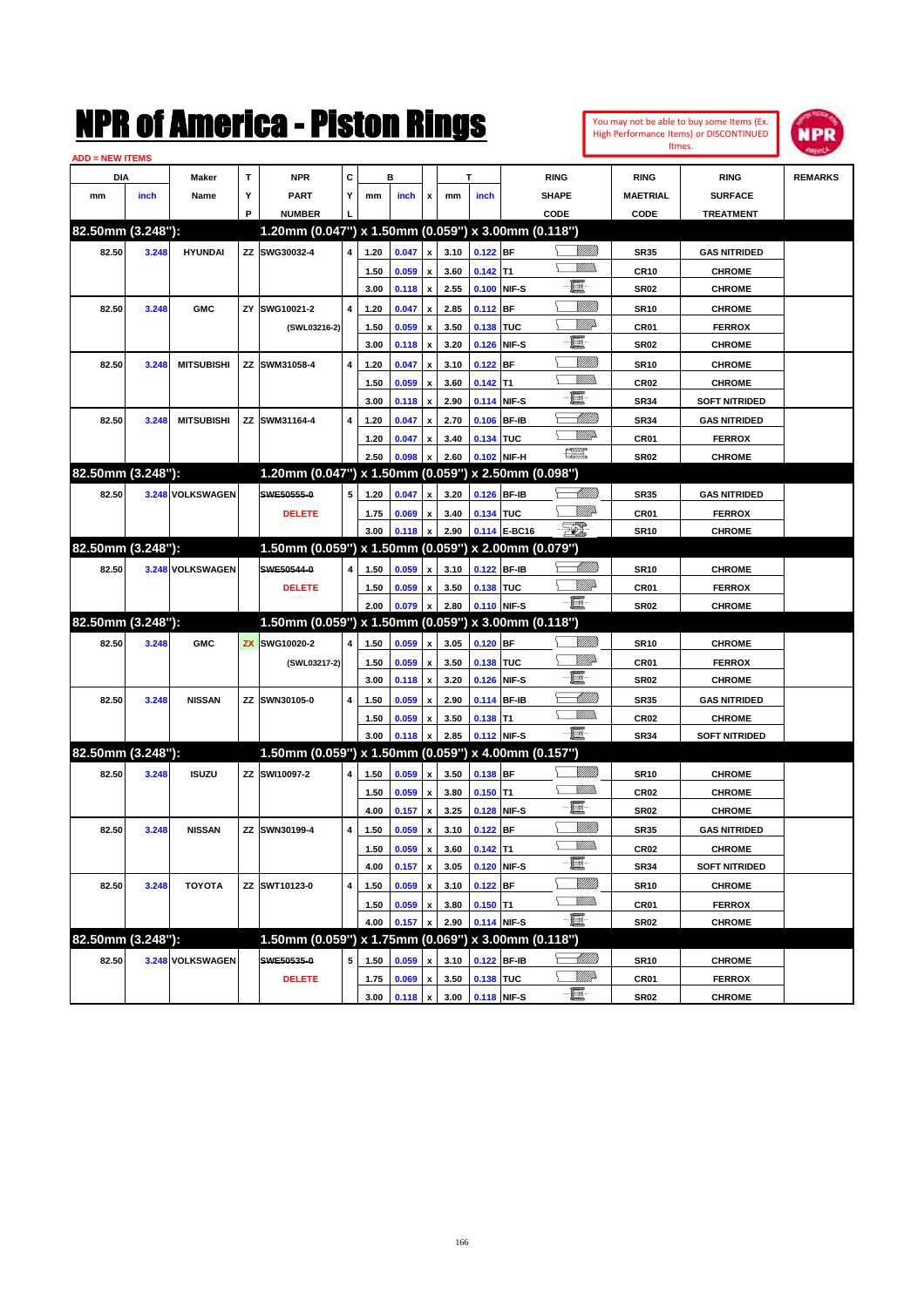|                        |       |                   |   | NMK OI AINCrica - Miston Kings                      |   |      |         |                           |      |             |              |                               |                 | Itmes.           | You may not be able to buy some Items (Ex.<br><b>High Performance Items) or DISCONTINUED</b> | NPR            |
|------------------------|-------|-------------------|---|-----------------------------------------------------|---|------|---------|---------------------------|------|-------------|--------------|-------------------------------|-----------------|------------------|----------------------------------------------------------------------------------------------|----------------|
| <b>ADD = NEW ITEMS</b> |       |                   |   |                                                     |   |      |         |                           |      |             |              |                               |                 |                  |                                                                                              |                |
| DIA                    |       | Maker             | T | <b>NPR</b>                                          | c |      | в       |                           |      | T           |              | <b>RING</b>                   |                 | <b>RING</b>      | <b>RING</b>                                                                                  | <b>REMARKS</b> |
| mm                     | inch  | Name              | Υ | <b>PART</b>                                         | Y | mm   | inch    | X                         | mm   | inch        |              | <b>SHAPE</b>                  |                 | <b>MAETRIAL</b>  | <b>SURFACE</b>                                                                               |                |
|                        |       |                   | P | <b>NUMBER</b>                                       |   |      |         |                           |      |             |              | CODE                          |                 | CODE             | <b>TREATMENT</b>                                                                             |                |
| 82.50mm (3.248"):      |       |                   |   | 1.20mm (0.047") x 1.50mm (0.059") x 3.00mm (0.118") |   |      |         |                           |      |             |              |                               |                 |                  |                                                                                              |                |
| 82.50                  | 3.248 | <b>HYUNDAI</b>    |   | ZZ SWG30032-4                                       | 4 | 1.20 | 0.047   | x                         | 3.10 | 0.122       | <b>BF</b>    |                               | <u>Sillilli</u> | <b>SR35</b>      | <b>GAS NITRIDED</b>                                                                          |                |
|                        |       |                   |   |                                                     |   | 1.50 | 0.059   | x                         | 3.60 | 0.142       | lT1          |                               | <br>Mar         | <b>CR10</b>      | <b>CHROME</b>                                                                                |                |
|                        |       |                   |   |                                                     |   | 3.00 | 0.118   | x                         | 2.55 | 0.100       | NIF-S        | E                             |                 | <b>SR02</b>      | <b>CHROME</b>                                                                                |                |
| 82.50                  | 3.248 | <b>GMC</b>        |   | ZY SWG10021-2                                       | 4 | 1.20 | 0.047   | X                         | 2.85 | 0.112       | <b>BF</b>    |                               | <u>VIIII</u>    | <b>SR10</b>      | <b>CHROME</b>                                                                                |                |
|                        |       |                   |   | (SWL03216-2)                                        |   | 1.50 | 0.059   | x                         | 3.50 | 0.138       | TUC          |                               | <u>VIII p</u>   | CR01             | <b>FERROX</b>                                                                                |                |
|                        |       |                   |   |                                                     |   | 3.00 | 0.118   | X                         | 3.20 | 0.126       | NIF-S        | E                             |                 | <b>SR02</b>      | <b>CHROME</b>                                                                                |                |
| 82.50                  | 3.248 | <b>MITSUBISHI</b> |   | ZZ SWM31058-4                                       | 4 | 1.20 | 0.047   | X                         | 3.10 | 0.122       | BF           |                               | <u>VIIII</u>    | <b>SR10</b>      | <b>CHROME</b>                                                                                |                |
|                        |       |                   |   |                                                     |   | 1.50 | 0.059   | x                         | 3.60 | 0.142       | lT1          |                               | <br>Mar         | CR <sub>02</sub> | <b>CHROME</b>                                                                                |                |
|                        |       |                   |   |                                                     |   | 3.00 | 0.118   | X                         | 2.90 | 0.114       | NIF-S        | E                             |                 | <b>SR34</b>      | <b>SOFT NITRIDED</b>                                                                         |                |
| 82.50                  | 3.248 | <b>MITSUBISHI</b> |   | ZZ SWM31164-4                                       | 4 | 1.20 | 0.047   | X                         | 2.70 | 0.106       | <b>BF-IB</b> |                               | <u> UMM</u>     | <b>SR34</b>      | <b>GAS NITRIDED</b>                                                                          |                |
|                        |       |                   |   |                                                     |   | 1.20 | 0.047   | X                         | 3.40 | 0.134       | TUC          |                               | <u>MM</u> D     | CR01             | <b>FERROX</b>                                                                                |                |
|                        |       |                   |   |                                                     |   | 2.50 | 0.098   | X                         | 2.60 | 0.102       | NIF-H        | $f_{\text{max}}^{\text{max}}$ |                 | <b>SR02</b>      | <b>CHROME</b>                                                                                |                |
| 82.50mm (3.248"):      |       |                   |   | 1.20mm (0.047") x 1.50mm (0.059") x 2.50mm (0.098") |   |      |         |                           |      |             |              |                               |                 |                  |                                                                                              |                |
| 82.50                  |       | 3.248 VOLKSWAGEN  |   | SWE50555-0                                          | 5 | 1.20 | 0.047   | X                         | 3.20 | 0.126       | <b>BF-IB</b> |                               | <u> UMB</u>     | <b>SR35</b>      | <b>GAS NITRIDED</b>                                                                          |                |
|                        |       |                   |   | <b>DELETE</b>                                       |   | 1.75 | 0.069   | x                         | 3.40 | 0.134       | TUC          |                               | <u>MMP</u>      | CR01             | <b>FERROX</b>                                                                                |                |
|                        |       |                   |   |                                                     |   | 3.00 | 0.118   | X                         | 2.90 |             | 0.114 E-BC16 | FOX.                          |                 | <b>SR10</b>      | <b>CHROME</b>                                                                                |                |
| 82.50mm (3.248"):      |       |                   |   | 1.50mm (0.059") x 1.50mm (0.059") x 2.00mm (0.079") |   |      |         |                           |      |             |              |                               |                 |                  |                                                                                              |                |
| 82.50                  |       | 3.248 VOLKSWAGEN  |   | SWE50544-0                                          | 4 | 1.50 | 0.059   | X                         | 3.10 | 0.122       | <b>BF-IB</b> |                               | <u> IMM</u> )   | <b>SR10</b>      | <b>CHROME</b>                                                                                |                |
|                        |       |                   |   | <b>DELETE</b>                                       |   | 1.50 | 0.059   | X                         | 3.50 | 0.138       | TUC          |                               | <u>VIII p</u>   | CR01             | <b>FERROX</b>                                                                                |                |
|                        |       |                   |   |                                                     |   | 2.00 | 0.079   | X                         | 2.80 | 0.110 NIF-S |              | e.                            |                 | <b>SR02</b>      | <b>CHROME</b>                                                                                |                |
| 82.50mm (3.248"):      |       |                   |   | 1.50mm (0.059") x 1.50mm (0.059") x 3.00mm (0.118") |   |      |         |                           |      |             |              |                               |                 |                  |                                                                                              |                |
| 82.50                  | 3.248 | <b>GMC</b>        |   | <b>ZX SWG10020-2</b>                                | 4 | 1.50 | 0.059   | x                         | 3.05 | 0.120       | <b>BF</b>    |                               | <u>VIII M</u>   | <b>SR10</b>      | <b>CHROME</b>                                                                                |                |
|                        |       |                   |   |                                                     |   |      |         |                           |      |             |              |                               | <u>VIII p</u>   |                  |                                                                                              |                |
|                        |       |                   |   | (SWL03217-2)                                        |   | 1.50 | 0.059   | x                         | 3.50 | 0.138       | TUC          | E                             |                 | CR01             | <b>FERROX</b>                                                                                |                |
|                        |       |                   |   |                                                     |   | 3.00 | 0.118   | X                         | 3.20 | 0.126       | NIF-S        |                               | <u> UMM</u>     | <b>SR02</b>      | <b>CHROME</b>                                                                                |                |
| 82.50                  | 3.248 | <b>NISSAN</b>     |   | ZZ SWN30105-0                                       | 4 | 1.50 | 0.059   | X                         | 2.90 | 0.114       | <b>BF-IB</b> |                               | VM))            | <b>SR35</b>      | <b>GAS NITRIDED</b>                                                                          |                |
|                        |       |                   |   |                                                     |   | 1.50 | 0.059   | X                         | 3.50 | 0.138       | lT1          | E.                            |                 | CR <sub>02</sub> | <b>CHROME</b>                                                                                |                |
|                        |       |                   |   |                                                     |   | 3.00 | 0.118   | x                         | 2.85 | 0.112 NIF-S |              |                               |                 | <b>SR34</b>      | <b>SOFT NITRIDED</b>                                                                         |                |
| 82.50mm (3.248"):      |       |                   |   | 1.50mm (0.059") x 1.50mm (0.059") x 4.00mm (0.157") |   |      |         |                           |      |             |              |                               |                 |                  |                                                                                              |                |
| 82.50                  | 3.248 | <b>ISUZU</b>      |   | ZZ SWI10097-2                                       | 4 | 1.50 | 0.059   | x                         | 3.50 | 0.138       | <b>BF</b>    |                               | VIII))          | <b>SR10</b>      | <b>CHROME</b>                                                                                |                |
|                        |       |                   |   |                                                     |   | 1.50 | 0.059   | $\pmb{\mathsf{x}}$        | 3.80 | 0.150       | lT1          |                               | <br>Mar         | CR <sub>02</sub> | <b>CHROME</b>                                                                                |                |
|                        |       |                   |   |                                                     |   | 4.00 | 0.157 x |                           | 3.25 | 0.128 NIF-S |              | E.                            |                 | <b>SR02</b>      | <b>CHROME</b>                                                                                |                |
| 82.50                  | 3.248 | <b>NISSAN</b>     |   | ZZ SWN30199-4                                       | 4 | 1.50 | 0.059   | $\pmb{\mathsf{x}}$        | 3.10 | $0.122$ BF  |              |                               | <u>VIIII)</u>   | SR35             | <b>GAS NITRIDED</b>                                                                          |                |
|                        |       |                   |   |                                                     |   | 1.50 | 0.059   | $\pmb{\mathsf{x}}$        | 3.60 | $0.142$ T1  |              |                               | <u>MMs</u>      | CR <sub>02</sub> | <b>CHROME</b>                                                                                |                |
|                        |       |                   |   |                                                     |   | 4.00 | 0.157   | $\boldsymbol{\mathsf{x}}$ | 3.05 |             | 0.120 NIF-S  | e-                            |                 | <b>SR34</b>      | <b>SOFT NITRIDED</b>                                                                         |                |
| 82.50                  | 3.248 | <b>TOYOTA</b>     |   | ZZ SWT10123-0                                       | 4 | 1.50 | 0.059   | X                         | 3.10 | $0.122$ BF  |              |                               | <u>VIIII</u> )  | <b>SR10</b>      | <b>CHROME</b>                                                                                |                |
|                        |       |                   |   |                                                     |   | 1.50 | 0.059   | $\pmb{\mathsf{x}}$        | 3.80 | $0.150$ T1  |              |                               | <u>WMWs</u>     | CR01             | <b>FERROX</b>                                                                                |                |
|                        |       |                   |   |                                                     |   | 4.00 | 0.157   | X                         | 2.90 |             | 0.114 NIF-S  | E                             |                 | <b>SR02</b>      | <b>CHROME</b>                                                                                |                |
| 82.50mm (3.248"):      |       |                   |   | 1.50mm (0.059") x 1.75mm (0.069") x 3.00mm (0.118") |   |      |         |                           |      |             |              |                               |                 |                  |                                                                                              |                |
| 82.50                  |       | 3.248 VOLKSWAGEN  |   | SWE50535-0                                          | 5 | 1.50 | 0.059   | X                         | 3.10 | 0.122 BF-IB |              |                               | <u>-M////)</u>  | SR10             | <b>CHROME</b>                                                                                |                |
|                        |       |                   |   | <b>DELETE</b>                                       |   | 1.75 | 0.069   | $\pmb{\mathsf{x}}$        | 3.50 | 0.138 TUC   |              |                               | <u>Willi</u> b  | CR01             | <b>FERROX</b>                                                                                |                |
|                        |       |                   |   |                                                     |   | 3.00 | 0.118   | $\pmb{\mathsf{x}}$        | 3.00 |             | 0.118 NIF-S  | e.                            |                 | <b>SR02</b>      | <b>CHROME</b>                                                                                |                |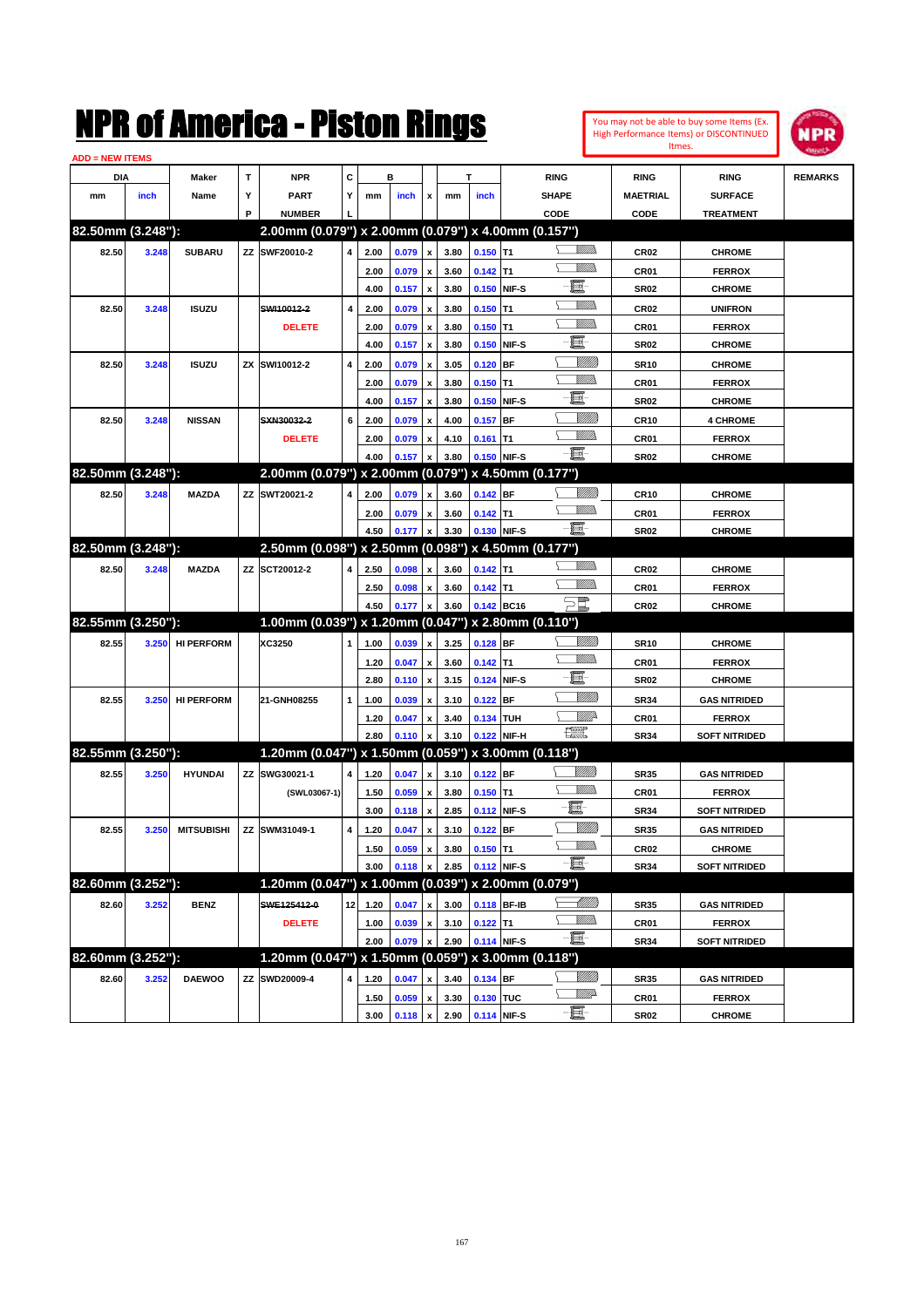| You may not be able to buy some Items (Ex. |  |
|--------------------------------------------|--|
| High Performance Items) or DISCONTINUED    |  |
| Itmes.                                     |  |



| <b>ADD = NEW ITEMS</b> |       |                   |   |                                                     |    |      |         |                           |      |             |             |                    |                  |                      |                |
|------------------------|-------|-------------------|---|-----------------------------------------------------|----|------|---------|---------------------------|------|-------------|-------------|--------------------|------------------|----------------------|----------------|
| DIA                    |       | Maker             | т | <b>NPR</b>                                          | С  |      | в       |                           |      | т           |             | <b>RING</b>        | <b>RING</b>      | <b>RING</b>          | <b>REMARKS</b> |
| mm                     | inch  | Name              | Υ | <b>PART</b>                                         | Y  | mm   | inch    | x                         | mm   | inch        |             | <b>SHAPE</b>       | <b>MAETRIAL</b>  | <b>SURFACE</b>       |                |
|                        |       |                   | P | <b>NUMBER</b>                                       |    |      |         |                           |      |             |             | CODE               | <b>CODE</b>      | <b>TREATMENT</b>     |                |
| 82.50mm (3.248"):      |       |                   |   | 2.00mm (0.079") x 2.00mm (0.079") x 4.00mm (0.157") |    |      |         |                           |      |             |             |                    |                  |                      |                |
| 82.50                  | 3.248 | <b>SUBARU</b>     |   | ZZ SWF20010-2                                       | 4  | 2.00 | 0.079   | $\pmb{\mathsf{x}}$        | 3.80 | $0.150$ T1  |             | <br>Villida        | <b>CR02</b>      | <b>CHROME</b>        |                |
|                        |       |                   |   |                                                     |    | 2.00 | 0.079   | $\pmb{\mathsf{x}}$        | 3.60 | $0.142$ T1  |             |                    | CR01             | <b>FERROX</b>        |                |
|                        |       |                   |   |                                                     |    | 4.00 | 0.157   | $\pmb{\mathsf{x}}$        | 3.80 |             | 0.150 NIF-S | e                  | <b>SR02</b>      | <b>CHROME</b>        |                |
| 82.50                  | 3.248 | <b>ISUZU</b>      |   | SWI10012-2                                          | 4  | 2.00 | 0.079   | x                         | 3.80 | $0.150$ T1  |             |                    | CR <sub>02</sub> | <b>UNIFRON</b>       |                |
|                        |       |                   |   | <b>DELETE</b>                                       |    | 2.00 | 0.079   | x                         | 3.80 | $0.150$ T1  |             |                    | CR01             | <b>FERROX</b>        |                |
|                        |       |                   |   |                                                     |    | 4.00 | 0.157   | $\pmb{\mathsf{x}}$        | 3.80 | 0.150       | NIF-S       | e                  | <b>SR02</b>      | <b>CHROME</b>        |                |
| 82.50                  | 3.248 | <b>ISUZU</b>      |   | ZX SWI10012-2                                       | 4  | 2.00 | 0.079   | x                         | 3.05 | 0.120       | <b>BF</b>   | <u>MMM</u>         | <b>SR10</b>      | <b>CHROME</b>        |                |
|                        |       |                   |   |                                                     |    | 2.00 | 0.079   | x                         | 3.80 | $0.150$ T1  |             | VM)                | CR01             | <b>FERROX</b>        |                |
|                        |       |                   |   |                                                     |    | 4.00 | 0.157   | $\pmb{\mathsf{x}}$        | 3.80 | 0.150       | NIF-S       | E                  | <b>SR02</b>      | <b>CHROME</b>        |                |
| 82.50                  | 3.248 | <b>NISSAN</b>     |   | SXN30032-2                                          | 6  | 2.00 | 0.079   | x                         | 4.00 | 0.157       | <b>BF</b>   | <u>MMM</u>         | CR <sub>10</sub> | <b>4 CHROME</b>      |                |
|                        |       |                   |   | <b>DELETE</b>                                       |    | 2.00 | 0.079   | x                         | 4.10 | $0.161$ T1  |             | VM)                | CR01             | <b>FERROX</b>        |                |
|                        |       |                   |   |                                                     |    | 4.00 | 0.157   | $\boldsymbol{\mathsf{x}}$ | 3.80 |             | 0.150 NIF-S | -8                 | <b>SR02</b>      | <b>CHROME</b>        |                |
| 82.50mm (3.248"):      |       |                   |   | 2.00mm (0.079") x 2.00mm (0.079") x 4.50mm (0.177") |    |      |         |                           |      |             |             |                    |                  |                      |                |
| 82.50                  | 3.248 | <b>MAZDA</b>      |   | ZZ SWT20021-2                                       | 4  | 2.00 | 0.079   | $\pmb{\mathsf{x}}$        | 3.60 | 0.142 BF    |             | <u>UMM</u>         | <b>CR10</b>      | <b>CHROME</b>        |                |
|                        |       |                   |   |                                                     |    | 2.00 | 0.079   | x                         | 3.60 | $0.142$ T1  |             |                    | CR01             | <b>FERROX</b>        |                |
|                        |       |                   |   |                                                     |    | 4.50 | 0.177   | $\pmb{\mathsf{x}}$        | 3.30 |             | 0.130 NIF-S | -8                 | <b>SR02</b>      | <b>CHROME</b>        |                |
| 82.50mm (3.248"):      |       |                   |   | 2.50mm (0.098") x 2.50mm (0.098") x 4.50mm (0.177") |    |      |         |                           |      |             |             |                    |                  |                      |                |
| 82.50                  | 3.248 | <b>MAZDA</b>      |   | ZZ SCT20012-2                                       | 4  | 2.50 | 0.098   | $\pmb{\mathsf{x}}$        | 3.60 | $0.142$ T1  |             |                    | CR <sub>02</sub> | <b>CHROME</b>        |                |
|                        |       |                   |   |                                                     |    | 2.50 | 0.098   | x                         | 3.60 | $0.142$ T1  |             |                    | CR01             | <b>FERROX</b>        |                |
|                        |       |                   |   |                                                     |    | 4.50 | 0.177   | $\pmb{\mathsf{x}}$        | 3.60 |             | 0.142 BC16  | $\sum_{mn}$        | CR <sub>02</sub> | <b>CHROME</b>        |                |
| 82.55mm (3.250"):      |       |                   |   | 1.00mm (0.039") x 1.20mm (0.047") x 2.80mm (0.110") |    |      |         |                           |      |             |             |                    |                  |                      |                |
| 82.55                  | 3.250 | <b>HI PERFORM</b> |   | XC3250                                              | 1  | 1.00 | 0.039   | $\pmb{\mathsf{x}}$        | 3.25 | 0.128 BF    |             | <u>Sillilli</u>    | <b>SR10</b>      | <b>CHROME</b>        |                |
|                        |       |                   |   |                                                     |    | 1.20 | 0.047   | x                         | 3.60 | $0.142$ T1  |             | GMM)               | CR01             | <b>FERROX</b>        |                |
|                        |       |                   |   |                                                     |    | 2.80 | 0.110   | $\pmb{\mathsf{x}}$        | 3.15 | 0.124       | NIF-S       | e                  | <b>SR02</b>      | <b>CHROME</b>        |                |
| 82.55                  | 3.250 | <b>HI PERFORM</b> |   | 21-GNH08255                                         | 1  | 1.00 | 0.039   | $\boldsymbol{\mathsf{x}}$ | 3.10 | $0.122$ BF  |             | VIIII)             | <b>SR34</b>      | <b>GAS NITRIDED</b>  |                |
|                        |       |                   |   |                                                     |    | 1.20 | 0.047   | x                         | 3.40 | 0.134 TUH   |             | ₩₩                 | CR01             | <b>FERROX</b>        |                |
|                        |       |                   |   |                                                     |    | 2.80 | 0.110   | $\pmb{\mathsf{x}}$        | 3.10 |             | 0.122 NIF-H | <b>The Control</b> | <b>SR34</b>      | <b>SOFT NITRIDED</b> |                |
| 82.55mm (3.250"):      |       |                   |   | 1.20mm (0.047") x 1.50mm (0.059") x 3.00mm (0.118") |    |      |         |                           |      |             |             |                    |                  |                      |                |
| 82.55                  | 3.250 | <b>HYUNDAI</b>    |   | ZZ SWG30021-1                                       | 4  | 1.20 | 0.047   | $\pmb{\mathsf{x}}$        | 3.10 | 0.122 BF    |             | <u>VIIII</u> )     | <b>SR35</b>      | <b>GAS NITRIDED</b>  |                |
|                        |       |                   |   | (SWL03067-1)                                        |    | 1.50 | 0.059   | x                         | 3.80 | $0.150$ T1  |             | .<br>Milli         | CR01             | <b>FERROX</b>        |                |
|                        |       |                   |   |                                                     |    | 3.00 | 0.118   | $\pmb{\mathsf{x}}$        | 2.85 | 0.112       | NIF-S       | E                  | <b>SR34</b>      | <b>SOFT NITRIDED</b> |                |
| 82.55                  | 3.250 | <b>MITSUBISHI</b> |   | ZZ SWM31049-1                                       | 4  | 1.20 | 0.047   | x                         | 3.10 | $0.122$ BF  |             | <u>UMM</u>         | <b>SR35</b>      | <b>GAS NITRIDED</b>  |                |
|                        |       |                   |   |                                                     |    | 1.50 | 0.059   | $\pmb{\mathsf{x}}$        | 3.80 | $0.150$ T1  |             | UM)                | CR <sub>02</sub> | <b>CHROME</b>        |                |
|                        |       |                   |   |                                                     |    | 3.00 | 0.118 x |                           | 2.85 | 0.112 NIF-S |             | -8                 | <b>SR34</b>      | <b>SOFT NITRIDED</b> |                |
| 82.60mm (3.252"):      |       |                   |   | 1.20mm (0.047") x 1.00mm (0.039") x 2.00mm (0.079") |    |      |         |                           |      |             |             |                    |                  |                      |                |
| 82.60                  | 3.252 | <b>BENZ</b>       |   | SWE125412-0                                         | 12 | 1.20 | 0.047   | $\pmb{\mathsf{x}}$        | 3.00 |             | 0.118 BF-IB | <u> Millito</u>    | <b>SR35</b>      | <b>GAS NITRIDED</b>  |                |
|                        |       |                   |   | <b>DELETE</b>                                       |    | 1.00 | 0.039   | $\pmb{\mathsf{x}}$        | 3.10 | $0.122$ T1  |             | <u>MMs</u>         | CR01             | <b>FERROX</b>        |                |
|                        |       |                   |   |                                                     |    | 2.00 | 0.079   | $\pmb{\mathsf{x}}$        | 2.90 |             | 0.114 NIF-S | $-\Xi$             | <b>SR34</b>      | <b>SOFT NITRIDED</b> |                |
| 82.60mm (3.252"):      |       |                   |   | 1.20mm (0.047") x 1.50mm (0.059") x 3.00mm (0.118") |    |      |         |                           |      |             |             |                    |                  |                      |                |
| 82.60                  | 3.252 | <b>DAEWOO</b>     |   | ZZ SWD20009-4                                       | 4  | 1.20 | 0.047   | x                         | 3.40 | 0.134 BF    |             | <u>MMM</u>         | <b>SR35</b>      | <b>GAS NITRIDED</b>  |                |
|                        |       |                   |   |                                                     |    | 1.50 | 0.059   | $\pmb{\mathsf{x}}$        | 3.30 | 0.130 TUC   |             | <u>Villid</u> a    | CR01             | <b>FERROX</b>        |                |
|                        |       |                   |   |                                                     |    | 3.00 | 0.118   | $\pmb{\mathsf{x}}$        | 2.90 |             | 0.114 NIF-S | $-\Xi$ -           | <b>SR02</b>      | <b>CHROME</b>        |                |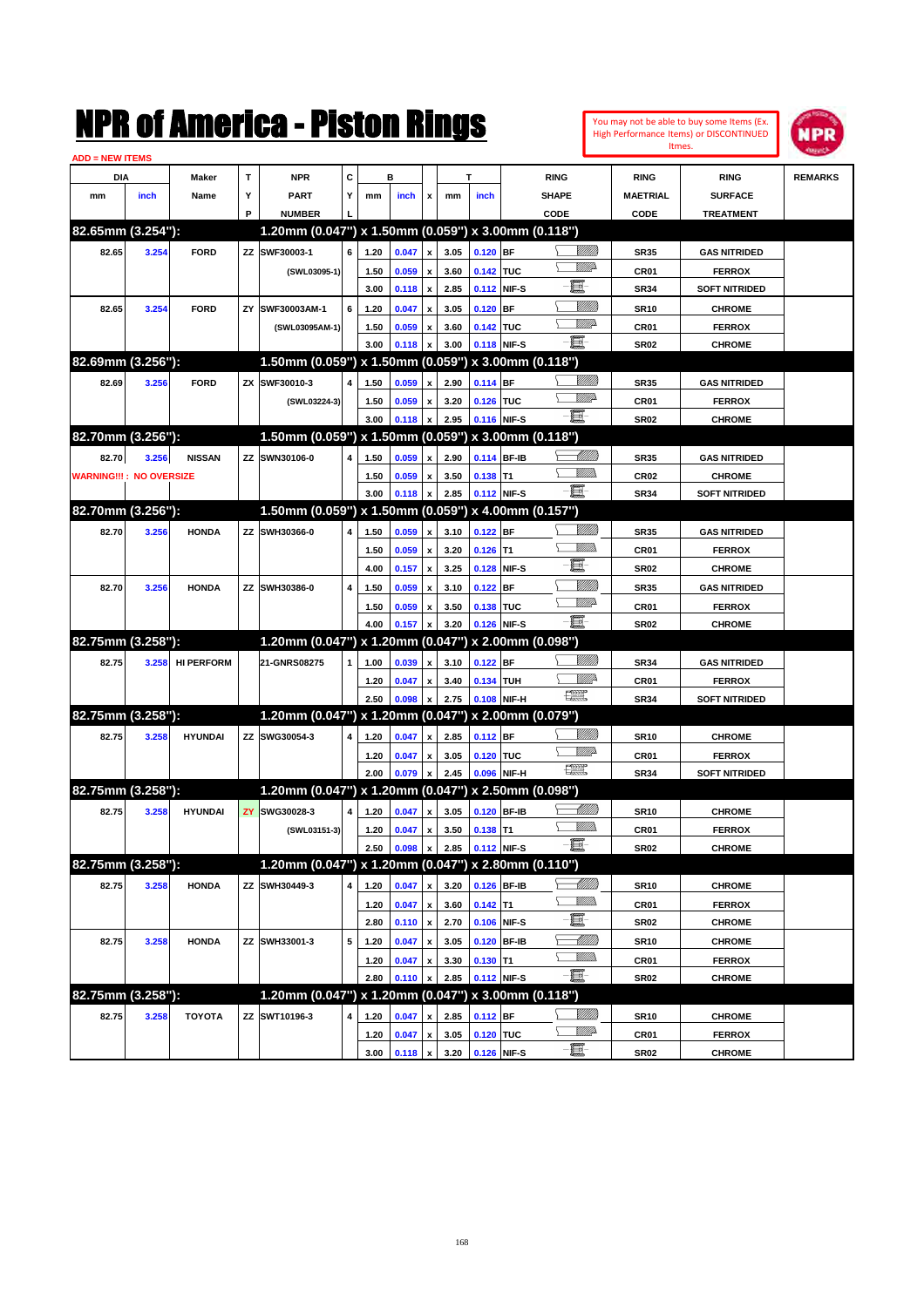You may not be able to buy some Items (Ex. High Performance Items) or DISCONTINUED Itmes.



| <b>ADD = NEW ITEMS</b>         |       |                   |    |                                                     |              |      |       |                           |      |             |       |                    |                  |                      |                |
|--------------------------------|-------|-------------------|----|-----------------------------------------------------|--------------|------|-------|---------------------------|------|-------------|-------|--------------------|------------------|----------------------|----------------|
| DIA                            |       | <b>Maker</b>      | T  | <b>NPR</b>                                          | c            |      | в     |                           |      | T           |       | <b>RING</b>        | <b>RING</b>      | <b>RING</b>          | <b>REMARKS</b> |
| mm                             | inch  | Name              | Υ  | <b>PART</b>                                         | Y            | mm   | inch  | x                         | mm   | inch        |       | <b>SHAPE</b>       | <b>MAETRIAL</b>  | <b>SURFACE</b>       |                |
|                                |       |                   | P  | <b>NUMBER</b>                                       |              |      |       |                           |      |             |       | CODE               | CODE             | <b>TREATMENT</b>     |                |
| 82.65mm (3.254"):              |       |                   |    | 1.20mm (0.047") x 1.50mm (0.059") x 3.00mm (0.118") |              |      |       |                           |      |             |       |                    |                  |                      |                |
| 82.65                          | 3.254 | <b>FORD</b>       |    | ZZ SWF30003-1                                       | 6            | 1.20 | 0.047 | x                         | 3.05 | $0.120$ BF  |       | <u>Sillilli</u>    | <b>SR35</b>      | <b>GAS NITRIDED</b>  |                |
|                                |       |                   |    | (SWL03095-1)                                        |              | 1.50 | 0.059 | x                         | 3.60 | 0.142 TUC   |       | <u>WW</u> A        | CR01             | <b>FERROX</b>        |                |
|                                |       |                   |    |                                                     |              | 3.00 | 0.118 | $\boldsymbol{\mathsf{x}}$ | 2.85 | 0.112 NIF-S |       | e                  | <b>SR34</b>      | <b>SOFT NITRIDED</b> |                |
| 82.65                          | 3.254 | <b>FORD</b>       | ZY | SWF30003AM-1                                        | 6            | 1.20 | 0.047 | x                         | 3.05 | $0.120$ BF  |       | <u>Milli</u> k     | <b>SR10</b>      | <b>CHROME</b>        |                |
|                                |       |                   |    | (SWL03095AM-1)                                      |              | 1.50 | 0.059 | x                         | 3.60 | 0.142 TUC   |       | <u>VM</u> D        | CR01             | <b>FERROX</b>        |                |
|                                |       |                   |    |                                                     |              | 3.00 | 0.118 | X                         | 3.00 | 0.118 NIF-S |       | -8                 | <b>SR02</b>      | <b>CHROME</b>        |                |
| 82.69mm (3.256"):              |       |                   |    | 1.50mm (0.059") x 1.50mm (0.059") x 3.00mm (0.118") |              |      |       |                           |      |             |       |                    |                  |                      |                |
| 82.69                          | 3.256 | <b>FORD</b>       |    | ZX SWF30010-3                                       | 4            | 1.50 | 0.059 | x                         | 2.90 | 0.114 BF    |       | <u>VIIII)</u>      | <b>SR35</b>      | <b>GAS NITRIDED</b>  |                |
|                                |       |                   |    | (SWL03224-3)                                        |              | 1.50 | 0.059 | x                         | 3.20 | 0.126 TUC   |       | <u>WW</u> A        | CR01             | <b>FERROX</b>        |                |
|                                |       |                   |    |                                                     |              | 3.00 | 0.118 | x                         | 2.95 | 0.116 NIF-S |       | -8                 | <b>SR02</b>      | <b>CHROME</b>        |                |
| 82.70mm (3.256"):              |       |                   |    | 1.50mm (0.059") x 1.50mm (0.059") x 3.00mm (0.118") |              |      |       |                           |      |             |       |                    |                  |                      |                |
| 82.70                          | 3.256 | <b>NISSAN</b>     |    | ZZ SWN30106-0                                       | 4            | 1.50 | 0.059 | x                         | 2.90 | 0.114 BF-IB |       | <u>UMB</u>         | <b>SR35</b>      | <b>GAS NITRIDED</b>  |                |
| <b>WARNING!!!: NO OVERSIZE</b> |       |                   |    |                                                     |              | 1.50 | 0.059 | x                         | 3.50 | $0.138$ T1  |       |                    | <b>CR02</b>      | <b>CHROME</b>        |                |
|                                |       |                   |    |                                                     |              | 3.00 | 0.118 | x                         | 2.85 | 0.112 NIF-S |       | -8                 | <b>SR34</b>      | <b>SOFT NITRIDED</b> |                |
| 82.70mm (3.256"):              |       |                   |    | 1.50mm (0.059") x 1.50mm (0.059") x 4.00mm (0.157") |              |      |       |                           |      |             |       |                    |                  |                      |                |
| 82.70                          | 3.256 | <b>HONDA</b>      |    | ZZ SWH30366-0                                       | 4            | 1.50 | 0.059 | x                         | 3.10 | $0.122$ BF  |       | WMM)               | <b>SR35</b>      | <b>GAS NITRIDED</b>  |                |
|                                |       |                   |    |                                                     |              | 1.50 | 0.059 | x                         | 3.20 | $0.126$ T1  |       | .<br>VMD           | CR01             | <b>FERROX</b>        |                |
|                                |       |                   |    |                                                     |              | 4.00 | 0.157 | $\boldsymbol{\mathsf{x}}$ | 3.25 | 0.128       | NIF-S | e                  | <b>SR02</b>      | <b>CHROME</b>        |                |
| 82.70                          | 3.256 | <b>HONDA</b>      |    | ZZ SWH30386-0                                       | 4            | 1.50 | 0.059 | x                         | 3.10 | $0.122$ BF  |       | <u>Milli</u> k     | <b>SR35</b>      | <b>GAS NITRIDED</b>  |                |
|                                |       |                   |    |                                                     |              | 1.50 | 0.059 | x                         | 3.50 | 0.138 TUC   |       | <u>VM</u> D        | CR01             | <b>FERROX</b>        |                |
|                                |       |                   |    |                                                     |              | 4.00 | 0.157 | X                         | 3.20 | 0.126 NIF-S |       | -8                 | <b>SR02</b>      | <b>CHROME</b>        |                |
| 82.75mm (3.258"):              |       |                   |    | 1.20mm (0.047") x 1.20mm (0.047")                   |              |      |       |                           |      |             |       | x 2.00mm (0.098")  |                  |                      |                |
| 82.75                          | 3.258 | <b>HI PERFORM</b> |    | 21-GNRS08275                                        | $\mathbf{1}$ | 1.00 | 0.039 | x                         | 3.10 | 0.122 BF    |       | VIIII)             | <b>SR34</b>      | <b>GAS NITRIDED</b>  |                |
|                                |       |                   |    |                                                     |              | 1.20 | 0.047 | x                         | 3.40 | 0.134 TUH   |       | ₩₩                 | CR01             | <b>FERROX</b>        |                |
|                                |       |                   |    |                                                     |              | 2.50 | 0.098 | x                         | 2.75 | 0.108 NIF-H |       | <b>The Control</b> | <b>SR34</b>      | <b>SOFT NITRIDED</b> |                |
| 82.75mm (3.258"):              |       |                   |    | 1.20mm (0.047") x 1.20mm (0.047") x 2.00mm (0.079") |              |      |       |                           |      |             |       |                    |                  |                      |                |
| 82.75                          | 3.258 | <b>HYUNDAI</b>    |    | ZZ SWG30054-3                                       | 4            | 1.20 | 0.047 | x                         | 2.85 | 0.112 BF    |       | <u>VIIIIn</u>      | <b>SR10</b>      | <b>CHROME</b>        |                |
|                                |       |                   |    |                                                     |              | 1.20 | 0.047 | x                         | 3.05 | 0.120 TUC   |       | <u>VMD</u>         | CR01             | <b>FERROX</b>        |                |
|                                |       |                   |    |                                                     |              | 2.00 | 0.079 | x                         | 2.45 | 0.096 NIF-H |       | <b>The Control</b> | <b>SR34</b>      | <b>SOFT NITRIDED</b> |                |
| 82.75mm (3.258"):              |       |                   |    | 1.20mm (0.047") x 1.20mm (0.047") x 2.50mm (0.098") |              |      |       |                           |      |             |       |                    |                  |                      |                |
| 82.75                          | 3.258 | <b>HYUNDAI</b>    |    | ZY SWG30028-3                                       | 4            | 1.20 | 0.047 | x                         | 3.05 | 0.120 BF-IB |       | <u>UMB</u>         | <b>SR10</b>      | <b>CHROME</b>        |                |
|                                |       |                   |    | (SWL03151-3)                                        |              | 1.20 | 0.047 | x                         | 3.50 | $0.138$ T1  |       |                    | CR01             | <b>FERROX</b>        |                |
|                                |       |                   |    |                                                     |              | 2.50 | 0.098 | $\pmb{\mathsf{x}}$        | 2.85 | 0.112 NIF-S |       | Ð.                 | SR <sub>02</sub> | <b>CHROME</b>        |                |
| 82.75mm (3.258"):              |       |                   |    | 1.20mm (0.047") x 1.20mm (0.047") x 2.80mm (0.110") |              |      |       |                           |      |             |       |                    |                  |                      |                |
| 82.75                          | 3.258 | <b>HONDA</b>      |    | ZZ SWH30449-3                                       | 4            | 1.20 | 0.047 | x                         | 3.20 | 0.126 BF-IB |       | <u> UMB</u>        | <b>SR10</b>      | <b>CHROME</b>        |                |
|                                |       |                   |    |                                                     |              | 1.20 | 0.047 | $\pmb{\mathsf{x}}$        | 3.60 | $0.142$ T1  |       | <u>MMs</u>         | CR01             | <b>FERROX</b>        |                |
|                                |       |                   |    |                                                     |              | 2.80 | 0.110 | $\pmb{\mathsf{x}}$        | 2.70 | 0.106 NIF-S |       | e                  | <b>SR02</b>      | <b>CHROME</b>        |                |
| 82.75                          | 3.258 | <b>HONDA</b>      |    | ZZ SWH33001-3                                       | 5            | 1.20 | 0.047 | x                         | 3.05 | 0.120 BF-IB |       | <u>-M/////</u> )   | <b>SR10</b>      | <b>CHROME</b>        |                |
|                                |       |                   |    |                                                     |              | 1.20 | 0.047 | x                         | 3.30 | $0.130$ T1  |       | <u>Willib</u>      | CR01             | <b>FERROX</b>        |                |
|                                |       |                   |    |                                                     |              | 2.80 | 0.110 | x                         | 2.85 | 0.112 NIF-S |       | -E-                | SR <sub>02</sub> | <b>CHROME</b>        |                |
| 82.75mm (3.258"):              |       |                   |    | 1.20mm (0.047") x 1.20mm (0.047") x 3.00mm (0.118") |              |      |       |                           |      |             |       |                    |                  |                      |                |
| 82.75                          | 3.258 | <b>TOYOTA</b>     |    | ZZ SWT10196-3                                       | 4            | 1.20 | 0.047 | X                         | 2.85 | $0.112$ BF  |       | 8/1/11)            | <b>SR10</b>      | <b>CHROME</b>        |                |
|                                |       |                   |    |                                                     |              | 1.20 | 0.047 | x                         | 3.05 | 0.120 TUC   |       | <u>Villid</u> a    | CR01             | <b>FERROX</b>        |                |
|                                |       |                   |    |                                                     |              | 3.00 | 0.118 | $\pmb{\mathsf{x}}$        | 3.20 | 0.126 NIF-S |       | -8                 | <b>SR02</b>      | <b>CHROME</b>        |                |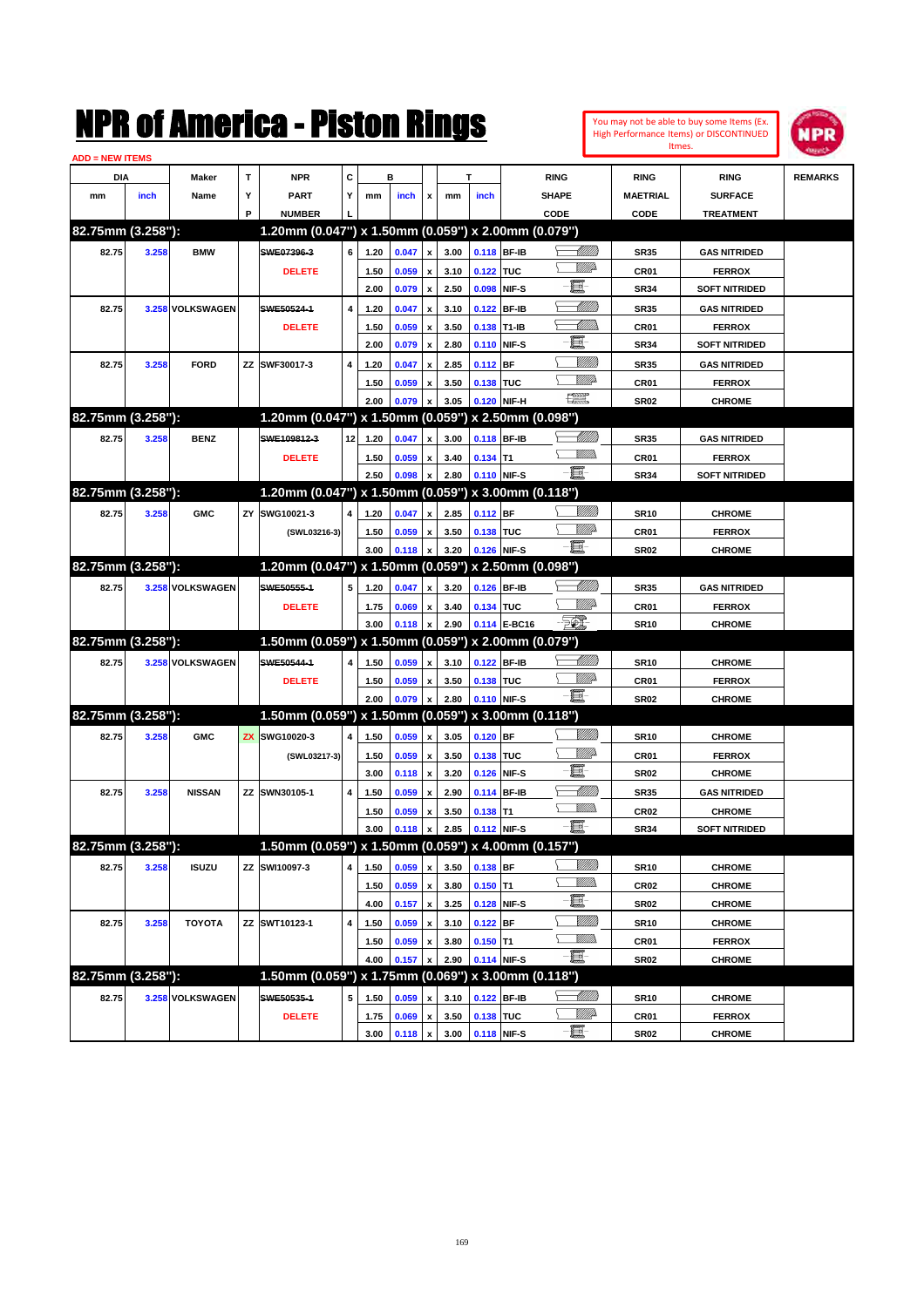| You may not be able to buy some Items (Ex. |
|--------------------------------------------|
| High Performance Items) or DISCONTINUED    |
| Itmes.                                     |



| <b>ADD = NEW ITEMS</b> |       |                  |   |                                                     |                         |              |                |                         |      |             |              |                                    |                            |                                      |                |
|------------------------|-------|------------------|---|-----------------------------------------------------|-------------------------|--------------|----------------|-------------------------|------|-------------|--------------|------------------------------------|----------------------------|--------------------------------------|----------------|
| DIA                    |       | Maker            | т | <b>NPR</b>                                          | С                       |              | в              |                         |      | т           |              | <b>RING</b>                        | <b>RING</b>                | <b>RING</b>                          | <b>REMARKS</b> |
| mm                     | inch  | Name             | Υ | <b>PART</b>                                         | Y                       | mm           | inch           | x                       | mm   | inch        |              | <b>SHAPE</b>                       | <b>MAETRIAL</b>            | <b>SURFACE</b>                       |                |
|                        |       |                  | P | <b>NUMBER</b>                                       |                         |              |                |                         |      |             |              | CODE                               | CODE                       | <b>TREATMENT</b>                     |                |
| 82.75mm (3.258"):      |       |                  |   | 1.20mm (0.047") x 1.50mm (0.059") x 2.00mm (0.079") |                         |              |                |                         |      |             |              |                                    |                            |                                      |                |
| 82.75                  | 3.258 | <b>BMW</b>       |   | SWE07396-3                                          | 6                       | 1.20         | 0.047          | $\pmb{\mathsf{x}}$      | 3.00 |             | 0.118 BF-IB  | <u>UMWs</u>                        | <b>SR35</b>                | <b>GAS NITRIDED</b>                  |                |
|                        |       |                  |   | <b>DELETE</b>                                       |                         | 1.50         | 0.059          | x                       | 3.10 | 0.122 TUC   |              | WW.                                | CR01                       | <b>FERROX</b>                        |                |
|                        |       |                  |   |                                                     |                         | 2.00         | 0.079          | $\pmb{\mathsf{x}}$      | 2.50 |             | 0.098 NIF-S  | 且                                  | <b>SR34</b>                | <b>SOFT NITRIDED</b>                 |                |
| 82.75                  |       | 3.258 VOLKSWAGEN |   | SWE50524-1                                          | $\overline{\mathbf{4}}$ | 1.20         | 0.047          | x                       | 3.10 |             | 0.122 BF-IB  | <u> UMB</u>                        | <b>SR35</b>                | <b>GAS NITRIDED</b>                  |                |
|                        |       |                  |   | <b>DELETE</b>                                       |                         | 1.50         | 0.059          | x                       | 3.50 | 0.138 T1-IB |              | <u>UMM</u>                         | CR01                       | <b>FERROX</b>                        |                |
|                        |       |                  |   |                                                     |                         | 2.00         | 0.079          | $\pmb{\mathsf{x}}$      | 2.80 |             | 0.110 NIF-S  | e.                                 | <b>SR34</b>                | <b>SOFT NITRIDED</b>                 |                |
| 82.75                  | 3.258 | <b>FORD</b>      |   | ZZ SWF30017-3                                       | 4                       | 1.20         | 0.047          | x                       | 2.85 | $0.112$ BF  |              | VIII))                             | <b>SR35</b>                | <b>GAS NITRIDED</b>                  |                |
|                        |       |                  |   |                                                     |                         | 1.50         | 0.059          | x                       | 3.50 | 0.138 TUC   |              | <u>MMP</u>                         | <b>CR01</b>                | <b>FERROX</b>                        |                |
|                        |       |                  |   |                                                     |                         | 2.00         | 0.079          | x                       | 3.05 |             | 0.120 NIF-H  | $f_{\rm max}^{\rm comp}$           | <b>SR02</b>                | <b>CHROME</b>                        |                |
| 82.75mm (3.258"):      |       |                  |   | 1.20mm (0.047") x 1.50mm (0.059") x 2.50mm (0.098") |                         |              |                |                         |      |             |              |                                    |                            |                                      |                |
| 82.75                  | 3.258 | <b>BENZ</b>      |   | SWE109812-3                                         | 12 <sub>1</sub>         | 1.20         | 0.047          | X                       | 3.00 |             | 0.118 BF-IB  | <u> Millito</u>                    | <b>SR35</b>                | <b>GAS NITRIDED</b>                  |                |
|                        |       |                  |   | <b>DELETE</b>                                       |                         | 1.50         | 0.059          | x                       | 3.40 | $0.134$ T1  |              | <u>Willib</u>                      | CR01                       | <b>FERROX</b>                        |                |
|                        |       |                  |   |                                                     |                         | 2.50         | 0.098          | X                       | 2.80 |             | 0.110 NIF-S  | -日                                 | <b>SR34</b>                | <b>SOFT NITRIDED</b>                 |                |
| 82.75mm (3.258"):      |       |                  |   | 1.20mm (0.047") x 1.50mm (0.059") x 3.00mm (0.118") |                         |              |                |                         |      |             |              |                                    |                            |                                      |                |
| 82.75                  | 3.258 | <b>GMC</b>       |   | ZY SWG10021-3                                       | 4                       | 1.20         | 0.047          | X                       | 2.85 | $0.112$ BF  |              |                                    | <b>SR10</b>                | <b>CHROME</b>                        |                |
|                        |       |                  |   | (SWL03216-3)                                        |                         | 1.50         | 0.059          | x                       | 3.50 | 0.138 TUC   |              | <u>MM</u> D                        | CR01                       | <b>FERROX</b>                        |                |
|                        |       |                  |   |                                                     |                         | 3.00         | 0.118          | X                       | 3.20 |             | 0.126 NIF-S  | 圓                                  | <b>SR02</b>                | <b>CHROME</b>                        |                |
| 82.75mm (3.258"):      |       |                  |   | 1.20mm (0.047") x 1.50mm (0.059") x 2.50mm (0.098") |                         |              |                |                         |      |             |              |                                    |                            |                                      |                |
| 82.75                  |       | 3.258 VOLKSWAGEN |   | SWE50555-1                                          | 5                       | 1.20         | 0.047          | x                       | 3.20 | 0.126 BF-IB |              | <u> UMB</u>                        | <b>SR35</b>                | <b>GAS NITRIDED</b>                  |                |
|                        |       |                  |   | <b>DELETE</b>                                       |                         | 1.75         | 0.069          | x                       | 3.40 | 0.134 TUC   |              | <u>MMA</u>                         | CR01                       | <b>FERROX</b>                        |                |
|                        |       |                  |   |                                                     |                         | 3.00         | 0.118          | X                       | 2.90 |             | 0.114 E-BC16 | $\mathbb{Z}$                       | <b>SR10</b>                | <b>CHROME</b>                        |                |
| 82.75mm (3.258"):      |       |                  |   | 1.50mm (0.059") x 1.50mm (0.059") x 2.00mm (0.079") |                         |              |                |                         |      |             |              |                                    |                            |                                      |                |
| 82.75                  |       | 3.258 VOLKSWAGEN |   | SWE50544-1                                          | 4                       | 1.50         | 0.059          | x                       | 3.10 |             | 0.122 BF-IB  | <u> Millito</u>                    | <b>SR10</b>                | <b>CHROME</b>                        |                |
|                        |       |                  |   | <b>DELETE</b>                                       |                         | 1.50         | 0.059          | x                       | 3.50 | 0.138 TUC   |              | MMD                                | CR01                       | <b>FERROX</b>                        |                |
|                        |       |                  |   |                                                     |                         | 2.00         | 0.079          | X                       | 2.80 |             | 0.110 NIF-S  | - 0                                | <b>SR02</b>                | <b>CHROME</b>                        |                |
| 82.75mm (3.258"):      |       |                  |   | 1.50mm (0.059") x 1.50mm (0.059") x 3.00mm (0.118") |                         |              |                |                         |      |             |              |                                    |                            |                                      |                |
| 82.75                  | 3.258 | <b>GMC</b>       |   | ZX SWG10020-3                                       | 4                       | 1.50         | 0.059          |                         | 3.05 | $0.120$ BF  |              |                                    |                            | <b>CHROME</b>                        |                |
|                        |       |                  |   |                                                     |                         | 1.50         | 0.059          | x                       | 3.50 | 0.138 TUC   |              | <u>MMP</u>                         | <b>SR10</b><br>CR01        | <b>FERROX</b>                        |                |
|                        |       |                  |   | (SWL03217-3)                                        |                         | 3.00         | 0.118          | x<br>$\pmb{\mathsf{x}}$ | 3.20 |             | 0.126 NIF-S  | e.                                 | <b>SR02</b>                | <b>CHROME</b>                        |                |
| 82.75                  | 3.258 | <b>NISSAN</b>    |   | ZZ SWN30105-1                                       | $\overline{4}$          |              |                |                         | 2.90 |             |              | <u> UMB</u>                        |                            |                                      |                |
|                        |       |                  |   |                                                     |                         | 1.50<br>1.50 | 0.059<br>0.059 | x                       | 3.50 | $0.138$ T1  | 0.114 BF-IB  | <u>MMs</u>                         | <b>SR35</b><br><b>CR02</b> | <b>GAS NITRIDED</b><br><b>CHROME</b> |                |
|                        |       |                  |   |                                                     |                         | 3.00         | 0.118          | x                       | 2.85 |             | 0.112 NIF-S  | Ð.                                 | <b>SR34</b>                | <b>SOFT NITRIDED</b>                 |                |
| 82.75mm (3.258"):      |       |                  |   | 1.50mm (0.059") x 1.50mm (0.059") x 4.00mm (0.157") |                         |              |                | x                       |      |             |              |                                    |                            |                                      |                |
|                        |       |                  |   |                                                     |                         |              |                |                         |      |             |              | <u>VIIII</u> )                     |                            |                                      |                |
| 82.75                  | 3.258 | <b>ISUZU</b>     |   | ZZ SWI10097-3                                       | 4                       | 1.50         | 0.059          | $\pmb{\mathsf{x}}$      | 3.50 | 0.138 BF    |              | <u>Willib</u>                      | <b>SR10</b>                | <b>CHROME</b>                        |                |
|                        |       |                  |   |                                                     |                         | 1.50         | 0.059          | x                       | 3.80 | $0.150$ T1  |              | E-                                 | <b>CR02</b>                | <b>CHROME</b>                        |                |
|                        |       |                  |   |                                                     |                         | 4.00         | 0.157          | $\pmb{\mathsf{x}}$      | 3.25 |             | 0.128 NIF-S  | <u>VIIII</u> )                     | <b>SR02</b>                | <b>CHROME</b>                        |                |
| 82.75                  | 3.258 | <b>TOYOTA</b>    |   | ZZ SWT10123-1                                       | 4                       | 1.50         | 0.059          | x                       | 3.10 | $0.122$ BF  |              | <u>Willib</u>                      | <b>SR10</b>                | <b>CHROME</b>                        |                |
|                        |       |                  |   |                                                     |                         | 1.50         | 0.059          | x                       | 3.80 | $0.150$ T1  |              | -8                                 | CR01                       | <b>FERROX</b>                        |                |
| 82.75mm (3.258"):      |       |                  |   | 1.50mm (0.059") x 1.75mm (0.069") x 3.00mm (0.118") |                         | 4.00         | 0.157          | X                       | 2.90 |             | 0.114 NIF-S  |                                    | <b>SR02</b>                | <b>CHROME</b>                        |                |
|                        |       |                  |   |                                                     |                         |              |                |                         |      |             |              |                                    |                            |                                      |                |
| 82.75                  |       | 3.258 VOLKSWAGEN |   | SWE50535-1                                          | 5                       | 1.50         | 0.059          | x                       | 3.10 |             | 0.122 BF-IB  | <u>- Millito</u><br><u>Willi</u> b | <b>SR10</b>                | <b>CHROME</b>                        |                |
|                        |       |                  |   | <b>DELETE</b>                                       |                         | 1.75         | 0.069          | $\pmb{\mathsf{x}}$      | 3.50 | 0.138 TUC   |              | e.                                 | CR01                       | <b>FERROX</b>                        |                |
|                        |       |                  |   |                                                     |                         | 3.00         | 0.118 x        |                         | 3.00 | 0.118 NIF-S |              |                                    | <b>SR02</b>                | <b>CHROME</b>                        |                |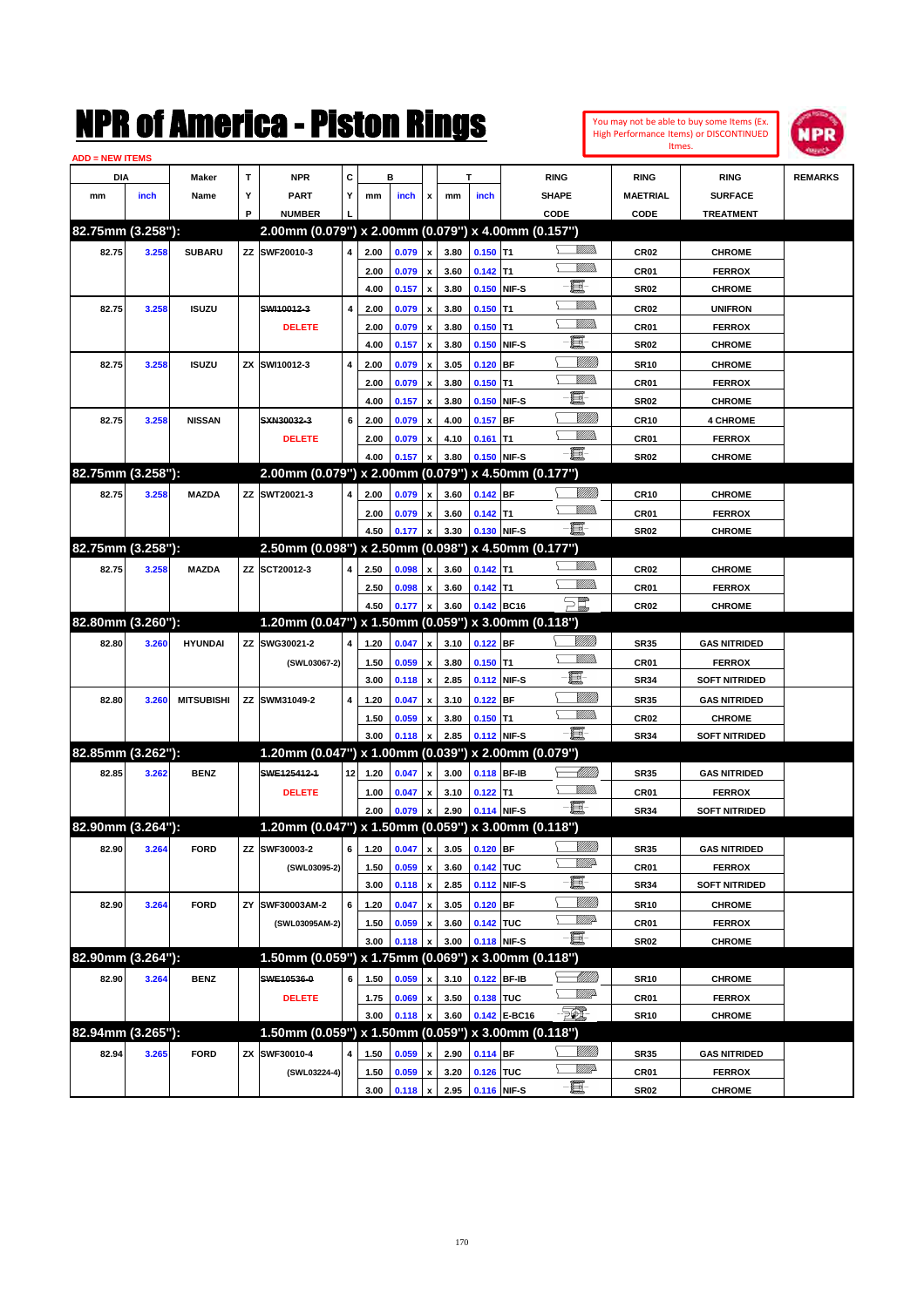#### You may not be able to buy some Items (Ex. High Performance Items) or DISCONTINUED Itmes.



| <b>ADD = NEW ITEMS</b> |       |                   |    |                                                     |                 |              |                              |                    |      |            |              |                    |                  |                      |                |
|------------------------|-------|-------------------|----|-----------------------------------------------------|-----------------|--------------|------------------------------|--------------------|------|------------|--------------|--------------------|------------------|----------------------|----------------|
| DIA                    |       | Maker             | т  | NPR                                                 | С               |              | в                            |                    |      | т          |              | <b>RING</b>        | <b>RING</b>      | <b>RING</b>          | <b>REMARKS</b> |
| mm                     | inch  | Name              | Υ  | PART                                                | Y               | mm           | inch                         | x                  | mm   | inch       |              | <b>SHAPE</b>       | <b>MAETRIAL</b>  | <b>SURFACE</b>       |                |
|                        |       |                   | P  | <b>NUMBER</b>                                       |                 |              |                              |                    |      |            |              | CODE               | CODE             | <b>TREATMENT</b>     |                |
| 82.75mm (3.258"):      |       |                   |    | 2.00mm (0.079") x 2.00mm (0.079") x 4.00mm (0.157") |                 |              |                              |                    |      |            |              |                    |                  |                      |                |
| 82.75                  | 3.258 | <b>SUBARU</b>     |    | ZZ SWF20010-3                                       | 4               | 2.00         | 0.079                        | $\pmb{\mathsf{x}}$ | 3.80 | $0.150$ T1 |              | UM)                | <b>CR02</b>      | <b>CHROME</b>        |                |
|                        |       |                   |    |                                                     |                 | 2.00         | 0.079                        | x                  | 3.60 | $0.142$ T1 |              |                    | CR01             | <b>FERROX</b>        |                |
|                        |       |                   |    |                                                     |                 | 4.00         | 0.157                        | x                  | 3.80 |            | 0.150 NIF-S  | e                  | <b>SR02</b>      | <b>CHROME</b>        |                |
| 82.75                  | 3.258 | <b>ISUZU</b>      |    | SWI10012-3                                          | 4               | 2.00         | 0.079                        | x                  | 3.80 | $0.150$ T1 |              | <br>Mar            | CR <sub>02</sub> | <b>UNIFRON</b>       |                |
|                        |       |                   |    | <b>DELETE</b>                                       |                 | 2.00         | 0.079                        | x                  | 3.80 | $0.150$ T1 |              | UM)                | CR01             | <b>FERROX</b>        |                |
|                        |       |                   |    |                                                     |                 | 4.00         | 0.157                        | x                  | 3.80 |            | 0.150 NIF-S  | E                  | <b>SR02</b>      | <b>CHROME</b>        |                |
| 82.75                  | 3.258 | <b>ISUZU</b>      | ZΧ | SWI10012-3                                          | 4               | 2.00         | 0.079                        |                    | 3.05 | $0.120$ BF |              | <u>Milli</u> k     | <b>SR10</b>      | <b>CHROME</b>        |                |
|                        |       |                   |    |                                                     |                 | 2.00         | 0.079                        | x                  | 3.80 | $0.150$ T1 |              | <br>Mar            | CR01             | <b>FERROX</b>        |                |
|                        |       |                   |    |                                                     |                 | 4.00         | 0.157                        | x                  | 3.80 |            | 0.150 NIF-S  | E                  | <b>SR02</b>      | <b>CHROME</b>        |                |
| 82.75                  | 3.258 | <b>NISSAN</b>     |    | SXN30032-3                                          | 6               | 2.00         | 0.079                        |                    | 4.00 | $0.157$ BF |              | <u>Milli</u> k     | CR10             | <b>4 CHROME</b>      |                |
|                        |       |                   |    |                                                     |                 |              |                              |                    | 4.10 |            |              | .<br>VMD           |                  |                      |                |
|                        |       |                   |    | <b>DELETE</b>                                       |                 | 2.00<br>4.00 | 0.079<br>0.157               | x                  | 3.80 | $0.161$ T1 | 0.150 NIF-S  | -8                 | CR <sub>01</sub> | <b>FERROX</b>        |                |
| 82.75mm (3.258"):      |       |                   |    | 2.00mm (0.079") x 2.00mm (0.079") x 4.50mm (0.177") |                 |              |                              |                    |      |            |              |                    | <b>SR02</b>      | <b>CHROME</b>        |                |
|                        |       |                   |    |                                                     |                 |              |                              |                    |      |            |              |                    |                  |                      |                |
| 82.75                  | 3.258 | <b>MAZDA</b>      |    | ZZ SWT20021-3                                       | 4               | 2.00         | 0.079                        | x                  | 3.60 | 0.142 BF   |              | <br>Mar            | <b>CR10</b>      | <b>CHROME</b>        |                |
|                        |       |                   |    |                                                     |                 | 2.00         | 0.079                        | x                  | 3.60 | $0.142$ T1 |              | -日                 | CR01             | <b>FERROX</b>        |                |
| 82.75mm (3.258"):      |       |                   |    | 2.50mm (0.098") x 2.50mm (0.098") x 4.50mm (0.177") |                 | 4.50         | 0.177                        | x                  | 3.30 |            | 0.130 NIF-S  |                    | <b>SR02</b>      | <b>CHROME</b>        |                |
|                        |       |                   |    |                                                     |                 |              |                              |                    |      |            |              | UM)                |                  |                      |                |
| 82.75                  | 3.258 | <b>MAZDA</b>      |    | ZZ SCT20012-3                                       | 4               | 2.50         | 0.098                        | x                  | 3.60 | $0.142$ T1 |              |                    | CR <sub>02</sub> | <b>CHROME</b>        |                |
|                        |       |                   |    |                                                     |                 | 2.50         | 0.098                        | x                  | 3.60 | $0.142$ T1 |              |                    | CR01             | <b>FERROX</b>        |                |
|                        |       |                   |    |                                                     |                 | 4.50         | 0.177                        |                    | 3.60 |            | 0.142 BC16   | $\Xi^{\mathbb{Z}}$ | CR <sub>02</sub> | <b>CHROME</b>        |                |
| 82.80mm (3.260"):      |       |                   |    | 1.20mm (0.047") x 1.50mm (0.059") x 3.00mm (0.118") |                 |              |                              |                    |      |            |              |                    |                  |                      |                |
| 82.80                  | 3.260 | <b>HYUNDAI</b>    | ΖZ | SWG30021-2                                          | 4               | 1.20         | 0.047                        | x                  | 3.10 | $0.122$ BF |              | <u>Milli</u> k     | <b>SR35</b>      | <b>GAS NITRIDED</b>  |                |
|                        |       |                   |    | (SWL03067-2)                                        |                 | 1.50         | 0.059                        | x                  | 3.80 | $0.150$ T1 |              |                    | CR01             | <b>FERROX</b>        |                |
|                        |       |                   |    |                                                     |                 | 3.00         | 0.118                        | x                  | 2.85 |            | 0.112 NIF-S  | E                  | <b>SR34</b>      | <b>SOFT NITRIDED</b> |                |
| 82.80                  | 3.260 | <b>MITSUBISHI</b> | ΖZ | SWM31049-2                                          | 4               | 1.20         | 0.047                        | x                  | 3.10 | $0.122$ BF |              | <u>Milli</u> k     | <b>SR35</b>      | <b>GAS NITRIDED</b>  |                |
|                        |       |                   |    |                                                     |                 | 1.50         | 0.059                        |                    | 3.80 | $0.150$ T1 |              | <u>Villida</u>     | <b>CR02</b>      | <b>CHROME</b>        |                |
|                        |       |                   |    |                                                     |                 | 3.00         | 0.118                        |                    | 2.85 |            | 0.112 NIF-S  | -日                 | <b>SR34</b>      | <b>SOFT NITRIDED</b> |                |
| 82.85mm (3.262"):      |       |                   |    | 1.20mm (0.047") x 1.00mm (0.039") x 2.00mm (0.079") |                 |              |                              |                    |      |            |              |                    |                  |                      |                |
| 82.85                  | 3.262 | <b>BENZ</b>       |    | SWE125412-1                                         | 12 <sub>1</sub> | 1.20         | 0.047                        | x                  | 3.00 |            | 0.118 BF-IB  | <u> UMB</u>        | <b>SR35</b>      | <b>GAS NITRIDED</b>  |                |
|                        |       |                   |    | <b>DELETE</b>                                       |                 | 1.00         | 0.047                        | x                  | 3.10 | $0.122$ T1 |              | <br>Militar        | <b>CR01</b>      | <b>FERROX</b>        |                |
|                        |       |                   |    |                                                     |                 | 2.00         | 0.079                        |                    | 2.90 |            | 0.114 NIF-S  | -8                 | <b>SR34</b>      | <b>SOFT NITRIDED</b> |                |
| 82.90mm (3.264"):      |       |                   |    | 1.20mm (0.047") x 1.50mm (0.059") x 3.00mm (0.118") |                 |              |                              |                    |      |            |              |                    |                  |                      |                |
| 82.90                  | 3.264 | <b>FORD</b>       |    | ZZ SWF30003-2                                       |                 |              | 6 1.20 0.047 x 3.05 0.120 BF |                    |      |            |              | <u>MMB</u>         | <b>SR35</b>      | <b>GAS NITRIDED</b>  |                |
|                        |       |                   |    | (SWL03095-2)                                        |                 | 1.50         | 0.059                        | $\pmb{\mathsf{x}}$ | 3.60 | 0.142 TUC  |              | ₩₩                 | CR01             | <b>FERROX</b>        |                |
|                        |       |                   |    |                                                     |                 | 3.00         | 0.118                        | $\pmb{\mathsf{x}}$ | 2.85 |            | 0.112 NIF-S  | e                  | <b>SR34</b>      | <b>SOFT NITRIDED</b> |                |
| 82.90                  | 3.264 | <b>FORD</b>       | ΖY | SWF30003AM-2                                        | 6               | 1.20         | 0.047                        | x                  | 3.05 | $0.120$ BF |              | <u>VIIII</u> )     | <b>SR10</b>      | <b>CHROME</b>        |                |
|                        |       |                   |    | (SWL03095AM-2)                                      |                 | 1.50         | 0.059                        | x                  | 3.60 | 0.142 TUC  |              | <u>VMP</u>         | CR01             | <b>FERROX</b>        |                |
|                        |       |                   |    |                                                     |                 | 3.00         | 0.118                        |                    | 3.00 |            | 0.118 NIF-S  | -8                 | SR02             | <b>CHROME</b>        |                |
| 82.90mm (3.264"):      |       |                   |    | 1.50mm (0.059") x 1.75mm (0.069") x 3.00mm (0.118") |                 |              |                              |                    |      |            |              |                    |                  |                      |                |
| 82.90                  | 3.264 | <b>BENZ</b>       |    | SWE10536-0                                          | 6               | 1.50         | 0.059                        |                    | 3.10 |            | 0.122 BF-IB  | <u> UMB</u>        | SR10             | <b>CHROME</b>        |                |
|                        |       |                   |    | <b>DELETE</b>                                       |                 | 1.75         | 0.069                        | x                  | 3.50 | 0.138 TUC  |              | ₩₩                 | CR01             | <b>FERROX</b>        |                |
|                        |       |                   |    |                                                     |                 | 3.00         | 0.118                        |                    | 3.60 |            | 0.142 E-BC16 | EO)                | <b>SR10</b>      | <b>CHROME</b>        |                |
| 82.94mm (3.265"):      |       |                   |    | 1.50mm (0.059") x 1.50mm (0.059") x 3.00mm (0.118") |                 |              |                              |                    |      |            |              |                    |                  |                      |                |
| 82.94                  | 3.265 | <b>FORD</b>       |    | ZX SWF30010-4                                       | 4               | 1.50         | 0.059                        | x                  | 2.90 | $0.114$ BF |              | <u>VIIII)</u>      | SR35             | <b>GAS NITRIDED</b>  |                |
|                        |       |                   |    | (SWL03224-4)                                        |                 | 1.50         | 0.059                        | x                  | 3.20 | 0.126 TUC  |              | <u>Willid</u> h    | CR01             | <b>FERROX</b>        |                |
|                        |       |                   |    |                                                     |                 | 3.00         | 0.118                        | x                  | 2.95 |            | 0.116 NIF-S  | e                  | SR02             | <b>CHROME</b>        |                |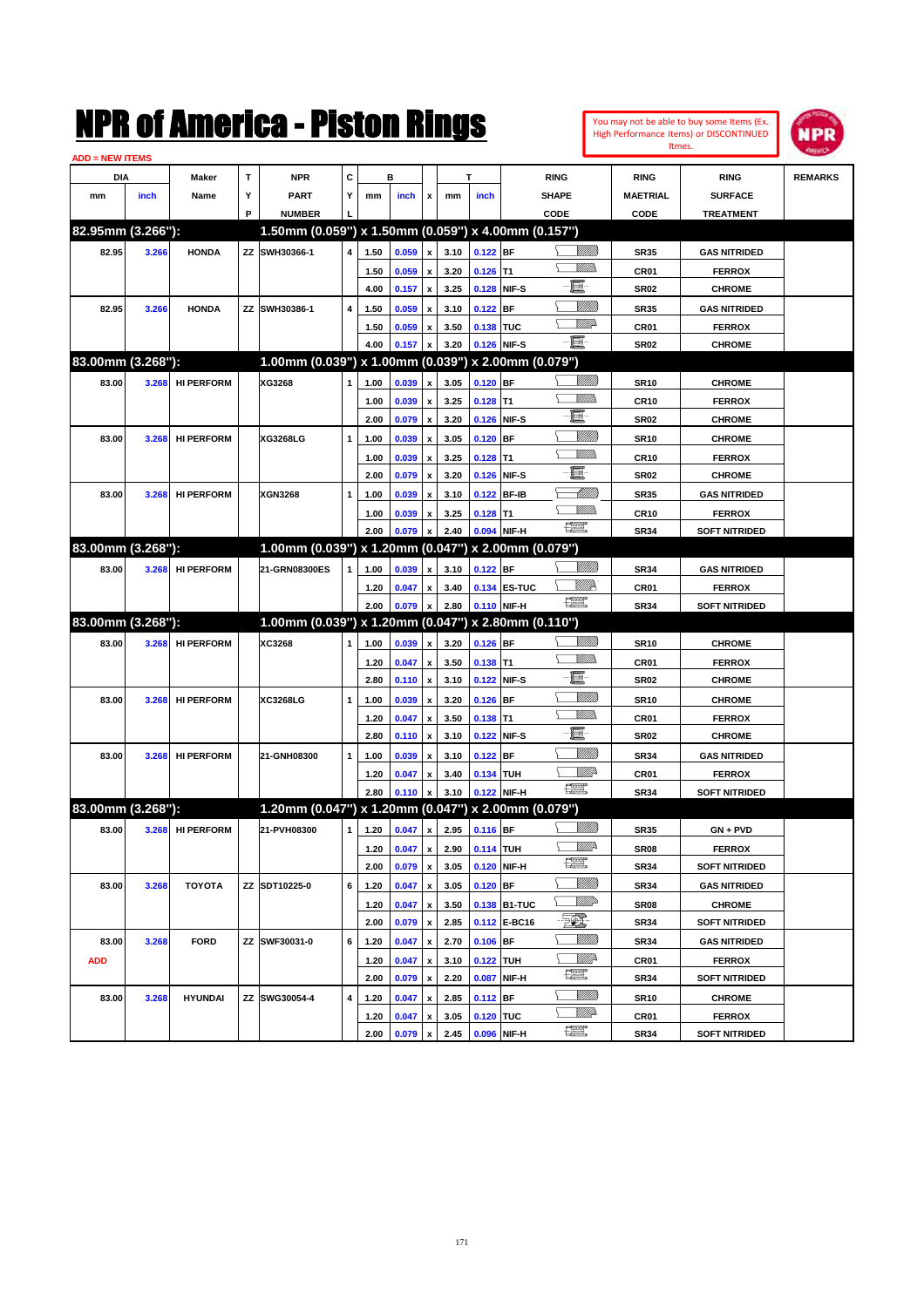**ADD = NEW ITEMS**

82.95mm (3.266"):

**83.00mm (3.268"):** 

|                    |                |                   |    | IPK OI AMCFICA - PISLON KINGS                       |   |      |             |              |      |             |               |                  | You may not be able to buy some Items (Ex.<br>High Performance Items) or DISCONTINUED | <b>NPR</b>     |
|--------------------|----------------|-------------------|----|-----------------------------------------------------|---|------|-------------|--------------|------|-------------|---------------|------------------|---------------------------------------------------------------------------------------|----------------|
| <b>= NEW ITEMS</b> |                |                   |    |                                                     |   |      |             |              |      |             |               | Itmes.           |                                                                                       |                |
| <b>DIA</b>         |                | <b>Maker</b>      | T. | <b>NPR</b>                                          | С |      | в           |              |      |             | <b>RING</b>   | <b>RING</b>      | <b>RING</b>                                                                           | <b>REMARKS</b> |
| mm                 | inch           | Name              | Y  | <b>PART</b>                                         | Y | mm   | <b>inch</b> | x            | mm   | inch        | <b>SHAPE</b>  | <b>MAETRIAL</b>  | <b>SURFACE</b>                                                                        |                |
|                    |                |                   | P  | <b>NUMBER</b>                                       |   |      |             |              |      |             | CODE          | CODE             | <b>TREATMENT</b>                                                                      |                |
|                    | 95mm (3.266"): |                   |    | 1.50mm (0.059") x 1.50mm (0.059") x 4.00mm (0.157") |   |      |             |              |      |             |               |                  |                                                                                       |                |
| 82.95              | 3.266          | <b>HONDA</b>      |    | ZZ SWH30366-1                                       | 4 | 1.50 | 0.059       | $\mathbf{x}$ | 3.10 | $0.122$ BF  | VIIII)        | <b>SR35</b>      | <b>GAS NITRIDED</b>                                                                   |                |
|                    |                |                   |    |                                                     |   | 1.50 | 0.059       | $\mathbf{x}$ | 3.20 | $0.126$ T1  | VM).          | CR <sub>01</sub> | <b>FERROX</b>                                                                         |                |
|                    |                |                   |    |                                                     |   | 4.00 | 0.157       | $\mathbf{x}$ | 3.25 | 0.128 NIF-S | e.            | <b>SR02</b>      | <b>CHROME</b>                                                                         |                |
| 82.95              | 3.266          | <b>HONDA</b>      |    | ZZ SWH30386-1                                       | 4 | 1.50 | 0.059       | $\mathbf{x}$ | 3.10 | $0.122$ BF  | <u>VIII M</u> | <b>SR35</b>      | <b>GAS NITRIDED</b>                                                                   |                |
|                    |                |                   |    |                                                     |   | 1.50 | 0.059       | $\mathbf{x}$ | 3.50 | 0.138 TUC   | <u>VM</u> D   | CR <sub>01</sub> | <b>FERROX</b>                                                                         |                |
|                    |                |                   |    |                                                     |   | 4.00 | 0.157       | $\mathbf{x}$ | 3.20 | 0.126 NIF-S | e.            | <b>SR02</b>      | <b>CHROME</b>                                                                         |                |
|                    | 00mm (3.268"): |                   |    | 1.00mm (0.039") x 1.00mm (0.039") x 2.00mm (0.079") |   |      |             |              |      |             |               |                  |                                                                                       |                |
| 83.00              | 3.268          | <b>HI PERFORM</b> |    | XG3268                                              | 1 | 1.00 | 0.039       | $\mathbf{x}$ | 3.05 | $0.120$ BF  | <u>VIIII)</u> | <b>SR10</b>      | <b>CHROME</b>                                                                         |                |
|                    |                |                   |    |                                                     |   | 1.00 | 0.039       | x            | 3.25 | $0.128$ T1  | <u>VMM)</u>   | <b>CR10</b>      | <b>FERROX</b>                                                                         |                |
|                    |                |                   |    |                                                     |   | 2.00 | 0.079       | $\mathbf{x}$ | 3.20 | 0.126 NIF-S | e.            | <b>SR02</b>      | <b>CHROME</b>                                                                         |                |
| 83.00              | 3.268          | <b>HI PERFORM</b> |    | <b>XG3268LG</b>                                     | 1 | 1.00 | 0.039       | $\mathbf{x}$ | 3.05 | $0.120$ BF  | VIIIID        | <b>SR10</b>      | <b>CHROME</b>                                                                         |                |
|                    |                |                   |    |                                                     |   | 1.00 | 0.039       | $\mathbf{x}$ | 3.25 | $0.128$ T1  | VM))          | <b>CR10</b>      | <b>FERROX</b>                                                                         |                |
|                    |                |                   |    |                                                     |   | 2.00 | 0.079       | $\mathbf{x}$ | 3.20 | 0.126 NIF-S | e.            | <b>SR02</b>      | <b>CHROME</b>                                                                         |                |
| 83.00              | 3.268          | <b>HI PERFORM</b> |    | <b>XGN3268</b>                                      | 1 | 1.00 | 0.039       | x            | 3.10 | 0.122 BF-IB | <u> UMM)</u>  | <b>SR35</b>      | <b>GAS NITRIDED</b>                                                                   |                |
|                    |                |                   |    |                                                     |   | 1.00 | 0.039       | x            | 3.25 | $0.128$ T1  | VM)           | <b>CR10</b>      | <b>FERROX</b>                                                                         |                |
|                    |                |                   |    |                                                     |   | 2.00 | 0.079       | $\mathbf{x}$ | 2.40 | 0.094 NIF-H | æ             | <b>SR34</b>      | <b>SOFT NITRIDED</b>                                                                  |                |
|                    | 00mm (3.268"): |                   |    | 1.00mm (0.039") x 1.20mm (0.047") x 2.00mm (0.079") |   |      |             |              |      |             |               |                  |                                                                                       |                |
|                    |                |                   |    |                                                     |   |      |             |              |      |             | VIIIII)       |                  |                                                                                       |                |

|                   |       |                   |                                                     |              |      |       |                           | 2.00 0.079 x 2.40 0.094 NIF-H |                  |              | ماتستها         | <b>SR34</b>      | <b>SOFT NITRIDED</b> |  |
|-------------------|-------|-------------------|-----------------------------------------------------|--------------|------|-------|---------------------------|-------------------------------|------------------|--------------|-----------------|------------------|----------------------|--|
| 83.00mm (3.268"): |       |                   | 1.00mm (0.039") x 1.20mm (0.047") x 2.00mm (0.079") |              |      |       |                           |                               |                  |              |                 |                  |                      |  |
| 83.00             | 3.268 | <b>HI PERFORM</b> | 21-GRN08300ES                                       | $\mathbf 1$  | 1.00 | 0.039 | $\mathbf{x}$              | 3.10                          | $0.122$ BF       |              | VIIII)          | <b>SR34</b>      | <b>GAS NITRIDED</b>  |  |
|                   |       |                   |                                                     |              | 1.20 | 0.047 | $\mathbf{x}$              | 3.40                          |                  | 0.134 ES-TUC | W////p          | CR <sub>01</sub> | <b>FERROX</b>        |  |
|                   |       |                   |                                                     |              | 2.00 | 0.079 | $\mathbf{x}$              | 2.80                          |                  | 0.110 NIF-H  | M               | <b>SR34</b>      | <b>SOFT NITRIDED</b> |  |
| 83.00mm (3.268"): |       |                   | 1.00mm (0.039") x 1.20mm (0.047") x 2.80mm (0.110") |              |      |       |                           |                               |                  |              |                 |                  |                      |  |
| 83.00             | 3.268 | <b>HI PERFORM</b> | XC3268                                              | $\mathbf{1}$ | 1.00 | 0.039 | $\mathbf{x}$              | 3.20                          | $0.126$ BF       |              | VIIIIs          | <b>SR10</b>      | <b>CHROME</b>        |  |
|                   |       |                   |                                                     |              | 1.20 | 0.047 | $\mathbf{x}$              | 3.50                          | $0.138$ T1       |              | 7777).          | CR01             | <b>FERROX</b>        |  |
|                   |       |                   |                                                     |              | 2.80 | 0.110 | $\mathbf{x}$              | 3.10                          | 0.122 NIF-S      |              | Ò.              | <b>SR02</b>      | <b>CHROME</b>        |  |
| 83.00             | 3.268 | <b>HI PERFORM</b> | <b>XC3268LG</b>                                     | 1            | 1.00 | 0.039 | $\boldsymbol{\mathsf{x}}$ | 3.20                          | $0.126$ BF       |              | VMM)            | <b>SR10</b>      | <b>CHROME</b>        |  |
|                   |       |                   |                                                     |              | 1.20 | 0.047 | $\mathbf{x}$              | 3.50                          | $0.138$ T1       |              | <u>Villida</u>  | CR01             | <b>FERROX</b>        |  |
|                   |       |                   |                                                     |              | 2.80 | 0.110 | $\mathbf{x}$              | 3.10                          | 0.122 NIF-S      |              | đ.              | <b>SR02</b>      | <b>CHROME</b>        |  |
| 83.00             | 3.268 | <b>HI PERFORM</b> | 21-GNH08300                                         | $\mathbf{1}$ | 1.00 | 0.039 | $\mathbf{x}$              | 3.10                          | $0.122$ BF       |              | VIIII)          | <b>SR34</b>      | <b>GAS NITRIDED</b>  |  |
|                   |       |                   |                                                     |              | 1.20 | 0.047 | x                         | 3.40                          | 0.134 TUH        |              | W//2            | CR <sub>01</sub> | <b>FERROX</b>        |  |
|                   |       |                   |                                                     |              | 2.80 | 0.110 | l x I                     | 3.10                          | 0.122 NIF-H      |              | €               | <b>SR34</b>      | <b>SOFT NITRIDED</b> |  |
| 83.00mm (3.268"): |       |                   | 1.20mm (0.047") x 1.20mm (0.047") x 2.00mm (0.079") |              |      |       |                           |                               |                  |              |                 |                  |                      |  |
| 83.00             | 3.268 | <b>HI PERFORM</b> | 21-PVH08300                                         | 1            | 1.20 | 0.047 | $\mathbf{x}$              | 2.95                          | $0.116$ BF       |              | <u>Villida</u>  | <b>SR35</b>      | $GN + PVD$           |  |
|                   |       |                   |                                                     |              | 1.20 | 0.047 | $\mathbf{x}$              | 2.90                          | <b>0.114 TUH</b> |              | W///2           | SR <sub>08</sub> | <b>FERROX</b>        |  |
|                   |       |                   |                                                     |              | 2.00 | 0.079 | $\mathbf{x}$              | 3.05                          | 0.120 NIF-H      |              | æ               | <b>SR34</b>      | <b>SOFT NITRIDED</b> |  |
| 83.00             | 3.268 | <b>TOYOTA</b>     | ZZ SDT10225-0                                       | 6            | 1.20 | 0.047 | $\mathbf{x}$              | 3.05                          | $0.120$ BF       |              | VIIII)          | <b>SR34</b>      | <b>GAS NITRIDED</b>  |  |
|                   |       |                   |                                                     |              | 1.20 | 0.047 | $\mathbf{x}$              | 3.50                          |                  | 0.138 B1-TUC | <u>Willi</u> da | <b>SR08</b>      | <b>CHROME</b>        |  |
|                   |       |                   |                                                     |              | 2.00 | 0.079 | x                         | 2.85                          |                  | 0.112 E-BC16 | E.              | <b>SR34</b>      | <b>SOFT NITRIDED</b> |  |
| 83.00             | 3.268 | <b>FORD</b>       | ZZ SWF30031-0                                       | 6            | 1.20 | 0.047 | $\boldsymbol{\mathsf{x}}$ | 2.70                          | $0.106$ BF       |              | VMM)            | <b>SR34</b>      | <b>GAS NITRIDED</b>  |  |
| <b>ADD</b>        |       |                   |                                                     |              | 1.20 | 0.047 | $\mathbf{x}$              | 3.10                          | 0.122 TUH        |              | W///2           | CR01             | <b>FERROX</b>        |  |
|                   |       |                   |                                                     |              | 2.00 | 0.079 | $\mathbf{x}$              | 2.20                          | 0.087 NIF-H      |              | N               | <b>SR34</b>      | <b>SOFT NITRIDED</b> |  |
| 83.00             | 3.268 | <b>HYUNDAI</b>    | ZZ SWG30054-4                                       | 4            | 1.20 | 0.047 | $\mathbf{x}$              | 2.85                          | $0.112$ BF       |              | VIIII)          | <b>SR10</b>      | <b>CHROME</b>        |  |
|                   |       |                   |                                                     |              | 1.20 | 0.047 | $\mathbf{x}$              | 3.05                          | 0.120            | <b>TUC</b>   | VIIIA           | CR01             | <b>FERROX</b>        |  |
|                   |       |                   |                                                     |              | 2.00 | 0.079 | $\mathbf{x}$              | 2.45                          | 0.096 NIF-H      |              | œ               | <b>SR34</b>      | <b>SOFT NITRIDED</b> |  |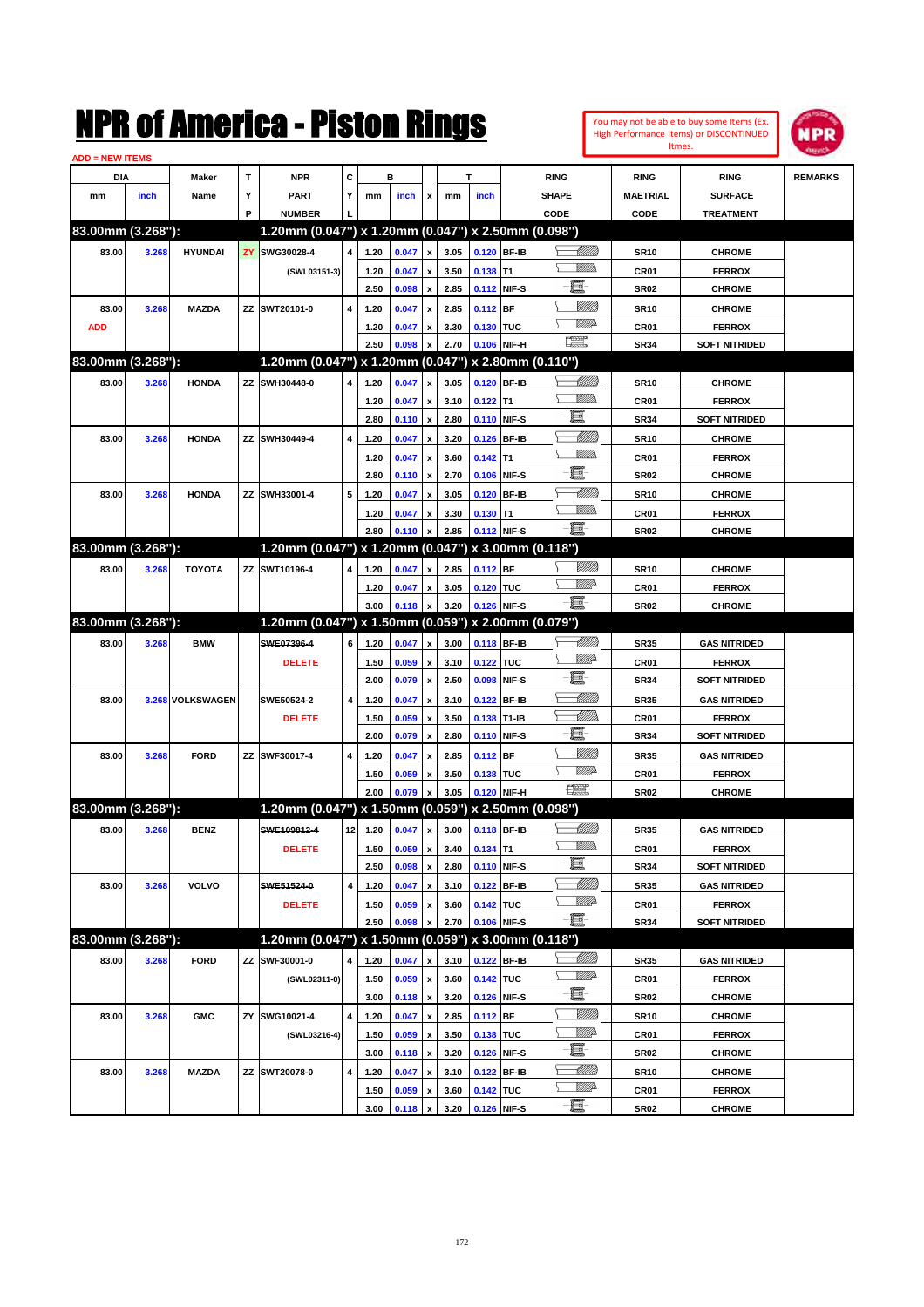You may not be able to buy some Items (Ex. High Performance Items) or DISCONTINUED Itmes.



| <b>ADD = NEW ITEMS</b> |       |                  |   |                                                     |                         |              |       |                           |      |               |              |                 |                  |                      |                |
|------------------------|-------|------------------|---|-----------------------------------------------------|-------------------------|--------------|-------|---------------------------|------|---------------|--------------|-----------------|------------------|----------------------|----------------|
| DIA                    |       | Maker            | Т | <b>NPR</b>                                          | С                       |              | в     |                           |      | т             |              | <b>RING</b>     | <b>RING</b>      | <b>RING</b>          | <b>REMARKS</b> |
| mm                     | inch  | Name             | Υ | <b>PART</b>                                         | Y                       | mm           | inch  | x                         | mm   | inch          |              | <b>SHAPE</b>    | <b>MAETRIAL</b>  | <b>SURFACE</b>       |                |
|                        |       |                  | P | <b>NUMBER</b>                                       |                         |              |       |                           |      |               |              | CODE            | <b>CODE</b>      | <b>TREATMENT</b>     |                |
| 83.00mm (3.268"):      |       |                  |   | 1.20mm (0.047") x 1.20mm (0.047") x 2.50mm (0.098") |                         |              |       |                           |      |               |              |                 |                  |                      |                |
| 83.00                  | 3.268 | <b>HYUNDAI</b>   |   | ZY SWG30028-4                                       | $\overline{\mathbf{4}}$ | 1.20         | 0.047 | $\pmb{\mathsf{x}}$        | 3.05 |               | 0.120 BF-IB  | <u> UMB</u>     | <b>SR10</b>      | <b>CHROME</b>        |                |
|                        |       |                  |   | (SWL03151-3)                                        |                         | 1.20         | 0.047 | x                         | 3.50 | $0.138$ T1    |              | <u>MMs</u>      | CR <sub>01</sub> | <b>FERROX</b>        |                |
|                        |       |                  |   |                                                     |                         | 2.50         | 0.098 | $\pmb{\mathsf{x}}$        | 2.85 |               | 0.112 NIF-S  | e.              | <b>SR02</b>      | <b>CHROME</b>        |                |
| 83.00                  | 3.268 | <b>MAZDA</b>     |   | ZZ SWT20101-0                                       | $\overline{4}$          | 1.20         | 0.047 | x                         | 2.85 | $0.112$ BF    |              |                 | <b>SR10</b>      | <b>CHROME</b>        |                |
| <b>ADD</b>             |       |                  |   |                                                     |                         | 1.20         | 0.047 | x                         | 3.30 | 0.130 TUC     |              | <u>MMD</u>      | CR <sub>01</sub> | <b>FERROX</b>        |                |
|                        |       |                  |   |                                                     |                         | 2.50         | 0.098 | x                         | 2.70 |               | 0.106 NIF-H  | $\frac{1}{2}$   | <b>SR34</b>      | <b>SOFT NITRIDED</b> |                |
| 83.00mm (3.268"):      |       |                  |   | 1.20mm (0.047") x 1.20mm (0.047") x 2.80mm (0.110") |                         |              |       |                           |      |               |              |                 |                  |                      |                |
| 83.00                  | 3.268 | <b>HONDA</b>     |   | ZZ SWH30448-0                                       | 4                       | 1.20         | 0.047 | X                         | 3.05 |               | 0.120 BF-IB  |                 | <b>SR10</b>      | <b>CHROME</b>        |                |
|                        |       |                  |   |                                                     |                         | 1.20         | 0.047 | $\pmb{\mathsf{x}}$        | 3.10 | $0.122$ T1    |              | <u>MMD</u>      | CR <sub>01</sub> | <b>FERROX</b>        |                |
|                        |       |                  |   |                                                     |                         | 2.80         | 0.110 | $\pmb{\mathsf{x}}$        | 2.80 |               | 0.110 NIF-S  | 圓               | <b>SR34</b>      | <b>SOFT NITRIDED</b> |                |
| 83.00                  | 3.268 | <b>HONDA</b>     |   | ZZ SWH30449-4                                       | $\overline{4}$          | 1.20         | 0.047 | x                         | 3.20 | 0.126         | <b>BF-IB</b> | <u> Millitt</u> | <b>SR10</b>      | <b>CHROME</b>        |                |
|                        |       |                  |   |                                                     |                         | 1.20         | 0.047 | x                         | 3.60 | $0.142$ T1    |              | <u>MMD</u>      | CR <sub>01</sub> | <b>FERROX</b>        |                |
|                        |       |                  |   |                                                     |                         | 2.80         | 0.110 | $\pmb{\mathsf{x}}$        | 2.70 | 0.106         | NIF-S        | e.              | <b>SR02</b>      | <b>CHROME</b>        |                |
| 83.00                  | 3.268 | <b>HONDA</b>     |   | ZZ SWH33001-4                                       | 5                       | 1.20         | 0.047 | x                         | 3.05 |               | 0.120 BF-IB  | <u> Millitt</u> | <b>SR10</b>      | <b>CHROME</b>        |                |
|                        |       |                  |   |                                                     |                         | 1.20         | 0.047 | x                         | 3.30 | $0.130$ T1    |              | <u>MMD</u>      | CR <sub>01</sub> | <b>FERROX</b>        |                |
|                        |       |                  |   |                                                     |                         | 2.80         | 0.110 | x                         | 2.85 |               | 0.112 NIF-S  | E.              | <b>SR02</b>      | <b>CHROME</b>        |                |
| 83.00mm (3.268"):      |       |                  |   | 1.20mm (0.047") x 1.20mm (0.047") x 3.00mm (0.118") |                         |              |       |                           |      |               |              |                 |                  |                      |                |
| 83.00                  | 3.268 | <b>TOYOTA</b>    |   | ZZ SWT10196-4                                       | 4                       | 1.20         | 0.047 | X                         | 2.85 | $0.112$ BF    |              | <u>MMS</u>      | <b>SR10</b>      | <b>CHROME</b>        |                |
|                        |       |                  |   |                                                     |                         | 1.20         | 0.047 | x                         | 3.05 | 0.120 TUC     |              | <u>Willia</u>   | CR <sub>01</sub> | <b>FERROX</b>        |                |
|                        |       |                  |   |                                                     |                         | 3.00         | 0.118 | X                         | 3.20 |               | 0.126 NIF-S  | -日              | <b>SR02</b>      | <b>CHROME</b>        |                |
| 83.00mm (3.268"):      |       |                  |   | 1.20mm (0.047") x 1.50mm (0.059") x 2.00mm (0.079") |                         |              |       |                           |      |               |              |                 |                  |                      |                |
| 83.00                  | 3.268 | <b>BMW</b>       |   | SWE07396-4                                          | 6                       | 1.20         | 0.047 | x                         | 3.00 |               | 0.118 BF-IB  |                 | <b>SR35</b>      | <b>GAS NITRIDED</b>  |                |
|                        |       |                  |   | <b>DELETE</b>                                       |                         | 1.50         | 0.059 | x                         | 3.10 | 0.122 TUC     |              | <u>MM</u>       | CR <sub>01</sub> | <b>FERROX</b>        |                |
|                        |       |                  |   |                                                     |                         | 2.00         | 0.079 | $\pmb{\mathsf{x}}$        | 2.50 | 0.098         | NIF-S        | e.              | <b>SR34</b>      | <b>SOFT NITRIDED</b> |                |
| 83.00                  |       | 3.268 VOLKSWAGEN |   | SWE50524-2                                          | $\overline{\mathbf{4}}$ | 1.20         | 0.047 | x                         | 3.10 | 0.122         | BF-IB        | <u> Millitt</u> | <b>SR35</b>      | <b>GAS NITRIDED</b>  |                |
|                        |       |                  |   | <b>DELETE</b>                                       |                         | 1.50         | 0.059 | x                         | 3.50 | 0.138 T1-IB   |              | <u> MM)</u>     | CR <sub>01</sub> | <b>FERROX</b>        |                |
|                        |       |                  |   |                                                     |                         | 2.00         | 0.079 | x                         | 2.80 |               | 0.110 NIF-S  | E.              | <b>SR34</b>      | <b>SOFT NITRIDED</b> |                |
| 83.00                  | 3.268 | <b>FORD</b>      |   | ZZ SWF30017-4                                       | $\overline{4}$          | 1.20         | 0.047 | x                         | 2.85 | $0.112$ BF    |              | <u>VIIII)</u>   | <b>SR35</b>      | <b>GAS NITRIDED</b>  |                |
|                        |       |                  |   |                                                     |                         | 1.50         | 0.059 | x                         | 3.50 | 0.138 TUC     |              | MMP             | CR <sub>01</sub> | <b>FERROX</b>        |                |
|                        |       |                  |   |                                                     |                         | 2.00         | 0.079 | x                         | 3.05 |               | 0.120 NIF-H  | $\frac{1}{2}$   | <b>SR02</b>      | <b>CHROME</b>        |                |
| 83.00mm (3.268"):      |       |                  |   | 1.20mm (0.047") x 1.50mm (0.059") x 2.50mm (0.098") |                         |              |       |                           |      |               |              |                 |                  |                      |                |
| 83.00                  | 3.268 | <b>BENZ</b>      |   | SWE109812-4                                         | 12                      | 1.20         | 0.047 | x                         | 3.00 | 0.118 BF-IB   |              | <u> UMB</u>     | SR35             | <b>GAS NITRIDED</b>  |                |
|                        |       |                  |   | <b>DELETE</b>                                       |                         | 1.50         | 0.059 | $\boldsymbol{x}$          |      | 3.40 0.134 T1 |              | <u>UMB</u>      | CR01             | <b>FERROX</b>        |                |
|                        |       |                  |   |                                                     |                         | 2.50         | 0.098 | $\pmb{\mathsf{x}}$        | 2.80 |               | 0.110 NIF-S  | E               | SR34             | <b>SOFT NITRIDED</b> |                |
| 83.00                  | 3.268 | <b>VOLVO</b>     |   | SWE51524-0                                          | $\pmb{4}$               | 1.20         | 0.047 | x                         | 3.10 |               | 0.122 BF-IB  | <u> UMB</u>     | <b>SR35</b>      | <b>GAS NITRIDED</b>  |                |
|                        |       |                  |   | <b>DELETE</b>                                       |                         |              | 0.059 |                           | 3.60 | 0.142 TUC     |              | <u>MM</u> A     | CR01             | <b>FERROX</b>        |                |
|                        |       |                  |   |                                                     |                         | 1.50<br>2.50 | 0.098 | $\pmb{\mathsf{x}}$<br>x   | 2.70 |               | 0.106 NIF-S  | e.              | <b>SR34</b>      | <b>SOFT NITRIDED</b> |                |
| 83.00mm (3.268"):      |       |                  |   | 1.20mm (0.047") x 1.50mm (0.059") x 3.00mm (0.118") |                         |              |       |                           |      |               |              |                 |                  |                      |                |
|                        |       |                  |   |                                                     |                         |              |       |                           |      |               |              |                 |                  |                      |                |
| 83.00                  | 3.268 | <b>FORD</b>      |   | ZZ SWF30001-0                                       | 4                       | 1.20         | 0.047 | x                         | 3.10 |               | 0.122 BF-IB  | <u>MMP</u>      | <b>SR35</b>      | <b>GAS NITRIDED</b>  |                |
|                        |       |                  |   | (SWL02311-0)                                        |                         | 1.50         | 0.059 | x                         | 3.60 | 0.142 TUC     |              | e.              | CR01             | <b>FERROX</b>        |                |
|                        |       |                  |   |                                                     |                         | 3.00         | 0.118 | $\pmb{\mathsf{x}}$        | 3.20 |               | 0.126 NIF-S  | <u>Millit</u>   | <b>SR02</b>      | <b>CHROME</b>        |                |
| 83.00                  | 3.268 | <b>GMC</b>       |   | ZY SWG10021-4                                       | 4                       | 1.20         | 0.047 | $\pmb{\mathsf{x}}$        | 2.85 | 0.112 BF      |              | <u>MM</u>       | <b>SR10</b>      | <b>CHROME</b>        |                |
|                        |       |                  |   | (SWL03216-4)                                        |                         | 1.50         | 0.059 | x                         | 3.50 | 0.138 TUC     |              | e.              | CR01             | <b>FERROX</b>        |                |
|                        |       |                  |   |                                                     |                         | 3.00         | 0.118 | $\pmb{\mathsf{x}}$        | 3.20 |               | 0.126 NIF-S  | <u> Millitt</u> | <b>SR02</b>      | <b>CHROME</b>        |                |
| 83.00                  | 3.268 | <b>MAZDA</b>     |   | ZZ SWT20078-0                                       | 4                       | 1.20         | 0.047 | x                         | 3.10 |               | 0.122 BF-IB  | <u>MM</u> D     | <b>SR10</b>      | <b>CHROME</b>        |                |
|                        |       |                  |   |                                                     |                         | 1.50         | 0.059 | $\boldsymbol{\mathsf{x}}$ | 3.60 | 0.142 TUC     |              | 圓               | CR01             | <b>FERROX</b>        |                |
|                        |       |                  |   |                                                     |                         | 3.00         | 0.118 | $\pmb{\mathsf{x}}$        | 3.20 |               | 0.126 NIF-S  |                 | <b>SR02</b>      | <b>CHROME</b>        |                |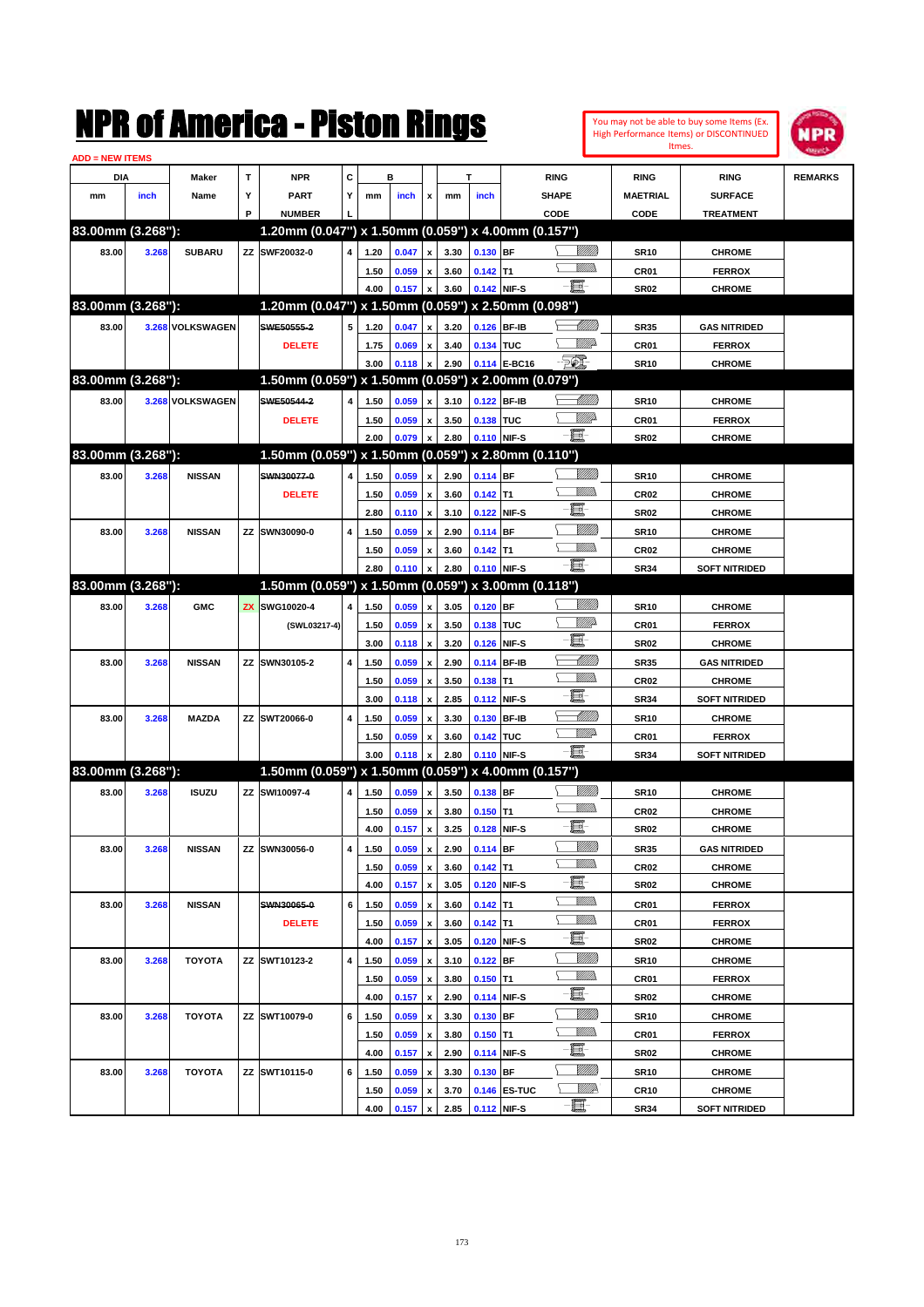| <b>ADD = NEW ITEMS</b> |       |                  |           | NMK OI AINCrica - Miston Kings                      |   |              |                |                                          |              |                          |              |                 |                        |                  | You may not be able to buy some Items (Ex.<br>High Performance Items) or DISCONTINUED<br>Itmes. | NPR            |
|------------------------|-------|------------------|-----------|-----------------------------------------------------|---|--------------|----------------|------------------------------------------|--------------|--------------------------|--------------|-----------------|------------------------|------------------|-------------------------------------------------------------------------------------------------|----------------|
| DIA                    |       | Maker            | T         | <b>NPR</b>                                          | C |              | в              |                                          |              | T                        |              | <b>RING</b>     |                        | <b>RING</b>      | <b>RING</b>                                                                                     | <b>REMARKS</b> |
| mm                     | inch  | Name             | Υ         | <b>PART</b>                                         | Υ | mm           | inch           | x                                        | mm           | inch                     |              | <b>SHAPE</b>    |                        | <b>MAETRIAL</b>  | <b>SURFACE</b>                                                                                  |                |
|                        |       |                  | P         | <b>NUMBER</b>                                       |   |              |                |                                          |              |                          |              | CODE            |                        | CODE             | <b>TREATMENT</b>                                                                                |                |
| 83.00mm (3.268"):      |       |                  |           | 1.20mm (0.047") x 1.50mm (0.059") x 4.00mm (0.157") |   |              |                |                                          |              |                          |              |                 |                        |                  |                                                                                                 |                |
| 83.00                  | 3.268 | <b>SUBARU</b>    |           | ZZ SWF20032-0                                       | 4 | 1.20         | 0.047          | $\pmb{\mathsf{x}}$                       | 3.30         | $0.130$ BF               |              |                 | <u>UMB</u>             | <b>SR10</b>      | <b>CHROME</b>                                                                                   |                |
|                        |       |                  |           |                                                     |   | 1.50         | 0.059          | $\pmb{\mathsf{x}}$                       | 3.60         | $0.142$ T1               |              |                 | <br>Mar                | CR01             | <b>FERROX</b>                                                                                   |                |
|                        |       |                  |           |                                                     |   | 4.00         | 0.157          | $\pmb{\mathsf{x}}$                       | 3.60         |                          | 0.142 NIF-S  | E               |                        | <b>SR02</b>      | <b>CHROME</b>                                                                                   |                |
| 83.00mm (3.268"):      |       |                  |           | 1.20mm (0.047") x 1.50mm (0.059") x 2.50mm (0.098") |   |              |                |                                          |              |                          |              |                 |                        |                  |                                                                                                 |                |
| 83.00                  |       | 3.268 VOLKSWAGEN |           | SWE50555-2                                          | 5 | 1.20         | 0.047          | $\pmb{\mathsf{x}}$                       | 3.20         |                          | 0.126 BF-IB  |                 | <u> Millitt</u>        | <b>SR35</b>      | <b>GAS NITRIDED</b>                                                                             |                |
|                        |       |                  |           | <b>DELETE</b>                                       |   | 1.75         | 0.069          | $\pmb{\mathsf{x}}$                       | 3.40         | 0.134 TUC                |              |                 | <u>MM</u>              | CR01             | <b>FERROX</b>                                                                                   |                |
|                        |       |                  |           |                                                     |   | 3.00         | 0.118          | $\pmb{\mathsf{x}}$                       | 2.90         |                          | 0.114 E-BC16 | <b>FOX</b>      |                        | <b>SR10</b>      | <b>CHROME</b>                                                                                   |                |
| 83.00mm (3.268"):      |       |                  |           | 1.50mm (0.059") x 1.50mm (0.059") x 2.00mm (0.079") |   |              |                |                                          |              |                          |              |                 |                        |                  |                                                                                                 |                |
| 83.00                  |       | 3.268 VOLKSWAGEN |           | SWE50544-2                                          | 4 | 1.50         | 0.059          | $\pmb{\mathsf{x}}$                       | 3.10         | 0.122 BF-IB              |              |                 | <u> MMM)</u>           | <b>SR10</b>      | <b>CHROME</b>                                                                                   |                |
|                        |       |                  |           | <b>DELETE</b>                                       |   | 1.50         | 0.059          | $\pmb{\mathsf{x}}$                       | 3.50         | 0.138 TUC                |              |                 | <u>VIIItti</u> d       | CR01             | <b>FERROX</b>                                                                                   |                |
|                        |       |                  |           |                                                     |   | 2.00         | 0.079          | $\pmb{\mathsf{x}}$                       | 2.80         |                          | 0.110 NIF-S  | E               |                        | <b>SR02</b>      | <b>CHROME</b>                                                                                   |                |
| 83.00mm (3.268"):      |       |                  |           | 1.50mm (0.059") x 1.50mm (0.059") x 2.80mm (0.110") |   |              |                |                                          |              |                          |              |                 |                        |                  |                                                                                                 |                |
| 83.00                  | 3.268 | <b>NISSAN</b>    |           | SWN30077-0                                          | 4 | 1.50         | 0.059          | $\pmb{\mathsf{x}}$                       | 2.90         | 0.114 BF                 |              |                 | <u>Milli</u> k         | <b>SR10</b>      | <b>CHROME</b>                                                                                   |                |
|                        |       |                  |           | <b>DELETE</b>                                       |   | 1.50         | 0.059          | $\pmb{\mathsf{x}}$                       | 3.60         | $0.142$ T1               |              |                 | <br>Mar                | CR <sub>02</sub> | <b>CHROME</b>                                                                                   |                |
|                        |       |                  |           |                                                     |   | 2.80         | 0.110          | $\pmb{\mathsf{x}}$                       | 3.10         |                          | 0.122 NIF-S  | E               |                        | <b>SR02</b>      | <b>CHROME</b>                                                                                   |                |
| 83.00                  | 3.268 | <b>NISSAN</b>    |           | <b>ZZ SWN30090-0</b>                                | 4 | 1.50         | 0.059          | $\pmb{\mathsf{x}}$                       | 2.90         | $0.114$ BF               |              |                 | <u>Milli</u> k         | <b>SR10</b>      | <b>CHROME</b>                                                                                   |                |
|                        |       |                  |           |                                                     |   | 1.50         | 0.059          | $\pmb{\mathsf{x}}$                       | 3.60         | $0.142$ T1               |              |                 | <br>Villida            | CR <sub>02</sub> | <b>CHROME</b>                                                                                   |                |
|                        |       |                  |           |                                                     |   | 2.80         | 0.110          | x                                        | 2.80         |                          | 0.110 NIF-S  | $-\mathbf{H}$ - |                        | <b>SR34</b>      | <b>SOFT NITRIDED</b>                                                                            |                |
| 83.00mm (3.268"):      |       |                  |           | 1.50mm (0.059") x 1.50mm (0.059") x 3.00mm (0.118") |   |              |                |                                          |              |                          |              |                 |                        |                  |                                                                                                 |                |
| 83.00                  | 3.268 | <b>GMC</b>       | <b>ZX</b> | SWG10020-4                                          | 4 | 1.50         | 0.059          | $\pmb{\mathsf{x}}$                       | 3.05         | $0.120$ BF               |              |                 | <u>Milli</u> k         | <b>SR10</b>      | <b>CHROME</b>                                                                                   |                |
|                        |       |                  |           | (SWL03217-4)                                        |   | 1.50         | 0.059          | $\pmb{\mathsf{x}}$                       | 3.50         | 0.138 TUC                |              |                 | <u>VIII p</u>          | CR01             | <b>FERROX</b>                                                                                   |                |
|                        |       |                  |           |                                                     |   | 3.00         | 0.118          | $\pmb{\mathsf{x}}$                       | 3.20         |                          | 0.126 NIF-S  | E               |                        | <b>SR02</b>      | <b>CHROME</b>                                                                                   |                |
| 83.00                  | 3.268 | <b>NISSAN</b>    |           | ZZ SWN30105-2                                       | 4 | 1.50         | 0.059          | $\pmb{\mathsf{x}}$                       | 2.90         |                          | 0.114 BF-IB  |                 | <u> UMM</u>            | <b>SR35</b>      | <b>GAS NITRIDED</b>                                                                             |                |
|                        |       |                  |           |                                                     |   | 1.50         | 0.059          | $\pmb{\mathsf{x}}$                       | 3.50         | 0.138                    | lT1          |                 | .<br>Villid            | CR <sub>02</sub> | <b>CHROME</b>                                                                                   |                |
|                        |       |                  |           |                                                     |   | 3.00         | 0.118          | $\pmb{\mathsf{x}}$                       | 2.85         |                          | 0.112 NIF-S  | E.              |                        | <b>SR34</b>      | <b>SOFT NITRIDED</b>                                                                            |                |
| 83.00                  | 3.268 | <b>MAZDA</b>     |           | ZZ SWT20066-0                                       | 4 | 1.50         | 0.059          | $\pmb{\mathsf{x}}$                       | 3.30         | 0.130                    | <b>BF-IB</b> |                 | <u> UMM</u>            | <b>SR10</b>      | <b>CHROME</b>                                                                                   |                |
|                        |       |                  |           |                                                     |   | 1.50         | 0.059          | $\pmb{\mathsf{x}}$                       | 3.60         | 0.142 TUC                |              |                 | <u>VM</u> D            | CR01             | <b>FERROX</b>                                                                                   |                |
|                        |       |                  |           |                                                     |   | 3.00         | 0.118          | x                                        | 2.80         |                          | 0.110 NIF-S  | $-\mathbf{E}$   |                        | <b>SR34</b>      | <b>SOFT NITRIDED</b>                                                                            |                |
| 83.00mm (3.268"):      |       |                  |           | 1.50mm (0.059") x 1.50mm (0.059") x 4.00mm (0.157") |   |              |                |                                          |              |                          |              |                 |                        |                  |                                                                                                 |                |
| 83.00                  | 3.268 | <b>ISUZU</b>     |           | ZZ SWI10097-4                                       | 4 | 1.50         | 0.059          | $\pmb{\mathsf{x}}$                       | 3.50         | $0.138$ BF               |              |                 | VIII))                 | SR10             | <b>CHROME</b>                                                                                   |                |
|                        |       |                  |           |                                                     |   | 1.50         | $0.059 \times$ |                                          | 3.80         | $0.150$ T1               |              |                 | <br>Mar                | CR <sub>02</sub> | <b>CHROME</b>                                                                                   |                |
|                        |       |                  |           |                                                     |   | 4.00         | 0.157          | $\pmb{\mathsf{x}}$                       | 3.25         |                          | 0.128 NIF-S  | E               |                        | SR02             | <b>CHROME</b>                                                                                   |                |
| 83.00                  | 3.268 | <b>NISSAN</b>    |           | ZZ SWN30056-0                                       | 4 | 1.50         | 0.059          | $\pmb{\mathsf{x}}$                       | 2.90         | $0.114$ BF               |              |                 | <u>Millit</u>          | SR35             | <b>GAS NITRIDED</b>                                                                             |                |
|                        |       |                  |           |                                                     |   | 1.50         | 0.059          | $\pmb{\mathsf{x}}$                       | 3.60         | $0.142$ T1               |              |                 | <u>Willib</u>          | CR <sub>02</sub> | <b>CHROME</b>                                                                                   |                |
|                        |       |                  |           |                                                     |   | 4.00         | 0.157          | $\pmb{\mathsf{x}}$                       | 3.05         |                          | 0.120 NIF-S  | e.              |                        | SR02             | <b>CHROME</b>                                                                                   |                |
| 83.00                  | 3.268 | <b>NISSAN</b>    |           | SWN30065-0                                          | 6 | 1.50         | 0.059          | $\pmb{\mathsf{x}}$                       | 3.60         | $0.142$ T1               |              |                 | <u>Willib</u>          | CR01             | <b>FERROX</b>                                                                                   |                |
|                        |       |                  |           | <b>DELETE</b>                                       |   | 1.50         | 0.059          | $\pmb{\mathsf{x}}$                       | 3.60         | $0.142$ T1               |              |                 | <u>Willib</u>          | CR01             | <b>FERROX</b>                                                                                   |                |
|                        |       |                  |           |                                                     |   | 4.00         | 0.157          | $\pmb{\mathsf{x}}$                       | 3.05         |                          | 0.120 NIF-S  | e.              |                        | SR02             | <b>CHROME</b>                                                                                   |                |
| 83.00                  | 3.268 | <b>TOYOTA</b>    |           | ZZ SWT10123-2                                       | 4 |              |                |                                          |              |                          |              |                 | <u>Millit</u>          | <b>SR10</b>      | <b>CHROME</b>                                                                                   |                |
|                        |       |                  |           |                                                     |   | 1.50         | 0.059          | $\pmb{\mathsf{x}}$                       | 3.10         | $0.122$ BF<br>$0.150$ T1 |              |                 | <u>Willib</u>          |                  |                                                                                                 |                |
|                        |       |                  |           |                                                     |   | 1.50<br>4.00 | 0.059          | $\pmb{\mathsf{x}}$<br>$\pmb{\mathsf{x}}$ | 3.80<br>2.90 |                          | 0.114 NIF-S  | E               |                        | CR01<br>SR02     | <b>FERROX</b><br><b>CHROME</b>                                                                  |                |
|                        |       |                  |           |                                                     |   |              | 0.157          |                                          |              |                          |              |                 | <u>VIIII)</u>          |                  |                                                                                                 |                |
| 83.00                  | 3.268 | <b>TOYOTA</b>    |           | ZZ SWT10079-0                                       | 6 | 1.50         | 0.059          | $\pmb{\mathsf{x}}$                       | 3.30         | 0.130 BF                 |              |                 | <u>Willib</u>          | <b>SR10</b>      | <b>CHROME</b>                                                                                   |                |
|                        |       |                  |           |                                                     |   | 1.50         | 0.059          | $\pmb{\mathsf{x}}$                       | 3.80         | $0.150$ T1               |              | E               |                        | CR01             | <b>FERROX</b>                                                                                   |                |
|                        |       |                  |           |                                                     |   | 4.00         | 0.157          | x                                        | 2.90         |                          | 0.114 NIF-S  |                 |                        | SR02             | <b>CHROME</b>                                                                                   |                |
| 83.00                  | 3.268 | <b>TOYOTA</b>    |           | ZZ SWT10115-0                                       | 6 | 1.50         | 0.059          | x                                        | 3.30         | 0.130 BF                 |              |                 | <u>Millit</u>          | <b>SR10</b>      | <b>CHROME</b>                                                                                   |                |
|                        |       |                  |           |                                                     |   | 1.50         | 0.059          | x                                        | 3.70         |                          | 0.146 ES-TUC | e.              | <i><u>Willie</u></i> r | CR10             | <b>CHROME</b>                                                                                   |                |
|                        |       |                  |           |                                                     |   | 4.00         | 0.157          | $\boldsymbol{\mathsf{x}}$                | 2.85         |                          | 0.112 NIF-S  |                 |                        | SR34             | <b>SOFT NITRIDED</b>                                                                            |                |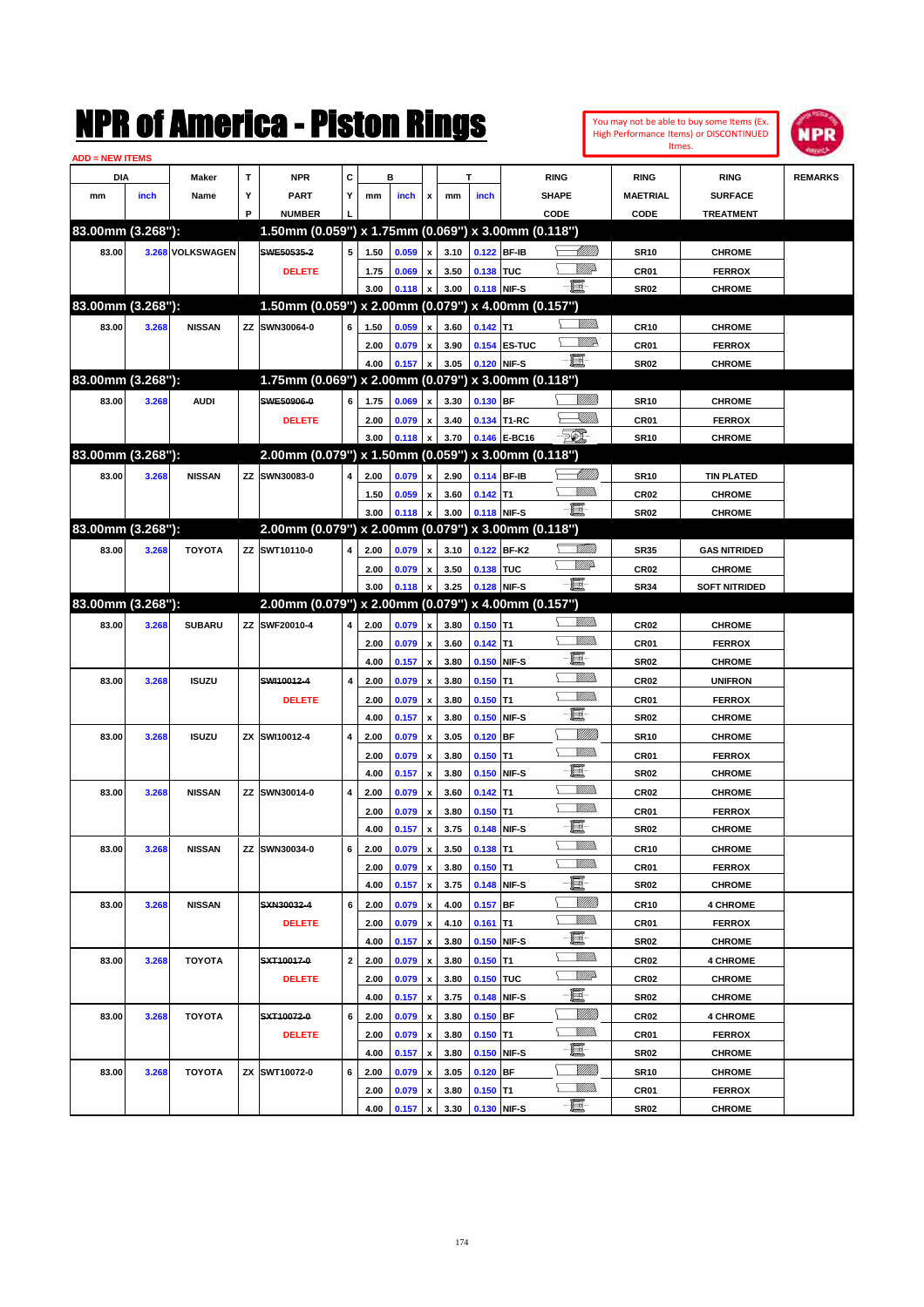| <b>ADD = NEW ITEMS</b> |       |                  |             | NMK OI AMCMICA - MISTON KINGS                       |   |      |         |                           |      |             |              |             |                | Itmes.           | You may not be able to buy some Items (Ex.<br>High Performance Items) or DISCONTINUED | NPR            |
|------------------------|-------|------------------|-------------|-----------------------------------------------------|---|------|---------|---------------------------|------|-------------|--------------|-------------|----------------|------------------|---------------------------------------------------------------------------------------|----------------|
| DIA                    |       | Maker            | $\mathbf T$ | <b>NPR</b>                                          | C |      | в       |                           |      | T           |              | <b>RING</b> |                | <b>RING</b>      | <b>RING</b>                                                                           | <b>REMARKS</b> |
| mm                     | inch  | Name             | Υ           | <b>PART</b>                                         | Y | mm   | inch    | x                         | mm   | inch        |              | SHAPE       |                | <b>MAETRIAL</b>  | <b>SURFACE</b>                                                                        |                |
|                        |       |                  | P           | <b>NUMBER</b>                                       |   |      |         |                           |      |             |              | CODE        |                | CODE             | <b>TREATMENT</b>                                                                      |                |
| 83.00mm (3.268"):      |       |                  |             | 1.50mm (0.059") x 1.75mm (0.069") x 3.00mm (0.118") |   |      |         |                           |      |             |              |             |                |                  |                                                                                       |                |
| 83.00                  |       | 3.268 VOLKSWAGEN |             | SWE50535-2                                          | 5 | 1.50 | 0.059   | $\pmb{\mathsf{x}}$        | 3.10 |             | 0.122 BF-IB  |             | <u>UMB</u>     | <b>SR10</b>      | <b>CHROME</b>                                                                         |                |
|                        |       |                  |             | <b>DELETE</b>                                       |   | 1.75 | 0.069   | $\pmb{\mathsf{x}}$        | 3.50 | 0.138 TUC   |              |             | <u>VIIItä</u>  | CR01             | <b>FERROX</b>                                                                         |                |
|                        |       |                  |             |                                                     |   | 3.00 | 0.118   | $\pmb{\mathsf{x}}$        | 3.00 | 0.118 NIF-S |              | E.          |                | <b>SR02</b>      | <b>CHROME</b>                                                                         |                |
| 83.00mm (3.268"):      |       |                  |             | 1.50mm (0.059") x 2.00mm (0.079") x 4.00mm (0.157") |   |      |         |                           |      |             |              |             |                |                  |                                                                                       |                |
| 83.00                  | 3.268 | <b>NISSAN</b>    |             | ZZ SWN30064-0                                       | 6 | 1.50 | 0.059   | $\pmb{\mathsf{x}}$        | 3.60 | $0.142$ T1  |              |             | <br>Militar    | <b>CR10</b>      | <b>CHROME</b>                                                                         |                |
|                        |       |                  |             |                                                     |   | 2.00 | 0.079   | $\pmb{\mathsf{x}}$        | 3.90 |             | 0.154 ES-TUC |             | <u>VMR</u>     | CR01             | <b>FERROX</b>                                                                         |                |
|                        |       |                  |             |                                                     |   | 4.00 | 0.157   | $\boldsymbol{\mathsf{x}}$ | 3.05 | 0.120 NIF-S |              | -E-         |                | <b>SR02</b>      | <b>CHROME</b>                                                                         |                |
| 83.00mm (3.268"):      |       |                  |             | 1.75mm (0.069") x 2.00mm (0.079") x 3.00mm (0.118") |   |      |         |                           |      |             |              |             |                |                  |                                                                                       |                |
| 83.00                  | 3.268 | <b>AUDI</b>      |             | SWE50906-0                                          | 6 | 1.75 | 0.069   | $\pmb{\mathsf{x}}$        | 3.30 | $0.130$ BF  |              |             | <u>VIIII</u> ) | <b>SR10</b>      | <b>CHROME</b>                                                                         |                |
|                        |       |                  |             | <b>DELETE</b>                                       |   | 2.00 | 0.079   | $\pmb{\mathsf{x}}$        | 3.40 |             | 0.134 T1-RC  |             | <u>sillin</u>  | CR01             | <b>FERROX</b>                                                                         |                |
|                        |       |                  |             |                                                     |   | 3.00 | 0.118   | $\pmb{\mathsf{x}}$        | 3.70 |             | 0.146 E-BC16 | <b>Feb.</b> |                | <b>SR10</b>      | <b>CHROME</b>                                                                         |                |
| 83.00mm (3.268"):      |       |                  |             | 2.00mm (0.079") x 1.50mm (0.059") x 3.00mm (0.118") |   |      |         |                           |      |             |              |             |                |                  |                                                                                       |                |
| 83.00                  | 3.268 | <b>NISSAN</b>    |             | ZZ SWN30083-0                                       | 4 | 2.00 | 0.079   | $\pmb{\mathsf{x}}$        | 2.90 | 0.114 BF-IB |              |             | <u> UMB</u>    | <b>SR10</b>      | <b>TIN PLATED</b>                                                                     |                |
|                        |       |                  |             |                                                     |   | 1.50 | 0.059   | $\pmb{\mathsf{x}}$        | 3.60 | $0.142$ T1  |              |             | .<br>VMD       | CR <sub>02</sub> | <b>CHROME</b>                                                                         |                |
|                        |       |                  |             |                                                     |   | 3.00 | 0.118   | $\pmb{\mathsf{x}}$        | 3.00 | 0.118 NIF-S |              | e.          |                | <b>SR02</b>      | <b>CHROME</b>                                                                         |                |
| 83.00mm (3.268"):      |       |                  |             | 2.00mm (0.079") x 2.00mm (0.079") x 3.00mm (0.118") |   |      |         |                           |      |             |              |             |                |                  |                                                                                       |                |
| 83.00                  | 3.268 | <b>TOYOTA</b>    |             | ZZ SWT10110-0                                       | 4 | 2.00 | 0.079   | $\pmb{\mathsf{x}}$        | 3.10 |             | 0.122 BF-K2  |             | <u>Milli</u>   | <b>SR35</b>      | <b>GAS NITRIDED</b>                                                                   |                |
|                        |       |                  |             |                                                     |   | 2.00 | 0.079   | $\pmb{\mathsf{x}}$        | 3.50 | 0.138 TUC   |              |             | <u>MM</u>      | CR <sub>02</sub> | <b>CHROME</b>                                                                         |                |
|                        |       |                  |             |                                                     |   | 3.00 |         | $\pmb{\mathsf{x}}$        | 3.25 | 0.128 NIF-S |              | -00         |                | <b>SR34</b>      | <b>SOFT NITRIDED</b>                                                                  |                |
| 83.00mm (3.268"):      |       |                  |             | 2.00mm (0.079") x 2.00mm (0.079") x 4.00mm (0.157") |   |      | 0.118   |                           |      |             |              |             |                |                  |                                                                                       |                |
|                        |       |                  |             | ZZ SWF20010-4                                       |   |      |         |                           |      |             |              |             | .<br>VMD       |                  |                                                                                       |                |
| 83.00                  | 3.268 | <b>SUBARU</b>    |             |                                                     | 4 | 2.00 | 0.079   | $\pmb{\mathsf{x}}$        | 3.80 | $0.150$ T1  |              |             | .<br>VMD       | CR <sub>02</sub> | <b>CHROME</b>                                                                         |                |
|                        |       |                  |             |                                                     |   | 2.00 | 0.079   | $\pmb{\mathsf{x}}$        | 3.60 | $0.142$ T1  |              | E           |                | CR01             | <b>FERROX</b>                                                                         |                |
|                        |       |                  |             |                                                     |   | 4.00 | 0.157   | $\boldsymbol{\mathsf{x}}$ | 3.80 | 0.150 NIF-S |              |             | .<br>Villid    | <b>SR02</b>      | <b>CHROME</b>                                                                         |                |
| 83.00                  | 3.268 | <b>ISUZU</b>     |             | SWI10012-4                                          | 4 | 2.00 | 0.079   | $\pmb{\mathsf{x}}$        | 3.80 | $0.150$ T1  |              |             | .<br>VMD       | CR <sub>02</sub> | <b>UNIFRON</b>                                                                        |                |
|                        |       |                  |             | <b>DELETE</b>                                       |   | 2.00 | 0.079   | $\pmb{\mathsf{x}}$        | 3.80 | $0.150$ T1  |              | E           |                | CR01             | <b>FERROX</b>                                                                         |                |
|                        |       |                  |             |                                                     |   | 4.00 | 0.157   | $\boldsymbol{\mathsf{x}}$ | 3.80 | 0.150 NIF-S |              |             |                | <b>SR02</b>      | <b>CHROME</b>                                                                         |                |
| 83.00                  | 3.268 | <b>ISUZU</b>     |             | ZX SWI10012-4                                       | 4 | 2.00 | 0.079   | $\pmb{\mathsf{x}}$        | 3.05 | $0.120$ BF  |              |             | WM)<br>VM))    | <b>SR10</b>      | <b>CHROME</b>                                                                         |                |
|                        |       |                  |             |                                                     |   | 2.00 | 0.079   | $\pmb{\mathsf{x}}$        | 3.80 | $0.150$ T1  |              | E           |                | CR01             | <b>FERROX</b>                                                                         |                |
|                        |       |                  |             |                                                     |   | 4.00 | 0.157   | $\boldsymbol{\mathsf{x}}$ | 3.80 | 0.150 NIF-S |              |             |                | <b>SR02</b>      | <b>CHROME</b>                                                                         |                |
| 83.00                  | 3.268 | <b>NISSAN</b>    | ΖZ          | SWN30014-0                                          | 4 | 2.00 | 0.079   | $\pmb{\mathsf{x}}$        | 3.60 | $0.142$ T1  |              |             | .<br>VMD       | CR <sub>02</sub> | <b>CHROME</b>                                                                         |                |
|                        |       |                  |             |                                                     |   | 2.00 | 0.079   | $\pmb{\mathsf{x}}$        | 3.80 | $0.150$ T1  |              |             | <br>Villida    | CR01             | <b>FERROX</b>                                                                         |                |
|                        |       |                  |             |                                                     |   | 4.00 | 0.157 x |                           | 3.75 |             | 0.148 NIF-S  | e.          |                | SR02             | <b>CHROME</b>                                                                         |                |
| 83.00                  | 3.268 | <b>NISSAN</b>    |             | ZZ SWN30034-0                                       | 6 | 2.00 | 0.079   | $\pmb{\mathsf{x}}$        | 3.50 | $0.138$ T1  |              |             | <u>MMS</u>     | CR <sub>10</sub> | <b>CHROME</b>                                                                         |                |
|                        |       |                  |             |                                                     |   | 2.00 | 0.079   | $\pmb{\mathsf{x}}$        | 3.80 | $0.150$ T1  |              |             | <u>Willib</u>  | CR01             | <b>FERROX</b>                                                                         |                |
|                        |       |                  |             |                                                     |   | 4.00 | 0.157   | $\pmb{\mathsf{x}}$        | 3.75 |             | 0.148 NIF-S  | e.          |                | <b>SR02</b>      | <b>CHROME</b>                                                                         |                |
| 83.00                  | 3.268 | <b>NISSAN</b>    |             | SXN30032-4                                          | 6 | 2.00 | 0.079   | $\pmb{\mathsf{x}}$        | 4.00 | $0.157$ BF  |              |             | <u>MMS</u>     | CR <sub>10</sub> | <b>4 CHROME</b>                                                                       |                |
|                        |       |                  |             | <b>DELETE</b>                                       |   | 2.00 | 0.079   | $\pmb{\mathsf{x}}$        | 4.10 | $0.161$ T1  |              |             | <u>Willib</u>  | CR01             | <b>FERROX</b>                                                                         |                |
|                        |       |                  |             |                                                     |   | 4.00 | 0.157   | $\pmb{\mathsf{x}}$        | 3.80 |             | 0.150 NIF-S  | e.          |                | <b>SR02</b>      | <b>CHROME</b>                                                                         |                |
| 83.00                  | 3.268 | <b>TOYOTA</b>    |             | SXT10017-0                                          | 2 | 2.00 | 0.079   | $\pmb{\mathsf{x}}$        | 3.80 | $0.150$ T1  |              |             | <u>Willib</u>  | CR <sub>02</sub> | <b>4 CHROME</b>                                                                       |                |
|                        |       |                  |             | <b>DELETE</b>                                       |   | 2.00 | 0.079   | $\pmb{\mathsf{x}}$        | 3.80 | 0.150 TUC   |              |             | <u>WW</u> A    | CR <sub>02</sub> | <b>CHROME</b>                                                                         |                |
|                        |       |                  |             |                                                     |   | 4.00 | 0.157   | $\pmb{\mathsf{x}}$        | 3.75 |             | 0.148 NIF-S  | e.          |                | SR02             | <b>CHROME</b>                                                                         |                |
| 83.00                  | 3.268 | <b>TOYOTA</b>    |             | SXT10072-0                                          | 6 | 2.00 | 0.079   | $\pmb{\mathsf{x}}$        | 3.80 | $0.150$ BF  |              |             | <u>MMS</u>     | CR <sub>02</sub> | <b>4 CHROME</b>                                                                       |                |
|                        |       |                  |             | <b>DELETE</b>                                       |   | 2.00 | 0.079   | $\pmb{\mathsf{x}}$        | 3.80 | $0.150$ T1  |              |             | <u>Willib</u>  | CR01             | <b>FERROX</b>                                                                         |                |
|                        |       |                  |             |                                                     |   | 4.00 | 0.157   | $\pmb{\mathsf{x}}$        | 3.80 |             | 0.150 NIF-S  | e.          |                | <b>SR02</b>      | <b>CHROME</b>                                                                         |                |
| 83.00                  | 3.268 | <b>TOYOTA</b>    |             | ZX SWT10072-0                                       | 6 | 2.00 | 0.079   | $\pmb{\mathsf{x}}$        | 3.05 | $0.120$ BF  |              |             | <u>MMS</u>     | <b>SR10</b>      | <b>CHROME</b>                                                                         |                |
|                        |       |                  |             |                                                     |   | 2.00 | 0.079   | x                         | 3.80 | $0.150$ T1  |              |             | <u>MMs</u>     | CR01             | <b>FERROX</b>                                                                         |                |
|                        |       |                  |             |                                                     |   | 4.00 | 0.157   | $\mathbf{x}$              | 3.30 | 0.130 NIF-S |              | e.          |                | SR02             | <b>CHROME</b>                                                                         |                |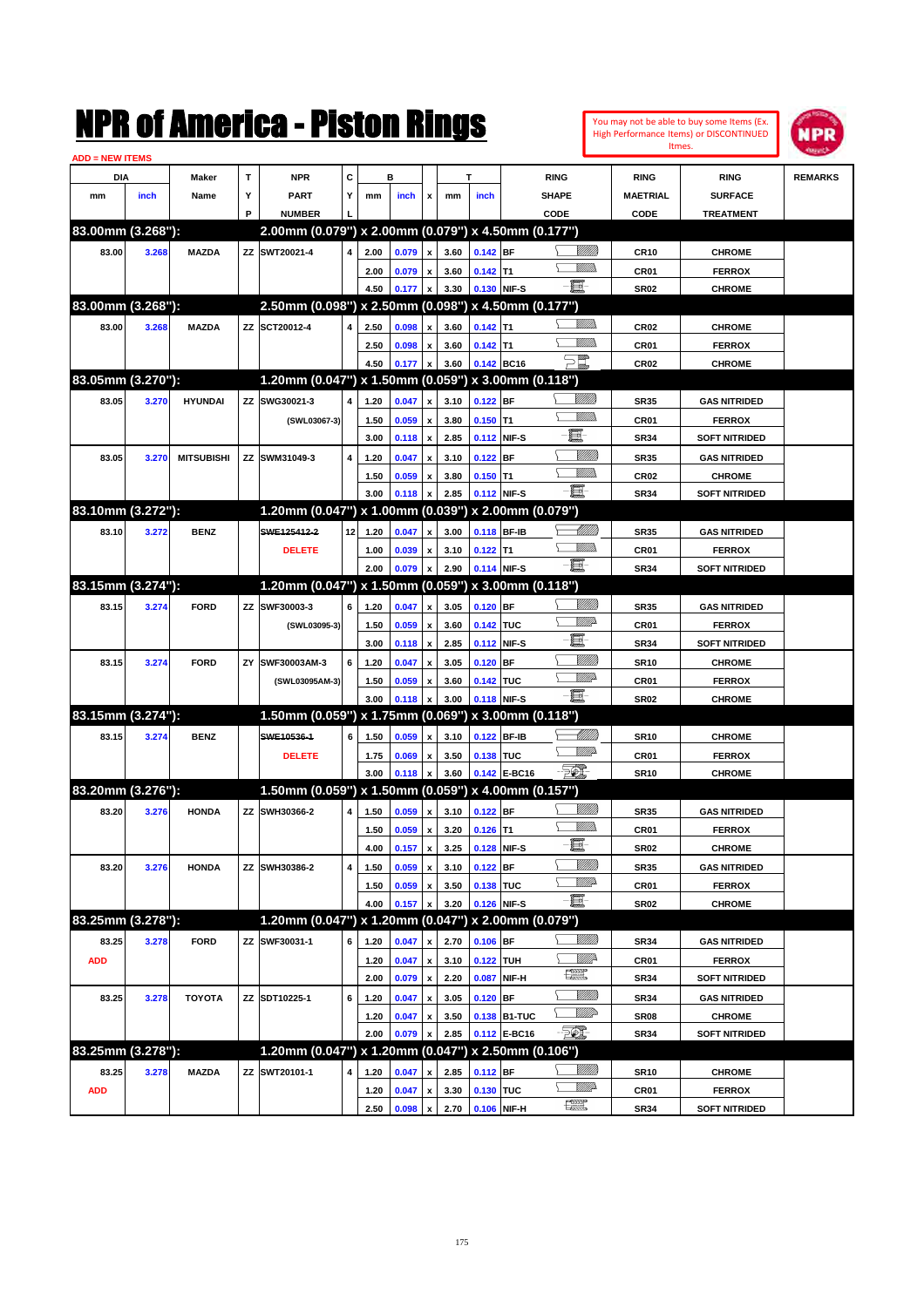|                               |       |                   |    | NMK OI AINCrica - Miston Kings                      |                         |              |                |                                          |              |                  |              |                               |                 |                  | You may not be able to buy some Items (Ex.<br><b>High Performance Items) or DISCONTINUED</b><br>Itmes. | <b>MPR</b>     |
|-------------------------------|-------|-------------------|----|-----------------------------------------------------|-------------------------|--------------|----------------|------------------------------------------|--------------|------------------|--------------|-------------------------------|-----------------|------------------|--------------------------------------------------------------------------------------------------------|----------------|
| <b>ADD = NEW ITEMS</b><br>DIA |       | Maker             | T  | <b>NPR</b>                                          | C                       |              | в              |                                          |              | T                |              | <b>RING</b>                   |                 | <b>RING</b>      | <b>RING</b>                                                                                            | <b>REMARKS</b> |
| mm                            | inch  | Name              | Υ  | <b>PART</b>                                         | Υ                       | mm           | inch           | x                                        | mm           | inch             |              | <b>SHAPE</b>                  |                 | <b>MAETRIAL</b>  | <b>SURFACE</b>                                                                                         |                |
|                               |       |                   | P  | <b>NUMBER</b>                                       |                         |              |                |                                          |              |                  |              | CODE                          |                 | CODE             | <b>TREATMENT</b>                                                                                       |                |
| 83.00mm (3.268"):             |       |                   |    | 2.00mm (0.079") x 2.00mm (0.079") x 4.50mm (0.177") |                         |              |                |                                          |              |                  |              |                               |                 |                  |                                                                                                        |                |
| 83.00                         | 3.268 | <b>MAZDA</b>      |    | ZZ SWT20021-4                                       | 4                       | 2.00         | 0.079          | $\pmb{\mathsf{x}}$                       | 3.60         | $0.142$ BF       |              |                               | <u>Sillilli</u> | <b>CR10</b>      | <b>CHROME</b>                                                                                          |                |
|                               |       |                   |    |                                                     |                         | 2.00         | 0.079          | $\pmb{\mathsf{x}}$                       | 3.60         | $0.142$ T1       |              |                               | <br>Mar         | CR01             | <b>FERROX</b>                                                                                          |                |
|                               |       |                   |    |                                                     |                         | 4.50         | 0.177          | $\pmb{\mathsf{x}}$                       | 3.30         |                  | 0.130 NIF-S  | E-                            |                 | <b>SR02</b>      | <b>CHROME</b>                                                                                          |                |
| 83.00mm (3.268"):             |       |                   |    | 2.50mm (0.098") x 2.50mm (0.098") x 4.50mm (0.177") |                         |              |                |                                          |              |                  |              |                               |                 |                  |                                                                                                        |                |
| 83.00                         | 3.268 | <b>MAZDA</b>      |    | ZZ SCT20012-4                                       | 4                       | 2.50         | 0.098          | $\pmb{\mathsf{x}}$                       | 3.60         | $0.142$ T1       |              |                               | <br>Mar         | CR <sub>02</sub> | <b>CHROME</b>                                                                                          |                |
|                               |       |                   |    |                                                     |                         | 2.50         | 0.098          | $\pmb{\mathsf{x}}$                       | 3.60         | $0.142$ T1       |              |                               | <br>Mar         | CR01             | <b>FERROX</b>                                                                                          |                |
|                               |       |                   |    |                                                     |                         | 4.50         | 0.177          | $\pmb{\mathsf{x}}$                       | 3.60         |                  | 0.142 BC16   |                               |                 | CR <sub>02</sub> | <b>CHROME</b>                                                                                          |                |
| 83.05mm (3.270"):             |       |                   |    | 1.20mm (0.047") x 1.50mm (0.059") x 3.00mm (0.118") |                         |              |                |                                          |              |                  |              |                               |                 |                  |                                                                                                        |                |
| 83.05                         | 3.270 | <b>HYUNDAI</b>    |    | ZZ SWG30021-3                                       | 4                       | 1.20         | 0.047          | $\pmb{\mathsf{x}}$                       | 3.10         | $0.122$ BF       |              |                               | <u>Milli</u> h  | <b>SR35</b>      | <b>GAS NITRIDED</b>                                                                                    |                |
|                               |       |                   |    | (SWL03067-3)                                        |                         | 1.50         | 0.059          | $\pmb{\mathsf{x}}$                       | 3.80         | $0.150$ T1       |              |                               | <br>Mar         | CR01             | <b>FERROX</b>                                                                                          |                |
|                               |       |                   |    |                                                     |                         | 3.00         | 0.118          | $\pmb{\mathsf{x}}$                       | 2.85         |                  | 0.112 NIF-S  | E.                            |                 | <b>SR34</b>      | <b>SOFT NITRIDED</b>                                                                                   |                |
| 83.05                         | 3.270 | <b>MITSUBISHI</b> |    | ZZ SWM31049-3                                       | 4                       | 1.20         | 0.047          | $\pmb{\mathsf{x}}$                       | 3.10         | $0.122$ BF       |              |                               | <u>VMM)</u>     | <b>SR35</b>      | <b>GAS NITRIDED</b>                                                                                    |                |
|                               |       |                   |    |                                                     |                         | 1.50         | 0.059          | $\pmb{\mathsf{x}}$                       | 3.80         | $0.150$ T1       |              |                               | <br>Villida     | CR <sub>02</sub> | <b>CHROME</b>                                                                                          |                |
|                               |       |                   |    |                                                     |                         | 3.00         | 0.118          | x                                        | 2.85         |                  | 0.112 NIF-S  | e et                          |                 | <b>SR34</b>      | <b>SOFT NITRIDED</b>                                                                                   |                |
| 83.10mm (3.272"):             |       |                   |    | 1.20mm (0.047") x 1.00mm (0.039") x 2.00mm (0.079") |                         |              |                |                                          |              |                  |              |                               |                 |                  |                                                                                                        |                |
| 83.10                         | 3.272 | <b>BENZ</b>       |    | SWE125412-2                                         | 12                      | 1.20         | 0.047          | $\pmb{\mathsf{x}}$                       | 3.00         | 0.118 BF-IB      |              |                               | <u> UMB</u>     | <b>SR35</b>      | <b>GAS NITRIDED</b>                                                                                    |                |
|                               |       |                   |    | <b>DELETE</b>                                       |                         | 1.00         | 0.039          | $\pmb{\mathsf{x}}$                       | 3.10         | $0.122$ T1       |              |                               | <br>Mar         | CR01             | <b>FERROX</b>                                                                                          |                |
|                               |       |                   |    |                                                     |                         | 2.00         | 0.079          | $\pmb{\mathsf{x}}$                       | 2.90         | 0.114 NIF-S      |              | $-\mathbf{H}$                 |                 | <b>SR34</b>      | <b>SOFT NITRIDED</b>                                                                                   |                |
| 83.15mm (3.274"):             |       |                   |    | 1.20mm (0.047") x 1.50mm (0.059") x 3.00mm (0.118") |                         |              |                |                                          |              |                  |              |                               |                 |                  |                                                                                                        |                |
| 83.15                         | 3.274 | <b>FORD</b>       |    | ZZ SWF30003-3                                       | 6                       | 1.20         | 0.047          | $\pmb{\mathsf{x}}$                       | 3.05         | $0.120$ BF       |              |                               | <u>Milli</u> k  | <b>SR35</b>      | <b>GAS NITRIDED</b>                                                                                    |                |
|                               |       |                   |    | (SWL03095-3)                                        |                         | 1.50         | 0.059          | $\pmb{\mathsf{x}}$                       | 3.60         | 0.142 TUC        |              |                               | <u>MM</u> D     | CR01             | <b>FERROX</b>                                                                                          |                |
|                               |       |                   |    |                                                     |                         | 3.00         | 0.118          | $\pmb{\mathsf{x}}$                       | 2.85         |                  | 0.112 NIF-S  | E                             |                 | <b>SR34</b>      | <b>SOFT NITRIDED</b>                                                                                   |                |
| 83.15                         | 3.274 | <b>FORD</b>       | ZY | SWF30003AM-3                                        | 6                       | 1.20         | 0.047          | $\pmb{\mathsf{x}}$                       | 3.05         | $0.120$ BF       |              |                               | <u>VMM)</u>     | <b>SR10</b>      | <b>CHROME</b>                                                                                          |                |
|                               |       |                   |    | (SWL03095AM-3)                                      |                         | 1.50         | 0.059          | $\pmb{\mathsf{x}}$                       | 3.60         | 0.142 TUC        |              |                               | <u>MM</u> D     | CR01             | <b>FERROX</b>                                                                                          |                |
|                               |       |                   |    |                                                     |                         | 3.00         | 0.118          | x                                        | 3.00         |                  | 0.118 NIF-S  | -8                            |                 | <b>SR02</b>      | <b>CHROME</b>                                                                                          |                |
| 83.15mm (3.274"):             |       |                   |    | 1.50mm (0.059") x 1.75mm (0.069") x 3.00mm (0.118") |                         |              |                |                                          |              |                  |              |                               |                 |                  |                                                                                                        |                |
| 83.15                         | 3.274 | <b>BENZ</b>       |    | SWE10536-1                                          | 6                       | 1.50         | 0.059          | $\pmb{\mathsf{x}}$                       | 3.10         | 0.122 BF-IB      |              |                               | MMM)            | <b>SR10</b>      | <b>CHROME</b>                                                                                          |                |
|                               |       |                   |    | <b>DELETE</b>                                       |                         | 1.75         | 0.069          | $\pmb{\mathsf{x}}$                       | 3.50         | 0.138 TUC        |              |                               | <u>VM</u> D     | CR01             | <b>FERROX</b>                                                                                          |                |
|                               |       |                   |    |                                                     |                         | 3.00         | 0.118          | x                                        | 3.60         |                  | 0.142 E-BC16 | EO)                           |                 | <b>SR10</b>      | <b>CHROME</b>                                                                                          |                |
| 83.20mm (3.276"):             |       |                   |    | 1.50mm (0.059") x 1.50mm (0.059") x 4.00mm (0.157") |                         |              |                |                                          |              |                  |              |                               |                 |                  |                                                                                                        |                |
| 83.20                         | 3.276 | <b>HONDA</b>      |    | ZZ SWH30366-2                                       | $\overline{\mathbf{4}}$ | 1.50         | 0.059          | $\boldsymbol{\mathsf{x}}$                |              | 3.10 0.122 BF    |              |                               |                 | <b>SR35</b>      | <b>GAS NITRIDED</b>                                                                                    |                |
|                               |       |                   |    |                                                     |                         | 1.50         | 0.059          | $\pmb{\mathsf{x}}$                       | 3.20         | $0.126$ T1       |              |                               | <u>Willib</u>   | CR01             | <b>FERROX</b>                                                                                          |                |
|                               |       |                   |    |                                                     |                         | 4.00         | 0.157          | $\pmb{\mathsf{x}}$                       | 3.25         |                  | 0.128 NIF-S  | E                             |                 | <b>SR02</b>      | <b>CHROME</b>                                                                                          |                |
| 83.20                         | 3.276 | <b>HONDA</b>      |    | ZZ SWH30386-2                                       | 4                       | 1.50         | 0.059          | $\pmb{\mathsf{x}}$                       | 3.10         | $0.122$ BF       |              |                               | <u>VIIII)</u>   | SR35             | <b>GAS NITRIDED</b>                                                                                    |                |
|                               |       |                   |    |                                                     |                         | 1.50         | 0.059          | x                                        | 3.50         | 0.138 TUC        |              |                               | <u>WW</u> A     | CR01             | <b>FERROX</b>                                                                                          |                |
|                               |       |                   |    |                                                     |                         | 4.00         | 0.157          | X                                        | 3.20         |                  | 0.126 NIF-S  | E                             |                 | <b>SR02</b>      | <b>CHROME</b>                                                                                          |                |
| 83.25mm (3.278"):             |       |                   |    | 1.20mm (0.047") x 1.20mm (0.047") x 2.00mm (0.079") |                         |              |                |                                          |              |                  |              |                               |                 |                  |                                                                                                        |                |
| 83.25                         | 3.278 | <b>FORD</b>       |    | ZZ SWF30031-1                                       | 6                       | 1.20         | 0.047          | $\pmb{\mathsf{x}}$                       | 2.70         | $0.106$ BF       |              |                               | <u>UMB</u>      | SR34             | <b>GAS NITRIDED</b>                                                                                    |                |
|                               |       |                   |    |                                                     |                         |              |                |                                          |              |                  |              |                               | <u>Willi</u>    |                  | <b>FERROX</b>                                                                                          |                |
| <b>ADD</b>                    |       |                   |    |                                                     |                         | 1.20<br>2.00 | 0.047<br>0.079 | $\pmb{\mathsf{x}}$<br>$\pmb{\mathsf{x}}$ | 3.10<br>2.20 | <b>0.122 TUH</b> | 0.087 NIF-H  | $f_{\text{max}}^{\text{max}}$ |                 | CR01<br>SR34     | <b>SOFT NITRIDED</b>                                                                                   |                |
|                               |       |                   |    |                                                     |                         |              |                |                                          |              |                  |              |                               | <u>VIIII)</u>   |                  |                                                                                                        |                |
| 83.25                         | 3.278 | <b>TOYOTA</b>     |    | ZZ SDT10225-1                                       | 6                       | 1.20         | 0.047          | $\pmb{\mathsf{x}}$                       | 3.05         | $0.120$ BF       |              |                               | ₩₩              | <b>SR34</b>      | <b>GAS NITRIDED</b>                                                                                    |                |
|                               |       |                   |    |                                                     |                         | 1.20         | 0.047          | $\pmb{\mathsf{x}}$                       | 3.50         |                  | 0.138 B1-TUC | EQ,                           |                 | <b>SR08</b>      | CHROME                                                                                                 |                |
| 83.25mm (3.278"):             |       |                   |    | 1.20mm (0.047") x 1.20mm (0.047") x 2.50mm (0.106") |                         | 2.00         | 0.079          | x                                        | 2.85         |                  | 0.112 E-BC16 |                               |                 | SR34             | <b>SOFT NITRIDED</b>                                                                                   |                |
|                               |       |                   |    |                                                     |                         |              |                |                                          |              |                  |              |                               | <u>UMB</u>      |                  |                                                                                                        |                |
| 83.25                         | 3.278 | <b>MAZDA</b>      |    | ZZ SWT20101-1                                       | 4                       | 1.20         | 0.047          | x                                        | 2.85         | $0.112$ BF       |              |                               | <u>VMD</u>      | <b>SR10</b>      | <b>CHROME</b>                                                                                          |                |
| <b>ADD</b>                    |       |                   |    |                                                     |                         | 1.20         | 0.047          | $\pmb{\mathsf{x}}$                       | 3.30         | 0.130 TUC        |              | æ                             |                 | CR01             | <b>FERROX</b>                                                                                          |                |
|                               |       |                   |    |                                                     |                         | 2.50         | 0.098          | $\boldsymbol{x}$                         |              | 2.70 0.106 NIF-H |              |                               |                 | SR34             | <b>SOFT NITRIDED</b>                                                                                   |                |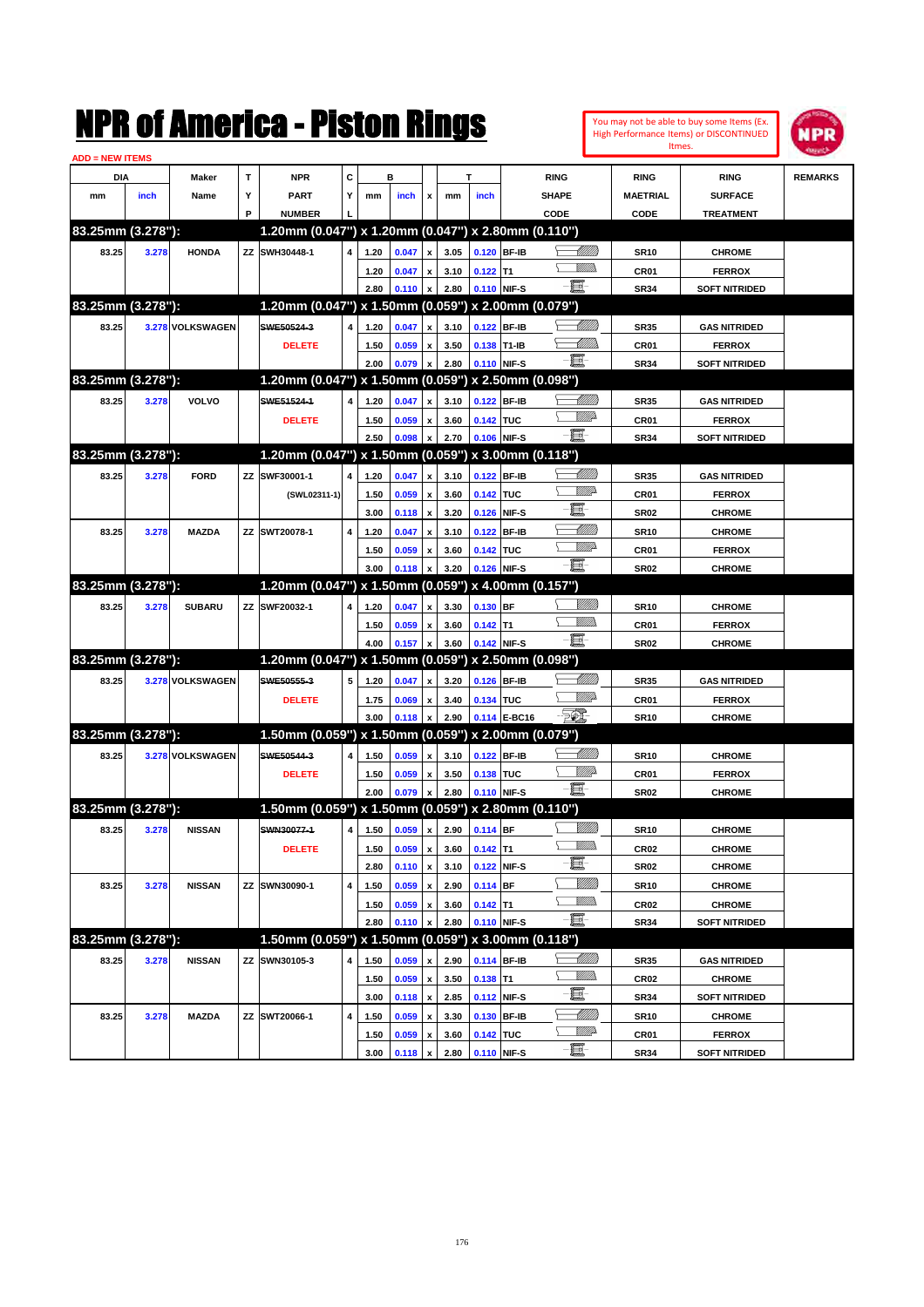|                        |       |                  |    | NMK OI AINCrica - Miston Kings                      |   |      |       |                           |      |             |              |                 |                   |                  | You may not be able to buy some Items (Ex.<br>High Performance Items) or DISCONTINUED | IPR            |
|------------------------|-------|------------------|----|-----------------------------------------------------|---|------|-------|---------------------------|------|-------------|--------------|-----------------|-------------------|------------------|---------------------------------------------------------------------------------------|----------------|
| <b>ADD = NEW ITEMS</b> |       |                  |    |                                                     |   |      |       |                           |      |             |              |                 |                   | Itmes.           |                                                                                       |                |
| DIA                    |       | Maker            | T  | <b>NPR</b>                                          | C |      | в     |                           |      | T           |              | <b>RING</b>     |                   | <b>RING</b>      | <b>RING</b>                                                                           | <b>REMARKS</b> |
| mm                     | inch  | Name             | Υ  | PART                                                | Y | mm   | inch  | x                         | mm   | inch        |              | <b>SHAPE</b>    |                   | <b>MAETRIAL</b>  | <b>SURFACE</b>                                                                        |                |
|                        |       |                  | P  | <b>NUMBER</b>                                       |   |      |       |                           |      |             |              | CODE            |                   | CODE             | <b>TREATMENT</b>                                                                      |                |
| 83.25mm (3.278"):      |       |                  |    | 1.20mm (0.047") x 1.20mm (0.047") x 2.80mm (0.110") |   |      |       |                           |      |             |              |                 |                   |                  |                                                                                       |                |
| 83.25                  | 3.278 | <b>HONDA</b>     | ZZ | SWH30448-1                                          | 4 | 1.20 | 0.047 | x                         | 3.05 | 0.120 BF-IB |              |                 | <u>UM///</u>      | <b>SR10</b>      | <b>CHROME</b>                                                                         |                |
|                        |       |                  |    |                                                     |   | 1.20 | 0.047 | X                         | 3.10 | $0.122$ T1  |              |                 | <br>Militar       | CR <sub>01</sub> | <b>FERROX</b>                                                                         |                |
|                        |       |                  |    |                                                     |   | 2.80 | 0.110 | $\boldsymbol{\mathsf{x}}$ | 2.80 | 0.110 NIF-S |              | -8              |                   | <b>SR34</b>      | <b>SOFT NITRIDED</b>                                                                  |                |
| 83.25mm (3.278"):      |       |                  |    | 1.20mm (0.047") x 1.50mm (0.059") x 2.00mm (0.079") |   |      |       |                           |      |             |              |                 |                   |                  |                                                                                       |                |
| 83.25                  |       | 3.278 VOLKSWAGEN |    | SWE50524-3                                          | 4 | 1.20 | 0.047 | x                         | 3.10 |             | 0.122 BF-IB  |                 | <u> Milli</u> lli | <b>SR35</b>      | <b>GAS NITRIDED</b>                                                                   |                |
|                        |       |                  |    | <b>DELETE</b>                                       |   | 1.50 | 0.059 | X                         | 3.50 | 0.138 T1-IB |              |                 | <u>UMM</u>        | CR <sub>01</sub> | <b>FERROX</b>                                                                         |                |
|                        |       |                  |    |                                                     |   | 2.00 | 0.079 | $\boldsymbol{\mathsf{x}}$ | 2.80 | 0.110 NIF-S |              | E.              |                   | <b>SR34</b>      | <b>SOFT NITRIDED</b>                                                                  |                |
| 83.25mm (3.278"):      |       |                  |    | 1.20mm (0.047") x 1.50mm (0.059") x 2.50mm (0.098") |   |      |       |                           |      |             |              |                 |                   |                  |                                                                                       |                |
| 83.25                  | 3.278 | VOLVO            |    | SWE51524-1                                          | 4 | 1.20 | 0.047 | x                         | 3.10 |             | 0.122 BF-IB  |                 | <u> MMW</u>       | <b>SR35</b>      | <b>GAS NITRIDED</b>                                                                   |                |
|                        |       |                  |    | <b>DELETE</b>                                       |   | 1.50 | 0.059 | X                         | 3.60 | 0.142 TUC   |              |                 | WMD-              | CR <sub>01</sub> | <b>FERROX</b>                                                                         |                |
|                        |       |                  |    |                                                     |   | 2.50 | 0.098 | X                         | 2.70 | 0.106 NIF-S |              | -8              |                   | <b>SR34</b>      | <b>SOFT NITRIDED</b>                                                                  |                |
| 83.25mm (3.278"):      |       |                  |    | 1.20mm (0.047") x 1.50mm (0.059") x 3.00mm (0.118") |   |      |       |                           |      |             |              |                 |                   |                  |                                                                                       |                |
| 83.25                  | 3.278 | <b>FORD</b>      | ZZ | SWF30001-1                                          | 4 | 1.20 | 0.047 | X                         | 3.10 |             | 0.122 BF-IB  |                 | <u> UMM</u>       | <b>SR35</b>      | <b>GAS NITRIDED</b>                                                                   |                |
|                        |       |                  |    | (SWL02311-1)                                        |   | 1.50 | 0.059 | x                         | 3.60 | 0.142 TUC   |              |                 | <u>MM</u> D       | CR <sub>01</sub> | <b>FERROX</b>                                                                         |                |
|                        |       |                  |    |                                                     |   | 3.00 | 0.118 | $\boldsymbol{\mathsf{x}}$ | 3.20 |             | 0.126 NIF-S  | E               |                   | <b>SR02</b>      | <b>CHROME</b>                                                                         |                |
| 83.25                  | 3.278 | <b>MAZDA</b>     | ΖZ | SWT20078-1                                          | 4 | 1.20 | 0.047 | X                         | 3.10 |             | 0.122 BF-IB  |                 | <u> UMM</u>       | <b>SR10</b>      | <b>CHROME</b>                                                                         |                |
|                        |       |                  |    |                                                     |   | 1.50 | 0.059 | x                         | 3.60 | 0.142 TUC   |              |                 | <u>Willia</u>     | CR <sub>01</sub> | <b>FERROX</b>                                                                         |                |
|                        |       |                  |    |                                                     |   | 3.00 | 0.118 | X                         | 3.20 | 0.126 NIF-S |              | -8              |                   | <b>SR02</b>      | <b>CHROME</b>                                                                         |                |
| 83.25mm (3.278"):      |       |                  |    | 1.20mm (0.047") x 1.50mm (0.059") x 4.00mm (0.157") |   |      |       |                           |      |             |              |                 |                   |                  |                                                                                       |                |
| 83.25                  | 3.278 | <b>SUBARU</b>    | ZZ | SWF20032-1                                          | 4 | 1.20 | 0.047 | x                         | 3.30 | 0.130 BF    |              |                 | <u>Milli</u>      | <b>SR10</b>      | <b>CHROME</b>                                                                         |                |
|                        |       |                  |    |                                                     |   | 1.50 | 0.059 | x                         | 3.60 | $0.142$ T1  |              | .<br>Villid     |                   | CR <sub>01</sub> | <b>FERROX</b>                                                                         |                |
|                        |       |                  |    |                                                     |   | 4.00 | 0.157 | X                         | 3.60 | 0.142 NIF-S |              | -00             |                   | <b>SR02</b>      | <b>CHROME</b>                                                                         |                |
| 83.25mm (3.278"):      |       |                  |    | 1.20mm (0.047") x 1.50mm (0.059") x 2.50mm (0.098") |   |      |       |                           |      |             |              |                 |                   |                  |                                                                                       |                |
| 83.25                  |       | 3.278 VOLKSWAGEN |    | SWE50555-3                                          | 5 | 1.20 | 0.047 | x                         | 3.20 | 0.126 BF-IB |              |                 | <u> MMM</u>       | <b>SR35</b>      | <b>GAS NITRIDED</b>                                                                   |                |
|                        |       |                  |    | <b>DELETE</b>                                       |   | 1.75 | 0.069 | X                         | 3.40 | 0.134 TUC   |              |                 | <u>MM</u>         | CR <sub>01</sub> | <b>FERROX</b>                                                                         |                |
|                        |       |                  |    |                                                     |   | 3.00 | 0.118 | $\boldsymbol{\mathsf{x}}$ | 2.90 |             | 0.114 E-BC16 | FO)             |                   | <b>SR10</b>      | <b>CHROME</b>                                                                         |                |
| 83.25mm (3.278"):      |       |                  |    | 1.50mm (0.059") x 1.50mm (0.059") x 2.00mm (0.079") |   |      |       |                           |      |             |              |                 |                   |                  |                                                                                       |                |
| 83.25                  |       | 3.278 VOLKSWAGEN |    | SWE50544-3                                          | 4 | 1.50 | 0.059 | x                         | 3.10 | 0.122 BF-IB |              |                 | <u> Millitt</u>   | <b>SR10</b>      | <b>CHROME</b>                                                                         |                |
|                        |       |                  |    | <b>DELETE</b>                                       |   | 1.50 | 0.059 | x                         | 3.50 | 0.138 TUC   |              | 耳               | <u>Willia</u>     | CR <sub>01</sub> | <b>FERROX</b>                                                                         |                |
|                        |       |                  |    |                                                     |   | 2.00 | 0.079 | x                         | 2.80 | 0.110 NIF-S |              |                 |                   | <b>SR02</b>      | <b>CHROME</b>                                                                         |                |
| 83.25mm (3.278"):      |       |                  |    | 1.50mm (0.059") x 1.50mm (0.059") x 2.80mm (0.110") |   |      |       |                           |      |             |              |                 |                   |                  |                                                                                       |                |
| 83.25                  | 3.278 | <b>NISSAN</b>    |    | SWN30077-1                                          | 4 | 1.50 | 0.059 | $\pmb{\mathsf{x}}$        | 2.90 | $0.114$ BF  |              | <u>VMM)</u>     | <u>Milli</u> h    | <b>SR10</b>      | <b>CHROME</b>                                                                         |                |
|                        |       |                  |    | <b>DELETE</b>                                       |   | 1.50 | 0.059 | $\pmb{\mathsf{x}}$        | 3.60 | $0.142$ T1  |              | e.              |                   | CR02             | <b>CHROME</b>                                                                         |                |
|                        |       |                  |    |                                                     |   | 2.80 | 0.110 | $\boldsymbol{\mathsf{x}}$ | 3.10 |             | 0.122 NIF-S  |                 | <u>VMM</u>        | <b>SR02</b>      | <b>CHROME</b>                                                                         |                |
| 83.25                  | 3.278 | <b>NISSAN</b>    | ΖZ | SWN30090-1                                          | 4 | 1.50 | 0.059 | $\pmb{\mathsf{x}}$        | 2.90 | 0.114 BF    |              |                 | <u>Willib</u>     | <b>SR10</b>      | <b>CHROME</b>                                                                         |                |
|                        |       |                  |    |                                                     |   | 1.50 | 0.059 | X                         | 3.60 | $0.142$ T1  |              | $-\Xi$          |                   | CR02             | <b>CHROME</b>                                                                         |                |
| 83.25mm (3.278"):      |       |                  |    | 1.50mm (0.059") x 1.50mm (0.059") x 3.00mm (0.118") |   | 2.80 | 0.110 | X                         | 2.80 | 0.110 NIF-S |              |                 |                   | <b>SR34</b>      | <b>SOFT NITRIDED</b>                                                                  |                |
| 83.25                  | 3.278 | <b>NISSAN</b>    | ΖZ | SWN30105-3                                          | 4 | 1.50 | 0.059 | X                         | 2.90 | 0.114 BF-IB |              | <u>-Milli</u> b |                   | <b>SR35</b>      | <b>GAS NITRIDED</b>                                                                   |                |
|                        |       |                  |    |                                                     |   | 1.50 | 0.059 | $\pmb{\mathsf{x}}$        | 3.50 | $0.138$ T1  |              | <u>Willib</u>   |                   | CR02             | <b>CHROME</b>                                                                         |                |
|                        |       |                  |    |                                                     |   | 3.00 | 0.118 | $\pmb{\mathsf{x}}$        | 2.85 |             | 0.112 NIF-S  | e-              |                   | <b>SR34</b>      | <b>SOFT NITRIDED</b>                                                                  |                |
| 83.25                  | 3.278 | <b>MAZDA</b>     | ΖZ | SWT20066-1                                          | 4 | 1.50 | 0.059 | x                         | 3.30 |             | 0.130 BF-IB  |                 | <u> Milli</u> ll  | <b>SR10</b>      | <b>CHROME</b>                                                                         |                |
|                        |       |                  |    |                                                     |   | 1.50 | 0.059 | $\pmb{\mathsf{x}}$        | 3.60 | 0.142 TUC   |              |                 | <u>WW</u> A       | CR01             | <b>FERROX</b>                                                                         |                |
|                        |       |                  |    |                                                     |   | 3.00 | 0.118 | $\pmb{\mathsf{x}}$        | 2.80 | 0.110 NIF-S |              | -8              |                   | <b>SR34</b>      | <b>SOFT NITRIDED</b>                                                                  |                |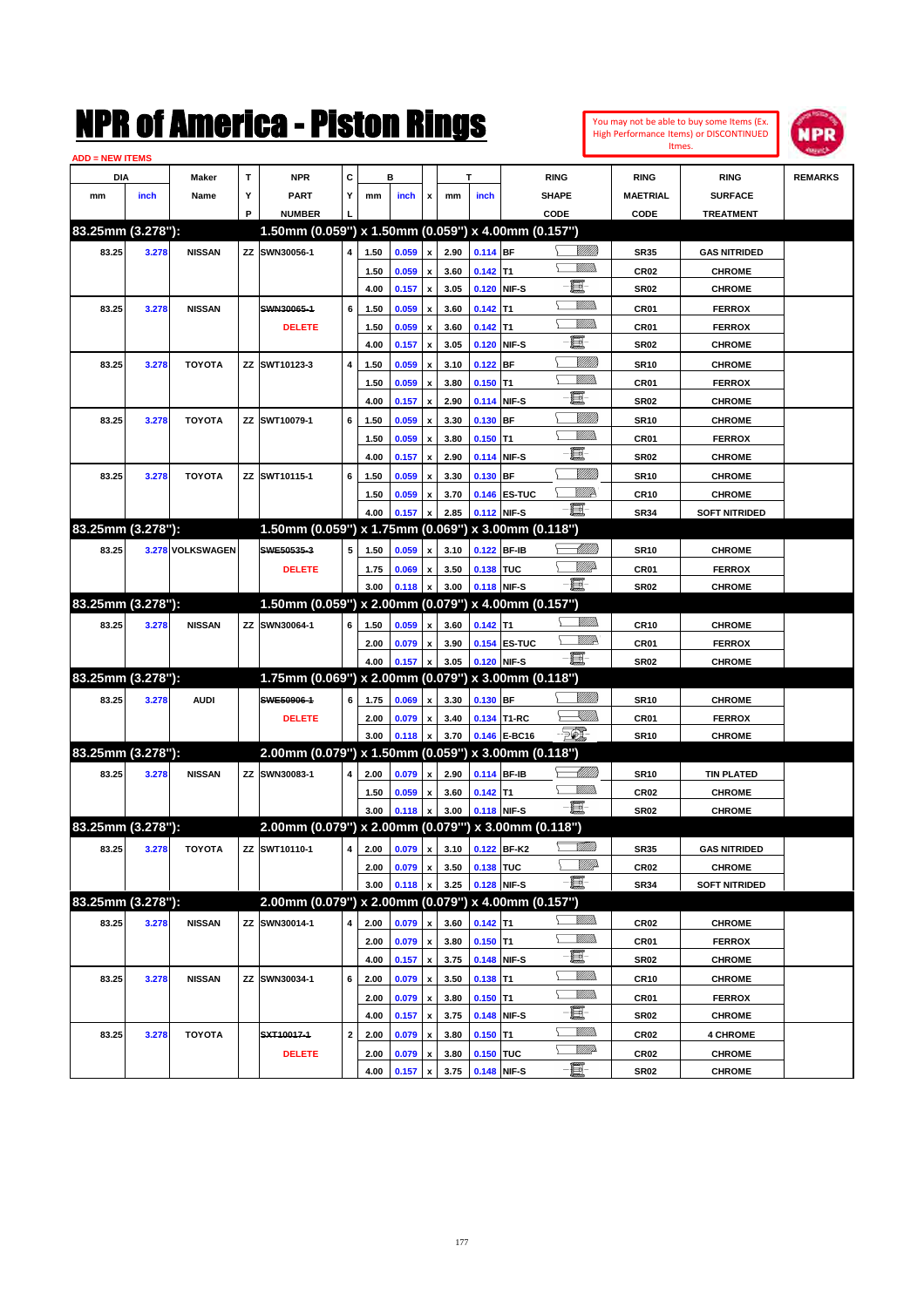| You may not be able to buy some Items (Ex. |
|--------------------------------------------|
| High Performance Items) or DISCONTINUED    |
| Itmes.                                     |



| <b>ADD = NEW ITEMS</b> |       |                  |    |                                                      |              |      |       |                    |                                 |             |              |                       |                  |                      |                |
|------------------------|-------|------------------|----|------------------------------------------------------|--------------|------|-------|--------------------|---------------------------------|-------------|--------------|-----------------------|------------------|----------------------|----------------|
| DIA                    |       | Maker            | т  | NPR                                                  | С            |      | в     |                    |                                 | т           |              | <b>RING</b>           | <b>RING</b>      | <b>RING</b>          | <b>REMARKS</b> |
| mm                     | inch  | Name             | Υ  | <b>PART</b>                                          | Y            | mm   | inch  | x                  | mm                              | inch        |              | <b>SHAPE</b>          | <b>MAETRIAL</b>  | <b>SURFACE</b>       |                |
|                        |       |                  | P  | <b>NUMBER</b>                                        |              |      |       |                    |                                 |             |              | CODE                  | CODE             | <b>TREATMENT</b>     |                |
| 83.25mm (3.278"):      |       |                  |    | 1.50mm (0.059") x 1.50mm (0.059") x 4.00mm (0.157")  |              |      |       |                    |                                 |             |              |                       |                  |                      |                |
| 83.25                  | 3.278 | <b>NISSAN</b>    |    | ZZ SWN30056-1                                        | 4            | 1.50 | 0.059 | x                  | 2.90                            | 0.114 BF    |              | <u> UMB</u>           | <b>SR35</b>      | <b>GAS NITRIDED</b>  |                |
|                        |       |                  |    |                                                      |              | 1.50 | 0.059 |                    | 3.60                            | $0.142$ T1  |              | <br>Mad               | <b>CR02</b>      | <b>CHROME</b>        |                |
|                        |       |                  |    |                                                      |              | 4.00 | 0.157 | x                  | 3.05                            |             | 0.120 NIF-S  | e                     | <b>SR02</b>      | <b>CHROME</b>        |                |
| 83.25                  | 3.278 | <b>NISSAN</b>    |    | SWN30065-1                                           | 6            | 1.50 | 0.059 |                    | 3.60                            | $0.142$ T1  |              | <br>Mar               | CR01             | <b>FERROX</b>        |                |
|                        |       |                  |    | <b>DELETE</b>                                        |              | 1.50 | 0.059 |                    | 3.60                            | $0.142$ T1  |              | UM)                   | CR <sub>01</sub> | <b>FERROX</b>        |                |
|                        |       |                  |    |                                                      |              | 4.00 | 0.157 | x                  | 3.05                            |             | 0.120 NIF-S  | e                     | <b>SR02</b>      | <b>CHROME</b>        |                |
| 83.25                  | 3.278 | <b>TOYOTA</b>    |    | ZZ SWT10123-3                                        | 4            | 1.50 | 0.059 |                    | 3.10                            | $0.122$ BF  |              | <u>Milli</u> k        | <b>SR10</b>      | <b>CHROME</b>        |                |
|                        |       |                  |    |                                                      |              | 1.50 | 0.059 |                    | 3.80                            | $0.150$ T1  |              | .<br>VMD              | CR <sub>01</sub> | <b>FERROX</b>        |                |
|                        |       |                  |    |                                                      |              | 4.00 | 0.157 | x                  | 2.90                            |             | 0.114 NIF-S  | e                     | <b>SR02</b>      | <b>CHROME</b>        |                |
| 83.25                  | 3.278 | <b>TOYOTA</b>    |    | ZZ SWT10079-1                                        | 6            | 1.50 | 0.059 |                    | 3.30                            | $0.130$ BF  |              | <u>Milli</u>          | <b>SR10</b>      | <b>CHROME</b>        |                |
|                        |       |                  |    |                                                      |              | 1.50 | 0.059 |                    | 3.80                            | $0.150$ T1  |              | <br>Mar               | CR <sub>01</sub> | <b>FERROX</b>        |                |
|                        |       |                  |    |                                                      |              | 4.00 | 0.157 | x                  | 2.90                            |             | 0.114 NIF-S  | E                     | <b>SR02</b>      | <b>CHROME</b>        |                |
| 83.25                  | 3.278 | <b>TOYOTA</b>    |    | ZZ SWT10115-1                                        | 6            | 1.50 | 0.059 |                    | 3.30                            | $0.130$ BF  |              | <u>Milli</u>          | <b>SR10</b>      | <b>CHROME</b>        |                |
|                        |       |                  |    |                                                      |              | 1.50 | 0.059 | x                  | 3.70                            |             | 0.146 ES-TUC | <u>VIIID</u>          | <b>CR10</b>      | <b>CHROME</b>        |                |
|                        |       |                  |    |                                                      |              | 4.00 | 0.157 |                    | 2.85                            | 0.112 NIF-S |              | - E                   | <b>SR34</b>      | <b>SOFT NITRIDED</b> |                |
| 83.25mm (3.278"):      |       |                  |    | 1.50mm (0.059") x 1.75mm (0.069") x 3.00mm (0.118")  |              |      |       |                    |                                 |             |              |                       |                  |                      |                |
| 83.25                  |       | 3.278 VOLKSWAGEN |    | SWE50535-3                                           | 5            | 1.50 | 0.059 | x                  | 3.10                            | 0.122 BF-IB |              | <u> MM)</u>           | <b>SR10</b>      | <b>CHROME</b>        |                |
|                        |       |                  |    | <b>DELETE</b>                                        |              | 1.75 | 0.069 |                    | 3.50                            | 0.138 TUC   |              | <u>MMP</u>            | <b>CR01</b>      | <b>FERROX</b>        |                |
|                        |       |                  |    |                                                      |              | 3.00 | 0.118 | x                  | 3.00                            |             | 0.118 NIF-S  | -E.                   | <b>SR02</b>      | <b>CHROME</b>        |                |
| 83.25mm (3.278"):      |       |                  |    | 1.50mm (0.059") x 2.00mm (0.079") x 4.00mm (0.157")  |              |      |       |                    |                                 |             |              |                       |                  |                      |                |
| 83.25                  | 3.278 | <b>NISSAN</b>    | ΖZ | SWN30064-1                                           | 6            | 1.50 | 0.059 |                    | 3.60                            | $0.142$ T1  |              | <br>Mar               | <b>CR10</b>      | <b>CHROME</b>        |                |
|                        |       |                  |    |                                                      |              | 2.00 | 0.079 | x                  | 3.90                            |             | 0.154 ES-TUC | <u>VM</u> D           | CR <sub>01</sub> | <b>FERROX</b>        |                |
|                        |       |                  |    |                                                      |              | 4.00 | 0.157 |                    | 3.05                            |             | 0.120 NIF-S  | $-\Xi$ -              | <b>SR02</b>      | <b>CHROME</b>        |                |
| 83.25mm (3.278"):      |       |                  |    | 1.75mm (0.069") x 2.00mm (0.079") x 3.00mm (0.118")  |              |      |       |                    |                                 |             |              |                       |                  |                      |                |
| 83.25                  | 3.278 | <b>AUDI</b>      |    | SWE50906-1                                           | 6            | 1.75 | 0.069 | x                  | 3.30                            | 0.130 BF    |              |                       | <b>SR10</b>      | <b>CHROME</b>        |                |
|                        |       |                  |    | <b>DELETE</b>                                        |              | 2.00 | 0.079 | x                  | 3.40                            |             | 0.134 T1-RC  | <u> Killib</u>        | CR01             | <b>FERROX</b>        |                |
|                        |       |                  |    |                                                      |              | 3.00 | 0.118 | $\boldsymbol{x}$   | 3.70                            |             | 0.146 E-BC16 | $-\sqrt{\frac{2}{m}}$ | <b>SR10</b>      | <b>CHROME</b>        |                |
| 83.25mm (3.278"):      |       |                  |    | 2.00mm (0.079") x 1.50mm (0.059") x 3.00mm (0.118")  |              |      |       |                    |                                 |             |              |                       |                  |                      |                |
| 83.25                  | 3.278 | <b>NISSAN</b>    |    | ZZ SWN30083-1                                        | 4            | 2.00 | 0.079 | x                  | 2.90                            | 0.114 BF-IB |              | <u> UMB</u>           | <b>SR10</b>      | <b>TIN PLATED</b>    |                |
|                        |       |                  |    |                                                      |              | 1.50 | 0.059 | x                  | 3.60                            | $0.142$ T1  |              | <br>Militar           | <b>CR02</b>      | <b>CHROME</b>        |                |
|                        |       |                  |    |                                                      |              | 3.00 | 0.118 | $\boldsymbol{x}$   | 3.00                            | 0.118 NIF-S |              | -8                    | <b>SR02</b>      | <b>CHROME</b>        |                |
| 83.25mm (3.278"):      |       |                  |    | 2.00mm (0.079") x 2.00mm (0.079"") x 3.00mm (0.118") |              |      |       |                    |                                 |             |              |                       |                  |                      |                |
| 83.25                  | 3.278 | <b>TOYOTA</b>    |    | ZZ SWT10110-1                                        |              |      |       |                    | 4 2.00 0.079 x 3.10 0.122 BF-K2 |             |              | <u>Milli</u> b        | SR35             | <b>GAS NITRIDED</b>  |                |
|                        |       |                  |    |                                                      |              | 2.00 | 0.079 | х                  | 3.50                            | 0.138 TUC   |              | <i><u>Villito</u></i> | CR02             | <b>CHROME</b>        |                |
|                        |       |                  |    |                                                      |              | 3.00 | 0.118 | x                  | 3.25                            |             | 0.128 NIF-S  | e.                    | SR34             | <b>SOFT NITRIDED</b> |                |
| 83.25mm (3.278"):      |       |                  |    | 2.00mm (0.079") x 2.00mm (0.079") x 4.00mm (0.157")  |              |      |       |                    |                                 |             |              |                       |                  |                      |                |
| 83.25                  | 3.278 | <b>NISSAN</b>    |    | ZZ SWN30014-1                                        | 4            | 2.00 | 0.079 | x                  | 3.60                            | $0.142$ T1  |              | <u>Willib</u>         | CR02             | <b>CHROME</b>        |                |
|                        |       |                  |    |                                                      |              | 2.00 | 0.079 | $\pmb{\mathsf{x}}$ | 3.80                            | $0.150$ T1  |              | <u>Willib</u>         | CR <sub>01</sub> | <b>FERROX</b>        |                |
|                        |       |                  |    |                                                      |              | 4.00 | 0.157 | $\pmb{\mathsf{x}}$ | 3.75                            |             | 0.148 NIF-S  | e.<br><u>Villida</u>  | SR02             | <b>CHROME</b>        |                |
| 83.25                  | 3.278 | <b>NISSAN</b>    |    | ZZ SWN30034-1                                        | 6            | 2.00 | 0.079 | x                  | 3.50                            | $0.138$ T1  |              | <u>Villida</u>        | <b>CR10</b>      | <b>CHROME</b>        |                |
|                        |       |                  |    |                                                      |              | 2.00 | 0.079 | x                  | 3.80                            | $0.150$ T1  |              | E-                    | CR01             | <b>FERROX</b>        |                |
|                        |       |                  |    |                                                      |              | 4.00 | 0.157 | $\pmb{\mathsf{x}}$ | 3.75                            |             | 0.148 NIF-S  | <u>Willib</u>         | SR02             | <b>CHROME</b>        |                |
| 83.25                  | 3.278 | <b>TOYOTA</b>    |    | SXT10017-1                                           | $\mathbf{2}$ | 2.00 | 0.079 | x                  | 3.80                            | $0.150$ T1  |              | <u>VMB</u>            | CR <sub>02</sub> | <b>4 CHROME</b>      |                |
|                        |       |                  |    | <b>DELETE</b>                                        |              | 2.00 | 0.079 | x                  | 3.80                            | 0.150 TUC   |              | -et                   | CR <sub>02</sub> | <b>CHROME</b>        |                |
|                        |       |                  |    |                                                      |              | 4.00 | 0.157 | $\pmb{\mathsf{x}}$ | 3.75                            | 0.148 NIF-S |              |                       | <b>SR02</b>      | <b>CHROME</b>        |                |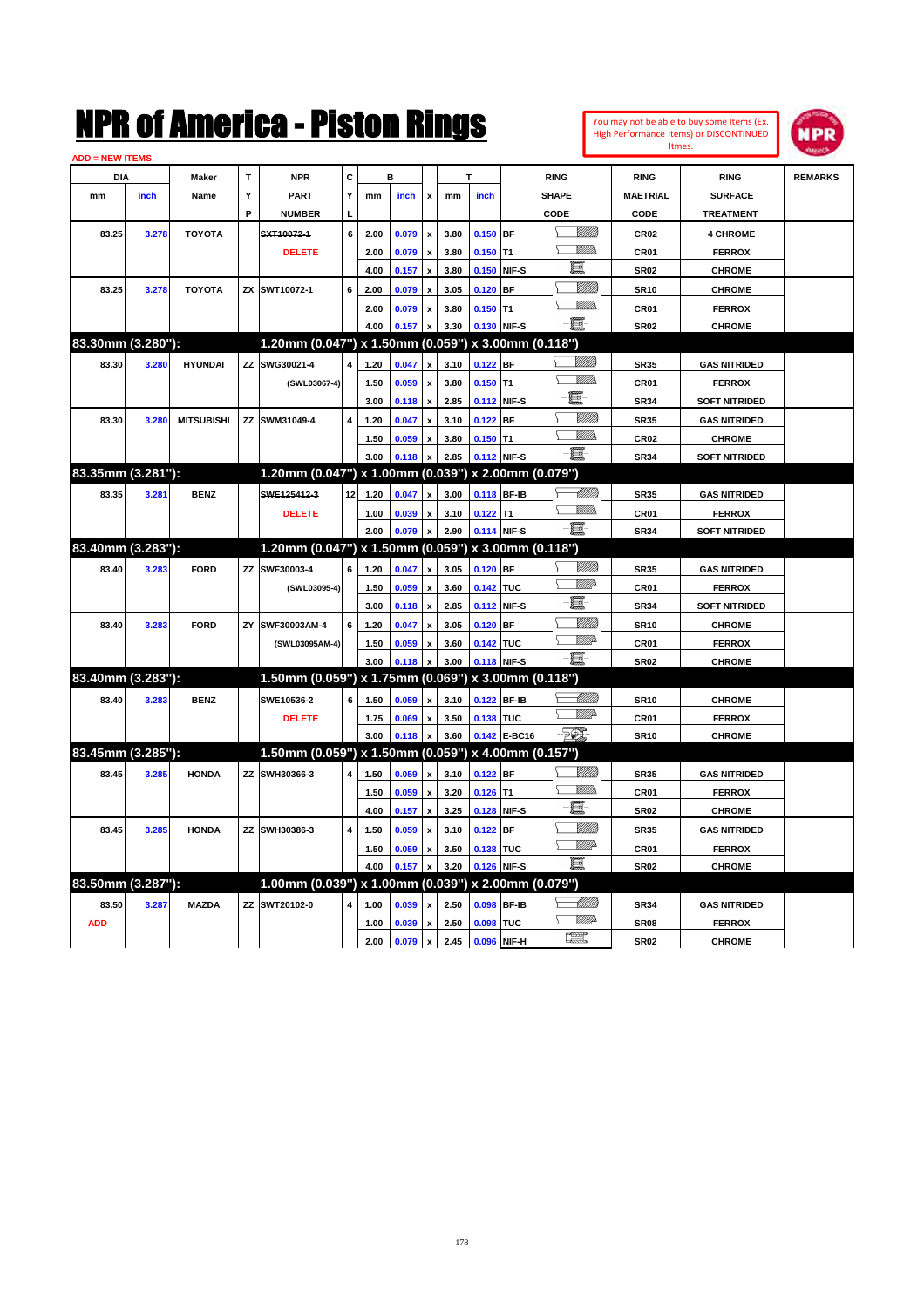| $\mathbf{T}$<br><b>NPR</b><br>С<br>в<br><b>RING</b><br><b>DIA</b><br>Maker<br>т<br><b>RING</b><br><b>RING</b><br><b>REMARKS</b><br>inch<br>Name<br>Y<br><b>PART</b><br>Y<br>inch<br>inch<br><b>SHAPE</b><br><b>MAETRIAL</b><br><b>SURFACE</b><br>mm<br>mm<br>mm<br>x<br>P<br><b>NUMBER</b><br>CODE<br>CODE<br><b>TREATMENT</b><br><u>Milli</u> k<br>SXT10072-1<br>6<br>0.079<br>$0.150$ BF<br>83.25<br><b>TOYOTA</b><br>2.00<br>3.80<br><b>CR02</b><br><b>4 CHROME</b><br>3.278<br>$\pmb{\mathsf{x}}$<br>VM)<br>0.079<br>$0.150$ T1<br><b>DELETE</b><br>2.00<br>3.80<br>CR01<br><b>FERROX</b><br>$\mathbf{x}$<br>E<br>0.150<br>NIF-S<br>4.00<br>0.157<br>3.80<br><b>SR02</b><br><b>CHROME</b><br>x<br>VIII)<br>ZX SWT10072-1<br>6<br>0.079<br>3.05<br>0.120<br><b>BF</b><br>83.25<br>3.278<br><b>TOYOTA</b><br>2.00<br><b>SR10</b><br><b>CHROME</b><br>x<br><u>MMD</u><br>⊾<br><b>FERROX</b><br>2.00<br>0.079<br>3.80<br>0.150<br>lT1<br>CR01<br>x<br>圓<br>0.130 NIF-S<br>4.00<br>0.157<br>3.30<br><b>SR02</b><br><b>CHROME</b><br>x<br>83.30mm (3.280"):<br>1.20mm (0.047") x 1.50mm (0.059") x 3.00mm (0.118")<br>WM di<br>3.280<br><b>HYUNDAI</b><br>ZZ SWG30021-4<br>0.047<br>3.10<br>0.122<br><b>BF</b><br>83.30<br>$\overline{\mathbf{4}}$<br>1.20<br><b>GAS NITRIDED</b><br><b>SR35</b><br><u>MMs</u><br>⊾<br>0.059<br>0.150<br>T1<br>CR01<br>(SWL03067-4)<br>1.50<br>3.80<br><b>FERROX</b><br>x<br>E<br>3.00<br>0.118<br>2.85<br>0.112<br>NIF-S<br><b>SR34</b><br>$\mathbf{x}$<br><b>SOFT NITRIDED</b><br><u>VIIII)</u><br>83.30<br><b>MITSUBISHI</b><br>ZZ SWM31049-4<br>$\overline{\mathbf{4}}$<br>$0.122$ BF<br>3.280<br>1.20<br>0.047<br>3.10<br><b>SR35</b><br><b>GAS NITRIDED</b><br>x<br>*MM)<br>N.<br>0.059<br>3.80<br>0.150<br>T1<br><b>CHROME</b><br>1.50<br><b>CR02</b><br>- 1<br>3.00<br>2.85<br>0.112 NIF-S<br><b>SR34</b><br><b>SOFT NITRIDED</b><br>0.118<br>$\mathbf{x}$<br>83.35mm (3.281"):<br>1.20mm (0.047") x 1.00mm (0.039") x 2.00mm (0.079")<br><u> MM)</u><br>0.118 BF-IB<br>SWE125412-3<br>12<br>0.047<br>3.00<br>83.35<br>3.281<br><b>BENZ</b><br>1.20<br><b>SR35</b><br><b>GAS NITRIDED</b><br>x<br><u>MMs</u><br>↸<br>3.10<br>$0.122$ T1<br><b>DELETE</b><br>1.00<br>0.039<br>CR01<br><b>FERROX</b><br>- 8<br>2.00<br>0.079<br>2.90<br>0.114 NIF-S<br><b>SR34</b><br><b>SOFT NITRIDED</b><br>$\mathbf{x}$<br>83.40mm (3.283"):<br>1.20mm (0.047") x 1.50mm (0.059") x 3.00mm (0.118")<br><u>VIIII)</u><br>0.120 BF<br><b>FORD</b><br>ZZ SWF30003-4<br>0.047<br>3.05<br>83.40<br>3.283<br>6<br>1.20<br><b>GAS NITRIDED</b><br>x<br><b>SR35</b><br><u>VM</u> D<br>0.059<br>3.60<br>0.142<br><b>TUC</b><br>(SWL03095-4)<br>1.50<br>CR01<br><b>FERROX</b><br>$\pmb{\mathsf{x}}$<br>E<br>0.112 NIF-S<br><b>SOFT NITRIDED</b><br>3.00<br>0.118<br>2.85<br><b>SR34</b><br>$\pmb{\mathsf{x}}$<br>VIIII)<br>6<br>0.047<br>3.05<br>0.120<br><b>IBF</b><br>83.40<br>3.283<br><b>FORD</b><br>ZY<br>SWF30003AM-4<br>1.20<br><b>SR10</b><br><b>CHROME</b><br>$\mathbf{x}$<br><u>VM</u> D<br>0.059<br>3.60<br>0.142 TUC<br>(SWL03095AM-4)<br>1.50<br>x<br>CR01<br><b>FERROX</b><br>- 1<br>3.00<br>3.00<br>0.118<br>NIF-S<br><b>SR02</b><br>0.118<br><b>CHROME</b><br>83.40mm (3.283"):<br>1.50mm (0.059")<br>x 1.75mm (0.069") x 3.00mm (0.118")<br><u>UMB</u><br>0.122 BF-IB<br>83.40<br>3.283<br>SWE10536-2<br>0.059<br><b>BENZ</b><br>6<br>1.50<br>3.10<br><b>SR10</b><br><b>CHROME</b><br>VMA<br><b>DELETE</b><br>3.50<br>0.138 TUC<br>1.75<br>0.069<br>$\pmb{\mathsf{x}}$<br>CR <sub>01</sub><br><b>FERROX</b><br>-501<br>3.60<br>0.142 E-BC16<br>3.00<br>0.118<br><b>SR10</b><br><b>CHROME</b><br>83.45mm (3.285"):<br>1.50mm (0.059") x 1.50mm (0.059") x 4.00mm (0.157")<br>ZZ SWH30366-3<br>$0.122$ BF<br>83.45<br>3.285<br><b>HONDA</b><br>1.50<br>0.059<br>3.10<br><b>SR35</b><br>4<br><b>GAS NITRIDED</b><br><b>MM</b><br>1.50<br>0.059<br>3.20<br>0.126<br>lT1<br>CR01<br><b>FERROX</b><br>x<br>E<br>NIF-S<br>3.25<br>0.128<br>4.00<br>0.157<br><b>SR02</b><br><b>CHROME</b><br>ZZ SWH30386-3<br>$\overline{\mathbf{4}}$<br>0.122<br><b>BF</b><br><b>GAS NITRIDED</b><br>83.45<br>3.285<br><b>HONDA</b><br>1.50<br>0.059<br>$\mathbf{x}$<br>3.10<br><b>SR35</b><br>VMA<br>3.50<br>0.138 TUC<br>1.50<br>0.059<br>CR01<br><b>FERROX</b><br>$\pmb{\mathsf{x}}$<br>E<br>0.126 NIF-S<br>4.00<br>0.157<br>3.20<br><b>SR02</b><br><b>CHROME</b><br>x<br>83.50mm (3.287"):<br>1.00mm (0.039") x 1.00mm (0.039") x 2.00mm (0.079")<br><u> UMB</u><br>0.098 BF-IB<br><b>MAZDA</b><br>ZZ SWT20102-0<br>0.039<br>83.50<br>3.287<br>1.00<br>$\mathbf{x}$<br>2.50<br><b>SR34</b><br><b>GAS NITRIDED</b><br>WMA<br>0.098 TUC<br>0.039<br>2.50<br><b>ADD</b><br>1.00<br><b>SR08</b><br><b>FERROX</b><br>x<br>$f_{\text{max}}^{\text{max}}$<br>0.096 NIF-H<br>2.00<br>0.079<br>2.45<br><b>SR02</b><br><b>CHROME</b><br>$\pmb{\mathsf{x}}$ | <b>ADD = NEW ITEMS</b> |  |  |  |  |  |  |  |  |
|-------------------------------------------------------------------------------------------------------------------------------------------------------------------------------------------------------------------------------------------------------------------------------------------------------------------------------------------------------------------------------------------------------------------------------------------------------------------------------------------------------------------------------------------------------------------------------------------------------------------------------------------------------------------------------------------------------------------------------------------------------------------------------------------------------------------------------------------------------------------------------------------------------------------------------------------------------------------------------------------------------------------------------------------------------------------------------------------------------------------------------------------------------------------------------------------------------------------------------------------------------------------------------------------------------------------------------------------------------------------------------------------------------------------------------------------------------------------------------------------------------------------------------------------------------------------------------------------------------------------------------------------------------------------------------------------------------------------------------------------------------------------------------------------------------------------------------------------------------------------------------------------------------------------------------------------------------------------------------------------------------------------------------------------------------------------------------------------------------------------------------------------------------------------------------------------------------------------------------------------------------------------------------------------------------------------------------------------------------------------------------------------------------------------------------------------------------------------------------------------------------------------------------------------------------------------------------------------------------------------------------------------------------------------------------------------------------------------------------------------------------------------------------------------------------------------------------------------------------------------------------------------------------------------------------------------------------------------------------------------------------------------------------------------------------------------------------------------------------------------------------------------------------------------------------------------------------------------------------------------------------------------------------------------------------------------------------------------------------------------------------------------------------------------------------------------------------------------------------------------------------------------------------------------------------------------------------------------------------------------------------------------------------------------------------------------------------------------------------------------------------------------------------------------------------------------------------------------------------------------------------------------------------------------------------------------------------------------------------------------------------------------------------------------------------------------------------------------------------------------------------------------------------------------------------------------------------------------------------------------------------------------------------------------------------------------------------------------------------------------------------------------------------------------------------------------------------------------------------------------------------------------------------------------------------------------------------------------------------------------------------------------------------------------------------------------------------------------------------------------------------------------------------------------------------------------------------------------------------------|------------------------|--|--|--|--|--|--|--|--|
|                                                                                                                                                                                                                                                                                                                                                                                                                                                                                                                                                                                                                                                                                                                                                                                                                                                                                                                                                                                                                                                                                                                                                                                                                                                                                                                                                                                                                                                                                                                                                                                                                                                                                                                                                                                                                                                                                                                                                                                                                                                                                                                                                                                                                                                                                                                                                                                                                                                                                                                                                                                                                                                                                                                                                                                                                                                                                                                                                                                                                                                                                                                                                                                                                                                                                                                                                                                                                                                                                                                                                                                                                                                                                                                                                                                                                                                                                                                                                                                                                                                                                                                                                                                                                                                                                                                                                                                                                                                                                                                                                                                                                                                                                                                                                                                                                                                             |                        |  |  |  |  |  |  |  |  |
|                                                                                                                                                                                                                                                                                                                                                                                                                                                                                                                                                                                                                                                                                                                                                                                                                                                                                                                                                                                                                                                                                                                                                                                                                                                                                                                                                                                                                                                                                                                                                                                                                                                                                                                                                                                                                                                                                                                                                                                                                                                                                                                                                                                                                                                                                                                                                                                                                                                                                                                                                                                                                                                                                                                                                                                                                                                                                                                                                                                                                                                                                                                                                                                                                                                                                                                                                                                                                                                                                                                                                                                                                                                                                                                                                                                                                                                                                                                                                                                                                                                                                                                                                                                                                                                                                                                                                                                                                                                                                                                                                                                                                                                                                                                                                                                                                                                             |                        |  |  |  |  |  |  |  |  |
|                                                                                                                                                                                                                                                                                                                                                                                                                                                                                                                                                                                                                                                                                                                                                                                                                                                                                                                                                                                                                                                                                                                                                                                                                                                                                                                                                                                                                                                                                                                                                                                                                                                                                                                                                                                                                                                                                                                                                                                                                                                                                                                                                                                                                                                                                                                                                                                                                                                                                                                                                                                                                                                                                                                                                                                                                                                                                                                                                                                                                                                                                                                                                                                                                                                                                                                                                                                                                                                                                                                                                                                                                                                                                                                                                                                                                                                                                                                                                                                                                                                                                                                                                                                                                                                                                                                                                                                                                                                                                                                                                                                                                                                                                                                                                                                                                                                             |                        |  |  |  |  |  |  |  |  |
|                                                                                                                                                                                                                                                                                                                                                                                                                                                                                                                                                                                                                                                                                                                                                                                                                                                                                                                                                                                                                                                                                                                                                                                                                                                                                                                                                                                                                                                                                                                                                                                                                                                                                                                                                                                                                                                                                                                                                                                                                                                                                                                                                                                                                                                                                                                                                                                                                                                                                                                                                                                                                                                                                                                                                                                                                                                                                                                                                                                                                                                                                                                                                                                                                                                                                                                                                                                                                                                                                                                                                                                                                                                                                                                                                                                                                                                                                                                                                                                                                                                                                                                                                                                                                                                                                                                                                                                                                                                                                                                                                                                                                                                                                                                                                                                                                                                             |                        |  |  |  |  |  |  |  |  |
|                                                                                                                                                                                                                                                                                                                                                                                                                                                                                                                                                                                                                                                                                                                                                                                                                                                                                                                                                                                                                                                                                                                                                                                                                                                                                                                                                                                                                                                                                                                                                                                                                                                                                                                                                                                                                                                                                                                                                                                                                                                                                                                                                                                                                                                                                                                                                                                                                                                                                                                                                                                                                                                                                                                                                                                                                                                                                                                                                                                                                                                                                                                                                                                                                                                                                                                                                                                                                                                                                                                                                                                                                                                                                                                                                                                                                                                                                                                                                                                                                                                                                                                                                                                                                                                                                                                                                                                                                                                                                                                                                                                                                                                                                                                                                                                                                                                             |                        |  |  |  |  |  |  |  |  |
|                                                                                                                                                                                                                                                                                                                                                                                                                                                                                                                                                                                                                                                                                                                                                                                                                                                                                                                                                                                                                                                                                                                                                                                                                                                                                                                                                                                                                                                                                                                                                                                                                                                                                                                                                                                                                                                                                                                                                                                                                                                                                                                                                                                                                                                                                                                                                                                                                                                                                                                                                                                                                                                                                                                                                                                                                                                                                                                                                                                                                                                                                                                                                                                                                                                                                                                                                                                                                                                                                                                                                                                                                                                                                                                                                                                                                                                                                                                                                                                                                                                                                                                                                                                                                                                                                                                                                                                                                                                                                                                                                                                                                                                                                                                                                                                                                                                             |                        |  |  |  |  |  |  |  |  |
|                                                                                                                                                                                                                                                                                                                                                                                                                                                                                                                                                                                                                                                                                                                                                                                                                                                                                                                                                                                                                                                                                                                                                                                                                                                                                                                                                                                                                                                                                                                                                                                                                                                                                                                                                                                                                                                                                                                                                                                                                                                                                                                                                                                                                                                                                                                                                                                                                                                                                                                                                                                                                                                                                                                                                                                                                                                                                                                                                                                                                                                                                                                                                                                                                                                                                                                                                                                                                                                                                                                                                                                                                                                                                                                                                                                                                                                                                                                                                                                                                                                                                                                                                                                                                                                                                                                                                                                                                                                                                                                                                                                                                                                                                                                                                                                                                                                             |                        |  |  |  |  |  |  |  |  |
|                                                                                                                                                                                                                                                                                                                                                                                                                                                                                                                                                                                                                                                                                                                                                                                                                                                                                                                                                                                                                                                                                                                                                                                                                                                                                                                                                                                                                                                                                                                                                                                                                                                                                                                                                                                                                                                                                                                                                                                                                                                                                                                                                                                                                                                                                                                                                                                                                                                                                                                                                                                                                                                                                                                                                                                                                                                                                                                                                                                                                                                                                                                                                                                                                                                                                                                                                                                                                                                                                                                                                                                                                                                                                                                                                                                                                                                                                                                                                                                                                                                                                                                                                                                                                                                                                                                                                                                                                                                                                                                                                                                                                                                                                                                                                                                                                                                             |                        |  |  |  |  |  |  |  |  |
|                                                                                                                                                                                                                                                                                                                                                                                                                                                                                                                                                                                                                                                                                                                                                                                                                                                                                                                                                                                                                                                                                                                                                                                                                                                                                                                                                                                                                                                                                                                                                                                                                                                                                                                                                                                                                                                                                                                                                                                                                                                                                                                                                                                                                                                                                                                                                                                                                                                                                                                                                                                                                                                                                                                                                                                                                                                                                                                                                                                                                                                                                                                                                                                                                                                                                                                                                                                                                                                                                                                                                                                                                                                                                                                                                                                                                                                                                                                                                                                                                                                                                                                                                                                                                                                                                                                                                                                                                                                                                                                                                                                                                                                                                                                                                                                                                                                             |                        |  |  |  |  |  |  |  |  |
|                                                                                                                                                                                                                                                                                                                                                                                                                                                                                                                                                                                                                                                                                                                                                                                                                                                                                                                                                                                                                                                                                                                                                                                                                                                                                                                                                                                                                                                                                                                                                                                                                                                                                                                                                                                                                                                                                                                                                                                                                                                                                                                                                                                                                                                                                                                                                                                                                                                                                                                                                                                                                                                                                                                                                                                                                                                                                                                                                                                                                                                                                                                                                                                                                                                                                                                                                                                                                                                                                                                                                                                                                                                                                                                                                                                                                                                                                                                                                                                                                                                                                                                                                                                                                                                                                                                                                                                                                                                                                                                                                                                                                                                                                                                                                                                                                                                             |                        |  |  |  |  |  |  |  |  |
|                                                                                                                                                                                                                                                                                                                                                                                                                                                                                                                                                                                                                                                                                                                                                                                                                                                                                                                                                                                                                                                                                                                                                                                                                                                                                                                                                                                                                                                                                                                                                                                                                                                                                                                                                                                                                                                                                                                                                                                                                                                                                                                                                                                                                                                                                                                                                                                                                                                                                                                                                                                                                                                                                                                                                                                                                                                                                                                                                                                                                                                                                                                                                                                                                                                                                                                                                                                                                                                                                                                                                                                                                                                                                                                                                                                                                                                                                                                                                                                                                                                                                                                                                                                                                                                                                                                                                                                                                                                                                                                                                                                                                                                                                                                                                                                                                                                             |                        |  |  |  |  |  |  |  |  |
|                                                                                                                                                                                                                                                                                                                                                                                                                                                                                                                                                                                                                                                                                                                                                                                                                                                                                                                                                                                                                                                                                                                                                                                                                                                                                                                                                                                                                                                                                                                                                                                                                                                                                                                                                                                                                                                                                                                                                                                                                                                                                                                                                                                                                                                                                                                                                                                                                                                                                                                                                                                                                                                                                                                                                                                                                                                                                                                                                                                                                                                                                                                                                                                                                                                                                                                                                                                                                                                                                                                                                                                                                                                                                                                                                                                                                                                                                                                                                                                                                                                                                                                                                                                                                                                                                                                                                                                                                                                                                                                                                                                                                                                                                                                                                                                                                                                             |                        |  |  |  |  |  |  |  |  |
|                                                                                                                                                                                                                                                                                                                                                                                                                                                                                                                                                                                                                                                                                                                                                                                                                                                                                                                                                                                                                                                                                                                                                                                                                                                                                                                                                                                                                                                                                                                                                                                                                                                                                                                                                                                                                                                                                                                                                                                                                                                                                                                                                                                                                                                                                                                                                                                                                                                                                                                                                                                                                                                                                                                                                                                                                                                                                                                                                                                                                                                                                                                                                                                                                                                                                                                                                                                                                                                                                                                                                                                                                                                                                                                                                                                                                                                                                                                                                                                                                                                                                                                                                                                                                                                                                                                                                                                                                                                                                                                                                                                                                                                                                                                                                                                                                                                             |                        |  |  |  |  |  |  |  |  |
|                                                                                                                                                                                                                                                                                                                                                                                                                                                                                                                                                                                                                                                                                                                                                                                                                                                                                                                                                                                                                                                                                                                                                                                                                                                                                                                                                                                                                                                                                                                                                                                                                                                                                                                                                                                                                                                                                                                                                                                                                                                                                                                                                                                                                                                                                                                                                                                                                                                                                                                                                                                                                                                                                                                                                                                                                                                                                                                                                                                                                                                                                                                                                                                                                                                                                                                                                                                                                                                                                                                                                                                                                                                                                                                                                                                                                                                                                                                                                                                                                                                                                                                                                                                                                                                                                                                                                                                                                                                                                                                                                                                                                                                                                                                                                                                                                                                             |                        |  |  |  |  |  |  |  |  |
|                                                                                                                                                                                                                                                                                                                                                                                                                                                                                                                                                                                                                                                                                                                                                                                                                                                                                                                                                                                                                                                                                                                                                                                                                                                                                                                                                                                                                                                                                                                                                                                                                                                                                                                                                                                                                                                                                                                                                                                                                                                                                                                                                                                                                                                                                                                                                                                                                                                                                                                                                                                                                                                                                                                                                                                                                                                                                                                                                                                                                                                                                                                                                                                                                                                                                                                                                                                                                                                                                                                                                                                                                                                                                                                                                                                                                                                                                                                                                                                                                                                                                                                                                                                                                                                                                                                                                                                                                                                                                                                                                                                                                                                                                                                                                                                                                                                             |                        |  |  |  |  |  |  |  |  |
|                                                                                                                                                                                                                                                                                                                                                                                                                                                                                                                                                                                                                                                                                                                                                                                                                                                                                                                                                                                                                                                                                                                                                                                                                                                                                                                                                                                                                                                                                                                                                                                                                                                                                                                                                                                                                                                                                                                                                                                                                                                                                                                                                                                                                                                                                                                                                                                                                                                                                                                                                                                                                                                                                                                                                                                                                                                                                                                                                                                                                                                                                                                                                                                                                                                                                                                                                                                                                                                                                                                                                                                                                                                                                                                                                                                                                                                                                                                                                                                                                                                                                                                                                                                                                                                                                                                                                                                                                                                                                                                                                                                                                                                                                                                                                                                                                                                             |                        |  |  |  |  |  |  |  |  |
|                                                                                                                                                                                                                                                                                                                                                                                                                                                                                                                                                                                                                                                                                                                                                                                                                                                                                                                                                                                                                                                                                                                                                                                                                                                                                                                                                                                                                                                                                                                                                                                                                                                                                                                                                                                                                                                                                                                                                                                                                                                                                                                                                                                                                                                                                                                                                                                                                                                                                                                                                                                                                                                                                                                                                                                                                                                                                                                                                                                                                                                                                                                                                                                                                                                                                                                                                                                                                                                                                                                                                                                                                                                                                                                                                                                                                                                                                                                                                                                                                                                                                                                                                                                                                                                                                                                                                                                                                                                                                                                                                                                                                                                                                                                                                                                                                                                             |                        |  |  |  |  |  |  |  |  |
|                                                                                                                                                                                                                                                                                                                                                                                                                                                                                                                                                                                                                                                                                                                                                                                                                                                                                                                                                                                                                                                                                                                                                                                                                                                                                                                                                                                                                                                                                                                                                                                                                                                                                                                                                                                                                                                                                                                                                                                                                                                                                                                                                                                                                                                                                                                                                                                                                                                                                                                                                                                                                                                                                                                                                                                                                                                                                                                                                                                                                                                                                                                                                                                                                                                                                                                                                                                                                                                                                                                                                                                                                                                                                                                                                                                                                                                                                                                                                                                                                                                                                                                                                                                                                                                                                                                                                                                                                                                                                                                                                                                                                                                                                                                                                                                                                                                             |                        |  |  |  |  |  |  |  |  |
|                                                                                                                                                                                                                                                                                                                                                                                                                                                                                                                                                                                                                                                                                                                                                                                                                                                                                                                                                                                                                                                                                                                                                                                                                                                                                                                                                                                                                                                                                                                                                                                                                                                                                                                                                                                                                                                                                                                                                                                                                                                                                                                                                                                                                                                                                                                                                                                                                                                                                                                                                                                                                                                                                                                                                                                                                                                                                                                                                                                                                                                                                                                                                                                                                                                                                                                                                                                                                                                                                                                                                                                                                                                                                                                                                                                                                                                                                                                                                                                                                                                                                                                                                                                                                                                                                                                                                                                                                                                                                                                                                                                                                                                                                                                                                                                                                                                             |                        |  |  |  |  |  |  |  |  |
|                                                                                                                                                                                                                                                                                                                                                                                                                                                                                                                                                                                                                                                                                                                                                                                                                                                                                                                                                                                                                                                                                                                                                                                                                                                                                                                                                                                                                                                                                                                                                                                                                                                                                                                                                                                                                                                                                                                                                                                                                                                                                                                                                                                                                                                                                                                                                                                                                                                                                                                                                                                                                                                                                                                                                                                                                                                                                                                                                                                                                                                                                                                                                                                                                                                                                                                                                                                                                                                                                                                                                                                                                                                                                                                                                                                                                                                                                                                                                                                                                                                                                                                                                                                                                                                                                                                                                                                                                                                                                                                                                                                                                                                                                                                                                                                                                                                             |                        |  |  |  |  |  |  |  |  |
|                                                                                                                                                                                                                                                                                                                                                                                                                                                                                                                                                                                                                                                                                                                                                                                                                                                                                                                                                                                                                                                                                                                                                                                                                                                                                                                                                                                                                                                                                                                                                                                                                                                                                                                                                                                                                                                                                                                                                                                                                                                                                                                                                                                                                                                                                                                                                                                                                                                                                                                                                                                                                                                                                                                                                                                                                                                                                                                                                                                                                                                                                                                                                                                                                                                                                                                                                                                                                                                                                                                                                                                                                                                                                                                                                                                                                                                                                                                                                                                                                                                                                                                                                                                                                                                                                                                                                                                                                                                                                                                                                                                                                                                                                                                                                                                                                                                             |                        |  |  |  |  |  |  |  |  |
|                                                                                                                                                                                                                                                                                                                                                                                                                                                                                                                                                                                                                                                                                                                                                                                                                                                                                                                                                                                                                                                                                                                                                                                                                                                                                                                                                                                                                                                                                                                                                                                                                                                                                                                                                                                                                                                                                                                                                                                                                                                                                                                                                                                                                                                                                                                                                                                                                                                                                                                                                                                                                                                                                                                                                                                                                                                                                                                                                                                                                                                                                                                                                                                                                                                                                                                                                                                                                                                                                                                                                                                                                                                                                                                                                                                                                                                                                                                                                                                                                                                                                                                                                                                                                                                                                                                                                                                                                                                                                                                                                                                                                                                                                                                                                                                                                                                             |                        |  |  |  |  |  |  |  |  |
|                                                                                                                                                                                                                                                                                                                                                                                                                                                                                                                                                                                                                                                                                                                                                                                                                                                                                                                                                                                                                                                                                                                                                                                                                                                                                                                                                                                                                                                                                                                                                                                                                                                                                                                                                                                                                                                                                                                                                                                                                                                                                                                                                                                                                                                                                                                                                                                                                                                                                                                                                                                                                                                                                                                                                                                                                                                                                                                                                                                                                                                                                                                                                                                                                                                                                                                                                                                                                                                                                                                                                                                                                                                                                                                                                                                                                                                                                                                                                                                                                                                                                                                                                                                                                                                                                                                                                                                                                                                                                                                                                                                                                                                                                                                                                                                                                                                             |                        |  |  |  |  |  |  |  |  |
|                                                                                                                                                                                                                                                                                                                                                                                                                                                                                                                                                                                                                                                                                                                                                                                                                                                                                                                                                                                                                                                                                                                                                                                                                                                                                                                                                                                                                                                                                                                                                                                                                                                                                                                                                                                                                                                                                                                                                                                                                                                                                                                                                                                                                                                                                                                                                                                                                                                                                                                                                                                                                                                                                                                                                                                                                                                                                                                                                                                                                                                                                                                                                                                                                                                                                                                                                                                                                                                                                                                                                                                                                                                                                                                                                                                                                                                                                                                                                                                                                                                                                                                                                                                                                                                                                                                                                                                                                                                                                                                                                                                                                                                                                                                                                                                                                                                             |                        |  |  |  |  |  |  |  |  |
|                                                                                                                                                                                                                                                                                                                                                                                                                                                                                                                                                                                                                                                                                                                                                                                                                                                                                                                                                                                                                                                                                                                                                                                                                                                                                                                                                                                                                                                                                                                                                                                                                                                                                                                                                                                                                                                                                                                                                                                                                                                                                                                                                                                                                                                                                                                                                                                                                                                                                                                                                                                                                                                                                                                                                                                                                                                                                                                                                                                                                                                                                                                                                                                                                                                                                                                                                                                                                                                                                                                                                                                                                                                                                                                                                                                                                                                                                                                                                                                                                                                                                                                                                                                                                                                                                                                                                                                                                                                                                                                                                                                                                                                                                                                                                                                                                                                             |                        |  |  |  |  |  |  |  |  |
|                                                                                                                                                                                                                                                                                                                                                                                                                                                                                                                                                                                                                                                                                                                                                                                                                                                                                                                                                                                                                                                                                                                                                                                                                                                                                                                                                                                                                                                                                                                                                                                                                                                                                                                                                                                                                                                                                                                                                                                                                                                                                                                                                                                                                                                                                                                                                                                                                                                                                                                                                                                                                                                                                                                                                                                                                                                                                                                                                                                                                                                                                                                                                                                                                                                                                                                                                                                                                                                                                                                                                                                                                                                                                                                                                                                                                                                                                                                                                                                                                                                                                                                                                                                                                                                                                                                                                                                                                                                                                                                                                                                                                                                                                                                                                                                                                                                             |                        |  |  |  |  |  |  |  |  |
|                                                                                                                                                                                                                                                                                                                                                                                                                                                                                                                                                                                                                                                                                                                                                                                                                                                                                                                                                                                                                                                                                                                                                                                                                                                                                                                                                                                                                                                                                                                                                                                                                                                                                                                                                                                                                                                                                                                                                                                                                                                                                                                                                                                                                                                                                                                                                                                                                                                                                                                                                                                                                                                                                                                                                                                                                                                                                                                                                                                                                                                                                                                                                                                                                                                                                                                                                                                                                                                                                                                                                                                                                                                                                                                                                                                                                                                                                                                                                                                                                                                                                                                                                                                                                                                                                                                                                                                                                                                                                                                                                                                                                                                                                                                                                                                                                                                             |                        |  |  |  |  |  |  |  |  |
|                                                                                                                                                                                                                                                                                                                                                                                                                                                                                                                                                                                                                                                                                                                                                                                                                                                                                                                                                                                                                                                                                                                                                                                                                                                                                                                                                                                                                                                                                                                                                                                                                                                                                                                                                                                                                                                                                                                                                                                                                                                                                                                                                                                                                                                                                                                                                                                                                                                                                                                                                                                                                                                                                                                                                                                                                                                                                                                                                                                                                                                                                                                                                                                                                                                                                                                                                                                                                                                                                                                                                                                                                                                                                                                                                                                                                                                                                                                                                                                                                                                                                                                                                                                                                                                                                                                                                                                                                                                                                                                                                                                                                                                                                                                                                                                                                                                             |                        |  |  |  |  |  |  |  |  |
|                                                                                                                                                                                                                                                                                                                                                                                                                                                                                                                                                                                                                                                                                                                                                                                                                                                                                                                                                                                                                                                                                                                                                                                                                                                                                                                                                                                                                                                                                                                                                                                                                                                                                                                                                                                                                                                                                                                                                                                                                                                                                                                                                                                                                                                                                                                                                                                                                                                                                                                                                                                                                                                                                                                                                                                                                                                                                                                                                                                                                                                                                                                                                                                                                                                                                                                                                                                                                                                                                                                                                                                                                                                                                                                                                                                                                                                                                                                                                                                                                                                                                                                                                                                                                                                                                                                                                                                                                                                                                                                                                                                                                                                                                                                                                                                                                                                             |                        |  |  |  |  |  |  |  |  |
|                                                                                                                                                                                                                                                                                                                                                                                                                                                                                                                                                                                                                                                                                                                                                                                                                                                                                                                                                                                                                                                                                                                                                                                                                                                                                                                                                                                                                                                                                                                                                                                                                                                                                                                                                                                                                                                                                                                                                                                                                                                                                                                                                                                                                                                                                                                                                                                                                                                                                                                                                                                                                                                                                                                                                                                                                                                                                                                                                                                                                                                                                                                                                                                                                                                                                                                                                                                                                                                                                                                                                                                                                                                                                                                                                                                                                                                                                                                                                                                                                                                                                                                                                                                                                                                                                                                                                                                                                                                                                                                                                                                                                                                                                                                                                                                                                                                             |                        |  |  |  |  |  |  |  |  |
|                                                                                                                                                                                                                                                                                                                                                                                                                                                                                                                                                                                                                                                                                                                                                                                                                                                                                                                                                                                                                                                                                                                                                                                                                                                                                                                                                                                                                                                                                                                                                                                                                                                                                                                                                                                                                                                                                                                                                                                                                                                                                                                                                                                                                                                                                                                                                                                                                                                                                                                                                                                                                                                                                                                                                                                                                                                                                                                                                                                                                                                                                                                                                                                                                                                                                                                                                                                                                                                                                                                                                                                                                                                                                                                                                                                                                                                                                                                                                                                                                                                                                                                                                                                                                                                                                                                                                                                                                                                                                                                                                                                                                                                                                                                                                                                                                                                             |                        |  |  |  |  |  |  |  |  |
|                                                                                                                                                                                                                                                                                                                                                                                                                                                                                                                                                                                                                                                                                                                                                                                                                                                                                                                                                                                                                                                                                                                                                                                                                                                                                                                                                                                                                                                                                                                                                                                                                                                                                                                                                                                                                                                                                                                                                                                                                                                                                                                                                                                                                                                                                                                                                                                                                                                                                                                                                                                                                                                                                                                                                                                                                                                                                                                                                                                                                                                                                                                                                                                                                                                                                                                                                                                                                                                                                                                                                                                                                                                                                                                                                                                                                                                                                                                                                                                                                                                                                                                                                                                                                                                                                                                                                                                                                                                                                                                                                                                                                                                                                                                                                                                                                                                             |                        |  |  |  |  |  |  |  |  |
|                                                                                                                                                                                                                                                                                                                                                                                                                                                                                                                                                                                                                                                                                                                                                                                                                                                                                                                                                                                                                                                                                                                                                                                                                                                                                                                                                                                                                                                                                                                                                                                                                                                                                                                                                                                                                                                                                                                                                                                                                                                                                                                                                                                                                                                                                                                                                                                                                                                                                                                                                                                                                                                                                                                                                                                                                                                                                                                                                                                                                                                                                                                                                                                                                                                                                                                                                                                                                                                                                                                                                                                                                                                                                                                                                                                                                                                                                                                                                                                                                                                                                                                                                                                                                                                                                                                                                                                                                                                                                                                                                                                                                                                                                                                                                                                                                                                             |                        |  |  |  |  |  |  |  |  |
|                                                                                                                                                                                                                                                                                                                                                                                                                                                                                                                                                                                                                                                                                                                                                                                                                                                                                                                                                                                                                                                                                                                                                                                                                                                                                                                                                                                                                                                                                                                                                                                                                                                                                                                                                                                                                                                                                                                                                                                                                                                                                                                                                                                                                                                                                                                                                                                                                                                                                                                                                                                                                                                                                                                                                                                                                                                                                                                                                                                                                                                                                                                                                                                                                                                                                                                                                                                                                                                                                                                                                                                                                                                                                                                                                                                                                                                                                                                                                                                                                                                                                                                                                                                                                                                                                                                                                                                                                                                                                                                                                                                                                                                                                                                                                                                                                                                             |                        |  |  |  |  |  |  |  |  |
|                                                                                                                                                                                                                                                                                                                                                                                                                                                                                                                                                                                                                                                                                                                                                                                                                                                                                                                                                                                                                                                                                                                                                                                                                                                                                                                                                                                                                                                                                                                                                                                                                                                                                                                                                                                                                                                                                                                                                                                                                                                                                                                                                                                                                                                                                                                                                                                                                                                                                                                                                                                                                                                                                                                                                                                                                                                                                                                                                                                                                                                                                                                                                                                                                                                                                                                                                                                                                                                                                                                                                                                                                                                                                                                                                                                                                                                                                                                                                                                                                                                                                                                                                                                                                                                                                                                                                                                                                                                                                                                                                                                                                                                                                                                                                                                                                                                             |                        |  |  |  |  |  |  |  |  |
|                                                                                                                                                                                                                                                                                                                                                                                                                                                                                                                                                                                                                                                                                                                                                                                                                                                                                                                                                                                                                                                                                                                                                                                                                                                                                                                                                                                                                                                                                                                                                                                                                                                                                                                                                                                                                                                                                                                                                                                                                                                                                                                                                                                                                                                                                                                                                                                                                                                                                                                                                                                                                                                                                                                                                                                                                                                                                                                                                                                                                                                                                                                                                                                                                                                                                                                                                                                                                                                                                                                                                                                                                                                                                                                                                                                                                                                                                                                                                                                                                                                                                                                                                                                                                                                                                                                                                                                                                                                                                                                                                                                                                                                                                                                                                                                                                                                             |                        |  |  |  |  |  |  |  |  |
|                                                                                                                                                                                                                                                                                                                                                                                                                                                                                                                                                                                                                                                                                                                                                                                                                                                                                                                                                                                                                                                                                                                                                                                                                                                                                                                                                                                                                                                                                                                                                                                                                                                                                                                                                                                                                                                                                                                                                                                                                                                                                                                                                                                                                                                                                                                                                                                                                                                                                                                                                                                                                                                                                                                                                                                                                                                                                                                                                                                                                                                                                                                                                                                                                                                                                                                                                                                                                                                                                                                                                                                                                                                                                                                                                                                                                                                                                                                                                                                                                                                                                                                                                                                                                                                                                                                                                                                                                                                                                                                                                                                                                                                                                                                                                                                                                                                             |                        |  |  |  |  |  |  |  |  |
|                                                                                                                                                                                                                                                                                                                                                                                                                                                                                                                                                                                                                                                                                                                                                                                                                                                                                                                                                                                                                                                                                                                                                                                                                                                                                                                                                                                                                                                                                                                                                                                                                                                                                                                                                                                                                                                                                                                                                                                                                                                                                                                                                                                                                                                                                                                                                                                                                                                                                                                                                                                                                                                                                                                                                                                                                                                                                                                                                                                                                                                                                                                                                                                                                                                                                                                                                                                                                                                                                                                                                                                                                                                                                                                                                                                                                                                                                                                                                                                                                                                                                                                                                                                                                                                                                                                                                                                                                                                                                                                                                                                                                                                                                                                                                                                                                                                             |                        |  |  |  |  |  |  |  |  |
|                                                                                                                                                                                                                                                                                                                                                                                                                                                                                                                                                                                                                                                                                                                                                                                                                                                                                                                                                                                                                                                                                                                                                                                                                                                                                                                                                                                                                                                                                                                                                                                                                                                                                                                                                                                                                                                                                                                                                                                                                                                                                                                                                                                                                                                                                                                                                                                                                                                                                                                                                                                                                                                                                                                                                                                                                                                                                                                                                                                                                                                                                                                                                                                                                                                                                                                                                                                                                                                                                                                                                                                                                                                                                                                                                                                                                                                                                                                                                                                                                                                                                                                                                                                                                                                                                                                                                                                                                                                                                                                                                                                                                                                                                                                                                                                                                                                             |                        |  |  |  |  |  |  |  |  |
|                                                                                                                                                                                                                                                                                                                                                                                                                                                                                                                                                                                                                                                                                                                                                                                                                                                                                                                                                                                                                                                                                                                                                                                                                                                                                                                                                                                                                                                                                                                                                                                                                                                                                                                                                                                                                                                                                                                                                                                                                                                                                                                                                                                                                                                                                                                                                                                                                                                                                                                                                                                                                                                                                                                                                                                                                                                                                                                                                                                                                                                                                                                                                                                                                                                                                                                                                                                                                                                                                                                                                                                                                                                                                                                                                                                                                                                                                                                                                                                                                                                                                                                                                                                                                                                                                                                                                                                                                                                                                                                                                                                                                                                                                                                                                                                                                                                             |                        |  |  |  |  |  |  |  |  |
|                                                                                                                                                                                                                                                                                                                                                                                                                                                                                                                                                                                                                                                                                                                                                                                                                                                                                                                                                                                                                                                                                                                                                                                                                                                                                                                                                                                                                                                                                                                                                                                                                                                                                                                                                                                                                                                                                                                                                                                                                                                                                                                                                                                                                                                                                                                                                                                                                                                                                                                                                                                                                                                                                                                                                                                                                                                                                                                                                                                                                                                                                                                                                                                                                                                                                                                                                                                                                                                                                                                                                                                                                                                                                                                                                                                                                                                                                                                                                                                                                                                                                                                                                                                                                                                                                                                                                                                                                                                                                                                                                                                                                                                                                                                                                                                                                                                             |                        |  |  |  |  |  |  |  |  |
|                                                                                                                                                                                                                                                                                                                                                                                                                                                                                                                                                                                                                                                                                                                                                                                                                                                                                                                                                                                                                                                                                                                                                                                                                                                                                                                                                                                                                                                                                                                                                                                                                                                                                                                                                                                                                                                                                                                                                                                                                                                                                                                                                                                                                                                                                                                                                                                                                                                                                                                                                                                                                                                                                                                                                                                                                                                                                                                                                                                                                                                                                                                                                                                                                                                                                                                                                                                                                                                                                                                                                                                                                                                                                                                                                                                                                                                                                                                                                                                                                                                                                                                                                                                                                                                                                                                                                                                                                                                                                                                                                                                                                                                                                                                                                                                                                                                             |                        |  |  |  |  |  |  |  |  |

You may not be able to buy some Items (Ex. High Performance Items) or DISCONTINUED Itmes.

**NPR**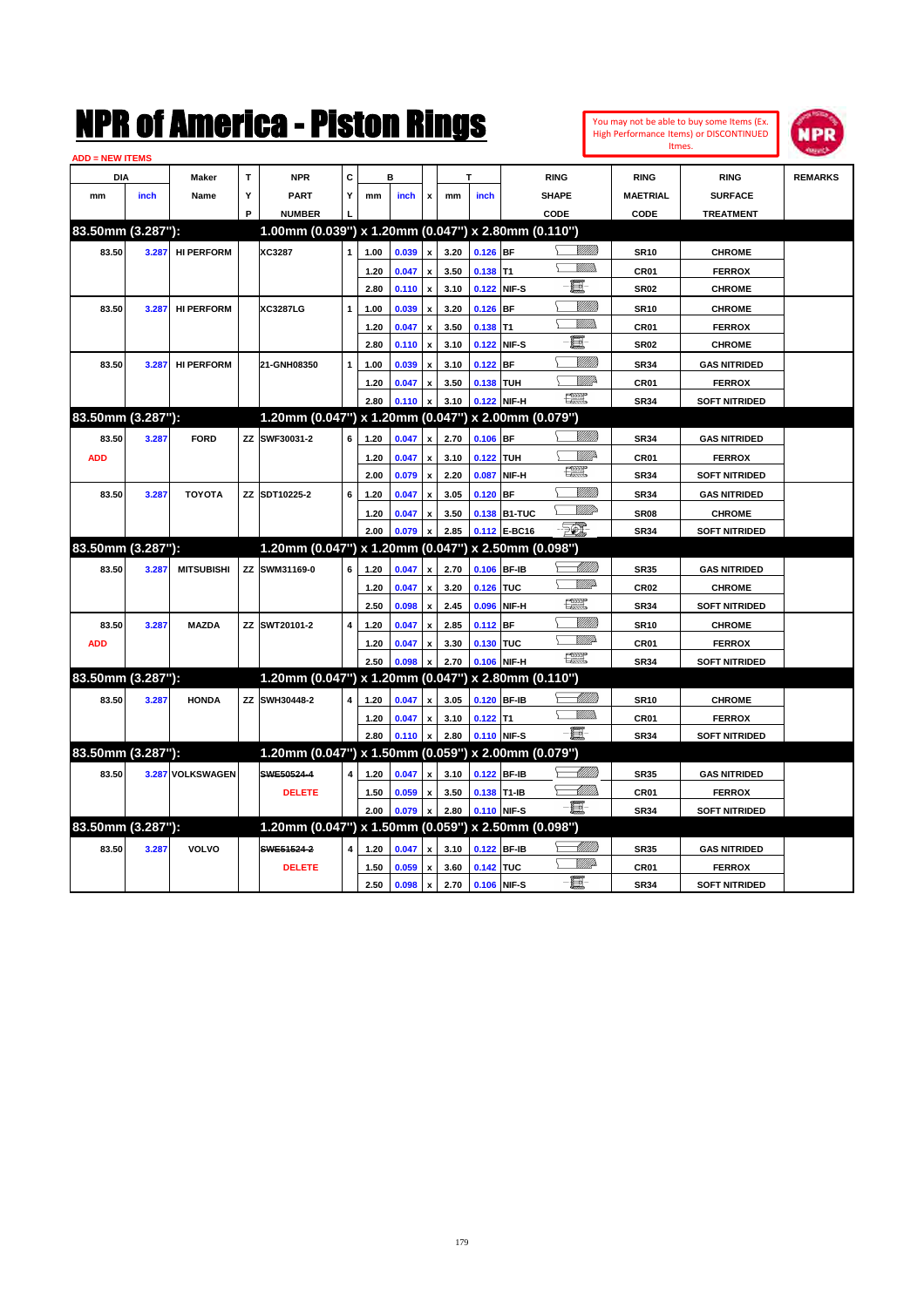**ADD = NEW ITEMS**

**83.50mm (3.287"):** 

**83.50mm (3.287"):** 

|                      |                 | I II VI AIIIVI IVU |   | I IULUII IIIIIYU                                    |             |      |                      |              |      |                  |              |                |                  | High Performance Items) or DISCONTINUED | <b>NPR</b>     |
|----------------------|-----------------|--------------------|---|-----------------------------------------------------|-------------|------|----------------------|--------------|------|------------------|--------------|----------------|------------------|-----------------------------------------|----------------|
| <b>D</b> = NEW ITEMS |                 |                    |   |                                                     |             |      |                      |              |      |                  |              |                | Itmes.           |                                         | <b>Harath</b>  |
| <b>DIA</b>           |                 | Maker              | т | <b>NPR</b>                                          | C           | в    |                      |              |      |                  | <b>RING</b>  |                | <b>RING</b>      | <b>RING</b>                             | <b>REMARKS</b> |
| mm                   | inch            | Name               | Υ | <b>PART</b>                                         | Y           | mm   | <i>inch</i>          | $\mathbf{x}$ | mm   | inch             | <b>SHAPE</b> |                | <b>MAETRIAL</b>  | <b>SURFACE</b>                          |                |
|                      |                 |                    | Р | <b>NUMBER</b>                                       |             |      |                      |              |      |                  | CODE         |                | CODE             | <b>TREATMENT</b>                        |                |
|                      | .50mm (3.287"): |                    |   | 1.00mm (0.039") x 1.20mm (0.047") x 2.80mm (0.110") |             |      |                      |              |      |                  |              |                |                  |                                         |                |
| 83.50                | 3.287           | <b>HI PERFORM</b>  |   | XC3287                                              |             | 1.00 | 0.039                | $\mathbf{x}$ | 3.20 | $0.126$ BF       |              | VM))           | <b>SR10</b>      | <b>CHROME</b>                           |                |
|                      |                 |                    |   |                                                     |             | 1.20 | 0.047                | $\mathbf{x}$ | 3.50 | 0.138 11         |              | <u>Villida</u> | CR <sub>01</sub> | <b>FERROX</b>                           |                |
|                      |                 |                    |   |                                                     |             | 2.80 | $0.110 \times$       |              | 3.10 | 0.122 NIF-S      |              | - 8            | <b>SR02</b>      | <b>CHROME</b>                           |                |
| 83.50                | 3.287           | <b>HI PERFORM</b>  |   | <b>XC3287LG</b>                                     | $\mathbf 1$ | 1.00 | 0.039                | $\mathbf{x}$ | 3.20 | $0.126$ BF       |              | VMM)           | <b>SR10</b>      | <b>CHROME</b>                           |                |
|                      |                 |                    |   |                                                     |             | 1.20 | 0.047                | $\mathbf{x}$ | 3.50 | 0.138 T1         |              | <u>Willib</u>  | CR <sub>01</sub> | <b>FERROX</b>                           |                |
|                      |                 |                    |   |                                                     |             | 2.80 | $0.110 \times$       |              | 3.10 | 0.122 NIF-S      |              | E              | <b>SR02</b>      | <b>CHROME</b>                           |                |
| 83.50                | 3.287           | <b>HI PERFORM</b>  |   | 21-GNH08350                                         |             | 1.00 | 0.039                | l x          | 3.10 | $0.122$ BF       |              | VMM)           | <b>SR34</b>      | <b>GAS NITRIDED</b>                     |                |
|                      |                 |                    |   |                                                     |             | 1.20 | 0.047                | $\mathbf{x}$ | 3.50 | <b>0.138 TUH</b> |              | WMP-           | CR <sub>01</sub> | <b>FERROX</b>                           |                |
|                      |                 |                    |   |                                                     |             |      | $2.80$ 0.110 $x$     |              | 3.10 | 0.122 NIF-H      |              | œœ             | <b>SR34</b>      | <b>SOFT NITRIDED</b>                    |                |
|                      | .50mm (3.287"): |                    |   | 1.20mm (0.047") x 1.20mm (0.047") x 2.00mm (0.079") |             |      |                      |              |      |                  |              |                |                  |                                         |                |
| 83.50                | 3.287           | <b>FORD</b>        |   | ZZ SWF30031-2                                       | 6           | 1.20 | 0.047                | l x l        | 2.70 | $0.106$ BF       |              | <u>VIIII</u> ) | <b>SR34</b>      | <b>GAS NITRIDED</b>                     |                |
| <b>ADD</b>           |                 |                    |   |                                                     |             | 1.20 | 0.047                | $\mathbf{x}$ | 3.10 | $0.122$ TUH      |              | W///2          | CR <sub>01</sub> | <b>FERROX</b>                           |                |
|                      |                 |                    |   |                                                     |             |      | $2.00 \t 0.079 \t x$ |              |      | 2.20 0.087 NIF-H |              | æ              | <b>SR34</b>      | <b>SOFT NITRIDED</b>                    |                |

You may not be able to buy some Items (Ex.

|                   |       |                   |                                                     |                | 2.00           | 0.079 x        |                           | 2.20 |               | 0.087 NIF-H  | <u>r 19</u>   | <b>SR34</b>      | <b>SOFT NITRIDED</b> |  |
|-------------------|-------|-------------------|-----------------------------------------------------|----------------|----------------|----------------|---------------------------|------|---------------|--------------|---------------|------------------|----------------------|--|
| 83.50             | 3.287 | <b>TOYOTA</b>     | ZZ SDT10225-2                                       | 6              | 1.20           | 0.047          | $\mathbf{x}$              | 3.05 | $0.120$ BF    |              | VMM)          | <b>SR34</b>      | <b>GAS NITRIDED</b>  |  |
|                   |       |                   |                                                     |                | 1.20           | 0.047          | $\mathbf{x}$              | 3.50 |               | 0.138 B1-TUC | WW            | <b>SR08</b>      | <b>CHROME</b>        |  |
|                   |       |                   |                                                     |                | 2.00           | 0.079          | $\mathbf{x}$              | 2.85 |               | 0.112 E-BC16 | E.            | <b>SR34</b>      | <b>SOFT NITRIDED</b> |  |
| 83.50mm (3.287"): |       |                   | 1.20mm (0.047") x 1.20mm (0.047") x 2.50mm (0.098") |                |                |                |                           |      |               |              |               |                  |                      |  |
| 83.50             | 3.287 | <b>MITSUBISHI</b> | ZZ SWM31169-0                                       | 6              | 1.20           | 0.047          | $\mathbf{x}$              | 2.70 |               | 0.106 BF-IB  |               | <b>SR35</b>      | <b>GAS NITRIDED</b>  |  |
|                   |       |                   |                                                     |                | 1.20           | 0.047          | $\mathbf{x}$              | 3.20 | $0.126$ TUC   |              | <b>WW</b> A   | CR <sub>02</sub> | <b>CHROME</b>        |  |
|                   |       |                   |                                                     |                | 2.50           | 0.098          | $\boldsymbol{x}$          | 2.45 |               | 0.096 NIF-H  | œ             | <b>SR34</b>      | <b>SOFT NITRIDED</b> |  |
| 83.50             | 3.287 | <b>MAZDA</b>      | ZZ SWT20101-2                                       | $\overline{4}$ | 1.20           | 0.047          | $\mathbf{x}$              | 2.85 | $0.112$ BF    |              | VIII))        | <b>SR10</b>      | <b>CHROME</b>        |  |
| <b>ADD</b>        |       |                   |                                                     |                | 1.20           | 0.047          | $\mathbf{x}$              | 3.30 | $0.130$ TUC   |              | 7777 pr       | CR <sub>01</sub> | <b>FERROX</b>        |  |
|                   |       |                   |                                                     |                | 2.50           | 0.098          | $\mathbf x$               | 2.70 | 0.106 NIF-H   |              | æ             | <b>SR34</b>      | <b>SOFT NITRIDED</b> |  |
| 83.50mm (3.287"): |       |                   | 1.20mm (0.047") x 1.20mm (0.047") x 2.80mm (0.110") |                |                |                |                           |      |               |              |               |                  |                      |  |
| 83.50             | 3.287 | <b>HONDA</b>      | ZZ SWH30448-2                                       | $\overline{4}$ | 1.20           | 0.047          | $\mathbf{x}$              | 3.05 |               | 0.120 BF-IB  | <u> UMM)</u>  | <b>SR10</b>      | <b>CHROME</b>        |  |
|                   |       |                   |                                                     |                | 1.20           | 0.047          | $\mathbf{x}$              | 3.10 | $0.122$ T1    |              | VM).          | CR <sub>01</sub> | <b>FERROX</b>        |  |
|                   |       |                   |                                                     |                | 2.80           | $0.110 \times$ |                           | 2.80 | 0.110 NIF-S   |              | -8            | <b>SR34</b>      | <b>SOFT NITRIDED</b> |  |
| 83.50mm (3.287"): |       |                   | 1.20mm (0.047") x 1.50mm (0.059") x 2.00mm (0.079") |                |                |                |                           |      |               |              |               |                  |                      |  |
| 83.50             |       | 3.287 VOLKSWAGEN  | SWE50524-4                                          | $\overline{4}$ | 1.20           | 0.047          | $\mathbf{x}$              | 3.10 |               | 0.122 BF-IB  | <u> UMM</u>   | <b>SR35</b>      | <b>GAS NITRIDED</b>  |  |
|                   |       |                   | <b>DELETE</b>                                       |                | 1.50           | 0.059          | $\boldsymbol{\mathsf{x}}$ | 3.50 | $0.138$ T1-IB |              | <u> UMMa</u>  | CR01             | <b>FERROX</b>        |  |
|                   |       |                   |                                                     |                | 2.00           | 0.079 x        |                           | 2.80 | 0.110 NIF-S   |              | ·ii           | <b>SR34</b>      | <b>SOFT NITRIDED</b> |  |
| 83.50mm (3.287"): |       |                   | 1.20mm (0.047") x 1.50mm (0.059") x 2.50mm (0.098") |                |                |                |                           |      |               |              |               |                  |                      |  |
| 83.50             | 3.287 | <b>VOLVO</b>      | SWE51524-2                                          |                | $4 \quad 1.20$ | 0.047          | l x                       | 3.10 | $0.122$ BF-IB |              | MMB           | <b>SR35</b>      | <b>GAS NITRIDED</b>  |  |
|                   |       |                   | <b>DELETE</b>                                       |                | 1.50           | 0.059          | <b>x</b>                  | 3.60 | 0.142 TUC     |              | <b>W///</b> A | CR <sub>01</sub> | <b>FERROX</b>        |  |
|                   |       |                   |                                                     |                | 2.50           | 0.098 x        |                           | 2.70 | 0.106 NIF-S   |              | -6            | <b>SR34</b>      | <b>SOFT NITRIDED</b> |  |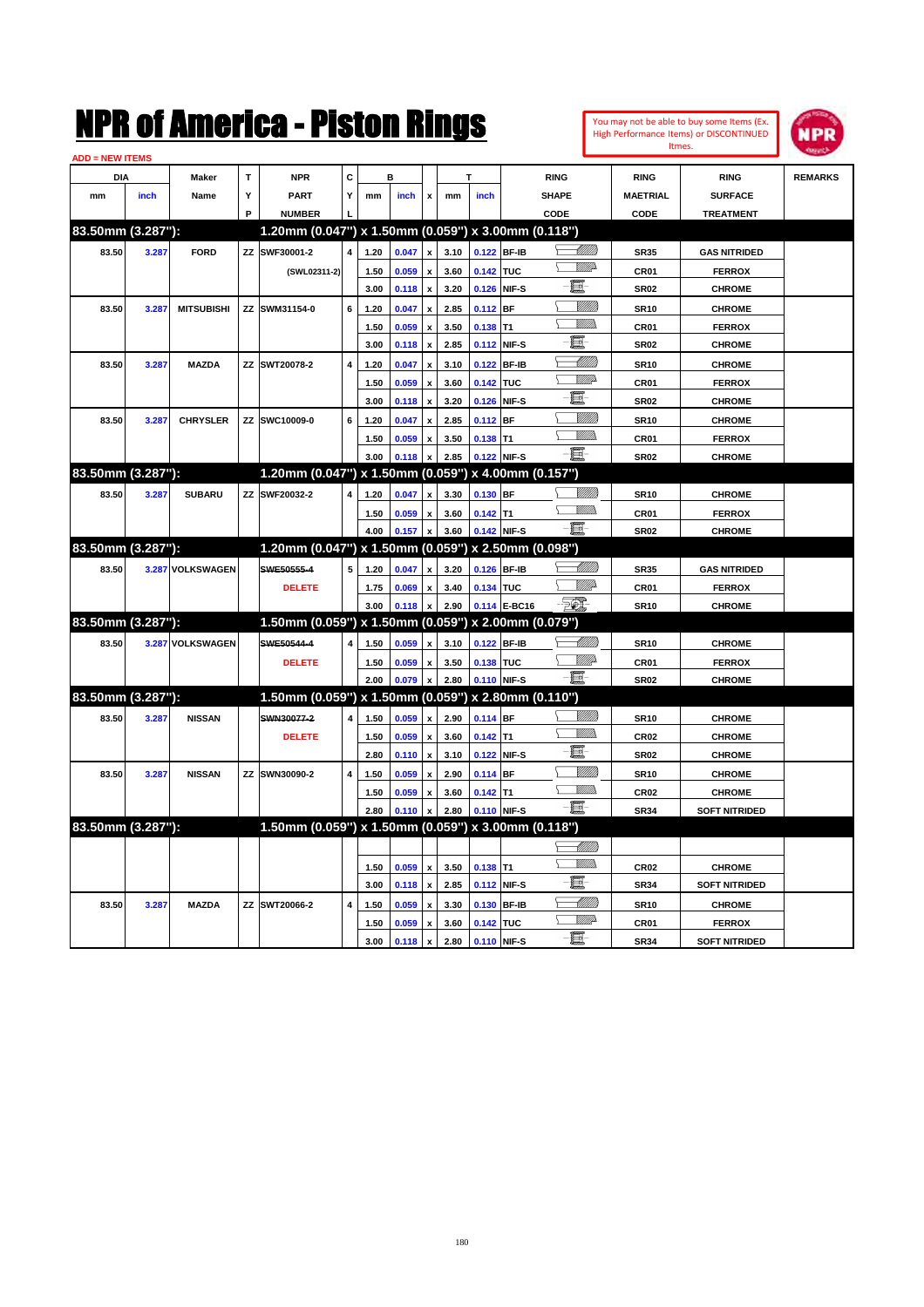You may not be able to buy some Items (Ex. High Performance Items) or DISCONTINUED Itmes.



| <b>ADD = NEW ITEMS</b> |       |                   |   |                                                     |                         |      |       |                           |      |             |              |                      |                  |                      |                |
|------------------------|-------|-------------------|---|-----------------------------------------------------|-------------------------|------|-------|---------------------------|------|-------------|--------------|----------------------|------------------|----------------------|----------------|
| DIA                    |       | Maker             | Т | <b>NPR</b>                                          | C                       |      | в     |                           |      |             |              | <b>RING</b>          | <b>RING</b>      | <b>RING</b>          | <b>REMARKS</b> |
| mm                     | inch  | Name              | Y | <b>PART</b>                                         | Υ                       | mm   | inch  | $\pmb{\mathsf{x}}$        | mm   | inch        |              | <b>SHAPE</b>         | <b>MAETRIAL</b>  | <b>SURFACE</b>       |                |
|                        |       |                   | P | <b>NUMBER</b>                                       |                         |      |       |                           |      |             |              | CODE                 | CODE             | <b>TREATMENT</b>     |                |
| 83.50mm (3.287"):      |       |                   |   | 1.20mm (0.047") x 1.50mm (0.059") x 3.00mm (0.118") |                         |      |       |                           |      |             |              |                      |                  |                      |                |
| 83.50                  | 3.287 | <b>FORD</b>       |   | ZZ SWF30001-2                                       | 4                       | 1.20 | 0.047 | $\mathbf{x}$              | 3.10 | 0.122 BF-IB |              | <u>UMB</u>           | <b>SR35</b>      | <b>GAS NITRIDED</b>  |                |
|                        |       |                   |   | (SWL02311-2)                                        |                         | 1.50 | 0.059 | $\boldsymbol{x}$          | 3.60 | 0.142 TUC   |              | VMD-                 | <b>CR01</b>      | <b>FERROX</b>        |                |
|                        |       |                   |   |                                                     |                         | 3.00 | 0.118 | $\pmb{\mathsf{x}}$        | 3.20 |             | 0.126 NIF-S  | E                    | <b>SR02</b>      | <b>CHROME</b>        |                |
| 83.50                  | 3.287 | <b>MITSUBISHI</b> |   | ZZ SWM31154-0                                       | 6                       | 1.20 | 0.047 | $\boldsymbol{\mathsf{x}}$ | 2.85 | $0.112$ BF  |              | VMM)                 | <b>SR10</b>      | <b>CHROME</b>        |                |
|                        |       |                   |   |                                                     |                         | 1.50 | 0.059 | $\boldsymbol{x}$          | 3.50 | $0.138$ T1  |              | .<br>VMDo            | <b>CR01</b>      | <b>FERROX</b>        |                |
|                        |       |                   |   |                                                     |                         | 3.00 | 0.118 | $\boldsymbol{\mathsf{x}}$ | 2.85 | 0.112 NIF-S |              | E                    | <b>SR02</b>      | <b>CHROME</b>        |                |
| 83.50                  | 3.287 | <b>MAZDA</b>      |   | ZZ SWT20078-2                                       | $\overline{\mathbf{4}}$ | 1.20 | 0.047 |                           | 3.10 |             | 0.122 BF-IB  |                      | <b>SR10</b>      | <b>CHROME</b>        |                |
|                        |       |                   |   |                                                     |                         | 1.50 | 0.059 | $\pmb{\mathsf{x}}$        | 3.60 | 0.142 TUC   |              | \ <i>\\\\\\\\\</i> } | CR01             | <b>FERROX</b>        |                |
|                        |       |                   |   |                                                     |                         | 3.00 | 0.118 | $\pmb{\mathsf{x}}$        | 3.20 | 0.126 NIF-S |              | - 8                  | <b>SR02</b>      | <b>CHROME</b>        |                |
| 83.50                  | 3.287 | <b>CHRYSLER</b>   |   | ZZ SWC10009-0                                       | 6                       | 1.20 | 0.047 | $\mathbf{x}$              | 2.85 | 0.112 BF    |              | <u>VIIII</u>         | <b>SR10</b>      | <b>CHROME</b>        |                |
|                        |       |                   |   |                                                     |                         | 1.50 | 0.059 |                           | 3.50 | $0.138$ T1  |              | VM).                 | CR <sub>01</sub> | <b>FERROX</b>        |                |
|                        |       |                   |   |                                                     |                         | 3.00 | 0.118 |                           | 2.85 |             | 0.122 NIF-S  | - 8                  | <b>SR02</b>      | <b>CHROME</b>        |                |
| 83.50mm (3.287"):      |       |                   |   | 1.20mm (0.047") x 1.50mm (0.059") x 4.00mm (0.157") |                         |      |       |                           |      |             |              |                      |                  |                      |                |
| 83.50                  | 3.287 | <b>SUBARU</b>     |   | ZZ SWF20032-2                                       | 4                       | 1.20 | 0.047 | $\pmb{\mathsf{x}}$        | 3.30 | 0.130 BF    |              | <u>Willib</u>        | <b>SR10</b>      | <b>CHROME</b>        |                |
|                        |       |                   |   |                                                     |                         | 1.50 | 0.059 | x                         | 3.60 | $0.142$ T1  |              | <u>MMs</u>           | CR01             | <b>FERROX</b>        |                |
|                        |       |                   |   |                                                     |                         | 4.00 | 0.157 |                           | 3.60 |             | 0.142 NIF-S  | - 8                  | <b>SR02</b>      | <b>CHROME</b>        |                |
| 83.50mm (3.287"):      |       |                   |   | 1.20mm (0.047") x 1.50mm (0.059") x 2.50mm (0.098") |                         |      |       |                           |      |             |              |                      |                  |                      |                |
| 83.50                  |       | 3.287 VOLKSWAGEN  |   | SWE50555-4                                          | 5                       | 1.20 | 0.047 | $\mathbf{x}$              | 3.20 |             | 0.126 BF-IB  | <u> UMB</u>          | <b>SR35</b>      | <b>GAS NITRIDED</b>  |                |
|                        |       |                   |   | <b>DELETE</b>                                       |                         | 1.75 | 0.069 | x                         | 3.40 | 0.134 TUC   |              | <u>WW</u> A          | <b>CR01</b>      | <b>FERROX</b>        |                |
|                        |       |                   |   |                                                     |                         | 3.00 | 0.118 |                           | 2.90 |             | 0.114 E-BC16 | -561                 | <b>SR10</b>      | <b>CHROME</b>        |                |
| 83.50mm (3.287"):      |       |                   |   | 1.50mm (0.059") x 1.50mm (0.059")                   |                         |      |       |                           |      |             |              | x 2.00mm (0.079")    |                  |                      |                |
| 83.50                  |       | 3.287 VOLKSWAGEN  |   | SWE50544-4                                          | 4                       | 1.50 | 0.059 | $\mathbf{v}$              | 3.10 | 0.122 BF-IB |              | <u>UMB</u>           | <b>SR10</b>      | <b>CHROME</b>        |                |
|                        |       |                   |   | <b>DELETE</b>                                       |                         | 1.50 | 0.059 | $\mathbf{x}$              | 3.50 | 0.138 TUC   |              | .<br>Willia          | <b>CR01</b>      | <b>FERROX</b>        |                |
|                        |       |                   |   |                                                     |                         | 2.00 | 0.079 | $\mathbf{x}$              | 2.80 | 0.110 NIF-S |              | $-\blacksquare$      | <b>SR02</b>      | <b>CHROME</b>        |                |
| 83.50mm (3.287"):      |       |                   |   | 1.50mm (0.059") x 1.50mm (0.059") x 2.80mm (0.110") |                         |      |       |                           |      |             |              |                      |                  |                      |                |
| 83.50                  | 3.287 | <b>NISSAN</b>     |   | SWN30077-2                                          | 4                       | 1.50 | 0.059 |                           | 2.90 | 0.114 BF    |              | <u>VIIII)</u>        | <b>SR10</b>      | <b>CHROME</b>        |                |
|                        |       |                   |   | <b>DELETE</b>                                       |                         | 1.50 | 0.059 | $\pmb{\mathsf{x}}$        | 3.60 | $0.142$ T1  |              | <u>MMs</u>           | CR <sub>02</sub> | <b>CHROME</b>        |                |
|                        |       |                   |   |                                                     |                         | 2.80 | 0.110 |                           | 3.10 |             | 0.122 NIF-S  | - 8                  | <b>SR02</b>      | <b>CHROME</b>        |                |
| 83.50                  | 3.287 | <b>NISSAN</b>     |   | ZZ SWN30090-2                                       | $\overline{4}$          | 1.50 | 0.059 | $\mathbf{x}$              | 2.90 | $0.114$ BF  |              | <u>MMB</u>           | <b>SR10</b>      | <b>CHROME</b>        |                |
|                        |       |                   |   |                                                     |                         | 1.50 | 0.059 | $\mathbf{x}$              | 3.60 | $0.142$ T1  |              | VM).                 | <b>CR02</b>      | <b>CHROME</b>        |                |
|                        |       |                   |   |                                                     |                         | 2.80 | 0.110 |                           | 2.80 |             | 0.110 NIF-S  | -8                   | <b>SR34</b>      | <b>SOFT NITRIDED</b> |                |
| 83.50mm (3.287"):      |       |                   |   | 1.50mm (0.059") x 1.50mm (0.059") x 3.00mm (0.118") |                         |      |       |                           |      |             |              |                      |                  |                      |                |
|                        |       |                   |   |                                                     |                         |      |       |                           |      |             |              |                      |                  |                      |                |
|                        |       |                   |   |                                                     |                         | 1.50 | 0.059 | $\pmb{\mathsf{x}}$        | 3.50 | $0.138$ T1  |              | <u>Willib</u>        | <b>CR02</b>      | <b>CHROME</b>        |                |
|                        |       |                   |   |                                                     |                         | 3.00 | 0.118 | $\pmb{\mathsf{x}}$        | 2.85 | 0.112 NIF-S |              | E                    | <b>SR34</b>      | <b>SOFT NITRIDED</b> |                |
| 83.50                  | 3.287 | <b>MAZDA</b>      |   | ZZ SWT20066-2                                       | 4                       | 1.50 | 0.059 | $\boldsymbol{x}$          | 3.30 | 0.130 BF-IB |              | -97777               | <b>SR10</b>      | <b>CHROME</b>        |                |
|                        |       |                   |   |                                                     |                         | 1.50 | 0.059 | $\pmb{\mathsf{x}}$        | 3.60 | 0.142 TUC   |              | <u>WW</u> A          | CR01             | <b>FERROX</b>        |                |
|                        |       |                   |   |                                                     |                         | 3.00 | 0.118 | $\pmb{\mathsf{x}}$        | 2.80 | 0.110 NIF-S |              | $-\Xi$ -             | <b>SR34</b>      | <b>SOFT NITRIDED</b> |                |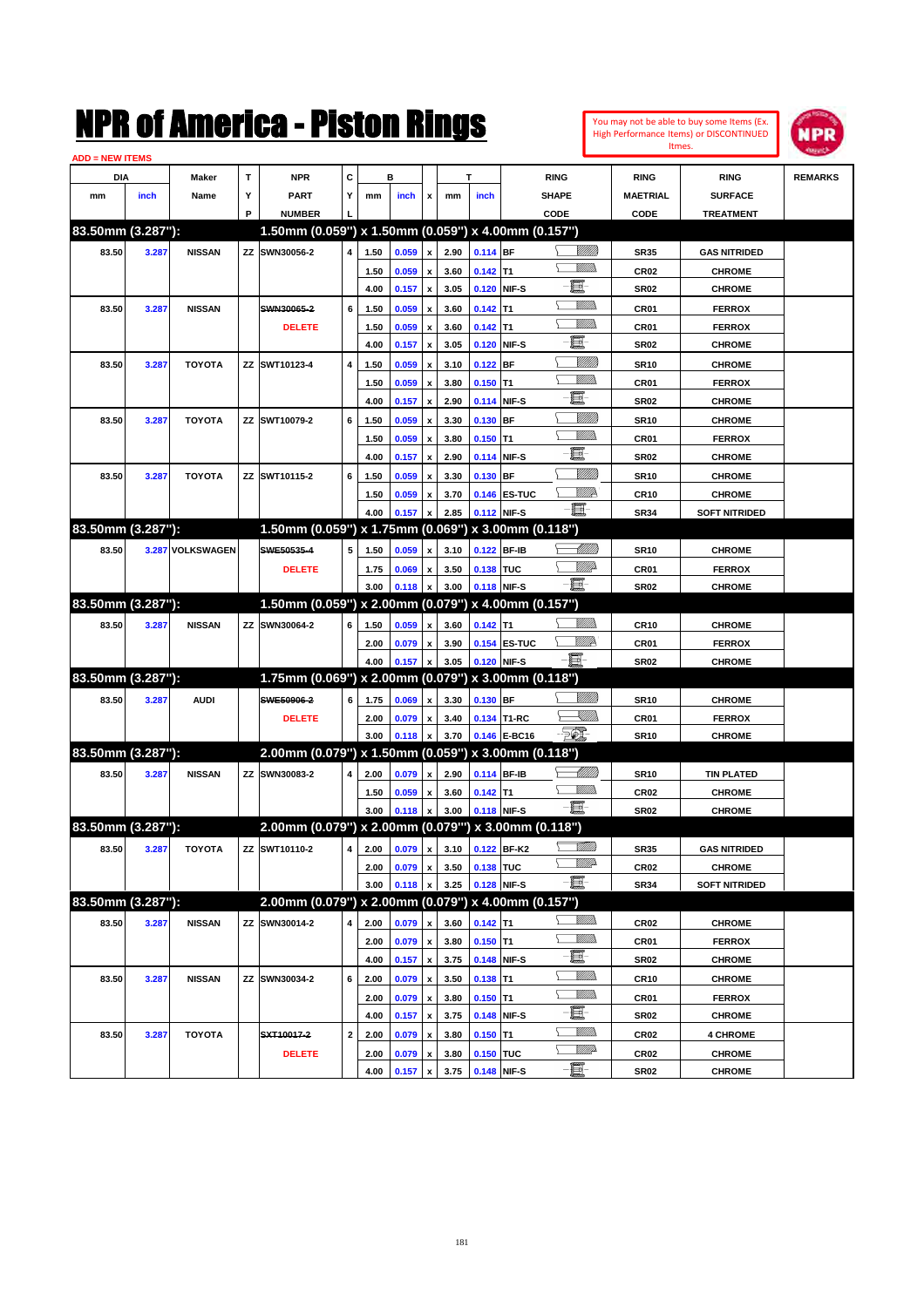You may not be able to buy some Items (Ex. High Performance Items) or DISCONTINUED Itmes.



| <b>ADD = NEW ITEMS</b> |       |                  |   |                                                      |             |      |       |                    |                                 |            |              |                 |                  |                                      |                |
|------------------------|-------|------------------|---|------------------------------------------------------|-------------|------|-------|--------------------|---------------------------------|------------|--------------|-----------------|------------------|--------------------------------------|----------------|
| DIA                    |       | Maker            | т | <b>NPR</b>                                           | С           |      | в     |                    |                                 | т          |              | <b>RING</b>     | <b>RING</b>      | <b>RING</b>                          | <b>REMARKS</b> |
| mm                     | inch  | Name             | Υ | <b>PART</b>                                          | Y           | mm   | inch  | x                  | mm                              | inch       |              | <b>SHAPE</b>    | <b>MAETRIAL</b>  | <b>SURFACE</b>                       |                |
|                        |       |                  | P | <b>NUMBER</b>                                        |             |      |       |                    |                                 |            |              | CODE            | CODE             | <b>TREATMENT</b>                     |                |
| 83.50mm (3.287"):      |       |                  |   | 1.50mm (0.059") x 1.50mm (0.059") x 4.00mm (0.157")  |             |      |       |                    |                                 |            |              |                 |                  |                                      |                |
| 83.50                  | 3.287 | <b>NISSAN</b>    |   | ZZ SWN30056-2                                        | 4           | 1.50 | 0.059 | x                  | 2.90                            | 0.114 BF   |              | <u> UMB</u>     | <b>SR35</b>      | <b>GAS NITRIDED</b>                  |                |
|                        |       |                  |   |                                                      |             | 1.50 | 0.059 |                    | 3.60                            | $0.142$ T1 |              | VMM)            | <b>CR02</b>      | <b>CHROME</b>                        |                |
|                        |       |                  |   |                                                      |             | 4.00 | 0.157 | x                  | 3.05                            |            | 0.120 NIF-S  | E               | <b>SR02</b>      | <b>CHROME</b>                        |                |
| 83.50                  | 3.287 | <b>NISSAN</b>    |   | SWN30065-2                                           | 6           | 1.50 | 0.059 |                    | 3.60                            | $0.142$ T1 |              | VMM)            | CR01             | <b>FERROX</b>                        |                |
|                        |       |                  |   | <b>DELETE</b>                                        |             | 1.50 | 0.059 |                    | 3.60                            | $0.142$ T1 |              | UM)             | CR01             | <b>FERROX</b>                        |                |
|                        |       |                  |   |                                                      |             | 4.00 | 0.157 | x                  | 3.05                            |            | 0.120 NIF-S  | e               | <b>SR02</b>      | <b>CHROME</b>                        |                |
| 83.50                  | 3.287 | <b>TOYOTA</b>    |   | ZZ SWT10123-4                                        | 4           | 1.50 | 0.059 |                    | 3.10                            | $0.122$ BF |              | <u>Milli</u>    | <b>SR10</b>      | <b>CHROME</b>                        |                |
|                        |       |                  |   |                                                      |             | 1.50 | 0.059 | x                  | 3.80                            | $0.150$ T1 |              | .<br>VMD        | CR01             | <b>FERROX</b>                        |                |
|                        |       |                  |   |                                                      |             | 4.00 | 0.157 | x                  | 2.90                            |            | 0.114 NIF-S  | e               | <b>SR02</b>      | <b>CHROME</b>                        |                |
| 83.50                  | 3.287 | <b>TOYOTA</b>    |   | ZZ SWT10079-2                                        | 6           | 1.50 | 0.059 |                    | 3.30                            | 0.130 BF   |              | <u>Milli</u>    | <b>SR10</b>      | <b>CHROME</b>                        |                |
|                        |       |                  |   |                                                      |             | 1.50 | 0.059 | x                  | 3.80                            | $0.150$ T1 |              | <u>MMW</u>      | CR01             | <b>FERROX</b>                        |                |
|                        |       |                  |   |                                                      |             | 4.00 | 0.157 | x                  | 2.90                            |            | 0.114 NIF-S  | E               | <b>SR02</b>      | <b>CHROME</b>                        |                |
| 83.50                  | 3.287 | <b>TOYOTA</b>    |   | ZZ SWT10115-2                                        | 6           | 1.50 | 0.059 |                    | 3.30                            | 0.130 BF   |              | <u>MMM</u>      | <b>SR10</b>      | <b>CHROME</b>                        |                |
|                        |       |                  |   |                                                      |             | 1.50 | 0.059 |                    | 3.70                            |            | 0.146 ES-TUC | ₩₩              | <b>CR10</b>      | <b>CHROME</b>                        |                |
|                        |       |                  |   |                                                      |             | 4.00 | 0.157 |                    | 2.85                            |            | 0.112 NIF-S  | E-              | <b>SR34</b>      | <b>SOFT NITRIDED</b>                 |                |
| 83.50mm (3.287"):      |       |                  |   | 1.50mm (0.059") x 1.75mm (0.069") x 3.00mm (0.118")  |             |      |       |                    |                                 |            |              |                 |                  |                                      |                |
| 83.50                  |       | 3.287 VOLKSWAGEN |   | SWE50535-4                                           | 5           | 1.50 | 0.059 |                    | 3.10                            |            | 0.122 BF-IB  | <u> UMM</u>     | <b>SR10</b>      | <b>CHROME</b>                        |                |
|                        |       |                  |   | <b>DELETE</b>                                        |             | 1.75 | 0.069 | x                  | 3.50                            | 0.138 TUC  |              | <u>MMP</u>      | CR01             | <b>FERROX</b>                        |                |
|                        |       |                  |   |                                                      |             | 3.00 | 0.118 |                    | 3.00                            |            | 0.118 NIF-S  | $-\blacksquare$ | <b>SR02</b>      | <b>CHROME</b>                        |                |
| 83.50mm (3.287"):      |       |                  |   | 1.50mm (0.059") x 2.00mm (0.079") x 4.00mm (0.157")  |             |      |       |                    |                                 |            |              |                 |                  |                                      |                |
| 83.50                  | 3.287 | <b>NISSAN</b>    |   | ZZ SWN30064-2                                        | 6           | 1.50 | 0.059 | x                  | 3.60                            | $0.142$ T1 |              | <u>MMW</u>      | <b>CR10</b>      | <b>CHROME</b>                        |                |
|                        |       |                  |   |                                                      |             | 2.00 | 0.079 | x                  | 3.90                            |            | 0.154 ES-TUC | ₩₩              | CR01             | <b>FERROX</b>                        |                |
|                        |       |                  |   |                                                      |             | 4.00 | 0.157 |                    | 3.05                            |            | 0.120 NIF-S  | E               | <b>SR02</b>      | <b>CHROME</b>                        |                |
| 83.50mm (3.287"):      |       |                  |   | 1.75mm (0.069") x 2.00mm (0.079") x 3.00mm (0.118")  |             |      |       |                    |                                 |            |              |                 |                  |                                      |                |
| 83.50                  | 3.287 | <b>AUDI</b>      |   | SWE50906-2                                           | 6           | 1.75 | 0.069 | x                  | 3.30                            | 0.130 BF   |              | <u>Milli</u>    | <b>SR10</b>      | <b>CHROME</b>                        |                |
|                        |       |                  |   | <b>DELETE</b>                                        |             | 2.00 | 0.079 | x                  | 3.40                            |            | 0.134 T1-RC  | <u>Sillin</u>   | CR01             | <b>FERROX</b>                        |                |
|                        |       |                  |   |                                                      |             | 3.00 | 0.118 |                    | 3.70                            |            | 0.146 E-BC16 | - 50)           | <b>SR10</b>      | <b>CHROME</b>                        |                |
| 83.50mm (3.287"):      |       |                  |   | 2.00mm (0.079") x 1.50mm (0.059") x 3.00mm (0.118")  |             |      |       |                    |                                 |            |              |                 |                  |                                      |                |
| 83.50                  | 3.287 | <b>NISSAN</b>    |   | ZZ SWN30083-2                                        | 4           | 2.00 | 0.079 |                    | 2.90                            |            | 0.114 BF-IB  | <u> UMM</u>     | <b>SR10</b>      | <b>TIN PLATED</b>                    |                |
|                        |       |                  |   |                                                      |             | 1.50 | 0.059 |                    | 3.60                            | $0.142$ T1 |              | <br>Mar         | <b>CR02</b>      | <b>CHROME</b>                        |                |
|                        |       |                  |   |                                                      |             | 3.00 | 0.118 | x                  | 3.00                            |            | 0.118 NIF-S  | -8              | <b>SR02</b>      | <b>CHROME</b>                        |                |
| 83.50mm (3.287"):      |       |                  |   | 2.00mm (0.079") x 2.00mm (0.079"") x 3.00mm (0.118") |             |      |       |                    |                                 |            |              |                 |                  |                                      |                |
| 83.50                  | 3.287 | <b>TOYOTA</b>    |   | ZZ SWT10110-2                                        |             |      |       |                    | 4 2.00 0.079 x 3.10 0.122 BF-K2 |            |              | <u>Milli</u> b  | <b>SR35</b>      |                                      |                |
|                        |       |                  |   |                                                      |             | 2.00 |       |                    | 3.50                            | 0.138 TUC  |              | <u>WW</u> A     | CR02             | <b>GAS NITRIDED</b><br><b>CHROME</b> |                |
|                        |       |                  |   |                                                      |             | 3.00 | 0.079 | x                  | 3.25                            |            | 0.128 NIF-S  | -8              |                  | <b>SOFT NITRIDED</b>                 |                |
| 83.50mm (3.287"):      |       |                  |   | 2.00mm (0.079") x 2.00mm (0.079") x 4.00mm (0.157")  |             |      | 0.118 | x                  |                                 |            |              |                 | SR34             |                                      |                |
|                        |       |                  |   |                                                      |             |      |       |                    |                                 |            |              | <u>Willib</u>   |                  |                                      |                |
| 83.50                  | 3.287 | <b>NISSAN</b>    |   | ZZ SWN30014-2                                        | 4           | 2.00 | 0.079 | x                  | 3.60                            | $0.142$ T1 |              | <u>Willib</u>   | CR02             | <b>CHROME</b>                        |                |
|                        |       |                  |   |                                                      |             | 2.00 | 0.079 | $\pmb{\mathsf{x}}$ | 3.80                            | $0.150$ T1 |              | E               | CR01             | <b>FERROX</b>                        |                |
|                        |       |                  |   |                                                      |             | 4.00 | 0.157 | $\pmb{\mathsf{x}}$ | 3.75                            |            | 0.148 NIF-S  | <u>VMM)</u>     | <b>SR02</b>      | <b>CHROME</b>                        |                |
| 83.50                  | 3.287 | <b>NISSAN</b>    |   | ZZ SWN30034-2                                        | 6           | 2.00 | 0.079 | x                  | 3.50                            | $0.138$ T1 |              | <u>Willib</u>   | CR10             | <b>CHROME</b>                        |                |
|                        |       |                  |   |                                                      |             | 2.00 | 0.079 | x                  | 3.80                            | $0.150$ T1 | 0.148 NIF-S  | E-              | CR01             | <b>FERROX</b>                        |                |
|                        |       |                  |   |                                                      |             | 4.00 | 0.157 | $\pmb{\mathsf{x}}$ | 3.75                            |            |              | <u>MMS</u>      | <b>SR02</b>      | <b>CHROME</b>                        |                |
| 83.50                  | 3.287 | <b>TOYOTA</b>    |   | SXT10017-2                                           | $\mathbf 2$ | 2.00 | 0.079 | x                  | 3.80                            | $0.150$ T1 |              | <u>VM</u> A     | CR <sub>02</sub> | <b>4 CHROME</b>                      |                |
|                        |       |                  |   | <b>DELETE</b>                                        |             | 2.00 | 0.079 |                    | 3.80                            | 0.150 TUC  |              | - E             | CR <sub>02</sub> | <b>CHROME</b>                        |                |
|                        |       |                  |   |                                                      |             | 4.00 | 0.157 | $\pmb{\mathsf{x}}$ | 3.75                            |            | 0.148 NIF-S  |                 | <b>SR02</b>      | <b>CHROME</b>                        |                |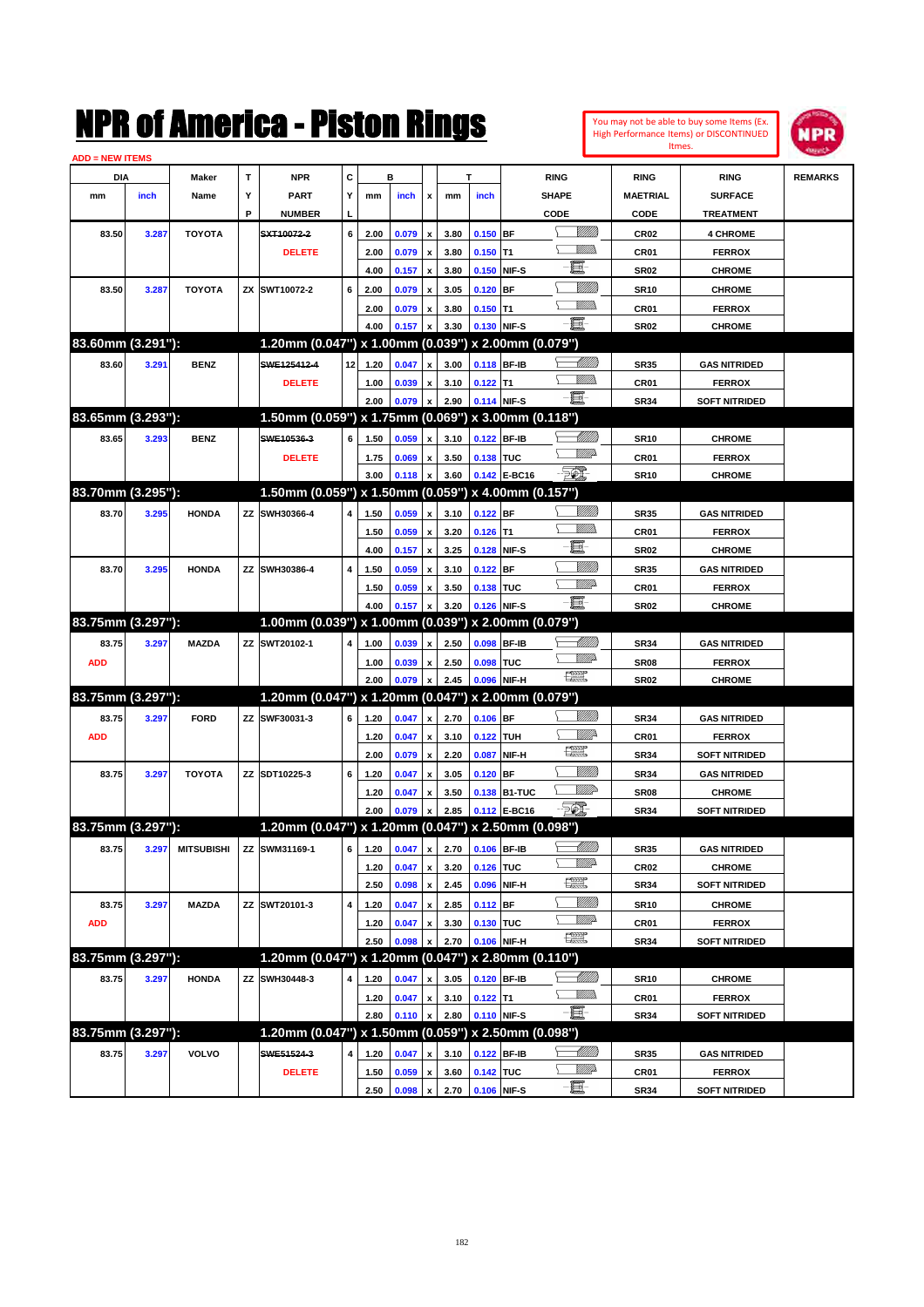| You may not be able to buy some Items (Ex.     |
|------------------------------------------------|
| <b>High Performance Items) or DISCONTINUED</b> |
| Itmes.                                         |



| <b>ADD = NEW ITEMS</b> |       |                                |    |                                                     |    |                                   |       |                           |      |            |                   |                                |                  |                      |                |
|------------------------|-------|--------------------------------|----|-----------------------------------------------------|----|-----------------------------------|-------|---------------------------|------|------------|-------------------|--------------------------------|------------------|----------------------|----------------|
| <b>DIA</b>             |       | Maker                          | т  | <b>NPR</b>                                          | С  |                                   | в     |                           |      | т          |                   | <b>RING</b>                    | <b>RING</b>      | <b>RING</b>          | <b>REMARKS</b> |
| mm                     | inch  | Name                           | Υ  | <b>PART</b>                                         | Y  | mm                                | inch  | x                         | mm   | inch       |                   | <b>SHAPE</b>                   | <b>MAETRIAL</b>  | <b>SURFACE</b>       |                |
|                        |       |                                | P  | <b>NUMBER</b>                                       | L  |                                   |       |                           |      |            |                   | CODE                           | <b>CODE</b>      | <b>TREATMENT</b>     |                |
| 83.50                  | 3.287 | <b>TOYOTA</b>                  |    | SXT10072-2                                          | 6  | 2.00                              | 0.079 | x                         | 3.80 | $0.150$ BF |                   | <br>Viited                     | <b>CR02</b>      | <b>4 CHROME</b>      |                |
|                        |       |                                |    | <b>DELETE</b>                                       |    | 2.00                              | 0.079 | x                         | 3.80 | $0.150$ T1 |                   | <u>MMs</u>                     | <b>CR01</b>      | <b>FERROX</b>        |                |
|                        |       |                                |    |                                                     |    | 4.00                              | 0.157 | x                         | 3.80 |            | 0.150 NIF-S       | 且                              | <b>SR02</b>      | <b>CHROME</b>        |                |
| 83.50                  | 3.287 | <b>TOYOTA</b>                  |    | ZX SWT10072-2                                       | 6  | 2.00                              | 0.079 | x                         | 3.05 | $0.120$ BF |                   |                                | <b>SR10</b>      | <b>CHROME</b>        |                |
|                        |       |                                |    |                                                     |    | 2.00                              | 0.079 | x                         | 3.80 | $0.150$ T1 |                   | <u>MMS</u>                     | <b>CR01</b>      | <b>FERROX</b>        |                |
|                        |       |                                |    |                                                     |    | 4.00                              | 0.157 |                           | 3.30 |            | 0.130 NIF-S       | ·圓                             | <b>SR02</b>      | <b>CHROME</b>        |                |
| 83.60mm (3.291"):      |       |                                |    | 1.20mm (0.047") x 1.00mm (0.039") x 2.00mm (0.079") |    |                                   |       |                           |      |            |                   |                                |                  |                      |                |
| 83.60                  | 3.291 | <b>BENZ</b>                    |    | SWE125412-4                                         | 12 | 1.20                              | 0.047 | x                         | 3.00 |            | 0.118 BF-IB       |                                | <b>SR35</b>      | <b>GAS NITRIDED</b>  |                |
|                        |       |                                |    | <b>DELETE</b>                                       |    | 1.00                              | 0.039 | x                         | 3.10 | $0.122$ T1 |                   | <u>MMD</u>                     | <b>CR01</b>      | <b>FERROX</b>        |                |
|                        |       |                                |    |                                                     |    | 2.00                              | 0.079 |                           | 2.90 |            | 0.114 NIF-S       | -日                             | <b>SR34</b>      | <b>SOFT NITRIDED</b> |                |
| 83.65mm (3.293"):      |       |                                |    | 1.50mm (0.059") x 1.75mm (0.069") x 3.00mm (0.118") |    |                                   |       |                           |      |            |                   |                                |                  |                      |                |
| 83.65                  | 3.293 | <b>BENZ</b>                    |    | SWE10536-3                                          | 6  | 1.50                              | 0.059 | x                         | 3.10 |            | 0.122 BF-IB       |                                | <b>SR10</b>      | <b>CHROME</b>        |                |
|                        |       |                                |    | <b>DELETE</b>                                       |    | 1.75                              | 0.069 | x                         | 3.50 | 0.138 TUC  |                   | ₩₩                             | <b>CR01</b>      | <b>FERROX</b>        |                |
|                        |       |                                |    |                                                     |    | 3.00                              | 0.118 |                           | 3.60 |            | 0.142 E-BC16      | - 50)                          | <b>SR10</b>      | <b>CHROME</b>        |                |
| 83.70mm (3.295"):      |       |                                |    | 1.50mm (0.059") x 1.50mm (0.059") x 4.00mm (0.157") |    |                                   |       |                           |      |            |                   |                                |                  |                      |                |
| 83.70                  | 3.295 | <b>HONDA</b>                   |    | ZZ SWH30366-4                                       | 4  | 1.50                              | 0.059 | $\boldsymbol{\mathsf{x}}$ | 3.10 | $0.122$ BF |                   | <u>MMS</u>                     | <b>SR35</b>      | <b>GAS NITRIDED</b>  |                |
|                        |       |                                |    |                                                     |    | 1.50                              | 0.059 | x                         | 3.20 | $0.126$ T1 |                   | <u>Millis</u>                  | <b>CR01</b>      | <b>FERROX</b>        |                |
|                        |       |                                |    |                                                     |    | 4.00                              | 0.157 | x                         | 3.25 |            | 0.128 NIF-S       | 量                              | <b>SR02</b>      | <b>CHROME</b>        |                |
| 83.70                  | 3.295 | <b>HONDA</b>                   | ΖZ | SWH30386-4                                          | 4  | 1.50                              | 0.059 | x                         | 3.10 | $0.122$ BF |                   | <u>VMM</u>                     | <b>SR35</b>      | <b>GAS NITRIDED</b>  |                |
|                        |       |                                |    |                                                     |    | 1.50                              | 0.059 | x                         | 3.50 | 0.138 TUC  |                   | <u>MM</u> D                    | <b>CR01</b>      | <b>FERROX</b>        |                |
|                        |       |                                |    |                                                     |    | 4.00                              | 0.157 |                           | 3.20 |            | 0.126 NIF-S       | -日                             | <b>SR02</b>      | <b>CHROME</b>        |                |
| 83.75mm (3.297"):      |       |                                |    | 1.00mm (0.039") x 1.00mm (0.039") x 2.00mm (0.079") |    |                                   |       |                           |      |            |                   |                                |                  |                      |                |
| 83.75                  | 3.297 | <b>MAZDA</b>                   |    | ZZ SWT20102-1                                       | 4  | 1.00                              | 0.039 | x                         | 2.50 |            | 0.098 BF-IB       | <u>- Millitt</u>               | <b>SR34</b>      | <b>GAS NITRIDED</b>  |                |
| <b>ADD</b>             |       |                                |    |                                                     |    | 1.00                              | 0.039 | x                         | 2.50 | 0.098 TUC  |                   | <u>VMD</u>                     | <b>SR08</b>      | <b>FERROX</b>        |                |
|                        |       |                                |    |                                                     |    | 2.00                              | 0.079 |                           | 2.45 |            | 0.096 NIF-H       | $f_{\rm max}^{\rm exp}$        | <b>SR02</b>      | <b>CHROME</b>        |                |
| 83.75mm (3.297"):      |       |                                |    | 1.20mm (0.047") x 1.20mm (0.047") x 2.00mm (0.079") |    |                                   |       |                           |      |            |                   |                                |                  |                      |                |
| 83.75                  | 3.297 | <b>FORD</b>                    |    | ZZ SWF30031-3                                       | 6  | 1.20                              | 0.047 | $\pmb{\mathsf{x}}$        | 2.70 | $0.106$ BF |                   |                                | <b>SR34</b>      | <b>GAS NITRIDED</b>  |                |
| <b>ADD</b>             |       |                                |    |                                                     |    | 1.20                              | 0.047 | x                         | 3.10 | 0.122      | <b>TUH</b>        |                                | <b>CR01</b>      | <b>FERROX</b>        |                |
|                        |       |                                |    |                                                     |    | 2.00                              | 0.079 | x                         | 2.20 | 0.087      | NIF-H             | $\mathbb{R}$                   | <b>SR34</b>      | <b>SOFT NITRIDED</b> |                |
| 83.75                  | 3.297 | <b>TOYOTA</b>                  |    | ZZ SDT10225-3                                       | 6  | 1.20                              | 0.047 | x                         | 3.05 | $0.120$ BF |                   | <br>Viited                     | <b>SR34</b>      | <b>GAS NITRIDED</b>  |                |
|                        |       |                                |    |                                                     |    | 1.20                              | 0.047 | x                         | 3.50 |            | 0.138 B1-TUC      | MMP                            | <b>SR08</b>      | <b>CHROME</b>        |                |
|                        |       |                                |    |                                                     |    | 2.00                              | 0.079 |                           | 2.85 |            | 0.112 E-BC16      | - 50)                          | <b>SR34</b>      | <b>SOFT NITRIDED</b> |                |
| 83.75mm (3.297"):      |       |                                |    | 1.20mm (0.047") x 1.20mm (0.047") x 2.50mm (0.098") |    |                                   |       |                           |      |            |                   |                                |                  |                      |                |
| 83.75                  |       | 3.297 MITSUBISHI ZZ SWM31169-1 |    |                                                     |    | $6$ 1.20 0.047 x 2.70 0.106 BF-IB |       |                           |      |            |                   | <u>-1777))</u>                 | <b>SR35</b>      | <b>GAS NITRIDED</b>  |                |
|                        |       |                                |    |                                                     |    | 1.20                              | 0.047 | $\pmb{\mathsf{x}}$        | 3.20 | 0.126 TUC  |                   | <u>VMB</u>                     | CR <sub>02</sub> | <b>CHROME</b>        |                |
|                        |       |                                |    |                                                     |    | 2.50                              | 0.098 | $\pmb{\mathsf{x}}$        | 2.45 |            | 0.096 NIF-H       | $f_{\text{max}}^{\text{comp}}$ | <b>SR34</b>      | <b>SOFT NITRIDED</b> |                |
| 83.75                  | 3.297 | <b>MAZDA</b>                   |    | ZZ SWT20101-3                                       | 4  | 1.20                              | 0.047 | $\pmb{\mathsf{x}}$        | 2.85 | 0.112 BF   |                   | <u>Villida</u>                 | <b>SR10</b>      | <b>CHROME</b>        |                |
| <b>ADD</b>             |       |                                |    |                                                     |    | 1.20                              | 0.047 | x                         | 3.30 | 0.130 TUC  |                   | <u>VMP</u>                     | CR01             | <b>FERROX</b>        |                |
|                        |       |                                |    |                                                     |    | 2.50                              | 0.098 |                           | 2.70 |            | 0.106 NIF-H       | $f_{\text{max}}^{\text{max}}$  | <b>SR34</b>      | <b>SOFT NITRIDED</b> |                |
| 83.75mm (3.297"):      |       |                                |    | 1.20mm (0.047") x 1.20mm (0.047")                   |    |                                   |       |                           |      |            | x 2.80mm (0.110") |                                |                  |                      |                |
| 83.75                  | 3.297 | <b>HONDA</b>                   |    | ZZ SWH30448-3                                       | 4  | 1.20                              | 0.047 | x                         | 3.05 |            | 0.120 BF-IB       | <u>— Millito</u>               | SR10             | <b>CHROME</b>        |                |
|                        |       |                                |    |                                                     |    | 1.20                              | 0.047 | $\pmb{\mathsf{x}}$        | 3.10 | $0.122$ T1 |                   | <u>MMs</u>                     | CR01             | <b>FERROX</b>        |                |
|                        |       |                                |    |                                                     |    | 2.80                              | 0.110 |                           | 2.80 |            | 0.110 NIF-S       | -日                             | <b>SR34</b>      | <b>SOFT NITRIDED</b> |                |
| 83.75mm (3.297"):      |       |                                |    | 1.20mm (0.047") x 1.50mm (0.059") x 2.50mm (0.098") |    |                                   |       |                           |      |            |                   |                                |                  |                      |                |
| 83.75                  | 3.297 | <b>VOLVO</b>                   |    | SWE51524-3                                          | 4  | 1.20                              | 0.047 | x                         | 3.10 |            | 0.122 BF-IB       | <u>— Milli</u> b               | <b>SR35</b>      | <b>GAS NITRIDED</b>  |                |
|                        |       |                                |    | <b>DELETE</b>                                       |    | 1.50                              | 0.059 | x                         | 3.60 | 0.142 TUC  |                   | <u>Willia</u>                  | CR01             | <b>FERROX</b>        |                |
|                        |       |                                |    |                                                     |    | 2.50                              | 0.098 | $\pmb{\mathsf{x}}$        | 2.70 |            | 0.106 NIF-S       | -8                             | <b>SR34</b>      | <b>SOFT NITRIDED</b> |                |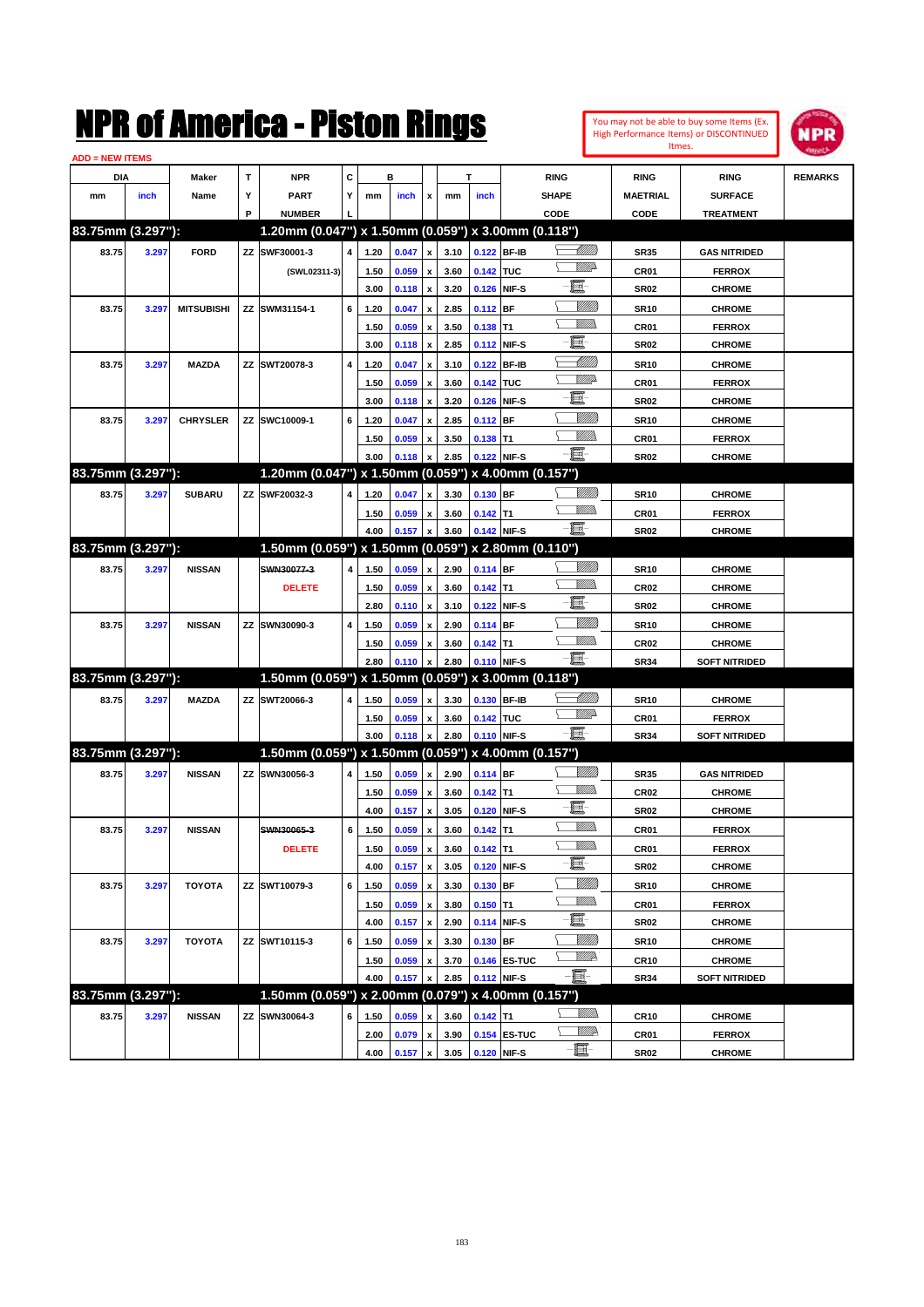| You may not be able to buy some Items (Ex. |
|--------------------------------------------|
| High Performance Items) or DISCONTINUED    |
| Itmes.                                     |



| <b>ADD = NEW ITEMS</b> |       |                   |   |                                                     |   |      |       |                           |      |             |              |                  |                  |                      |                |
|------------------------|-------|-------------------|---|-----------------------------------------------------|---|------|-------|---------------------------|------|-------------|--------------|------------------|------------------|----------------------|----------------|
| DIA                    |       | Maker             | т | <b>NPR</b>                                          | С |      | в     |                           | т    |             |              | <b>RING</b>      | <b>RING</b>      | <b>RING</b>          | <b>REMARKS</b> |
| mm                     | inch  | Name              | Υ | PART                                                | Y | mm   | inch  | x                         | mm   | inch        |              | <b>SHAPE</b>     | <b>MAETRIAL</b>  | <b>SURFACE</b>       |                |
|                        |       |                   | P | <b>NUMBER</b>                                       |   |      |       |                           |      |             |              | CODE             | CODE             | <b>TREATMENT</b>     |                |
| 83.75mm (3.297"):      |       |                   |   | 1.20mm (0.047") x 1.50mm (0.059") x 3.00mm (0.118") |   |      |       |                           |      |             |              |                  |                  |                      |                |
| 83.75                  | 3.297 | <b>FORD</b>       |   | ZZ SWF30001-3                                       | 4 | 1.20 | 0.047 | $\pmb{\mathsf{x}}$        | 3.10 | 0.122 BF-IB |              | <u> Millill</u>  | <b>SR35</b>      | <b>GAS NITRIDED</b>  |                |
|                        |       |                   |   | (SWL02311-3)                                        |   | 1.50 | 0.059 | x                         | 3.60 | 0.142 TUC   |              | <u>VMD</u>       | <b>CR01</b>      | <b>FERROX</b>        |                |
|                        |       |                   |   |                                                     |   | 3.00 | 0.118 | $\pmb{\mathsf{x}}$        | 3.20 | 0.126       | NIF-S        | e.               | <b>SR02</b>      | <b>CHROME</b>        |                |
| 83.75                  | 3.297 | <b>MITSUBISHI</b> |   | ZZ SWM31154-1                                       | 6 | 1.20 | 0.047 | x                         | 2.85 | 0.112       | <b>BF</b>    |                  | <b>SR10</b>      | <b>CHROME</b>        |                |
|                        |       |                   |   |                                                     |   | 1.50 | 0.059 | х                         | 3.50 | 0.138       | IT1          | <br>Milli        | CR <sub>01</sub> | <b>FERROX</b>        |                |
|                        |       |                   |   |                                                     |   | 3.00 | 0.118 | $\pmb{\mathsf{x}}$        | 2.85 | 0.112       | NIF-S        | e.               | <b>SR02</b>      | <b>CHROME</b>        |                |
| 83.75                  | 3.297 | <b>MAZDA</b>      |   | ZZ SWT20078-3                                       | 4 | 1.20 | 0.047 | x                         | 3.10 | 0.122       | <b>BF-IB</b> | <u> Milli</u> ll | <b>SR10</b>      | <b>CHROME</b>        |                |
|                        |       |                   |   |                                                     |   | 1.50 | 0.059 | $\boldsymbol{\mathsf{x}}$ | 3.60 | 0.142 TUC   |              | <u>VMD</u>       | CR <sub>01</sub> | <b>FERROX</b>        |                |
|                        |       |                   |   |                                                     |   | 3.00 | 0.118 | $\pmb{\mathsf{x}}$        | 3.20 | 0.126       | NIF-S        | e.               | <b>SR02</b>      | <b>CHROME</b>        |                |
| 83.75                  | 3.297 | <b>CHRYSLER</b>   |   | ZZ SWC10009-1                                       | 6 | 1.20 | 0.047 | x                         | 2.85 | 0.112       | <b>BF</b>    | VIII))           | <b>SR10</b>      | <b>CHROME</b>        |                |
|                        |       |                   |   |                                                     |   | 1.50 | 0.059 | x                         | 3.50 | $0.138$ T1  |              | 97777)           | <b>CR01</b>      | <b>FERROX</b>        |                |
|                        |       |                   |   |                                                     |   | 3.00 | 0.118 | x                         | 2.85 | 0.122 NIF-S |              | ·ii              | SR <sub>02</sub> | <b>CHROME</b>        |                |
| 83.75mm (3.297"):      |       |                   |   | 1.20mm (0.047") x 1.50mm (0.059") x 4.00mm (0.157") |   |      |       |                           |      |             |              |                  |                  |                      |                |
| 83.75                  | 3.297 | <b>SUBARU</b>     |   | ZZ SWF20032-3                                       | 4 | 1.20 | 0.047 | x                         | 3.30 | 0.130 BF    |              |                  | <b>SR10</b>      | <b>CHROME</b>        |                |
|                        |       |                   |   |                                                     |   | 1.50 | 0.059 | $\boldsymbol{\mathsf{x}}$ | 3.60 | $0.142$ T1  |              |                  | CR <sub>01</sub> | <b>FERROX</b>        |                |
|                        |       |                   |   |                                                     |   | 4.00 | 0.157 | $\pmb{\mathsf{x}}$        | 3.60 | 0.142 NIF-S |              | $-\blacksquare$  | SR <sub>02</sub> | <b>CHROME</b>        |                |
| 83.75mm (3.297"):      |       |                   |   | 1.50mm (0.059") x 1.50mm (0.059") x 2.80mm (0.110") |   |      |       |                           |      |             |              |                  |                  |                      |                |
| 83.75                  | 3.297 | <b>NISSAN</b>     |   | SWN30077-3                                          | 4 | 1.50 | 0.059 | x                         | 2.90 | 0.114 BF    |              |                  | <b>SR10</b>      | <b>CHROME</b>        |                |
|                        |       |                   |   | <b>DELETE</b>                                       |   | 1.50 | 0.059 | x                         | 3.60 | $0.142$ T1  |              | .<br>Milli       | <b>CR02</b>      | <b>CHROME</b>        |                |
|                        |       |                   |   |                                                     |   | 2.80 | 0.110 | $\pmb{\mathsf{x}}$        | 3.10 | 0.122       | NIF-S        | đ.               | SR <sub>02</sub> | <b>CHROME</b>        |                |
| 83.75                  | 3.297 | <b>NISSAN</b>     |   | ZZ SWN30090-3                                       | 4 | 1.50 | 0.059 | x                         | 2.90 | 0.114       | <b>BF</b>    |                  | <b>SR10</b>      | <b>CHROME</b>        |                |
|                        |       |                   |   |                                                     |   | 1.50 | 0.059 | x                         | 3.60 | $0.142$ T1  |              | <br>Milli        | CR <sub>02</sub> | <b>CHROME</b>        |                |
|                        |       |                   |   |                                                     |   | 2.80 | 0.110 |                           | 2.80 | 0.110 NIF-S |              | $-\blacksquare$  | <b>SR34</b>      | <b>SOFT NITRIDED</b> |                |
| 83.75mm (3.297"):      |       |                   |   | 1.50mm (0.059") x 1.50mm (0.059") x 3.00mm (0.118") |   |      |       |                           |      |             |              |                  |                  |                      |                |
| 83.75                  | 3.297 | <b>MAZDA</b>      |   | ZZ SWT20066-3                                       | 4 | 1.50 | 0.059 | x                         | 3.30 | 0.130 BF-IB |              | <u> MM)</u>      | <b>SR10</b>      | <b>CHROME</b>        |                |
|                        |       |                   |   |                                                     |   | 1.50 | 0.059 | x                         | 3.60 | 0.142 TUC   |              | <u>WW</u> A      | <b>CR01</b>      | <b>FERROX</b>        |                |
|                        |       |                   |   |                                                     |   | 3.00 | 0.118 |                           | 2.80 | 0.110       | NIF-S        | $-\blacksquare$  | <b>SR34</b>      | <b>SOFT NITRIDED</b> |                |
| 83.75mm (3.297"):      |       |                   |   | 1.50mm (0.059") x 1.50mm (0.059") x 4.00mm (0.157") |   |      |       |                           |      |             |              |                  |                  |                      |                |
| 83.75                  | 3.297 | <b>NISSAN</b>     |   | ZZ SWN30056-3                                       | 4 | 1.50 | 0.059 | $\pmb{\mathsf{x}}$        | 2.90 | 0.114 BF    |              |                  | <b>SR35</b>      | <b>GAS NITRIDED</b>  |                |
|                        |       |                   |   |                                                     |   | 1.50 | 0.059 | x                         | 3.60 | $0.142$ T1  |              | .<br>VMD         | <b>CR02</b>      | <b>CHROME</b>        |                |
|                        |       |                   |   |                                                     |   | 4.00 | 0.157 | $\pmb{\mathsf{x}}$        | 3.05 | 0.120       | NIF-S        | e.               | SR <sub>02</sub> | <b>CHROME</b>        |                |
| 83.75                  | 3.297 | <b>NISSAN</b>     |   | SWN30065-3                                          | 6 | 1.50 | 0.059 | $\boldsymbol{\mathsf{x}}$ | 3.60 | $0.142$ T1  |              |                  | <b>CR01</b>      | <b>FERROX</b>        |                |
|                        |       |                   |   | <b>DELETE</b>                                       |   | 1.50 | 0.059 | $\pmb{\mathsf{x}}$        | 3.60 | $0.142$ T1  |              |                  | CR01             | <b>FERROX</b>        |                |
|                        |       |                   |   |                                                     |   | 4.00 | 0.157 | $\boldsymbol{\mathsf{x}}$ | 3.05 | 0.120       | NIF-S        | -買-              | SR <sub>02</sub> | <b>CHROME</b>        |                |
| 83.75                  | 3.297 | <b>TOYOTA</b>     |   | ZZ SWT10079-3                                       | 6 | 1.50 | 0.059 | x                         | 3.30 | 0.130       | BF           | <u>MMM</u>       | <b>SR10</b>      | <b>CHROME</b>        |                |
|                        |       |                   |   |                                                     |   | 1.50 | 0.059 | $\pmb{\mathsf{x}}$        | 3.80 | $0.150$ T1  |              | <u>WMW</u>       | CR01             | <b>FERROX</b>        |                |
|                        |       |                   |   |                                                     |   | 4.00 | 0.157 | $\pmb{\mathsf{x}}$        | 2.90 | 0.114       | NIF-S        | $-\Xi$ -         | SR <sub>02</sub> | <b>CHROME</b>        |                |
| 83.75                  | 3.297 | <b>TOYOTA</b>     |   | ZZ SWT10115-3                                       | 6 | 1.50 | 0.059 | x                         | 3.30 | 0.130       | BF           | <u>VIIII</u> )   | <b>SR10</b>      | <b>CHROME</b>        |                |
|                        |       |                   |   |                                                     |   | 1.50 | 0.059 | x                         | 3.70 |             | 0.146 ES-TUC | ₩₩               | CR <sub>10</sub> | <b>CHROME</b>        |                |
|                        |       |                   |   |                                                     |   | 4.00 | 0.157 | x                         | 2.85 | 0.112 NIF-S |              | E-               | <b>SR34</b>      | <b>SOFT NITRIDED</b> |                |
| 83.75mm (3.297"):      |       |                   |   | 1.50mm (0.059") x 2.00mm (0.079") x 4.00mm (0.157") |   |      |       |                           |      |             |              |                  |                  |                      |                |
| 83.75                  | 3.297 | <b>NISSAN</b>     |   | ZZ SWN30064-3                                       | 6 | 1.50 | 0.059 | x                         | 3.60 | $0.142$ T1  |              | <u>WMs</u>       | <b>CR10</b>      | <b>CHROME</b>        |                |
|                        |       |                   |   |                                                     |   | 2.00 | 0.079 | $\pmb{\mathsf{x}}$        | 3.90 |             | 0.154 ES-TUC | ₩₩               | CR01             | <b>FERROX</b>        |                |
|                        |       |                   |   |                                                     |   | 4.00 | 0.157 | $\pmb{\mathsf{x}}$        | 3.05 | 0.120 NIF-S |              | E-               | <b>SR02</b>      | <b>CHROME</b>        |                |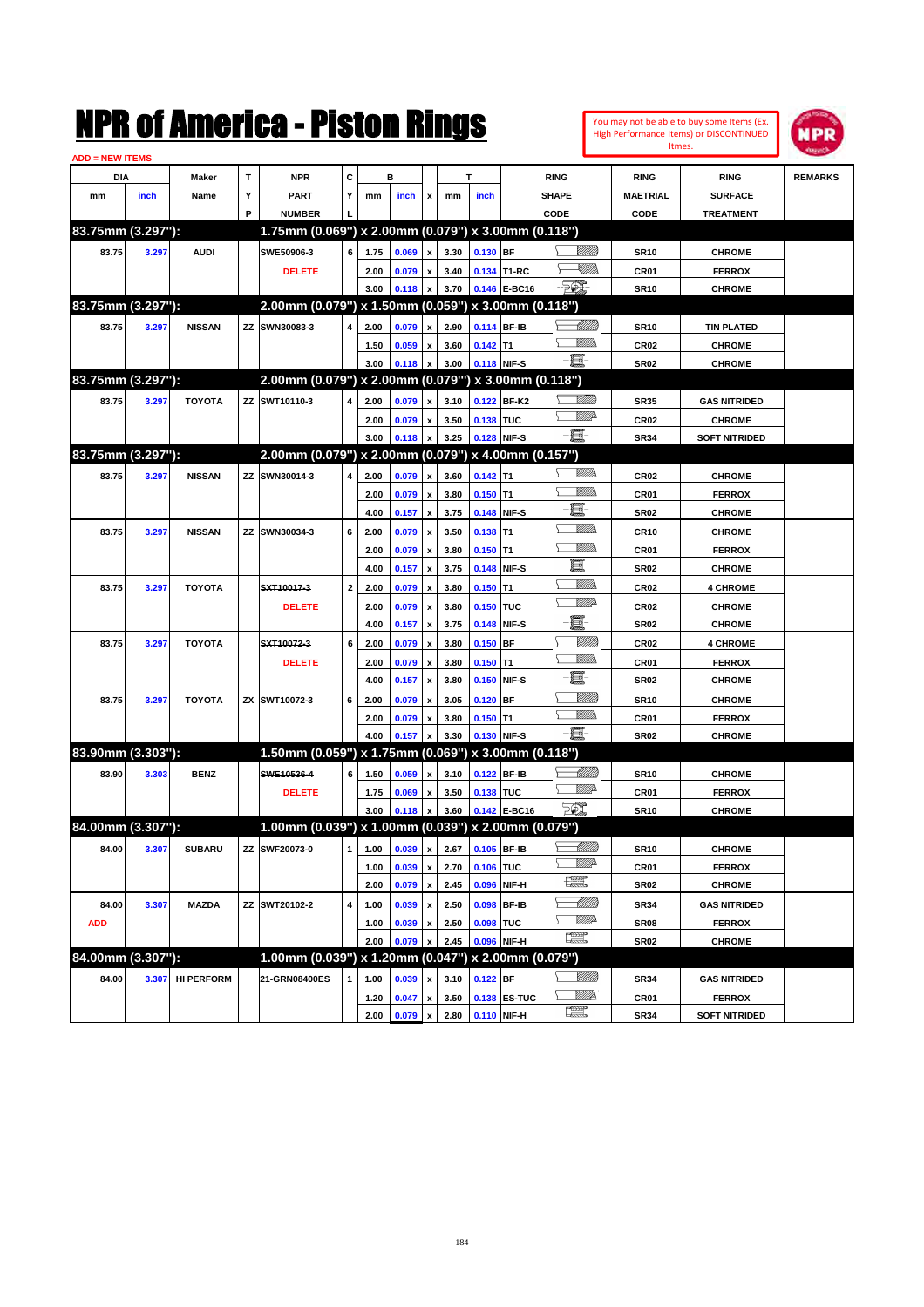|                        |       |                   |   | NMK OI AINCrica - Miston Kings                       |                         |              |           |                                          |              |            |                             |                               |                 |                  | You may not be able to buy some Items (Ex.<br>High Performance Items) or DISCONTINUED | IPR            |
|------------------------|-------|-------------------|---|------------------------------------------------------|-------------------------|--------------|-----------|------------------------------------------|--------------|------------|-----------------------------|-------------------------------|-----------------|------------------|---------------------------------------------------------------------------------------|----------------|
| <b>ADD = NEW ITEMS</b> |       |                   |   |                                                      |                         |              |           |                                          |              |            |                             |                               |                 | Itmes.           |                                                                                       |                |
| DIA                    |       | Maker             | T | <b>NPR</b>                                           | c                       |              | в         |                                          |              | т          |                             | <b>RING</b>                   |                 | <b>RING</b>      | <b>RING</b>                                                                           | <b>REMARKS</b> |
| mm                     | inch  | Name              | Υ | <b>PART</b>                                          | Y                       | mm           | inch      | x                                        | mm           | inch       |                             | <b>SHAPE</b>                  |                 | <b>MAETRIAL</b>  | <b>SURFACE</b>                                                                        |                |
|                        |       |                   | P | <b>NUMBER</b>                                        |                         |              |           |                                          |              |            |                             | CODE                          |                 | CODE             | <b>TREATMENT</b>                                                                      |                |
| 83.75mm (3.297"):      |       |                   |   | 1.75mm (0.069") x 2.00mm (0.079") x 3.00mm (0.118")  |                         |              |           |                                          |              |            |                             |                               |                 |                  |                                                                                       |                |
| 83.75                  | 3.297 | <b>AUDI</b>       |   | SWE50906-3                                           | 6                       | 1.75         | 0.069     | x                                        | 3.30         | 0.130 BF   |                             |                               | <u> UMB</u>     | <b>SR10</b>      | <b>CHROME</b>                                                                         |                |
|                        |       |                   |   | <b>DELETE</b>                                        |                         | 2.00         | 0.079     | $\pmb{\mathsf{x}}$                       | 3.40         |            | 0.134 T1-RC                 |                               | <u>Sillin</u>   | CR01             | <b>FERROX</b>                                                                         |                |
|                        |       |                   |   |                                                      |                         | 3.00         | 0.118     | x                                        | 3.70         |            | 0.146 E-BC16                | $\mathbb{Z}$                  |                 | <b>SR10</b>      | <b>CHROME</b>                                                                         |                |
| 83.75mm (3.297"):      |       |                   |   | 2.00mm (0.079") x 1.50mm (0.059")                    |                         |              |           |                                          |              |            | x 3.00mm (0.118")           |                               |                 |                  |                                                                                       |                |
| 83.75                  | 3.297 | <b>NISSAN</b>     |   | ZZ SWN30083-3                                        | 4                       | 2.00         | 0.079     | x                                        | 2.90         |            | 0.114 BF-IB                 |                               | <u> Milli</u>   | <b>SR10</b>      | <b>TIN PLATED</b>                                                                     |                |
|                        |       |                   |   |                                                      |                         | 1.50         | 0.059     | x                                        | 3.60         | $0.142$ T1 |                             |                               | CM)             | CR <sub>02</sub> | <b>CHROME</b>                                                                         |                |
|                        |       |                   |   |                                                      |                         | 3.00         | 0.118     | x                                        | 3.00         |            | 0.118 NIF-S                 | -80                           |                 | <b>SR02</b>      | <b>CHROME</b>                                                                         |                |
| 83.75mm (3.297"):      |       |                   |   | 2.00mm (0.079") x 2.00mm (0.079"") x 3.00mm (0.118") |                         |              |           |                                          |              |            |                             |                               |                 |                  |                                                                                       |                |
| 83.75                  | 3.297 | <b>TOYOTA</b>     |   | ZZ SWT10110-3                                        | 4                       | 2.00         | 0.079     | $\mathbf{x}$                             | 3.10         |            | 0.122 BF-K2                 |                               | <u> Villill</u> | <b>SR35</b>      | <b>GAS NITRIDED</b>                                                                   |                |
|                        |       |                   |   |                                                      |                         | 2.00         | 0.079     | $\pmb{\mathsf{x}}$                       | 3.50         | 0.138 TUC  |                             |                               | <u>MM</u> D     | CR <sub>02</sub> | <b>CHROME</b>                                                                         |                |
|                        |       |                   |   |                                                      |                         | 3.00         | 0.118     | x                                        | 3.25         |            | 0.128 NIF-S                 | -8                            |                 | <b>SR34</b>      | <b>SOFT NITRIDED</b>                                                                  |                |
| 83.75mm (3.297"):      |       |                   |   | 2.00mm (0.079") x 2.00mm (0.079") x 4.00mm (0.157")  |                         |              |           |                                          |              |            |                             |                               |                 |                  |                                                                                       |                |
| 83.75                  | 3.297 | <b>NISSAN</b>     |   | ZZ SWN30014-3                                        | 4                       | 2.00         | 0.079     | x                                        | 3.60         | $0.142$ T1 |                             |                               | VMM)            | CR <sub>02</sub> | <b>CHROME</b>                                                                         |                |
|                        |       |                   |   |                                                      |                         | 2.00         | 0.079     | $\boldsymbol{\mathsf{x}}$                | 3.80         | $0.150$ T1 |                             |                               | CM)             | CR01             | <b>FERROX</b>                                                                         |                |
|                        |       |                   |   |                                                      |                         | 4.00         | 0.157     | $\pmb{\mathsf{x}}$                       | 3.75         | 0.148      | NIF-S                       | E.                            |                 | <b>SR02</b>      | <b>CHROME</b>                                                                         |                |
| 83.75                  | 3.297 | <b>NISSAN</b>     |   | ZZ SWN30034-3                                        | 6                       | 2.00         | 0.079     | $\boldsymbol{\mathsf{x}}$                | 3.50         | $0.138$ T1 |                             |                               | CM)             | <b>CR10</b>      | <b>CHROME</b>                                                                         |                |
|                        |       |                   |   |                                                      |                         | 2.00         | 0.079     | x                                        | 3.80         | $0.150$ T1 |                             |                               | .<br>VMD        | CR01             | <b>FERROX</b>                                                                         |                |
|                        |       |                   |   |                                                      |                         | 4.00         | 0.157     | $\boldsymbol{\mathsf{x}}$                | 3.75         | 0.148      | NIF-S                       | E.                            |                 | <b>SR02</b>      | <b>CHROME</b>                                                                         |                |
| 83.75                  | 3.297 | <b>TOYOTA</b>     |   | SXT10017-3                                           | $\overline{\mathbf{2}}$ | 2.00         | 0.079     | x                                        | 3.80         | $0.150$ T1 |                             |                               | CM)             | CR <sub>02</sub> | <b>4 CHROME</b>                                                                       |                |
|                        |       |                   |   | <b>DELETE</b>                                        |                         | 2.00         | 0.079     | x                                        | 3.80         | 0.150      | <b>TUC</b>                  |                               | <u>MM</u> D     | CR <sub>02</sub> | <b>CHROME</b>                                                                         |                |
|                        |       |                   |   |                                                      |                         | 4.00         | 0.157     | x                                        | 3.75         | 0.148      | NIF-S                       | e.                            |                 | <b>SR02</b>      | <b>CHROME</b>                                                                         |                |
| 83.75                  | 3.297 | <b>TOYOTA</b>     |   | SXT10072-3                                           | 6                       | 2.00         | 0.079     | x                                        | 3.80         | 0.150      | <b>BF</b>                   |                               | <u>VMM</u>      | CR <sub>02</sub> | <b>4 CHROME</b>                                                                       |                |
|                        |       |                   |   | <b>DELETE</b>                                        |                         | 2.00         | 0.079     | x                                        | 3.80         | $0.150$ T1 |                             |                               | CM)             | CR01             | <b>FERROX</b>                                                                         |                |
|                        |       |                   |   |                                                      |                         | 4.00         | 0.157     | x                                        | 3.80         | 0.150      | NIF-S                       | E                             |                 | <b>SR02</b>      | <b>CHROME</b>                                                                         |                |
| 83.75                  | 3.297 | <b>TOYOTA</b>     |   | ZX SWT10072-3                                        | 6                       | 2.00         | 0.079     | x                                        | 3.05         | $0.120$ BF |                             |                               | <u>VIIII</u>    | <b>SR10</b>      | <b>CHROME</b>                                                                         |                |
|                        |       |                   |   |                                                      |                         | 2.00         | 0.079     | x                                        | 3.80         | $0.150$ T1 |                             |                               | .<br>VMD        | CR01             | <b>FERROX</b>                                                                         |                |
|                        |       |                   |   |                                                      |                         | 4.00         | 0.157     | x                                        | 3.30         |            | 0.130 NIF-S                 | -00                           |                 | <b>SR02</b>      | <b>CHROME</b>                                                                         |                |
| 83.90mm (3.303"):      |       |                   |   | 1.50mm (0.059") x 1.75mm (0.069")                    |                         |              |           |                                          |              |            | x 3.00mm (0.118")           |                               |                 |                  |                                                                                       |                |
| 83.90                  | 3.303 | <b>BENZ</b>       |   | SWE10536-4                                           | 6                       | 1.50         | 0.059     | x                                        | 3.10         |            | 0.122 BF-IB                 |                               | <u> Milli</u>   | <b>SR10</b>      | <b>CHROME</b>                                                                         |                |
|                        |       |                   |   | <b>DELETE</b>                                        |                         | 1.75         | 0.069     | x                                        | 3.50         | 0.138 TUC  |                             |                               | <u>VMD</u>      | CR01             | <b>FERROX</b>                                                                         |                |
|                        |       |                   |   |                                                      |                         | 3.00         | $0.118$ x |                                          | 3.60         |            | 0.142 E-BC16                | $\overline{\mathbb{E}}$       |                 | <b>SR10</b>      | <b>CHROME</b>                                                                         |                |
| 84.00mm (3.307"):      |       |                   |   | 1.00mm (0.039") x 1.00mm (0.039") x 2.00mm (0.079")  |                         |              |           |                                          |              |            |                             |                               |                 |                  |                                                                                       |                |
| 84.00                  | 3.307 | <b>SUBARU</b>     |   | ZZ SWF20073-0                                        | $\mathbf{1}$            | 1.00         | 0.039     | $\pmb{\mathsf{x}}$                       | 2.67         |            | 0.105 BF-IB                 |                               | <u> UMB</u>     | <b>SR10</b>      | <b>CHROME</b>                                                                         |                |
|                        |       |                   |   |                                                      |                         |              |           | $\pmb{\mathsf{x}}$                       | 2.70         | 0.106 TUC  |                             |                               | <u>VMP</u>      |                  | <b>FERROX</b>                                                                         |                |
|                        |       |                   |   |                                                      |                         | 1.00         | 0.039     |                                          |              |            | NIF-H                       | R                             |                 | CR01             | <b>CHROME</b>                                                                         |                |
|                        |       | <b>MAZDA</b>      |   | ZZ SWT20102-2                                        | 4                       | 2.00         | 0.079     | $\pmb{\mathsf{x}}$                       | 2.45         | 0.096      |                             |                               | <u> MM/B</u>    | SR <sub>02</sub> | <b>GAS NITRIDED</b>                                                                   |                |
| 84.00                  | 3.307 |                   |   |                                                      |                         | 1.00         | 0.039     | $\pmb{\mathsf{x}}$                       | 2.50         | 0.098 TUC  | 0.098 BF-IB                 |                               | ₩₩              | <b>SR34</b>      |                                                                                       |                |
| <b>ADD</b>             |       |                   |   |                                                      |                         | 1.00         | 0.039     | $\pmb{\mathsf{x}}$                       | 2.50         |            |                             | $f_{\text{max}}^{\text{max}}$ |                 | SR08             | <b>FERROX</b>                                                                         |                |
| 84.00mm (3.307"):      |       |                   |   | 1.00mm (0.039") x 1.20mm (0.047") x 2.00mm (0.079")  |                         | 2.00         | 0.079     | x                                        | 2.45         |            | 0.096 NIF-H                 |                               |                 | <b>SR02</b>      | <b>CHROME</b>                                                                         |                |
|                        |       |                   |   |                                                      |                         |              |           |                                          |              |            |                             |                               | <u>VIIII)</u>   |                  |                                                                                       |                |
| 84.00                  | 3.307 | <b>HI PERFORM</b> |   | 21-GRN08400ES                                        | 1                       | 1.00         | 0.039     | X                                        | 3.10         | 0.122 BF   |                             |                               | <u>WW</u>       | <b>SR34</b>      | <b>GAS NITRIDED</b>                                                                   |                |
|                        |       |                   |   |                                                      |                         | 1.20<br>2.00 | 0.047     | $\pmb{\mathsf{x}}$<br>$\pmb{\mathsf{x}}$ | 3.50<br>2.80 |            | 0.138 ES-TUC<br>0.110 NIF-H | æ                             |                 | CR01             | <b>FERROX</b><br><b>SOFT NITRIDED</b>                                                 |                |
|                        |       |                   |   |                                                      |                         |              | 0.079     |                                          |              |            |                             |                               |                 | <b>SR34</b>      |                                                                                       |                |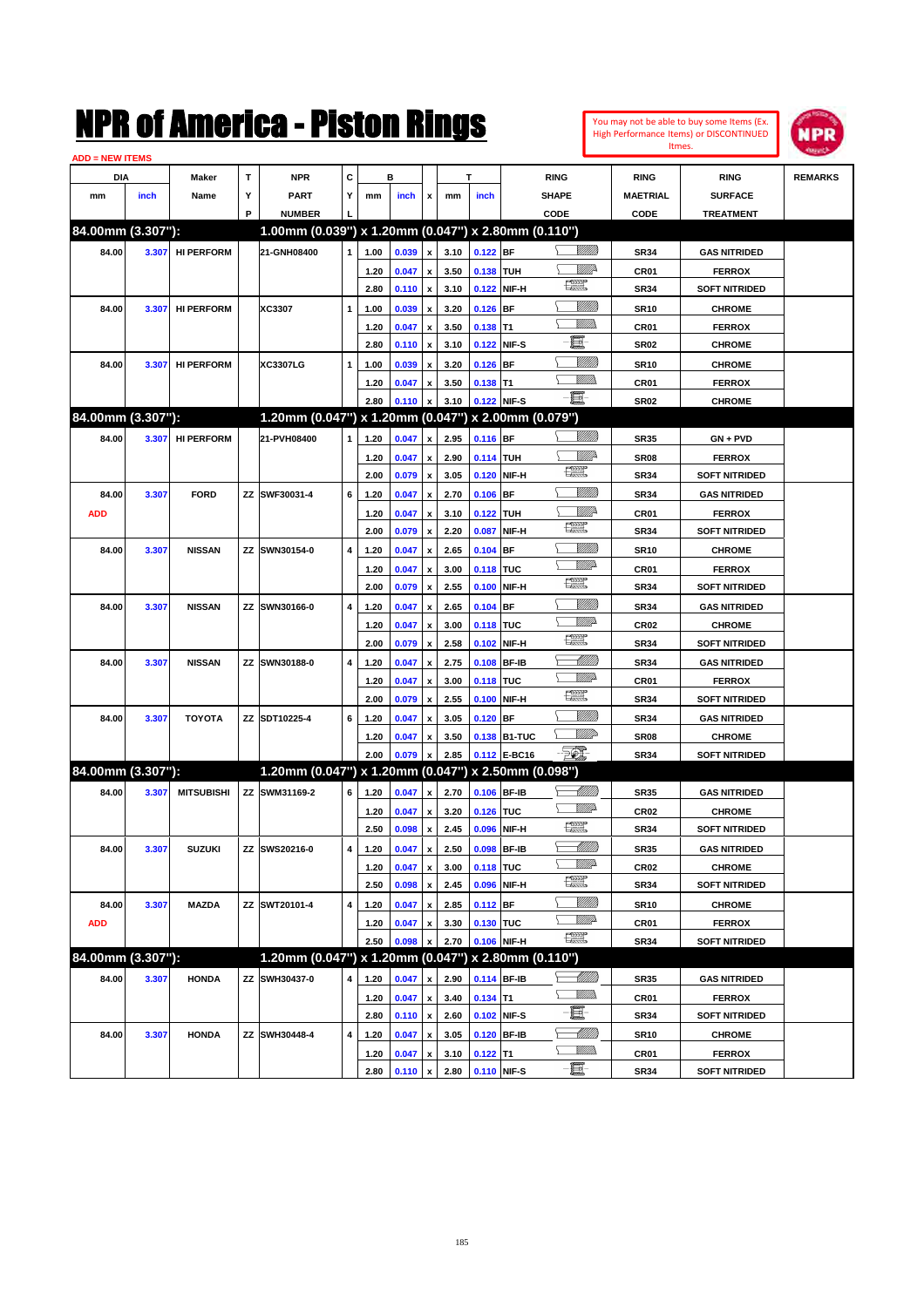| You may not be able to buy some Items (Ex.     |
|------------------------------------------------|
| <b>High Performance Items) or DISCONTINUED</b> |
| Itmes.                                         |



| <b>ADD = NEW ITEMS</b> |       |                   |   |                                                     |                         |      |       |                           |      |            |              |                |                  |                      |                |
|------------------------|-------|-------------------|---|-----------------------------------------------------|-------------------------|------|-------|---------------------------|------|------------|--------------|----------------|------------------|----------------------|----------------|
| DIA                    |       | <b>Maker</b>      | T | <b>NPR</b>                                          | C                       |      | в     |                           |      | т          |              | <b>RING</b>    | <b>RING</b>      | <b>RING</b>          | <b>REMARKS</b> |
| mm                     | inch  | Name              | Υ | <b>PART</b>                                         | Y                       | mm   | inch  | x                         | mm   | inch       |              | <b>SHAPE</b>   | <b>MAETRIAL</b>  | <b>SURFACE</b>       |                |
|                        |       |                   | P | <b>NUMBER</b>                                       |                         |      |       |                           |      |            |              | CODE           | CODE             | <b>TREATMENT</b>     |                |
| 84.00mm (3.307"):      |       |                   |   | 1.00mm (0.039") x 1.20mm (0.047") x 2.80mm (0.110") |                         |      |       |                           |      |            |              |                |                  |                      |                |
| 84.00                  | 3.307 | <b>HI PERFORM</b> |   | 21-GNH08400                                         | $\mathbf{1}$            | 1.00 | 0.039 | $\boldsymbol{\mathsf{x}}$ | 3.10 | $0.122$ BF |              |                | <b>SR34</b>      | <b>GAS NITRIDED</b>  |                |
|                        |       |                   |   |                                                     |                         | 1.20 | 0.047 | $\pmb{\mathsf{x}}$        | 3.50 | 0.138 TUH  |              | ₩₩             | CR <sub>01</sub> | <b>FERROX</b>        |                |
|                        |       |                   |   |                                                     |                         | 2.80 | 0.110 | $\pmb{\mathsf{x}}$        | 3.10 | 0.122      | NIF-H        | R              | <b>SR34</b>      | <b>SOFT NITRIDED</b> |                |
| 84.00                  | 3.307 | <b>HI PERFORM</b> |   | XC3307                                              | 1                       | 1.00 | 0.039 | $\pmb{\mathsf{x}}$        | 3.20 | $0.126$ BF |              | <u> UMB</u>    | <b>SR10</b>      | <b>CHROME</b>        |                |
|                        |       |                   |   |                                                     |                         | 1.20 | 0.047 | $\pmb{\mathsf{x}}$        | 3.50 | $0.138$ T1 |              | <br>Militar    | <b>CR01</b>      | <b>FERROX</b>        |                |
|                        |       |                   |   |                                                     |                         | 2.80 | 0.110 | $\boldsymbol{\mathsf{x}}$ | 3.10 | 0.122      | NIF-S        | e.             | <b>SR02</b>      | <b>CHROME</b>        |                |
| 84.00                  | 3.307 | <b>HI PERFORM</b> |   | <b>XC3307LG</b>                                     | 1                       | 1.00 | 0.039 | $\pmb{\mathsf{x}}$        | 3.20 | $0.126$ BF |              | VIIII          | <b>SR10</b>      | <b>CHROME</b>        |                |
|                        |       |                   |   |                                                     |                         | 1.20 | 0.047 | x                         | 3.50 | $0.138$ T1 |              | VMM)           | CR01             | <b>FERROX</b>        |                |
|                        |       |                   |   |                                                     |                         | 2.80 | 0.110 | $\pmb{\mathsf{x}}$        | 3.10 |            | 0.122 NIF-S  |                | <b>SR02</b>      | <b>CHROME</b>        |                |
| 84.00mm (3.307"):      |       |                   |   | 1.20mm (0.047") x 1.20mm (0.047") x 2.00mm (0.079") |                         |      |       |                           |      |            |              |                |                  |                      |                |
| 84.00                  | 3.307 | <b>HI PERFORM</b> |   | 21-PVH08400                                         | 1                       | 1.20 | 0.047 | x                         | 2.95 | $0.116$ BF |              | <u>Villida</u> | <b>SR35</b>      | $GN + PVD$           |                |
|                        |       |                   |   |                                                     |                         | 1.20 | 0.047 | $\pmb{\mathsf{x}}$        | 2.90 | 0.114 TUH  |              | ₩₩             | <b>SR08</b>      | <b>FERROX</b>        |                |
|                        |       |                   |   |                                                     |                         | 2.00 | 0.079 | $\pmb{\mathsf{x}}$        | 3.05 | 0.120      | NIF-H        | R              | <b>SR34</b>      | <b>SOFT NITRIDED</b> |                |
| 84.00                  | 3.307 | <b>FORD</b>       |   | ZZ SWF30031-4                                       | 6                       | 1.20 | 0.047 | x                         | 2.70 | 0.106      | <b>BF</b>    | <u> UMB</u>    | <b>SR34</b>      | <b>GAS NITRIDED</b>  |                |
| <b>ADD</b>             |       |                   |   |                                                     |                         | 1.20 | 0.047 | $\pmb{\mathsf{x}}$        | 3.10 | 0.122 TUH  |              | ₩₩             | <b>CR01</b>      | <b>FERROX</b>        |                |
|                        |       |                   |   |                                                     |                         | 2.00 | 0.079 | $\pmb{\mathsf{x}}$        | 2.20 | 0.087      | NIF-H        | R              | <b>SR34</b>      | <b>SOFT NITRIDED</b> |                |
| 84.00                  | 3.307 | <b>NISSAN</b>     |   | ZZ SWN30154-0                                       | 4                       | 1.20 | 0.047 | x                         | 2.65 | $0.104$ BF |              | <u> UMB</u>    | <b>SR10</b>      | <b>CHROME</b>        |                |
|                        |       |                   |   |                                                     |                         | 1.20 | 0.047 | x                         | 3.00 | 0.118 TUC  |              | <u>MMP</u>     | CR <sub>01</sub> | <b>FERROX</b>        |                |
|                        |       |                   |   |                                                     |                         | 2.00 | 0.079 | X                         | 2.55 | 0.100      | NIF-H        | R              | <b>SR34</b>      | <b>SOFT NITRIDED</b> |                |
| 84.00                  | 3.307 | <b>NISSAN</b>     |   | ZZ SWN30166-0                                       | 4                       | 1.20 | 0.047 | x                         | 2.65 | $0.104$ BF |              | <u> UMB</u>    | <b>SR34</b>      | <b>GAS NITRIDED</b>  |                |
|                        |       |                   |   |                                                     |                         | 1.20 | 0.047 | x                         | 3.00 | 0.118 TUC  |              | <u>MMP</u>     | <b>CR02</b>      | <b>CHROME</b>        |                |
|                        |       |                   |   |                                                     |                         | 2.00 | 0.079 | X                         | 2.58 | 0.102      | NIF-H        | R              | <b>SR34</b>      | <b>SOFT NITRIDED</b> |                |
| 84.00                  | 3.307 | <b>NISSAN</b>     |   | ZZ SWN30188-0                                       | 4                       | 1.20 | 0.047 | x                         | 2.75 | 0.108      | <b>BF-IB</b> | <u> UMM</u>    | <b>SR34</b>      | <b>GAS NITRIDED</b>  |                |
|                        |       |                   |   |                                                     |                         | 1.20 | 0.047 | $\pmb{\mathsf{x}}$        | 3.00 | 0.118 TUC  |              | <u>MMP</u>     | CR <sub>01</sub> | <b>FERROX</b>        |                |
|                        |       |                   |   |                                                     |                         | 2.00 | 0.079 | $\boldsymbol{\mathsf{x}}$ | 2.55 | 0.100      | NIF-H        | R              | <b>SR34</b>      | <b>SOFT NITRIDED</b> |                |
| 84.00                  | 3.307 | <b>TOYOTA</b>     |   | ZZ SDT10225-4                                       | 6                       | 1.20 | 0.047 | x                         | 3.05 | $0.120$ BF |              | <u> UMB</u>    | <b>SR34</b>      | <b>GAS NITRIDED</b>  |                |
|                        |       |                   |   |                                                     |                         | 1.20 | 0.047 | x                         | 3.50 |            | 0.138 B1-TUC | MMP            | <b>SR08</b>      | <b>CHROME</b>        |                |
|                        |       |                   |   |                                                     |                         | 2.00 | 0.079 | X                         | 2.85 |            | 0.112 E-BC16 | $\mathbb{Z}$   | <b>SR34</b>      | <b>SOFT NITRIDED</b> |                |
| 84.00mm (3.307"):      |       |                   |   | 1.20mm (0.047") x 1.20mm (0.047") x 2.50mm (0.098") |                         |      |       |                           |      |            |              |                |                  |                      |                |
| 84.00                  | 3.307 | <b>MITSUBISHI</b> |   | ZZ SWM31169-2                                       | 6                       | 1.20 | 0.047 | $\pmb{\mathsf{x}}$        | 2.70 |            | 0.106 BF-IB  | <u> MMB</u>    | <b>SR35</b>      | <b>GAS NITRIDED</b>  |                |
|                        |       |                   |   |                                                     |                         | 1.20 | 0.047 | x                         | 3.20 | 0.126 TUC  |              | <u>Willia</u>  | <b>CR02</b>      | <b>CHROME</b>        |                |
|                        |       |                   |   |                                                     |                         | 2.50 | 0.098 | $\pmb{\mathsf{x}}$        | 2.45 | 0.096      | NIF-H        | <u>rom</u>     | <b>SR34</b>      | <b>SOFT NITRIDED</b> |                |
| 84.00                  | 3.307 | <b>SUZUKI</b>     |   | ZZ SWS20216-0                                       | $\overline{\mathbf{4}}$ | 1.20 | 0.047 | $\boldsymbol{x}$          | 2.50 |            | 0.098 BF-IB  | <u> MM/B</u>   | <b>SR35</b>      | <b>GAS NITRIDED</b>  |                |
|                        |       |                   |   |                                                     |                         | 1.20 | 0.047 | $\pmb{\mathsf{x}}$        | 3.00 | 0.118 TUC  |              | <u>MM</u>      | <b>CR02</b>      | <b>CHROME</b>        |                |
|                        |       |                   |   |                                                     |                         | 2.50 | 0.098 | $\pmb{\mathsf{x}}$        | 2.45 | 0.096      | NIF-H        | æ              | <b>SR34</b>      | <b>SOFT NITRIDED</b> |                |
| 84.00                  | 3.307 | MAZDA             |   | ZZ SWT20101-4                                       | 4                       | 1.20 | 0.047 | $\pmb{\mathsf{x}}$        | 2.85 | 0.112 BF   |              | <u>Villida</u> | <b>SR10</b>      | <b>CHROME</b>        |                |
| <b>ADD</b>             |       |                   |   |                                                     |                         | 1.20 | 0.047 | x                         | 3.30 | 0.130 TUC  |              | <u>WW</u> A    | CR01             | <b>FERROX</b>        |                |
|                        |       |                   |   |                                                     |                         | 2.50 | 0.098 | X                         | 2.70 |            | 0.106 NIF-H  | æ              | <b>SR34</b>      | <b>SOFT NITRIDED</b> |                |
| 84.00mm (3.307"):      |       |                   |   | 1.20mm (0.047") x 1.20mm (0.047") x 2.80mm (0.110") |                         |      |       |                           |      |            |              |                |                  |                      |                |
| 84.00                  | 3.307 | <b>HONDA</b>      |   | ZZ SWH30437-0                                       | 4                       | 1.20 | 0.047 | x                         | 2.90 |            | 0.114 BF-IB  | <u>-1777)</u>  | <b>SR35</b>      | <b>GAS NITRIDED</b>  |                |
|                        |       |                   |   |                                                     |                         | 1.20 | 0.047 | $\pmb{\mathsf{x}}$        | 3.40 | $0.134$ T1 |              | <u>WMW</u>     | CR01             | <b>FERROX</b>        |                |
|                        |       |                   |   |                                                     |                         | 2.80 | 0.110 | $\pmb{\mathsf{x}}$        | 2.60 |            | 0.102 NIF-S  | e.             | <b>SR34</b>      | <b>SOFT NITRIDED</b> |                |
| 84.00                  | 3.307 | <b>HONDA</b>      |   | ZZ SWH30448-4                                       | 4                       | 1.20 | 0.047 | X                         | 3.05 |            | 0.120 BF-IB  | <u> MMM</u>    | <b>SR10</b>      | <b>CHROME</b>        |                |
|                        |       |                   |   |                                                     |                         | 1.20 | 0.047 | $\pmb{\mathsf{x}}$        | 3.10 | $0.122$ T1 |              | <u>VMM)</u>    | CR01             | <b>FERROX</b>        |                |
|                        |       |                   |   |                                                     |                         | 2.80 | 0.110 | X                         | 2.80 |            | 0.110 NIF-S  |                | <b>SR34</b>      | <b>SOFT NITRIDED</b> |                |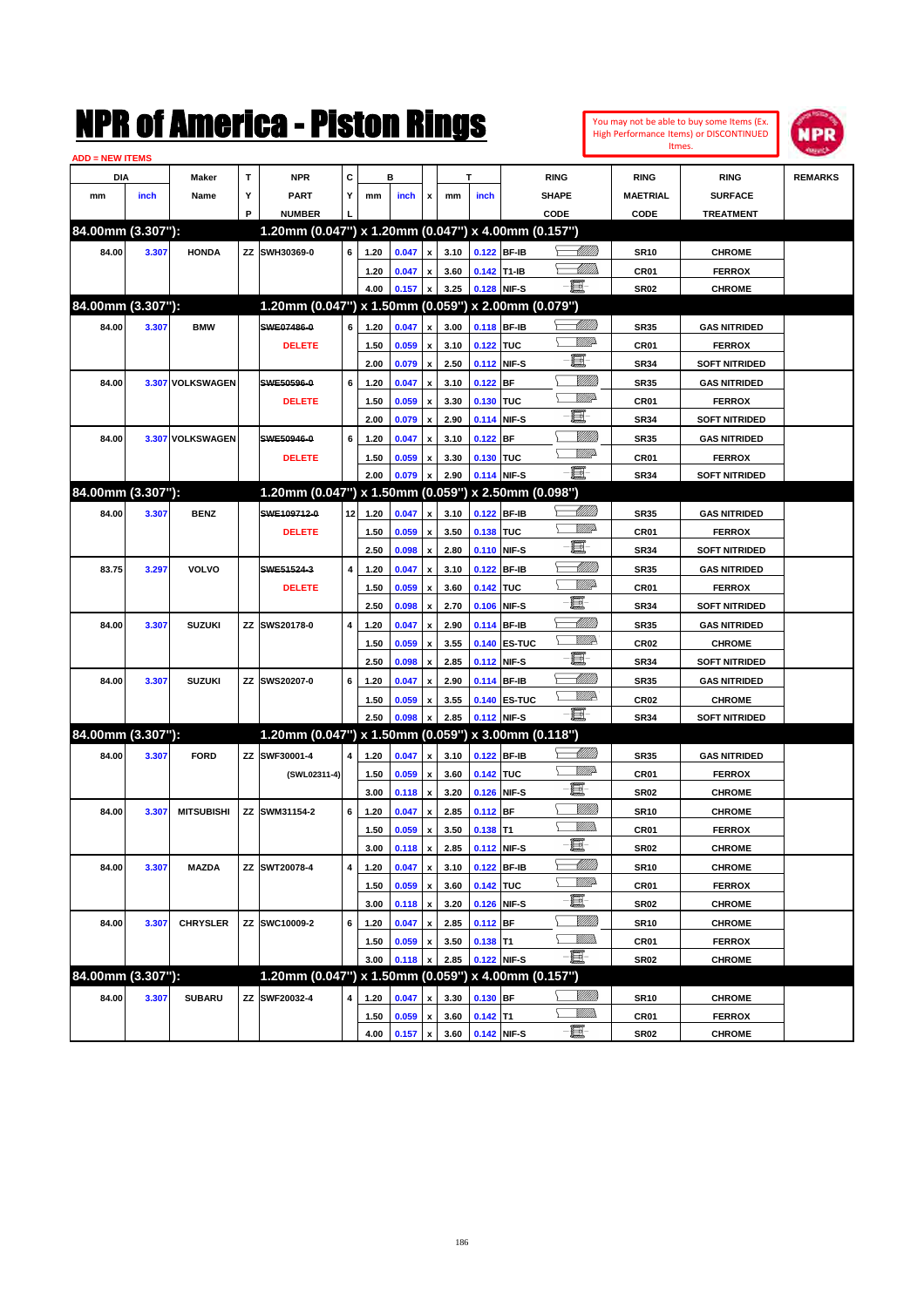|                        |       |                   |             | NMK OT AINCrica - Miston Kings                      |                         |      |                |                           |      |             |              |               |                         |                  | You may not be able to buy some Items (Ex.<br>High Performance Items) or DISCONTINUED | NPR            |
|------------------------|-------|-------------------|-------------|-----------------------------------------------------|-------------------------|------|----------------|---------------------------|------|-------------|--------------|---------------|-------------------------|------------------|---------------------------------------------------------------------------------------|----------------|
| <b>ADD = NEW ITEMS</b> |       |                   |             |                                                     |                         |      |                |                           |      |             |              |               |                         | Itmes.           |                                                                                       |                |
| DIA                    |       | Maker             | $\mathbf T$ | <b>NPR</b>                                          | C                       |      | в              |                           |      | т           |              | <b>RING</b>   |                         | <b>RING</b>      | <b>RING</b>                                                                           | <b>REMARKS</b> |
| mm                     | inch  | Name              | Υ           | <b>PART</b>                                         | Υ                       | mm   | inch           | x                         | mm   | inch        |              | SHAPE         |                         | <b>MAETRIAL</b>  | <b>SURFACE</b>                                                                        |                |
|                        |       |                   | P           | <b>NUMBER</b>                                       |                         |      |                |                           |      |             |              | CODE          |                         | CODE             | <b>TREATMENT</b>                                                                      |                |
| 84.00mm (3.307"):      |       |                   |             | 1.20mm (0.047") x 1.20mm (0.047") x 4.00mm (0.157") |                         |      |                |                           |      |             |              |               |                         |                  |                                                                                       |                |
| 84.00                  | 3.307 | <b>HONDA</b>      |             | ZZ SWH30369-0                                       | 6                       | 1.20 | 0.047          | $\pmb{\mathsf{x}}$        | 3.10 | 0.122 BF-IB |              |               | <u> UMB</u>             | <b>SR10</b>      | <b>CHROME</b>                                                                         |                |
|                        |       |                   |             |                                                     |                         | 1.20 | 0.047          | $\pmb{\mathsf{x}}$        | 3.60 | 0.142 T1-IB |              |               | <u>UMM</u>              | CR01             | <b>FERROX</b>                                                                         |                |
|                        |       |                   |             |                                                     |                         | 4.00 | 0.157          | $\boldsymbol{\mathsf{x}}$ | 3.25 | 0.128 NIF-S |              | E.            |                         | <b>SR02</b>      | <b>CHROME</b>                                                                         |                |
| 84.00mm (3.307"):      |       |                   |             | 1.20mm (0.047") x 1.50mm (0.059") x 2.00mm (0.079") |                         |      |                |                           |      |             |              |               |                         |                  |                                                                                       |                |
| 84.00                  | 3.307 | <b>BMW</b>        |             | SWE07486-0                                          | 6                       | 1.20 | 0.047          | $\pmb{\mathsf{x}}$        | 3.00 | 0.118 BF-IB |              |               |                         | <b>SR35</b>      | <b>GAS NITRIDED</b>                                                                   |                |
|                        |       |                   |             | <b>DELETE</b>                                       |                         | 1.50 | 0.059          | $\pmb{\mathsf{x}}$        | 3.10 | 0.122 TUC   |              |               | <u>MM</u> D             | CR01             | <b>FERROX</b>                                                                         |                |
|                        |       |                   |             |                                                     |                         | 2.00 | 0.079          | $\pmb{\mathsf{x}}$        | 2.50 | 0.112 NIF-S |              | E.            |                         | <b>SR34</b>      | <b>SOFT NITRIDED</b>                                                                  |                |
| 84.00                  |       | 3.307 VOLKSWAGEN  |             | SWE50596-0                                          | 6                       | 1.20 | 0.047          | $\pmb{\mathsf{x}}$        | 3.10 | $0.122$ BF  |              |               | <u>MMW</u>              | <b>SR35</b>      | <b>GAS NITRIDED</b>                                                                   |                |
|                        |       |                   |             | <b>DELETE</b>                                       |                         | 1.50 | 0.059          | $\pmb{\mathsf{x}}$        | 3.30 | 0.130 TUC   |              |               | <u>MM</u> D             | CR01             | <b>FERROX</b>                                                                         |                |
|                        |       |                   |             |                                                     |                         | 2.00 | 0.079          | $\boldsymbol{\mathsf{x}}$ | 2.90 | 0.114 NIF-S |              | E             |                         | <b>SR34</b>      | <b>SOFT NITRIDED</b>                                                                  |                |
| 84.00                  |       | 3.307 VOLKSWAGEN  |             | SWE50946-0                                          | 6                       | 1.20 | 0.047          | $\pmb{\mathsf{x}}$        | 3.10 | $0.122$ BF  |              |               | <u>MMW</u>              | <b>SR35</b>      | <b>GAS NITRIDED</b>                                                                   |                |
|                        |       |                   |             | <b>DELETE</b>                                       |                         | 1.50 |                | $\pmb{\mathsf{x}}$        | 3.30 | 0.130 TUC   |              |               | <u>MM</u> D             | CR01             | <b>FERROX</b>                                                                         |                |
|                        |       |                   |             |                                                     |                         | 2.00 | 0.059<br>0.079 | $\pmb{\mathsf{x}}$        | 2.90 | 0.114 NIF-S |              | $-\mathbf{H}$ |                         | <b>SR34</b>      | <b>SOFT NITRIDED</b>                                                                  |                |
| 84.00mm (3.307"):      |       |                   |             | 1.20mm (0.047") x 1.50mm (0.059") x 2.50mm (0.098") |                         |      |                |                           |      |             |              |               |                         |                  |                                                                                       |                |
|                        |       |                   |             | SWE109712-0                                         |                         |      |                |                           |      |             |              |               | <u> Millil</u>          |                  |                                                                                       |                |
| 84.00                  | 3.307 | <b>BENZ</b>       |             |                                                     | 12                      | 1.20 | 0.047          | $\pmb{\mathsf{x}}$        | 3.10 | 0.122 BF-IB |              |               | <u>MM</u> D             | <b>SR35</b>      | <b>GAS NITRIDED</b>                                                                   |                |
|                        |       |                   |             | <b>DELETE</b>                                       |                         | 1.50 | 0.059          | $\pmb{\mathsf{x}}$        | 3.50 | 0.138 TUC   |              | E.            |                         | CR01             | <b>FERROX</b>                                                                         |                |
|                        |       |                   |             |                                                     |                         | 2.50 | 0.098          | $\pmb{\mathsf{x}}$        | 2.80 | 0.110 NIF-S |              |               | <u> UMM</u>             | <b>SR34</b>      | <b>SOFT NITRIDED</b>                                                                  |                |
| 83.75                  | 3.297 | <b>VOLVO</b>      |             | SWE51524-3                                          | $\overline{\mathbf{4}}$ | 1.20 | 0.047          | $\pmb{\mathsf{x}}$        | 3.10 | 0.122 BF-IB |              |               | .<br>Willia             | <b>SR35</b>      | <b>GAS NITRIDED</b>                                                                   |                |
|                        |       |                   |             | <b>DELETE</b>                                       |                         | 1.50 | 0.059          | $\pmb{\mathsf{x}}$        | 3.60 | 0.142 TUC   |              | E             |                         | CR01             | <b>FERROX</b>                                                                         |                |
|                        |       |                   |             |                                                     |                         | 2.50 | 0.098          | $\pmb{\mathsf{x}}$        | 2.70 | 0.106 NIF-S |              |               |                         | <b>SR34</b>      | <b>SOFT NITRIDED</b>                                                                  |                |
| 84.00                  | 3.307 | <b>SUZUKI</b>     |             | ZZ SWS20178-0                                       | 4                       | 1.20 | 0.047          | $\pmb{\mathsf{x}}$        | 2.90 | 0.114 BF-IB |              |               | <u> MM</u><br><u>WW</u> | <b>SR35</b>      | <b>GAS NITRIDED</b>                                                                   |                |
|                        |       |                   |             |                                                     |                         | 1.50 | 0.059          | $\pmb{\mathsf{x}}$        | 3.55 |             | 0.140 ES-TUC |               |                         | CR <sub>02</sub> | <b>CHROME</b>                                                                         |                |
|                        |       |                   |             |                                                     |                         | 2.50 | 0.098          | $\boldsymbol{\mathsf{x}}$ | 2.85 | 0.112 NIF-S |              | E             |                         | <b>SR34</b>      | <b>SOFT NITRIDED</b>                                                                  |                |
| 84.00                  | 3.307 | <b>SUZUKI</b>     |             | ZZ SWS20207-0                                       | 6                       | 1.20 | 0.047          | $\pmb{\mathsf{x}}$        | 2.90 | 0.114 BF-IB |              |               | <u> MM</u>              | <b>SR35</b>      | <b>GAS NITRIDED</b>                                                                   |                |
|                        |       |                   |             |                                                     |                         | 1.50 | 0.059          | $\pmb{\mathsf{x}}$        | 3.55 |             | 0.140 ES-TUC |               | <u>WW</u>               | CR <sub>02</sub> | <b>CHROME</b>                                                                         |                |
|                        |       |                   |             |                                                     |                         | 2.50 | 0.098          | $\pmb{\mathsf{x}}$        | 2.85 | 0.112 NIF-S |              | $-\mathbf{E}$ |                         | <b>SR34</b>      | <b>SOFT NITRIDED</b>                                                                  |                |
| 84.00mm (3.307"):      |       |                   |             | 1.20mm (0.047") x 1.50mm (0.059") x 3.00mm (0.118") |                         |      |                |                           |      |             |              |               |                         |                  |                                                                                       |                |
| 84.00                  | 3.307 | <b>FORD</b>       | ΖZ          | SWF30001-4                                          | 4                       | 1.20 | 0.047          | $\pmb{\mathsf{x}}$        | 3.10 | 0.122 BF-IB |              |               | <u> Millil</u>          | <b>SR35</b>      | <b>GAS NITRIDED</b>                                                                   |                |
|                        |       |                   |             | (SWL02311-4)                                        |                         | 1.50 | 0.059          | $\pmb{\mathsf{x}}$        | 3.60 | 0.142 TUC   |              |               | <u>MM</u> D             | CR01             | <b>FERROX</b>                                                                         |                |
|                        |       |                   |             |                                                     |                         | 3.00 | 0.118          | $\boldsymbol{\mathsf{x}}$ | 3.20 | 0.126 NIF-S |              | E             |                         | <b>SR02</b>      | <b>CHROME</b>                                                                         |                |
| 84.00                  | 3.307 | <b>MITSUBISHI</b> |             | ZZ SWM31154-2                                       | 6                       | 1.20 | 0.047          | $\pmb{\mathsf{x}}$        | 2.85 | $0.112$ BF  |              |               | WMM)                    | <b>SR10</b>      | <b>CHROME</b>                                                                         |                |
|                        |       |                   |             |                                                     |                         | 1.50 | 0.059          | $\pmb{\mathsf{x}}$        | 3.50 | $0.138$ T1  |              |               | <u>Willib</u>           | CR01             | <b>FERROX</b>                                                                         |                |
|                        |       |                   |             |                                                     |                         | 3.00 | 0.118          | $\pmb{\mathsf{x}}$        | 2.85 | 0.112 NIF-S |              | E             |                         | SR02             | <b>CHROME</b>                                                                         |                |
| 84.00                  | 3.307 | <b>MAZDA</b>      |             | ZZ SWT20078-4                                       | 4                       | 1.20 | 0.047          | $\pmb{\mathsf{x}}$        | 3.10 | 0.122 BF-IB |              |               | <u> MM//</u>            | <b>SR10</b>      | <b>CHROME</b>                                                                         |                |
|                        |       |                   |             |                                                     |                         | 1.50 | 0.059          | $\pmb{\mathsf{x}}$        | 3.60 | 0.142 TUC   |              |               | <u>VMP</u>              | CR01             | <b>FERROX</b>                                                                         |                |
|                        |       |                   |             |                                                     |                         | 3.00 | 0.118          | $\mathbf{x}$              | 3.20 | 0.126 NIF-S |              | E.            |                         | SR02             | <b>CHROME</b>                                                                         |                |
| 84.00                  | 3.307 | <b>CHRYSLER</b>   |             | ZZ SWC10009-2                                       | 6                       | 1.20 | 0.047          | $\pmb{\mathsf{x}}$        | 2.85 | $0.112$ BF  |              |               | <u>VMM</u>              | <b>SR10</b>      | <b>CHROME</b>                                                                         |                |
|                        |       |                   |             |                                                     |                         | 1.50 | 0.059          | $\pmb{\mathsf{x}}$        | 3.50 | $0.138$ T1  |              |               | <u>VMM</u>              | CR01             | <b>FERROX</b>                                                                         |                |
|                        |       |                   |             |                                                     |                         | 3.00 | 0.118          | x                         | 2.85 | 0.122 NIF-S |              | 買             |                         | <b>SR02</b>      | <b>CHROME</b>                                                                         |                |
| 84.00mm (3.307"):      |       |                   |             | 1.20mm (0.047") x 1.50mm (0.059") x 4.00mm (0.157") |                         |      |                |                           |      |             |              |               |                         |                  |                                                                                       |                |
| 84.00                  | 3.307 | <b>SUBARU</b>     |             | ZZ SWF20032-4                                       | 4                       | 1.20 | 0.047          | $\pmb{\mathsf{x}}$        | 3.30 | $0.130$ BF  |              |               | <u>MMS</u>              | <b>SR10</b>      | <b>CHROME</b>                                                                         |                |
|                        |       |                   |             |                                                     |                         | 1.50 | 0.059          | $\pmb{\mathsf{x}}$        | 3.60 | $0.142$ T1  |              |               | <u>WMW</u>              | CR01             | <b>FERROX</b>                                                                         |                |
|                        |       |                   |             |                                                     |                         | 4.00 | $0.157 \, x$   |                           | 3.60 | 0.142 NIF-S |              | e.            |                         | <b>SR02</b>      | <b>CHROME</b>                                                                         |                |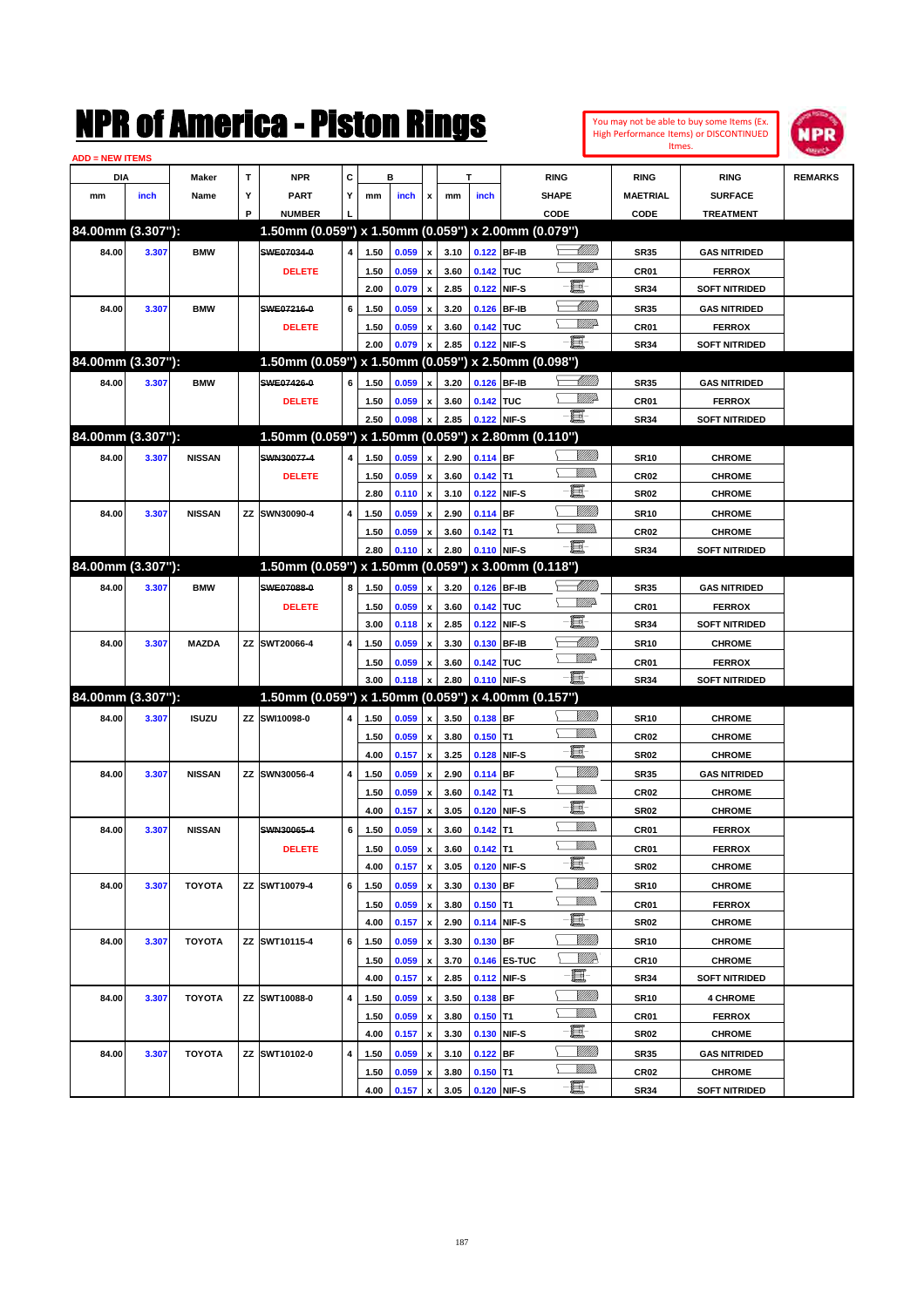You may not be able to buy some Items (Ex. High Performance Items) or DISCONTINUED Itmes.



| <b>ADD = NEW ITEMS</b> |       |               |   |                                                     |           |              |       |                                                 |      |             |              |                           |                 |                      |                |
|------------------------|-------|---------------|---|-----------------------------------------------------|-----------|--------------|-------|-------------------------------------------------|------|-------------|--------------|---------------------------|-----------------|----------------------|----------------|
| DIA                    |       | <b>Maker</b>  | T | <b>NPR</b>                                          | C         |              | в     |                                                 |      | т           |              | <b>RING</b>               | <b>RING</b>     | <b>RING</b>          | <b>REMARKS</b> |
| mm                     | inch  | Name          | Υ | <b>PART</b>                                         | Y         | mm           | inch  | x                                               | mm   | inch        |              | <b>SHAPE</b>              | <b>MAETRIAL</b> | <b>SURFACE</b>       |                |
|                        |       |               | P | <b>NUMBER</b>                                       |           |              |       |                                                 |      |             |              | CODE                      | CODE            | <b>TREATMENT</b>     |                |
| 84.00mm (3.307"):      |       |               |   | 1.50mm (0.059") x 1.50mm (0.059") x 2.00mm (0.079") |           |              |       |                                                 |      |             |              |                           |                 |                      |                |
| 84.00                  | 3.307 | <b>BMW</b>    |   | SWE07034-0                                          | 4         | 1.50         | 0.059 | $\boldsymbol{\mathsf{x}}$                       | 3.10 |             | 0.122 BF-IB  | <u> Millitt</u>           | <b>SR35</b>     | <b>GAS NITRIDED</b>  |                |
|                        |       |               |   | <b>DELETE</b>                                       |           | 1.50         | 0.059 | $\pmb{\mathsf{x}}$                              | 3.60 | 0.142 TUC   |              | <u>MMP</u>                | <b>CR01</b>     | <b>FERROX</b>        |                |
|                        |       |               |   |                                                     |           | 2.00         | 0.079 | $\boldsymbol{\mathsf{x}}$                       | 2.85 |             | 0.122 NIF-S  | e                         | <b>SR34</b>     | <b>SOFT NITRIDED</b> |                |
| 84.00                  | 3.307 | <b>BMW</b>    |   | SWE07216-0                                          | 6         | 1.50         | 0.059 | x                                               | 3.20 |             | 0.126 BF-IB  | <u> UMM</u>               | <b>SR35</b>     | <b>GAS NITRIDED</b>  |                |
|                        |       |               |   | <b>DELETE</b>                                       |           | 1.50         | 0.059 | x                                               | 3.60 | 0.142 TUC   |              | <u>MM</u> 2               | <b>CR01</b>     | <b>FERROX</b>        |                |
|                        |       |               |   |                                                     |           | 2.00         | 0.079 | x                                               | 2.85 | 0.122 NIF-S |              | -8                        | <b>SR34</b>     | <b>SOFT NITRIDED</b> |                |
| 84.00mm (3.307"):      |       |               |   | 1.50mm (0.059") x 1.50mm (0.059") x 2.50mm (0.098") |           |              |       |                                                 |      |             |              |                           |                 |                      |                |
| 84.00                  | 3.307 | <b>BMW</b>    |   | SWE07426-0                                          | 6         | 1.50         | 0.059 | x                                               | 3.20 |             | 0.126 BF-IB  | <u> MMM</u>               | <b>SR35</b>     | <b>GAS NITRIDED</b>  |                |
|                        |       |               |   | <b>DELETE</b>                                       |           | 1.50         | 0.059 | x                                               | 3.60 | 0.142 TUC   |              | <u>MM</u> 2               | <b>CR01</b>     | <b>FERROX</b>        |                |
|                        |       |               |   |                                                     |           | 2.50         | 0.098 | $\boldsymbol{\mathsf{x}}$                       | 2.85 |             | 0.122 NIF-S  | -8                        | <b>SR34</b>     | <b>SOFT NITRIDED</b> |                |
| 84.00mm (3.307"):      |       |               |   | 1.50mm (0.059") x 1.50mm (0.059") x 2.80mm (0.110") |           |              |       |                                                 |      |             |              |                           |                 |                      |                |
| 84.00                  | 3.307 | <b>NISSAN</b> |   | SWN30077-4                                          | 4         | 1.50         | 0.059 | x                                               | 2.90 | $0.114$ BF  |              |                           | <b>SR10</b>     | <b>CHROME</b>        |                |
|                        |       |               |   | <b>DELETE</b>                                       |           |              | 0.059 |                                                 | 3.60 | $0.142$ T1  |              | <br>Mad                   | <b>CR02</b>     | <b>CHROME</b>        |                |
|                        |       |               |   |                                                     |           | 1.50<br>2.80 |       | $\pmb{\mathsf{x}}$<br>$\boldsymbol{\mathsf{x}}$ | 3.10 |             | 0.122 NIF-S  | e                         | <b>SR02</b>     | <b>CHROME</b>        |                |
|                        |       |               |   |                                                     |           |              | 0.110 |                                                 |      |             |              | VIII))                    |                 |                      |                |
| 84.00                  | 3.307 | <b>NISSAN</b> |   | ZZ SWN30090-4                                       | 4         | 1.50         | 0.059 | x                                               | 2.90 | 0.114 BF    |              | 7777).                    | <b>SR10</b>     | <b>CHROME</b>        |                |
|                        |       |               |   |                                                     |           | 1.50         | 0.059 | x                                               | 3.60 | $0.142$ T1  |              | -8                        | <b>CR02</b>     | <b>CHROME</b>        |                |
| 84.00mm (3.307"):      |       |               |   |                                                     |           | 2.80         | 0.110 | $\boldsymbol{\mathsf{x}}$                       | 2.80 | 0.110 NIF-S |              |                           | <b>SR34</b>     | <b>SOFT NITRIDED</b> |                |
|                        |       |               |   | 1.50mm (0.059") x 1.50mm (0.059") x 3.00mm (0.118") |           |              |       |                                                 |      |             |              |                           |                 |                      |                |
| 84.00                  | 3.307 | <b>BMW</b>    |   | SWE07088-0                                          | 8         | 1.50         | 0.059 | $\boldsymbol{\mathsf{x}}$                       | 3.20 |             | 0.126 BF-IB  | <u> UMB</u><br><u>VMD</u> | <b>SR35</b>     | <b>GAS NITRIDED</b>  |                |
|                        |       |               |   | <b>DELETE</b>                                       |           | 1.50         | 0.059 | $\pmb{\mathsf{x}}$                              | 3.60 | 0.142 TUC   |              | e                         | <b>CR01</b>     | <b>FERROX</b>        |                |
|                        |       |               |   |                                                     |           | 3.00         | 0.118 | $\boldsymbol{\mathsf{x}}$                       | 2.85 |             | 0.122 NIF-S  |                           | <b>SR34</b>     | <b>SOFT NITRIDED</b> |                |
| 84.00                  | 3.307 | <b>MAZDA</b>  |   | ZZ SWT20066-4                                       | 4         | 1.50         | 0.059 | x                                               | 3.30 |             | 0.130 BF-IB  | MMM)<br><u>WW</u> A       | <b>SR10</b>     | <b>CHROME</b>        |                |
|                        |       |               |   |                                                     |           | 1.50         | 0.059 | x                                               | 3.60 | 0.142 TUC   |              |                           | <b>CR01</b>     | <b>FERROX</b>        |                |
|                        |       |               |   |                                                     |           | 3.00         | 0.118 | $\boldsymbol{\mathsf{x}}$                       | 2.80 | 0.110 NIF-S |              | -8                        | <b>SR34</b>     | <b>SOFT NITRIDED</b> |                |
| 84.00mm (3.307"):      |       |               |   | 1.50mm (0.059") x 1.50mm (0.059") x 4.00mm (0.157") |           |              |       |                                                 |      |             |              |                           |                 |                      |                |
| 84.00                  | 3.307 | <b>ISUZU</b>  |   | ZZ SWI10098-0                                       | 4         | 1.50         | 0.059 | $\boldsymbol{\mathsf{x}}$                       | 3.50 | 0.138 BF    |              | VIII))                    | <b>SR10</b>     | <b>CHROME</b>        |                |
|                        |       |               |   |                                                     |           | 1.50         | 0.059 | $\pmb{\mathsf{x}}$                              | 3.80 | $0.150$ T1  |              | 7777).                    | <b>CR02</b>     | <b>CHROME</b>        |                |
|                        |       |               |   |                                                     |           | 4.00         | 0.157 | $\boldsymbol{\mathsf{x}}$                       | 3.25 |             | 0.128 NIF-S  | e                         | <b>SR02</b>     | <b>CHROME</b>        |                |
| 84.00                  | 3.307 | <b>NISSAN</b> |   | ZZ SWN30056-4                                       | 4         | 1.50         | 0.059 | x                                               | 2.90 | $0.114$ BF  |              | <u>MMM</u>                | <b>SR35</b>     | <b>GAS NITRIDED</b>  |                |
|                        |       |               |   |                                                     |           | 1.50         | 0.059 | x                                               | 3.60 | $0.142$ T1  |              | <br>Villida               | <b>CR02</b>     | <b>CHROME</b>        |                |
|                        |       |               |   |                                                     |           | 4.00         | 0.157 | x                                               | 3.05 |             | 0.120 NIF-S  | e                         | <b>SR02</b>     | <b>CHROME</b>        |                |
| 84.00                  | 3.307 | <b>NISSAN</b> |   | SWN30065-4                                          | 6         | 1.50         | 0.059 | $\pmb{\mathsf{x}}$                              | 3.60 | $0.142$ T1  |              | <br>Mad                   | CR01            | <b>FERROX</b>        |                |
|                        |       |               |   | <b>DELETE</b>                                       |           | 1.50         | 0.059 | $\pmb{\mathsf{x}}$                              | 3.60 | $0.142$ T1  |              | <br>Mad                   | CR01            | <b>FERROX</b>        |                |
|                        |       |               |   |                                                     |           | 4.00         | 0.157 | $\pmb{\mathsf{x}}$                              | 3.05 |             | 0.120 NIF-S  | e                         | <b>SR02</b>     | <b>CHROME</b>        |                |
| 84.00                  | 3.307 | TOYOTA        |   | ZZ SWT10079-4                                       | 6         | 1.50         | 0.059 | $\pmb{\mathsf{x}}$                              | 3.30 | $0.130$ BF  |              |                           | <b>SR10</b>     | <b>CHROME</b>        |                |
|                        |       |               |   |                                                     |           | 1.50         | 0.059 | $\pmb{\mathsf{x}}$                              | 3.80 | $0.150$ T1  |              | <u>Willib</u>             | CR01            | <b>FERROX</b>        |                |
|                        |       |               |   |                                                     |           | 4.00         | 0.157 | $\pmb{\mathsf{x}}$                              | 2.90 |             | 0.114 NIF-S  | E-                        | <b>SR02</b>     | <b>CHROME</b>        |                |
| 84.00                  | 3.307 | TOYOTA        |   | ZZ SWT10115-4                                       | 6         | 1.50         | 0.059 | $\pmb{\mathsf{x}}$                              | 3.30 | 0.130 BF    |              | VIII))                    | <b>SR10</b>     | <b>CHROME</b>        |                |
|                        |       |               |   |                                                     |           | 1.50         | 0.059 | $\pmb{\mathsf{x}}$                              | 3.70 |             | 0.146 ES-TUC | ₩₩                        | <b>CR10</b>     | <b>CHROME</b>        |                |
|                        |       |               |   |                                                     |           | 4.00         | 0.157 | $\pmb{\mathsf{x}}$                              | 2.85 |             | 0.112 NIF-S  | E                         | <b>SR34</b>     | <b>SOFT NITRIDED</b> |                |
| 84.00                  | 3.307 | TOYOTA        |   | ZZ SWT10088-0                                       | 4         | 1.50         | 0.059 | x                                               | 3.50 | 0.138 BF    |              | VIII))                    | <b>SR10</b>     | <b>4 CHROME</b>      |                |
|                        |       |               |   |                                                     |           | 1.50         | 0.059 | x                                               | 3.80 | $0.150$ T1  |              | <u>Willis</u>             | CR01            | <b>FERROX</b>        |                |
|                        |       |               |   |                                                     |           | 4.00         | 0.157 | $\pmb{\mathsf{x}}$                              | 3.30 |             | 0.130 NIF-S  | E-                        | <b>SR02</b>     | <b>CHROME</b>        |                |
| 84.00                  | 3.307 | <b>TOYOTA</b> |   | ZZ SWT10102-0                                       | $\pmb{4}$ | 1.50         | 0.059 | x                                               | 3.10 | $0.122$ BF  |              |                           | <b>SR35</b>     | <b>GAS NITRIDED</b>  |                |
|                        |       |               |   |                                                     |           | 1.50         | 0.059 | x                                               | 3.80 | $0.150$ T1  |              | <u>Willib</u>             | CR02            | <b>CHROME</b>        |                |
|                        |       |               |   |                                                     |           | 4.00         | 0.157 | x                                               | 3.05 | 0.120 NIF-S |              | e.                        | SR34            | <b>SOFT NITRIDED</b> |                |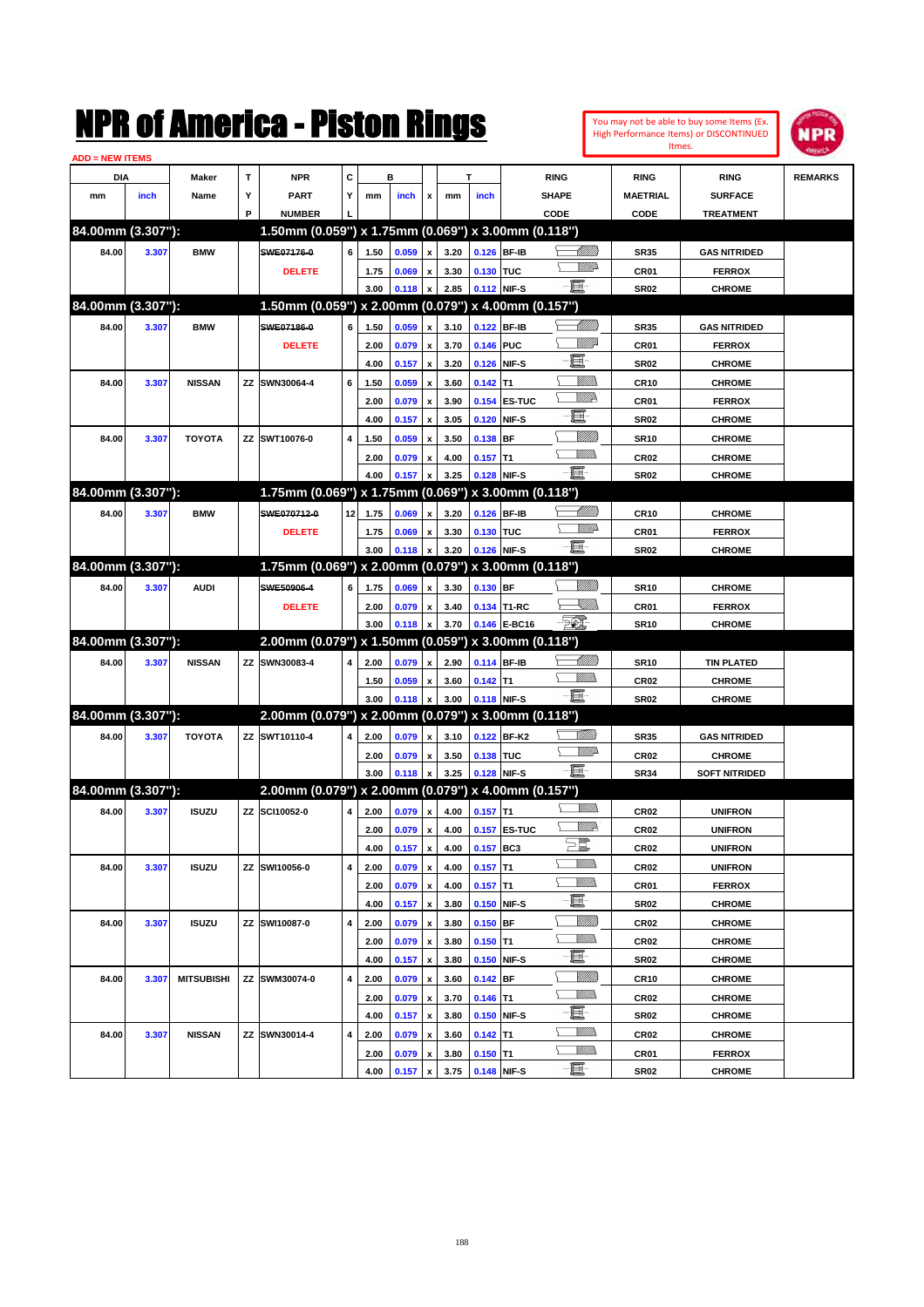|                        | NMK OI AINCrica - Miston Kings |                   |   |                                                     |                 |      |       |                    |      |               |              |             |                                |                  | You may not be able to buy some Items (Ex.<br><b>High Performance Items) or DISCONTINUED</b> | <b>MPR</b>     |
|------------------------|--------------------------------|-------------------|---|-----------------------------------------------------|-----------------|------|-------|--------------------|------|---------------|--------------|-------------|--------------------------------|------------------|----------------------------------------------------------------------------------------------|----------------|
| <b>ADD = NEW ITEMS</b> |                                |                   |   |                                                     |                 |      |       |                    |      |               |              |             |                                |                  | Itmes.                                                                                       |                |
| DIA                    |                                | Maker             | т | <b>NPR</b>                                          | C               |      | в     |                    |      | т             |              | <b>RING</b> |                                | <b>RING</b>      | <b>RING</b>                                                                                  | <b>REMARKS</b> |
| mm                     | inch                           | Name              | Υ | <b>PART</b>                                         | Y               | mm   | inch  | x                  | mm   | inch          |              | SHAPE       |                                | <b>MAETRIAL</b>  | <b>SURFACE</b>                                                                               |                |
|                        |                                |                   | P | <b>NUMBER</b>                                       |                 |      |       |                    |      |               |              | CODE        |                                | CODE             | <b>TREATMENT</b>                                                                             |                |
| 84.00mm (3.307"):      |                                |                   |   | 1.50mm (0.059") x 1.75mm (0.069") x 3.00mm (0.118") |                 |      |       |                    |      |               |              |             |                                |                  |                                                                                              |                |
| 84.00                  | 3.307                          | <b>BMW</b>        |   | SWE07176-0                                          | 6               | 1.50 | 0.059 | $\pmb{\mathsf{x}}$ | 3.20 |               | 0.126 BF-IB  |             | <u>UMB</u>                     | <b>SR35</b>      | <b>GAS NITRIDED</b>                                                                          |                |
|                        |                                |                   |   | <b>DELETE</b>                                       |                 | 1.75 | 0.069 | x                  | 3.30 | 0.130 TUC     |              |             | VM)                            | CR01             | <b>FERROX</b>                                                                                |                |
|                        |                                |                   |   |                                                     |                 | 3.00 | 0.118 | X                  | 2.85 | 0.112 NIF-S   |              | E           |                                | <b>SR02</b>      | <b>CHROME</b>                                                                                |                |
| 84.00mm (3.307"):      |                                |                   |   | 1.50mm (0.059") x 2.00mm (0.079") x 4.00mm (0.157") |                 |      |       |                    |      |               |              |             |                                |                  |                                                                                              |                |
| 84.00                  | 3.307                          | <b>BMW</b>        |   | SWE07186-0                                          | 6               | 1.50 | 0.059 | X                  | 3.10 |               | 0.122 BF-IB  |             |                                | <b>SR35</b>      | <b>GAS NITRIDED</b>                                                                          |                |
|                        |                                |                   |   | <b>DELETE</b>                                       |                 | 2.00 | 0.079 | $\pmb{\mathsf{x}}$ | 3.70 | 0.146 PUC     |              |             | <u>VIII</u> Id                 | CR01             | <b>FERROX</b>                                                                                |                |
|                        |                                |                   |   |                                                     |                 | 4.00 | 0.157 | $\pmb{\mathsf{x}}$ | 3.20 |               | 0.126 NIF-S  | E           |                                | <b>SR02</b>      | <b>CHROME</b>                                                                                |                |
| 84.00                  | 3.307                          | <b>NISSAN</b>     |   | ZZ SWN30064-4                                       | 6               | 1.50 | 0.059 | x                  | 3.60 | $0.142$ T1    |              |             | <u>UMB</u>                     | <b>CR10</b>      | <b>CHROME</b>                                                                                |                |
|                        |                                |                   |   |                                                     |                 | 2.00 | 0.079 | X                  | 3.90 |               | 0.154 ES-TUC |             | WW                             | CR01             | <b>FERROX</b>                                                                                |                |
|                        |                                |                   |   |                                                     |                 | 4.00 | 0.157 | X                  | 3.05 |               | 0.120 NIF-S  | E           |                                | <b>SR02</b>      | <b>CHROME</b>                                                                                |                |
| 84.00                  | 3.307                          | TOYOTA            |   | ZZ SWT10076-0                                       | 4               | 1.50 | 0.059 | x                  | 3.50 | $0.138$ BF    |              |             | <u>VMM</u>                     | <b>SR10</b>      | <b>CHROME</b>                                                                                |                |
|                        |                                |                   |   |                                                     |                 | 2.00 | 0.079 | x                  | 4.00 | $0.157$ T1    |              |             | .<br>VMD                       | CR <sub>02</sub> | <b>CHROME</b>                                                                                |                |
|                        |                                |                   |   |                                                     |                 | 4.00 | 0.157 | X                  | 3.25 | 0.128 NIF-S   |              | E-          |                                | <b>SR02</b>      | <b>CHROME</b>                                                                                |                |
| 84.00mm (3.307"):      |                                |                   |   | 1.75mm (0.069") x 1.75mm (0.069") x 3.00mm (0.118") |                 |      |       |                    |      |               |              |             |                                |                  |                                                                                              |                |
| 84.00                  | 3.307                          | <b>BMW</b>        |   | SWE070712-0                                         | 12 <sub>1</sub> | 1.75 | 0.069 | $\boldsymbol{x}$   | 3.20 |               | 0.126 BF-IB  |             | <u>UMB</u>                     | <b>CR10</b>      | <b>CHROME</b>                                                                                |                |
|                        |                                |                   |   | <b>DELETE</b>                                       |                 | 1.75 | 0.069 | x                  | 3.30 | 0.130 TUC     |              |             | <u>WWA</u>                     | CR01             | <b>FERROX</b>                                                                                |                |
|                        |                                |                   |   |                                                     |                 | 3.00 | 0.118 | X                  | 3.20 | 0.126 NIF-S   |              | e.          |                                | <b>SR02</b>      | <b>CHROME</b>                                                                                |                |
| 84.00mm (3.307"):      |                                |                   |   | 1.75mm (0.069") x 2.00mm (0.079") x 3.00mm (0.118") |                 |      |       |                    |      |               |              |             |                                |                  |                                                                                              |                |
| 84.00                  | 3.307                          | <b>AUDI</b>       |   | SWE50906-4                                          | 6               | 1.75 | 0.069 | x                  | 3.30 | 0.130 BF      |              |             | <u>Milli</u> k                 | <b>SR10</b>      | <b>CHROME</b>                                                                                |                |
|                        |                                |                   |   | <b>DELETE</b>                                       |                 | 2.00 | 0.079 | $\pmb{\mathsf{x}}$ | 3.40 |               | 0.134 T1-RC  |             | <u>Sillin</u>                  | CR01             | <b>FERROX</b>                                                                                |                |
|                        |                                |                   |   |                                                     |                 | 3.00 | 0.118 | $\pmb{\mathsf{x}}$ | 3.70 |               | 0.146 E-BC16 | <b>FIL</b>  |                                | <b>SR10</b>      | <b>CHROME</b>                                                                                |                |
| 84.00mm (3.307"):      |                                |                   |   | 2.00mm (0.079") x 1.50mm (0.059") x 3.00mm (0.118") |                 |      |       |                    |      |               |              |             |                                |                  |                                                                                              |                |
| 84.00                  | 3.307                          | <b>NISSAN</b>     |   | ZZ SWN30083-4                                       | 4               | 2.00 | 0.079 | $\mathbf{x}$       | 2.90 |               | 0.114 BF-IB  |             | <u>UMB</u>                     | <b>SR10</b>      | <b>TIN PLATED</b>                                                                            |                |
|                        |                                |                   |   |                                                     |                 | 1.50 | 0.059 | x                  | 3.60 | $0.142$ T1    |              |             | <br>Villida                    | CR <sub>02</sub> | <b>CHROME</b>                                                                                |                |
|                        |                                |                   |   |                                                     |                 | 3.00 | 0.118 | X                  | 3.00 | 0.118 NIF-S   |              | e.          |                                | <b>SR02</b>      | <b>CHROME</b>                                                                                |                |
| 84.00mm (3.307"):      |                                |                   |   | 2.00mm (0.079") x 2.00mm (0.079") x 3.00mm (0.118") |                 |      |       |                    |      |               |              |             |                                |                  |                                                                                              |                |
| 84.00                  | 3.307                          | <b>TOYOTA</b>     |   | ZZ SWT10110-4                                       | 4               | 2.00 | 0.079 | x                  | 3.10 |               | 0.122 BF-K2  |             | <u> Tillilli</u>               | <b>SR35</b>      | <b>GAS NITRIDED</b>                                                                          |                |
|                        |                                |                   |   |                                                     |                 | 2.00 | 0.079 | x                  | 3.50 | 0.138 TUC     |              |             | <u>VM</u> D                    | CR <sub>02</sub> | <b>CHROME</b>                                                                                |                |
|                        |                                |                   |   |                                                     |                 | 3.00 | 0.118 | x                  | 3.25 | 0.128 NIF-S   |              | -00         |                                | <b>SR34</b>      | <b>SOFT NITRIDED</b>                                                                         |                |
| 84.00mm (3.307"):      |                                |                   |   | 2.00mm (0.079") x 2.00mm (0.079") x 4.00mm (0.157") |                 |      |       |                    |      |               |              |             |                                |                  |                                                                                              |                |
| 84.00                  | 3.307                          | <b>ISUZU</b>      |   | ZZ SCI10052-0                                       | 4               | 2.00 | 0.079 | $\mathbf{x}$       |      | 4.00 0.157 T1 |              |             | <u>Willis</u>                  | CR <sub>02</sub> | <b>UNIFRON</b>                                                                               |                |
|                        |                                |                   |   |                                                     |                 | 2.00 | 0.079 | $\pmb{\mathsf{x}}$ | 4.00 |               | 0.157 ES-TUC |             | <u>VM</u> D-                   | CR02             | <b>UNIFRON</b>                                                                               |                |
|                        |                                |                   |   |                                                     |                 | 4.00 | 0.157 | $\pmb{\mathsf{x}}$ | 4.00 | 0.157 BC3     |              | $\Xi$       |                                | CR <sub>02</sub> | <b>UNIFRON</b>                                                                               |                |
| 84.00                  | 3.307                          | <b>ISUZU</b>      |   | ZZ SWI10056-0                                       | 4               | 2.00 |       | $\pmb{\mathsf{x}}$ | 4.00 | $0.157$ T1    |              |             | <u>MMs</u>                     | CR <sub>02</sub> | <b>UNIFRON</b>                                                                               |                |
|                        |                                |                   |   |                                                     |                 |      | 0.079 |                    |      |               |              |             | <u>Willib</u>                  |                  | <b>FERROX</b>                                                                                |                |
|                        |                                |                   |   |                                                     |                 | 2.00 | 0.079 | $\pmb{\mathsf{x}}$ | 4.00 | $0.157$ T1    |              | e-          |                                | CR01             |                                                                                              |                |
|                        |                                |                   |   |                                                     |                 | 4.00 | 0.157 | $\pmb{\mathsf{x}}$ | 3.80 |               | 0.150 NIF-S  |             | <u>VIIII)</u>                  | SR02             | <b>CHROME</b>                                                                                |                |
| 84.00                  | 3.307                          | <b>ISUZU</b>      |   | ZZ SWI10087-0                                       | 4               | 2.00 | 0.079 | $\pmb{\mathsf{x}}$ | 3.80 | $0.150$ BF    |              |             | <u>Willib</u>                  | CR02             | <b>CHROME</b>                                                                                |                |
|                        |                                |                   |   |                                                     |                 | 2.00 | 0.079 | $\pmb{\mathsf{x}}$ | 3.80 | $0.150$ T1    |              | e-          |                                | CR <sub>02</sub> | <b>CHROME</b>                                                                                |                |
|                        |                                |                   |   |                                                     |                 | 4.00 | 0.157 | $\pmb{\mathsf{x}}$ | 3.80 |               | 0.150 NIF-S  |             |                                | SR02             | <b>CHROME</b>                                                                                |                |
| 84.00                  | 3.307                          | <b>MITSUBISHI</b> |   | ZZ SWM30074-0                                       | 4               | 2.00 | 0.079 | $\pmb{\mathsf{x}}$ | 3.60 | $0.142$ BF    |              |             | <u>VIIII)</u><br><u>Willib</u> | <b>CR10</b>      | <b>CHROME</b>                                                                                |                |
|                        |                                |                   |   |                                                     |                 | 2.00 | 0.079 | $\pmb{\mathsf{x}}$ | 3.70 | $0.146$ T1    |              | e-          |                                | CR <sub>02</sub> | <b>CHROME</b>                                                                                |                |
|                        |                                |                   |   |                                                     |                 | 4.00 | 0.157 | $\pmb{\mathsf{x}}$ | 3.80 |               | 0.150 NIF-S  |             | <u>Willib</u>                  | SR02             | <b>CHROME</b>                                                                                |                |
| 84.00                  | 3.307                          | <b>NISSAN</b>     |   | ZZ SWN30014-4                                       | 4               | 2.00 | 0.079 | X                  | 3.60 | $0.142$ T1    |              |             | <u>Willib</u>                  | CR02             | <b>CHROME</b>                                                                                |                |
|                        |                                |                   |   |                                                     |                 | 2.00 | 0.079 | x                  | 3.80 | $0.150$ T1    |              | E-          |                                | CR01             | <b>FERROX</b>                                                                                |                |
|                        |                                |                   |   |                                                     |                 | 4.00 | 0.157 | $\pmb{\mathsf{x}}$ | 3.75 | 0.148 NIF-S   |              |             |                                | SR02             | <b>CHROME</b>                                                                                |                |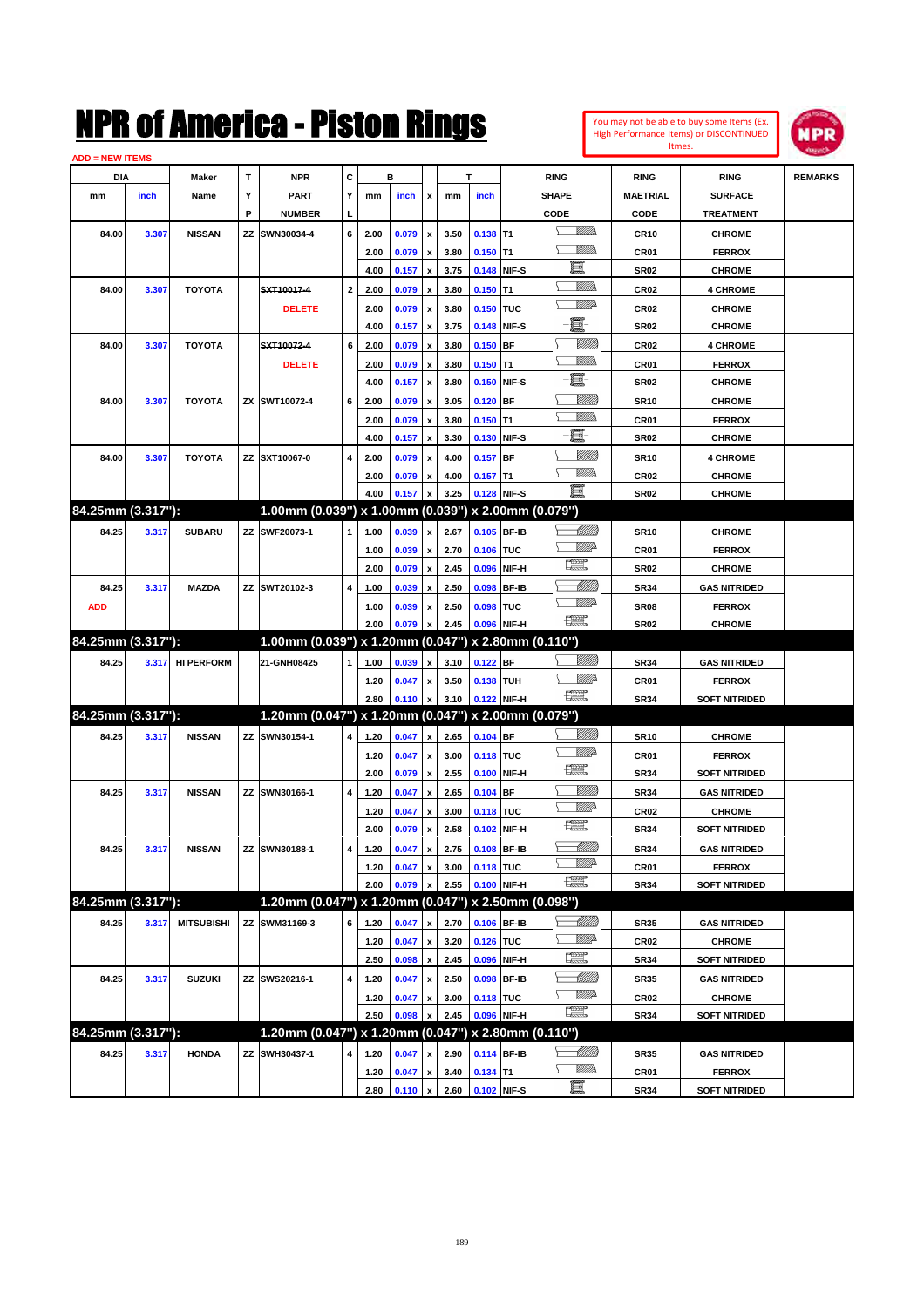| You may not be able to buy some Items (Ex.     |
|------------------------------------------------|
| <b>High Performance Items) or DISCONTINUED</b> |
| Itmes.                                         |



| <b>ADD = NEW ITEMS</b>     |       |                   |    |                                                                      |              |              |                |                           |              |                           |             |                                     |                     |                                       |                |
|----------------------------|-------|-------------------|----|----------------------------------------------------------------------|--------------|--------------|----------------|---------------------------|--------------|---------------------------|-------------|-------------------------------------|---------------------|---------------------------------------|----------------|
| DIA                        |       | Maker             | т  | NPR                                                                  | С            |              | в              |                           |              | т                         |             | <b>RING</b>                         | <b>RING</b>         | <b>RING</b>                           | <b>REMARKS</b> |
| mm                         | inch  | Name              | Y  | <b>PART</b>                                                          | Y            | mm           | inch           | x                         | mm           | inch                      |             | <b>SHAPE</b>                        | <b>MAETRIAL</b>     | <b>SURFACE</b>                        |                |
|                            |       |                   | P  | <b>NUMBER</b>                                                        | L            |              |                |                           |              |                           |             | CODE                                | CODE                | <b>TREATMENT</b>                      |                |
| 84.00                      | 3.307 | <b>NISSAN</b>     | ΖZ | SWN30034-4                                                           | 6            | 2.00         | 0.079          | x                         | 3.50         | $0.138$ T1                |             | <br>Militar                         | <b>CR10</b>         | <b>CHROME</b>                         |                |
|                            |       |                   |    |                                                                      |              | 2.00         | 0.079          | $\boldsymbol{\mathsf{x}}$ | 3.80         | $0.150$ T1                |             |                                     | CR <sub>01</sub>    | <b>FERROX</b>                         |                |
|                            |       |                   |    |                                                                      |              | 4.00         | 0.157          | x                         | 3.75         |                           | 0.148 NIF-S | E                                   | <b>SR02</b>         | <b>CHROME</b>                         |                |
| 84.00                      | 3.307 | <b>TOYOTA</b>     |    | SXT10017-4                                                           | $\mathbf{2}$ | 2.00         | 0.079          | x                         | 3.80         | $0.150$ T1                |             | <br>Militar                         | CR <sub>02</sub>    | <b>4 CHROME</b>                       |                |
|                            |       |                   |    | <b>DELETE</b>                                                        |              | 2.00         | 0.079          | x                         | 3.80         | 0.150 TUC                 |             | <u>VMD</u>                          | CR <sub>02</sub>    | <b>CHROME</b>                         |                |
|                            |       |                   |    |                                                                      |              | 4.00         | 0.157          | x                         | 3.75         |                           | 0.148 NIF-S | E.                                  | <b>SR02</b>         | <b>CHROME</b>                         |                |
| 84.00                      | 3.307 | <b>TOYOTA</b>     |    | SXT10072-4                                                           | 6            | 2.00         | 0.079          | x                         | 3.80         | $0.150$ BF                |             | <u>Milli</u>                        | CR <sub>02</sub>    | <b>4 CHROME</b>                       |                |
|                            |       |                   |    | <b>DELETE</b>                                                        |              | 2.00         | 0.079          | x                         | 3.80         | $0.150$ T1                |             | .<br>VMD                            | CR <sub>01</sub>    | <b>FERROX</b>                         |                |
|                            |       |                   |    |                                                                      |              | 4.00         | 0.157          | x                         | 3.80         |                           | 0.150 NIF-S | e                                   | <b>SR02</b>         | <b>CHROME</b>                         |                |
| 84.00                      | 3.307 | <b>TOYOTA</b>     |    | ZX SWT10072-4                                                        | 6            | 2.00         | 0.079          | x                         | 3.05         | $0.120$ BF                |             | <u>Milli</u>                        | <b>SR10</b>         | <b>CHROME</b>                         |                |
|                            |       |                   |    |                                                                      |              | 2.00         | 0.079          | x                         | 3.80         | $0.150$ T1                |             | .<br>VMD                            | CR <sub>01</sub>    | <b>FERROX</b>                         |                |
|                            |       |                   |    |                                                                      |              | 4.00         | 0.157          | x                         | 3.30         |                           | 0.130 NIF-S | e                                   | <b>SR02</b>         | <b>CHROME</b>                         |                |
| 84.00                      | 3.307 | <b>TOYOTA</b>     |    | ZZ SXT10067-0                                                        | 4            | 2.00         | 0.079          | x                         | 4.00         | $0.157$ BF                |             | <u>Milli</u>                        | <b>SR10</b>         | <b>4 CHROME</b>                       |                |
|                            |       |                   |    |                                                                      |              | 2.00         | 0.079          | x                         | 4.00         | $0.157$ T1                |             | <br>Milita                          | CR <sub>02</sub>    | <b>CHROME</b>                         |                |
|                            |       |                   |    |                                                                      |              | 4.00         | 0.157          | x                         | 3.25         |                           | 0.128 NIF-S | -日                                  | <b>SR02</b>         | <b>CHROME</b>                         |                |
| 84.25mm (3.317"):          |       |                   |    | 1.00mm (0.039") x 1.00mm (0.039") x 2.00mm (0.079")                  |              |              |                |                           |              |                           |             |                                     |                     |                                       |                |
| 84.25                      | 3.317 | <b>SUBARU</b>     |    | ZZ SWF20073-1                                                        | 1            | 1.00         | 0.039          | x                         | 2.67         |                           | 0.105 BF-IB | <u> UMB</u>                         | <b>SR10</b>         | <b>CHROME</b>                         |                |
|                            |       |                   |    |                                                                      |              | 1.00         | 0.039          | $\boldsymbol{\mathsf{x}}$ | 2.70         | 0.106 TUC                 |             | <u>VMD</u>                          | CR <sub>01</sub>    | <b>FERROX</b>                         |                |
|                            |       |                   |    |                                                                      |              | 2.00         | 0.079          | x                         | 2.45         | 0.096                     | NIF-H       | 鱱                                   | <b>SR02</b>         | <b>CHROME</b>                         |                |
| 84.25                      | 3.317 | <b>MAZDA</b>      |    | ZZ SWT20102-3                                                        | 4            | 1.00         | 0.039          | x                         | 2.50         |                           | 0.098 BF-IB | <u>UMB</u>                          | <b>SR34</b>         | <b>GAS NITRIDED</b>                   |                |
| <b>ADD</b>                 |       |                   |    |                                                                      |              | 1.00         | 0.039          | x                         | 2.50         | 0.098 TUC                 |             | <u>VMD</u>                          | SR <sub>08</sub>    | <b>FERROX</b>                         |                |
|                            |       |                   |    |                                                                      |              |              |                |                           |              |                           |             | $f_{\rm max}^{\rm exp}$             |                     |                                       |                |
|                            |       |                   |    |                                                                      |              | 2.00         | 0.079          |                           | 2.45         | 0.096 NIF-H               |             |                                     | <b>SR02</b>         | <b>CHROME</b>                         |                |
| 84.25mm (3.317"):          |       |                   |    | 1.00mm (0.039") x 1.20mm (0.047") x 2.80mm (0.110")                  |              |              |                |                           |              |                           |             |                                     |                     |                                       |                |
| 84.25                      | 3.317 | <b>HI PERFORM</b> |    | 21-GNH08425                                                          | 1            | 1.00         | 0.039          | x                         | 3.10         | 0.122 BF                  |             | <u>Villida</u>                      | <b>SR34</b>         | <b>GAS NITRIDED</b>                   |                |
|                            |       |                   |    |                                                                      |              | 1.20         | 0.047          | x                         | 3.50         | 0.138 TUH                 |             | <u>Mille</u>                        | CR <sub>01</sub>    | <b>FERROX</b>                         |                |
|                            |       |                   |    |                                                                      |              | 2.80         | 0.110          | x                         | 3.10         |                           | 0.122 NIF-H | 鱱                                   | <b>SR34</b>         | <b>SOFT NITRIDED</b>                  |                |
|                            |       |                   |    |                                                                      |              |              |                |                           |              |                           |             |                                     |                     |                                       |                |
| 84.25mm (3.317"):<br>84.25 |       | <b>NISSAN</b>     |    | 1.20mm (0.047") x 1.20mm (0.047") x 2.00mm (0.079")<br>ZZ SWN30154-1 | 4            |              |                | x                         |              |                           |             | <u>Villida</u>                      |                     |                                       |                |
|                            | 3.317 |                   |    |                                                                      |              | 1.20         | 0.047          | x                         | 2.65         | 0.104 BF                  |             | <u>MM</u>                           | <b>SR10</b>         | <b>CHROME</b>                         |                |
|                            |       |                   |    |                                                                      |              | 1.20         | 0.047          | x                         | 3.00         | 0.118 TUC                 |             | 鱱                                   | CR <sub>01</sub>    | <b>FERROX</b>                         |                |
|                            |       |                   |    |                                                                      |              | 2.00         | 0.079          | x                         | 2.55         |                           | 0.100 NIF-H | <u> UMB</u>                         | <b>SR34</b>         | <b>SOFT NITRIDED</b>                  |                |
| 84.25                      | 3.317 | <b>NISSAN</b>     |    | ZZ SWN30166-1                                                        | 4            | 1.20         | 0.047          |                           | 2.65         | $0.104$ BF                |             | <u>VMD</u>                          | <b>SR34</b>         | <b>GAS NITRIDED</b>                   |                |
|                            |       |                   |    |                                                                      |              | 1.20         | 0.047          | x                         | 3.00         | 0.118 TUC                 |             | 鱱                                   | CR <sub>02</sub>    | <b>CHROME</b>                         |                |
|                            |       |                   |    |                                                                      |              | 2.00         | 0.079          | x                         | 2.58         |                           | 0.102 NIF-H |                                     | <b>SR34</b>         | <b>SOFT NITRIDED</b>                  |                |
| 84.25                      | 3.317 | <b>NISSAN</b>     |    | ZZ SWN30188-1                                                        | 4            | 1.20         | 0.047          | x                         | 2.75         | 0.108 BF-IB               |             | <u> MMM</u><br><u>WW</u> A          | <b>SR34</b>         | <b>GAS NITRIDED</b>                   |                |
|                            |       |                   |    |                                                                      |              | 1.20         | 0.047          | x                         | 3.00         | 0.118 TUC                 |             |                                     | CR01                | <b>FERROX</b>                         |                |
|                            |       |                   |    |                                                                      |              | 2.00         | 0.079          |                           | 2.55         |                           | 0.100 NIF-H | R                                   | SR34                | <b>SOFT NITRIDED</b>                  |                |
| 84.25mm (3.317"):          |       |                   |    | 1.20mm (0.047") x 1.20mm (0.047") x 2.50mm (0.098")                  |              |              |                |                           |              |                           |             |                                     |                     |                                       |                |
| 84.25                      | 3.317 | <b>MITSUBISHI</b> | ΖZ | SWM31169-3                                                           | 6            | 1.20         | 0.047          | x                         | 2.70         | 0.106 BF-IB               |             | <u> MM)</u>                         | SR35                | <b>GAS NITRIDED</b>                   |                |
|                            |       |                   |    |                                                                      |              | 1.20         | 0.047          | x                         | 3.20         | 0.126 TUC                 |             | ₩₩                                  | <b>CR02</b>         | <b>CHROME</b>                         |                |
|                            |       |                   |    |                                                                      |              | 2.50         | 0.098          | $\pmb{\mathsf{x}}$        | 2.45         |                           | 0.096 NIF-H | $\frac{\text{const}}{\text{const}}$ | SR34                | <b>SOFT NITRIDED</b>                  |                |
| 84.25                      | 3.317 | <b>SUZUKI</b>     |    | ZZ SWS20216-1                                                        | 4            | 1.20         | 0.047          | x                         | 2.50         |                           | 0.098 BF-IB | <u> UMB</u>                         | SR35                | <b>GAS NITRIDED</b>                   |                |
|                            |       |                   |    |                                                                      |              | 1.20         | 0.047          | x                         | 3.00         | 0.118 TUC                 |             | ₩₩                                  | CR <sub>02</sub>    | <b>CHROME</b>                         |                |
|                            |       |                   |    |                                                                      |              | 2.50         | 0.098          |                           | 2.45         |                           | 0.096 NIF-H | R                                   | SR34                | <b>SOFT NITRIDED</b>                  |                |
| 84.25mm (3.317"):          |       |                   |    | 1.20mm (0.047") x 1.20mm (0.047") x 2.80mm (0.110")                  |              |              |                |                           |              |                           |             |                                     |                     |                                       |                |
| 84.25                      | 3.317 | <b>HONDA</b>      |    | ZZ SWH30437-1                                                        | 4            | 1.20         | 0.047          | x                         | 2.90         | 0.114 BF-IB               |             |                                     | SR35                | <b>GAS NITRIDED</b>                   |                |
|                            |       |                   |    |                                                                      |              | 1.20<br>2.80 | 0.047<br>0.110 | x<br>$\pmb{\mathsf{x}}$   | 3.40<br>2.60 | $0.134$ T1<br>0.102 NIF-S |             | <u>MM)</u><br>$-\Xi$ -              | CR01<br><b>SR34</b> | <b>FERROX</b><br><b>SOFT NITRIDED</b> |                |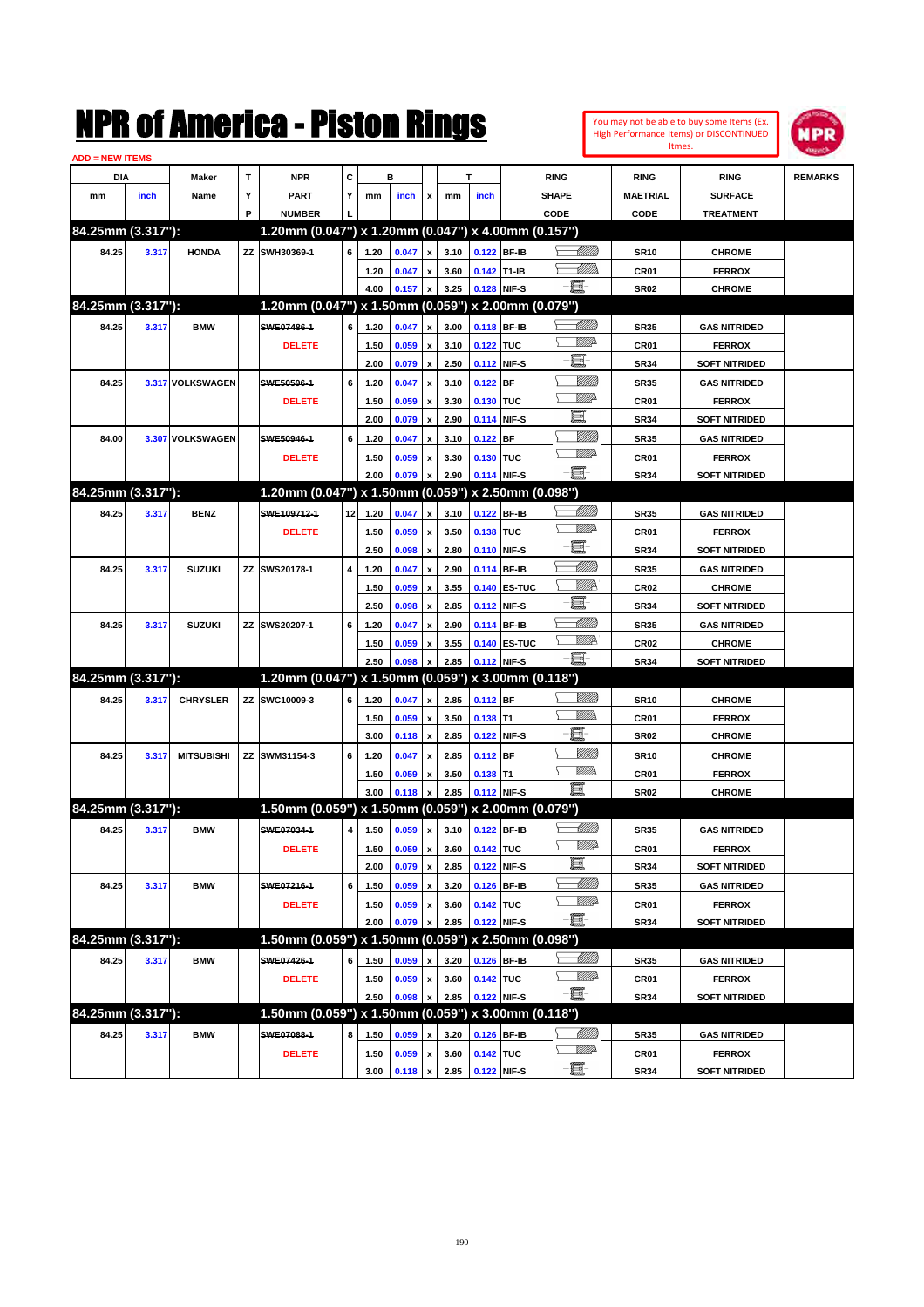|                         |       |                   |   | NMK OI AMCMICA - MISTON KINGS                       |                   |      |                |                           |      |             |                   |             |                 |                  | You may not be able to buy some Items (Ex.<br>High Performance Items) or DISCONTINUED | NPR            |
|-------------------------|-------|-------------------|---|-----------------------------------------------------|-------------------|------|----------------|---------------------------|------|-------------|-------------------|-------------|-----------------|------------------|---------------------------------------------------------------------------------------|----------------|
| <u> ADD = NEW ITEMS</u> |       |                   |   |                                                     |                   |      |                |                           |      |             |                   |             |                 |                  | Itmes.                                                                                |                |
| DIA                     |       | Maker             | т | <b>NPR</b>                                          | C                 |      | в              |                           |      | Т           |                   | <b>RING</b> |                 | <b>RING</b>      | <b>RING</b>                                                                           | <b>REMARKS</b> |
| mm                      | inch  | Name              | Y | <b>PART</b>                                         | Y                 | mm   | inch           | x                         | mm   | inch        |                   | SHAPE       |                 | <b>MAETRIAL</b>  | <b>SURFACE</b>                                                                        |                |
|                         |       |                   | P | <b>NUMBER</b>                                       |                   |      |                |                           |      |             |                   | CODE        |                 | CODE             | <b>TREATMENT</b>                                                                      |                |
| 84.25mm (3.317"):       |       |                   |   | 1.20mm (0.047") x 1.20mm (0.047") x 4.00mm (0.157") |                   |      |                |                           |      |             |                   |             |                 |                  |                                                                                       |                |
| 84.25                   | 3.317 | <b>HONDA</b>      |   | ZZ SWH30369-1                                       | 6                 | 1.20 | 0.047          | x                         | 3.10 |             | 0.122 BF-IB       |             | <u> UMM</u>     | <b>SR10</b>      | <b>CHROME</b>                                                                         |                |
|                         |       |                   |   |                                                     |                   | 1.20 | 0.047          | x                         | 3.60 | 0.142 T1-IB |                   |             | <u>UMB</u>      | CR <sub>01</sub> | <b>FERROX</b>                                                                         |                |
|                         |       |                   |   |                                                     |                   | 4.00 | 0.157          | $\pmb{\mathsf{x}}$        | 3.25 |             | 0.128 NIF-S       | - 8         |                 | <b>SR02</b>      | <b>CHROME</b>                                                                         |                |
| 84.25mm (3.317"):       |       |                   |   | 1.20mm (0.047") x 1.50mm (0.059") x 2.00mm (0.079") |                   |      |                |                           |      |             |                   |             |                 |                  |                                                                                       |                |
| 84.25                   | 3.317 | <b>BMW</b>        |   | SWE07486-1                                          | 6                 | 1.20 | 0.047          | x                         | 3.00 |             | 0.118 BF-IB       |             | <u> Millill</u> | <b>SR35</b>      | <b>GAS NITRIDED</b>                                                                   |                |
|                         |       |                   |   | <b>DELETE</b>                                       |                   | 1.50 | 0.059          | $\boldsymbol{\mathsf{x}}$ | 3.10 | 0.122 TUC   |                   |             | <u>MMD</u>      | CR <sub>01</sub> | <b>FERROX</b>                                                                         |                |
|                         |       |                   |   |                                                     |                   | 2.00 | 0.079          | $\boldsymbol{\mathsf{x}}$ | 2.50 |             | 0.112 NIF-S       | E.          |                 | <b>SR34</b>      | <b>SOFT NITRIDED</b>                                                                  |                |
| 84.25                   |       | 3.317 VOLKSWAGEN  |   | SWE50596-1                                          | 6                 | 1.20 | 0.047          | x                         | 3.10 | $0.122$ BF  |                   |             | <u>Millil</u>   | <b>SR35</b>      | <b>GAS NITRIDED</b>                                                                   |                |
|                         |       |                   |   | <b>DELETE</b>                                       |                   | 1.50 | 0.059          | x                         | 3.30 | 0.130 TUC   |                   |             | <u>MM</u> D     | CR01             | <b>FERROX</b>                                                                         |                |
|                         |       |                   |   |                                                     |                   | 2.00 | 0.079          | $\boldsymbol{\mathsf{x}}$ | 2.90 |             | 0.114 NIF-S       | E.          |                 | <b>SR34</b>      | <b>SOFT NITRIDED</b>                                                                  |                |
| 84.00                   |       | 3.307 VOLKSWAGEN  |   | SWE50946-1                                          | 6                 | 1.20 | 0.047          | x                         | 3.10 | $0.122$ BF  |                   |             | <u>Millil</u>   | <b>SR35</b>      | <b>GAS NITRIDED</b>                                                                   |                |
|                         |       |                   |   | <b>DELETE</b>                                       |                   | 1.50 | 0.059          | x                         | 3.30 | 0.130 TUC   |                   |             | <u>MMP</u>      | CR01             | <b>FERROX</b>                                                                         |                |
|                         |       |                   |   |                                                     |                   | 2.00 | 0.079          | x                         | 2.90 |             | 0.114 NIF-S       | - 8         |                 | <b>SR34</b>      | <b>SOFT NITRIDED</b>                                                                  |                |
| 84.25mm (3.317"):       |       |                   |   | 1.20mm (0.047") x 1.50mm (0.059")                   |                   |      |                |                           |      |             | x 2.50mm (0.098") |             |                 |                  |                                                                                       |                |
| 84.25                   | 3.317 | <b>BENZ</b>       |   | SWE109712-1                                         | $12 \overline{ }$ | 1.20 | 0.047          | x                         | 3.10 |             | 0.122 BF-IB       |             | <u> Millill</u> | <b>SR35</b>      | <b>GAS NITRIDED</b>                                                                   |                |
|                         |       |                   |   | <b>DELETE</b>                                       |                   | 1.50 | 0.059          | x                         | 3.50 | 0.138 TUC   |                   |             | <u>MM</u> D     | CR01             | <b>FERROX</b>                                                                         |                |
|                         |       |                   |   |                                                     |                   | 2.50 | 0.098          | $\pmb{\mathsf{x}}$        | 2.80 |             | 0.110 NIF-S       | E.          |                 | <b>SR34</b>      | <b>SOFT NITRIDED</b>                                                                  |                |
| 84.25                   | 3.317 | <b>SUZUKI</b>     |   | ZZ SWS20178-1                                       | 4                 | 1.20 | 0.047          | x                         | 2.90 |             | 0.114 BF-IB       |             | <u> UMM</u>     | <b>SR35</b>      | <b>GAS NITRIDED</b>                                                                   |                |
|                         |       |                   |   |                                                     |                   | 1.50 | 0.059          | x                         | 3.55 |             | 0.140 ES-TUC      |             | <u>VMP</u>      | CR <sub>02</sub> | <b>CHROME</b>                                                                         |                |
|                         |       |                   |   |                                                     |                   | 2.50 | 0.098          | x                         | 2.85 |             | 0.112 NIF-S       | E.          |                 | <b>SR34</b>      | <b>SOFT NITRIDED</b>                                                                  |                |
| 84.25                   | 3.317 | <b>SUZUKI</b>     |   | ZZ SWS20207-1                                       | 6                 | 1.20 | 0.047          | x                         | 2.90 |             | 0.114 BF-IB       |             | <u> UMM</u>     | <b>SR35</b>      | <b>GAS NITRIDED</b>                                                                   |                |
|                         |       |                   |   |                                                     |                   | 1.50 | 0.059          | x                         | 3.55 |             | 0.140 ES-TUC      |             | <u>Willia</u>   | CR <sub>02</sub> | <b>CHROME</b>                                                                         |                |
|                         |       |                   |   |                                                     |                   | 2.50 | 0.098          | x                         | 2.85 |             | 0.112 NIF-S       | -60         |                 | <b>SR34</b>      | <b>SOFT NITRIDED</b>                                                                  |                |
| 84.25mm (3.317"):       |       |                   |   | 1.20mm (0.047") x 1.50mm (0.059")                   |                   |      |                |                           |      |             | x 3.00mm (0.118") |             |                 |                  |                                                                                       |                |
| 84.25                   | 3.317 | <b>CHRYSLER</b>   |   | ZZ SWC10009-3                                       | 6                 | 1.20 | 0.047          | x                         | 2.85 | $0.112$ BF  |                   |             | <u>Milli</u> k  | <b>SR10</b>      | <b>CHROME</b>                                                                         |                |
|                         |       |                   |   |                                                     |                   | 1.50 | 0.059          | $\boldsymbol{\mathsf{x}}$ | 3.50 | $0.138$ T1  |                   |             | VMM)            | CR <sub>01</sub> | <b>FERROX</b>                                                                         |                |
|                         |       |                   |   |                                                     |                   | 3.00 | 0.118          | $\boldsymbol{\mathsf{x}}$ | 2.85 |             | 0.122 NIF-S       | E           |                 | <b>SR02</b>      | <b>CHROME</b>                                                                         |                |
| 84.25                   | 3.317 | <b>MITSUBISHI</b> |   | ZZ SWM31154-3                                       | 6                 | 1.20 | 0.047          | x                         | 2.85 | $0.112$ BF  |                   |             | <u>VMM</u>      | <b>SR10</b>      | <b>CHROME</b>                                                                         |                |
|                         |       |                   |   |                                                     |                   | 1.50 | 0.059          | x                         | 3.50 | $0.138$ T1  |                   |             | CM)             | CR <sub>01</sub> | <b>FERROX</b>                                                                         |                |
|                         |       |                   |   |                                                     |                   | 3.00 | 0.118          | x                         | 2.85 |             | 0.112 NIF-S       | - 1         |                 | <b>SR02</b>      | <b>CHROME</b>                                                                         |                |
| 84.25mm (3.317"):       |       |                   |   | 1.50mm (0.059") x 1.50mm (0.059") x 2.00mm (0.079") |                   |      |                |                           |      |             |                   |             |                 |                  |                                                                                       |                |
| 84.25                   | 3.317 | <b>BMW</b>        |   | SWE07034-1                                          | 4                 | 1.50 | 0.059          | $\pmb{\mathsf{x}}$        | 3.10 |             | 0.122 BF-IB       |             | <u> MMM</u>     | <b>SR35</b>      | <b>GAS NITRIDED</b>                                                                   |                |
|                         |       |                   |   | <b>DELETE</b>                                       |                   | 1.50 | 0.059          | $\pmb{\mathsf{x}}$        | 3.60 | 0.142 TUC   |                   |             | <u>MM</u> D     | CR01             | <b>FERROX</b>                                                                         |                |
|                         |       |                   |   |                                                     |                   | 2.00 | 0.079 x        |                           | 2.85 |             | 0.122 NIF-S       | e.          |                 | <b>SR34</b>      | <b>SOFT NITRIDED</b>                                                                  |                |
| 84.25                   | 3.317 | <b>BMW</b>        |   | SWE07216-1                                          | 6                 | 1.50 | 0.059          | $\pmb{\mathsf{x}}$        | 3.20 |             | 0.126 BF-IB       |             | <u> MMM</u>     | <b>SR35</b>      | <b>GAS NITRIDED</b>                                                                   |                |
|                         |       |                   |   | <b>DELETE</b>                                       |                   | 1.50 | 0.059          | $\pmb{\mathsf{x}}$        | 3.60 | 0.142 TUC   |                   |             | <u>MM</u> 2     | CR01             | <b>FERROX</b>                                                                         |                |
|                         |       |                   |   |                                                     |                   | 2.00 | 0.079          | x                         | 2.85 |             | 0.122 NIF-S       | $-\Xi$      |                 | SR34             | <b>SOFT NITRIDED</b>                                                                  |                |
| 84.25mm (3.317"):       |       |                   |   | 1.50mm (0.059") x 1.50mm (0.059") x 2.50mm (0.098") |                   |      |                |                           |      |             |                   |             |                 |                  |                                                                                       |                |
| 84.25                   | 3.317 | <b>BMW</b>        |   | SWE07426-1                                          | 6                 | 1.50 | 0.059          | X                         | 3.20 |             | 0.126 BF-IB       |             | <u> UMB</u>     | <b>SR35</b>      | <b>GAS NITRIDED</b>                                                                   |                |
|                         |       |                   |   | <b>DELETE</b>                                       |                   | 1.50 | 0.059          | $\pmb{\mathsf{x}}$        | 3.60 | 0.142 TUC   |                   |             | ₩₩              | CR01             | <b>FERROX</b>                                                                         |                |
|                         |       |                   |   |                                                     |                   | 2.50 | 0.098          | $\pmb{\mathsf{x}}$        | 2.85 |             | 0.122 NIF-S       | $-\Xi$      |                 | <b>SR34</b>      | <b>SOFT NITRIDED</b>                                                                  |                |
| 84.25mm (3.317"):       |       |                   |   | 1.50mm (0.059") x 1.50mm (0.059") x 3.00mm (0.118") |                   |      |                |                           |      |             |                   |             |                 |                  |                                                                                       |                |
| 84.25                   | 3.317 | <b>BMW</b>        |   | SWE07088-1                                          | 8                 | 1.50 | 0.059          | x                         | 3.20 |             | 0.126 BF-IB       |             | <u>-1777)</u>   | <b>SR35</b>      | <b>GAS NITRIDED</b>                                                                   |                |
|                         |       |                   |   | <b>DELETE</b>                                       |                   | 1.50 | 0.059          | $\pmb{\mathsf{x}}$        | 3.60 | 0.142 TUC   |                   |             | <u>WW</u> A     | CR01             | <b>FERROX</b>                                                                         |                |
|                         |       |                   |   |                                                     |                   | 3.00 | $0.118$ x 2.85 |                           |      | 0.122 NIF-S |                   | -8          |                 | <b>SR34</b>      | <b>SOFT NITRIDED</b>                                                                  |                |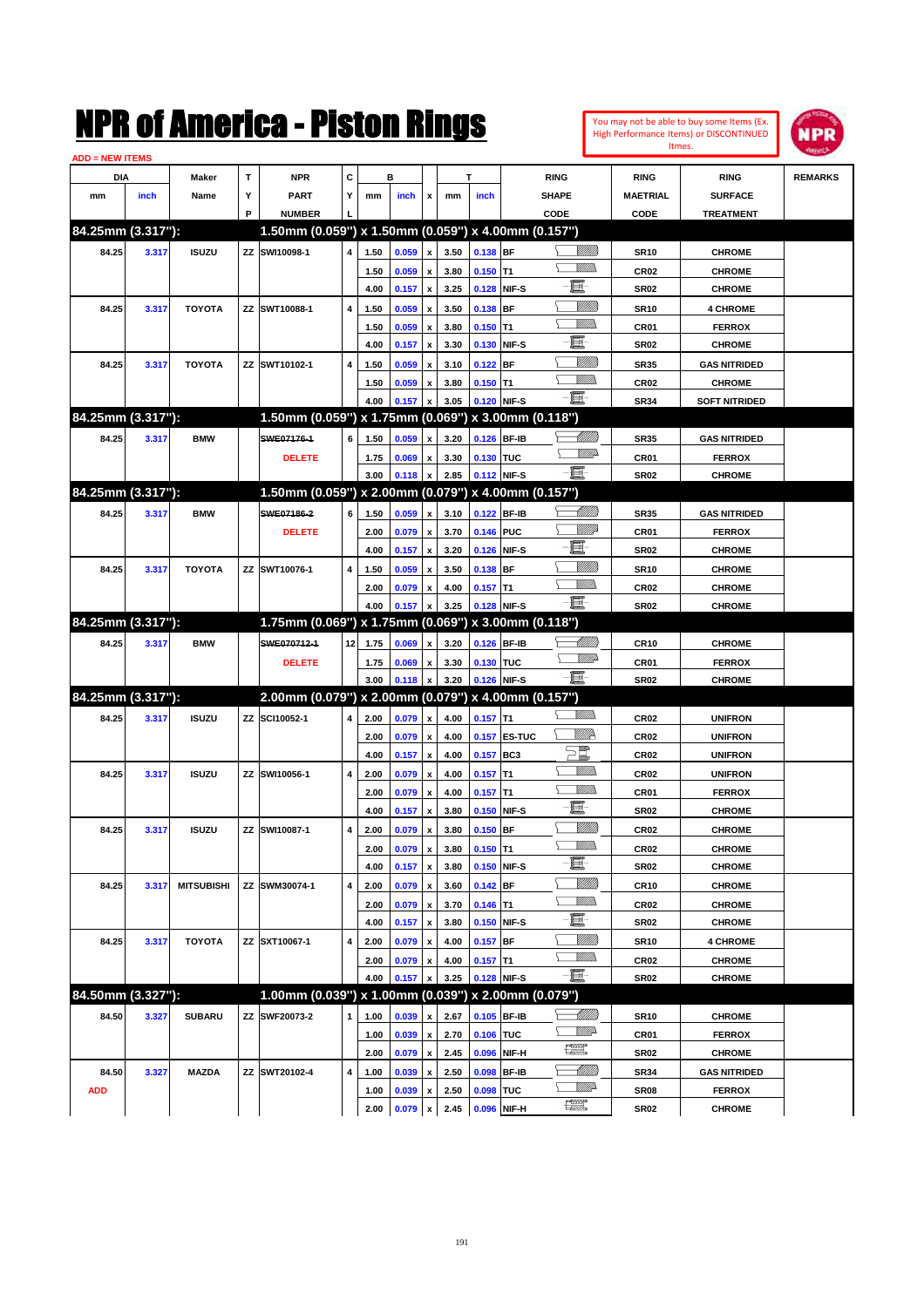| You may not be able to buy some Items (Ex.     |
|------------------------------------------------|
| <b>High Performance Items) or DISCONTINUED</b> |
| Itmes.                                         |



| <b>ADD = NEW ITEMS</b> |       |                   |    |                                                     |              |      |       |                           |      |            |              |                                   |                  |                      |                |
|------------------------|-------|-------------------|----|-----------------------------------------------------|--------------|------|-------|---------------------------|------|------------|--------------|-----------------------------------|------------------|----------------------|----------------|
| DIA                    |       | <b>Maker</b>      | T  | <b>NPR</b>                                          | С            |      | в     |                           |      | т          |              | <b>RING</b>                       | <b>RING</b>      | <b>RING</b>          | <b>REMARKS</b> |
| mm                     | inch  | Name              | Υ  | <b>PART</b>                                         | Y            | mm   | inch  | x                         | mm   | inch       |              | <b>SHAPE</b>                      | <b>MAETRIAL</b>  | <b>SURFACE</b>       |                |
|                        |       |                   | P  | <b>NUMBER</b>                                       |              |      |       |                           |      |            |              | CODE                              | CODE             | <b>TREATMENT</b>     |                |
| 84.25mm (3.317"):      |       |                   |    | 1.50mm (0.059") x 1.50mm (0.059") x 4.00mm (0.157") |              |      |       |                           |      |            |              |                                   |                  |                      |                |
| 84.25                  | 3.317 | <b>ISUZU</b>      |    | ZZ SWI10098-1                                       | 4            | 1.50 | 0.059 | x                         | 3.50 | 0.138 BF   |              | <u> UMB</u>                       | <b>SR10</b>      | <b>CHROME</b>        |                |
|                        |       |                   |    |                                                     |              | 1.50 | 0.059 |                           | 3.80 | $0.150$ T1 |              | <br>Mad                           | <b>CR02</b>      | <b>CHROME</b>        |                |
|                        |       |                   |    |                                                     |              | 4.00 | 0.157 | $\boldsymbol{\mathsf{x}}$ | 3.25 |            | 0.128 NIF-S  | e                                 | <b>SR02</b>      | <b>CHROME</b>        |                |
| 84.25                  | 3.317 | <b>TOYOTA</b>     |    | ZZ SWT10088-1                                       | 4            | 1.50 | 0.059 | x                         | 3.50 | $0.138$ BF |              | <u>Milli</u> k                    | <b>SR10</b>      | <b>4 CHROME</b>      |                |
|                        |       |                   |    |                                                     |              | 1.50 | 0.059 | x                         | 3.80 | $0.150$ T1 |              | .<br>VMD                          | CR <sub>01</sub> | <b>FERROX</b>        |                |
|                        |       |                   |    |                                                     |              | 4.00 | 0.157 | x                         | 3.30 |            | 0.130 NIF-S  | e                                 | <b>SR02</b>      | <b>CHROME</b>        |                |
| 84.25                  | 3.317 | <b>TOYOTA</b>     |    | ZZ SWT10102-1                                       | 4            | 1.50 | 0.059 |                           | 3.10 | $0.122$ BF |              | <u>Milli</u> k                    | <b>SR35</b>      | <b>GAS NITRIDED</b>  |                |
|                        |       |                   |    |                                                     |              | 1.50 | 0.059 |                           | 3.80 | $0.150$ T1 |              | .<br>VMD                          | <b>CR02</b>      | <b>CHROME</b>        |                |
|                        |       |                   |    |                                                     |              | 4.00 | 0.157 |                           | 3.05 |            | 0.120 NIF-S  | -日                                | <b>SR34</b>      | <b>SOFT NITRIDED</b> |                |
| 84.25mm (3.317"):      |       |                   |    | 1.50mm (0.059") x 1.75mm (0.069") x 3.00mm (0.118") |              |      |       |                           |      |            |              |                                   |                  |                      |                |
| 84.25                  | 3.317 | <b>BMW</b>        |    | SWE07176-1                                          | 6            | 1.50 | 0.059 | x                         | 3.20 |            | 0.126 BF-IB  | MMB                               | <b>SR35</b>      | <b>GAS NITRIDED</b>  |                |
|                        |       |                   |    | <b>DELETE</b>                                       |              | 1.75 | 0.069 | x                         | 3.30 | 0.130 TUC  |              | <u>WW</u>                         | <b>CR01</b>      | <b>FERROX</b>        |                |
|                        |       |                   |    |                                                     |              | 3.00 | 0.118 | x                         | 2.85 |            | 0.112 NIF-S  | -日                                | <b>SR02</b>      | <b>CHROME</b>        |                |
| 84.25mm (3.317"):      |       |                   |    | 1.50mm (0.059") x 2.00mm (0.079") x 4.00mm (0.157") |              |      |       |                           |      |            |              |                                   |                  |                      |                |
| 84.25                  | 3.317 | <b>BMW</b>        |    | SWE07186-2                                          | 6            | 1.50 | 0.059 | x                         | 3.10 |            | 0.122 BF-IB  | <u>UMB</u>                        | <b>SR35</b>      | <b>GAS NITRIDED</b>  |                |
|                        |       |                   |    | <b>DELETE</b>                                       |              | 2.00 | 0.079 | x                         | 3.70 | 0.146 PUC  |              | <u>VIII</u> Id                    | CR <sub>01</sub> | <b>FERROX</b>        |                |
|                        |       |                   |    |                                                     |              | 4.00 | 0.157 | $\boldsymbol{\mathsf{x}}$ | 3.20 |            | 0.126 NIF-S  | E                                 | <b>SR02</b>      | <b>CHROME</b>        |                |
| 84.25                  | 3.317 | <b>TOYOTA</b>     |    | ZZ SWT10076-1                                       | 4            | 1.50 | 0.059 |                           | 3.50 | $0.138$ BF |              | <u>Milli</u> k                    | <b>SR10</b>      | <b>CHROME</b>        |                |
|                        |       |                   |    |                                                     |              | 2.00 | 0.079 | x                         | 4.00 | $0.157$ T1 |              | .<br>VMD                          | <b>CR02</b>      | <b>CHROME</b>        |                |
|                        |       |                   |    |                                                     |              | 4.00 | 0.157 |                           | 3.25 |            | 0.128 NIF-S  | -8                                | <b>SR02</b>      | <b>CHROME</b>        |                |
| 84.25mm (3.317"):      |       |                   |    | 1.75mm (0.069") x 1.75mm (0.069") x 3.00mm (0.118") |              |      |       |                           |      |            |              |                                   |                  |                      |                |
| 84.25                  | 3.317 | <b>BMW</b>        |    | SWE070712-1                                         | 12           | 1.75 | 0.069 | x                         | 3.20 |            | 0.126 BF-IB  | <u>UMB</u>                        | <b>CR10</b>      | <b>CHROME</b>        |                |
|                        |       |                   |    | <b>DELETE</b>                                       |              | 1.75 | 0.069 | x                         | 3.30 | 0.130 TUC  |              | <u>WW</u>                         | <b>CR01</b>      | <b>FERROX</b>        |                |
|                        |       |                   |    |                                                     |              | 3.00 | 0.118 | x                         | 3.20 |            | 0.126 NIF-S  | -日                                | <b>SR02</b>      | <b>CHROME</b>        |                |
| 84.25mm (3.317"):      |       |                   |    | 2.00mm (0.079") x 2.00mm (0.079") x 4.00mm (0.157") |              |      |       |                           |      |            |              |                                   |                  |                      |                |
| 84.25                  | 3.317 | <b>ISUZU</b>      |    | ZZ SCI10052-1                                       | 4            | 2.00 | 0.079 | x                         | 4.00 | $0.157$ T1 |              |                                   | <b>CR02</b>      | <b>UNIFRON</b>       |                |
|                        |       |                   |    |                                                     |              | 2.00 | 0.079 | x                         | 4.00 |            | 0.157 ES-TUC | ₩₩                                | <b>CR02</b>      | <b>UNIFRON</b>       |                |
|                        |       |                   |    |                                                     |              | 4.00 | 0.157 | $\boldsymbol{\mathsf{x}}$ | 4.00 | 0.157 BC3  |              | $\Xi^{\hspace{-0.1cm}\textit{m}}$ | CR <sub>02</sub> | <b>UNIFRON</b>       |                |
| 84.25                  | 3.317 | <b>ISUZU</b>      | ΖZ | SWI10056-1                                          | 4            | 2.00 | 0.079 | x                         | 4.00 | $0.157$ T1 |              |                                   | <b>CR02</b>      | <b>UNIFRON</b>       |                |
|                        |       |                   |    |                                                     |              | 2.00 | 0.079 | x                         | 4.00 | $0.157$ T1 |              | <br>Militar                       | <b>CR01</b>      | <b>FERROX</b>        |                |
|                        |       |                   |    |                                                     |              | 4.00 | 0.157 | x                         | 3.80 |            | 0.150 NIF-S  | e.                                | <b>SR02</b>      | <b>CHROME</b>        |                |
| 84.25                  | 3.317 | <b>ISUZU</b>      | ΖZ | SWI10087-1                                          | 4            | 2.00 | 0.079 | x                         | 3.80 | 0.150 BF   |              | <u>MMM</u>                        | CR <sub>02</sub> | <b>CHROME</b>        |                |
|                        |       |                   |    |                                                     |              | 2.00 | 0.079 | x                         | 3.80 | $0.150$ T1 |              | <br>Mad                           | CR02             | <b>CHROME</b>        |                |
|                        |       |                   |    |                                                     |              | 4.00 | 0.157 | $\pmb{\mathsf{x}}$        | 3.80 |            | 0.150 NIF-S  | e                                 | <b>SR02</b>      | <b>CHROME</b>        |                |
| 84.25                  | 3.317 | <b>MITSUBISHI</b> |    | ZZ SWM30074-1                                       | 4            | 2.00 | 0.079 | x                         | 3.60 | $0.142$ BF |              | <u>Milli</u> h                    | <b>CR10</b>      | <b>CHROME</b>        |                |
|                        |       |                   |    |                                                     |              | 2.00 | 0.079 | x                         | 3.70 | $0.146$ T1 |              | <u>WMW</u>                        | CR <sub>02</sub> | <b>CHROME</b>        |                |
|                        |       |                   |    |                                                     |              | 4.00 | 0.157 | $\pmb{\mathsf{x}}$        | 3.80 |            | 0.150 NIF-S  | e.                                | SR02             | <b>CHROME</b>        |                |
| 84.25                  | 3.317 | <b>TOYOTA</b>     |    | ZZ SXT10067-1                                       | 4            | 2.00 | 0.079 | x                         | 4.00 | $0.157$ BF |              | <u>MMM</u>                        | <b>SR10</b>      | <b>4 CHROME</b>      |                |
|                        |       |                   |    |                                                     |              | 2.00 | 0.079 | x                         | 4.00 | $0.157$ T1 |              | <u>Willib</u>                     | CR02             | <b>CHROME</b>        |                |
|                        |       |                   |    |                                                     |              | 4.00 | 0.157 | x                         | 3.25 |            | 0.128 NIF-S  | -買-                               | SR02             | <b>CHROME</b>        |                |
| 84.50mm (3.327"):      |       |                   |    | 1.00mm (0.039") x 1.00mm (0.039") x 2.00mm (0.079") |              |      |       |                           |      |            |              |                                   |                  |                      |                |
| 84.50                  | 3.327 | <b>SUBARU</b>     |    | ZZ SWF20073-2                                       | $\mathbf{1}$ | 1.00 | 0.039 | x                         | 2.67 |            | 0.105 BF-IB  | <u> UMB</u>                       | SR10             | <b>CHROME</b>        |                |
|                        |       |                   |    |                                                     |              | 1.00 | 0.039 | x                         | 2.70 | 0.106 TUC  |              | ₩₩                                | CR01             | <b>FERROX</b>        |                |
|                        |       |                   |    |                                                     |              | 2.00 | 0.079 | $\pmb{\mathsf{x}}$        | 2.45 | 0.096      | NIF-H        | <b>The Second</b>                 | SR02             | <b>CHROME</b>        |                |
| 84.50                  | 3.327 | <b>MAZDA</b>      |    | ZZ SWT20102-4                                       | 4            | 1.00 | 0.039 | x                         | 2.50 | 0.098      | <b>BF-IB</b> | <u> UMB</u>                       | SR34             | <b>GAS NITRIDED</b>  |                |
| <b>ADD</b>             |       |                   |    |                                                     |              | 1.00 | 0.039 | x                         | 2.50 | 0.098 TUC  |              | <u>VMP</u>                        | SR08             | <b>FERROX</b>        |                |
|                        |       |                   |    |                                                     |              | 2.00 | 0.079 | $\pmb{\mathsf{x}}$        | 2.45 |            | 0.096 NIF-H  | R                                 | SR02             | <b>CHROME</b>        |                |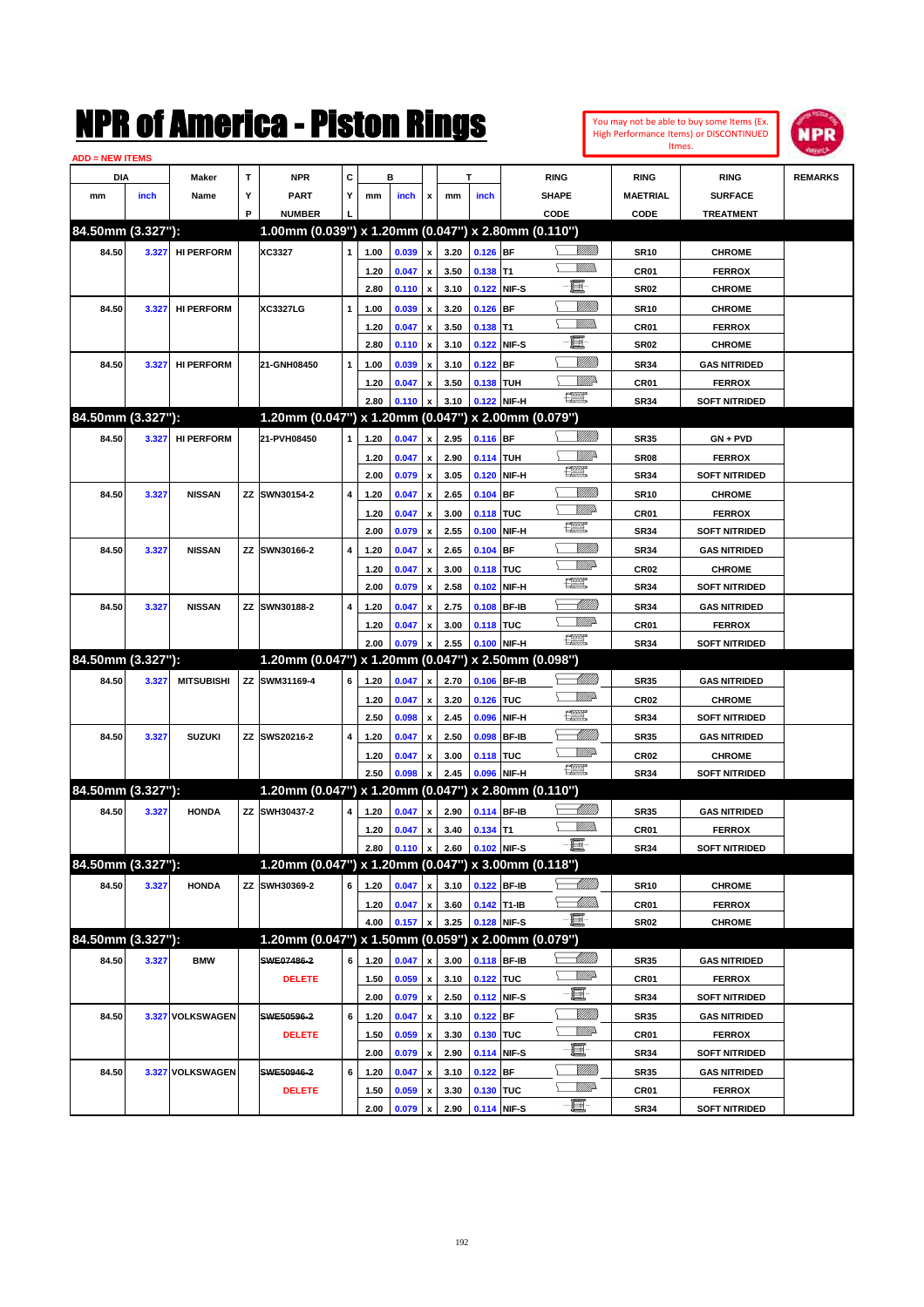| You may not be able to buy some Items (Ex. |
|--------------------------------------------|
| High Performance Items) or DISCONTINUED    |
| Itmes.                                     |



| <b>ADD = NEW ITEMS</b> |       |                   |   |                                                     |              |              |                |                                          |              |             |              |                                                                                                                                                                                                                                                                                                                                                                                             |                     |                                       |                |
|------------------------|-------|-------------------|---|-----------------------------------------------------|--------------|--------------|----------------|------------------------------------------|--------------|-------------|--------------|---------------------------------------------------------------------------------------------------------------------------------------------------------------------------------------------------------------------------------------------------------------------------------------------------------------------------------------------------------------------------------------------|---------------------|---------------------------------------|----------------|
| DIA                    |       | Maker             | т | <b>NPR</b>                                          | С            |              | в              |                                          |              | т           |              | <b>RING</b>                                                                                                                                                                                                                                                                                                                                                                                 | <b>RING</b>         | <b>RING</b>                           | <b>REMARKS</b> |
| mm                     | inch  | Name              | Υ | PART                                                | Y            | mm           | inch           | x                                        | mm           | inch        |              | <b>SHAPE</b>                                                                                                                                                                                                                                                                                                                                                                                | <b>MAETRIAL</b>     | <b>SURFACE</b>                        |                |
|                        |       |                   | P | <b>NUMBER</b>                                       |              |              |                |                                          |              |             |              | CODE                                                                                                                                                                                                                                                                                                                                                                                        | CODE                | <b>TREATMENT</b>                      |                |
| 84.50mm (3.327"):      |       |                   |   | 1.00mm (0.039") x 1.20mm (0.047") x 2.80mm (0.110") |              |              |                |                                          |              |             |              |                                                                                                                                                                                                                                                                                                                                                                                             |                     |                                       |                |
| 84.50                  | 3.327 | <b>HI PERFORM</b> |   | XC3327                                              | $\mathbf{1}$ | 1.00         | 0.039          | x                                        | 3.20         | $0.126$ BF  |              | <u>Sillilli</u>                                                                                                                                                                                                                                                                                                                                                                             | <b>SR10</b>         | <b>CHROME</b>                         |                |
|                        |       |                   |   |                                                     |              | 1.20         | 0.047          | x                                        | 3.50         | 0.138 T1    |              | UM)                                                                                                                                                                                                                                                                                                                                                                                         | CR01                | <b>FERROX</b>                         |                |
|                        |       |                   |   |                                                     |              | 2.80         | 0.110          | $\pmb{\mathsf{x}}$                       | 3.10         |             | 0.122 NIF-S  | E                                                                                                                                                                                                                                                                                                                                                                                           | <b>SR02</b>         | <b>CHROME</b>                         |                |
| 84.50                  | 3.327 | <b>HI PERFORM</b> |   | <b>XC3327LG</b>                                     | 1            | 1.00         | 0.039          | x                                        | 3.20         | $0.126$ BF  |              | <u>Sillilli</u>                                                                                                                                                                                                                                                                                                                                                                             | <b>SR10</b>         | <b>CHROME</b>                         |                |
|                        |       |                   |   |                                                     |              | 1.20         | 0.047          | x                                        | 3.50         | $0.138$ T1  |              | UM)                                                                                                                                                                                                                                                                                                                                                                                         | CR01                | <b>FERROX</b>                         |                |
|                        |       |                   |   |                                                     |              | 2.80         | 0.110          | x                                        | 3.10         |             | 0.122 NIF-S  | E                                                                                                                                                                                                                                                                                                                                                                                           | <b>SR02</b>         | <b>CHROME</b>                         |                |
| 84.50                  | 3.327 | <b>HI PERFORM</b> |   | 21-GNH08450                                         | $\mathbf{1}$ | 1.00         | 0.039          |                                          | 3.10         | $0.122$ BF  |              | <u>Sillilli</u>                                                                                                                                                                                                                                                                                                                                                                             | <b>SR34</b>         | <b>GAS NITRIDED</b>                   |                |
|                        |       |                   |   |                                                     |              | 1.20         | 0.047          | x                                        | 3.50         | 0.138 TUH   |              | ₩₩                                                                                                                                                                                                                                                                                                                                                                                          | CR01                | <b>FERROX</b>                         |                |
|                        |       |                   |   |                                                     |              | 2.80         | 0.110          | x                                        | 3.10         |             | 0.122 NIF-H  | 鱱                                                                                                                                                                                                                                                                                                                                                                                           | <b>SR34</b>         | <b>SOFT NITRIDED</b>                  |                |
| 84.50mm (3.327"):      |       |                   |   | 1.20mm (0.047") x 1.20mm (0.047") x 2.00mm (0.079") |              |              |                |                                          |              |             |              |                                                                                                                                                                                                                                                                                                                                                                                             |                     |                                       |                |
| 84.50                  | 3.327 | <b>HI PERFORM</b> |   | 21-PVH08450                                         | 1            | 1.20         | 0.047          | x                                        | 2.95         | 0.116 BF    |              | <u>Sillilli</u>                                                                                                                                                                                                                                                                                                                                                                             | <b>SR35</b>         | $GN + PVD$                            |                |
|                        |       |                   |   |                                                     |              | 1.20         | 0.047          | x                                        | 2.90         | 0.114 TUH   |              | ₩₩                                                                                                                                                                                                                                                                                                                                                                                          | <b>SR08</b>         | <b>FERROX</b>                         |                |
|                        |       |                   |   |                                                     |              | 2.00         | 0.079          | x                                        | 3.05         |             | 0.120 NIF-H  | 鱱                                                                                                                                                                                                                                                                                                                                                                                           | <b>SR34</b>         | <b>SOFT NITRIDED</b>                  |                |
| 84.50                  | 3.327 | <b>NISSAN</b>     |   | ZZ SWN30154-2                                       | 4            | 1.20         | 0.047          | x                                        | 2.65         | $0.104$ BF  |              | <u>Sillilli</u>                                                                                                                                                                                                                                                                                                                                                                             | <b>SR10</b>         | <b>CHROME</b>                         |                |
|                        |       |                   |   |                                                     |              | 1.20         | 0.047          | x                                        | 3.00         | 0.118 TUC   |              | WMD-                                                                                                                                                                                                                                                                                                                                                                                        | CR01                | <b>FERROX</b>                         |                |
|                        |       |                   |   |                                                     |              | 2.00         | 0.079          | x                                        | 2.55         | 0.100       | NIF-H        | 鱱                                                                                                                                                                                                                                                                                                                                                                                           | <b>SR34</b>         | <b>SOFT NITRIDED</b>                  |                |
| 84.50                  | 3.327 | <b>NISSAN</b>     |   | ZZ SWN30166-2                                       | 4            | 1.20         | 0.047          | x                                        | 2.65         | $0.104$ BF  |              | <u>Sillilli</u>                                                                                                                                                                                                                                                                                                                                                                             | <b>SR34</b>         | <b>GAS NITRIDED</b>                   |                |
|                        |       |                   |   |                                                     |              | 1.20         | 0.047          | x                                        | 3.00         | 0.118 TUC   |              | <u>WW</u> A                                                                                                                                                                                                                                                                                                                                                                                 | CR <sub>02</sub>    | <b>CHROME</b>                         |                |
|                        |       |                   |   |                                                     |              | 2.00         | 0.079          | x                                        | 2.58         |             | 0.102 NIF-H  | 鱱                                                                                                                                                                                                                                                                                                                                                                                           | <b>SR34</b>         | <b>SOFT NITRIDED</b>                  |                |
| 84.50                  | 3.327 | <b>NISSAN</b>     |   | ZZ SWN30188-2                                       | 4            | 1.20         | 0.047          | x                                        | 2.75         |             | 0.108 BF-IB  | MMM                                                                                                                                                                                                                                                                                                                                                                                         | <b>SR34</b>         | <b>GAS NITRIDED</b>                   |                |
|                        |       |                   |   |                                                     |              | 1.20         | 0.047          | x                                        | 3.00         | 0.118 TUC   |              | <u>WW</u> A                                                                                                                                                                                                                                                                                                                                                                                 | CR01                | <b>FERROX</b>                         |                |
|                        |       |                   |   |                                                     |              | 2.00         | 0.079          |                                          | 2.55         |             | 0.100 NIF-H  | $\frac{1}{2}$                                                                                                                                                                                                                                                                                                                                                                               | <b>SR34</b>         | <b>SOFT NITRIDED</b>                  |                |
| 84.50mm (3.327"):      |       |                   |   | 1.20mm (0.047") x 1.20mm (0.047") x 2.50mm (0.098") |              |              |                |                                          |              |             |              |                                                                                                                                                                                                                                                                                                                                                                                             |                     |                                       |                |
| 84.50                  | 3.327 | <b>MITSUBISHI</b> |   | ZZ SWM31169-4                                       | 6            | 1.20         | 0.047          | x                                        | 2.70         |             | 0.106 BF-IB  |                                                                                                                                                                                                                                                                                                                                                                                             | <b>SR35</b>         | <b>GAS NITRIDED</b>                   |                |
|                        |       |                   |   |                                                     |              | 1.20         | 0.047          | x                                        | 3.20         | 0.126 TUC   |              | <u>Willia</u>                                                                                                                                                                                                                                                                                                                                                                               | CR <sub>02</sub>    | <b>CHROME</b>                         |                |
|                        |       |                   |   |                                                     |              | 2.50         | 0.098          | x                                        | 2.45         | 0.096       | NIF-H        | $f_{\text{max}}^{\text{opp}}$                                                                                                                                                                                                                                                                                                                                                               | <b>SR34</b>         | <b>SOFT NITRIDED</b>                  |                |
| 84.50                  | 3.327 | <b>SUZUKI</b>     |   | ZZ SWS20216-2                                       | 4            | 1.20         | 0.047          | x                                        | 2.50         | 0.098       | <b>BF-IB</b> | <u>UMB</u>                                                                                                                                                                                                                                                                                                                                                                                  | <b>SR35</b>         | <b>GAS NITRIDED</b>                   |                |
|                        |       |                   |   |                                                     |              | 1.20         | 0.047          | x                                        | 3.00         | 0.118 TUC   |              | <u>Willi</u> da                                                                                                                                                                                                                                                                                                                                                                             | CR <sub>02</sub>    | <b>CHROME</b>                         |                |
|                        |       |                   |   |                                                     |              | 2.50         | 0.098          |                                          | 2.45         |             | 0.096 NIF-H  | $\begin{picture}(20,20) \put(0,0){\dashbox{0.5}(20,0){ }} \put(15,0){\circle{10}} \put(25,0){\circle{10}} \put(25,0){\circle{10}} \put(25,0){\circle{10}} \put(25,0){\circle{10}} \put(25,0){\circle{10}} \put(25,0){\circle{10}} \put(25,0){\circle{10}} \put(25,0){\circle{10}} \put(25,0){\circle{10}} \put(25,0){\circle{10}} \put(25,0){\circle{10}} \put(25,0){\circle{10}} \put(25,$ | <b>SR34</b>         | <b>SOFT NITRIDED</b>                  |                |
| 84.50mm (3.327"):      |       |                   |   | 1.20mm (0.047") x 1.20mm (0.047") x 2.80mm (0.110") |              |              |                |                                          |              |             |              |                                                                                                                                                                                                                                                                                                                                                                                             |                     |                                       |                |
| 84.50                  | 3.327 | <b>HONDA</b>      |   | ZZ SWH30437-2                                       | 4            | 1.20         | 0.047          | x                                        | 2.90         |             | 0.114 BF-IB  | MMB                                                                                                                                                                                                                                                                                                                                                                                         | <b>SR35</b>         | <b>GAS NITRIDED</b>                   |                |
|                        |       |                   |   |                                                     |              | 1.20         | 0.047          | x                                        | 3.40         | $0.134$ T1  |              |                                                                                                                                                                                                                                                                                                                                                                                             | CR01                | <b>FERROX</b>                         |                |
|                        |       |                   |   |                                                     |              | 2.80         | 0.110          | $\pmb{\mathsf{x}}$                       | 2.60         | 0.102 NIF-S |              | -6                                                                                                                                                                                                                                                                                                                                                                                          | SR34                | <b>SOFT NITRIDED</b>                  |                |
| 84.50mm (3.327"):      |       |                   |   | 1.20mm (0.047") x 1.20mm (0.047") x 3.00mm (0.118") |              |              |                |                                          |              |             |              |                                                                                                                                                                                                                                                                                                                                                                                             |                     |                                       |                |
| 84.50                  | 3.327 | <b>HONDA</b>      |   | ZZ SWH30369-2                                       | 6            | 1.20         | 0.047          | x                                        | 3.10         |             | 0.122 BF-IB  | <u> MMM</u>                                                                                                                                                                                                                                                                                                                                                                                 | <b>SR10</b>         | <b>CHROME</b>                         |                |
|                        |       |                   |   |                                                     |              | 1.20         | 0.047          | $\pmb{\mathsf{x}}$                       | 3.60         | 0.142 T1-IB |              | — Willia                                                                                                                                                                                                                                                                                                                                                                                    | CR01                | <b>FERROX</b>                         |                |
|                        |       |                   |   |                                                     |              | 4.00         | 0.157          |                                          | 3.25         |             | 0.128 NIF-S  | $-\Xi$                                                                                                                                                                                                                                                                                                                                                                                      | <b>SR02</b>         | <b>CHROME</b>                         |                |
| 84.50mm (3.327"):      |       |                   |   | 1.20mm (0.047") x 1.50mm (0.059") x 2.00mm (0.079") |              |              |                |                                          |              |             |              |                                                                                                                                                                                                                                                                                                                                                                                             |                     |                                       |                |
| 84.50                  | 3.327 | <b>BMW</b>        |   | SWE07486-2                                          | 6            | 1.20         | 0.047          | x                                        | 3.00         | 0.118 BF-IB |              |                                                                                                                                                                                                                                                                                                                                                                                             | <b>SR35</b>         | <b>GAS NITRIDED</b>                   |                |
|                        |       |                   |   | <b>DELETE</b>                                       |              |              | 0.059          |                                          | 3.10         | 0.122 TUC   |              | <u>Villid</u> a                                                                                                                                                                                                                                                                                                                                                                             |                     | <b>FERROX</b>                         |                |
|                        |       |                   |   |                                                     |              | 1.50<br>2.00 | 0.079          | $\pmb{\mathsf{x}}$<br>$\pmb{\mathsf{x}}$ | 2.50         |             | 0.112 NIF-S  | e.                                                                                                                                                                                                                                                                                                                                                                                          | CR01<br><b>SR34</b> | <b>SOFT NITRIDED</b>                  |                |
|                        |       |                   |   |                                                     |              |              |                |                                          |              |             |              | <u>MMM</u>                                                                                                                                                                                                                                                                                                                                                                                  |                     |                                       |                |
| 84.50                  |       | 3.327 VOLKSWAGEN  |   | SWE50596-2                                          | 6            | 1.20         | 0.047          | x                                        | 3.10         | $0.122$ BF  |              | <u>WW</u> A                                                                                                                                                                                                                                                                                                                                                                                 | <b>SR35</b>         | <b>GAS NITRIDED</b>                   |                |
|                        |       |                   |   | <b>DELETE</b>                                       |              | 1.50<br>2.00 | 0.059<br>0.079 | x<br>$\pmb{\mathsf{x}}$                  | 3.30<br>2.90 | 0.130 TUC   | 0.114 NIF-S  | e de la contrada de la contrada de la contrada de la contrada de la contrada de la contrada de la contrada de<br>Del contrada de la contrada de la contrada de la contrada de la contrada de la contrada de la contrada de la c                                                                                                                                                             | CR01<br><b>SR34</b> | <b>FERROX</b><br><b>SOFT NITRIDED</b> |                |
|                        |       |                   |   |                                                     | 6            |              |                |                                          |              | $0.122$ BF  |              | <u>MMM</u>                                                                                                                                                                                                                                                                                                                                                                                  |                     |                                       |                |
| 84.50                  |       | 3.327 VOLKSWAGEN  |   | SWE50946-2                                          |              | 1.20         | 0.047          | x                                        | 3.10         |             |              | <u>WW</u> A                                                                                                                                                                                                                                                                                                                                                                                 | <b>SR35</b>         | <b>GAS NITRIDED</b>                   |                |
|                        |       |                   |   | <b>DELETE</b>                                       |              | 1.50         | 0.059          | x                                        | 3.30         | 0.130 TUC   | 0.114 NIF-S  | -8                                                                                                                                                                                                                                                                                                                                                                                          | CR01                | <b>FERROX</b>                         |                |
|                        |       |                   |   |                                                     |              | 2.00         | 0.079          |                                          | 2.90         |             |              |                                                                                                                                                                                                                                                                                                                                                                                             | <b>SR34</b>         | <b>SOFT NITRIDED</b>                  |                |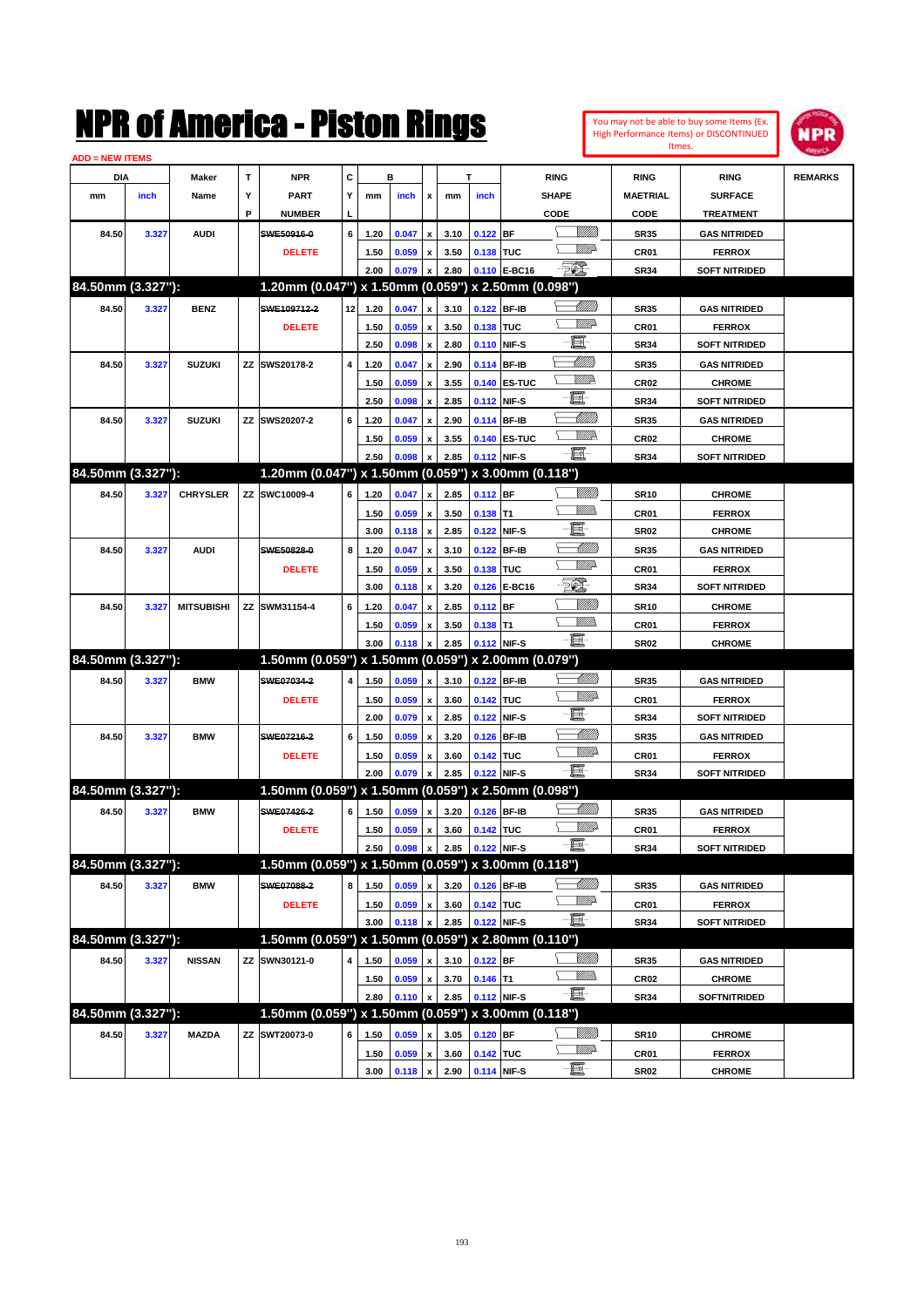|                        |       |                   |    | NMK OI AINCrica - Miston Kings                      |    |      |              |                           |      |                  |              |                 |                               |                  | You may not be able to buy some Items (Ex.<br><b>High Performance Items) or DISCONTINUED</b> | <b>NPR</b>     |
|------------------------|-------|-------------------|----|-----------------------------------------------------|----|------|--------------|---------------------------|------|------------------|--------------|-----------------|-------------------------------|------------------|----------------------------------------------------------------------------------------------|----------------|
| <b>ADD = NEW ITEMS</b> |       |                   |    |                                                     |    |      |              |                           |      |                  |              |                 |                               |                  | Itmes.                                                                                       |                |
| DIA                    |       | Maker             | T  | <b>NPR</b>                                          | C  |      | в            |                           |      | т                |              | <b>RING</b>     |                               | <b>RING</b>      | <b>RING</b>                                                                                  | <b>REMARKS</b> |
| mm                     | inch  | Name              | Υ  | PART                                                | Υ  | mm   | inch         | x                         | mm   | inch             |              | <b>SHAPE</b>    |                               | <b>MAETRIAL</b>  | <b>SURFACE</b>                                                                               |                |
|                        |       |                   | P  | <b>NUMBER</b>                                       |    |      |              |                           |      |                  |              | CODE            |                               | CODE             | <b>TREATMENT</b>                                                                             |                |
| 84.50                  | 3.327 | <b>AUDI</b>       |    | SWE50916-0                                          | 6  | 1.20 | 0.047        | $\pmb{\mathsf{x}}$        | 3.10 | $0.122$ BF       |              |                 | <u>VIIII)</u>                 | <b>SR35</b>      | <b>GAS NITRIDED</b>                                                                          |                |
|                        |       |                   |    | <b>DELETE</b>                                       |    | 1.50 | 0.059        | $\pmb{\mathsf{x}}$        | 3.50 | 0.138 TUC        |              |                 | <u>MM</u>                     | CR01             | <b>FERROX</b>                                                                                |                |
|                        |       |                   |    |                                                     |    | 2.00 | 0.079        | X                         | 2.80 |                  | 0.110 E-BC16 | EQ)             |                               | <b>SR34</b>      | <b>SOFT NITRIDED</b>                                                                         |                |
| 84.50mm (3.327"):      |       |                   |    | 1.20mm (0.047") x 1.50mm (0.059") x 2.50mm (0.098") |    |      |              |                           |      |                  |              |                 |                               |                  |                                                                                              |                |
| 84.50                  | 3.327 | <b>BENZ</b>       |    | SWE109712-2                                         | 12 | 1.20 | 0.047        | $\pmb{\mathsf{x}}$        | 3.10 | 0.122 BF-IB      |              |                 | <u> Millil</u>                | <b>SR35</b>      | <b>GAS NITRIDED</b>                                                                          |                |
|                        |       |                   |    | <b>DELETE</b>                                       |    | 1.50 | 0.059        | $\pmb{\mathsf{x}}$        | 3.50 | 0.138            | TUC          |                 | <u>MM</u>                     | CR01             | <b>FERROX</b>                                                                                |                |
|                        |       |                   |    |                                                     |    | 2.50 | 0.098        | X                         | 2.80 |                  | 0.110 NIF-S  | E               |                               | <b>SR34</b>      | <b>SOFT NITRIDED</b>                                                                         |                |
| 84.50                  | 3.327 | <b>SUZUKI</b>     | ZZ | SWS20178-2                                          | 4  | 1.20 | 0.047        | $\pmb{\mathsf{x}}$        | 2.90 | 0.114            | <b>BF-IB</b> | <u> Millill</u> |                               | <b>SR35</b>      | <b>GAS NITRIDED</b>                                                                          |                |
|                        |       |                   |    |                                                     |    | 1.50 | 0.059        | X                         | 3.55 |                  | 0.140 ES-TUC |                 | <u>Willik</u>                 | CR02             | <b>CHROME</b>                                                                                |                |
|                        |       |                   |    |                                                     |    | 2.50 | 0.098        | X                         | 2.85 | 0.112            | NIF-S        | E               |                               | <b>SR34</b>      | <b>SOFT NITRIDED</b>                                                                         |                |
| 84.50                  | 3.327 | <b>SUZUKI</b>     | ZZ | SWS20207-2                                          | 6  | 1.20 | 0.047        | $\pmb{\mathsf{x}}$        | 2.90 |                  | 0.114 BF-IB  |                 | Millil                        | <b>SR35</b>      | <b>GAS NITRIDED</b>                                                                          |                |
|                        |       |                   |    |                                                     |    | 1.50 | 0.059        | x                         | 3.55 |                  | 0.140 ES-TUC |                 | <u>WW</u> A                   | CR02             | <b>CHROME</b>                                                                                |                |
|                        |       |                   |    |                                                     |    | 2.50 | 0.098        | X                         | 2.85 |                  | 0.112 NIF-S  | E.              |                               | <b>SR34</b>      | <b>SOFT NITRIDED</b>                                                                         |                |
| 84.50mm (3.327"):      |       |                   |    | 1.20mm (0.047") x 1.50mm (0.059") x 3.00mm (0.118") |    |      |              |                           |      |                  |              |                 |                               |                  |                                                                                              |                |
| 84.50                  | 3.327 | <b>CHRYSLER</b>   | ZZ | SWC10009-4                                          | 6  | 1.20 | 0.047        | $\pmb{\mathsf{x}}$        | 2.85 | 0.112 BF         |              |                 | VIII))                        | <b>SR10</b>      | <b>CHROME</b>                                                                                |                |
|                        |       |                   |    |                                                     |    | 1.50 | 0.059        | $\pmb{\mathsf{x}}$        | 3.50 | $0.138$ T1       |              |                 | <br>Milli                     | CR01             | <b>FERROX</b>                                                                                |                |
|                        |       |                   |    |                                                     |    | 3.00 | 0.118        | $\pmb{\mathsf{x}}$        | 2.85 | 0.122            | NIF-S        | E               |                               | <b>SR02</b>      | <b>CHROME</b>                                                                                |                |
| 84.50                  | 3.327 | <b>AUDI</b>       |    | SWE50828-0                                          | 8  | 1.20 | 0.047        | $\pmb{\mathsf{x}}$        | 3.10 | 0.122            | <b>BF-IB</b> |                 | <u> UMM</u>                   | <b>SR35</b>      | <b>GAS NITRIDED</b>                                                                          |                |
|                        |       |                   |    | <b>DELETE</b>                                       |    | 1.50 | 0.059        | $\pmb{\mathsf{x}}$        | 3.50 | 0.138            | <b>TUC</b>   |                 | <u>MM</u>                     | CR01             | <b>FERROX</b>                                                                                |                |
|                        |       |                   |    |                                                     |    | 3.00 | 0.118        | X                         | 3.20 | 0.126            | E-BC16       | FØ.             |                               | <b>SR34</b>      | <b>SOFT NITRIDED</b>                                                                         |                |
| 84.50                  | 3.327 | <b>MITSUBISHI</b> | ΖZ | SWM31154-4                                          | 6  | 1.20 | 0.047        | X                         | 2.85 | $0.112$ BF       |              |                 | <u>Milli</u> k                | <b>SR10</b>      | <b>CHROME</b>                                                                                |                |
|                        |       |                   |    |                                                     |    | 1.50 | 0.059        | $\pmb{\mathsf{x}}$        | 3.50 | $0.138$ T1       |              |                 | <br>Mar                       | CR01             | <b>FERROX</b>                                                                                |                |
|                        |       |                   |    |                                                     |    | 3.00 | 0.118        | X                         | 2.85 |                  | 0.112 NIF-S  | $-\mathbf{H}$   |                               | <b>SR02</b>      | <b>CHROME</b>                                                                                |                |
| 84.50mm (3.327"):      |       |                   |    | 1.50mm (0.059") x 1.50mm (0.059") x 2.00mm (0.079") |    |      |              |                           |      |                  |              |                 |                               |                  |                                                                                              |                |
| 84.50                  | 3.327 | <b>BMW</b>        |    | SWE07034-2                                          | 4  | 1.50 | 0.059        | $\pmb{\mathsf{x}}$        | 3.10 | 0.122 BF-IB      |              |                 | <u> Millitt</u>               | <b>SR35</b>      | <b>GAS NITRIDED</b>                                                                          |                |
|                        |       |                   |    | <b>DELETE</b>                                       |    | 1.50 | 0.059        | $\pmb{\mathsf{x}}$        | 3.60 | 0.142            | TUC          |                 | WM 2                          | CR01             | <b>FERROX</b>                                                                                |                |
|                        |       |                   |    |                                                     |    | 2.00 | 0.079        | $\pmb{\mathsf{x}}$        | 2.85 | 0.122            | NIF-S        | E.              |                               | <b>SR34</b>      | <b>SOFT NITRIDED</b>                                                                         |                |
| 84.50                  | 3.327 | <b>BMW</b>        |    | SWE07216-2                                          | 6  | 1.50 | 0.059        | X                         | 3.20 | 0.126            | <b>BF-IB</b> |                 | <u> UMM)</u>                  | <b>SR35</b>      | <b>GAS NITRIDED</b>                                                                          |                |
|                        |       |                   |    | <b>DELETE</b>                                       |    | 1.50 | 0.059        | x                         | 3.60 | 0.142            | TUC          | E.              | <u>VIIIA</u>                  | CR01             | <b>FERROX</b>                                                                                |                |
|                        |       |                   |    |                                                     |    | 2.00 | 0.079        | X                         | 2.85 |                  | 0.122 NIF-S  |                 |                               | <b>SR34</b>      | <b>SOFT NITRIDED</b>                                                                         |                |
| 84.50mm (3.327"):      |       |                   |    | 1.50mm (0.059") x 1.50mm (0.059") x 2.50mm (0.098") |    |      |              |                           |      |                  |              |                 |                               |                  |                                                                                              |                |
| 84.50                  | 3.327 | <b>BMW</b>        |    | SWE07426-2                                          | 6  | 1.50 | 0.059        | $\boldsymbol{\mathsf{x}}$ | 3.20 | 0.126 BF-IB      |              |                 | <u> UMM</u>                   | <b>SR35</b>      | <b>GAS NITRIDED</b>                                                                          |                |
|                        |       |                   |    | <b>DELETE</b>                                       |    | 1.50 | 0.059        | x                         | 3.60 | 0.142 TUC        |              | e e             | WWP-                          | CR01             | <b>FERROX</b>                                                                                |                |
|                        |       |                   |    |                                                     |    | 2.50 | 0.098        |                           | 2.85 |                  | 0.122 NIF-S  |                 |                               | <b>SR34</b>      | <b>SOFT NITRIDED</b>                                                                         |                |
| 84.50mm (3.327"):      |       |                   |    | 1.50mm (0.059") x 1.50mm (0.059") x 3.00mm (0.118") |    |      |              |                           |      |                  |              |                 |                               |                  |                                                                                              |                |
| 84.50                  | 3.327 | <b>BMW</b>        |    | SWE07088-2                                          | 8  | 1.50 | 0.059        | $\pmb{\mathsf{x}}$        | 3.20 |                  | 0.126 BF-IB  |                 | <u>-MM)</u><br><u>WW</u> A    | SR35             | <b>GAS NITRIDED</b>                                                                          |                |
|                        |       |                   |    | <b>DELETE</b>                                       |    | 1.50 | 0.059        | $\pmb{\mathsf{x}}$        | 3.60 | 0.142 TUC        |              | E               |                               | CR01             | <b>FERROX</b>                                                                                |                |
|                        |       |                   |    |                                                     |    | 3.00 | 0.118        | $\pmb{\mathsf{x}}$        | 2.85 |                  | 0.122 NIF-S  |                 |                               | <b>SR34</b>      | <b>SOFT NITRIDED</b>                                                                         |                |
| 84.50mm (3.327"):      |       |                   |    | 1.50mm (0.059") x 1.50mm (0.059") x 2.80mm (0.110") |    |      |              |                           |      |                  |              |                 |                               |                  |                                                                                              |                |
| 84.50                  | 3.327 | <b>NISSAN</b>     | ΖZ | SWN30121-0                                          | 4  | 1.50 | 0.059        | $\pmb{\mathsf{x}}$        | 3.10 | $0.122$ BF       |              |                 | <u>Milli</u> n<br><u>VMM)</u> | SR35             | <b>GAS NITRIDED</b>                                                                          |                |
|                        |       |                   |    |                                                     |    | 1.50 | 0.059        | $\pmb{\mathsf{x}}$        | 3.70 | $0.146$ T1       |              | E               |                               | CR <sub>02</sub> | <b>CHROME</b>                                                                                |                |
| 84.50mm (3.327"):      |       |                   |    |                                                     |    | 2.80 | 0.110        | $\pmb{\mathsf{x}}$        | 2.85 |                  | 0.112 NIF-S  |                 |                               | <b>SR34</b>      | SOFTNITRIDED                                                                                 |                |
|                        |       |                   |    | 1.50mm (0.059") x 1.50mm (0.059") x 3.00mm (0.118") |    |      |              |                           |      |                  |              |                 |                               |                  |                                                                                              |                |
| 84.50                  | 3.327 | <b>MAZDA</b>      |    | ZZ SWT20073-0                                       | 6  | 1.50 | 0.059        | x                         | 3.05 | $0.120$ BF       |              |                 | <u>Milli</u> n<br><u>WW</u> A | <b>SR10</b>      | <b>CHROME</b>                                                                                |                |
|                        |       |                   |    |                                                     |    | 1.50 | 0.059        | $\pmb{\mathsf{x}}$        | 3.60 | 0.142 TUC        |              | $-\Xi$          |                               | CR01             | <b>FERROX</b>                                                                                |                |
|                        |       |                   |    |                                                     |    | 3.00 | $0.118 \, x$ |                           |      | 2.90 0.114 NIF-S |              |                 |                               | <b>SR02</b>      | <b>CHROME</b>                                                                                |                |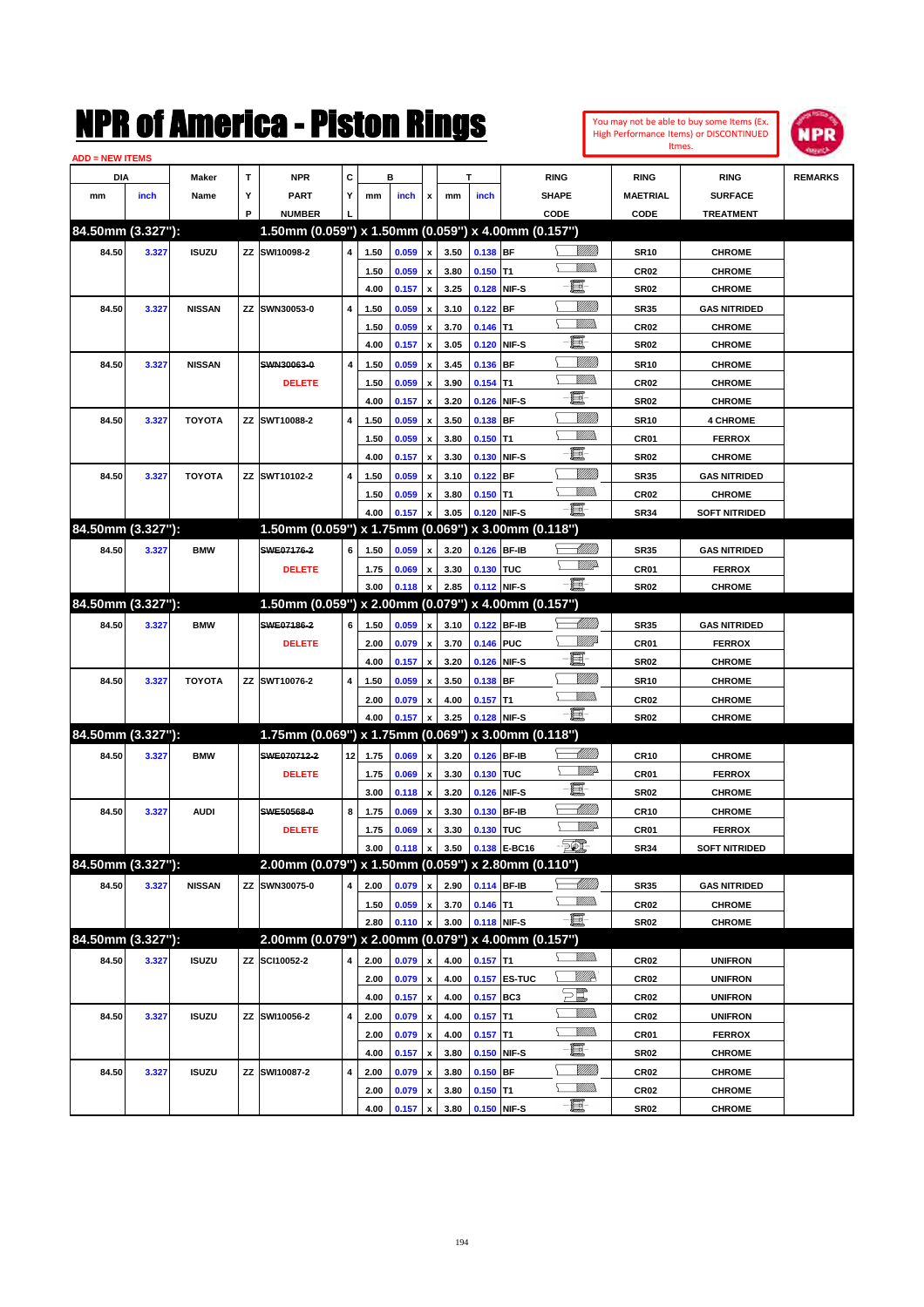| You may not be able to buy some Items (Ex. |
|--------------------------------------------|
| High Performance Items) or DISCONTINUED    |
| Itmes.                                     |



| <b>ADD = NEW ITEMS</b> |       |               |    |                                                     |                |              |       |                         |              |             |              |                                         |                          |                                  |                |
|------------------------|-------|---------------|----|-----------------------------------------------------|----------------|--------------|-------|-------------------------|--------------|-------------|--------------|-----------------------------------------|--------------------------|----------------------------------|----------------|
| DIA                    |       | Maker         | T  | <b>NPR</b>                                          | C              |              | в     |                         |              | т           |              | <b>RING</b>                             | <b>RING</b>              | <b>RING</b>                      | <b>REMARKS</b> |
| mm                     | inch  | Name          | Υ  | <b>PART</b>                                         | Y              | mm           | inch  | x                       | mm           | inch        |              | <b>SHAPE</b>                            | <b>MAETRIAL</b>          | <b>SURFACE</b>                   |                |
|                        |       |               | P  | <b>NUMBER</b>                                       |                |              |       |                         |              |             |              | CODE                                    | CODE                     | <b>TREATMENT</b>                 |                |
| 84.50mm (3.327"):      |       |               |    | 1.50mm (0.059") x 1.50mm (0.059") x 4.00mm (0.157") |                |              |       |                         |              |             |              |                                         |                          |                                  |                |
| 84.50                  | 3.327 | <b>ISUZU</b>  |    | ZZ SWI10098-2                                       | 4              | 1.50         | 0.059 | x                       | 3.50         | 0.138 BF    |              | <u> UMB</u>                             | <b>SR10</b>              | <b>CHROME</b>                    |                |
|                        |       |               |    |                                                     |                | 1.50         | 0.059 |                         | 3.80         | $0.150$ T1  |              | <br>Mad                                 | <b>CR02</b>              | <b>CHROME</b>                    |                |
|                        |       |               |    |                                                     |                | 4.00         | 0.157 | $\pmb{\mathsf{x}}$      | 3.25         |             | 0.128 NIF-S  | -ei                                     | <b>SR02</b>              | <b>CHROME</b>                    |                |
| 84.50                  | 3.327 | <b>NISSAN</b> |    | ZZ SWN30053-0                                       | 4              | 1.50         | 0.059 |                         | 3.10         | $0.122$ BF  |              | <u>Milli</u> k                          | <b>SR35</b>              | <b>GAS NITRIDED</b>              |                |
|                        |       |               |    |                                                     |                | 1.50         | 0.059 | x                       | 3.70         | $0.146$ T1  |              | .<br>VMD                                | <b>CR02</b>              | <b>CHROME</b>                    |                |
|                        |       |               |    |                                                     |                | 4.00         | 0.157 | x                       | 3.05         |             | 0.120 NIF-S  | e                                       | <b>SR02</b>              | <b>CHROME</b>                    |                |
| 84.50                  | 3.327 | <b>NISSAN</b> |    | SWN30063-0                                          | 4              | 1.50         | 0.059 |                         | 3.45         | 0.136 BF    |              | <u>Milli</u>                            | <b>SR10</b>              | <b>CHROME</b>                    |                |
|                        |       |               |    | <b>DELETE</b>                                       |                | 1.50         | 0.059 | x                       | 3.90         | $0.154$ T1  |              | .<br>VMD                                | <b>CR02</b>              | <b>CHROME</b>                    |                |
|                        |       |               |    |                                                     |                | 4.00         | 0.157 | x                       | 3.20         |             | 0.126 NIF-S  | e                                       | <b>SR02</b>              | <b>CHROME</b>                    |                |
| 84.50                  | 3.327 | <b>TOYOTA</b> |    | ZZ SWT10088-2                                       | $\overline{4}$ | 1.50         | 0.059 | x                       | 3.50         | 0.138 BF    |              | <u>MMM</u>                              | <b>SR10</b>              | <b>4 CHROME</b>                  |                |
|                        |       |               |    |                                                     |                | 1.50         | 0.059 | x                       | 3.80         | $0.150$ T1  |              | .<br>VMD                                | CR01                     | <b>FERROX</b>                    |                |
|                        |       |               |    |                                                     |                | 4.00         | 0.157 | x                       | 3.30         |             | 0.130 NIF-S  | E                                       | <b>SR02</b>              | <b>CHROME</b>                    |                |
| 84.50                  | 3.327 | <b>TOYOTA</b> |    | ZZ SWT10102-2                                       | 4              | 1.50         | 0.059 | x                       | 3.10         | $0.122$ BF  |              | <u>MMM</u>                              | <b>SR35</b>              | <b>GAS NITRIDED</b>              |                |
|                        |       |               |    |                                                     |                | 1.50         | 0.059 |                         | 3.80         | $0.150$ T1  |              | .<br>VMD                                | <b>CR02</b>              | <b>CHROME</b>                    |                |
|                        |       |               |    |                                                     |                | 4.00         | 0.157 | X                       | 3.05         |             | 0.120 NIF-S  | -8                                      | <b>SR34</b>              | <b>SOFT NITRIDED</b>             |                |
| 84.50mm (3.327"):      |       |               |    | 1.50mm (0.059") x 1.75mm (0.069") x 3.00mm (0.118") |                |              |       |                         |              |             |              |                                         |                          |                                  |                |
| 84.50                  | 3.327 | <b>BMW</b>    |    | SWE07176-2                                          | 6              | 1.50         | 0.059 |                         | 3.20         |             | 0.126 BF-IB  | <u> Millitt</u>                         | <b>SR35</b>              | <b>GAS NITRIDED</b>              |                |
|                        |       |               |    | <b>DELETE</b>                                       |                | 1.75         | 0.069 | x                       | 3.30         | 0.130 TUC   |              | <u>WWA</u>                              | CR01                     | <b>FERROX</b>                    |                |
|                        |       |               |    |                                                     |                | 3.00         | 0.118 |                         | 2.85         |             | 0.112 NIF-S  | -8                                      | <b>SR02</b>              | <b>CHROME</b>                    |                |
| 84.50mm (3.327"):      |       |               |    | 1.50mm (0.059") x 2.00mm (0.079") x 4.00mm (0.157") |                |              |       |                         |              |             |              |                                         |                          |                                  |                |
| 84.50                  | 3.327 | <b>BMW</b>    |    | SWE07186-2                                          | 6              | 1.50         | 0.059 | x                       | 3.10         |             | 0.122 BF-IB  | <u>UMB</u>                              | <b>SR35</b>              | <b>GAS NITRIDED</b>              |                |
|                        |       |               |    | <b>DELETE</b>                                       |                | 2.00         | 0.079 | x                       | 3.70         | 0.146 PUC   |              | <u>VMW</u>                              | CR01                     | <b>FERROX</b>                    |                |
|                        |       |               |    |                                                     |                | 4.00         | 0.157 | $\pmb{\mathsf{x}}$      | 3.20         |             | 0.126 NIF-S  | e.                                      | <b>SR02</b>              | <b>CHROME</b>                    |                |
| 84.50                  | 3.327 | <b>TOYOTA</b> |    | ZZ SWT10076-2                                       | 4              | 1.50         | 0.059 |                         | 3.50         | 0.138 BF    |              | <u>MMM</u>                              | <b>SR10</b>              | <b>CHROME</b>                    |                |
|                        |       |               |    |                                                     |                | 2.00         | 0.079 | x                       | 4.00         | $0.157$ T1  |              | .<br>VMD                                | <b>CR02</b>              | <b>CHROME</b>                    |                |
|                        |       |               |    |                                                     |                | 4.00         | 0.157 |                         | 3.25         |             | 0.128 NIF-S  | -8                                      | <b>SR02</b>              | <b>CHROME</b>                    |                |
| 84.50mm (3.327"):      |       |               |    | 1.75mm (0.069") x 1.75mm (0.069") x 3.00mm (0.118") |                |              |       |                         |              |             |              |                                         |                          |                                  |                |
| 84.50                  | 3.327 | <b>BMW</b>    |    | SWE070712-2                                         | 12             | 1.75         | 0.069 | x                       | 3.20         |             | 0.126 BF-IB  | <u>UMB</u>                              | <b>CR10</b>              | <b>CHROME</b>                    |                |
|                        |       |               |    | <b>DELETE</b>                                       |                | 1.75         | 0.069 | x                       | 3.30         | 0.130 TUC   |              | <u>WWA</u>                              | CR01                     | <b>FERROX</b>                    |                |
|                        |       |               |    |                                                     |                | 3.00         | 0.118 | x                       | 3.20         |             | 0.126 NIF-S  | E                                       | <b>SR02</b>              | <b>CHROME</b>                    |                |
| 84.50                  | 3.327 | <b>AUDI</b>   |    | SWE50568-0                                          | 8              | 1.75         | 0.069 |                         | 3.30         |             | 0.130 BF-IB  | MMM)                                    | <b>CR10</b>              | <b>CHROME</b>                    |                |
|                        |       |               |    | <b>DELETE</b>                                       |                | 1.75         | 0.069 | x                       | 3.30         | 0.130 TUC   |              | <u>MMP</u>                              | CR01                     | <b>FERROX</b>                    |                |
|                        |       |               |    |                                                     |                | 3.00         | 0.118 | $\pmb{\mathsf{x}}$      | 3.50         |             | 0.138 E-BC16 | $\overline{50}$                         | <b>SR34</b>              | <b>SOFT NITRIDED</b>             |                |
| 84.50mm (3.327"):      |       |               |    | 2.00mm (0.079") x 1.50mm (0.059") x 2.80mm (0.110") |                |              |       |                         |              |             |              |                                         |                          |                                  |                |
| 84.50                  | 3.327 | <b>NISSAN</b> |    | ZZ SWN30075-0                                       | 4              | 2.00         | 0.079 | $\pmb{\mathsf{x}}$      | 2.90         |             | 0.114 BF-IB  | <u> UMB</u>                             | <b>SR35</b>              | <b>GAS NITRIDED</b>              |                |
|                        |       |               |    |                                                     |                | 1.50         | 0.059 | $\pmb{\mathsf{x}}$      | 3.70         | $0.146$ T1  |              | <u>MM)</u>                              | CR02                     | <b>CHROME</b>                    |                |
|                        |       |               |    |                                                     |                | 2.80         | 0.110 | $\pmb{\mathsf{x}}$      | 3.00         |             | 0.118 NIF-S  | -買-                                     | <b>SR02</b>              | <b>CHROME</b>                    |                |
| 84.50mm (3.327"):      |       |               |    | 2.00mm (0.079") x 2.00mm (0.079") x 4.00mm (0.157") |                |              |       |                         |              |             |              |                                         |                          |                                  |                |
|                        |       |               |    | ZZ SCI10052-2                                       |                |              |       |                         |              |             |              | <u>Willib</u>                           |                          |                                  |                |
| 84.50                  | 3.327 | <b>ISUZU</b>  |    |                                                     | 4              | 2.00         | 0.079 | X                       | 4.00         | $0.157$ T1  |              | <u>VIIIA</u>                            | CR02                     | <b>UNIFRON</b>                   |                |
|                        |       |               |    |                                                     |                | 2.00<br>4.00 | 0.079 | x<br>$\pmb{\mathsf{x}}$ | 4.00<br>4.00 | 0.157 BC3   | 0.157 ES-TUC | $\Xi^{\hspace{-0.4mm}[\hspace{0.3mm}]}$ | CR <sub>02</sub><br>CR02 | <b>UNIFRON</b><br><b>UNIFRON</b> |                |
|                        |       |               |    |                                                     |                |              | 0.157 |                         |              |             |              | <u>MMS</u>                              |                          |                                  |                |
| 84.50                  | 3.327 | <b>ISUZU</b>  | ΖZ | SWI10056-2                                          | 4              | 2.00         | 0.079 | x                       | 4.00         | $0.157$ T1  |              | <u>MMS</u>                              | CR <sub>02</sub>         | <b>UNIFRON</b>                   |                |
|                        |       |               |    |                                                     |                | 2.00         | 0.079 | x                       | 4.00         | $0.157$ T1  |              | -8                                      | CR01                     | <b>FERROX</b>                    |                |
|                        |       |               |    |                                                     |                | 4.00         | 0.157 | $\pmb{\mathsf{x}}$      | 3.80         |             | 0.150 NIF-S  | <u>Millit</u>                           | <b>SR02</b>              | <b>CHROME</b>                    |                |
| 84.50                  | 3.327 | <b>ISUZU</b>  | ΖZ | SWI10087-2                                          | 4              | 2.00         | 0.079 | x                       | 3.80         | $0.150$ BF  |              | <u>MM)</u>                              | CR02                     | <b>CHROME</b>                    |                |
|                        |       |               |    |                                                     |                | 2.00         | 0.079 | x                       | 3.80         | $0.150$ T1  |              | $-\Xi$ -                                | CR02                     | <b>CHROME</b>                    |                |
|                        |       |               |    |                                                     |                | 4.00         | 0.157 | $\pmb{\mathsf{x}}$      | 3.80         | 0.150 NIF-S |              |                                         | <b>SR02</b>              | <b>CHROME</b>                    |                |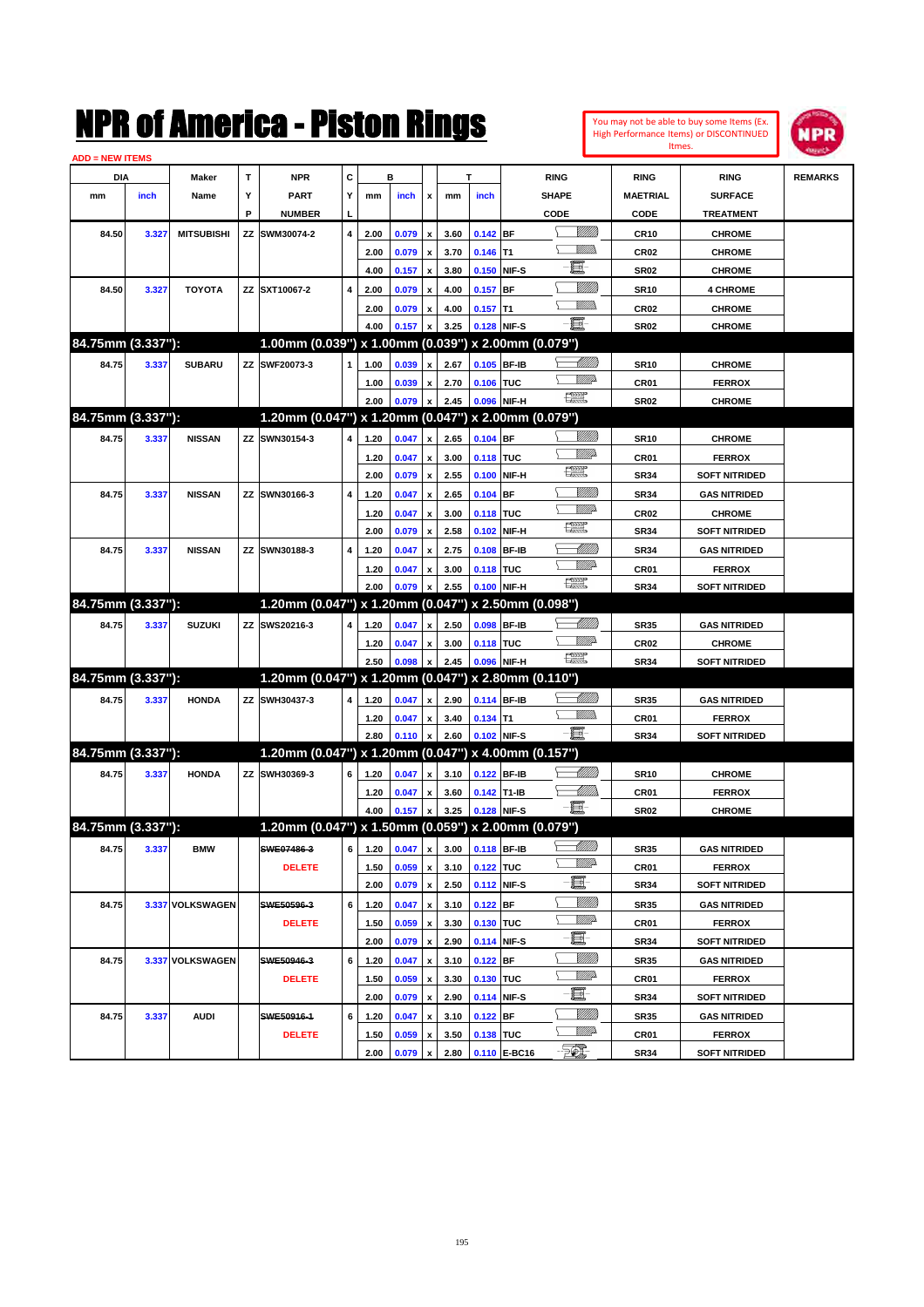|                        |       |                   |    | NMK OI AINCrica - Miston Kings                      |   |      |         |                           |      |             |              |                                                                                                                                                                                                                                                                                                                                                                                             |                            |                  | You may not be able to buy some Items (Ex.<br>High Performance Items) or DISCONTINUED<br>Itmes. | IPR            |
|------------------------|-------|-------------------|----|-----------------------------------------------------|---|------|---------|---------------------------|------|-------------|--------------|---------------------------------------------------------------------------------------------------------------------------------------------------------------------------------------------------------------------------------------------------------------------------------------------------------------------------------------------------------------------------------------------|----------------------------|------------------|-------------------------------------------------------------------------------------------------|----------------|
| <b>ADD = NEW ITEMS</b> |       |                   |    |                                                     |   |      |         |                           |      |             |              |                                                                                                                                                                                                                                                                                                                                                                                             |                            |                  |                                                                                                 |                |
| DIA                    |       | Maker             | T  | <b>NPR</b>                                          | C |      | в       |                           |      | T           |              | <b>RING</b>                                                                                                                                                                                                                                                                                                                                                                                 |                            | <b>RING</b>      | <b>RING</b>                                                                                     | <b>REMARKS</b> |
| mm                     | inch  | Name              | Υ  | <b>PART</b>                                         | Y | mm   | inch    | x                         | mm   | inch        |              | <b>SHAPE</b>                                                                                                                                                                                                                                                                                                                                                                                |                            | <b>MAETRIAL</b>  | <b>SURFACE</b>                                                                                  |                |
|                        |       |                   | P  | <b>NUMBER</b>                                       |   |      |         |                           |      |             |              | CODE                                                                                                                                                                                                                                                                                                                                                                                        |                            | CODE             | <b>TREATMENT</b>                                                                                |                |
| 84.50                  | 3.327 | <b>MITSUBISHI</b> | ΖZ | SWM30074-2                                          | 4 | 2.00 | 0.079   | $\boldsymbol{\mathsf{x}}$ | 3.60 | $0.142$ BF  |              |                                                                                                                                                                                                                                                                                                                                                                                             | <br>Milita                 | CR10             | <b>CHROME</b>                                                                                   |                |
|                        |       |                   |    |                                                     |   | 2.00 | 0.079   | $\boldsymbol{\mathsf{x}}$ | 3.70 | 0.146       | lT1          | E.                                                                                                                                                                                                                                                                                                                                                                                          |                            | CR <sub>02</sub> | <b>CHROME</b>                                                                                   |                |
|                        |       |                   |    |                                                     |   | 4.00 | 0.157   | x                         | 3.80 |             | 0.150 NIF-S  |                                                                                                                                                                                                                                                                                                                                                                                             | <u>MMM</u>                 | <b>SR02</b>      | <b>CHROME</b>                                                                                   |                |
| 84.50                  | 3.327 | <b>TOYOTA</b>     |    | ZZ SXT10067-2                                       | 4 | 2.00 | 0.079   | $\boldsymbol{\mathsf{x}}$ | 4.00 | $0.157$ BF  |              |                                                                                                                                                                                                                                                                                                                                                                                             | 9777)                      | <b>SR10</b>      | <b>4 CHROME</b>                                                                                 |                |
|                        |       |                   |    |                                                     |   | 2.00 | 0.079   | $\pmb{\mathsf{x}}$        | 4.00 | $0.157$ T1  |              | e.                                                                                                                                                                                                                                                                                                                                                                                          |                            | CR <sub>02</sub> | <b>CHROME</b>                                                                                   |                |
| 84.75mm (3.337"):      |       |                   |    | 1.00mm (0.039") x 1.00mm (0.039") x 2.00mm (0.079") |   | 4.00 | 0.157   | x                         | 3.25 |             | 0.128 NIF-S  |                                                                                                                                                                                                                                                                                                                                                                                             |                            | <b>SR02</b>      | <b>CHROME</b>                                                                                   |                |
|                        |       |                   |    |                                                     |   |      |         |                           |      |             |              |                                                                                                                                                                                                                                                                                                                                                                                             | <u>UMB</u>                 |                  |                                                                                                 |                |
| 84.75                  | 3.337 | <b>SUBARU</b>     |    | ZZ SWF20073-3                                       | 1 | 1.00 | 0.039   | x                         | 2.67 | 0.105 BF-IB |              |                                                                                                                                                                                                                                                                                                                                                                                             | <u>VMP</u>                 | <b>SR10</b>      | <b>CHROME</b>                                                                                   |                |
|                        |       |                   |    |                                                     |   | 1.00 | 0.039   | $\pmb{\mathsf{x}}$        | 2.70 | 0.106       | <b>TUC</b>   | 漂                                                                                                                                                                                                                                                                                                                                                                                           |                            | CR01             | <b>FERROX</b>                                                                                   |                |
| 84.75mm (3.337"):      |       |                   |    | 1.20mm (0.047") x 1.20mm (0.047") x 2.00mm (0.079") |   | 2.00 | 0.079   | X                         | 2.45 | 0.096       | NIF-H        |                                                                                                                                                                                                                                                                                                                                                                                             |                            | <b>SR02</b>      | <b>CHROME</b>                                                                                   |                |
|                        |       |                   |    |                                                     |   |      |         |                           |      |             |              |                                                                                                                                                                                                                                                                                                                                                                                             | <u>Sillilli</u>            |                  |                                                                                                 |                |
| 84.75                  | 3.337 | <b>NISSAN</b>     |    | ZZ SWN30154-3                                       | 4 | 1.20 | 0.047   | x                         | 2.65 | $0.104$ BF  |              |                                                                                                                                                                                                                                                                                                                                                                                             | <u>MMP</u>                 | <b>SR10</b>      | <b>CHROME</b>                                                                                   |                |
|                        |       |                   |    |                                                     |   | 1.20 | 0.047   | $\pmb{\mathsf{x}}$        | 3.00 | 0.118 TUC   |              | $f_{\text{max}}^{\text{comp}}$                                                                                                                                                                                                                                                                                                                                                              |                            | CR01             | <b>FERROX</b>                                                                                   |                |
|                        |       |                   |    |                                                     |   | 2.00 | 0.079   | $\boldsymbol{\mathsf{x}}$ | 2.55 | 0.100       | NIF-H        |                                                                                                                                                                                                                                                                                                                                                                                             |                            | <b>SR34</b>      | <b>SOFT NITRIDED</b>                                                                            |                |
| 84.75                  | 3.337 | <b>NISSAN</b>     |    | ZZ SWN30166-3                                       | 4 | 1.20 | 0.047   | $\pmb{\mathsf{x}}$        | 2.65 | 0.104       | IBF          |                                                                                                                                                                                                                                                                                                                                                                                             | VIIII)<br><u>Villid</u>    | <b>SR34</b>      | <b>GAS NITRIDED</b>                                                                             |                |
|                        |       |                   |    |                                                     |   | 1.20 | 0.047   | $\pmb{\mathsf{x}}$        | 3.00 | 0.118       | <b>TUC</b>   | $\begin{picture}(20,20) \put(0,0){\dashbox{0.5}(20,0){ }} \put(15,0){\circle{10}} \put(25,0){\circle{10}} \put(25,0){\circle{10}} \put(25,0){\circle{10}} \put(25,0){\circle{10}} \put(25,0){\circle{10}} \put(25,0){\circle{10}} \put(25,0){\circle{10}} \put(25,0){\circle{10}} \put(25,0){\circle{10}} \put(25,0){\circle{10}} \put(25,0){\circle{10}} \put(25,0){\circle{10}} \put(25,$ |                            | CR <sub>02</sub> | <b>CHROME</b>                                                                                   |                |
|                        |       |                   |    |                                                     |   | 2.00 | 0.079   | x                         | 2.58 | 0.102       | NIF-H        |                                                                                                                                                                                                                                                                                                                                                                                             |                            | <b>SR34</b>      | <b>SOFT NITRIDED</b>                                                                            |                |
| 84.75                  | 3.337 | <b>NISSAN</b>     |    | ZZ SWN30188-3                                       | 4 | 1.20 | 0.047   | $\pmb{\mathsf{x}}$        | 2.75 | 0.108       | <b>BF-IB</b> |                                                                                                                                                                                                                                                                                                                                                                                             | MMM<br><u>VMP</u>          | <b>SR34</b>      | <b>GAS NITRIDED</b>                                                                             |                |
|                        |       |                   |    |                                                     |   | 1.20 | 0.047   | $\pmb{\mathsf{x}}$        | 3.00 | 0.118 TUC   |              | 漂                                                                                                                                                                                                                                                                                                                                                                                           |                            | CR01             | <b>FERROX</b>                                                                                   |                |
|                        |       |                   |    |                                                     |   | 2.00 | 0.079   | x                         | 2.55 |             | 0.100 NIF-H  |                                                                                                                                                                                                                                                                                                                                                                                             |                            | <b>SR34</b>      | <b>SOFT NITRIDED</b>                                                                            |                |
| 84.75mm (3.337"):      |       |                   |    | 1.20mm (0.047") x 1.20mm (0.047") x 2.50mm (0.098") |   |      |         |                           |      |             |              |                                                                                                                                                                                                                                                                                                                                                                                             |                            |                  |                                                                                                 |                |
| 84.75                  | 3.337 | <b>SUZUKI</b>     |    | ZZ SWS20216-3                                       | 4 | 1.20 | 0.047   | x                         | 2.50 | 0.098       | <b>BF-IB</b> |                                                                                                                                                                                                                                                                                                                                                                                             | <u> UMM</u><br>VM)         | <b>SR35</b>      | <b>GAS NITRIDED</b>                                                                             |                |
|                        |       |                   |    |                                                     |   | 1.20 | 0.047   | $\pmb{\mathsf{x}}$        | 3.00 | 0.118 TUC   |              | $\begin{picture}(20,20) \put(0,0){\dashbox{0.5}(20,0){ }} \put(15,0){\circle{10}} \put(25,0){\circle{10}} \put(25,0){\circle{10}} \put(25,0){\circle{10}} \put(25,0){\circle{10}} \put(25,0){\circle{10}} \put(25,0){\circle{10}} \put(25,0){\circle{10}} \put(25,0){\circle{10}} \put(25,0){\circle{10}} \put(25,0){\circle{10}} \put(25,0){\circle{10}} \put(25,0){\circle{10}} \put(25,$ |                            | CR <sub>02</sub> | <b>CHROME</b>                                                                                   |                |
| 84.75mm (3.337"):      |       |                   |    | 1.20mm (0.047") x 1.20mm (0.047") x 2.80mm (0.110") |   | 2.50 | 0.098   | X                         | 2.45 |             | 0.096 NIF-H  |                                                                                                                                                                                                                                                                                                                                                                                             |                            | <b>SR34</b>      | <b>SOFT NITRIDED</b>                                                                            |                |
|                        |       |                   |    |                                                     |   |      |         |                           |      |             |              |                                                                                                                                                                                                                                                                                                                                                                                             |                            |                  |                                                                                                 |                |
| 84.75                  | 3.337 | <b>HONDA</b>      |    | ZZ SWH30437-3                                       | 4 | 1.20 | 0.047   | x                         | 2.90 | 0.114 BF-IB |              |                                                                                                                                                                                                                                                                                                                                                                                             | <u> UMM</u><br>.<br>Villid | <b>SR35</b>      | <b>GAS NITRIDED</b>                                                                             |                |
|                        |       |                   |    |                                                     |   | 1.20 | 0.047   | $\pmb{\mathsf{x}}$        | 3.40 | $0.134$ T1  |              | E                                                                                                                                                                                                                                                                                                                                                                                           |                            | CR01             | <b>FERROX</b>                                                                                   |                |
|                        |       |                   |    |                                                     |   | 2.80 | 0.110   | $\boldsymbol{\mathsf{x}}$ | 2.60 |             | 0.102 NIF-S  |                                                                                                                                                                                                                                                                                                                                                                                             |                            | <b>SR34</b>      | <b>SOFT NITRIDED</b>                                                                            |                |
| 84.75mm (3.337"):      |       |                   |    | 1.20mm (0.047") x 1.20mm (0.047") x 4.00mm (0.157") |   |      |         |                           |      |             |              |                                                                                                                                                                                                                                                                                                                                                                                             |                            |                  |                                                                                                 |                |
| 84.75                  | 3.337 | <b>HONDA</b>      |    | ZZ SWH30369-3                                       | 6 | 1.20 | 0.047   | x                         | 3.10 | 0.122 BF-IB |              |                                                                                                                                                                                                                                                                                                                                                                                             | <u> UMM)</u>               | <b>SR10</b>      | <b>CHROME</b>                                                                                   |                |
|                        |       |                   |    |                                                     |   | 1.20 | 0.047   | $\pmb{\mathsf{x}}$        | 3.60 | 0.142 T1-IB |              | E                                                                                                                                                                                                                                                                                                                                                                                           | <u> UMM</u>                | CR01             | <b>FERROX</b>                                                                                   |                |
|                        |       |                   |    |                                                     |   | 4.00 | 0.157 x |                           | 3.25 | 0.128 NIF-S |              |                                                                                                                                                                                                                                                                                                                                                                                             |                            | <b>SR02</b>      | <b>CHROME</b>                                                                                   |                |
| 84.75mm (3.337"):      |       |                   |    | 1.20mm (0.047") x 1.50mm (0.059") x 2.00mm (0.079") |   |      |         |                           |      |             |              |                                                                                                                                                                                                                                                                                                                                                                                             |                            |                  |                                                                                                 |                |
| 84.75                  | 3.337 | <b>BMW</b>        |    | SWE07486-3                                          | 6 | 1.20 | 0.047   | $\pmb{\mathsf{x}}$        | 3.00 |             | 0.118 BF-IB  |                                                                                                                                                                                                                                                                                                                                                                                             | WMA                        | <b>SR35</b>      | <b>GAS NITRIDED</b>                                                                             |                |
|                        |       |                   |    | <b>DELETE</b>                                       |   | 1.50 | 0.059   | $\pmb{\mathsf{x}}$        | 3.10 | 0.122 TUC   |              |                                                                                                                                                                                                                                                                                                                                                                                             |                            | CR01             | <b>FERROX</b>                                                                                   |                |
|                        |       |                   |    |                                                     |   | 2.00 | 0.079 x |                           | 2.50 |             | 0.112 NIF-S  | e de la comparabilidad de la comparabilidad de la comparabilidad de la comparabilidad de la comparabilidad de<br>Del comparabilidad de la comparabilidad de la comparabilidad de la comparabilidad de la comparabilidad de la c<br>D                                                                                                                                                        |                            | SR34             | <b>SOFT NITRIDED</b>                                                                            |                |
| 84.75                  |       | 3.337 VOLKSWAGEN  |    | SWE50596-3                                          | 6 | 1.20 | 0.047   | $\pmb{\mathsf{x}}$        | 3.10 | $0.122$ BF  |              |                                                                                                                                                                                                                                                                                                                                                                                             | <u>VIIII)</u>              | SR35             | <b>GAS NITRIDED</b>                                                                             |                |
|                        |       |                   |    | <b>DELETE</b>                                       |   | 1.50 | 0.059   | $\pmb{\mathsf{x}}$        | 3.30 | 0.130 TUC   |              | ⊾                                                                                                                                                                                                                                                                                                                                                                                           | <u>WW</u>                  | CR01             | <b>FERROX</b>                                                                                   |                |
|                        |       |                   |    |                                                     |   | 2.00 | 0.079   | $\pmb{\mathsf{x}}$        | 2.90 |             | 0.114 NIF-S  | E-                                                                                                                                                                                                                                                                                                                                                                                          |                            | SR34             | <b>SOFT NITRIDED</b>                                                                            |                |
| 84.75                  |       | 3.337 VOLKSWAGEN  |    | SWE50946-3                                          | 6 | 1.20 | 0.047   | $\pmb{\mathsf{x}}$        | 3.10 | $0.122$ BF  |              |                                                                                                                                                                                                                                                                                                                                                                                             | <u>Millit</u>              | SR35             | <b>GAS NITRIDED</b>                                                                             |                |
|                        |       |                   |    | <b>DELETE</b>                                       |   | 1.50 | 0.059   | $\pmb{\mathsf{x}}$        | 3.30 | 0.130 TUC   |              |                                                                                                                                                                                                                                                                                                                                                                                             | <u>WW</u> A                | CR01             | <b>FERROX</b>                                                                                   |                |
|                        |       |                   |    |                                                     |   | 2.00 | 0.079   | $\pmb{\mathsf{x}}$        | 2.90 |             | 0.114 NIF-S  | E-                                                                                                                                                                                                                                                                                                                                                                                          |                            | SR34             | <b>SOFT NITRIDED</b>                                                                            |                |
| 84.75                  | 3.337 | <b>AUDI</b>       |    | SWE50916-1                                          | 6 | 1.20 | 0.047   | $\pmb{\mathsf{x}}$        | 3.10 | $0.122$ BF  |              |                                                                                                                                                                                                                                                                                                                                                                                             | <u>Millit</u>              | <b>SR35</b>      | <b>GAS NITRIDED</b>                                                                             |                |
|                        |       |                   |    | <b>DELETE</b>                                       |   | 1.50 | 0.059   | $\pmb{\mathsf{x}}$        | 3.50 | 0.138 TUC   |              |                                                                                                                                                                                                                                                                                                                                                                                             | <u>WW</u> A                | CR01             | <b>FERROX</b>                                                                                   |                |
|                        |       |                   |    |                                                     |   | 2.00 | 0.079 x |                           | 2.80 |             | 0.110 E-BC16 | $\mathbb{Z}$                                                                                                                                                                                                                                                                                                                                                                                |                            | SR34             | <b>SOFT NITRIDED</b>                                                                            |                |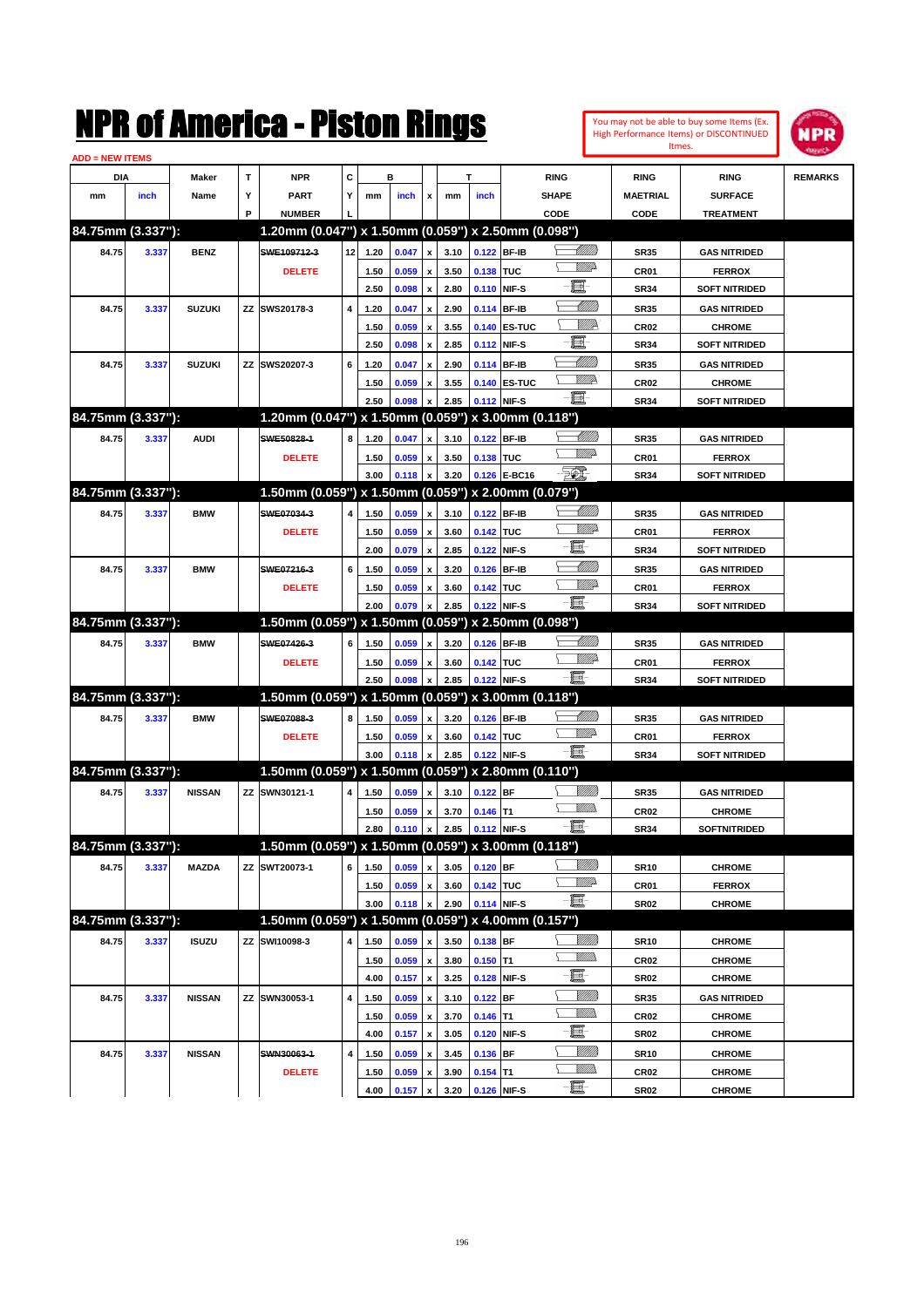| You may not be able to buy some Items (Ex. |
|--------------------------------------------|
| High Performance Items) or DISCONTINUED    |
| Itmes.                                     |



| <b>ADD = NEW ITEMS</b> |       |               |    |                                                     |           |      |       |                    |      |            |                   |                 |                  |                      |                |
|------------------------|-------|---------------|----|-----------------------------------------------------|-----------|------|-------|--------------------|------|------------|-------------------|-----------------|------------------|----------------------|----------------|
| DIA                    |       | <b>Maker</b>  | T  | <b>NPR</b>                                          | C         |      | в     |                    |      | т          |                   | <b>RING</b>     | <b>RING</b>      | <b>RING</b>          | <b>REMARKS</b> |
| mm                     | inch  | Name          | Υ  | <b>PART</b>                                         | Y         | mm   | inch  | x                  | mm   | inch       |                   | <b>SHAPE</b>    | <b>MAETRIAL</b>  | <b>SURFACE</b>       |                |
|                        |       |               | P  | <b>NUMBER</b>                                       |           |      |       |                    |      |            |                   | CODE            | CODE             | <b>TREATMENT</b>     |                |
| 84.75mm (3.337"):      |       |               |    | 1.20mm (0.047") x 1.50mm (0.059") x 2.50mm (0.098") |           |      |       |                    |      |            |                   |                 |                  |                      |                |
| 84.75                  | 3.337 | <b>BENZ</b>   |    | SWE109712-3                                         | 12        | 1.20 | 0.047 | x                  | 3.10 |            | 0.122 BF-IB       | <u> Millil</u>  | <b>SR35</b>      | <b>GAS NITRIDED</b>  |                |
|                        |       |               |    | <b>DELETE</b>                                       |           | 1.50 | 0.059 |                    | 3.50 | 0.138 TUC  |                   | <u>MMP</u>      | <b>CR01</b>      | <b>FERROX</b>        |                |
|                        |       |               |    |                                                     |           | 2.50 | 0.098 | x                  | 2.80 |            | 0.110 NIF-S       | e.              | <b>SR34</b>      | <b>SOFT NITRIDED</b> |                |
| 84.75                  | 3.337 | <b>SUZUKI</b> |    | ZZ SWS20178-3                                       | 4         | 1.20 | 0.047 | x                  | 2.90 |            | 0.114 BF-IB       | <u> UMM)</u>    | <b>SR35</b>      | <b>GAS NITRIDED</b>  |                |
|                        |       |               |    |                                                     |           | 1.50 | 0.059 | x                  | 3.55 |            | 0.140 ES-TUC      | ₩₩              | <b>CR02</b>      | <b>CHROME</b>        |                |
|                        |       |               |    |                                                     |           | 2.50 | 0.098 | x                  | 2.85 |            | 0.112 NIF-S       | E.              | <b>SR34</b>      | <b>SOFT NITRIDED</b> |                |
| 84.75                  | 3.337 | <b>SUZUKI</b> |    | ZZ SWS20207-3                                       | 6         | 1.20 | 0.047 | x                  | 2.90 |            | 0.114 BF-IB       | <u> MMN</u>     | <b>SR35</b>      | <b>GAS NITRIDED</b>  |                |
|                        |       |               |    |                                                     |           | 1.50 | 0.059 |                    | 3.55 |            | 0.140 ES-TUC      | WMP             | <b>CR02</b>      | <b>CHROME</b>        |                |
|                        |       |               |    |                                                     |           | 2.50 | 0.098 |                    | 2.85 |            | 0.112 NIF-S       | e.              | <b>SR34</b>      | <b>SOFT NITRIDED</b> |                |
| 84.75mm (3.337"):      |       |               |    | 1.20mm (0.047") x 1.50mm (0.059") x 3.00mm (0.118") |           |      |       |                    |      |            |                   |                 |                  |                      |                |
| 84.75                  | 3.337 | <b>AUDI</b>   |    | SWE50828-1                                          | 8         | 1.20 | 0.047 | x                  | 3.10 |            | 0.122 BF-IB       | <u> UMM)</u>    | <b>SR35</b>      | <b>GAS NITRIDED</b>  |                |
|                        |       |               |    | <b>DELETE</b>                                       |           | 1.50 | 0.059 | x                  | 3.50 | 0.138 TUC  |                   | <u>MMP</u>      | <b>CR01</b>      | <b>FERROX</b>        |                |
|                        |       |               |    |                                                     |           | 3.00 | 0.118 | X                  | 3.20 |            | 0.126 E-BC16      | $\mathbb{Z}$    | <b>SR34</b>      | <b>SOFT NITRIDED</b> |                |
| 84.75mm (3.337"):      |       |               |    | 1.50mm (0.059") x 1.50mm (0.059") x 2.00mm (0.079") |           |      |       |                    |      |            |                   |                 |                  |                      |                |
| 84.75                  | 3.337 | <b>BMW</b>    |    | SWE07034-3                                          | 4         | 1.50 | 0.059 | x                  | 3.10 |            | 0.122 BF-IB       | <u> Millitt</u> | <b>SR35</b>      | <b>GAS NITRIDED</b>  |                |
|                        |       |               |    | <b>DELETE</b>                                       |           | 1.50 | 0.059 | x                  | 3.60 | 0.142 TUC  |                   | <u>MMP</u>      | <b>CR01</b>      | <b>FERROX</b>        |                |
|                        |       |               |    |                                                     |           | 2.00 | 0.079 | x                  | 2.85 |            | 0.122 NIF-S       | 圓               | <b>SR34</b>      | <b>SOFT NITRIDED</b> |                |
| 84.75                  | 3.337 | <b>BMW</b>    |    | SWE07216-3                                          | 6         | 1.50 | 0.059 |                    | 3.20 |            | 0.126 BF-IB       | <u> UMM)</u>    | <b>SR35</b>      | <b>GAS NITRIDED</b>  |                |
|                        |       |               |    | <b>DELETE</b>                                       |           | 1.50 | 0.059 | x                  | 3.60 | 0.142 TUC  |                   | <u>MMP</u>      | <b>CR01</b>      | <b>FERROX</b>        |                |
|                        |       |               |    |                                                     |           | 2.00 | 0.079 |                    | 2.85 |            | 0.122 NIF-S       | -8              | <b>SR34</b>      | <b>SOFT NITRIDED</b> |                |
| 84.75mm (3.337"):      |       |               |    | 1.50mm (0.059") x 1.50mm (0.059")                   |           |      |       |                    |      |            | x 2.50mm (0.098") |                 |                  |                      |                |
| 84.75                  | 3.337 | <b>BMW</b>    |    | SWE07426-3                                          | 6         | 1.50 | 0.059 | x                  | 3.20 |            | 0.126 BF-IB       | <u> MMM</u>     | <b>SR35</b>      | <b>GAS NITRIDED</b>  |                |
|                        |       |               |    | <b>DELETE</b>                                       |           | 1.50 | 0.059 | x                  | 3.60 | 0.142 TUC  |                   | <u>MMP</u>      | <b>CR01</b>      | <b>FERROX</b>        |                |
|                        |       |               |    |                                                     |           | 2.50 | 0.098 |                    | 2.85 |            | 0.122 NIF-S       | -8              | <b>SR34</b>      | <b>SOFT NITRIDED</b> |                |
| 84.75mm (3.337"):      |       |               |    | 1.50mm (0.059") x 1.50mm (0.059") x 3.00mm (0.118") |           |      |       |                    |      |            |                   |                 |                  |                      |                |
| 84.75                  | 3.337 | <b>BMW</b>    |    | SWE07088-3                                          | 8         | 1.50 | 0.059 | x                  | 3.20 |            | 0.126 BF-IB       | <u> MMM</u>     | <b>SR35</b>      | <b>GAS NITRIDED</b>  |                |
|                        |       |               |    | <b>DELETE</b>                                       |           | 1.50 | 0.059 | x                  | 3.60 | 0.142 TUC  |                   | <u>WW</u> A     | <b>CR01</b>      | <b>FERROX</b>        |                |
|                        |       |               |    |                                                     |           | 3.00 | 0.118 |                    | 2.85 |            | 0.122 NIF-S       | -8              | <b>SR34</b>      | <b>SOFT NITRIDED</b> |                |
| 84.75mm (3.337"):      |       |               |    | 1.50mm (0.059") x 1.50mm (0.059") x 2.80mm (0.110") |           |      |       |                    |      |            |                   |                 |                  |                      |                |
| 84.75                  | 3.337 | <b>NISSAN</b> |    | ZZ SWN30121-1                                       | 4         | 1.50 | 0.059 | x                  | 3.10 | $0.122$ BF |                   |                 | <b>SR35</b>      | <b>GAS NITRIDED</b>  |                |
|                        |       |               |    |                                                     |           | 1.50 | 0.059 | x                  | 3.70 | $0.146$ T1 |                   | <br>Mar         | <b>CR02</b>      | <b>CHROME</b>        |                |
|                        |       |               |    |                                                     |           | 2.80 | 0.110 | $\pmb{\mathsf{x}}$ | 2.85 |            | 0.112 NIF-S       | -日              | <b>SR34</b>      | SOFTNITRIDED         |                |
| 84.75mm (3.337"):      |       |               |    | 1.50mm (0.059") x 1.50mm (0.059") x 3.00mm (0.118") |           |      |       |                    |      |            |                   |                 |                  |                      |                |
| 84.75                  | 3.337 | <b>MAZDA</b>  |    | ZZ SWT20073-1                                       | 6         | 1.50 | 0.059 | $\pmb{\mathsf{x}}$ | 3.05 | $0.120$ BF |                   | <u>Milli</u> h  | <b>SR10</b>      | <b>CHROME</b>        |                |
|                        |       |               |    |                                                     |           | 1.50 | 0.059 | x                  | 3.60 | 0.142 TUC  |                   | <u>MMP</u>      | CR01             | <b>FERROX</b>        |                |
|                        |       |               |    |                                                     |           | 3.00 | 0.118 |                    | 2.90 |            | 0.114 NIF-S       |                 | SR02             | <b>CHROME</b>        |                |
| 84.75mm (3.337"):      |       |               |    | 1.50mm (0.059") x 1.50mm (0.059") x 4.00mm (0.157") |           |      |       |                    |      |            |                   |                 |                  |                      |                |
| 84.75                  | 3.337 | <b>ISUZU</b>  | ΖZ | SWI10098-3                                          | 4         | 1.50 | 0.059 | X                  | 3.50 | $0.138$ BF |                   | <u>Milli</u> n  | SR10             | <b>CHROME</b>        |                |
|                        |       |               |    |                                                     |           | 1.50 | 0.059 | x                  | 3.80 | $0.150$ T1 |                   | <u>WMWs</u>     | CR02             | <b>CHROME</b>        |                |
|                        |       |               |    |                                                     |           | 4.00 | 0.157 | $\pmb{\mathsf{x}}$ | 3.25 |            | 0.128 NIF-S       | e.              | SR02             | <b>CHROME</b>        |                |
| 84.75                  | 3.337 | <b>NISSAN</b> |    | ZZ SWN30053-1                                       | 4         | 1.50 | 0.059 |                    | 3.10 | $0.122$ BF |                   | <u>Millit</u>   | SR35             | <b>GAS NITRIDED</b>  |                |
|                        |       |               |    |                                                     |           | 1.50 | 0.059 | x<br>x             | 3.70 | $0.146$ T1 |                   | <u>Willib</u>   | CR <sub>02</sub> | <b>CHROME</b>        |                |
|                        |       |               |    |                                                     |           | 4.00 | 0.157 | $\pmb{\mathsf{x}}$ | 3.05 |            | 0.120 NIF-S       | e               | SR02             | <b>CHROME</b>        |                |
| 84.75                  | 3.337 | <b>NISSAN</b> |    | SWN30063-1                                          | $\pmb{4}$ | 1.50 | 0.059 | x                  | 3.45 | 0.136 BF   |                   | <u>Millit</u>   | SR10             | <b>CHROME</b>        |                |
|                        |       |               |    | <b>DELETE</b>                                       |           | 1.50 | 0.059 |                    | 3.90 | $0.154$ T1 |                   | <u>WMWs</u>     | CR <sub>02</sub> | <b>CHROME</b>        |                |
|                        |       |               |    |                                                     |           | 4.00 | 0.157 | X                  | 3.20 |            | 0.126 NIF-S       | -E-             | SR02             | <b>CHROME</b>        |                |
|                        |       |               |    |                                                     |           |      |       |                    |      |            |                   |                 |                  |                      |                |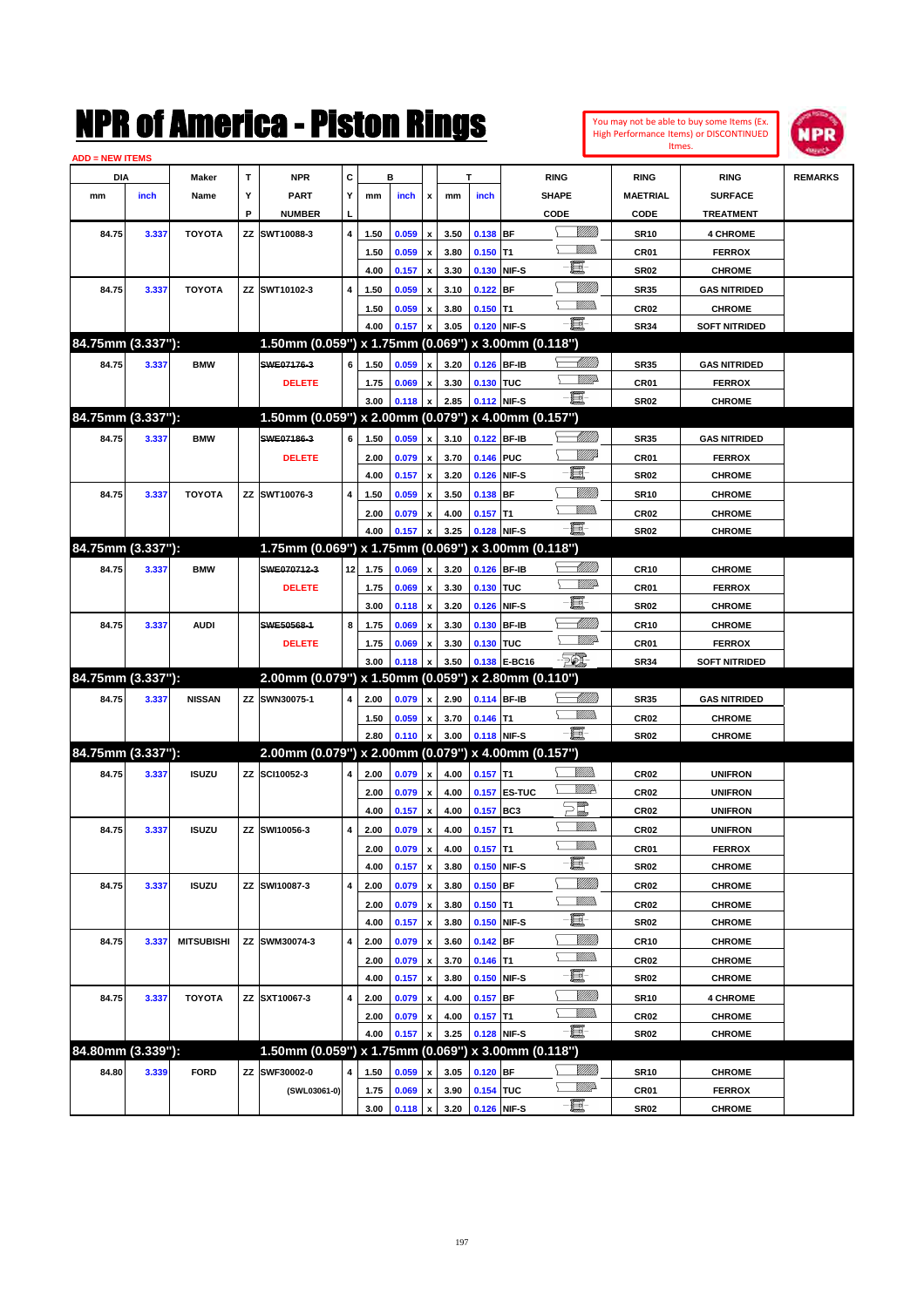|                   |       |                   |    | K OI AMICTICA - PISLON KINGS                        |                         |      |       |                           |      |             |                                                         |                 |                  | You may not be able to buy some Items (Ex.<br>High Performance Items) or DISCONTINUED | <b>NPR</b>     |
|-------------------|-------|-------------------|----|-----------------------------------------------------|-------------------------|------|-------|---------------------------|------|-------------|---------------------------------------------------------|-----------------|------------------|---------------------------------------------------------------------------------------|----------------|
| ADD = NEW ITEMS   |       |                   |    |                                                     |                         |      |       |                           |      |             |                                                         |                 | Itmes.           |                                                                                       |                |
| DIA               |       | Maker             | т  | <b>NPR</b>                                          | C                       |      | в     |                           |      | T           | <b>RING</b>                                             |                 | <b>RING</b>      | <b>RING</b>                                                                           | <b>REMARKS</b> |
| mm                | inch  | Name              | Υ  | <b>PART</b>                                         | Y                       | mm   | inch  | x                         | mm   | inch        | <b>SHAPE</b>                                            |                 | MAETRIAL         | <b>SURFACE</b>                                                                        |                |
|                   |       |                   | Ρ  | <b>NUMBER</b>                                       |                         |      |       |                           |      |             | CODE                                                    |                 | CODE             | <b>TREATMENT</b>                                                                      |                |
| 84.75             | 3.337 | <b>TOYOTA</b>     |    | ZZ SWT10088-3                                       | 4                       | 1.50 | 0.059 | x                         | 3.50 | 0.138 BF    |                                                         | <u>MMM</u>      | <b>SR10</b>      | <b>4 CHROME</b>                                                                       |                |
|                   |       |                   |    |                                                     |                         | 1.50 | 0.059 | $\boldsymbol{x}$          | 3.80 | $0.150$ T1  |                                                         | VM))            | CR01             | <b>FERROX</b>                                                                         |                |
|                   |       |                   |    |                                                     |                         | 4.00 | 0.157 | $\boldsymbol{\mathsf{x}}$ | 3.30 | 0.130 NIF-S | E                                                       |                 | <b>SR02</b>      | <b>CHROME</b>                                                                         |                |
| 84.75             | 3.337 | <b>TOYOTA</b>     |    | ZZ SWT10102-3                                       | $\overline{\mathbf{4}}$ | 1.50 | 0.059 | $\boldsymbol{x}$          | 3.10 | $0.122$ BF  |                                                         | <u>MMW</u>      | <b>SR35</b>      | <b>GAS NITRIDED</b>                                                                   |                |
|                   |       |                   |    |                                                     |                         | 1.50 | 0.059 | $\boldsymbol{x}$          | 3.80 | $0.150$ T1  |                                                         | <u>Milli</u>    | CR <sub>02</sub> | <b>CHROME</b>                                                                         |                |
|                   |       |                   |    |                                                     |                         | 4.00 | 0.157 | x                         | 3.05 | 0.120 NIF-S | E.                                                      |                 | <b>SR34</b>      | <b>SOFT NITRIDED</b>                                                                  |                |
| 84.75mm (3.337"): |       |                   |    | 1.50mm (0.059") x 1.75mm (0.069")                   |                         |      |       |                           |      |             | x 3.00mm (0.118")                                       |                 |                  |                                                                                       |                |
| 84.75             | 3.337 | <b>BMW</b>        |    | SWE07176-3                                          | 6                       | 1.50 | 0.059 | x                         | 3.20 | 0.126 BF-IB |                                                         | <u> UMM</u>     | <b>SR35</b>      | <b>GAS NITRIDED</b>                                                                   |                |
|                   |       |                   |    | <b>DELETE</b>                                       |                         | 1.75 | 0.069 | $\pmb{\mathsf{x}}$        | 3.30 | 0.130 TUC   |                                                         | <u>VMD</u>      | CR01             | <b>FERROX</b>                                                                         |                |
|                   |       |                   |    |                                                     |                         | 3.00 | 0.118 | $\mathbf{x}$              | 2.85 | 0.112 NIF-S | E                                                       |                 | <b>SR02</b>      | <b>CHROME</b>                                                                         |                |
| 84.75mm (3.337"): |       |                   |    | 1.50mm (0.059") x 2.00mm (0.079")                   |                         |      |       |                           |      |             | x 4.00mm (0.157")                                       |                 |                  |                                                                                       |                |
| 84.75             | 3.337 | <b>BMW</b>        |    | SWE07186-3                                          | 6                       | 1.50 | 0.059 | x                         | 3.10 | 0.122       | BF-IB                                                   | <u>UMB</u>      | <b>SR35</b>      | <b>GAS NITRIDED</b>                                                                   |                |
|                   |       |                   |    | <b>DELETE</b>                                       |                         | 2.00 | 0.079 | $\boldsymbol{x}$          | 3.70 | 0.146 PUC   |                                                         | <u>VIII</u> D   | CR01             | <b>FERROX</b>                                                                         |                |
|                   |       |                   |    |                                                     |                         | 4.00 | 0.157 | $\boldsymbol{\mathsf{x}}$ | 3.20 | 0.126 NIF-S |                                                         | E               | <b>SR02</b>      | <b>CHROME</b>                                                                         |                |
| 84.75             | 3.337 | <b>TOYOTA</b>     |    | ZZ SWT10076-3                                       | 4                       | 1.50 | 0.059 | $\boldsymbol{x}$          | 3.50 | 0.138 BF    |                                                         | <u>MMW</u>      | <b>SR10</b>      | <b>CHROME</b>                                                                         |                |
|                   |       |                   |    |                                                     |                         | 2.00 | 0.079 | $\pmb{\mathsf{x}}$        | 4.00 | $0.157$ T1  |                                                         | .<br>Villid     | <b>CR02</b>      | <b>CHROME</b>                                                                         |                |
|                   |       |                   |    |                                                     |                         | 4.00 | 0.157 | $\boldsymbol{x}$          | 3.25 | 0.128 NIF-S | 買                                                       |                 | <b>SR02</b>      | <b>CHROME</b>                                                                         |                |
| 84.75mm (3.337"): |       |                   |    | 1.75mm (0.069") x 1.75mm (0.069")                   |                         |      |       |                           |      |             | x 3.00mm (0.118")                                       |                 |                  |                                                                                       |                |
| 84.75             | 3.337 | <b>BMW</b>        |    | SWE070712-3                                         | 12                      | 1.75 | 0.069 | x                         | 3.20 | 0.126       | <b>BF-IB</b>                                            | MMB             | <b>CR10</b>      | <b>CHROME</b>                                                                         |                |
|                   |       |                   |    | <b>DELETE</b>                                       |                         | 1.75 | 0.069 | $\boldsymbol{x}$          | 3.30 | 0.130 TUC   |                                                         | <u>MM</u>       | CR01             | <b>FERROX</b>                                                                         |                |
|                   |       |                   |    |                                                     |                         | 3.00 | 0.118 | $\boldsymbol{\mathsf{x}}$ | 3.20 | 0.126 NIF-S |                                                         | E               | <b>SR02</b>      | <b>CHROME</b>                                                                         |                |
| 84.75             | 3.337 | <b>AUDI</b>       |    | SWE50568-1                                          | 8                       | 1.75 | 0.069 | $\boldsymbol{x}$          | 3.30 | 0.130       | <b>BF-IB</b>                                            | <u> UMM</u>     | <b>CR10</b>      | <b>CHROME</b>                                                                         |                |
|                   |       |                   |    | <b>DELETE</b>                                       |                         | 1.75 | 0.069 | x                         | 3.30 | 0.130 TUC   |                                                         | <u>VMD</u>      | CR01             | <b>FERROX</b>                                                                         |                |
|                   |       |                   |    |                                                     |                         | 3.00 | 0.118 | x                         | 3.50 |             | <b>Feb.</b><br>0.138 E-BC16                             |                 | <b>SR34</b>      | <b>SOFT NITRIDED</b>                                                                  |                |
| 84.75mm (3.337"): |       |                   |    | 2.00mm (0.079") x 1.50mm (0.059")                   |                         |      |       |                           |      |             | x 2.80mm (0.110")                                       |                 |                  |                                                                                       |                |
| 84.75             | 3.337 | <b>NISSAN</b>     |    | ZZ SWN30075-1                                       | 4                       | 2.00 | 0.079 | x                         | 2.90 | 0.114 BF-IB |                                                         | <u> Millitt</u> | <b>SR35</b>      | <b>GAS NITRIDED</b>                                                                   |                |
|                   |       |                   |    |                                                     |                         | 1.50 | 0.059 | $\boldsymbol{x}$          | 3.70 | $0.146$ T1  |                                                         | .<br>VMD        | <b>CR02</b>      | <b>CHROME</b>                                                                         |                |
|                   |       |                   |    |                                                     |                         | 2.80 | 0.110 | $\pmb{\mathsf{x}}$        | 3.00 | 0.118 NIF-S | -8                                                      |                 | <b>SR02</b>      | <b>CHROME</b>                                                                         |                |
| 84.75mm (3.337"): |       |                   |    | 2.00mm (0.079") x 2.00mm (0.079") x 4.00mm (0.157") |                         |      |       |                           |      |             |                                                         |                 |                  |                                                                                       |                |
| 84.75             | 3.337 | <b>ISUZU</b>      |    | ZZ SCI10052-3                                       | 4                       | 2.00 | 0.079 | $\boldsymbol{\mathsf{x}}$ | 4.00 | $0.157$ T1  |                                                         | <u>UMB</u>      | CR <sub>02</sub> | <b>UNIFRON</b>                                                                        |                |
|                   |       |                   |    |                                                     |                         | 2.00 | 0.079 | $\pmb{\mathsf{x}}$        | 4.00 |             | <b>0.157 ES-TUC</b>                                     | <u>MM</u>       | CR <sub>02</sub> | <b>UNIFRON</b>                                                                        |                |
|                   |       |                   |    |                                                     |                         | 4.00 | 0.157 | $\mathbf{x}$              | 4.00 | 0.157 BC3   | $\sum_{\ell\!\ell\!\ell\!\ell\!\ell\!\ell\!\ell\!\ell}$ |                 | <b>CR02</b>      | <b>UNIFRON</b>                                                                        |                |
| 84.75             | 3.337 | <b>ISUZU</b>      |    | ZZ SWI10056-3                                       | 4                       | 2.00 | 0.079 | $\pmb{\mathsf{x}}$        | 4.00 | $0.157$ T1  |                                                         | <u>UMB</u>      | CR <sub>02</sub> | <b>UNIFRON</b>                                                                        |                |
|                   |       |                   |    |                                                     |                         | 2.00 | 0.079 | $\pmb{\mathsf{x}}$        | 4.00 | $0.157$ T1  |                                                         | <u>Millib</u>   | CR01             | <b>FERROX</b>                                                                         |                |
|                   |       |                   |    |                                                     |                         | 4.00 | 0.157 | $\pmb{\mathsf{x}}$        | 3.80 | 0.150 NIF-S |                                                         | E               | <b>SR02</b>      | <b>CHROME</b>                                                                         |                |
| 84.75             | 3.337 | <b>ISUZU</b>      |    | ZZ SWI10087-3                                       | 4                       | 2.00 | 0.079 | $\pmb{\mathsf{x}}$        | 3.80 | $0.150$ BF  |                                                         | <u>VIIII)</u>   | CR <sub>02</sub> | <b>CHROME</b>                                                                         |                |
|                   |       |                   |    |                                                     |                         | 2.00 | 0.079 | $\pmb{\mathsf{x}}$        | 3.80 | $0.150$ T1  |                                                         | <u>VMM)</u>     | CR <sub>02</sub> | <b>CHROME</b>                                                                         |                |
|                   |       |                   |    |                                                     |                         | 4.00 | 0.157 | x                         | 3.80 | 0.150 NIF-S |                                                         | E               | <b>SR02</b>      | <b>CHROME</b>                                                                         |                |
| 84.75             | 3.337 | <b>MITSUBISHI</b> |    | ZZ SWM30074-3                                       | 4                       | 2.00 | 0.079 | $\pmb{\mathsf{x}}$        | 3.60 | $0.142$ BF  |                                                         | <u>Millit</u>   | <b>CR10</b>      | <b>CHROME</b>                                                                         |                |
|                   |       |                   |    |                                                     |                         | 2.00 | 0.079 | $\pmb{\mathsf{x}}$        | 3.70 | $0.146$ T1  |                                                         | <u>MM)</u>      | CR <sub>02</sub> | <b>CHROME</b>                                                                         |                |
|                   |       |                   |    |                                                     |                         | 4.00 | 0.157 | $\pmb{\mathsf{x}}$        | 3.80 | 0.150 NIF-S |                                                         | E               | <b>SR02</b>      | <b>CHROME</b>                                                                         |                |
| 84.75             | 3.337 | <b>TOYOTA</b>     |    | ZZ SXT10067-3                                       | 4                       | 2.00 | 0.079 | x                         | 4.00 | $0.157$ BF  |                                                         | <u>VIIII)</u>   | <b>SR10</b>      | <b>4 CHROME</b>                                                                       |                |
|                   |       |                   |    |                                                     |                         | 2.00 | 0.079 | $\pmb{\mathsf{x}}$        | 4.00 | $0.157$ T1  |                                                         | <u>Villida</u>  | CR <sub>02</sub> | <b>CHROME</b>                                                                         |                |
|                   |       |                   |    |                                                     |                         | 4.00 | 0.157 | $\pmb{\mathsf{x}}$        | 3.25 | 0.128 NIF-S | e.                                                      |                 | <b>SR02</b>      | <b>CHROME</b>                                                                         |                |
| 84.80mm (3.339"): |       |                   |    | 1.50mm (0.059") x 1.75mm (0.069") x 3.00mm (0.118") |                         |      |       |                           |      |             |                                                         |                 |                  |                                                                                       |                |
| 84.80             | 3.339 | <b>FORD</b>       | ΖZ | SWF30002-0                                          | 4                       | 1.50 | 0.059 | x                         | 3.05 | $0.120$ BF  |                                                         | <u>VIIII</u> )  | <b>SR10</b>      | <b>CHROME</b>                                                                         |                |
|                   |       |                   |    | (SWL03061-0)                                        |                         | 1.75 | 0.069 | $\pmb{\mathsf{x}}$        | 3.90 | 0.154 TUC   |                                                         | <u>VMP</u>      | CR01             | <b>FERROX</b>                                                                         |                |
|                   |       |                   |    |                                                     |                         | 3.00 | 0.118 | $\mathbf{x}$              | 3.20 | 0.126 NIF-S |                                                         | e.              | <b>SR02</b>      | <b>CHROME</b>                                                                         |                |

**3.00 0.118 x 3.20 0.126 NIF-S CHROME**